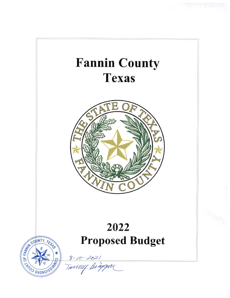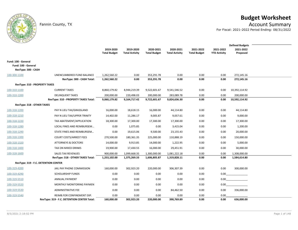# **Budget Worksheet**

Fannin County, TX **Account Summary** 

For Fiscal: 2021-2022 Period Ending: 08/31/2022

|                                                                   |                                             | 2019-2020<br><b>Total Budget</b> | 2019-2020<br><b>Total Activity</b> | 2020-2021<br><b>Total Budget</b> | 2020-2021<br><b>Total Activity</b> | 2021-2022<br><b>Total Budget</b> | 2021-2022<br><b>YTD Activity</b> | <b>Defined Budgets</b><br>2021-2022<br>Proposed |  |
|-------------------------------------------------------------------|---------------------------------------------|----------------------------------|------------------------------------|----------------------------------|------------------------------------|----------------------------------|----------------------------------|-------------------------------------------------|--|
| Fund: 100 - General<br>Fund: 100 - General<br>RevType: 300 - CASH |                                             |                                  |                                    |                                  |                                    |                                  |                                  |                                                 |  |
| 100-300-1100                                                      | UNENCUMBERED FUND BALANCE                   | 1,262,560.22                     | 0.00                               | 353,291.78                       | 0.00                               | 0.00                             | 0.00                             | 272,145.16                                      |  |
|                                                                   | RevType: 300 - CASH Total:                  | 1,262,560.22                     | 0.00                               | 353,291.78                       | 0.00                               | 0.00                             | 0.00                             | 272,145.16                                      |  |
| RevType: 310 - PROPERTY TAXES                                     |                                             |                                  |                                    |                                  |                                    |                                  |                                  |                                                 |  |
| 100-310-1100                                                      | <b>CURRENT TAXES</b>                        | 8,860,179.82                     | 8,944,219.39                       | 9,522,601.67                     | 9,541,546.52                       | 0.00                             | 0.00                             | 10,392,114.92                                   |  |
| 100-310-1200                                                      | <b>DELINQUENT TAXES</b>                     | 200,000.00                       | 220,498.03                         | 200,000.00                       | 283,089.78                         | 0.00                             | 0.00                             | 200,000.00                                      |  |
|                                                                   | RevType: 310 - PROPERTY TAXES Total:        | 9,060,179.82                     | 9,164,717.42                       | 9,722,601.67                     | 9,824,636.30                       | 0.00                             | 0.00                             | 10,592,114.92                                   |  |
| RevType: 318 - OTHER TAXES                                        |                                             |                                  |                                    |                                  |                                    |                                  |                                  |                                                 |  |
| 100-318-1200                                                      | PAY N LIEU TAX/GRASSLAND                    | 16,000.00                        | 18,618.15                          | 16,000.00                        | 44,114.80                          | 0.00                             | 0.00                             | 44,114.80                                       |  |
| 100-318-1210                                                      | PAY N LIEU TAX/UPPER TRINITY                | 14,402.00                        | 11,286.17                          | 9,005.87                         | 9,057.61                           | 0.00                             | 0.00                             | 9,000.00                                        |  |
| 100-318-1220                                                      | TAX ABATEMENT/APPLICATION                   | 18,300.00                        | 17,300.00                          | 17,300.00                        | 17,300.00                          | 0.00                             | 0.00                             | 17,300.00                                       |  |
| 100-318-1280                                                      | LOCAL FINES AND REIMBURSEM                  | 0.00                             | 1,075.85                           | 0.00                             | 3,415.04                           | 0.00                             | 0.00                             | 1,200.00                                        |  |
| 100-318-1290                                                      | STATE FINES AND REIMBURSEM                  | 0.00                             | 19,615.06                          | 9,500.00                         | 23,155.43                          | 0.00                             | 0.00                             | 20,000.00                                       |  |
| 100-318-1300                                                      | <b>COURT COSTS/ARREST FEES</b>              | 270,500.00                       | 180,361.35                         | 225,000.00                       | 110,888.19                         | 0.00                             | 0.00                             | 150,000.00                                      |  |
| 100-318-1320                                                      | <b>ATTORNEYS &amp; DOCTORS</b>              | 14,000.00                        | 9,913.85                           | 14,000.00                        | 1,222.95                           | 0.00                             | 0.00                             | 5,000.00                                        |  |
| 100-318-1400                                                      | TAX ON MIXED DRINKS                         | 19,900.00                        | 17,430.55                          | 16,000.00                        | 29,451.91                          | 0.00                             | 0.00                             | 30,000.00                                       |  |
| 100-318-1600                                                      | <b>SALES TAX REVENUES</b>                   | 900,000.00                       | 1,099,668.35                       | 1,300,000.00                     | 1,081,222.18                       | 0.00                             | 0.00                             | 1,308,000.00                                    |  |
|                                                                   | RevType: 318 - OTHER TAXES Total:           | 1,253,102.00                     | 1,375,269.33                       | 1,606,805.87                     | 1,319,828.11                       | 0.00                             | 0.00                             | 1,584,614.80                                    |  |
| RevType: 319 - F.C. DETENTION CENTER                              |                                             |                                  |                                    |                                  |                                    |                                  |                                  |                                                 |  |
| 100-319-4200                                                      | JAIL PAY PHONE COMMISSION                   | 160,000.00                       | 302,923.20                         | 220,000.00                       | 306,307.39                         | 0.00                             | 0.00                             | 300,000.00                                      |  |
| 100-319-4290                                                      | <b>SCHOLARSHIP FUNDS</b>                    | 0.00                             | 0.00                               | 0.00                             | 0.00                               | 0.00                             |                                  |                                                 |  |
| 100-319-5510                                                      | <b>ANNUAL PAYMENT</b>                       | 0.00                             | 0.00                               | 0.00                             | 0.00                               | 0.00                             | 0.00                             |                                                 |  |
| 100-319-5520                                                      | MONTHLY MONITORING PAYMEN                   | 0.00                             | 0.00                               | 0.00                             | 0.00                               | 0.00                             | 0.00                             |                                                 |  |
| 100-319-5530                                                      | <b>ADMINISTRATIVE FEE</b>                   | 0.00                             | 0.00                               | 0.00                             | 84,462.50                          | 0.00                             | 0.00                             | 336,000.00                                      |  |
| 100-319-5540                                                      | REIMB.FOR CONFINEMENT EXP.                  | 0.00                             | 0.00                               | 0.00                             | 0.00                               | 0.00                             | 0.00                             |                                                 |  |
|                                                                   | RevType: 319 - F.C. DETENTION CENTER Total: | 160,000.00                       | 302,923.20                         | 220,000.00                       | 390,769.89                         | 0.00                             | 0.00                             | 636,000.00                                      |  |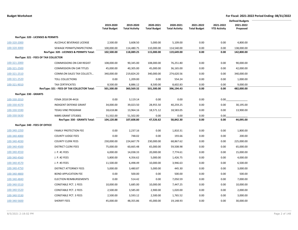|                       |                                             |                     |                       |                     |                       |                     |                     | <b>Defined Budgets</b> |  |
|-----------------------|---------------------------------------------|---------------------|-----------------------|---------------------|-----------------------|---------------------|---------------------|------------------------|--|
|                       |                                             | 2019-2020           | 2019-2020             | 2020-2021           | 2020-2021             | 2021-2022           | 2021-2022           | 2021-2022              |  |
|                       |                                             | <b>Total Budget</b> | <b>Total Activity</b> | <b>Total Budget</b> | <b>Total Activity</b> | <b>Total Budget</b> | <b>YTD Activity</b> | Proposed               |  |
|                       | RevType: 320 - LICENSES & PERMITS           |                     |                       |                     |                       |                     |                     |                        |  |
| 100-320-2000          | ALCOHLIC BEVERAGE LICENSE                   | 2,500.00            | 3,608.50              | 5,000.00            | 5,109.00              | 0.00                | 0.00                | 4,800.00               |  |
| 100-320-3000          | SEWAGE PERMITS/INSPECTIONS                  | 100,000.00          | 114,480.75            | 110,000.00          | 114,540.00            | 0.00                | 0.00                | 138,000.00             |  |
|                       | RevType: 320 - LICENSES & PERMITS Total:    | 102,500.00          | 118,089.25            | 115,000.00          | 119,649.00            | 0.00                | 0.00                | 142,800.00             |  |
|                       | RevType: 321 - FEES OF TAX COLLECTOR        |                     |                       |                     |                       |                     |                     |                        |  |
| 100-321-2000          | <b>COMMISSIONS ON CAR REGIST</b>            | 108,000.00          | 90,345.00             | 108,000.00          | 76,251.80             | 0.00                | 0.00                | 90,000.00              |  |
| 100-321-2500          | COMMISSION ON CAR TITLES                    | 45,000.00           | 40,305.00             | 45,000.00           | 36,165.00             | 0.00                | 0.00                | 42,000.00              |  |
| 100-321-2510          | COMM.ON SALES TAX COLLECTI                  | 340,000.00          | 219,824.20            | 340,000.00          | 274,620.56            | 0.00                | 0.00                | 340,000.00             |  |
| 100-321-2520          | <b>TOLL COLLECTIONS</b>                     | 0.00                | 1,209.00              | 0.00                | 554.24                | 0.00                | 0.00                | 1,000.00               |  |
| 100-321-9010          | <b>TAX CERTIFICATES</b>                     | 8,500.00            | 8,886.12              | 8,500.00            | 8,602.83              | 0.00                | 0.00                | 9,000.00               |  |
|                       | RevType: 321 - FEES OF TAX COLLECTOR Total: | 501,500.00          | 360,569.32            | 501,500.00          | 396,194.43            | 0.00                | 0.00                | 482,000.00             |  |
| RevType: 330 - GRANTS |                                             |                     |                       |                     |                       |                     |                     |                        |  |
| 100-330-2010          | FEMA 2018 DR-4416                           | 0.00                | 3,119.14              | 0.00                | 0.00                  | 0.00                | 0.00                |                        |  |
| 100-330-4370          | <b>INDIGENT DEFENSE GRANT</b>               | 34,000.00           | 39,023.50             | 28,955.50           | 40,259.25             | 0.00                | 0.00                | 30,195.00              |  |
| 100-330-5590          | <b>TEXAS VINE PROGRAM</b>                   | 18,618.88           | 13,964.16             | 18,571.12           | 18,583.05             | 0.00                | 0.00                | 13,900.00              |  |
| 100-330-5630          | NIBRS GRANT 3753001                         | 51,502.00           | 51,502.00             | 0.00                | 0.00                  | 0.00                | 0.00                |                        |  |
|                       | RevType: 330 - GRANTS Total:                | 104,120.88          | 107,608.80            | 47,526.62           | 58,842.30             | 0.00                | 0.00                | 44,095.00              |  |
|                       | RevType: 340 - FEES OF OFFICE               |                     |                       |                     |                       |                     |                     |                        |  |
| 100-340-1350          | <b>FAMILY PROTECTION FEE</b>                | 0.00                | 2,237.16              | 0.00                | 1,810.31              | 0.00                | 0.00                | 1,800.00               |  |
| 100-340-4000          | <b>COUNTY JUDGE FEES</b>                    | 0.00                | 748.02                | 0.00                | 193.66                | 0.00                | 0.00                | 200.00                 |  |
| 100-340-4030          | <b>COUNTY CLERK FEES</b>                    | 230,000.00          | 224,667.79            | 230,000.00          | 68,867.62             | 0.00                | 0.00                | 225,000.00             |  |
| 100-340-4500          | <b>DISTRICT CLERK FEES</b>                  | 75,000.00           | 60,665.48             | 65,000.00           | 59,508.98             | 0.00                | 0.00                | 65,000.00              |  |
| 100-340-4550          | J. P. #1 FEES                               | 6,000.00            | 14,038.33             | 20,000.00           | 7,774.61              | 0.00                | 0.00                | 15,000.00              |  |
| 100-340-4560          | J. P. #2 FEES                               | 5,800.00            | 4,356.62              | 5,000.00            | 1,426.75              | 0.00                | 0.00                | 4,000.00               |  |
| 100-340-4570          | J. P. #3 FEES                               | 11,500.00           | 6,498.49              | 10,000.00           | 3,946.63              | 0.00                | 0.00                | 6,500.00               |  |
| 100-340-4750          | <b>DISTRICT ATTORNEY FEES</b>               | 5,000.00            | 3,480.87              | 5,000.00            | 445.30                | 0.00                | 0.00                | 3,000.00               |  |
| 100-340-4800          | <b>BOND APPLICATION FEE</b>                 | 0.00                | 500.00                | 0.00                | 500.00                | 0.00                | 0.00                | 500.00                 |  |
| 100-340-4840          | <b>ELECTION REIMBURSEMENTS</b>              | 0.00                | 514.42                | 0.00                | 7,050.59              | 0.00                | 0.00                | 7,000.00               |  |
| 100-340-5510          | <b>CONSTABLE PCT. 1 FEES</b>                | 10,000.00           | 5,685.00              | 10,000.00           | 7,447.25              | 0.00                | 0.00                | 10,000.00              |  |
| 100-340-5520          | <b>CONSTABLE PCT. 2 FEES</b>                | 2,500.00            | 3,585.00              | 2,900.00            | 1,020.00              | 0.00                | 0.00                | 2,000.00               |  |
| 100-340-5530          | <b>CONSTABLE PCT. 3 FEES</b>                | 2,500.00            | 3,593.12              | 2,500.00            | 1,765.52              | 0.00                | 0.00                | 3,000.00               |  |
| 100-340-5600          | <b>SHERIFF FEES</b>                         | 45,000.00           | 48,355.86             | 45,000.00           | 19,148.93             | 0.00                | 0.00                | 30,000.00              |  |
|                       |                                             |                     |                       |                     |                       |                     |                     |                        |  |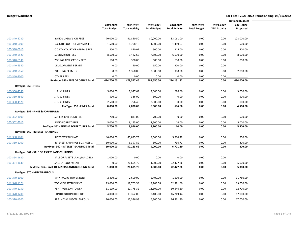| <b>Defined Budgets</b> |                                                    |                     |                       |                     |                       |                     |                     |            |  |
|------------------------|----------------------------------------------------|---------------------|-----------------------|---------------------|-----------------------|---------------------|---------------------|------------|--|
|                        |                                                    | 2019-2020           | 2019-2020             | 2020-2021           | 2020-2021             | 2021-2022           | 2021-2022           | 2021-2022  |  |
|                        |                                                    | <b>Total Budget</b> | <b>Total Activity</b> | <b>Total Budget</b> | <b>Total Activity</b> | <b>Total Budget</b> | <b>YTD Activity</b> | Proposed   |  |
| 100-340-5730           | <b>BOND SUPERVISION FEES</b>                       | 70,000.00           | 91,850.50             | 80,000.00           | 83,061.00             | 0.00                | 0.00                | 108,000.00 |  |
|                        |                                                    |                     |                       |                     |                       |                     |                     |            |  |
| 100-340-6000           | D.C.6TH COURT OF APPEALS FEE                       | 1,500.00            | 1,708.16              | 1,500.00            | 1,489.67              | 0.00                | 0.00                | 1,500.00   |  |
| 100-340-6010           | C.C.6TH COURT OF APPEALS FEE                       | 800.00              | 870.02                | 500.00              | 215.00                | 0.00                | 0.00                | 500.00     |  |
| 100-340-6520           | <b>SUBDIVISION FEES</b>                            | 8,500.00            | 3,482.62              | 7,500.00            | 6,010.00              | 0.00                | 0.00                | 8,000.00   |  |
| 100-340-6530           | ZONING APPLICATION FEES                            | 600.00              | 300.00                | 600.00              | 650.00                | 0.00                | 0.00                | 1,000.00   |  |
| 100-340-6540           | DEVELOPMENT PERMIT                                 | 0.00                | 90.00                 | 150.00              | 900.00                | 0.00                | 0.00                |            |  |
| 100-340-6550           | <b>BUILDING PERMITS</b>                            | 0.00                | 1,350.00              | 2,000.00            | 900.00                | 0.00                | 0.00                | 2,000.00   |  |
| 100-340-9000           | <b>OTHER FEES</b>                                  | 0.00                | 0.00                  | 0.00                | 0.00                  | 0.00                | 0.00                |            |  |
|                        | RevType: 340 - FEES OF OFFICE Total:               | 474,700.00          | 478,577.46            | 487,650.00          | 274,131.82            | 0.00                | 0.00                | 494,000.00 |  |
|                        | RevType: 350 - FINES                               |                     |                       |                     |                       |                     |                     |            |  |
| 100-350-4550           | J. P. #1 FINES                                     | 5,000.00            | 2,977.69              | 4,000.00            | 686.60                | 0.00                | 0.00                | 3,000.00   |  |
| 100-350-4560           | J. P. #2 FINES                                     | 500.00              | 336.00                | 500.00              | 0.00                  | 0.00                | 0.00                | 500.00     |  |
| 100-350-4570           | J. P. #3 FINES                                     | 2,500.00            | 756.40                | 2,000.00            | 0.00                  | 0.00                | 0.00                | 1,000.00   |  |
|                        | RevType: 350 - FINES Total:                        | 8,000.00            | 4,070.09              | 6,500.00            | 686.60                | 0.00                | 0.00                | 4,500.00   |  |
|                        | RevType: 352 - FINES & FORFEITURES                 |                     |                       |                     |                       |                     |                     |            |  |
| 100-352-1000           | <b>SURETY BAIL BOND FEE</b>                        | 700.00              | 831.00                | 700.00              | 0.00                  | 0.00                | 0.00                | 500.00     |  |
| 100-352-2010           | <b>BOND FORFEITURES</b>                            | 5,000.00            | 9,145.00              | 7,500.00            | 14.00                 | 0.00                | 0.00                | 5,000.00   |  |
|                        | RevType: 352 - FINES & FORFEITURES Total:          | 5,700.00            | 9,976.00              | 8,200.00            | 14.00                 | 0.00                | 0.00                | 5,500.00   |  |
|                        | RevType: 360 - INTEREST EARNINGS                   |                     |                       |                     |                       |                     |                     |            |  |
| 100-360-1000           | <b>INTEREST EARNINGS</b>                           | 40,000.00           | 45,885.73             | 8,500.00            | 5,964.49              | 0.00                | 0.00                | 500.00     |  |
| 100-360-1100           | <b>INTEREST EARNINGS BUSINESS</b>                  | 10,000.00           | 6,397.89              | 500.00              | 736.71                | 0.00                | 0.00                | 300.00     |  |
|                        | RevType: 360 - INTEREST EARNINGS Total:            | 50,000.00           | 52,283.62             | 9,000.00            | 6,701.20              | 0.00                | 0.00                | 800.00     |  |
|                        | RevType: 364 - SALE OF ASSETS LAND/BUILDING        |                     |                       |                     |                       |                     |                     |            |  |
| 100-364-1620           | SALE OF ASSETS LAND/BUILDING                       | 1,000.00            | 0.00                  | 0.00                | 0.00                  | 0.00                | 0.00                |            |  |
| 100-364-1630           | <b>SALE OF EQUIPMENT</b>                           | 0.00                | 20,605.79             | 1,000.00            | 22,427.86             | 0.00                | 0.00                | 5,000.00   |  |
|                        | RevType: 364 - SALE OF ASSETS LAND/BUILDING Total: | 1,000.00            | 20,605.79             | 1,000.00            | 22,427.86             | 0.00                | 0.00                | 5,000.00   |  |
|                        | RevType: 370 - MISCELLANEOUS                       |                     |                       |                     |                       |                     |                     |            |  |
| 100-370-1000           | <b>KFYN-RADIO TOWER RENT</b>                       | 2,400.00            | 2,600.00              | 2,400.00            | 1,600.00              | 0.00                | 0.00                | 11,750.00  |  |
| 100-370-1120           | <b>TOBACCO SETTLEMENT</b>                          | 19,000.00           | 19,703.58             | 19,703.58           | 32,891.60             | 0.00                | 0.00                | 19,000.00  |  |
| 100-370-1150           | <b>RENT-VERIZON TOWER</b>                          | 11,109.00           | 12,775.32             | 11,109.00           | 10,646.10             | 0.00                | 0.00                | 12,700.00  |  |
| 100-370-1200           | <b>CONTRIBUTION IHC TRUST</b>                      | 4,000.00            | 13,352.00             | 3,400.00            | 16,749.44             | 0.00                | 0.00                | 17,000.00  |  |
| 100-370-1300           | <b>REFUNDS &amp; MISCELLANEOUS</b>                 | 10,000.00           | 17,336.98             | 6,300.00            | 16,861.80             | 0.00                | 0.00                | 17,000.00  |  |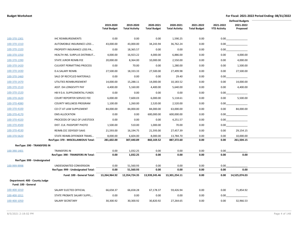|                                    | <b>Defined Budgets</b>                                    |                     |                       |                     |                       |                     |                     |               |
|------------------------------------|-----------------------------------------------------------|---------------------|-----------------------|---------------------|-----------------------|---------------------|---------------------|---------------|
|                                    |                                                           | 2019-2020           | 2019-2020             | 2020-2021           | 2020-2021             | 2021-2022           | 2021-2022           | 2021-2022     |
|                                    |                                                           | <b>Total Budget</b> | <b>Total Activity</b> | <b>Total Budget</b> | <b>Total Activity</b> | <b>Total Budget</b> | <b>YTD Activity</b> | Proposed      |
| 100-370-1301                       | <b>IHC REIMBURSEMENTS</b>                                 | 0.00                | 0.00                  | 0.00                | 1,590.25              | 0.00                |                     |               |
| 100-370-1310                       | AUTOMOBILE INSURANCE LOSS                                 | 43,000.00           | 43,000.00             | 34,243.94           | 36,762.24             | 0.00                |                     | 0.00          |
| 100-370-1320                       | PROPERTY INSURANCE LOSS PA                                | 0.00                | 18,365.57             | 0.00                | 0.00                  | 0.00                | 0.00                |               |
| 100-370-1350                       | HEALTH INS. SURPLUS DISTRIBUT                             | 4,000.00            | 16,923.22             | 4,000.00            | 6,886.00              | 0.00                | 0.00                | 4,000.00      |
| 100-370-1390                       | STATE JUROR REIMB.FEE                                     | 20,000.00           | 8,364.00              | 10,000.00           | 2,550.00              | 0.00                | 0.00                | 4,000.00      |
| 100-370-1420                       | <b>CULVERT PERMITTING PROCESS</b>                         | 0.00                | 70.00                 | 0.00                | 1,280.00              | 0.00                | 0.00                | 1,500.00      |
| 100-370-1430                       | D.A.SALARY REIMB.                                         | 27,500.00           | 18,333.33             | 27,500.00           | 27,499.98             | 0.00                | 0.00                | 27,500.00     |
| 100-370-1460                       | SALE OF RECYCLED MATERIALS                                | 0.00                | 0.00                  | 0.00                | 29.40                 | 0.00                | 0.00                |               |
| 100-370-1470                       | UTILITIES REIMBURSEMENT                                   | 14,000.00           | 15,288.11             | 14,000.00           | 10,183.52             | 0.00                | 0.00                | 14,000.00     |
| 100-370-1510                       | ASST. DA LONGEVITY PAY                                    | 4,400.00            | 5,160.00              | 4,400.00            | 5,640.00              | 0.00                | 0.00                | 4,400.00      |
| 100-370-1520                       | HB 9 D.A. SUPPLEMENTAL FUNDS                              | 0.00                | 0.00                  | 0.00                | 0.00                  | 0.00                | 0.00                |               |
| 100-370-1620                       | <b>COURT REPORTER SERVICE FEE</b>                         | 6,000.00            | 7,600.03              | 6,000.00            | 5,118.61              | 0.00                | 0.00                | 5,500.00      |
| 100-370-4080                       | COUNTY WELLNESS PROGRAM                                   | 1,100.00            | 1,260.00              | 2,520.00            | 2,520.00              | 0.00                | 0.00                |               |
| 100-370-4100                       | CO CT AT LAW SUPPLEMENT                                   | 84,000.00           | 84,000.00             | 84,000.00           | 63,000.00             | 0.00                | 0.00                | 84,000.00     |
| 100-370-4170                       | <b>EMS ALLOCATION</b>                                     | 0.00                | 0.00                  | 600,000.00          | 600,000.00            | 0.00                |                     | 0.00          |
| 100-370-4320                       | PROCEEDS OF SALE OF LIVESTOCK                             | 0.00                | 0.00                  | 0.00                | 4,251.57              | 0.00                |                     | $0.00$        |
| 100-370-4500                       | DIST. CLK. PASSPORT PHOTO                                 | 1,500.00            | 510.00                | 1,000.00            | 70.00                 | 0.00                | 0.00                |               |
| 100-370-4530                       | REIMB.CEC ODYSSEY SAAS                                    | 21,593.00           | 16,194.75             | 21,593.00           | 27,457.39             | 0.00                | 0.00                | 29,154.15     |
| 100-370-5620                       | STATE REIMB.OFFENDER TRANS                                | 8,000.00            | 6,604.00              | 8,000.00            | 13,784.70             | 0.00                | 0.00                | 10,000.00     |
|                                    | RevType: 370 - MISCELLANEOUS Total:                       | 281,602.00          | 307,440.89            | 860,169.52          | 887,372.60            | 0.00                | 0.00                | 261,504.15    |
| <b>RevType: 390 - TRANSFERS IN</b> |                                                           |                     |                       |                     |                       |                     |                     |               |
| 100-390-1401                       | <b>TRANSFERS IN</b><br>RevType: 390 - TRANSFERS IN Total: | 0.00<br>0.00        | 1,032.25<br>1,032.25  | 0.00<br>0.00        | 0.00<br>0.00          | 0.00<br>0.00        | 0.00<br>0.00        | 0.00          |
| RevType: 999 - Undesignated        |                                                           |                     |                       |                     |                       |                     |                     |               |
| 100-999-9998                       | UNDESIGNATED CONVERSION                                   | 0.00                | 51,560.93             | 0.00                | 0.00                  | 0.00                | 0.00                |               |
|                                    | RevType: 999 - Undesignated Total:                        | 0.00                | 51,560.93             | 0.00                | 0.00                  | 0.00                | 0.00                | 0.00          |
|                                    | Fund: 100 - General Total:                                | 13,264,964.92       | 12,354,724.35         | 13,939,245.46       | 13,301,254.11         | 0.00                | 0.00                | 14,525,074.03 |
| Department: 400 - County Judge     |                                                           |                     |                       |                     |                       |                     |                     |               |
| Fund: 100 - General                |                                                           |                     |                       |                     |                       |                     |                     |               |
| 100-400-1010                       | SALARY ELECTED OFFICIAL                                   | 66,658.37           | 66,658.28             | 67,178.37           | 59,426.94             | 0.00                | 0.00                | 71,854.92     |
| 100-400-1011                       | STATE PROBATE SALARY SUPPL                                | 0.00                | 0.00                  | 0.00                | 0.00                  | 0.00                | 0.00                |               |
| 100-400-1050                       | <b>SALARY SECRETARY</b>                                   | 30,300.92           | 30,300.92             | 30,820.92           | 27,264.65             | 0.00                | 0.00                | 32,966.53     |

--

 $\overline{\phantom{0}}$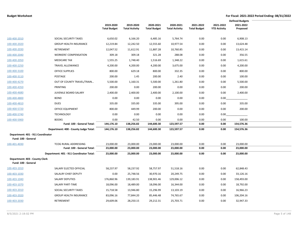|                                                          |                                          |                     |                       |                     |                       |                     |                     | <b>Defined Budgets</b> |  |
|----------------------------------------------------------|------------------------------------------|---------------------|-----------------------|---------------------|-----------------------|---------------------|---------------------|------------------------|--|
|                                                          |                                          | 2019-2020           | 2019-2020             | 2020-2021           | 2020-2021             | 2021-2022           | 2021-2022           | 2021-2022              |  |
|                                                          |                                          | <b>Total Budget</b> | <b>Total Activity</b> | <b>Total Budget</b> | <b>Total Activity</b> | <b>Total Budget</b> | <b>YTD Activity</b> | Proposed               |  |
|                                                          |                                          |                     |                       |                     |                       |                     |                     |                        |  |
| 100-400-2010                                             | SOCIAL SECURITY TAXES                    | 6,650.02            | 6,166.20              | 6,485.16            | 5,764.74              | 0.00                | 0.00                | 6,908.13               |  |
| 100-400-2020                                             | <b>GROUP HEALTH INSURANCE</b>            | 12,219.84           | 12,242.50             | 12,555.60           | 10,977.54             | 0.00                | 0.00                | 13,624.48              |  |
| 100-400-2030                                             | RETIREMENT                               | 12,047.52           | 11,612.91             | 11,887.28           | 10,760.85             | 0.00                | 0.00                | 13,415.14              |  |
| 100-400-2040                                             | <b>WORKERS' COMPENSATION</b>             | 309.18              | 309.18                | 321.28              | 288.08                | 0.00                | 0.00                | 356.55                 |  |
| 100-400-2050                                             | <b>MEDICARE TAX</b>                      | 1,555.25            | 1,748.40              | 1,516.69            | 1,348.22              | 0.00                | 0.00                | 1,615.61               |  |
| 100-400-2250                                             | TRAVEL ALLOWANCE                         | 4,200.00            | 4,200.00              | 4,200.00            | 3,675.00              | 0.00                | 0.00                | 4,200.00               |  |
| 100-400-3100                                             | OFFICE SUPPLIES                          | 800.00              | 629.18                | 800.00              | 332.35                | 0.00                | 0.00                | 800.00                 |  |
| 100-400-3110                                             | POSTAGE                                  | 200.00              | 1.45                  | 200.00              | 2.40                  | 0.00                | 0.00                | 100.00                 |  |
| 100-400-4270                                             | OUT OF COUNTY TRAVEL/TRAIN               | 5,500.00            | 1,160.31              | 5,500.00            | 1,261.80              | 0.00                | 0.00                | 5,500.00               |  |
| 100-400-4350                                             | PRINTING                                 | 200.00              | 0.00                  | 200.00              | 0.00                  | 0.00                | 0.00                | 200.00                 |  |
| 100-400-4680                                             | JUVENILE BOARD SALARY                    | 2,400.00            | 2,400.00              | 2,400.00            | 2,100.00              | 0.00                | 0.00                | 2,400.00               |  |
| 100-400-4800                                             | <b>BOND</b>                              | 0.00                | 0.00                  | 0.00                | 0.00                  | 0.00                | 0.00                |                        |  |
| 100-400-4810                                             | <b>DUES</b>                              | 335.00              | 335.00                | 335.00              | 395.00                | 0.00                | 0.00                | 335.00                 |  |
| 100-400-5720                                             | OFFICE EQUIPMENT                         | 800.00              | 449.99                | 200.00              | 0.00                  | 0.00                | 0.00                | 200.00                 |  |
| 100-400-5740                                             | <b>TECHNOLOGY</b>                        | 0.00                | 0.00                  | 0.00                | 0.00                  | 0.00                | 0.00                |                        |  |
| 100-400-5900                                             | <b>BOOKS</b>                             | 0.00                | 42.50                 | 0.00                | 0.00                  | 0.00                | 0.00                | 100.00                 |  |
|                                                          | Fund: 100 - General Total:               | 144,176.10          | 138,256.82            | 144,600.30          | 123,597.57            | 0.00                | 0.00                | 154,576.36             |  |
|                                                          | Department: 400 - County Judge Total:    | 144,176.10          | 138,256.82            | 144,600.30          | 123,597.57            | 0.00                | 0.00                | 154,576.36             |  |
| Department: 401 - 911 Coordinator<br>Fund: 100 - General |                                          |                     |                       |                     |                       |                     |                     |                        |  |
| 100-401-4030                                             | <b>TCOG RURAL ADDRESSING</b>             | 23,000.00           | 23,000.00             | 23,000.00           | 23,000.00             | 0.00                | 0.00                | 23,000.00              |  |
|                                                          | Fund: 100 - General Total:               | 23,000.00           | 23,000.00             | 23,000.00           | 23,000.00             | 0.00                | 0.00                | 23,000.00              |  |
|                                                          | Department: 401 - 911 Coordinator Total: | 23,000.00           | 23,000.00             | 23,000.00           | 23,000.00             | 0.00                | 0.00                | 23,000.00              |  |
| Department: 403 - County Clerk                           |                                          |                     |                       |                     |                       |                     |                     |                        |  |
| Fund: 100 - General                                      |                                          |                     |                       |                     |                       |                     |                     |                        |  |
| 100-403-1010                                             | SALARY ELECTED OFFICIAL                  | 58,237.97           | 58,237.92             | 58,757.97           | 51,518.16             | 0.00                | 0.00                | 62,848.43              |  |
| 100-403-1030                                             | SALALRY CHIEF DEPUTY                     | 0.00                | 25,748.56             | 30,970.16           | 20,249.75             | 0.00                | 0.00                | 33,126.16              |  |
| 100-403-1040                                             | <b>SALARY DEPUTIES</b>                   | 176,860.96          | 139,183.91            | 138,901.46          | 129,006.12            | 0.00                | 0.00                | 158,493.00             |  |
| 100-403-1070                                             | SALARY PART-TIME                         | 18,096.00           | 18,489.00             | 18,096.00           | 16,344.00             | 0.00                | 0.00                | 18,792.00              |  |
| 100-403-2010                                             | SOCIAL SECURITY TAXES                    | 15,718.58           | 13,946.80             | 15,296.99           | 13,103.19             | 0.00                | 0.00                | 16,966.23              |  |
| 100-403-2020                                             | <b>GROUP HEALTH INSURANCE</b>            | 83,096.16           | 77,844.20             | 85,446.48           | 74,765.67             | 0.00                | 0.00                | 106,204.16             |  |
| 100-403-2030                                             | RETIREMENT                               | 29,609.06           | 28,250.15             | 29,212.31           | 25,703.71             | 0.00                | 0.00                | 32,947.33              |  |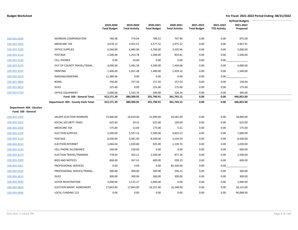|                            | <b>Defined Budgets</b>                |                     |                       |                     |                       |                     |                     |            |
|----------------------------|---------------------------------------|---------------------|-----------------------|---------------------|-----------------------|---------------------|---------------------|------------|
|                            |                                       | 2019-2020           | 2019-2020             | 2020-2021           | 2020-2021             | 2021-2022           | 2021-2022           | 2021-2022  |
|                            |                                       | <b>Total Budget</b> | <b>Total Activity</b> | <b>Total Budget</b> | <b>Total Activity</b> | <b>Total Budget</b> | <b>YTD Activity</b> | Proposed   |
| 100-403-2040               | <b>WORKERS COMPENSATION</b>           | 760.58              | 774.64                | 789.52              | 707.96                | 0.00                | 0.00                | 875.68     |
| 100-403-2050               | <b>MEDICARE TAX</b>                   | 3,676.12            | 3,952.67              | 3,577.52            | 2,975.22              | 0.00                | 0.00                | 3,967.91   |
| 100-403-3100               | <b>OFFICE SUPPLIES</b>                | 6,260.00            | 6,485.00              | 3,760.00            | 3,105.96              | 0.00                | 0.00                | 5,000.00   |
| 100-403-3110               | POSTAGE                               | 1,500.00            | 1,253.78              | 1,500.00            | 833.81                | 0.00                | 0.00                | 1,500.00   |
| 100-403-4230               | <b>CELL PHONES</b>                    | 0.00                | 10.00                 | 0.00                | 0.00                  | 0.00                | 0.00                |            |
| 100-403-4270               | OUT OF COUNTY TRAVEL/TRAIN            | 4,000.00            | 3,481.58              | 3,500.00            | 1,439.68              | 0.00                | 0.00                | 4,000.00   |
| 100-403-4350               | PRINTING                              | 1,400.00            | 1,051.48              | 1,400.00            | 1,429.16              | 0.00                | 0.00                | 1,500.00   |
| 100-403-4370               | IMAGING/INDEXING                      | 11,380.96           | 0.00                  | 0.00                | 0.00                  | 0.00                | 0.00                |            |
| 100-403-4800               | <b>BOND</b>                           | 350.00              | 257.50                | 157.50              | 157.50                | 0.00                | 0.00                | 158.00     |
| 100-403-4810               | <b>DUES</b>                           | 225.00              | 0.00                  | 225.00              | 175.00                | 0.00                | 0.00                | 175.00     |
| 100-403-5720               | <b>OFFICE EQUIPMENT</b>               | 2,000.00            | 1,333.76              | 200.00              | 228.26                | 0.00                | 0.00                | 300.00     |
|                            | Fund: 100 - General Total:            | 413,171.39          | 380,300.95            | 391,790.91          | 341,743.15            | 0.00                | 0.00                | 446,853.90 |
|                            | Department: 403 - County Clerk Total: | 413,171.39          | 380,300.95            | 391,790.91          | 341,743.15            | 0.00                | 0.00                | 446,853.90 |
| Department: 404 - Election |                                       |                     |                       |                     |                       |                     |                     |            |
| Fund: 100 - General        |                                       |                     |                       |                     |                       |                     |                     |            |
| 100-404-1090               | SALARY-ELECTION WORKERS               | 15,900.00           | 14,619.00             | 15,900.00           | 20,581.00             | 0.00                | 0.00                | 18,000.00  |
| 100-404-2010               | SOCIAL SECURITY TAXES                 | 625.00              | 29.32                 | 625.00              | 100.09                | 0.00                | 0.00                | 625.00     |
| 100-404-2050               | <b>MEDICARE TAX</b>                   | 175.00              | 12.60                 | 175.00              | $-5.51$               | 0.00                | 0.00                | 175.00     |
| 100-404-3100               | <b>ELECTION SUPPLIES</b>              | 5,500.00            | 5,597.16              | 5,500.00            | 4,823.23              | 0.00                | 0.00                | 7,000.00   |
| 100-404-3110               | POSTAGE                               | 8,500.00            | 9,381.90              | 8,500.00            | 2,539.59              | 0.00                | 0.00                | 8,500.00   |
| 100-404-4210               | <b>ELECTION INTERNET</b>              | 1,044.04            | 1,030.80              | 925.00              | 1,139.76              | 0.00                | 0.00                | 1,030.00   |
| 100-404-4230               | CELL PHONE ALLOWANCE                  | 240.00              | 230.00                | 0.00                | 0.00                  | 0.00                | 0.00                | 600.00     |
| 100-404-4270               | ELECTION TRAVEL/TRAINING              | 778.00              | 505.11                | 2,500.00            | 877.28                | 0.00                | 0.00                | 2,500.00   |
| 100-404-4300               | <b>BIDS AND NOTICES</b>               | 600.00              | 347.01                | 600.00              | 599.23                | 0.00                | 0.00                | 600.00     |
| 100-404-4391               | PROFESSIONAL SERVICES                 | 0.00                | 0.00                  | 0.00                | 83,330.00             | 0.00                | 0.00                |            |
| 100-404-4420               | PROFESSIONAL SERVICE/TRANSL           | 300.00              | 300.00                | 200.00              | 106.25                | 0.00                | 0.00                | 300.00     |
| 100-404-4810               | <b>DUES</b>                           | 300.00              | 300.00                | 300.00              | 300.00                | 0.00                | 0.00                | 300.00     |
| 100-404-4830               | <b>VOTER REGISTRATION</b>             | 2,000.00            | 1,515.27              | 2,000.00            | 0.00                  | 0.00                | 0.00                | 2,000.00   |
| 100-404-4850               | ELECTION MAINT. AGREEMENT             | 17,843.00           | 17,843.00             | 16,221.00           | 16,348.00             | 0.00                | 0.00                | 18,125.00  |
| 100-404-4890               | <b>LOCAL FUNDING 123</b>              | 0.00                | 0.00                  | 0.00                | 0.00                  | 0.00                | 0.00                | 96,088.00  |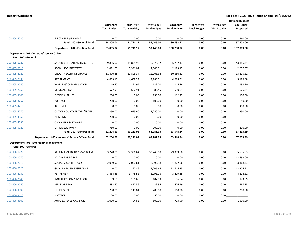|                                             | <b>Defined Budgets</b>                                  |                     |                       |                     |                       |                     |                     |                        |  |
|---------------------------------------------|---------------------------------------------------------|---------------------|-----------------------|---------------------|-----------------------|---------------------|---------------------|------------------------|--|
|                                             |                                                         | 2019-2020           | 2019-2020             | 2020-2021           | 2020-2021             | 2021-2022           | 2021-2022           | 2021-2022              |  |
|                                             |                                                         | <b>Total Budget</b> | <b>Total Activity</b> | <b>Total Budget</b> | <b>Total Activity</b> | <b>Total Budget</b> | <b>YTD Activity</b> | Proposed               |  |
|                                             |                                                         |                     |                       |                     |                       |                     |                     |                        |  |
| 100-404-5730                                | <b>ELECTION EQUIPMENT</b><br>Fund: 100 - General Total: | 0.00<br>53,805.04   | 0.00<br>51,711.17     | 0.00<br>53,446.00   | 0.00<br>130,738.92    | 0.00<br>0.00        | 0.00<br>0.00        | 1,960.00<br>157,803.00 |  |
|                                             | Department: 404 - Election Total:                       | 53,805.04           | 51,711.17             | 53,446.00           | 130,738.92            | 0.00                | 0.00                | 157,803.00             |  |
| Department: 405 - Veterans' Service Officer |                                                         |                     |                       |                     |                       |                     |                     |                        |  |
| Fund: 100 - General                         |                                                         |                     |                       |                     |                       |                     |                     |                        |  |
| 100-405-1020                                | SALARY VETERANS' SERVICE OFF                            | 39,856.00           | 39,855.92             | 40,375.92           | 35,717.17             | 0.00                | 0.00                | 43,186.71              |  |
| 100-405-2010                                | SOCIAL SECURITY TAXES                                   | 2,471.07            | 2,341.07              | 2,503.31            | 2,183.15              | 0.00                | 0.00                | 2,677.57               |  |
| 100-405-2020                                | <b>GROUP HEALTH INSURANCE</b>                           | 11,870.88           | 11,895.34             | 12,206.64           | 10,680.81             | 0.00                | 0.00                | 13,275.52              |  |
| 100-405-2030                                | RETIREMENT                                              | 4,659.17            | 4,658.24              | 4,780.51            | 4,228.51              | 0.00                | 0.00                | 5,199.68               |  |
| 100-405-2040                                | <b>WORKERS' COMPENSATION</b>                            | 119.57              | 121.94                | 129.20              | 115.86                | 0.00                | 0.00                | 138.20                 |  |
| 100-405-2050                                | <b>MEDICARE TAX</b>                                     | 577.91              | 662.91                | 585.45              | 510.61                | 0.00                | 0.00                | 626.21                 |  |
| 100-405-3100                                | <b>OFFICE SUPPLIES</b>                                  | 250.00              | 0.00                  | 150.00              | 112.73                | 0.00                | 0.00                | 150.00                 |  |
| 100-405-3110                                | POSTAGE                                                 | 200.00              | 0.00                  | 100.00              | 0.00                  | 0.00                | 0.00                | 50.00                  |  |
| 100-405-4210                                | <b>INTERNET</b>                                         | 0.00                | 0.00                  | 0.00                | 0.00                  | 0.00                | 0.00                | 480.00                 |  |
| 100-405-4270                                | OUT OF COUNTY TRAVEL/TRAIN                              | 1,250.00            | 675.60                | 1,250.00            | 0.00                  | 0.00                | 0.00                | 1,250.00               |  |
| 100-405-4350                                | PRINTING                                                | 200.00              | 0.00                  | 0.00                | 0.00                  | 0.00                | 0.00                |                        |  |
| 100-405-4530                                | <b>COMPUTER SOFTWARE</b>                                | 0.00                | 0.00                  | 0.00                | 0.00                  | 0.00                | 0.00                |                        |  |
| 100-405-5720                                | OFFICE EQUIPMENT                                        | 750.00              | 0.00                  | 200.00              | 0.00                  | 0.00                | 0.00                | 200.00                 |  |
|                                             | Fund: 100 - General Total:                              | 62,204.60           | 60,211.02             | 62,281.03           | 53,548.84             | 0.00                | 0.00                | 67,233.89              |  |
|                                             | Department: 405 - Veterans' Service Officer Total:      | 62,204.60           | 60,211.02             | 62,281.03           | 53,548.84             | 0.00                | 0.00                | 67,233.89              |  |
| Department: 406 - Emergency Management      |                                                         |                     |                       |                     |                       |                     |                     |                        |  |
| Fund: 100 - General                         |                                                         |                     |                       |                     |                       |                     |                     |                        |  |
| 100-406-1020                                | SALARY-EMERGENCY MANAGEM                                | 33,228.00           | 32,336.64             | 33,748.00           | 29,389.60             | 0.00                | 0.00                | 35,535.83              |  |
| 100-406-1070                                | SALARY PART-TIME                                        | 0.00                | 0.00                  | 0.00                | 0.00                  | 0.00                | 0.00                | 18,792.00              |  |
| 100-406-2010                                | SOCIAL SECURITY TAXES                                   | 2,089.90            | 2,020.61              | 2,092.38            | 1,822.06              | 0.00                | 0.00                | 3,368.33               |  |
| 100-406-2020                                | <b>GROUP HEALTH INSURANCE</b>                           | 0.00                | 22.86                 | 12,206.64           | 12,715.25             | 0.00                | 0.00                | 13,275.52              |  |
| 100-406-2030                                | RETIREMENT                                              | 3,884.35            | 3,778.55              | 3,995.76            | 3,479.35              | 0.00                | 0.00                | 4,278.51               |  |
| 100-406-2040                                | <b>WORKERS' COMPENSATION</b>                            | 99.68               | 101.66                | 107.99              | 96.84                 | 0.00                | 0.00                | 173.85                 |  |
| 100-406-2050                                | <b>MEDICARE TAX</b>                                     | 488.77              | 472.56                | 489.35              | 426.19                | 0.00                | 0.00                | 787.75                 |  |
| 100-406-3100                                | <b>OFFICE SUPPLIES</b>                                  | 200.00              | 119.81                | 200.00              | 110.98                | 0.00                | 0.00                | 200.00                 |  |
| 100-406-3110                                | POSTAGE                                                 | 50.00               | 0.00                  | 50.00               | 0.00                  | 0.00                | 0.00                |                        |  |
| 100-406-3300                                | AUTO EXPENSE-GAS & OIL                                  | 1,000.00            | 794.82                | 800.00              | 773.90                | 0.00                | 0.00                | 1,500.00               |  |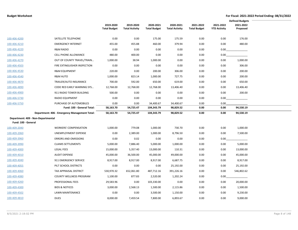|                                    |                                               |                     |                       |                     |                       |                     |                     | <b>Defined Budgets</b> |  |
|------------------------------------|-----------------------------------------------|---------------------|-----------------------|---------------------|-----------------------|---------------------|---------------------|------------------------|--|
|                                    |                                               | 2019-2020           | 2019-2020             | 2020-2021           | 2020-2021             | 2021-2022           | 2021-2022           | 2021-2022              |  |
|                                    |                                               | <b>Total Budget</b> | <b>Total Activity</b> | <b>Total Budget</b> | <b>Total Activity</b> | <b>Total Budget</b> | <b>YTD Activity</b> | Proposed               |  |
|                                    |                                               |                     |                       |                     |                       |                     |                     |                        |  |
| 100-406-4200                       | SATELLITE TELEPHONE                           | 0.00                | 0.00                  | 175.00              | 175.59                | 0.00                | 0.00                | 176.00                 |  |
| 100-406-4210                       | <b>EMERGENCY INTERNET</b>                     | 455.00              | 455.88                | 460.00              | 379.94                | 0.00                | 0.00                | 480.00                 |  |
| 100-406-4220                       | <b>R&amp;M RADIO</b>                          | 0.00                | 0.00                  | 0.00                | 0.00                  | 0.00                | 0.00                |                        |  |
| 100-406-4230                       | CELL PHONE ALLOWANCE                          | 480.00              | 400.00                | 0.00                | 0.00                  | 0.00                | 0.00                |                        |  |
| 100-406-4270                       | OUT OF COUNTY TRAVEL/TRAIN                    | 1,000.00            | 38.94                 | 1,000.00            | 0.00                  | 0.00                | 0.00                | 1,000.00               |  |
| 100-406-4503                       | FIRE EXTINGUISHER INSPECTION                  | 0.00                | 0.00                  | 0.00                | 0.00                  | 0.00                | 0.00                | 306.00                 |  |
| 100-406-4530                       | <b>R&amp;M EQUIPMENT</b>                      | 220.00              | 0.00                  | 200.00              | 306.00                | 0.00                | 0.00                | 200.00                 |  |
| 100-406-4540                       | <b>R&amp;M AUTO</b>                           | 1,000.00            | 823.14                | 1,000.00            | 727.75                | 0.00                | 0.00                | 200.00                 |  |
| 100-406-4870                       | TRAILER/AUTO INSURANCE                        | 700.00              | 592.00                | 650.00              | 619.00                | 0.00                | 0.00                | 650.00                 |  |
| 100-406-4890                       | CODE RED EARLY WARNING SYS                    | 12,768.00           | 12,768.00             | 12,768.00           | 13,406.40             | 0.00                | 0.00                | 13,406.40              |  |
| 100-406-4900                       | 911 RADIO TOWER BUILDING                      | 500.00              | 0.00                  | 0.00                | 0.00                  | 0.00                | 0.00                | 200.00                 |  |
| 100-406-5730                       | <b>RADIO EQUIPMENT</b>                        | 0.00                | 0.00                  | 0.00                | 0.00                  | 0.00                | 0.00                |                        |  |
| 100-406-5750                       | PURCHASE OF AUTOMOBILES                       | 0.00                | 0.00                  | 34,400.67           | 34,400.67             | 0.00                | 0.00                |                        |  |
|                                    | Fund: 100 - General Total:                    | 58,163.70           | 54,725.47             | 104,343.79          | 98,829.52             | 0.00                | 0.00                | 94,530.19              |  |
|                                    | Department: 406 - Emergency Management Total: | 58,163.70           | 54,725.47             | 104,343.79          | 98,829.52             | 0.00                | 0.00                | 94,530.19              |  |
| Department: 409 - Non-Departmental |                                               |                     |                       |                     |                       |                     |                     |                        |  |
| Fund: 100 - General                |                                               |                     |                       |                     |                       |                     |                     |                        |  |
| 100-409-2040                       | <b>WORKERS' COMPENSATION</b>                  | 1,000.00            | 779.08                | 1,000.00            | 730.70                | 0.00                | 0.00                | 1,000.00               |  |
| 100-409-2060                       | UNEMPLOYMENT EXPENSE                          | 0.00                | 2,389.00              | 1,000.00            | 8,796.50              | 0.00                | 0.00                | 7,500.00               |  |
| 100-409-3960                       | <b>ERRORS AND OMISSIONS</b>                   | 0.00                | 0.02                  | 0.00                | 0.00                  | 0.00                | 0.00                |                        |  |
| 100-409-3990                       | <b>CLAIMS SETTLEMENTS</b>                     | 5,000.00            | 7,886.40              | 5,000.00            | 1,000.00              | 0.00                | 0.00                | 5,000.00               |  |
| 100-409-4000                       | LEGAL FEES                                    | 15,000.00           | 5,357.40              | 13,000.00           | 110.31                | 0.00                | 0.00                | 13,000.00              |  |
| 100-409-4010                       | <b>AUDIT EXPENSE</b>                          | 45,000.00           | 36,500.00             | 45,000.00           | 49,000.00             | 0.00                | 0.00                | 45,000.00              |  |
| 100-409-4040                       | 911 EMERGENCY SERVICE                         | 8,917.00            | 8,917.00              | 8,917.00            | 6,687.75              | 0.00                | 0.00                | 8,917.00               |  |
| 100-409-4055                       | PILT SCHOOL DISTRICTS                         | 0.00                | 0.00                  | 0.00                | 25,192.00             | 0.00                | 0.00                | 25,192.00              |  |
| 100-409-4060                       | TAX APPRAISAL DISTRICT                        | 530,970.32          | 652,061.80            | 487,712.16          | 391,226.16            | 0.00                | 0.00                | 546,802.62             |  |
| 100-409-4080                       | <b>COUNTY WELLNESS PROGRAM</b>                | 1,100.00            | 877.83                | 2,520.00            | 1,202.24              | 0.00                | 0.00                |                        |  |
| 100-409-4260                       | PROFESSIONAL FEES                             | 29,583.96           | 0.00                  | 103,330.00          | 0.00                  | 0.00                | 0.00                | 20,000.00              |  |
| 100-409-4300                       | <b>BIDS &amp; NOTICES</b>                     | 3,000.00            | 2,568.13              | 1,500.00            | 2,115.86              | 0.00                | 0.00                | 1,500.00               |  |
| 100-409-4502                       | LAWN MAINTENANCE                              | 0.00                | 0.00                  | 3,500.00            | 1,150.00              | 0.00                | 0.00                | 9,230.00               |  |
| 100-409-4810                       | <b>DUES</b>                                   | 8,000.00            | 7,459.54              | 7,800.00            | 6,893.67              | 0.00                | 0.00                | 9,000.00               |  |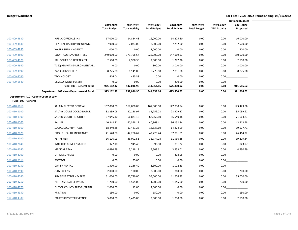|                                       | <b>Defined Budgets</b>                    |                     |                       |                     |                       |                     |                     |            |
|---------------------------------------|-------------------------------------------|---------------------|-----------------------|---------------------|-----------------------|---------------------|---------------------|------------|
|                                       |                                           | 2019-2020           | 2019-2020             | 2020-2021           | 2020-2021             | 2021-2022           | 2021-2022           | 2021-2022  |
|                                       |                                           | <b>Total Budget</b> | <b>Total Activity</b> | <b>Total Budget</b> | <b>Total Activity</b> | <b>Total Budget</b> | <b>YTD Activity</b> | Proposed   |
| 100-409-4830                          | PUBLIC OFFICIALS INS.                     | 17,000.00           | 14,834.48             | 16,000.00           | 14,225.80             | 0.00                | 0.00                | 16,000.00  |
| 100-409-4840                          | <b>GENERAL LIABILITY INSURANCE</b>        | 7,900.00            | 7,073.00              | 7,500.00            | 7,252.00              | 0.00                | 0.00                | 7,500.00   |
| 100-409-4850                          | WATER SUPPLY AGENCY                       | 1,000.00            | 0.00                  | 1,000.00            | 0.00                  | 0.00                | 0.00                | 1,700.00   |
| 100-409-4890                          | <b>COURT COSTS/ARREST FEES</b>            | 240,000.00          | 173,798.54            | 225,000.00          | 147,969.57            | 0.00                | 0.00                | 180,000.00 |
| 100-409-4920                          | 6TH COURT OF APPEALS FEE                  | 2,500.00            | 2,908.36              | 2,500.00            | 1,277.36              | 0.00                | 0.00                | 2,500.00   |
| 100-409-4940                          | TCEQ PERMITS ENVIRONMENTAL                | 0.00                | 0.00                  | 800.00              | 3,010.00              | 0.00                | 0.00                | 3,000.00   |
| 100-409-4990                          | <b>BANK SERVICE FEES</b>                  | 8,775.00            | 8,141.00              | 8,775.00            | 7,751.00              | 0.00                | 0.00                | 8,775.00   |
| 100-409-5740                          | <b>TECHNOLOGY</b>                         | 416.04              | 485.38                | 0.00                | 0.00                  | 0.00                | 0.00                |            |
| 100-409-6540                          | <b>DEVELOPMENT PERMIT</b>                 | 0.00                | 0.00                  | 0.00                | 210.00                | 0.00                | 0.00                |            |
|                                       | Fund: 100 - General Total:                | 925,162.32          | 932,036.96            | 941,854.16          | 675,800.92            | 0.00                | 0.00                | 911,616.62 |
|                                       | Department: 409 - Non-Departmental Total: | 925,162.32          | 932,036.96            | 941,854.16          | 675,800.92            | 0.00                | 0.00                | 911,616.62 |
| Department: 410 - County Court at Law |                                           |                     |                       |                     |                       |                     |                     |            |
| Fund: 100 - General                   |                                           |                     |                       |                     |                       |                     |                     |            |
| 100-410-1010                          | SALARY ELECTED OFFICIAL                   | 167,000.00          | 167,000.08            | 167,000.00          | 147,730.84            | 0.00                | 0.00                | 173,423.08 |
| 100-410-1030                          | SALARY COURT COORDINATOR                  | 32,239.08           | 32,238.97             | 32,759.08           | 28,979.27             | 0.00                | 0.00                | 35,039.62  |
| 100-410-1100                          | SALARY COURT REPORTER                     | 67,046.10           | 66,871.18             | 67,566.10           | 55,540.48             | 0.00                | 0.00                | 71,664.23  |
| 100-410-1300                          | <b>BAILIFF</b>                            | 40,348.41           | 40,348.12             | 40,868.41           | 36,152.84             | 0.00                | 0.00                | 43,713.48  |
| 100-410-2010                          | SOCIAL SECURITY TAXES                     | 18,440.88           | 17,421.28             | 18,537.60           | 14,824.09             | 0.00                | 0.00                | 19,507.71  |
| 100-410-2020                          | <b>GROUP HEALTH INSURANCE</b>             | 41,548.08           | 42,206.62             | 42,723.24           | 37,701.01             | 0.00                | 0.00                | 46,464.32  |
| 100-410-2030                          | RETIREMENT                                | 36,126.03           | 36,092.51             | 36,774.28           | 31,966.88             | 0.00                | 0.00                | 39,279.34  |
| 100-410-2040                          | <b>WORKERS COMPENSATION</b>               | 927.10              | 945.46                | 993.90              | 891.22                | 0.00                | 0.00                | 1,043.97   |
| 100-410-2050                          | <b>MEDICARE TAX</b>                       | 4,480.99            | 5,218.18              | 4,503.61            | 3,953.01              | 0.00                | 0.00                | 4,730.49   |
| 100-410-3100                          | <b>OFFICE SUPPLIES</b>                    | 0.00                | 0.00                  | 0.00                | 308.06                | 0.00                |                     |            |
| 100-410-3110                          | POSTAGE                                   | 0.00                | 55.00                 | 0.00                | 0.00                  | 0.00                | 0.00                |            |
| 100-410-3150                          | <b>COPIER RENTAL</b>                      | 1,300.00            | 1,236.40              | 1,300.00            | 1,022.33              | 0.00                | 0.00                |            |
| 100-410-3190                          | <b>JURY EXPENSE</b>                       | 2,000.00            | 170.00                | 2,000.00            | 860.00                | 0.00                | 0.00                | 1,200.00   |
| 100-410-4240                          | <b>INDIGENT ATTORNEY FEES</b>             | 61,000.00           | 25,729.00             | 55,000.00           | 41,676.33             | 0.00                | 0.00                | 55,000.00  |
| 100-410-4250                          | PROFESSIONAL SERVICES                     | 1,200.00            | 1,595.00              | 1,200.00            | 1,145.00              | 0.00                | 0.00                | 1,200.00   |
| 100-410-4270                          | OUT OF COUNTY TRAVEL/TRAIN                | 2,000.00            | 12.00                 | 2,000.00            | 0.00                  | 0.00                | 0.00                |            |
| 100-410-4350                          | PRINTING                                  | 150.00              | 0.00                  | 150.00              | 0.00                  | 0.00                | 0.00                | 150.00     |
| 100-410-4380                          | <b>COURT REPORTER EXPENSE</b>             | 5,000.00            | 1,425.00              | 3,500.00            | 1,050.00              | 0.00                | 0.00                | 2,500.00   |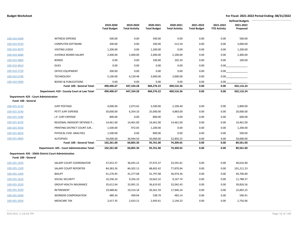|                                        | <b>Defined Budgets</b>                                |                     |                       |                     |                       |                     |                     |            |
|----------------------------------------|-------------------------------------------------------|---------------------|-----------------------|---------------------|-----------------------|---------------------|---------------------|------------|
|                                        |                                                       | 2019-2020           | 2019-2020             | 2020-2021           | 2020-2021             | 2021-2022           | 2021-2022           | 2021-2022  |
|                                        |                                                       | <b>Total Budget</b> | <b>Total Activity</b> | <b>Total Budget</b> | <b>Total Activity</b> | <b>Total Budget</b> | <b>YTD Activity</b> | Proposed   |
| 100-410-4390                           | <b>WITNESS EXPENSE</b>                                | 500.00              | 0.00                  | 500.00              | 0.00                  | 0.00                | 0.00                | 500.00     |
| 100-410-4530                           | <b>COMPUTER SOFTWARE</b>                              | 200.00              | 0.00                  | 200.00              | 512.50                | 0.00                | 0.00                | 3,000.00   |
| 100-410-4670                           | <b>VISITING JUDGE</b>                                 | 1,200.00            | 0.00                  | 1,200.00            | 0.00                  | 0.00                | 0.00                | 1,200.00   |
| 100-410-4680                           | JUVENILE BOARD SALARY                                 | 2,400.00            | 2,400.00              | 2,400.00            | 2,100.00              | 0.00                | 0.00                | 2,400.00   |
| 100-410-4800                           | <b>BONDS</b>                                          | 0.00                | 0.00                  | 100.00              | 102.50                | 0.00                | 0.00                | 100.00     |
| 100-410-4810                           | <b>DUES</b>                                           | 0.00                | 0.00                  | 0.00                | 0.00                  | 0.00                | 0.00                |            |
| 100-410-5720                           | OFFICE EQUIPMENT                                      | 200.00              | 0.00                  | 0.00                | 0.00                  | 0.00                | 0.00                |            |
| 100-410-5740                           | <b>TECHNOLOGY</b>                                     | 5,100.00            | 6,139.48              | 3,000.00            | 3,000.00              | 0.00                | 0.00                |            |
| 100-410-5900                           | <b>BOOKS &amp; PUBLICATIONS</b>                       | 0.00                | 0.00                  | 0.00                | 0.00                  | 0.00                | 0.00                |            |
|                                        | Fund: 100 - General Total:                            | 490,406.67          | 447,104.28            | 484,276.22          | 409,516.36            | 0.00                | 0.00                | 502,116.24 |
|                                        | Department: 410 - County Court at Law Total:          | 490,406.67          | 447,104.28            | 484,276.22          | 409,516.36            | 0.00                | 0.00                | 502,116.24 |
| Department: 425 - Court Administration |                                                       |                     |                       |                     |                       |                     |                     |            |
| Fund: 100 - General                    |                                                       |                     |                       |                     |                       |                     |                     |            |
| 100-425-3110                           | <b>JURY POSTAGE</b>                                   | 4,000.00            | 2,073.65              | 3,500.00            | 2,109.40              | 0.00                | 0.00                | 2,800.00   |
| 100-425-3140                           | PETIT JURY EXPENSE                                    | 30,000.00           | 6,354.10              | 25,000.00           | 4,883.00              | 0.00                | 0.00                | 20,000.00  |
| 100-425-3180                           | J.P. JURY EXPENSE                                     | 800.00              | 0.00                  | 800.00              | 0.00                  | 0.00                | 0.00                | 600.00     |
| 100-425-4220                           | REGIONAL INDIGENT DEFENSE P                           | 14,461.00           | 14,461.00             | 14,461.00           | 14,461.00             | 0.00                | 0.00                | 14,461.00  |
| 100-425-4350                           | PRINTING-DISTRICT COURT JUR                           | 1,500.00            | 972.05                | 1,200.00            | 0.00                  | 0.00                | 0.00                | 1,200.00   |
| 100-425-4650                           | PHYSICAL EVID. ANALYSES                               | 1,500.00            | 0.00                  | 800.00              | 0.00                  | 0.00                | 0.00                | 500.00     |
| 100-425-4660                           | <b>AUTOPSIES</b>                                      | 50,000.00           | 36,944.50             | 50,000.00           | 52,856.25             | 0.00                | 0.00                | 50,000.00  |
|                                        | Fund: 100 - General Total:                            | 102,261.00          | 60,805.30             | 95,761.00           | 74,309.65             | 0.00                | 0.00                | 89,561.00  |
|                                        | Department: 425 - Court Administration Total:         | 102,261.00          | 60,805.30             | 95,761.00           | 74,309.65             | 0.00                | 0.00                | 89,561.00  |
|                                        | Department: 435 - 336th District Court Administration |                     |                       |                     |                       |                     |                     |            |
| Fund: 100 - General                    |                                                       |                     |                       |                     |                       |                     |                     |            |
| 100-435-1030                           | SALARY COURT COORDINATOR                              | 37,453.37           | 36,035.22             | 37,973.37           | 33,591.81             | 0.00                | 0.00                | 40,616.90  |
| 100-435-1100                           | <b>SALARY COURT REPORTER</b>                          | 84,383.26           | 84,302.13             | 88,602.42           | 77,870.94             | 0.00                | 0.00                | 101,211.23 |
| 100-435-1300                           | <b>BAILIFF</b>                                        | 41,276.95           | 41,277.08             | 41,797.08           | 36,974.36             | 0.00                | 0.00                | 44,706.80  |
| 100-435-2010                           | SOCIAL SECURITY                                       | 10,336.24           | 9,356.10              | 10,662.32           | 9,167.74              | 0.00                | 0.00                | 11,788.37  |
| 100-435-2020                           | <b>GROUP HEALTH INSURANCE</b>                         | 35,612.64           | 33,991.31             | 36,619.92           | 32,042.43             | 0.00                | 0.00                | 39,826.56  |
| 100-435-2030                           | RETIREMENT                                            | 19,488.82           | 19,314.18             | 20,361.59           | 17,946.24             | 0.00                | 0.00                | 22,892.25  |
| 100-435-2040                           | <b>WORKERS COMPENSATION</b>                           | 489.34              | 499.04                | 538.79              | 483.14                | 0.00                | 0.00                | 596.91     |
| 100-435-2050                           | <b>MEDICARE TAX</b>                                   | 2,417.35            | 2,633.15              | 2,493.61            | 2,144.23              | 0.00                | 0.00                | 2,756.96   |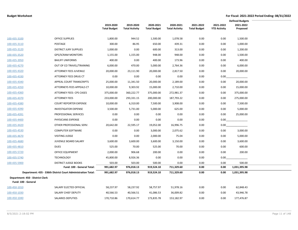|                                                         |                                                              | 2019-2020<br><b>Total Budget</b> | 2019-2020<br><b>Total Activity</b> | 2020-2021<br><b>Total Budget</b> | 2020-2021<br><b>Total Activity</b> | 2021-2022<br><b>Total Budget</b> | 2021-2022<br><b>YTD Activity</b> | <b>Defined Budgets</b><br>2021-2022<br>Proposed |  |
|---------------------------------------------------------|--------------------------------------------------------------|----------------------------------|------------------------------------|----------------------------------|------------------------------------|----------------------------------|----------------------------------|-------------------------------------------------|--|
| 100-435-3100                                            | <b>OFFICE SUPPLIES</b>                                       | 1,800.00                         | 944.52                             | 1,500.00                         | 1,078.58                           | 0.00                             | 0.00                             | 1,500.00                                        |  |
| 100-435-3110                                            | POSTAGE                                                      | 300.00                           | 86.95                              | 650.00                           | 439.31                             | 0.00                             | 0.00                             | 1,000.00                                        |  |
| 100-435-3120                                            | <b>DISTRICT JURY SUPPLIES</b>                                | 1,000.00                         | 0.00                               | 600.00                           | 313.00                             | 0.00                             | 0.00                             | 1,200.00                                        |  |
| 100-435-3520                                            | <b>GPS/SCRAM MONITORS</b>                                    | 1,155.00                         | 1,155.00                           | 948.00                           | 948.00                             | 0.00                             | 0.00                             | 1,500.00                                        |  |
| 100-435-3950                                            | <b>BAILIFF UNIFORMS</b>                                      | 400.00                           | 0.00                               | 400.00                           | 173.96                             | 0.00                             | 0.00                             | 400.00                                          |  |
| 100-435-4270                                            | OUT OF CO TRAVEL/TRAINING                                    | 6,000.00                         | 470.00                             | 5,000.00                         | 2,764.36                           | 0.00                             | 0.00                             | 6,000.00                                        |  |
| 100-435-4320                                            | <b>ATTORNEY FEES JUVENILE</b>                                | 20,000.00                        | 23,111.90                          | 20,000.00                        | 2,817.50                           | 0.00                             | 0.00                             | 20,000.00                                       |  |
| 100-435-4330                                            | ATTORNEY FEES DRUG CT                                        | 0.00                             | 0.00                               | 0.00                             | 0.00                               | 0.00                             | 0.00                             |                                                 |  |
| 100-435-4340                                            | APPEAL COURT TRANSCRIPTS                                     | 25,000.00                        | 11,341.50                          | 20,000.00                        | 2,189.00                           | 0.00                             | 0.00                             | 20,000.00                                       |  |
| 100-435-4350                                            | ATTORNEYS FEES APPEALS CT                                    | 10,000.00                        | 9,303.92                           | 15,000.00                        | 2,710.00                           | 0.00                             | 0.00                             | 15,000.00                                       |  |
| 100-435-4360                                            | ATTORNEY FEES- CPS CASES                                     | 375,000.00                       | 360,222.77                         | 375,000.00                       | 272,981.37                         | 0.00                             | 0.00                             | 375,000.00                                      |  |
| 100-435-4370                                            | <b>ATTORNEY FEES</b>                                         | 233,000.00                       | 293,331.15                         | 200,000.00                       | 187,793.22                         | 0.00                             | 0.00                             | 275,000.00                                      |  |
| 100-435-4380                                            | <b>COURT REPORTER EXPENSE</b>                                | 10,000.00                        | 6,310.00                           | 7,500.00                         | 3,908.00                           | 0.00                             | 0.00                             | 7,500.00                                        |  |
| 100-435-4390                                            | <b>INVESTIGATOR EXPENSE</b>                                  | 3,500.00                         | 5,731.00                           | 5,000.00                         | 625.00                             | 0.00                             | 0.00                             | 5,000.00                                        |  |
| 100-435-4391                                            | PROFESSIONAL SERVICES                                        | 0.00                             | 0.00                               | 0.00                             | 0.00                               | 0.00                             | 0.00                             | 25,000.00                                       |  |
| 100-435-4400                                            | PHYSICIANS EXPENSE                                           | 0.00                             | 0.00                               | 0.00                             | 0.00                               | 0.00                             | 0.00                             |                                                 |  |
| 100-435-4420                                            | OTHER PROFESSIONAL SERV.                                     | 20,642.00                        | 22,595.17                          | 19,052.00                        | 16,996.75                          | 0.00                             | 0.00                             |                                                 |  |
| 100-435-4530                                            | <b>COMPUTER SOFTWARE</b>                                     | 0.00                             | 0.00                               | 3,000.00                         | 2,075.62                           | 0.00                             | 0.00                             | 3,000.00                                        |  |
| 100-435-4670                                            | <b>VISITING JUDGE</b>                                        | 0.00                             | 0.00                               | 2,000.00                         | 75.04                              | 0.00                             | 0.00                             | 5,000.00                                        |  |
| 100-435-4680                                            | JUVENILE BOARD SALARY                                        | 3,600.00                         | 3,600.00                           | 3,600.00                         | 3,150.00                           | 0.00                             | 0.00                             | 3,600.00                                        |  |
| 100-435-4810                                            | <b>DUES</b>                                                  | 525.00                           | 70.00                              | 525.00                           | 70.00                              | 0.00                             | 0.00                             | 600.00                                          |  |
| 100-435-5720                                            | <b>OFFICE EQUIPMENT</b>                                      | 2,000.00                         | 906.68                             | 200.00                           | 0.00                               | 0.00                             | 0.00                             | 200.00                                          |  |
| 100-435-5740                                            | <b>TECHNOLOGY</b>                                            | 45,800.00                        | 8,926.36                           | 0.00                             | 0.00                               | 0.00                             | 0.00                             |                                                 |  |
| 100-435-5900                                            | <b>DISTRICT JUDGE BOOKS</b>                                  | 503.00                           | 503.00                             | 500.00                           | 0.00                               | 0.00                             | 0.00                             | 500.00                                          |  |
|                                                         | Fund: 100 - General Total:                                   | 991,682.97                       | 976,018.13                         | 919,524.10                       | 711,329.60                         | 0.00                             | 0.00                             | 1,031,395.98                                    |  |
|                                                         | Department: 435 - 336th District Court Administration Total: | 991,682.97                       | 976,018.13                         | 919,524.10                       | 711,329.60                         | 0.00                             | 0.00                             | 1,031,395.98                                    |  |
| Department: 450 - District Clerk<br>Fund: 100 - General |                                                              |                                  |                                    |                                  |                                    |                                  |                                  |                                                 |  |
| 100-450-1010                                            | SALARY ELECTED OFFICIAL                                      | 58,237.97                        | 58,237.92                          | 58,757.97                        | 51,978.16                          | 0.00                             | 0.00                             | 62,848.43                                       |  |
| 100-450-1030                                            | SALARY CHIEF DEPUTY                                          | 40,566.53                        | 40,566.51                          | 41,086.53                        | 36,009.82                          | 0.00                             | 0.00                             | 43,946.78                                       |  |
| 100-450-1040                                            | <b>SALARIES DEPUTIES</b>                                     | 170,710.86                       | 170,614.77                         | 173,835.78                       | 153,182.97                         | 0.00                             | 0.00                             | 177,476.87                                      |  |
|                                                         |                                                              |                                  |                                    |                                  |                                    |                                  |                                  |                                                 |  |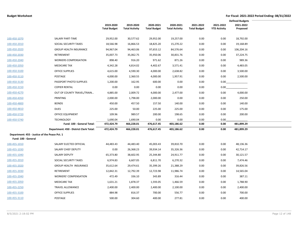|                                               |                                         |                                  |                                    |                                  |                                    |                                  |                                  | <b>Defined Budgets</b> |  |
|-----------------------------------------------|-----------------------------------------|----------------------------------|------------------------------------|----------------------------------|------------------------------------|----------------------------------|----------------------------------|------------------------|--|
|                                               |                                         | 2019-2020<br><b>Total Budget</b> | 2019-2020<br><b>Total Activity</b> | 2020-2021<br><b>Total Budget</b> | 2020-2021<br><b>Total Activity</b> | 2021-2022<br><b>Total Budget</b> | 2021-2022<br><b>YTD Activity</b> | 2021-2022<br>Proposed  |  |
| 100-450-1070                                  | <b>SALARY PART-TIME</b>                 | 29,952.00                        | 30,577.62                          | 29,952.00                        | 19,257.00                          | 0.00                             | 0.00                             | 18,792.00              |  |
| 100-450-2010                                  | SOCIAL SECURITY TAXES                   | 18,566.98                        | 16,866.53                          | 18,825.20                        | 15,270.22                          | 0.00                             | 0.00                             | 19,168.89              |  |
| 100-450-2020                                  | <b>GROUP HEALTH INSURANCE</b>           | 94,967.04                        | 94,463.06                          | 97,653.12                        | 84,576.64                          | 0.00                             | 0.00                             | 106,204.16             |  |
| 100-450-2030                                  | RETIREMENT                              | 35,007.73                        | 35,062.75                          | 35,950.06                        | 30,831.76                          | 0.00                             | 0.00                             | 37,224.75              |  |
| 100-450-2040                                  | <b>WORKERS COMPENSATION</b>             | 898.40                           | 916.20                             | 971.62                           | 871.26                             | 0.00                             | 0.00                             | 989.36                 |  |
| 100-450-2050                                  | <b>MEDICARE TAX</b>                     | 4,342.28                         | 4,814.02                           | 4,402.67                         | 3,571.41                           | 0.00                             | 0.00                             | 4,483.05               |  |
| 100-450-3100                                  | <b>OFFICE SUPPLIES</b>                  | 4,615.00                         | 4,590.30                           | 4,000.00                         | 2,638.82                           | 0.00                             | 0.00                             | 3,500.00               |  |
| 100-450-3110                                  | POSTAGE                                 | 4,000.00                         | 2,360.55                           | 4,000.00                         | 1,957.91                           | 0.00                             | 0.00                             | 2,500.00               |  |
| 100-450-3130                                  | PASSPORT PHOTO SUPPLIES                 | 1,200.00                         | 162.95                             | 600.00                           | 0.00                               | 0.00                             | 0.00                             |                        |  |
| 100-450-3150                                  | <b>COPIER RENTAL</b>                    | 0.00                             | 0.00                               | 0.00                             | 0.00                               | 0.00                             | 0.00                             |                        |  |
| 100-450-4270                                  | OUT OF COUNTY TRAVEL/TRAIN              | 4,885.00                         | 2,009.72                           | 4,000.00                         | 2,477.00                           | 0.00                             | 0.00                             | 4,000.00               |  |
| 100-450-4350                                  | <b>PRINTING</b>                         | 2,000.00                         | 1,798.00                           | 2,000.00                         | 0.00                               | 0.00                             | 0.00                             | 250.00                 |  |
| 100-450-4800                                  | <b>BONDS</b>                            | 450.00                           | 457.50                             | 157.50                           | 140.00                             | 0.00                             | 0.00                             | 140.00                 |  |
| 100-450-4810                                  | <b>DUES</b>                             | 225.00                           | 50.00                              | 225.00                           | 225.00                             | 0.00                             | 0.00                             | 175.00                 |  |
| 100-450-5720                                  | OFFICE EQUIPMENT                        | 109.96                           | 989.57                             | 200.00                           | 198.65                             | 0.00                             | 0.00                             | 200.00                 |  |
| 100-450-5740                                  | <b>TECHNOLOGY</b>                       | 1,690.04                         | 1,690.04                           | 0.00                             | 0.00                               | 0.00                             | 0.00                             |                        |  |
|                                               | Fund: 100 - General Total:              | 472,424.79                       | 466,228.01                         | 476,617.45                       | 403,186.62                         | 0.00                             | 0.00                             | 481,899.29             |  |
|                                               | Department: 450 - District Clerk Total: | 472,424.79                       | 466,228.01                         | 476,617.45                       | 403,186.62                         | 0.00                             | 0.00                             | 481,899.29             |  |
| Department: 455 - Justice of the Peace Pct. 1 |                                         |                                  |                                    |                                  |                                    |                                  |                                  |                        |  |
| Fund: 100 - General                           |                                         |                                  |                                    |                                  |                                    |                                  |                                  |                        |  |
| 100-455-1010                                  | SALARY ELECTED OFFICIAL                 | 44,483.43                        | 44,483.40                          | 45,003.43                        | 39,810.70                          | 0.00                             | 0.00                             | 48,136.36              |  |
| 100-455-1030                                  | SALARY CHIEF DEPUTY                     | 0.00                             | 26,368.23                          | 39,934.14                        | 35,326.36                          | 0.00                             | 0.00                             | 42,714.17              |  |
| 100-455-1040                                  | <b>SALARY DEPUTY</b>                    | 65,373.80                        | 38,602.95                          | 25,344.80                        | 24,911.77                          | 0.00                             | 0.00                             | 30,121.57              |  |
| 100-455-2010                                  | SOCIAL SECURITY TAXES                   | 6,974.83                         | 6,607.05                           | 6,811.70                         | 6,270.32                           | 0.00                             | 0.00                             | 7,474.46               |  |
| 100-455-2020                                  | GROUP HEALTH INSURANCE                  | 35,612.64                        | 29,474.61                          | 35,399.26                        | 21,388.29                          | 0.00                             | 0.00                             | 39,826.56              |  |
| 100-455-2030                                  | RETIREMENT                              | 12,842.31                        | 12,792.39                          | 12,723.98                        | 11,986.74                          | 0.00                             | 0.00                             | 14,565.04              |  |
| 100-455-2040                                  | <b>WORKERS' COMPENSATION</b>            | 472.49                           | 336.10                             | 343.89                           | 316.44                             | 0.00                             | 0.00                             | 387.11                 |  |
| 100-455-2050                                  | <b>MEDICARE TAX</b>                     | 1,631.21                         | 1,878.37                           | 1,593.05                         | 1,466.59                           | 0.00                             | 0.00                             | 1,788.90               |  |
| 100-455-2250                                  | TRAVEL ALLOWANCE                        | 2,400.00                         | 2,400.00                           | 2,400.00                         | 2,100.00                           | 0.00                             | 0.00                             | 2,400.00               |  |
| 100-455-3100                                  | <b>OFFICE SUPPLIES</b>                  | 884.98                           | 816.37                             | 700.00                           | 556.77                             | 0.00                             | 0.00                             | 700.00                 |  |
| 100-455-3110                                  | POSTAGE                                 | 500.00                           | 304.60                             | 400.00                           | 277.81                             | 0.00                             | 0.00                             | 400.00                 |  |

 $\overline{\phantom{0}}$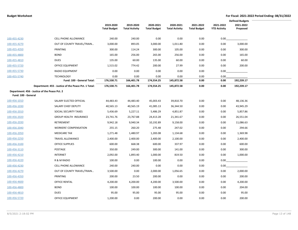|                     | <b>Defined Budgets</b>                               |                     |                       |                     |                       |                     |                     |            |
|---------------------|------------------------------------------------------|---------------------|-----------------------|---------------------|-----------------------|---------------------|---------------------|------------|
|                     |                                                      | 2019-2020           | 2019-2020             | 2020-2021           | 2020-2021             | 2021-2022           | 2021-2022           | 2021-2022  |
|                     |                                                      | <b>Total Budget</b> | <b>Total Activity</b> | <b>Total Budget</b> | <b>Total Activity</b> | <b>Total Budget</b> | <b>YTD Activity</b> | Proposed   |
| 100-455-4230        | CELL PHONE ALLOWANCE                                 | 240.00              | 240.00                | 0.00                | 0.00                  | 0.00                | 0.00                |            |
| 100-455-4270        | OUT OF COUNTY TRAVEL/TRAIN                           | 3,000.00            | 893.05                | 3,000.00            | 1,011.80              | 0.00                | 0.00                | 3,000.00   |
| 100-455-4350        | PRINTING                                             | 300.00              | 114.24                | 300.00              | 105.00                | 0.00                | 0.00                | 300.00     |
| 100-455-4800        | <b>BOND</b>                                          | 165.00              | 256.00                | 265.00              | 256.00                | 0.00                | 0.00                | 165.00     |
| 100-455-4810        | <b>DUES</b>                                          | 135.00              | 60.00                 | 135.00              | 60.00                 | 0.00                | 0.00                | 60.00      |
| 100-455-5720        | OFFICE EQUIPMENT                                     | 1,515.02            | 774.42                | 200.00              | 27.99                 | 0.00                | 0.00                | 200.00     |
| 100-455-5730        | <b>RADIO EQUIPMENT</b>                               | 0.00                | 0.00                  | 0.00                | 0.00                  | 0.00                | 0.00                |            |
| 100-455-5740        | <b>TECHNOLOGY</b>                                    | 0.00                | 0.00                  | 0.00                | 0.00                  | 0.00                | 0.00                |            |
|                     | Fund: 100 - General Total:                           | 176,530.71          | 166,401.78            | 174,554.25          | 145,872.58            | 0.00                | 0.00                | 192,239.17 |
|                     | Department: 455 - Justice of the Peace Pct. 1 Total: | 176,530.71          | 166,401.78            | 174,554.25          | 145,872.58            | 0.00                | 0.00                | 192,239.17 |
|                     | Department: 456 - Justice of the Peace Pct. 2        |                     |                       |                     |                       |                     |                     |            |
| Fund: 100 - General |                                                      |                     |                       |                     |                       |                     |                     |            |
| 100-456-1010        | SALARY ELECTED OFFICIAL                              | 44,483.43           | 44,483.40             | 45,003.43           | 39,810.70             | 0.00                | 0.00                | 48,136.36  |
| 100-456-1030        | SALARY CHIEF DEPUTY                                  | 40,565.13           | 40,565.19             | 41,085.13           | 36,344.50             | 0.00                | 0.00                | 43,945.29  |
| 100-456-2010        | SOCIAL SECURITY TAXES                                | 5,436.69            | 5,227.11              | 5,486.29            | 4,851.87              | 0.00                | 0.00                | 5,857.86   |
| 100-456-2020        | <b>GROUP HEALTH INSURANCE</b>                        | 23,741.76           | 23,767.88             | 24,413.28           | 21,341.67             | 0.00                | 0.00                | 26,551.04  |
| 100-456-2030        | RETIREMENT                                           | 9,942.18            | 9,940.34              | 10,192.89           | 9,158.00              | 0.00                | 0.00                | 11,086.63  |
| 100-456-2040        | <b>WORKERS' COMPENSATION</b>                         | 255.15              | 260.20                | 275.48              | 247.02                | 0.00                | 0.00                | 294.66     |
| 100-456-2050        | <b>MEDICARE TAX</b>                                  | 1,271.48            | 1,480.97              | 1,283.08            | 1,134.68              | 0.00                | 0.00                | 1,369.98   |
| 100-456-2250        | TRAVEL ALLOWANCE                                     | 2,400.00            | 2,400.00              | 2,400.00            | 2,100.00              | 0.00                | 0.00                | 2,400.00   |
| 100-456-3100        | <b>OFFICE SUPPLIES</b>                               | 600.00              | 668.38                | 600.00              | 337.97                | 0.00                | 0.00                | 600.00     |
| 100-456-3110        | POSTAGE                                              | 350.00              | 249.00                | 300.00              | 141.00                | 0.00                | 0.00                | 300.00     |
| 100-456-4210        | <b>INTERNET</b>                                      | 2,092.00            | 1,893.40              | 1,000.00            | 819.50                | 0.00                | 0.00                | 1,000.00   |
| 100-456-4220        | R & M RADIO                                          | 100.00              | 0.00                  | 100.00              | 0.00                  | 0.00                | 0.00                |            |
| 100-456-4230        | CELL PHONE ALLOWANCE                                 | 240.00              | 240.00                | 0.00                | 0.00                  | 0.00                | 0.00                |            |
| 100-456-4270        | OUT OF COUNTY TRAVEL/TRAIN                           | 3,500.00            | 0.00                  | 2,000.00            | 1,056.65              | 0.00                | 0.00                | 2,000.00   |
| 100-456-4350        | PRINTING                                             | 200.00              | 23.50                 | 200.00              | 0.00                  | 0.00                | 0.00                | 200.00     |
| 100-456-4600        | OFFICE RENTAL                                        | 4,200.00            | 4,200.00              | 4,200.00            | 3,500.00              | 0.00                | 0.00                | 4,200.00   |
| 100-456-4800        | <b>BOND</b>                                          | 100.00              | 100.00                | 100.00              | 100.00                | 0.00                | 0.00                | 204.00     |
| 100-456-4810        | <b>DUES</b>                                          | 95.00               | 95.00                 | 95.00               | 95.00                 | 0.00                | 0.00                | 95.00      |
| 100-456-5720        | OFFICE EQUIPMENT                                     | 1,200.00            | 0.00                  | 200.00              | 0.00                  | 0.00                | 0.00                | 200.00     |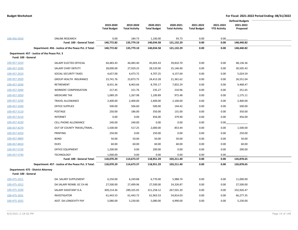|                     |                                                      |                     |                       |                     |                       |                     |                     | <b>Defined Budgets</b> |  |
|---------------------|------------------------------------------------------|---------------------|-----------------------|---------------------|-----------------------|---------------------|---------------------|------------------------|--|
|                     |                                                      | 2019-2020           | 2019-2020             | 2020-2021           | 2020-2021             | 2021-2022           | 2021-2022           | 2021-2022              |  |
|                     |                                                      | <b>Total Budget</b> | <b>Total Activity</b> | <b>Total Budget</b> | <b>Total Activity</b> | <b>Total Budget</b> | <b>YTD Activity</b> | Proposed               |  |
| 100-456-5910        | <b>ONLINE RESEARCH</b>                               | 0.00                | 184.73                | 1,100.00            | 93.73                 | 0.00                | 0.00                |                        |  |
|                     | Fund: 100 - General Total:                           | 140,772.82          | 135,779.10            | 140,034.58          | 121,132.29            | 0.00                | 0.00                | 148,440.82             |  |
|                     | Department: 456 - Justice of the Peace Pct. 2 Total: | 140,772.82          | 135,779.10            | 140,034.58          | 121,132.29            | 0.00                | 0.00                | 148,440.82             |  |
|                     | Department: 457 - Justice of the Peace Pct. 3        |                     |                       |                     |                       |                     |                     |                        |  |
| Fund: 100 - General |                                                      |                     |                       |                     |                       |                     |                     |                        |  |
| 100-457-1010        | SALARY ELECTED OFFICIAL                              | 44,483.43           | 44,483.40             | 45,003.43           | 39,810.70             | 0.00                | 0.00                | 48,136.36              |  |
| 100-457-1030        | SALARY CHIEF DEPUTY                                  | 28,000.00           | 27,929.25             | 28,520.00           | 25,146.90             | 0.00                | 0.00                | 30,505.43              |  |
| 100-457-2010        | SOCIAL SECURITY TAXES                                | 4,657.00            | 4,473.72              | 4,707.25            | 4,157.69              | 0.00                | 0.00                | 5,024.59               |  |
| 100-457-2020        | <b>GROUP HEALTH INSURANCE</b>                        | 23,741.76           | 23,873.75             | 24,413.28           | 21,361.62             | 0.00                | 0.00                | 26,551.04              |  |
| 100-457-2030        | RETIREMENT                                           | 8,431.36            | 8,463.66              | 8,705.17            | 7,832.29              | 0.00                | 0.00                | 9,468.47               |  |
| 100-457-2040        | <b>WORKERS' COMPENSATION</b>                         | 217.45              | 221.76                | 235.27              | 210.96                | 0.00                | 0.00                | 251.65                 |  |
| 100-457-2050        | <b>MEDICARE TAX</b>                                  | 1,089.29            | 1,267.98              | 1,100.89            | 972.48                | 0.00                | 0.00                | 1,175.11               |  |
| 100-457-2250        | <b>TRAVEL ALLOWANCE</b>                              | 2,400.00            | 2,400.00              | 2,400.00            | 2,100.00              | 0.00                | 0.00                | 2,400.00               |  |
| 100-457-3100        | OFFICE SUPPLIES                                      | 500.00              | 506.60                | 500.00              | 144.42                | 0.00                | 0.00                | 500.00                 |  |
| 100-457-3110        | POSTAGE                                              | 250.00              | 186.00                | 350.00              | 131.00                | 0.00                | 0.00                | 350.00                 |  |
| 100-457-4210        | <b>INTERNET</b>                                      | 0.00                | 0.00                  | 456.00              | 379.90                | 0.00                | 0.00                | 456.00                 |  |
| 100-457-4230        | <b>CELL PHONE ALLOWANCE</b>                          | 240.00              | 240.00                | 0.00                | 0.00                  | 0.00                | 0.00                |                        |  |
| 100-457-4270        | OUT OF COUNTY TRAVEL/TRAIN                           | 1,500.00            | 517.25                | 2,000.00            | 853.44                | 0.00                | 0.00                | 1,500.00               |  |
| 100-457-4350        | PRINTING                                             | 250.00              | 0.00                  | 250.00              | 0.00                  | 0.00                | 0.00                | 250.00                 |  |
| 100-457-4800        | <b>BOND</b>                                          | 50.00               | 50.00                 | 50.00               | 50.00                 | 0.00                | 0.00                | 50.00                  |  |
| 100-457-4810        | <b>DUES</b>                                          | 60.00               | 60.00                 | 60.00               | 60.00                 | 0.00                | 0.00                | 60.00                  |  |
| 100-457-5720        | OFFICE EQUIPMENT                                     | 1,200.00            | 0.00                  | 200.00              | 0.00                  | 0.00                | 0.00                | 200.00                 |  |
| 100-457-5740        | <b>TECHNOLOGY</b>                                    | 1,000.00            | 0.00                  | 0.00                | 0.00                  | 0.00                | 0.00                |                        |  |
|                     | Fund: 100 - General Total:                           | 118,070.29          | 114,673.37            | 118,951.29          | 103,211.40            | 0.00                | 0.00                | 126,878.65             |  |
|                     | Department: 457 - Justice of the Peace Pct. 3 Total: | 118,070.29          | 114,673.37            | 118,951.29          | 103,211.40            | 0.00                | 0.00                | 126,878.65             |  |
|                     | Department: 475 - District Attorney                  |                     |                       |                     |                       |                     |                     |                        |  |
| Fund: 100 - General |                                                      |                     |                       |                     |                       |                     |                     |                        |  |
| 100-475-1011        | DA. SALARY SUPPLEMENT                                | 6,250.00            | 6,249.88              | 6,770.00            | 5,988.74              | 0.00                | 0.00                | 11,000.00              |  |
| 100-475-1012        | DA SALARY REIMB. GC CH 46                            | 27,500.00           | 27,499.96             | 27,500.00           | 24,326.87             | 0.00                | 0.00                | 27,500.00              |  |
| 100-475-1030        | SALARY ASSISTANT D.A.                                | 309,214.36          | 289,325.05            | 311,258.12          | 267,501.20            | 0.00                | 0.00                | 332,926.47             |  |
| 100-475-1031        | INVESTIGATOR                                         | 61,443.53           | 61,443.72             | 61,963.53           | 54,814.03             | 0.00                | 0.00                | 66,277.35              |  |
| 100-475-1032        | ASST. DA LONGEVITY PAY                               | 5,080.00            | 5,230.00              | 5,080.00            | 4,990.00              | 0.00                | 0.00                | 5,230.00               |  |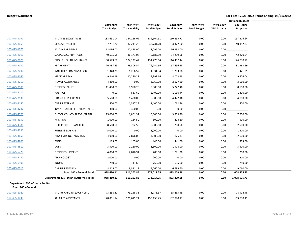|                                                         |                                            |                     |                       |                     |                       |                     |                     | <b>Defined Budgets</b> |  |
|---------------------------------------------------------|--------------------------------------------|---------------------|-----------------------|---------------------|-----------------------|---------------------|---------------------|------------------------|--|
|                                                         |                                            | 2019-2020           | 2019-2020             | 2020-2021           | 2020-2021             | 2021-2022           | 2021-2022           | 2021-2022              |  |
|                                                         |                                            | <b>Total Budget</b> | <b>Total Activity</b> | <b>Total Budget</b> | <b>Total Activity</b> | <b>Total Budget</b> | <b>YTD Activity</b> | Proposed               |  |
| 100-475-1050                                            | SALARIES SECRETARIES                       | 188,651.04          | 184,226.09            | 189,664.91          | 160,855.72            | 0.00                | 0.00                | 197,306.64             |  |
| 100-475-1051                                            | <b>DISCOVERY CLERK</b>                     | 37,211.20           | 37,211.20             | 37,731.20           | 33,377.60             | 0.00                | 0.00                | 40,357.87              |  |
| 100-475-1070                                            | SALARY PART-TIME                           | 18,096.00           | 17,823.00             | 18,096.00           | 16,398.00             | 0.00                | 0.00                |                        |  |
| 100-475-2010                                            | SOCIAL SECURITY TAXES                      | 40,535.98           | 36,171.07             | 40,187.39           | 34,219.06             | 0.00                | 0.00                | 42,220.04              |  |
| 100-475-2020                                            | <b>GROUP HEALTH INSURANCE</b>              | 130,579.68          | 124,137.42            | 134,273.04          | 114,452.44            | 0.00                | 0.00                | 146,030.72             |  |
| 100-475-2030                                            | RETIREMENT                                 | 76,387.85           | 73,506.54             | 76,744.96           | 67,456.55             | 0.00                | 0.00                | 81,988.59              |  |
| 100-475-2040                                            | <b>WORKERS' COMPENSATION</b>               | 1,340.28            | 1,266.52              | 1,334.94            | 1,203.98              | 0.00                | 0.00                | 1,421.01               |  |
| 100-475-2050                                            | <b>MEDICARE TAX</b>                        | 9,840.19            | 10,280.28             | 9,398.66            | 8,003.18              | 0.00                | 0.00                | 9,874.04               |  |
| 100-475-2250                                            | <b>TRAVEL ALLOWANCE</b>                    | 4,860.00            | 0.00                  | 3,060.00            | 2,677.50              | 0.00                | 0.00                | 3,060.00               |  |
| 100-475-3100                                            | <b>OFFICE SUPPLIES</b>                     | 11,400.00           | 8,958.25              | 9,000.00            | 5,242.48              | 0.00                | 0.00                | 8,500.00               |  |
| 100-475-3110                                            | POSTAGE                                    | 0.00                | 887.60                | 2,400.00            | 1,036.44              | 0.00                | 0.00                | 1,400.00               |  |
| 100-475-3130                                            | <b>GRAND JURY EXPENSE</b>                  | 5,500.00            | 1,400.00              | 5,500.00            | 4,477.16              | 0.00                | 0.00                | 4,000.00               |  |
| 100-475-3150                                            | <b>COPIER EXPENSE</b>                      | 1,500.00            | 1,317.23              | 1,400.00            | 1,062.86              | 0.00                | 0.00                | 1,400.00               |  |
| 100-475-4230                                            | INVESTIGATOR CELL PHONE ALL                | 360.00              | 360.00                | 0.00                | 0.00                  | 0.00                | 0.00                |                        |  |
| 100-475-4270                                            | OUT OF COUNTY TRAVEL/TRAIN                 | 15,000.00           | 6,861.31              | 10,000.00           | 3,559.30              | 0.00                | 0.00                | 7,500.00               |  |
| 100-475-4350                                            | <b>PRINTING</b>                            | 1,000.00            | 114.50                | 500.00              | 214.20                | 0.00                | 0.00                | 500.00                 |  |
| 100-475-4380                                            | <b>CT.REPORTER-TRANSCRIPTS</b>             | 8,500.00            | 702.50                | 5,000.00            | 280.50                | 0.00                | 0.00                | 2,500.00               |  |
| 100-475-4390                                            | <b>WITNESS EXPENSE</b>                     | 5,000.00            | 0.00                  | 3,000.00            | 0.00                  | 0.00                | 0.00                | 1,500.00               |  |
| 100-475-4650                                            | PHYS.EVIDENCE ANALYSIS                     | 4,000.00            | 2,896.00              | 4,000.00            | 176.37                | 0.00                | 0.00                | 2,000.00               |  |
| 100-475-4800                                            | <b>BOND</b>                                | 165.00              | 165.00                | 445.00              | 441.50                | 0.00                | 0.00                | 373.00                 |  |
| 100-475-4810                                            | <b>DUES</b>                                | 3,500.00            | 2,210.00              | 3,500.00            | 1,978.00              | 0.00                | 0.00                | 3,500.00               |  |
| 100-475-5720                                            | OFFICE EQUIPMENT                           | 4,000.00            | 2,016.94              | 200.00              | 1,071.30              | 0.00                | 0.00                | 200.00                 |  |
| 100-475-5740                                            | <b>TECHNOLOGY</b>                          | 2,000.00            | 0.00                  | 200.00              | 0.00                  | 0.00                | 0.00                | 200.00                 |  |
| 100-475-5900                                            | <b>BOOKS</b>                               | 750.00              | 111.66                | 750.00              | 615.00                | 0.00                | 0.00                | 750.00                 |  |
| 100-475-5910                                            | <b>ONLINE RESEARCH</b>                     | 8,815.00            | 8,831.13              | 9,060.00            | 6,789.60              | 0.00                | 0.00                | 9,060.00               |  |
|                                                         | Fund: 100 - General Total:                 | 988,480.11          | 911,202.85            | 978,017.75          | 823,209.58            | 0.00                | 0.00                | 1,008,575.73           |  |
|                                                         | Department: 475 - District Attorney Total: | 988,480.11          | 911,202.85            | 978,017.75          | 823,209.58            | 0.00                | 0.00                | 1,008,575.73           |  |
| Department: 495 - County Auditor<br>Fund: 100 - General |                                            |                     |                       |                     |                       |                     |                     |                        |  |
| 100-495-1020                                            | SALARY APPOINTED OFFICIAL                  | 73,258.37           | 73,258.38             | 73,778.37           | 65,265.49             | 0.00                | 0.00                | 78,914.48              |  |
| 100-495-1030                                            | SALARIES ASSISTANTS                        | 128,851.14          | 120,615.24            | 150,158.45          | 132,870.17            | 0.00                | 0.00                | 163,730.11             |  |
|                                                         |                                            |                     |                       |                     |                       |                     |                     |                        |  |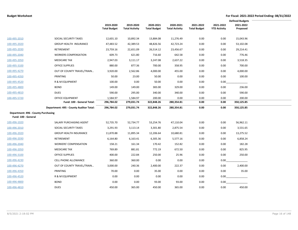|                                     |                                         |                                  |                                    |                                  |                                    |                                  |                                  | <b>Defined Budgets</b> |
|-------------------------------------|-----------------------------------------|----------------------------------|------------------------------------|----------------------------------|------------------------------------|----------------------------------|----------------------------------|------------------------|
|                                     |                                         | 2019-2020<br><b>Total Budget</b> | 2019-2020<br><b>Total Activity</b> | 2020-2021<br><b>Total Budget</b> | 2020-2021<br><b>Total Activity</b> | 2021-2022<br><b>Total Budget</b> | 2021-2022<br><b>YTD Activity</b> | 2021-2022<br>Proposed  |
|                                     |                                         |                                  |                                    |                                  |                                    |                                  |                                  |                        |
| 100-495-2010                        | SOCIAL SECURITY TAXES                   | 12,601.10                        | 10,892.34                          | 13,884.08                        | 11,276.49                          | 0.00                             | 0.00                             | 15,043.96              |
| 100-495-2020                        | <b>GROUP HEALTH INSURANCE</b>           | 47,483.52                        | 42,389.53                          | 48,826.56                        | 42,723.24                          | 0.00                             | 0.00                             | 53,102.08              |
| 100-495-2030                        | RETIREMENT                              | 23,759.16                        | 22,651.09                          | 26,514.12                        | 23,456.67                          | 0.00                             | 0.00                             | 29,214.41              |
| 100-495-2040                        | <b>WORKERS COMPENSATION</b>             | 609.73                           | 621.80                             | 716.60                           | 642.58                             | 0.00                             | 0.00                             | 776.46                 |
| 100-495-2050                        | <b>MEDICARE TAX</b>                     | 2,947.03                         | 3,111.17                           | 3,247.08                         | 2,637.22                           | 0.00                             | 0.00                             | 3,518.35               |
| 100-495-3100                        | <b>OFFICE SUPPLIES</b>                  | 880.00                           | 877.36                             | 700.00                           | 358.95                             | 0.00                             | 0.00                             | 700.00                 |
| 100-495-4270                        | OUT OF COUNTY TRAVEL/TRAIN              | 3,920.00                         | 2,562.86                           | 4,000.00                         | 455.00                             | 0.00                             | 0.00                             | 4,000.00               |
| 100-495-4350                        | PRINTING                                | 50.00                            | 23.00                              | 50.00                            | 0.00                               | 0.00                             | 0.00                             | 100.00                 |
| 100-495-4520                        | R & M EQUIPMENT                         | 100.00                           | 0.00                               | 50.00                            | 0.00                               | 0.00                             | 0.00                             |                        |
| 100-495-4800                        | <b>BOND</b>                             | 149.00                           | 149.00                             | 383.00                           | 329.00                             | 0.00                             | 0.00                             | 236.00                 |
| 100-495-4810                        | <b>DUES</b>                             | 590.00                           | 295.00                             | 340.00                           | 340.00                             | 0.00                             | 0.00                             | 590.00                 |
| 100-495-5720                        | <b>OFFICE EQUIPMENT</b>                 | 1,584.97                         | 1,584.97                           | 200.00                           | 0.00                               | 0.00                             | 0.00                             | 200.00                 |
|                                     | Fund: 100 - General Total:              | 296,784.02                       | 279,031.74                         | 322,848.26                       | 280,354.81                         | 0.00                             | 0.00                             | 350,125.85             |
|                                     | Department: 495 - County Auditor Total: | 296,784.02                       | 279,031.74                         | 322,848.26                       | 280,354.81                         | 0.00                             | 0.00                             | 350,125.85             |
| Department: 496 - County Purchasing |                                         |                                  |                                    |                                  |                                    |                                  |                                  |                        |
| Fund: 100 - General                 |                                         |                                  |                                    |                                  |                                    |                                  |                                  |                        |
| 100-496-1020                        | SALARY PURCHASING AGENT                 | 52,735.70                        | 52,734.77                          | 53,254.76                        | 47,110.04                          | 0.00                             | 0.00                             | 56,962.11              |
| 100-496-2010                        | SOCIAL SECURITY TAXES                   | 3,291.93                         | 3,113.14                           | 3,301.80                         | 2,875.54                           | 0.00                             | 0.00                             | 3,531.65               |
| 100-496-2020                        | <b>GROUP HEALTH INSURANCE</b>           | 11,870.88                        | 11,895.34                          | 12,206.64                        | 10,680.81                          | 0.00                             | 0.00                             | 13,275.52              |
| 100-496-2030                        | RETIREMENT                              | 6,164.80                         | 6,163.41                           | 6,305.36                         | 5,577.16                           | 0.00                             | 0.00                             | 6,858.24               |
| 100-496-2040                        | <b>WORKERS' COMPENSATION</b>            | 158.21                           | 161.34                             | 170.42                           | 152.82                             | 0.00                             | 0.00                             | 182.28                 |
| 100-496-2050                        | <b>MEDICARE TAX</b>                     | 769.89                           | 881.81                             | 772.19                           | 672.50                             | 0.00                             | 0.00                             | 825.95                 |
| 100-496-3100                        | <b>OFFICE SUPPLIES</b>                  | 400.00                           | 222.84                             | 250.00                           | 25.96                              | 0.00                             | 0.00                             | 250.00                 |
| 100-496-4230                        | CELL PHONE ALLOWANCE                    | 360.00                           | 360.00                             | 0.00                             | 0.00                               | 0.00                             | 0.00                             |                        |
| 100-496-4270                        | OUT OF COUNTY TRAVEL/TRAIN              | 3,000.00                         | 240.36                             | 2,400.00                         | 222.37                             | 0.00                             | 0.00                             | 2,400.00               |
| 100-496-4350                        | PRINTING                                | 70.00                            | 0.00                               | 35.00                            | 0.00                               | 0.00                             | 0.00                             | 35.00                  |
| 100-496-4520                        | R & M EQUIPMENT                         | 0.00                             | 0.00                               | 0.00                             | 0.00                               | 0.00                             | 0.00                             |                        |
| 100-496-4800                        | <b>BOND</b>                             | 0.00                             | 0.00                               | 93.00                            | 93.00                              | 0.00                             | 0.00                             |                        |
|                                     |                                         |                                  |                                    |                                  |                                    |                                  |                                  |                        |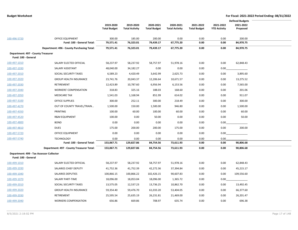|                                          | <b>Defined Budgets</b>                     |                     |                       |                     |                       |                     |                     |            |  |
|------------------------------------------|--------------------------------------------|---------------------|-----------------------|---------------------|-----------------------|---------------------|---------------------|------------|--|
|                                          |                                            | 2019-2020           | 2019-2020             | 2020-2021           | 2020-2021             | 2021-2022           | 2021-2022           | 2021-2022  |  |
|                                          |                                            | <b>Total Budget</b> | <b>Total Activity</b> | <b>Total Budget</b> | <b>Total Activity</b> | <b>Total Budget</b> | <b>YTD Activity</b> | Proposed   |  |
| 100-496-5720                             | <b>OFFICE EQUIPMENT</b>                    | 300.00              | 185.00                | 200.00              | 0.00                  | 0.00                | 0.00                | 200.00     |  |
|                                          | Fund: 100 - General Total:                 | 79,571.41           | 76,323.01             | 79,439.17           | 67,775.20             | 0.00                | 0.00                | 84,970.75  |  |
|                                          | Department: 496 - County Purchasing Total: | 79,571.41           | 76,323.01             | 79,439.17           | 67,775.20             | 0.00                | 0.00                | 84,970.75  |  |
| Department: 497 - County Treasurer       |                                            |                     |                       |                     |                       |                     |                     |            |  |
| Fund: 100 - General                      |                                            |                     |                       |                     |                       |                     |                     |            |  |
| 100-497-1010                             | SALARY ELECTED OFFICIAL                    | 58,237.97           | 58,237.92             | 58,757.97           | 51,978.16             | 0.00                | 0.00                | 62,848.43  |  |
| 100-497-1030                             | SALARY ASSISTANT                           | 48,040.00           | 34,182.27             | 0.00                | 0.00                  | 0.00                | 0.00                |            |  |
| 100-497-2010                             | SOCIAL SECURITY TAXES                      | 6,589.23            | 4,420.49              | 3,642.99            | 2,625.73              | 0.00                | 0.00                | 3,895.60   |  |
| 100-497-2020                             | <b>GROUP HEALTH INSURANCE</b>              | 23,741.76           | 20,043.37             | 12,206.64           | 10,671.57             | 0.00                | 0.00                | 13,275.52  |  |
| 100-497-2030                             | RETIREMENT                                 | 12,423.89           | 10,787.60             | 6,956.94            | 6,153.56              | 0.00                | 0.00                | 7,565.00   |  |
| 100-497-2040                             | <b>WORKERS' COMPENSATION</b>               | 318.83              | 325.16                | 188.03              | 168.60                | 0.00                | 0.00                | 201.06     |  |
| 100-497-2050                             | <b>MEDICARE TAX</b>                        | 1,541.03            | 1,168.94              | 851.99              | 614.02                | 0.00                | 0.00                | 911.07     |  |
| 100-497-3100                             | <b>OFFICE SUPPLIES</b>                     | 300.00              | 252.11                | 300.00              | 218.49                | 0.00                | 0.00                | 300.00     |  |
| 100-497-4270                             | OUT OF COUNTY TRAVEL/TRAIN                 | 1,500.00            | 150.00                | 1,500.00            | 946.80                | 0.00                | 0.00                | 1,500.00   |  |
| 100-497-4350                             | PRINTING                                   | 100.00              | 60.00                 | 100.00              | 60.00                 | 0.00                | 0.00                | 60.00      |  |
| 100-497-4520                             | <b>R&amp;M EQUIPMENT</b>                   | 100.00              | 0.00                  | 50.00               | 0.00                  | 0.00                | 0.00                | 50.00      |  |
| 100-497-4800                             | <b>BOND</b>                                | 0.00                | 0.00                  | 0.00                | 0.00                  | 0.00                | 0.00                |            |  |
| 100-497-4810                             | <b>DUES</b>                                | 175.00              | 200.00                | 200.00              | 175.00                | 0.00                | 0.00                | 200.00     |  |
| 100-497-5720                             | OFFICE EQUIPMENT                           | 0.00                | 0.00                  | 0.00                | 0.00                  | 0.00                | 0.00                |            |  |
| 100-497-5740                             | <b>TECHNOLOGY</b>                          | 0.00                | 0.00                  | 0.00                | 0.00                  | 0.00                | 0.00                |            |  |
|                                          | Fund: 100 - General Total:                 | 153,067.71          | 129,827.86            | 84,754.56           | 73,611.93             | 0.00                | 0.00                | 90,806.68  |  |
|                                          | Department: 497 - County Treasurer Total:  | 153,067.71          | 129,827.86            | 84,754.56           | 73,611.93             | 0.00                | 0.00                | 90,806.68  |  |
| Department: 499 - Tax Assessor Collector |                                            |                     |                       |                     |                       |                     |                     |            |  |
| Fund: 100 - General                      |                                            |                     |                       |                     |                       |                     |                     |            |  |
| 100-499-1010                             | SALARY ELECTED OFFICIAL                    | 58,237.97           | 58,237.92             | 58,757.97           | 51,978.16             | 0.00                | 0.00                | 62,848.43  |  |
| 100-499-1030                             | SALARIES CHIEF DEPUTY                      | 41,752.36           | 41,752.39             | 42,272.36           | 37,394.84             | 0.00                | 0.00                | 45,215.17  |  |
| 100-499-1040                             | <b>SALARIES DEPUTIES</b>                   | 100,866.15          | 100,866.22            | 102,426.15          | 90,607.83             | 0.00                | 0.00                | 109,556.60 |  |
| 100-499-1070                             | SALARY PART-TIME                           | 18,096.00           | 18,053.04             | 18,096.00           | 1,365.72              | 0.00                | 0.00                |            |  |
| 100-499-2010                             | SOCIAL SECURITY TAXES                      | 13,575.05           | 12,537.23             | 13,736.25           | 10,862.70             | 0.00                | 0.00                | 13,492.45  |  |
| 100-499-2020                             | <b>GROUP HEALTH INSURANCE</b>              | 59,354.40           | 59,476.70             | 61,033.20           | 53,404.05             | 0.00                | 0.00                | 66,377.60  |  |
| 100-499-2030                             | RETIREMENT                                 | 25,595.54           | 25,635.19             | 26,231.81           | 21,469.00             | 0.00                | 0.00                | 26,201.47  |  |
| 100-499-2040                             | <b>WORKERS COMPENSATION</b>                | 656.86              | 669.86                | 708.97              | 635.74                | 0.00                | 0.00                | 696.38     |  |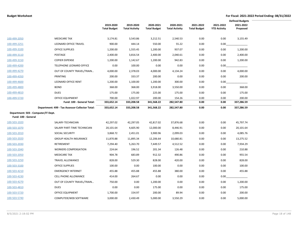|                                     | <b>Defined Budgets</b>                          |                                  |                                    |                                  |                                    |                                  |                                  |                       |
|-------------------------------------|-------------------------------------------------|----------------------------------|------------------------------------|----------------------------------|------------------------------------|----------------------------------|----------------------------------|-----------------------|
|                                     |                                                 | 2019-2020<br><b>Total Budget</b> | 2019-2020<br><b>Total Activity</b> | 2020-2021<br><b>Total Budget</b> | 2020-2021<br><b>Total Activity</b> | 2021-2022<br><b>Total Budget</b> | 2021-2022<br><b>YTD Activity</b> | 2021-2022<br>Proposed |
| 100-499-2050                        | <b>MEDICARE TAX</b>                             | 3,174.81                         | 3,543.86                           | 3,212.51                         | 2,540.53                           | 0.00                             | 0.00                             | 3,155.49              |
| 100-499-2251                        | <b>LEONARD OFFICE TRAVEL</b>                    | 900.00                           | 444.14                             | 550.00                           | 55.22                              | 0.00                             | 0.00                             |                       |
| 100-499-3100                        | <b>OFFICE SUPPLIES</b>                          | 1,200.00                         | 1,555.45                           | 1,200.00                         | 937.07                             | 0.00                             | 0.00                             | 1,200.00              |
| 100-499-3110                        | POSTAGE                                         | 2,400.00                         | 3,816.54                           | 2,400.00                         | 2,040.61                           | 0.00                             | 0.00                             | 2,400.00              |
| 100-499-3150                        | <b>COPIER EXPENSE</b>                           | 1,200.00                         | 1,142.67                           | 1,200.00                         | 942.83                             | 0.00                             | 0.00                             | 1,200.00              |
| 100-499-4200                        | TELEPHONE LEONARD OFFICE                        | 0.00                             | 100.00                             | 0.00                             | 0.00                               | 0.00                             | 0.00                             |                       |
| 100-499-4270                        | OUT OF COUNTY TRAVEL/TRAIN                      | 4,000.00                         | 2,378.03                           | 4,000.00                         | 4,134.24                           | 0.00                             | 0.00                             | 4,000.00              |
| 100-499-4350                        | PRINTING                                        | 200.00                           | 333.37                             | 200.00                           | 0.00                               | 0.00                             | 0.00                             | 200.00                |
| 100-499-4600                        | LEONARD OFFICE RENT                             | 1,200.00                         | 1,100.00                           | 1,200.00                         | 300.00                             | 0.00                             | 0.00                             |                       |
| 100-499-4800                        | <b>BOND</b>                                     | 368.00                           | 368.00                             | 3,918.00                         | 3,550.00                           | 0.00                             | 0.00                             | 368.00                |
| 100-499-4810                        | <b>DUES</b>                                     | 175.00                           | 175.00                             | 225.00                           | 175.00                             | 0.00                             | 0.00                             | 175.00                |
| 100-499-5720                        | OFFICE EQUIPMENT                                | 700.00                           | 1,022.97                           | 200.00                           | 154.26                             | 0.00                             | 0.00                             | 200.00                |
|                                     | Fund: 100 - General Total:                      | 333,652.14                       | 333,208.58                         | 341,568.22                       | 282,547.80                         | 0.00                             | 0.00                             | 337,286.59            |
|                                     | Department: 499 - Tax Assessor Collector Total: | 333,652.14                       | 333,208.58                         | 341,568.22                       | 282,547.80                         | 0.00                             | 0.00                             | 337,286.59            |
| Department: 503 - Computer/IT Dept. |                                                 |                                  |                                    |                                  |                                    |                                  |                                  |                       |
| Fund: 100 - General                 |                                                 |                                  |                                    |                                  |                                    |                                  |                                  |                       |
| 100-503-1020                        | SALARY-TECHNICIAN                               | 42,297.02                        | 42,297.05                          | 42,817.02                        | 37,876.68                          | 0.00                             | 0.00                             | 45,797.74             |
| 100-503-1070                        | SALARY PART-TIME TECHNICIAN                     | 20,101.64                        | 4,605.90                           | 12,000.00                        | 8,446.91                           | 0.00                             | 0.00                             | 20,101.64             |
| 100-503-2010                        | SOCIAL SECURITY                                 | 3,868.72                         | 2,451.01                           | 3,900.96                         | 2,099.03                           | 0.00                             | 0.00                             | 4,085.76              |
| 100-503-2020                        | <b>GROUP HEALTH INSURANCE</b>                   | 11,870.88                        | 11,895.34                          | 12,206.64                        | 10,680.81                          | 0.00                             | 0.00                             | 13,275.52             |
| 100-503-2030                        | RETIREMENT                                      | 7,294.40                         | 5,263.70                           | 7,449.57                         | 4,512.52                           | 0.00                             | 0.00                             | 7,934.29              |
| 100-503-2040                        | <b>WORKERS COMPENSATION</b>                     | 224.64                           | 196.52                             | 201.34                           | 126.48                             | 0.00                             | 0.00                             | 210.88                |
| 100-503-2050                        | <b>MEDICARE TAX</b>                             | 904.78                           | 683.89                             | 912.32                           | 490.86                             | 0.00                             | 0.00                             | 955.54                |
| 100-503-2250                        | TRAVEL ALLOWANCE                                | 828.00                           | 529.30                             | 828.00                           | 420.00                             | 0.00                             | 0.00                             | 828.00                |
| 100-503-3100                        | <b>OFFICE SUPPLIES</b>                          | 100.00                           | 0.00                               | 100.00                           | 0.00                               | 0.00                             | 0.00                             | 100.00                |
| 100-503-4210                        | <b>EMERGENCY INTERNET</b>                       | 455.88                           | 455.88                             | 455.88                           | 380.00                             | 0.00                             | 0.00                             | 455.88                |
| 100-503-4230                        | CELL PHONE ALLOWANCE                            | 414.00                           | 264.67                             | 0.00                             | 0.00                               | 0.00                             | 0.00                             |                       |
| 100-503-4270                        | OUT OF COUNTY TRAVEL/TRAIN                      | 750.00                           | 0.00                               | 1,200.00                         | 0.00                               | 0.00                             | 0.00                             | 1,200.00              |
| 100-503-4810                        | <b>DUES</b>                                     | 0.00                             | 0.00                               | 175.00                           | 0.00                               | 0.00                             | 0.00                             | 175.00                |
| 100-503-5720                        | OFFICE EQUIPMENT                                | 1,700.00                         | 154.97                             | 200.00                           | 89.94                              | 0.00                             | 0.00                             | 200.00                |
| 100-503-5740                        | COMPUTER/WEB SOFTWARE                           | 3,000.00                         | 2,430.49                           | 5,000.00                         | 3,550.29                           | 0.00                             | 0.00                             | 5,000.00              |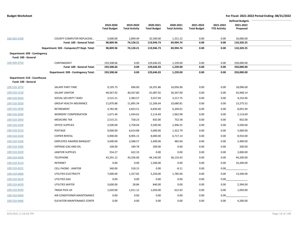|                                                     |                                            |                     |                       |                     |                       |                     |                     | <b>Defined Budgets</b> |  |
|-----------------------------------------------------|--------------------------------------------|---------------------|-----------------------|---------------------|-----------------------|---------------------|---------------------|------------------------|--|
|                                                     |                                            | 2019-2020           | 2019-2020             | 2020-2021           | 2020-2021             | 2021-2022           | 2021-2022           | 2021-2022              |  |
|                                                     |                                            | <b>Total Budget</b> | <b>Total Activity</b> | <b>Total Budget</b> | <b>Total Activity</b> | <b>Total Budget</b> | <b>YTD Activity</b> | Proposed               |  |
| 100-503-5760                                        | COUNTY COMPUTER REPLACEM                   | 5,000.00            | 2,899.49              | 32,500.00           | 1,321.22              | 0.00                | 0.00                | 10,000.00              |  |
|                                                     | Fund: 100 - General Total:                 | 98,809.96           | 74,128.21             | 119,946.73          | 69,994.74             | 0.00                | 0.00                | 110,320.25             |  |
|                                                     | Department: 503 - Computer/IT Dept. Total: | 98,809.96           | 74,128.21             | 119,946.73          | 69,994.74             | 0.00                | 0.00                | 110,320.25             |  |
| Department: 509 - Contingency                       |                                            |                     |                       |                     |                       |                     |                     |                        |  |
| Fund: 100 - General                                 |                                            |                     |                       |                     |                       |                     |                     |                        |  |
| 100-509-4750                                        | CONTINGENCY                                | 193,508.66          | 0.00                  | 129,646.03          | 1,239.00              | 0.00                | 0.00                | 250,000.00             |  |
|                                                     | Fund: 100 - General Total:                 | 193,508.66          | 0.00                  | 129,646.03          | 1,239.00              | 0.00                | 0.00                | 250,000.00             |  |
|                                                     | Department: 509 - Contingency Total:       | 193,508.66          | 0.00                  | 129,646.03          | 1,239.00              | 0.00                | 0.00                | 250,000.00             |  |
| Department: 510 - Courthouse<br>Fund: 100 - General |                                            |                     |                       |                     |                       |                     |                     |                        |  |
|                                                     |                                            |                     |                       |                     |                       |                     |                     |                        |  |
| 100-510-1070                                        | SALARY PART-TIME                           | 9,195.73            | 696.00                | 16,291.86           | 16,056.96             | 0.00                | 0.00                | 18,096.00              |  |
| 100-510-1150                                        | <b>SALARY JANITOR</b>                      | 40,567.92           | 40,567.80             | 41,087.92           | 36,347.00             | 0.00                | 0.00                | 43,948.14              |  |
| 100-510-2010                                        | SOCIAL SECURITY TAXES                      | 2,515.21            | 2,383.57              | 3,557.94            | 3,217.75              | 0.00                | 0.00                | 4,233.96               |  |
| 100-510-2020                                        | <b>GROUP HEALTH INSURANCE</b>              | 11,870.88           | 11,895.34             | 12,206.64           | 10,680.81             | 0.00                | 0.00                | 13,275.52              |  |
| 100-510-2030                                        | RETIREMENT                                 | 4,782.96            | 4,823.51              | 6,830.40            | 6,204.01              | 0.00                | 0.00                | 8,055.94               |  |
| 100-510-2040                                        | <b>WORKERS' COMPENSATION</b>               | 1,671.40            | 1,434.62              | 2,114.69            | 1,962.98              | 0.00                | 0.00                | 2,114.69               |  |
| 100-510-2050                                        | <b>MEDICARE TAX</b>                        | 2,515.21            | 728.23                | 832.00              | 752.58                | 0.00                | 0.00                | 832.00                 |  |
| 100-510-3100                                        | <b>OFFICE SUPPLIES</b>                     | 3,500.00            | 2,758.04              | 3,500.00            | 2,496.55              | 0.00                | 0.00                | 3,500.00               |  |
| 100-510-3110                                        | POSTAGE                                    | 9,000.00            | 6,614.88              | 5,000.00            | 1,322.79              | 0.00                | 0.00                | 5,000.00               |  |
| 100-510-3150                                        | <b>COPIER RENTAL</b>                       | 4,900.00            | 8,905.15              | 8,000.00            | 6,717.14              | 0.00                | 0.00                | 8,910.00               |  |
| 100-510-3160                                        | <b>EMPLOYEE AWARDS BANQUET</b>             | 3,600.00            | 3,588.57              | 2,400.00            | 482.60                | 0.00                | 0.00                | 2,400.00               |  |
| 100-510-3300                                        | EXPENSE-GAS AND OIL                        | 100.00              | 189.78                | 200.00              | 0.00                  | 0.00                | 0.00                | 200.00                 |  |
| 100-510-3320                                        | <b>JANITOR SUPPLIES</b>                    | 554.27              | 622.33                | 0.00                | 0.00                  | 0.00                | 0.00                | 2,000.00               |  |
| 100-510-4200                                        | <b>TELEPHONE</b>                           | 43,291.12           | 43,336.00             | 44,140.00           | 36,133.43             | 0.00                | 0.00                | 44,200.00              |  |
| 100-510-4210                                        | <b>INTERNET</b>                            | 0.00                | 0.00                  | 1,500.00            | 0.00                  | 0.00                | 0.00                | 10,200.00              |  |
| 100-510-4231                                        | <b>CELL PHONE - JANITOR</b>                | 340.00              | 318.15                | 0.00                | $-8.11$               | 0.00                | 0.00                |                        |  |
| 100-510-4400                                        | UTILITIES ELECTRICITY                      | 7,000.00            | 1,327.82              | 5,250.00            | 1,785.06              | 0.00                | 0.00                | 13,500.00              |  |
| 100-510-4410                                        | UTILITIES GAS                              | 0.00                | 0.00                  | 0.00                | 0.00                  | 0.00                | 0.00                |                        |  |
| 100-510-4420                                        | UTILITIES WATER                            | 3,600.00            | 28.86                 | 840.00              | 0.00                  | 0.00                | 0.00                | 2,394.00               |  |
| 100-510-4430                                        | <b>TRASH PICK-UP</b>                       | 1,020.00            | 1,011.12              | 1,050.00            | 612.92                | 0.00                | 0.00                | 1,050.00               |  |
| 100-510-4450                                        | AIR CONDITIONER MAINTENANCE                | 0.00                | 0.00                  | 0.00                | 0.00                  | 0.00                | 0.00                |                        |  |
| 100-510-4460                                        | ELEVATOR MAINTENANCE CONTR                 | 0.00                | 0.00                  | 0.00                | 0.00                  | 0.00                | 0.00                | 4,200.00               |  |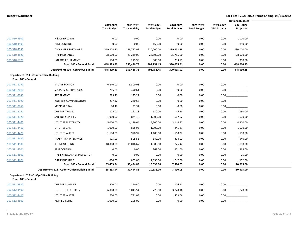|                                          | <b>Defined Budgets</b>                          |                     |                       |                      |                       |                     |                     |                      |
|------------------------------------------|-------------------------------------------------|---------------------|-----------------------|----------------------|-----------------------|---------------------|---------------------|----------------------|
|                                          |                                                 | 2019-2020           | 2019-2020             | 2020-2021            | 2020-2021             | 2021-2022           | 2021-2022           | 2021-2022            |
|                                          |                                                 | <b>Total Budget</b> | <b>Total Activity</b> | <b>Total Budget</b>  | <b>Total Activity</b> | <b>Total Budget</b> | <b>YTD Activity</b> | Proposed             |
| 100-510-4500                             | R & M BUILDING                                  | 0.00                | 0.00                  | 0.00                 | 0.00                  | 0.00                | 0.00                | 1,000.00             |
| 100-510-4501                             | PEST CONTROL                                    | 0.00                | 0.00                  | 150.00               | 0.00                  | 0.00                | 0.00                | 150.00               |
|                                          |                                                 |                     |                       |                      |                       |                     |                     |                      |
| 100-510-4530                             | <b>COMPUTER SOFTWARE</b>                        | 269,874.50          | 198,797.97            | 220,000.00           | 239,252.73            | 0.00                | 0.00                | 230,000.00           |
| 100-510-4820                             | <b>FIRE INSURANCE</b>                           | 28,500.00           | 23,239.00             | 28,500.00            | 25,785.00             | 0.00                | 0.00                | 28,500.00            |
| 100-510-5770                             | <b>JANITOR EQUIPMENT</b>                        | 500.00              | 219.99                | 300.00<br>403,751.45 | 233.71                | 0.00                | 0.00                | 300.00<br>448,060.25 |
|                                          | Fund: 100 - General Total:                      | 448,899.20          | 353,486.73            |                      | 390,035.91            | 0.00                | 0.00                |                      |
|                                          | Department: 510 - Courthouse Total:             | 448,899.20          | 353,486.73            | 403,751.45           | 390,035.91            | 0.00                | 0.00                | 448,060.25           |
| Department: 511 - County Office Building |                                                 |                     |                       |                      |                       |                     |                     |                      |
| Fund: 100 - General                      |                                                 |                     |                       |                      |                       |                     |                     |                      |
| 100-511-1150                             | <b>SALARY JANITOR</b>                           | 6,240.00            | 6,300.03              | 0.00                 | 0.00                  | 0.00                |                     |                      |
| 100-511-2010                             | SOCIAL SECURITY TAXES                           | 286.88              | 390.61                | 0.00                 | 0.00                  | 0.00                |                     |                      |
| 100-511-2030                             | RETIREMENT                                      | 729.46              | 125.22                | 0.00                 | 0.00                  | 0.00                |                     | 0.00                 |
| 100-511-2040                             | <b>WORKER' COMPENSATION</b>                     | 237.12              | 220.66                | 0.00                 | 0.00                  | 0.00                | 0.00                |                      |
| 100-511-2050                             | <b>MEDICARE TAX</b>                             | 90.48               | 91.34                 | 0.00                 | 0.00                  | 0.00                | 0.00                |                      |
| 100-511-2251                             | <b>JANITOR TRAVEL</b>                           | 175.00              | 161.13                | 180.00               | 45.58                 | 0.00                | 0.00                | 180.00               |
| 100-511-3320                             | <b>JANITOR SUPPLIES</b>                         | 1,000.00            | 874.10                | 1,000.00             | 667.02                | 0.00                | 0.00                | 1,000.00             |
| 100-511-4400                             | UTILITIES ELECTRICITY                           | 5,000.00            | 4,139.64              | 4,500.00             | 3,144.92              | 0.00                | 0.00                | 4,300.00             |
| 100-511-4410                             | UTILITIES GAS                                   | 1,000.00            | 855.95                | 1,000.00             | 845.87                | 0.00                | 0.00                | 1,000.00             |
| 100-511-4420                             | UTILITIES WATER                                 | 1,100.00            | 970.92                | 1,100.00             | 518.22                | 0.00                | 0.00                | 1,100.00             |
| 100-511-4430                             | <b>TRASH PICK-UP SERVICE</b>                    | 525.00              | 505.56                | 540.00               | 394.02                | 0.00                | 0.00                | 540.00               |
| 100-511-4500                             | R & M BUILDING                                  | 18,000.00           | 15,016.67             | 1,000.00             | 726.42                | 0.00                | 0.00                | 1,000.00             |
| 100-511-4501                             | PEST CONTROL                                    | 0.00                | 0.00                  | 268.00               | 201.00                | 0.00                | 0.00                | 268.00               |
| 100-511-4503                             | FIRE EXTINGUISHER INSPECTION                    | 0.00                | 0.00                  | 0.00                 | 0.00                  | 0.00                | 0.00                | 75.00                |
| 100-511-4820                             | <b>FIRE INSURANCE</b>                           | 1,050.00            | 803.00                | 1,050.00             | 1,047.00              | 0.00                | 0.00                | 1,152.00             |
|                                          | Fund: 100 - General Total:                      | 35,433.94           | 30,454.83             | 10,638.00            | 7,590.05              | 0.00                | 0.00                | 10,615.00            |
|                                          | Department: 511 - County Office Building Total: | 35,433.94           | 30,454.83             | 10,638.00            | 7,590.05              | 0.00                | 0.00                | 10,615.00            |
| Department: 512 - Co-Op Office Building  |                                                 |                     |                       |                      |                       |                     |                     |                      |
| Fund: 100 - General                      |                                                 |                     |                       |                      |                       |                     |                     |                      |
| 100-512-3320                             | <b>JANITOR SUPPLIES</b>                         | 400.00              | 240.40                | 0.00                 | 106.11                | 0.00                | $0.00\,$            |                      |
| 100-512-4400                             | UTILITIES ELECTRICITY                           | 6,000.00            | 5,043.54              | 720.00               | 3,720.16              | 0.00                | 0.00                | 720.00               |
| 100-512-4420                             | UTILITIES WATER                                 | 700.00              | 751.05                | 0.00                 | 403.06                | 0.00                | 0.00                |                      |
| 100-512-4500                             | <b>R&amp;M BUILDING</b>                         | 1,000.00            | 298.00                | 0.00                 | 0.00                  | 0.00                | 0.00                |                      |
|                                          |                                                 |                     |                       |                      |                       |                     |                     |                      |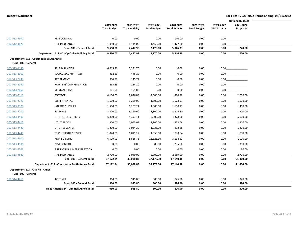|                                   |                                                 |                     |                       |                     |                       |                     |                     | <b>Defined Budgets</b> |
|-----------------------------------|-------------------------------------------------|---------------------|-----------------------|---------------------|-----------------------|---------------------|---------------------|------------------------|
|                                   |                                                 | 2019-2020           | 2019-2020             | 2020-2021           | 2020-2021             | 2021-2022           | 2021-2022           | 2021-2022              |
|                                   |                                                 | <b>Total Budget</b> | <b>Total Activity</b> | <b>Total Budget</b> | <b>Total Activity</b> | <b>Total Budget</b> | <b>YTD Activity</b> | Proposed               |
|                                   |                                                 |                     |                       |                     |                       |                     |                     |                        |
| 100-512-4501                      | PEST CONTROL                                    | 0.00                | 0.00                  | 0.00                | 140.00                | 0.00                | 0.00                |                        |
| 100-512-4820                      | <b>FIRE INSURANCE</b>                           | 1,450.00            | 1,115.00              | 1,450.00            | 1,477.00              | 0.00                | 0.00                |                        |
|                                   | Fund: 100 - General Total:                      | 9,550.00            | 7,447.99              | 2,170.00            | 5,846.33              | 0.00                | 0.00                | 720.00                 |
|                                   | Department: 512 - Co-Op Office Building Total:  | 9,550.00            | 7,447.99              | 2,170.00            | 5,846.33              | 0.00                | 0.00                | 720.00                 |
|                                   | Department: 513 - Courthouse South Annex        |                     |                       |                     |                       |                     |                     |                        |
| Fund: 100 - General               |                                                 |                     |                       |                     |                       |                     |                     |                        |
| 100-513-1150                      | <b>SALARY JANITOR</b>                           | 6,619.86            | 7,231.75              | 0.00                | 0.00                  | 0.00                |                     | 0.00                   |
| 100-513-2010                      | SOCIAL SECURITY TAXES                           | 432.19              | 448.29                | 0.00                | 0.00                  | 0.00                |                     |                        |
| 100-513-2030                      | RETIREMENT                                      | 814.89              | 145.72                | 0.00                | 0.00                  | 0.00                |                     | 0.00                   |
| 100-513-2040                      | <b>WORKERS' COMPENSATION</b>                    | 264.89              | 234.10                | 0.00                | 0.00                  | 0.00                | 0.00                |                        |
| 100-513-2050                      | <b>MEDICARE TAX</b>                             | 101.08              | 104.86                | 0.00                | 0.00                  | 0.00                | 0.00                |                        |
| 100-513-3110                      | POSTAGE                                         | 4,100.00            | 2,846.89              | 2,000.00            | $-884.20$             | 0.00                | 0.00                | 2,000.00               |
| 100-513-3150                      | <b>COPIER RENTAL</b>                            | 1,500.00            | 1,259.02              | 1,500.00            | 1,078.97              | 0.00                | 0.00                | 1,500.00               |
| 100-513-3320                      | <b>JANITOR SUPPLIES</b>                         | 1,500.00            | 1,207.24              | 1,500.00            | 1,110.17              | 0.00                | 0.00                | 1,400.00               |
| 100-513-4210                      | INTERNET                                        | 3,300.00            | 3,240.60              | 3,300.00            | 2,314.30              | 0.00                | 0.00                | 3,300.00               |
| 100-513-4400                      | UTILITIES ELECTRICITY                           | 5,800.00            | 5,393.11              | 5,600.00            | 4,378.66              | 0.00                | 0.00                | 5,600.00               |
| 100-513-4410                      | UTILITIES GAS                                   | 1,300.00            | 1,065.09              | 1,300.00            | 1,353.06              | 0.00                | 0.00                | 1,300.00               |
| 100-513-4420                      | UTILITIES WATER                                 | 1,200.00            | 1,034.29              | 1,225.00            | 892.66                | 0.00                | 0.00                | 1,200.00               |
| 100-513-4430                      | <b>TRASH PICKUP SERVICE</b>                     | 1,020.00            | 1,011.12              | 1,050.00            | 788.04                | 0.00                | 0.00                | 1,050.00               |
| 100-513-4500                      | <b>R&amp;M BUILDING</b>                         | 6,519.93            | 5,826.75              | 16,623.30           | 3,134.52              | 0.00                | 0.00                | 1,000.00               |
| 100-513-4501                      | PEST CONTROL                                    | 0.00                | 0.00                  | 380.00              | 285.00                | 0.00                | 0.00                | 380.00                 |
| 100-513-4503                      | FIRE EXTINGUISHER INSPECTION                    | 0.00                | 0.00                  | 0.00                | 0.00                  | 0.00                | 0.00                | 30.00                  |
| 100-513-4820                      | <b>FIRE INSURANCE</b>                           | 2,700.00            | 2,040.00              | 2,700.00            | 2,689.00              | 0.00                | 0.00                | 2,700.00               |
|                                   | Fund: 100 - General Total:                      | 37,172.84           | 33,088.83             | 37,178.30           | 17,140.18             | 0.00                | 0.00                | 21,460.00              |
|                                   | Department: 513 - Courthouse South Annex Total: | 37,172.84           | 33,088.83             | 37,178.30           | 17,140.18             | 0.00                | 0.00                | 21,460.00              |
| Department: 514 - City Hall Annex |                                                 |                     |                       |                     |                       |                     |                     |                        |
| Fund: 100 - General               |                                                 |                     |                       |                     |                       |                     |                     |                        |
| 100-514-4210                      | <b>INTERNET</b>                                 | 960.00              | 945.80                | 800.00              | 826.90                | 0.00                | 0.00                | 320.00                 |
|                                   | Fund: 100 - General Total:                      | 960.00              | 945.80                | 800.00              | 826.90                | 0.00                | 0.00                | 320.00                 |
|                                   | Department: 514 - City Hall Annex Total:        | 960.00              | 945.80                | 800.00              | 826.90                | 0.00                | 0.00                | 320.00                 |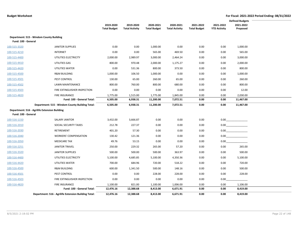|                                                                      |                                                      |                     |                       |                     |                       |                     | <b>Defined Budgets</b> |           |  |
|----------------------------------------------------------------------|------------------------------------------------------|---------------------|-----------------------|---------------------|-----------------------|---------------------|------------------------|-----------|--|
|                                                                      |                                                      | 2019-2020           | 2019-2020             | 2020-2021           | 2020-2021             | 2021-2022           | 2021-2022              | 2021-2022 |  |
|                                                                      |                                                      | <b>Total Budget</b> | <b>Total Activity</b> | <b>Total Budget</b> | <b>Total Activity</b> | <b>Total Budget</b> | <b>YTD Activity</b>    | Proposed  |  |
| Department: 515 - Windom County Building                             |                                                      |                     |                       |                     |                       |                     |                        |           |  |
| Fund: 100 - General                                                  |                                                      |                     |                       |                     |                       |                     |                        |           |  |
| 100-515-3320                                                         | <b>JANITOR SUPPLIES</b>                              | 0.00                | 0.00                  | 1,000.00            | 0.00                  | 0.00                | 0.00                   | 1,000.00  |  |
| 100-515-4210                                                         | <b>INTERNET</b>                                      | 0.00                | 0.00                  | 565.00              | 469.50                | 0.00                | 0.00                   | 565.00    |  |
| 100-515-4400                                                         | UTILITIES ELECTRICITY                                | 2,000.00            | 2,989.97              | 3,000.00            | 2,464.24              | 0.00                | 0.00                   | 3,000.00  |  |
| 100-515-4410                                                         | UTILITIES GAS                                        | 800.00              | 970.48                | 2,000.00            | 1,175.27              | 0.00                | 0.00                   | 2,000.00  |  |
| 100-515-4420                                                         | UTILITIES WATER                                      | 0.00                | 531.36                | 800.00              | 373.50                | 0.00                | 0.00                   | 800.00    |  |
| 100-515-4500                                                         | <b>R&amp;M BUILDING</b>                              | 1,000.00            | 106.50                | 1,000.00            | 0.00                  | 0.00                | 0.00                   | 1,000.00  |  |
| 100-515-4501                                                         | <b>PEST CONTROL</b>                                  | 130.00              | 65.00                 | 260.00              | 65.00                 | 0.00                | 0.00                   | 260.00    |  |
| 100-515-4502                                                         | <b>LAWN MAINTENANCE</b>                              | 800.00              | 760.00                | 800.00              | 680.00                | 0.00                | 0.00                   | 800.00    |  |
| 100-515-4503                                                         | FIRE EXTINGUISHER INSPECTION                         | 0.00                | 0.00                  | 0.00                | 0.00                  | 0.00                | 0.00                   | 12.00     |  |
| 100-515-4820                                                         | <b>FIRE INSURANCE</b>                                | 1,775.00            | 1,515.00              | 1,775.00            | 1,845.00              | 0.00                | 0.00                   | 2,030.00  |  |
|                                                                      | Fund: 100 - General Total:                           | 6,505.00            | 6,938.31              | 11,200.00           | 7,072.51              | 0.00                | 0.00                   | 11,467.00 |  |
|                                                                      | Department: 515 - Windom County Building Total:      | 6,505.00            | 6,938.31              | 11,200.00           | 7,072.51              | 0.00                | 0.00                   | 11,467.00 |  |
| Department: 516 - Agrilife Extension Building<br>Fund: 100 - General |                                                      |                     |                       |                     |                       |                     |                        |           |  |
| 100-516-1150                                                         | <b>SALARY JANITOR</b>                                | 3,432.00            | 3,666.87              | 0.00                | 0.00                  | 0.00                |                        |           |  |
| 100-516-2010                                                         | SOCIAL SECURITY TAXES                                | 212.78              | 227.37                | 0.00                | 0.00                  | 0.00                |                        | 0.00      |  |
| 100-516-2030                                                         | RETIREMENT                                           | 401.20              | 57.30                 | 0.00                | 0.00                  | 0.00                | 0.00                   |           |  |
| 100-516-2040                                                         | <b>WORKERS' COMPENSATION</b>                         | 130.42              | 121.36                | 0.00                | 0.00                  | 0.00                | 0.00                   |           |  |
| 100-516-2050                                                         | <b>MEDICARE TAX</b>                                  | 49.76               | 53.15                 | 0.00                | 0.00                  | 0.00                | 0.00                   |           |  |
| 100-516-2251                                                         | <b>JANITOR TRAVEL</b>                                | 250.00              | 229.32                | 265.00              | 57.20                 | 0.00                | 0.00                   | 265.00    |  |
| 100-516-3320                                                         | <b>JANITOR SUPPLIES</b>                              | 500.00              | 500.00                | 500.00              | 363.97                | 0.00                | 0.00                   | 500.00    |  |
| 100-516-4400                                                         | UTILITIES ELECTRICITY                                | 5,100.00            | 4,685.85              | 5,100.00            | 4,350.36              | 0.00                | 0.00                   | 5,100.00  |  |
| 100-516-4420                                                         | UTILITIES WATER                                      | 700.00              | 684.96                | 720.00              | 518.22                | 0.00                | 0.00                   | 720.00    |  |
| 100-516-4500                                                         | <b>R&amp;M BUILDING</b>                              | 600.00              | 1,341.50              | 500.00              | 148.16                | 0.00                | 0.00                   | 500.00    |  |
| 100-516-4501                                                         | PEST CONTROL                                         | 0.00                | 0.00                  | 228.00              | 228.00                | 0.00                | 0.00                   | 228.00    |  |
| 100-516-4503                                                         | FIRE EXTINGUISHER INSPECTION                         | 0.00                | 0.00                  | 0.00                | 0.00                  | 0.00                | 0.00                   |           |  |
| 100-516-4820                                                         | FIRE INSURANCE                                       | 1,100.00            | 821.00                | 1,100.00            | 1,006.00              | 0.00                | 0.00                   | 1,106.00  |  |
|                                                                      | Fund: 100 - General Total:                           | 12,476.16           | 12,388.68             | 8,413.00            | 6,671.91              | 0.00                | 0.00                   | 8,419.00  |  |
|                                                                      | Department: 516 - Agrilife Extension Building Total: | 12,476.16           | 12,388.68             | 8,413.00            | 6,671.91              | 0.00                | 0.00                   | 8,419.00  |  |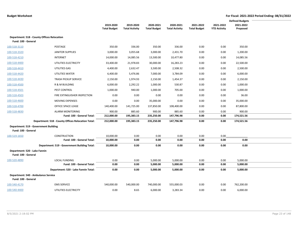|                                                      |                                                    |                        |                       |                     |                       |                     |                     | <b>Defined Budgets</b> |  |
|------------------------------------------------------|----------------------------------------------------|------------------------|-----------------------|---------------------|-----------------------|---------------------|---------------------|------------------------|--|
|                                                      |                                                    | 2019-2020              | 2019-2020             | 2020-2021           | 2020-2021             | 2021-2022           | 2021-2022           | 2021-2022              |  |
|                                                      |                                                    | <b>Total Budget</b>    | <b>Total Activity</b> | <b>Total Budget</b> | <b>Total Activity</b> | <b>Total Budget</b> | <b>YTD Activity</b> | Proposed               |  |
|                                                      | <b>Department: 518 - County Offices Relocation</b> |                        |                       |                     |                       |                     |                     |                        |  |
| Fund: 100 - General                                  |                                                    |                        |                       |                     |                       |                     |                     |                        |  |
| 100-518-3110                                         | POSTAGE                                            | 350.00                 | 336.00                | 350.00              | 336.00                | 0.00                | 0.00                | 350.00                 |  |
| 100-518-3320                                         | <b>JANITOR SUPPLIES</b>                            | 3,000.00               | 3,055.68              | 3,000.00            | 2,431.70              | 0.00                | 0.00                | 1,200.00               |  |
| 100-518-4210                                         | <b>INTERNET</b>                                    | 14,000.00              | 14,085.56             | 13,500.00           | 10,477.80             | 0.00                | 0.00                | 14,085.56              |  |
| 100-518-4400                                         | UTILITIES ELECTRICITY                              | 33,400.00              | 21,978.83             | 30,000.00           | 16,283.23             | 0.00                | 0.00                | 22,500.00              |  |
| 100-518-4410                                         | UTILITIES GAS                                      | 4,400.00               | 2,632.47              | 3,500.00            | 2,508.32              | 0.00                | 0.00                | 2,500.00               |  |
| 100-518-4420                                         | UTILITIES WATER                                    | 6,400.00               | 5,476.86              | 7,000.00            | 3,784.09              | 0.00                | 0.00                | 6,000.00               |  |
| 100-518-4430                                         | <b>TRASH PICKUP SERVICE</b>                        | 2,150.00               | 1,974.93              | 2,150.00            | 1,454.37              | 0.00                | 0.00                | 2,150.00               |  |
| 100-518-4500                                         | R & M BUILDING                                     | 6,000.00               | 2,292.22              | 1,000.00            | 530.87                | 0.00                | 0.00                | 1,000.00               |  |
| 100-518-4501                                         | PEST CONTROL                                       | 1,000.00               | 940.00                | 1,000.00            | 705.00                | 0.00                | 0.00                | 1,000.00               |  |
| 100-518-4503                                         | FIRE EXTINGUISHER INSPECTION                       | 0.00                   | 0.00                  | 0.00                | 0.00                  | 0.00                | 0.00                | 36.00                  |  |
| 100-518-4600                                         | MOVING EXPENSES                                    | 0.00                   | 0.00                  | 35,000.00           | 0.00                  | 0.00                | 0.00                | 35,000.00              |  |
| 100-518-4700                                         | OFFICE SPACE LEASE                                 | 140,400.00             | 141,725.00            | 137,850.00          | 108,400.00            | 0.00                | 0.00                | 87,800.00              |  |
| 100-518-4830                                         | <b>ALARM MONITORING</b>                            | 900.00                 | 885.60                | 900.00              | 885.60                | 0.00                | 0.00                | 900.00                 |  |
|                                                      | Fund: 100 - General Total:                         | 212,000.00             | 195,383.15            | 235,250.00          | 147,796.98            | 0.00                | 0.00                | 174,521.56             |  |
|                                                      | Department: 518 - County Offices Relocation Total: | 212,000.00             | 195,383.15            | 235,250.00          | 147,796.98            | 0.00                | 0.00                | 174,521.56             |  |
|                                                      | Department: 519 - Government Building              |                        |                       |                     |                       |                     |                     |                        |  |
| Fund: 100 - General                                  |                                                    |                        |                       |                     |                       |                     |                     |                        |  |
| 100-519-1650                                         | <b>CONSTRUCTION</b><br>Fund: 100 - General Total:  | 10,000.00<br>10,000.00 | 0.00<br>0.00          | 0.00<br>0.00        | 0.00<br>0.00          | 0.00<br>0.00        | 0.00<br>0.00        | 0.00                   |  |
|                                                      | Department: 519 - Government Building Total:       | 10,000.00              | 0.00                  | 0.00                | 0.00                  | 0.00                | 0.00                | 0.00                   |  |
|                                                      |                                                    |                        |                       |                     |                       |                     |                     |                        |  |
| Department: 520 - Lake Fannin<br>Fund: 100 - General |                                                    |                        |                       |                     |                       |                     |                     |                        |  |
| 100-520-4890                                         | <b>LOCAL FUNDING</b>                               | 0.00                   | 0.00                  | 5,000.00            | 5,000.00              | 0.00                | 0.00                | 5,000.00               |  |
|                                                      | Fund: 100 - General Total:                         | 0.00                   | 0.00                  | 5,000.00            | 5,000.00              | 0.00                | 0.00                | 5,000.00               |  |
|                                                      | Department: 520 - Lake Fannin Total:               | 0.00                   | 0.00                  | 5,000.00            | 5,000.00              | 0.00                | 0.00                | 5,000.00               |  |
|                                                      | Department: 540 - Ambulance Service                |                        |                       |                     |                       |                     |                     |                        |  |
| Fund: 100 - General                                  |                                                    |                        |                       |                     |                       |                     |                     |                        |  |
| 100-540-4170                                         | <b>EMS SERVICE</b>                                 | 540,000.00             | 540,000.00            | 740,000.00          | 555,000.03            | 0.00                | 0.00                | 762,200.00             |  |
| 100-540-4400                                         | UTILITIES ELECTRICITY                              | 0.00                   | 8.65                  | 6,000.00            | 3,283.34              | 0.00                | 0.00                | 6,000.00               |  |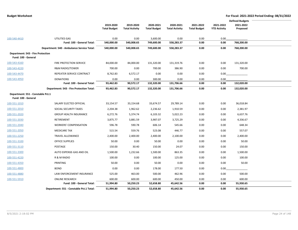|                                                                 |                                            |                     |                       |                     |                       |                     |                     | <b>Defined Budgets</b> |  |
|-----------------------------------------------------------------|--------------------------------------------|---------------------|-----------------------|---------------------|-----------------------|---------------------|---------------------|------------------------|--|
|                                                                 |                                            | 2019-2020           | 2019-2020             | 2020-2021           | 2020-2021             | 2021-2022           | 2021-2022           | 2021-2022              |  |
|                                                                 |                                            | <b>Total Budget</b> | <b>Total Activity</b> | <b>Total Budget</b> | <b>Total Activity</b> | <b>Total Budget</b> | <b>YTD Activity</b> | Proposed               |  |
|                                                                 |                                            |                     |                       |                     |                       |                     |                     |                        |  |
| 100-540-4410                                                    | UTILITIES GAS                              | 0.00                | 0.00                  | 3,600.00            | 0.00                  | 0.00                | 0.00                |                        |  |
|                                                                 | Fund: 100 - General Total:                 | 540,000.00          | 540,008.65            | 749,600.00          | 558,283.37            | 0.00                | 0.00                | 768,200.00             |  |
|                                                                 | Department: 540 - Ambulance Service Total: | 540,000.00          | 540,008.65            | 749,600.00          | 558,283.37            | 0.00                | 0.00                | 768,200.00             |  |
| <b>Department: 543 - Fire Protection</b><br>Fund: 100 - General |                                            |                     |                       |                     |                       |                     |                     |                        |  |
|                                                                 |                                            |                     |                       |                     |                       |                     |                     |                        |  |
| 100-543-4160                                                    | FIRE PROTECTION SERVICE                    | 84,000.00           | 84,000.00             | 131,320.00          | 131,319.76            | 0.00                | 0.00                | 131,320.00             |  |
| 100-543-4220                                                    | <b>R&amp;M RADIO/TOWER</b>                 | 700.00              | 0.00                  | 700.00              | 386.90                | 0.00                | 0.00                | 700.00                 |  |
| 100-543-4470                                                    | REPEATER SERVICE CONTRACT                  | 8,762.83            | 6,572.17              | 0.00                | 0.00                  | 0.00                | 0.00                |                        |  |
| 100-543-4950                                                    | <b>DONATIONS</b>                           | 0.00                | 0.00                  | 300.00              | 0.00                  | 0.00                | 0.00                |                        |  |
|                                                                 | Fund: 100 - General Total:                 | 93,462.83           | 90,572.17             | 132,320.00          | 131,706.66            | 0.00                | 0.00                | 132,020.00             |  |
|                                                                 | Department: 543 - Fire Protection Total:   | 93,462.83           | 90,572.17             | 132,320.00          | 131,706.66            | 0.00                | 0.00                | 132,020.00             |  |
| Department: 551 - Constable Pct.1<br>Fund: 100 - General        |                                            |                     |                       |                     |                       |                     |                     |                        |  |
| 100-551-1010                                                    | SALARY ELECTED OFFICIAL                    | 33,154.57           | 33,154.68             | 33,674.57           | 29,789.14             | 0.00                | 0.00                | 36,018.84              |  |
| 100-551-2010                                                    | SOCIAL SECURITY TAXES                      | 2,204.38            | 1,962.62              | 2,236.62            | 1,910.59              | 0.00                | 0.00                | 2,381.97               |  |
| 100-551-2020                                                    | <b>GROUP HEALTH INSURANCE</b>              | 6,272.76            | 5,374.74              | 6,103.32            | 5,022.23              | 0.00                | 0.00                | 6,637.76               |  |
| 100-551-2030                                                    | <b>RETIREMENT</b>                          | 3,875.77            | 3,881.59              | 3,987.07            | 3,725.29              | 0.00                | 0.00                | 4,336.67               |  |
| 100-551-2040                                                    | <b>WORKERS' COMPENSATION</b>               | 596.78              | 590.78                | 606.14              | 545.66                | 0.00                | 0.00                | 648.34                 |  |
| 100-551-2050                                                    | <b>MEDICARE TAX</b>                        | 515.54              | 559.76                | 523.08              | 446.77                | 0.00                | 0.00                | 557.07                 |  |
| 100-551-2250                                                    | <b>TRAVEL ALLOWANCE</b>                    | 2,400.00            | 2,400.00              | 2,400.00            | 2,100.00              | 0.00                | 0.00                | 2,400.00               |  |
| 100-551-3100                                                    | <b>OFFICE SUPPLIES</b>                     | 50.00               | 0.00                  | 50.00               | 0.00                  | 0.00                | 0.00                | 50.00                  |  |
| 100-551-3110                                                    | POSTAGE                                    | 150.00              | 30.40                 | 150.00              | 24.07                 | 0.00                | 0.00                | 150.00                 |  |
| 100-551-3300                                                    | AUTO EXPENSE-GAS AND OIL                   | 1,500.00            | 1,232.66              | 1,500.00            | 863.35                | 0.00                | 0.00                | 1,500.00               |  |
| 100-551-4220                                                    | R & M RADIO                                | 100.00              | 0.00                  | 100.00              | 125.00                | 0.00                | 0.00                | 100.00                 |  |
| 100-551-4350                                                    | <b>PRINTING</b>                            | 50.00               | 0.00                  | 50.00               | 0.00                  | 0.00                | 0.00                | 50.00                  |  |
| 100-551-4800                                                    | <b>BOND</b>                                | 0.00                | 0.00                  | 178.00              | 177.50                | 0.00                | 0.00                |                        |  |
| 100-551-4880                                                    | <b>LAW ENFORCEMENT INSURANCE</b>           | 525.00              | 463.00                | 500.00              | 462.96                | 0.00                | 0.00                | 500.00                 |  |
| 100-551-5910                                                    | <b>ONLINE RESEARCH</b>                     | 600.00              | 600.00                | 600.00              | 450.00                | 0.00                | 0.00                | 600.00                 |  |
|                                                                 | Fund: 100 - General Total:                 | 51,994.80           | 50,250.23             | 52,658.80           | 45,642.56             | 0.00                | 0.00                | 55,930.65              |  |
|                                                                 | Department: 551 - Constable Pct.1 Total:   | 51,994.80           | 50,250.23             | 52,658.80           | 45,642.56             | 0.00                | 0.00                | 55,930.65              |  |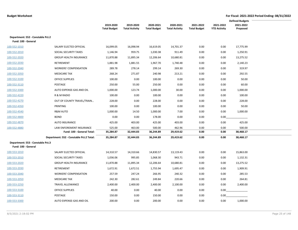|                                   |                                          |                     |                       |                     |                       |                     |                     | <b>Defined Budgets</b> |  |
|-----------------------------------|------------------------------------------|---------------------|-----------------------|---------------------|-----------------------|---------------------|---------------------|------------------------|--|
|                                   |                                          | 2019-2020           | 2019-2020             | 2020-2021           | 2020-2021             | 2021-2022           | 2021-2022           | 2021-2022              |  |
|                                   |                                          | <b>Total Budget</b> | <b>Total Activity</b> | <b>Total Budget</b> | <b>Total Activity</b> | <b>Total Budget</b> | <b>YTD Activity</b> | Proposed               |  |
| Department: 552 - Constable Pct.2 |                                          |                     |                       |                     |                       |                     |                     |                        |  |
| Fund: 100 - General               |                                          |                     |                       |                     |                       |                     |                     |                        |  |
| 100-552-1010                      | SALARY ELECTED OFFICIAL                  | 16,099.05           | 16,098.94             | 16,619.05           | 14,701.37             | 0.00                | 0.00                | 17,775.99              |  |
| 100-552-2010                      | SOCIAL SECURITY TAXES                    | 1,146.94            | 959.75                | 1,030.38            | 911.49                | 0.00                | 0.00                | 1,250.91               |  |
| 100-552-2020                      | <b>GROUP HEALTH INSURANCE</b>            | 11,870.88           | 11,895.34             | 12,206.64           | 10,680.81             | 0.00                | 0.00                | 13,275.52              |  |
| 100-552-2030                      | <b>RETIREMENT</b>                        | 1,881.98            | 1,881.55              | 1,967.70            | 1,740.48              | 0.00                | 0.00                | 2,140.23               |  |
| 100-552-2040                      | <b>WORKERS' COMPENSATION</b>             | 289.78              | 278.14                | 299.14              | 269.30                | 0.00                | 0.00                | 319.97                 |  |
| 100-552-2050                      | <b>MEDICARE TAX</b>                      | 268.24              | 271.87                | 240.98              | 213.21                | 0.00                | 0.00                | 292.55                 |  |
| 100-552-3100                      | <b>OFFICE SUPPLIES</b>                   | 100.00              | 0.00                  | 100.00              | 0.00                  | 0.00                | 0.00                | 50.00                  |  |
| 100-552-3110                      | POSTAGE                                  | 250.00              | 55.00                 | 250.00              | 0.00                  | 0.00                | 0.00                | 60.00                  |  |
| 100-552-3300                      | AUTO EXPENSE-GAS AND OIL                 | 1,000.00            | 123.74                | 1,000.00            | 30.00                 | 0.00                | 0.00                | 1,000.00               |  |
| 100-552-4220                      | R & M RADIO                              | 100.00              | 0.00                  | 100.00              | 0.00                  | 0.00                | 0.00                | 100.00                 |  |
| 100-552-4270                      | OUT OF COUNTY TRAVEL/TRAIN               | 228.00              | 0.00                  | 228.00              | 0.00                  | 0.00                | 0.00                | 228.00                 |  |
| 100-552-4350                      | PRINTING                                 | 100.00              | 0.00                  | 100.00              | 0.00                  | 0.00                | 0.00                | 50.00                  |  |
| 100-552-4540                      | <b>R&amp;M AUTO</b>                      | 1,000.00            | 14.50                 | 1,000.00            | 7.00                  | 0.00                | 0.00                | 1,000.00               |  |
| 100-552-4800                      | <b>BOND</b>                              | 0.00                | 0.00                  | 178.00              | 0.00                  | 0.00                | 0.00                |                        |  |
| 100-552-4870                      | <b>AUTO INSURANCE</b>                    | 425.00              | 403.00                | 425.00              | 403.00                | 0.00                | 0.00                | 425.00                 |  |
| 100-552-4880                      | LAW ENFOREMENT INSURANCE                 | 525.00              | 463.00                | 500.00              | 462.96                | 0.00                | 0.00                | 500.00                 |  |
|                                   | Fund: 100 - General Total:               | 35,284.87           | 32,444.83             | 36,244.89           | 29,419.62             | 0.00                | 0.00                | 38,468.17              |  |
|                                   | Department: 552 - Constable Pct.2 Total: | 35,284.87           | 32,444.83             | 36,244.89           | 29,419.62             | 0.00                | 0.00                | 38,468.17              |  |
| Department: 553 - Constable Pct.3 |                                          |                     |                       |                     |                       |                     |                     |                        |  |
| Fund: 100 - General               |                                          |                     |                       |                     |                       |                     |                     |                        |  |
| 100-553-1010                      | SALARY ELECTED OFFICIAL                  | 14,310.57           | 14,310.66             | 14,830.57           | 13,119.43             | 0.00                | 0.00                | 15,863.00              |  |
| 100-553-2010                      | SOCIAL SECURITY TAXES                    | 1,036.06            | 995.85                | 1,068.30            | 943.71                | 0.00                | 0.00                | 1,132.31               |  |
| 100-553-2020                      | <b>GROUP HEALTH INSURANCE</b>            | 11,870.88           | 11,895.34             | 12,206.64           | 10,680.81             | 0.00                | 0.00                | 13,275.52              |  |
| 100-553-2030                      | RETIREMENT                               | 1,672.91            | 1,672.51              | 1,755.94            | 1,695.47              | 0.00                | 0.00                | 1,909.91               |  |
| 100-553-2040                      | <b>WORKERS' COMPENSATION</b>             | 257.59              | 247.24                | 266.95              | 240.32                | 0.00                | 0.00                | 285.53                 |  |
| 100-553-2050                      | <b>MEDICARE TAX</b>                      | 242.30              | 282.61                | 249.84              | 220.66                | 0.00                | 0.00                | 264.81                 |  |
| 100-553-2250                      | <b>TRAVEL ALLOWANCE</b>                  | 2,400.00            | 2,400.00              | 2,400.00            | 2,100.00              | 0.00                | 0.00                | 2,400.00               |  |
| 100-553-3100                      | <b>OFFICE SUPPLIES</b>                   | 40.00               | 0.00                  | 40.00               | 0.00                  | 0.00                | 0.00                |                        |  |
| 100-553-3110                      | POSTAGE                                  | 150.00              | 0.00                  | 150.00              | 0.00                  | 0.00                | 0.00                |                        |  |
| 100-553-3300                      | AUTO EXPENSE-GAS AND OIL                 | 200.00              | 0.00                  | 200.00              | 0.00                  | 0.00                | 0.00                | 1,000.00               |  |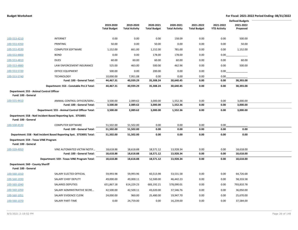|                                                         | <b>Defined Budgets</b>                                               |                     |                       |                     |                       |                     |                     |            |
|---------------------------------------------------------|----------------------------------------------------------------------|---------------------|-----------------------|---------------------|-----------------------|---------------------|---------------------|------------|
|                                                         |                                                                      | 2019-2020           | 2019-2020             | 2020-2021           | 2020-2021             | 2021-2022           | 2021-2022           | 2021-2022  |
|                                                         |                                                                      | <b>Total Budget</b> | <b>Total Activity</b> | <b>Total Budget</b> | <b>Total Activity</b> | <b>Total Budget</b> | <b>YTD Activity</b> | Proposed   |
| 100-553-4210                                            | <b>INTERNET</b>                                                      | 0.00                | 0.00                  | 0.00                | 158.09                | 0.00                | 0.00                | 500.00     |
| 100-553-4350                                            | PRINTING                                                             | 50.00               | 0.00                  | 50.00               | 0.00                  | 0.00                | 0.00                | 50.00      |
| 100-553-4530                                            | <b>COMPUTER SOFTWARE</b>                                             | 1,152.00            | 661.00                | 1,152.00            | 781.00                | 0.00                | 0.00                | 1,152.00   |
| 100-553-4800                                            | <b>BOND</b>                                                          | 0.00                | 0.00                  | 178.00              | 178.00                | 0.00                | 0.00                |            |
|                                                         | <b>DUES</b>                                                          | 60.00               | 60.00                 | 60.00               | 60.00                 | 0.00                | 0.00                | 60.00      |
| 100-553-4810                                            |                                                                      |                     |                       |                     |                       |                     |                     |            |
| 100-553-4880                                            | <b>LAW ENFORCEMENT INSURANCE</b>                                     | 525.00              | 463.00                | 500.00              | 462.96                | 0.00                | 0.00                | 500.00     |
| 100-553-5720                                            | OFFICE EQUIPMENT                                                     | 500.00              | 0.00                  | 200.00              | 0.00                  | 0.00                | 0.00                |            |
| 100-553-5740                                            | <b>TECHNOLOGY</b><br>Fund: 100 - General Total:                      | 10,000.00           | 7,951.08              | 0.00                | 0.00                  | 0.00<br>0.00        | 0.00<br>0.00        | 38,393.08  |
|                                                         |                                                                      | 44,467.31           | 40,939.29             | 35,308.24           | 30,640.45             |                     | 0.00                |            |
|                                                         | Department: 553 - Constable Pct.3 Total:                             | 44,467.31           | 40,939.29             | 35,308.24           | 30,640.45             | 0.00                |                     | 38,393.08  |
| Fund: 100 - General                                     | Department: 555 - Animal Control Officer                             |                     |                       |                     |                       |                     |                     |            |
| 100-555-4410                                            | ANIMAL CONTROL OFFICER/SERV                                          | 3,500.00            | 2,089.62              | 3,000.00            | 1,552.36              | 0.00                | 0.00                | 3,000.00   |
|                                                         | Fund: 100 - General Total:                                           | 3,500.00            | 2,089.62              | 3,000.00            | 1,552.36              | 0.00                | 0.00                | 3,000.00   |
|                                                         | Department: 555 - Animal Control Officer Total:                      | 3,500.00            | 2,089.62              | 3,000.00            | 1,552.36              | 0.00                | 0.00                | 3,000.00   |
|                                                         | Department: 558 - Natl Incident Based Reporting Syst. 3753001        |                     |                       |                     |                       |                     |                     |            |
| Fund: 100 - General                                     |                                                                      |                     |                       |                     |                       |                     |                     |            |
| 100-558-4530                                            | <b>COMPUTER SOFTWARE</b>                                             | 51,502.00           | 51,502.00             | 0.00                | 0.00                  | 0.00                | 0.00                |            |
|                                                         | Fund: 100 - General Total:                                           | 51,502.00           | 51,502.00             | 0.00                | 0.00                  | 0.00                | 0.00                | 0.00       |
|                                                         | Department: 558 - Natl Incident Based Reporting Syst. 3753001 Total: | 51,502.00           | 51,502.00             | 0.00                | 0.00                  | 0.00                | 0.00                | 0.00       |
| Fund: 100 - General                                     | Department: 559 - Texas VINE Program                                 |                     |                       |                     |                       |                     |                     |            |
| 100-559-4950                                            | VINE AUTOMATED VICTIM NOTIF                                          | 18,618.88           | 18,618.88             | 18,571.12           | 13,928.34             | 0.00                | 0.00                | 18,618.00  |
|                                                         | Fund: 100 - General Total:                                           | 18,618.88           | 18,618.88             | 18,571.12           | 13,928.34             | 0.00                | 0.00                | 18,618.00  |
|                                                         | Department: 559 - Texas VINE Program Total:                          | 18,618.88           | 18,618.88             | 18,571.12           | 13,928.34             | 0.00                | 0.00                | 18,618.00  |
| Department: 560 - County Sheriff<br>Fund: 100 - General |                                                                      |                     |                       |                     |                       |                     |                     |            |
| 100-560-1010                                            | SALARY ELECTED OFFICIAL                                              | 59,993.98           | 59,993.96             | 60,513.98           | 53,531.58             | 0.00                | 0.00                | 64,726.68  |
| 100-560-1030                                            | SALARY CHIEF DEPUTY                                                  | 49,000.00           | 49,000.11             | 52,500.00           | 46,442.23             | 0.00                | 0.00                | 58,333.58  |
| 100-560-1040                                            | <b>SALARIES DEPUTIES</b>                                             | 651,867.18          | 614,229.23            | 683,192.21          | 578,090.01            | 0.00                | 0.00                | 793,810.78 |
| 100-560-1050                                            | SALARY ADMINISTRATIVE SECRE                                          | 42,500.00           | 42,500.11             | 43,020.00           | 37,546.76             | 0.00                | 0.00                | 36,050.00  |
| 100-560-1051                                            | SALARY EVIDENCE CLERK                                                | 24,000.00           | 960.00                | 25,480.00           | 19,947.70             | 0.00                | 0.00                | 25,670.00  |
| 100-560-1070                                            | SALARY PART-TIME                                                     | 0.00                | 24,759.00             | 0.00                | 16,239.00             | 0.00                | 0.00                | 37,584.00  |
|                                                         |                                                                      |                     |                       |                     |                       |                     |                     |            |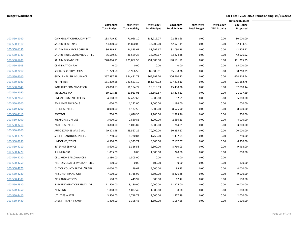|              |                               |                     |                       |                     |                       |                     |                     | <b>Defined Budgets</b> |  |
|--------------|-------------------------------|---------------------|-----------------------|---------------------|-----------------------|---------------------|---------------------|------------------------|--|
|              |                               | 2019-2020           | 2019-2020             | 2020-2021           | 2020-2021             | 2021-2022           | 2021-2022           | 2021-2022              |  |
|              |                               | <b>Total Budget</b> | <b>Total Activity</b> | <b>Total Budget</b> | <b>Total Activity</b> | <b>Total Budget</b> | <b>YTD Activity</b> | Proposed               |  |
| 100-560-1080 | COMPENSATION/HOLIDAY PAY      | 138,719.27          | 71,068.10             | 138,719.27          | 22,688.68             | 0.00                | 0.00                | 80,000.00              |  |
| 100-560-1110 | <b>SALARY LIEUTENANT</b>      | 44,800.00           | 44,800.08             | 47,200.00           | 42,071.49             | 0.00                | 0.00                | 52,494.23              |  |
| 100-560-1130 | SALARY TRANSPORT OFFICER      | 36,569.21           | 24,333.61             | 38,292.67           | 31,090.23             | 0.00                | 0.00                | 42,576.92              |  |
| 100-560-1140 | SALARY PROF. STANDARDS OFFI   | 36,569.21           | 36,569.26             | 38,292.67           | 33,874.38             | 0.00                | 0.00                | 42,576.92              |  |
| 100-560-1200 | <b>SALARY DISPATCHER</b>      | 278,094.11          | 225,062.53            | 291,683.00          | 198,101.70            | 0.00                | 0.00                | 311,265.35             |  |
| 100-560-1503 | <b>CERTIFICATION PAY</b>      | 0.00                | 0.00                  | 0.00                | 0.00                  | 0.00                | 0.00                | 65,000.00              |  |
| 100-560-2010 | SOCIAL SECURITY TAXES         | 81,779.50           | 69,966.59             | 85,608.01           | 65,630.36             | 0.00                | 0.00                | 90,210.39              |  |
| 100-560-2020 | <b>GROUP HEALTH INSURANCE</b> | 367,997.28          | 354,481.78            | 366,199.20          | 306,660.20            | 0.00                | 0.00                | 424,816.64             |  |
| 100-560-2030 | <b>RETIREMENT</b>             | 151,819.68          | 140,661.10            | 151,573.02          | 127,813.10            | 0.00                | 0.00                | 175,182.75             |  |
| 100-560-2040 | <b>WORKERS' COMPENSATION</b>  | 29,018.53           | 16,184.72             | 26,018.53           | 15,430.36             | 0.00                | 0.00                | 32,010.14              |  |
| 100-560-2050 | <b>MEDICARE TAX</b>           | 19,125.85           | 19,923.01             | 18,562.57           | 13,814.21             | 0.00                | 0.00                | 21,097.59              |  |
| 100-560-2060 | UNEMPLOYMENT EXPENSE          | 4,100.00            | 12,427.63             | 5,000.00            | $-92.59$              | 0.00                | 0.00                | 5,000.00               |  |
| 100-560-2500 | <b>EMPLOYEE PHYSICALS</b>     | 1,000.00            | 1,272.00              | 1,000.00            | 1,184.00              | 0.00                | 0.00                | 1,000.00               |  |
| 100-560-3100 | <b>OFFICE SUPPLIES</b>        | 8,000.00            | 8,177.58              | 8,000.00            | 8,576.90              | 0.00                | 0.00                | 8,000.00               |  |
| 100-560-3110 | POSTAGE                       | 1,700.00            | 4,646.30              | 1,700.00            | 2,588.76              | 0.00                | 0.00                | 1,700.00               |  |
| 100-560-3200 | <b>WEAPONS SUPPLIES</b>       | 3,000.00            | 2,860.86              | 3,000.00            | 2,656.13              | 0.00                | 0.00                | 4,000.00               |  |
| 100-560-3210 | <b>PATROL SUPPLIES</b>        | 3,800.00            | 5,013.82              | 3,800.00            | 764.89                | 0.00                | 0.00                | 3,800.00               |  |
| 100-560-3300 | AUTO EXPENSE GAS & OIL        | 79,878.98           | 53,567.29             | 70,000.00           | 50,335.17             | 0.00                | 0.00                | 70,000.00              |  |
| 100-560-3320 | SHERIFF JANITOR SUPPLIES      | 1,750.00            | 1,770.84              | 1,750.00            | 1,437.04              | 0.00                | 0.00                | 1,750.00               |  |
| 100-560-3950 | UNIFORMS/OTHER                | 4,900.00            | 4,333.72              | 6,300.00            | 7,137.07              | 0.00                | 0.00                | 6,300.00               |  |
| 100-560-4210 | <b>INTERNET SERVICE</b>       | 8,600.00            | 9,326.58              | 9,500.00            | 8,760.03              | 0.00                | 0.00                | 9,968.00               |  |
| 100-560-4220 | R & M RADIO                   | 1,055.00            | 0.00                  | 1,000.00            | 220.00                | 0.00                | 0.00                | 1,000.00               |  |
| 100-560-4230 | <b>CELL PHONE ALLOWANCES</b>  | 2,880.00            | 1,505.00              | 0.00                | 0.00                  | 0.00                | 0.00                |                        |  |
| 100-560-4250 | PROFESSIONAL SERVICES/INTER   | 100.00              | 0.00                  | 100.00              | 0.00                  | 0.00                | 0.00                | 100.00                 |  |
| 100-560-4270 | OUT OF COUNTY TRAVEL/TRAIN    | 4,000.00            | 99.62                 | 4,000.00            | 89.25                 | 0.00                | 0.00                | 4,000.00               |  |
| 100-560-4280 | PRISONER TRANSPORT            | 7,500.00            | 8,736.92              | 8,500.00            | 8,876.48              | 0.00                | 0.00                | 9,000.00               |  |
| 100-560-4300 | <b>BIDS AND NOTICES</b>       | 500.00              | 449.92                | 500.00              | 67.42                 | 0.00                | 0.00                | 500.00                 |  |
| 100-560-4320 | IMPOUNDMENT OF ESTRAY LIVE    | 11,500.00           | 3,180.00              | 10,000.00           | 11,325.00             | 0.00                | 0.00                | 10,000.00              |  |
| 100-560-4350 | PRINTING                      | 1,000.00            | 1,007.49              | 1,000.00            | 0.00                  | 0.00                | 0.00                | 1,000.00               |  |
| 100-560-4420 | UTILITIES WATER               | 3,500.00            | 1,718.78              | 3,000.00            | 1,527.79              | 0.00                | 0.00                | 2,000.00               |  |
| 100-560-4430 | SHERIFF TRASH PICKUP          | 1,400.00            | 1,398.48              | 1,500.00            | 1,087.56              | 0.00                | 0.00                | 1,500.00               |  |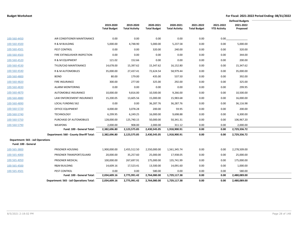|                                   |                                          |                     |                       |                     |                       |                     |                     | <b>Defined Budgets</b> |
|-----------------------------------|------------------------------------------|---------------------|-----------------------|---------------------|-----------------------|---------------------|---------------------|------------------------|
|                                   |                                          | 2019-2020           | 2019-2020             | 2020-2021           | 2020-2021             | 2021-2022           | 2021-2022           | 2021-2022              |
|                                   |                                          | <b>Total Budget</b> | <b>Total Activity</b> | <b>Total Budget</b> | <b>Total Activity</b> | <b>Total Budget</b> | <b>YTD Activity</b> | Proposed               |
|                                   |                                          |                     |                       |                     |                       |                     |                     |                        |
| 100-560-4450                      | AIR CONDITIONER MAINTENANCE              | 0.00                | 0.00                  | 0.00                | 0.00                  | 0.00                | 0.00                |                        |
| 100-560-4500                      | R & M BUILDING                           | 5,000.00            | 4,748.90              | 5,000.00            | 5,237.58              | 0.00                | 0.00                | 5,000.00               |
| 100-560-4501                      | <b>PEST CONTROL</b>                      | 0.00                | 0.00                  | 320.00              | 240.00                | 0.00                | 0.00                | 320.00                 |
| 100-560-4503                      | FIRE EXTINGUISHER INSPECTION             | 0.00                | 0.00                  | 0.00                | 0.00                  | 0.00                | 0.00                | 344.00                 |
| 100-560-4520                      | R & M EQUIPMENT                          | 121.02              | 152.66                | 0.00                | 0.00                  | 0.00                | 0.00                | 200.00                 |
| 100-560-4530                      | TYLER/CAD MAINTENANCE                    | 14,678.00           | 15,397.62             | 15,347.62           | 16,152.80             | 0.00                | 0.00                | 15,347.62              |
| 100-560-4540                      | R & M AUTOMOBILES                        | 35,000.00           | 27,437.41             | 72,624.54           | 58,979.44             | 0.00                | 0.00                | 35,000.00              |
| 100-560-4800                      | <b>BOND</b>                              | 80.00               | 179.00                | 435.00              | 537.50                | 0.00                | 0.00                | 392.00                 |
| 100-560-4820                      | <b>FIRE INSURANCE</b>                    | 300.00              | 277.00                | 325.00              | 292.00                | 0.00                | 0.00                | 325.00                 |
| 100-560-4830                      | <b>ALARM MONITORING</b>                  | 0.00                | 0.00                  | 0.00                | 0.00                  | 0.00                | 0.00                | 299.95                 |
| 100-560-4870                      | AUTOMOBILE INSURANCE                     | 10,000.00           | 9,816.00              | 10,500.00           | 9,266.00              | 0.00                | 0.00                | 10,500.00              |
| 100-560-4880                      | LAW ENFORCEMENT INSURANCE                | 15,200.05           | 13,605.56             | 15,000.00           | 15,983.68             | 0.00                | 0.00                | 16,000.00              |
| 100-560-4890                      | LOCAL FUNDING 562                        | 0.00                | 0.00                  | 36,287.76           | 36,287.76             | 0.00                | 0.00                | 36,116.98              |
| 100-560-5720                      | OFFICE EQUIPMENT                         | 4,000.00            | 3,078.28              | 200.00              | 59.95                 | 0.00                | 0.00                | 200.00                 |
| 100-560-5740                      | <b>TECHNOLOGY</b>                        | 6,299.95            | 6,249.25              | 16,000.00           | 9,698.88              | 0.00                | 0.00                | 6,300.00               |
| 100-560-5750                      | PURCHASE OF AUTOMOBILES                  | 128,000.00          | 125,740.15            | 50,000.00           | 50,341.31             | 0.00                | 0.00                | 106,967.20             |
| 100-560-5790                      | <b>WEAPONS</b>                           | 2,000.00            | 908.00                | 2,000.00            | 311.12                | 0.00                | 0.00                | 2,000.00               |
|                                   | Fund: 100 - General Total:               | 2,382,696.80        | 2,123,575.85          | 2,430,545.05        | 1,918,900.91          | 0.00                | 0.00                | 2,729,336.72           |
|                                   | Department: 560 - County Sheriff Total:  | 2,382,696.80        | 2,123,575.85          | 2,430,545.05        | 1,918,900.91          | 0.00                | 0.00                | 2,729,336.72           |
| Department: 565 - Jail Operations |                                          |                     |                       |                     |                       |                     |                     |                        |
| Fund: 100 - General               |                                          |                     |                       |                     |                       |                     |                     |                        |
| 100-565-3800                      | PRISONER HOUSING                         | 1,900,000.00        | 2,455,512.50          | 2,550,000.00        | 1,561,345.74          | 0.00                | 0.00                | 2,278,509.00           |
| 100-565-4000                      | PRISONER TRANSPORT/GUARD                 | 20,000.00           | 35,257.60             | 25,000.00           | 17,938.05             | 0.00                | 0.00                | 25,000.00              |
| 100-565-4050                      | PRISONER MEDICAL                         | 100,000.00          | 267,697.91            | 175,000.00          | 135,741.99            | 0.00                | 0.00                | 175,000.00             |
| 100-565-4500                      | <b>R&amp;M BUILDING</b>                  | 14,609.16           | 17,523.41             | 13,500.00           | 14,091.60             | 0.00                | 0.00                | 1,000.00               |
| 100-565-4501                      | PEST CONTROL                             | 0.00                | 0.00                  | 580.00              | 0.00                  | 0.00                | 0.00                | 580.00                 |
|                                   | Fund: 100 - General Total:               | 2,034,609.16        | 2,775,991.42          | 2,764,080.00        | 1,729,117.38          | 0.00                | 0.00                | 2,480,089.00           |
|                                   | Department: 565 - Jail Operations Total: | 2,034,609.16        | 2,775,991.42          | 2,764,080.00        | 1,729,117.38          | 0.00                | 0.00                | 2,480,089.00           |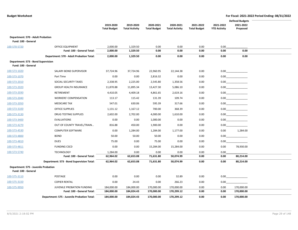|                                                             |                                             |                                  |                                    |                                  |                                    |                                  |                                  | <b>Defined Budgets</b> |  |
|-------------------------------------------------------------|---------------------------------------------|----------------------------------|------------------------------------|----------------------------------|------------------------------------|----------------------------------|----------------------------------|------------------------|--|
|                                                             |                                             | 2019-2020<br><b>Total Budget</b> | 2019-2020<br><b>Total Activity</b> | 2020-2021<br><b>Total Budget</b> | 2020-2021<br><b>Total Activity</b> | 2021-2022<br><b>Total Budget</b> | 2021-2022<br><b>YTD Activity</b> | 2021-2022<br>Proposed  |  |
| Department: 570 - Adult Probation                           |                                             |                                  |                                    |                                  |                                    |                                  |                                  |                        |  |
| Fund: 100 - General                                         |                                             |                                  |                                    |                                  |                                    |                                  |                                  |                        |  |
| 100-570-5720                                                | <b>OFFICE EQUIPMENT</b>                     | 2,000.00                         | 1,329.50                           | 0.00                             | 0.00                               | 0.00                             | 0.00                             |                        |  |
|                                                             | Fund: 100 - General Total:                  | 2,000.00                         | 1,329.50                           | 0.00                             | 0.00                               | 0.00                             | 0.00                             | 0.00                   |  |
|                                                             | Department: 570 - Adult Probation Total:    | 2,000.00                         | 1,329.50                           | 0.00                             | 0.00                               | 0.00                             | 0.00                             | 0.00                   |  |
| Department: 573 - Bond Supervision<br>Fund: 100 - General   |                                             |                                  |                                    |                                  |                                    |                                  |                                  |                        |  |
| 100-573-1020                                                | SALARY-BOND SUPERVISOR                      | 37,724.96                        | 37,724.96                          | 22,960.95                        | 22,144.38                          | 0.00                             |                                  | $0.00$                 |  |
| 100-573-1070                                                | Part Time                                   | 0.00                             | 0.00                               | 2,816.32                         | 0.00                               | 0.00                             |                                  | 0.00                   |  |
| 100-573-2010                                                | SOCIAL SECURITY TAXES                       | 2,338.95                         | 2,225.00                           | 2,545.80                         | 1,358.56                           | 0.00                             |                                  | 0.00                   |  |
| 100-573-2020                                                | <b>GROUP HEALTH INSURANCE</b>               | 11,870.88                        | 11,895.34                          | 13,427.30                        | 5,086.10                           | 0.00                             |                                  | 0.00                   |  |
| 100-573-2030                                                | <b>RETIREMENT</b>                           | 4,410.05                         | 4,409.18                           | 4,861.65                         | 2,619.16                           | 0.00                             |                                  | 0.00                   |  |
| 100-573-2040                                                | <b>WORKERS' COMPENSATION</b>                | 113.17                           | 115.42                             | 131.39                           | 109.74                             | 0.00                             |                                  | $0.00$                 |  |
| 100-573-2050                                                | <b>MEDICARE TAX</b>                         | 547.01                           | 630.06                             | 595.39                           | 317.66                             | 0.00                             |                                  | 0.00                   |  |
| 100-573-3100                                                | <b>OFFICE SUPPLIES</b>                      | 1,131.12                         | 1,167.12                           | 700.00                           | 368.39                             | 0.00                             |                                  | 0.00                   |  |
| 100-573-3130                                                | <b>DRUG TESTING SUPPLIES</b>                | 2,602.00                         | 2,702.00                           | 4,000.00                         | 1,610.00                           | 0.00                             |                                  | 0.00                   |  |
| 100-573-3400                                                | <b>EVALUATIONS</b>                          | 0.00                             | 0.00                               | 1,000.00                         | 0.00                               | 0.00                             |                                  | $0.00$                 |  |
| 100-573-4270                                                | OUT OF COUNTY TRAVEL/TRAIN                  | 816.88                           | 450.00                             | 1,900.00                         | 0.00                               | 0.00                             |                                  | 0.00                   |  |
| 100-573-4530                                                | <b>COMPUTER SOFTWARE</b>                    | 0.00                             | 1,284.00                           | 1,284.00                         | 1,177.00                           | 0.00                             | 0.00                             | 1,284.00               |  |
| 100-573-4800                                                | <b>BOND</b>                                 | 50.00                            | 50.00                              | 50.00                            | 0.00                               | 0.00                             | 0.00                             |                        |  |
| 100-573-4810                                                | <b>DUES</b>                                 | 75.00                            | 0.00                               | 75.00                            | 0.00                               | 0.00                             | 0.00                             |                        |  |
| 100-573-4811                                                | <b>FUNDING CSCD</b>                         | 0.00                             | 0.00                               | 15,284.00                        | 15,284.00                          | 0.00                             | 0.00                             | 78,930.00              |  |
| 100-573-5740                                                | <b>TECHNOLOGY</b>                           | 1,284.00                         | 0.00                               | 0.00                             | 0.00                               | 0.00                             | 0.00                             |                        |  |
|                                                             | Fund: 100 - General Total:                  | 62,964.02                        | 62,653.08                          | 71,631.80                        | 50,074.99                          | 0.00                             | 0.00                             | 80,214.00              |  |
|                                                             | Department: 573 - Bond Supervision Total:   | 62,964.02                        | 62,653.08                          | 71,631.80                        | 50,074.99                          | 0.00                             | 0.00                             | 80,214.00              |  |
| Department: 575 - Juvenile Probation<br>Fund: 100 - General |                                             |                                  |                                    |                                  |                                    |                                  |                                  |                        |  |
| 100-575-3110                                                | POSTAGE                                     | 0.00                             | 0.00                               | 0.00                             | 32.89                              | 0.00                             |                                  | 0.00                   |  |
| 100-575-3150                                                | <b>COPIER RENTAL</b>                        | 0.00                             | 24.43                              | 0.00                             | 266.23                             | 0.00                             | 0.00                             |                        |  |
| 100-575-9950                                                | JUVENILE PROBATION FUNDING                  | 184,000.00                       | 184,000.00                         | 170,000.00                       | 170,000.00                         | 0.00                             | 0.00                             | 170,000.00             |  |
|                                                             | Fund: 100 - General Total:                  | 184,000.00                       | 184,024.43                         | 170,000.00                       | 170,299.12                         | 0.00                             | 0.00                             | 170,000.00             |  |
|                                                             | Department: 575 - Juvenile Probation Total: | 184,000.00                       | 184,024.43                         | 170,000.00                       | 170,299.12                         | 0.00                             | 0.00                             | 170,000.00             |  |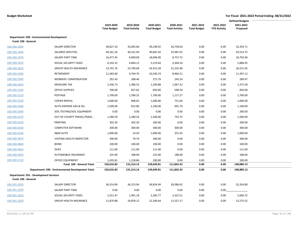|                                                                      |                                                    |                     |                       |                     |                       |                     |                     | <b>Defined Budgets</b> |
|----------------------------------------------------------------------|----------------------------------------------------|---------------------|-----------------------|---------------------|-----------------------|---------------------|---------------------|------------------------|
|                                                                      |                                                    | 2019-2020           | 2019-2020             | 2020-2021           | 2020-2021             | 2021-2022           | 2021-2022           | 2021-2022              |
|                                                                      |                                                    | <b>Total Budget</b> | <b>Total Activity</b> | <b>Total Budget</b> | <b>Total Activity</b> | <b>Total Budget</b> | <b>YTD Activity</b> | Proposed               |
| Department: 590 - Environmental Development                          |                                                    |                     |                       |                     |                       |                     |                     |                        |
| Fund: 100 - General                                                  |                                                    |                     |                       |                     |                       |                     |                     |                        |
| 100-590-1020                                                         | <b>SALARY DIRECTOR</b>                             | 40,827.10           | 33,605.60             | 30,248.92           | 26,758.64             | 0.00                | 0.00                | 32,354.71              |
| 100-590-1040                                                         | <b>SALARIES DEPUTIES</b>                           | 40,161.56           | 40,161.69             | 40,681.56           | 35,987.65             | 0.00                | 0.00                | 43,513.75              |
| 100-590-1070                                                         | SALARY PART-TIME                                   | 16,477.45           | 9,900.00              | 18,096.00           | 8,757.72              | 0.00                | 0.00                | 18,792.00              |
| 100-590-2010                                                         | SOCIAL SECURITY TAXES                              | 6,143.25            | 4,844.12              | 5,519.64            | 4,304.54              | 0.00                | 0.00                | 5,868.95               |
| 100-590-2020                                                         | <b>GROUP HEALTH INSURANCE</b>                      | 23,741.76           | 23,790.68             | 24,413.28           | 21,532.48             | 0.00                | 0.00                | 26,551.05              |
| 100-590-2030                                                         | RETIREMENT                                         | 11,583.00           | 9,769.70              | 10,540.74           | 8,466.51              | 0.00                | 0.00                | 11,397.12              |
| 100-590-2040                                                         | <b>WORKERS' COMPENSATION</b>                       | 291.43              | 288.46                | 272.79              | 245.24                | 0.00                | 0.00                | 289.97                 |
| 100-590-2050                                                         | <b>MEDICARE TAX</b>                                | 1,436.73            | 1,386.53              | 1,290.88            | 1,067.22              | 0.00                | 0.00                | 1,372.58               |
| 100-590-3100                                                         | <b>OFFICE SUPPLIES</b>                             | 700.00              | 827.82                | 850.00              | 598.59                | 0.00                | 0.00                | 850.00                 |
| 100-590-3110                                                         | POSTAGE                                            | 1,700.00            | 1,399.25              | 1,700.00            | 1,117.27              | 0.00                | 0.00                | 1,700.00               |
| 100-590-3150                                                         | <b>COPIER RENTAL</b>                               | 1,000.00            | 898.65                | 1,000.00            | 751.66                | 0.00                | 0.00                | 1,000.00               |
| 100-590-3300                                                         | AUTO EXPENSE GAS & OIL                             | 1,500.00            | 815.80                | 1,100.00            | 691.70                | 0.00                | 0.00                | 1,100.00               |
| 100-590-3340                                                         | SOIL TESTING/SOIL EQUIPMENT                        | 0.00                | 0.00                  | 0.00                | 0.00                  | 0.00                | 0.00                | 200.00                 |
| 100-590-4270                                                         | OUT OF COUNTY TRAVEL/TRAIN                         | 1,280.54            | 1,280.54              | 1,500.00            | 743.75                | 0.00                | 0.00                | 1,500.00               |
| 100-590-4350                                                         | PRINTING                                           | 302.20              | 302.20                | 200.00              | 0.00                  | 0.00                | 0.00                | 200.00                 |
| 100-590-4530                                                         | <b>COMPUTER SOFTWARE</b>                           | 300.00              | 300.00                | 300.00              | 300.00                | 0.00                | 0.00                | 300.00                 |
| 100-590-4540                                                         | <b>R&amp;M AUTO</b>                                | 1,000.00            | 14.50                 | 1,000.00            | 331.45                | 0.00                | 0.00                | 1,000.00               |
| 100-590-4670                                                         | VISITING HEALTH INSPECTOR                          | 300.00              | 70.74                 | 300.00              | 0.00                  | 0.00                | 0.00                | 300.00                 |
| 100-590-4800                                                         | <b>BOND</b>                                        | 100.00              | 100.00                | 100.00              | 0.00                  | 0.00                | 0.00                | 100.00                 |
| 100-590-4810                                                         | <b>DUES</b>                                        | 111.00              | 111.00                | 111.00              | 0.00                  | 0.00                | 0.00                | 111.00                 |
| 100-590-4870                                                         | AUTOMOBILE INSURANCE                               | 225.00              | 188.00                | 225.00              | 188.00                | 0.00                | 0.00                | 188.00                 |
| 100-590-5720                                                         | <b>OFFICE EQUIPMENT</b>                            | 1,435.81            | 1,158.86              | 200.00              | 0.00                  | 0.00                | 0.00                | 200.00                 |
|                                                                      | Fund: 100 - General Total:                         | 150,616.83          | 131,214.14            | 139,649.81          | 111,842.42            | 0.00                | 0.00                | 148,889.13             |
|                                                                      | Department: 590 - Environmental Development Total: | 150,616.83          | 131,214.14            | 139,649.81          | 111,842.42            | 0.00                | 0.00                | 148,889.13             |
| <b>Department: 591 - Development Services</b><br>Fund: 100 - General |                                                    |                     |                       |                     |                       |                     |                     |                        |
| 100-591-1020                                                         | <b>SALARY DIRECTOR</b>                             | 36,314.00           | 36,313.94             | 36,834.94           | 28,386.65             | 0.00                | 0.00                | 32,354.80              |
| 100-591-1070                                                         | SALARY PART-TIME                                   | 0.00                | 0.00                  | 0.00                | 0.00                  | 0.00                | 0.00                |                        |
| 100-591-2010                                                         | SOCIAL SECURITY TAXES                              | 2,251.47            | 1,991.18              | 2,283.77            | 2,322.51              | 0.00                | 0.00                | 2,660.72               |
| 100-591-2020                                                         | <b>GROUP HEALTH INSURANCE</b>                      | 11,870.88           | 10,878.12             | 12,206.64           | 11,527.17             | 0.00                | 0.00                | 13,275.52              |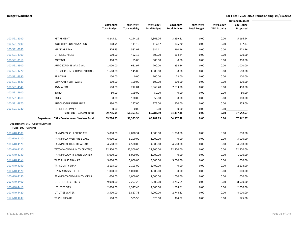|                                                              |                                               |                     |                       |                     |                       |                     |                     | <b>Defined Budgets</b> |  |
|--------------------------------------------------------------|-----------------------------------------------|---------------------|-----------------------|---------------------|-----------------------|---------------------|---------------------|------------------------|--|
|                                                              |                                               | 2019-2020           | 2019-2020             | 2020-2021           | 2020-2021             | 2021-2022           | 2021-2022           | 2021-2022              |  |
|                                                              |                                               | <b>Total Budget</b> | <b>Total Activity</b> | <b>Total Budget</b> | <b>Total Activity</b> | <b>Total Budget</b> | <b>YTD Activity</b> | Proposed               |  |
|                                                              |                                               |                     |                       |                     |                       |                     |                     |                        |  |
| 100-591-2030                                                 | <b>RETIREMENT</b>                             | 4,245.11            | 4,244.25              | 4,361.26            | 3,359.81              | 0.00                | 0.00                | 5,166.94               |  |
| 100-591-2040                                                 | <b>WORKERS' COMPENSATION</b>                  | 108.94              | 111.10                | 117.87              | 105.70                | 0.00                | 0.00                | 137.33                 |  |
| 100-591-2050                                                 | <b>MEDICARE TAX</b>                           | 526.55              | 582.07                | 534.11              | 260.16                | 0.00                | 0.00                | 622.26                 |  |
| 100-591-3100                                                 | <b>OFFICE SUPPLIES</b>                        | 500.00              | 492.12                | 500.00              | 164.24                | 0.00                | 0.00                | 500.00                 |  |
| 100-591-3110                                                 | POSTAGE                                       | 300.00              | 55.00                 | 300.00              | 0.00                  | 0.00                | 0.00                | 300.00                 |  |
| 100-591-3300                                                 | AUTO EXPENSE GAS & OIL                        | 1,000.00            | 681.97                | 700.00              | 254.34                | 0.00                | 0.00                | 1,000.00               |  |
| 100-591-4270                                                 | OUT OF COUNTY TRAVEL/TRAIN                    | 1,600.00            | 145.00                | 1,500.00            | 0.00                  | 0.00                | 0.00                | 500.00                 |  |
| 100-591-4350                                                 | PRINTING                                      | 100.00              | 0.00                  | 100.00              | 23.00                 | 0.00                | 0.00                | 100.00                 |  |
| 100-591-4530                                                 | <b>COMPUTER SOFTWARE</b>                      | 100.00              | 100.00                | 100.00              | 100.00                | 0.00                | 0.00                | 100.00                 |  |
| 100-591-4540                                                 | <b>R&amp;M AUTO</b>                           | 500.00              | 212.81                | 6,869.40            | 7,633.90              | 0.00                | 0.00                | 400.00                 |  |
| 100-591-4800                                                 | <b>BOND</b>                                   | 50.00               | 199.00                | 50.00               | 0.00                  | 0.00                | 0.00                | 50.00                  |  |
| 100-591-4810                                                 | <b>DUES</b>                                   | 0.00                | 100.00                | 50.00               | 0.00                  | 0.00                | 0.00                | 100.00                 |  |
| 100-591-4870                                                 | AUTOMOBILE INSURANCE                          | 330.00              | 247.00                | 275.00              | 220.00                | 0.00                | 0.00                | 275.00                 |  |
| 100-591-5720                                                 | OFFICE EQUIPMENT                              | 0.00                | 0.00                  | 0.00                | 0.00                  | 0.00                | 0.00                |                        |  |
|                                                              | Fund: 100 - General Total:                    | 59,796.95           | 56,353.56             | 66,782.99           | 54,357.48             | 0.00                | 0.00                | 57,542.57              |  |
|                                                              | Department: 591 - Development Services Total: | 59,796.95           | 56,353.56             | 66,782.99           | 54,357.48             | 0.00                | 0.00                | 57,542.57              |  |
| <b>Department: 640 - County Services</b>                     |                                               |                     |                       |                     |                       |                     |                     |                        |  |
| Fund: 100 - General                                          |                                               |                     |                       |                     |                       |                     |                     |                        |  |
|                                                              |                                               |                     |                       |                     |                       |                     |                     |                        |  |
| 100-640-4100                                                 | FANNIN CO. CHILDRENS CTR                      | 5,000.00            | 7,838.34              | 1,000.00            | 1,000.00              | 0.00                | 0.00                | 1,000.00               |  |
|                                                              | FANNIN CO. WELFARE BOARD                      | 6,000.00            | 6,200.00              | 1,000.00            | 0.00                  | 0.00                | 0.00                | 3,000.00               |  |
| 100-640-4110<br>100-640-4120                                 | FANNIN CO. HISTORICAL SOC                     | 4,500.00            | 4,500.00              | 4,500.00            | 4,500.00              | 0.00                | 0.00                | 4,500.00               |  |
|                                                              | TEXOMA COMMUNITY CENTER(                      | 22,500.00           | 22,500.00             | 22,500.00           | 22,500.00             | 0.00                | 0.00                | 22,500.00              |  |
| 100-640-4130<br>100-640-4140                                 | <b>FANNIN COUNTY CRISIS CENTER</b>            | 5,000.00            | 5,000.00              | 1,000.00            | 0.00                  | 0.00                | 0.00                | 1,000.00               |  |
|                                                              | <b>TAPS PUBLIC TRANSIT</b>                    | 5,000.00            | 5,000.00              | 5,000.00            | 5,000.00              | 0.00                | 0.00                | 1,000.00               |  |
|                                                              | <b>TRI-COUNTY SNAP</b>                        | 2,103.00            | 2,103.00              | 2,400.00            | 0.00                  | 0.00                | 0.00                | 2,178.00               |  |
|                                                              | OPEN ARMS SHELTER                             | 1,000.00            | 1,000.00              | 1,000.00            | 0.00                  | 0.00                | 0.00                | 1,000.00               |  |
| 100-640-4150<br>100-640-4160<br>100-640-4170<br>100-640-4180 | FANNIN CO COMMUNITY MINIS                     | 1,000.00            | 1,000.00              | 1,000.00            | 1,000.00              | 0.00                | 0.00                | 1,000.00               |  |
| 100-640-4400                                                 | UTILITIES ELECTRICITY                         | 9,000.00            | 7,257.28              | 8,500.00            | 4,785.65              | 0.00                | 0.00                | 8,500.00               |  |
| 100-640-4410                                                 | UTILITIES GAS                                 | 2,000.00            | 1,577.46              | 2,000.00            | 1,608.61              | 0.00                | 0.00                | 2,000.00               |  |
| 100-640-4420                                                 | UTILITIES WATER                               | 3,500.00            | 3,827.78              | 4,000.00            | 2,744.82              | 0.00                | 0.00                | 4,000.00               |  |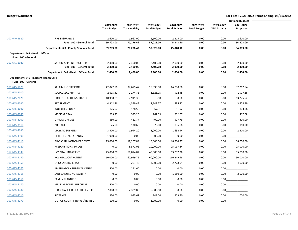|                                                         |                                          |                     |                       |                     |                       |                     |                     | <b>Defined Budgets</b> |  |
|---------------------------------------------------------|------------------------------------------|---------------------|-----------------------|---------------------|-----------------------|---------------------|---------------------|------------------------|--|
|                                                         |                                          | 2019-2020           | 2019-2020             | 2020-2021           | 2020-2021             | 2021-2022           | 2021-2022           | 2021-2022              |  |
|                                                         |                                          | <b>Total Budget</b> | <b>Total Activity</b> | <b>Total Budget</b> | <b>Total Activity</b> | <b>Total Budget</b> | <b>YTD Activity</b> | Proposed               |  |
|                                                         |                                          |                     |                       |                     |                       |                     |                     |                        |  |
| 100-640-4820                                            | FIRE INSURANCE                           | 2,600.00            | 1,967.00              | 2,600.00            | 2,315.00              | 0.00                | 0.00                | 2,600.00               |  |
|                                                         | Fund: 100 - General Total:               | 69,703.00           | 70,276.42             | 57,025.00           | 45,848.10             | 0.00                | 0.00                | 54,803.00              |  |
|                                                         | Department: 640 - County Services Total: | 69,703.00           | 70,276.42             | 57,025.00           | 45,848.10             | 0.00                | 0.00                | 54,803.00              |  |
| Department: 641 - Health Officer<br>Fund: 100 - General |                                          |                     |                       |                     |                       |                     |                     |                        |  |
| 100-641-1020                                            | SALARY APPOINTED OFFICIAL                | 2,400.00            | 2,400.00              | 2,400.00            | 2,000.00              | 0.00                | 0.00                | 2,400.00               |  |
|                                                         | Fund: 100 - General Total:               | 2,400.00            | 2,400.00              | 2,400.00            | 2,000.00              | 0.00                | 0.00                | 2,400.00               |  |
|                                                         | Department: 641 - Health Officer Total:  | 2,400.00            | 2,400.00              | 2,400.00            | 2,000.00              | 0.00                | 0.00                | 2,400.00               |  |
| Department: 645 - Indigent Health Care                  |                                          |                     |                       |                     |                       |                     |                     |                        |  |
| Fund: 100 - General                                     |                                          |                     |                       |                     |                       |                     |                     |                        |  |
| 100-645-1020                                            | SALARY IHC DIRECTOR                      | 42,022.76           | 37,679.47             | 18,096.00           | 16,008.00             | 0.00                | 0.00                | 32,212.54              |  |
| 100-645-2010                                            | SOCIAL SECURITY TAX                      | 2,605.41            | 2,274.76              | 1,121.95            | 992.45                | 0.00                | 0.00                | 1,997.18               |  |
| 100-645-2020                                            | <b>GROUP HEALTH INSURANCE</b>            | 10,990.89           | 7,911.36              | 0.00                | 0.00                  | 0.00                | 0.00                | 13,275.52              |  |
| 100-645-2030                                            | RETIREMENT                               | 4,912.46            | 4,399.49              | 2,142.57            | 1,895.22              | 0.00                | 0.00                | 3,878.39               |  |
| 100-645-2040                                            | <b>WORKER'S COMP</b>                     | 126.07              | 128.56                | 57.91               | 51.92                 | 0.00                | 0.00                | 103.08                 |  |
| 100-645-2050                                            | <b>MEDICARE TAX</b>                      | 609.33              | 585.20                | 262.39              | 232.07                | 0.00                | 0.00                | 467.08                 |  |
| 100-645-3100                                            | OFFICE SUPPLIES                          | 650.00              | 412.77                | 400.00              | 527.79                | 0.00                | 0.00                | 400.00                 |  |
| 100-645-3110                                            | POSTAGE                                  | 75.00               | 130.65                | 75.00               | 136.08                | 0.00                | 0.00                | 110.00                 |  |
| 100-645-4090                                            | <b>DIABETIC SUPPLIES</b>                 | 3,500.00            | 1,994.20              | 3,000.00            | 1,634.44              | 0.00                | 0.00                | 2,500.00               |  |
| 100-645-4100                                            | CERT. REG. NURSE ANES.                   | 1,000.00            | 0.00                  | 500.00              | 0.00                  | 0.00                | 0.00                |                        |  |
| 100-645-4110                                            | PHYSICIAN, NON-EMERGENCY                 | 15,000.00           | 18,207.84             | 15,000.00           | 48,964.37             | 0.00                | 0.00                | 38,000.00              |  |
| 100-645-4120                                            | PRESCRIPTIONS, DRUGS                     | 0.00                | 8,572.06              | 20,000.00           | 25,097.84             | 0.00                | 0.00                | 25,000.00              |  |
| 100-645-4130                                            | HOSPITAL, INPATIENT                      | 45,000.00           | 68,874.02             | 45,000.00           | 63,037.38             | 0.00                | 0.00                | 55,000.00              |  |
| 100-645-4140                                            | HOSPITAL, OUTPATIENT                     | 60,000.00           | 60,999.75             | 60,000.00           | 116,249.48            | 0.00                | 0.00                | 90,000.00              |  |
| 100-645-4150                                            | LABORATORY/X-RAY                         | 0.00                | 261.43                | 4,000.00            | 2,728.54              | 0.00                | 0.00                | 4,000.00               |  |
| 100-645-4160                                            | AMBULATORY SURGICAL CENTE                | 500.00              | 241.60                | 0.00                | 0.00                  | 0.00                | 0.00                |                        |  |
| 100-645-4165                                            | SKILLED NURSING FACILITY                 | 0.00                | 0.00                  | 0.00                | 1,180.00              | 0.00                | 0.00                | 2,000.00               |  |
| 100-645-4166                                            | <b>FAMILY PLANNING</b>                   | 0.00                | 0.00                  | 0.00                | 0.00                  | 0.00                | 0.00                |                        |  |
| 100-645-4170                                            | MEDICAL EQUIP. PURCHASE                  | 500.00              | 0.00                  | 0.00                | 0.00                  | 0.00                | 0.00                |                        |  |
| 100-645-4180                                            | FED. QUALIFIED HEALTH CENTER             | 7,000.00            | 2,389.85              | 5,000.00            | 0.00                  | 0.00                | 0.00                |                        |  |
| 100-645-4210                                            | <b>INTERNET</b>                          | 950.00              | 995.67                | 948.00              | 909.40                | 0.00                | 0.00                | 1,000.00               |  |
| 100-645-4270                                            | OUT OF COUNTY TRAVEL/TRAIN               | 100.00              | 0.00                  | 1,000.00            | 0.00                  | 0.00                | 0.00                |                        |  |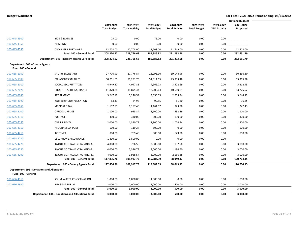|                     |                                                    |                     |                       |                     |                       |                     | <b>Defined Budgets</b> |            |  |
|---------------------|----------------------------------------------------|---------------------|-----------------------|---------------------|-----------------------|---------------------|------------------------|------------|--|
|                     |                                                    | 2019-2020           | 2019-2020             | 2020-2021           | 2020-2021             | 2021-2022           | 2021-2022              | 2021-2022  |  |
|                     |                                                    | <b>Total Budget</b> | <b>Total Activity</b> | <b>Total Budget</b> | <b>Total Activity</b> | <b>Total Budget</b> | <b>YTD Activity</b>    | Proposed   |  |
| 100-645-4300        | <b>BIDS &amp; NOTICES</b>                          | 75.00               | 0.00                  | 75.00               | 0.00                  | 0.00                |                        |            |  |
| 100-645-4350        | PRINTING                                           | 0.00                | 0.00                  | 0.00                | 0.00                  | 0.00                | 0.00                   |            |  |
| 100-645-4530        | <b>COMPUTER SOFTWARE</b>                           | 12,708.00           | 12,708.00             | 12,708.00           | 11,649.00             | 0.00                | 0.00                   | 12,708.00  |  |
|                     | Fund: 100 - General Total:                         | 208,324.92          | 228,766.68            | 189,386.82          | 291,293.98            | 0.00                | 0.00                   | 282,651.79 |  |
|                     | Department: 645 - Indigent Health Care Total:      | 208,324.92          | 228,766.68            | 189,386.82          | 291,293.98            | 0.00                | 0.00                   | 282,651.79 |  |
| Fund: 100 - General | Department: 665 - County Agents                    |                     |                       |                     |                       |                     |                        |            |  |
| 100-665-1050        | SALARY SECRETARY                                   | 27,776.90           | 27,776.84             | 28,296.90           | 19,044.96             | 0.00                | 0.00                   | 30,266.80  |  |
| 100-665-1500        | CO. AGENTS SALARIES                                | 50,251.65           | 50,251.76             | 51,811.65           | 45,833.48             | 0.00                | 0.00                   | 53,365.98  |  |
| 100-665-2010        | SOCIAL SECURITY TAXES                              | 4,949.37            | 4,097.81              | 4,966.73            | 3,522.69              | 0.00                | 0.00                   | 5,312.45   |  |
| 100-665-2020        | <b>GROUP HEALTH INSURANCE</b>                      | 11,870.88           | 11,895.34             | 12,206.64           | 10,680.81             | 0.00                | 0.00                   | 13,275.52  |  |
| 100-665-2030        | RETIREMENT                                         | 3,247.12            | 3,246.54              | 3,350.35            | 2,255.84              | 0.00                | 0.00                   | 3,644.12   |  |
| 100-665-2040        | <b>WORKERS' COMPENSATION</b>                       | 83.33               | 84.98                 | 90.55               | 81.20                 | 0.00                | 0.00                   | 96.85      |  |
| 100-665-2050        | <b>MEDICARE TAX</b>                                | 1,157.51            | 1,157.40              | 1,161.57            | 823.98                | 0.00                | 0.00                   | 1,242.43   |  |
| 100-665-3100        | <b>OFFICE SUPPLIES</b>                             | 1,100.00            | 955.84                | 1,100.00            | 532.89                | 0.00                | 0.00                   | 1,100.00   |  |
| 100-665-3110        | POSTAGE                                            | 300.00              | 330.00                | 300.00              | 110.00                | 0.00                | 0.00                   | 300.00     |  |
| 100-665-3150        | <b>COPIER RENTAL</b>                               | 2,000.00            | 1,390.72              | 1,800.00            | 1,024.44              | 0.00                | 0.00                   | 1,800.00   |  |
| 100-665-3350        | PROGRAM SUPPLIES                                   | 500.00              | 119.27                | 500.00              | 0.00                  | 0.00                | 0.00                   | 500.00     |  |
| 100-665-4210        | <b>INTERNET</b>                                    | 800.00              | 769.40                | 800.00              | 649.90                | 0.00                | 0.00                   | 800.00     |  |
| 100-665-4230        | <b>CELL PHONE ALLOWANCE</b>                        | 1,800.00            | 1,800.00              | 0.00                | 0.00                  | 0.00                | 0.00                   |            |  |
| 100-665-4270        | IN/OUT CO.TRAVEL/TRAINING-A                        | 4,000.00            | 786.50                | 3,000.00            | 137.50                | 0.00                | 0.00                   | 3,000.00   |  |
| 100-665-4280        | IN/OUT CO.TRAVEL/TRAINING-F                        | 4,000.00            | 2,326.79              | 3,000.00            | 1,194.60              | 0.00                | 0.00                   | 3,000.00   |  |
| 100-665-4290        | IN/OUT CO.TRAVEL/TRAINING-4                        | 4,000.00            | 1,928.54              | 3,000.00            | 2,156.88              | 0.00                | 0.00                   | 3,000.00   |  |
|                     | Fund: 100 - General Total:                         | 117,836.76          | 108,917.73            | 115,384.39          | 88,049.17             | 0.00                | 0.00                   | 120,704.15 |  |
|                     | Department: 665 - County Agents Total:             | 117,836.76          | 108,917.73            | 115,384.39          | 88,049.17             | 0.00                | 0.00                   | 120,704.15 |  |
| Fund: 100 - General | <b>Department: 696 - Donations and Allocations</b> |                     |                       |                     |                       |                     |                        |            |  |
| 100-696-4910        | SOIL & WATER CONSERVATION                          | 1,000.00            | 1,000.00              | 1,000.00            | 0.00                  | 0.00                | 0.00                   | 1,000.00   |  |
| 100-696-4920        | <b>INDIGENT BURIAL</b>                             | 2,000.00            | 2,000.00              | 2,000.00            | 500.00                | 0.00                | 0.00                   | 2,000.00   |  |
|                     | Fund: 100 - General Total:                         | 3,000.00            | 3,000.00              | 3,000.00            | 500.00                | 0.00                | 0.00                   | 3,000.00   |  |
|                     | Department: 696 - Donations and Allocations Total: | 3,000.00            | 3,000.00              | 3,000.00            | 500.00                | 0.00                | 0.00                   | 3,000.00   |  |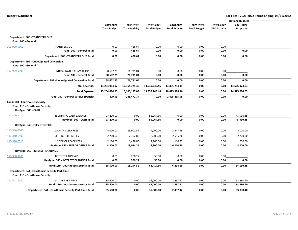|                                 |                                                        |                     |                       |                     |                       |                     |                     | <b>Defined Budgets</b> |  |
|---------------------------------|--------------------------------------------------------|---------------------|-----------------------|---------------------|-----------------------|---------------------|---------------------|------------------------|--|
|                                 |                                                        | 2019-2020           | 2019-2020             | 2020-2021           | 2020-2021             | 2021-2022           | 2021-2022           | 2021-2022              |  |
|                                 |                                                        | <b>Total Budget</b> | <b>Total Activity</b> | <b>Total Budget</b> | <b>Total Activity</b> | <b>Total Budget</b> | <b>YTD Activity</b> | Proposed               |  |
|                                 |                                                        |                     |                       |                     |                       |                     |                     |                        |  |
| Fund: 100 - General             | Department: 900 - TRANSFERS OUT                        |                     |                       |                     |                       |                     |                     |                        |  |
| 100-900-9000                    | <b>TRANSFERS OUT</b>                                   | 0.00                | 428.64                | 0.00                | 0.00                  | 0.00                | 0.00                |                        |  |
|                                 | Fund: 100 - General Total:                             | 0.00                | 428.64                | 0.00                | 0.00                  | 0.00                | 0.00                | 0.00                   |  |
|                                 | Department: 900 - TRANSFERS OUT Total:                 | 0.00                | 428.64                | 0.00                | 0.00                  | 0.00                | 0.00                | 0.00                   |  |
| Fund: 100 - General             | Department: 999 - Undesignated Conversion              |                     |                       |                     |                       |                     |                     |                        |  |
|                                 |                                                        |                     |                       |                     |                       |                     |                     |                        |  |
| 100-999-9999                    | UNDESIGNATED CONVERSION                                | 58,602.25           | 76,731.04             | 0.00                | 0.00                  | 0.00                | 0.00                |                        |  |
|                                 | Fund: 100 - General Total:                             | 58,602.25           | 76,731.04             | 0.00                | 0.00                  | 0.00                | 0.00                | 0.00                   |  |
|                                 | Department: 999 - Undesignated Conversion Total:       | 58,602.25           | 76,731.04             | 0.00                | 0.00                  | 0.00                | 0.00                | 0.00                   |  |
|                                 | <b>Total Revenues</b>                                  | 13,264,964.92       | 12,354,724.35         | 13,939,245.46       | 13,301,254.11         | 0.00                | 0.00                | 14,525,074.03          |  |
|                                 | <b>Total Expenses</b>                                  | 13,264,084.93       | 13,103,197.09         | 13,939,245.46       | 10,875,988.16         | 0.00                | 0.00                | 14,525,074.03          |  |
|                                 | Fund: 100 - General Surplus (Deficit):                 | 879.99              | -748,472.74           | 0.00                | 2,425,265.95          | 0.00                | 0.00                | 0.00                   |  |
| Fund: 110 - Courthouse Security | Fund: 110 - Courthouse Security                        |                     |                       |                     |                       |                     |                     |                        |  |
| RevType: 300 - CASH             |                                                        |                     |                       |                     |                       |                     |                     |                        |  |
| 110-300-1110                    | <b>BEGINNING CASH BALANCE</b>                          | 27,200.00           | 0.00                  | 55,064.66           | 0.00                  | 0.00                | 0.00                | 45,930.35              |  |
|                                 | RevType: 300 - CASH Total:                             | 27,200.00           | 0.00                  | 55,064.66           | 0.00                  | 0.00                | 0.00                | 45,930.35              |  |
|                                 | RevType: 340 - FEES OF OFFICE                          |                     |                       |                     |                       |                     |                     |                        |  |
| 110-340-6000                    | <b>COUNTY CLERK FEES</b>                               | 4,000.00            | 13,902.57             | 4,000.00            | 3,547.49              | 0.00                | 0.00                | 5,000.00               |  |
| 110-340-6500                    | <b>DISTRICT CLERK FEES</b>                             | 2,200.00            | 2,762.83              | 2,200.00            | 2,556.26              | 0.00                | 0.00                | 2,200.00               |  |
| 110-340-6510                    | <b>JUSTICE OF PEACE FEES</b>                           | 2,100.00            | 1,428.85              | 2,100.00            | 110.83                | 0.00                | 0.00                | 1,000.00               |  |
|                                 | RevType: 340 - FEES OF OFFICE Total:                   | 8,300.00            | 18,094.25             | 8,300.00            | 6,214.58              | 0.00                | 0.00                | 8,200.00               |  |
|                                 | RevType: 360 - INTEREST EARNINGS                       |                     |                       |                     |                       |                     |                     |                        |  |
| 110-360-1000                    | <b>INTEREST EARNINGS</b>                               | 0.00                | 200.27                | 50.00               | 0.00                  | 0.00                | 0.00                |                        |  |
|                                 | RevType: 360 - INTEREST EARNINGS Total:                | 0.00                | 200.27                | 50.00               | 0.00                  | 0.00                | 0.00                | 0.00                   |  |
|                                 | Fund: 110 - Courthouse Security Total:                 | 35,500.00           | 18,294.52             | 63,414.66           | 6,214.58              | 0.00                | 0.00                | 54,130.35              |  |
|                                 | Department: 541 - Courthouse Security Part-Time        |                     |                       |                     |                       |                     |                     |                        |  |
|                                 | Fund: 110 - Courthouse Security                        |                     |                       |                     |                       |                     |                     |                        |  |
| 110-541-1070                    | SALARY PART-TIME                                       | 35,500.00           | 0.00                  | 35,000.00           | 2,497.42              | 0.00                | 0.00                | 53,830.40              |  |
|                                 | Fund: 110 - Courthouse Security Total:                 | 35,500.00           | 0.00                  | 35,000.00           | 2,497.42              | 0.00                | 0.00                | 53,830.40              |  |
|                                 | Department: 541 - Courthouse Security Part-Time Total: | 35,500.00           | 0.00                  | 35,000.00           | 2.497.42              | 0.00                | 0.00                | 53.830.40              |  |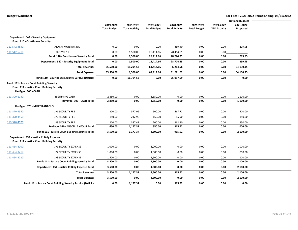|                     |                                                                |                     |                       |                     |                       |                     |                     | <b>Defined Budgets</b> |  |  |  |
|---------------------|----------------------------------------------------------------|---------------------|-----------------------|---------------------|-----------------------|---------------------|---------------------|------------------------|--|--|--|
|                     |                                                                | 2019-2020           | 2019-2020             | 2020-2021           | 2020-2021             | 2021-2022           | 2021-2022           | 2021-2022              |  |  |  |
|                     |                                                                | <b>Total Budget</b> | <b>Total Activity</b> | <b>Total Budget</b> | <b>Total Activity</b> | <b>Total Budget</b> | <b>YTD Activity</b> | Proposed               |  |  |  |
|                     | Department: 542 - Security Equipment                           |                     |                       |                     |                       |                     |                     |                        |  |  |  |
|                     | Fund: 110 - Courthouse Security                                |                     |                       |                     |                       |                     |                     |                        |  |  |  |
| 110-542-4830        | <b>ALARM MONITORING</b>                                        | 0.00                | 0.00                  | 0.00                | 359.40                | 0.00                | 0.00                | 299.95                 |  |  |  |
| 110-542-5710        | <b>EQUIPMENT</b>                                               | 0.00                | 1,500.00              | 28,414.66           | 28,414.85             | 0.00                | 0.00                |                        |  |  |  |
|                     | Fund: 110 - Courthouse Security Total:                         | 0.00                | 1,500.00              | 28,414.66           | 28,774.25             | 0.00                | 0.00                | 299.95                 |  |  |  |
|                     | Department: 542 - Security Equipment Total:                    | 0.00                | 1,500.00              | 28,414.66           | 28,774.25             | 0.00                | 0.00                | 299.95                 |  |  |  |
|                     | <b>Total Revenues</b>                                          | 35,500.00           | 18,294.52             | 63,414.66           | 6,214.58              | 0.00                | 0.00                | 54,130.35              |  |  |  |
|                     | <b>Total Expenses</b>                                          | 35,500.00           | 1,500.00              | 63,414.66           | 31,271.67             | 0.00                | 0.00                | 54,130.35              |  |  |  |
|                     | Fund: 110 - Courthouse Security Surplus (Deficit):             | 0.00                | 16,794.52             | 0.00                | $-25,057.09$          | 0.00                | 0.00                | 0.00                   |  |  |  |
|                     | Fund: 111 - Justice Court Building Security                    |                     |                       |                     |                       |                     |                     |                        |  |  |  |
|                     | Fund: 111 - Justice Court Building Security                    |                     |                       |                     |                       |                     |                     |                        |  |  |  |
| RevType: 300 - CASH |                                                                |                     |                       |                     |                       |                     |                     |                        |  |  |  |
| 111-300-1140        | <b>BEGINNING CASH</b>                                          | 2,850.00            | 0.00                  | 3,650.00            | 0.00                  | 0.00                | 0.00                | 1,100.00               |  |  |  |
|                     | RevType: 300 - CASH Total:                                     | 2,850.00            | 0.00                  | 3,650.00            | 0.00                  | 0.00                | 0.00                | 1,100.00               |  |  |  |
|                     | RevType: 370 - MISCELLANEOUS                                   |                     |                       |                     |                       |                     |                     |                        |  |  |  |
| 111-370-4550        | <b>JP1 SECURITY FEE</b>                                        | 300.00              | 577.06                | 500.00              | 467.72                | 0.00                | 0.00                | 500.00                 |  |  |  |
| 111-370-4560        | JP2 SECURITY FEE                                               | 150.00              | 212.90                | 150.00              | 85.90                 | 0.00                | 0.00                | 150.00                 |  |  |  |
| 111-370-4570        | JP3 SECURITY FEE                                               | 200.00              | 387.41                | 200.00              | 362.30                | 0.00                | 0.00                | 350.00                 |  |  |  |
|                     | RevType: 370 - MISCELLANEOUS Total:                            | 650.00              | 1,177.37              | 850.00              | 915.92                | 0.00                | 0.00                | 1,000.00               |  |  |  |
|                     | Fund: 111 - Justice Court Building Security Total:             | 3,500.00            | 1,177.37              | 4,500.00            | 915.92                | 0.00                | 0.00                | 2,100.00               |  |  |  |
|                     | Department: 454 - Justice Ct Bldg Expense                      |                     |                       |                     |                       |                     |                     |                        |  |  |  |
|                     | Fund: 111 - Justice Court Building Security                    |                     |                       |                     |                       |                     |                     |                        |  |  |  |
| 111-454-3200        | JP1 SECURITY EXPENSE                                           | 1,000.00            | 0.00                  | 1,000.00            | 0.00                  | 0.00                | 0.00                | 1,000.00               |  |  |  |
| 111-454-3210        | JP2 SECURITY EXPENSE                                           | 1,000.00            | 0.00                  | 1,000.00            | 0.00                  | 0.00                | 0.00                | 1,000.00               |  |  |  |
| 111-454-3220        | JP3 SECURITY EXPENSE                                           | 1,500.00            | 0.00                  | 2,500.00            | 0.00                  | 0.00                | 0.00                | 100.00                 |  |  |  |
|                     | Fund: 111 - Justice Court Building Security Total:             | 3,500.00            | 0.00                  | 4,500.00            | 0.00                  | $0.00\,$            | 0.00                | 2,100.00               |  |  |  |
|                     | Department: 454 - Justice Ct Bldg Expense Total:               | 3,500.00            | 0.00                  | 4,500.00            | 0.00                  | 0.00                | 0.00                | 2,100.00               |  |  |  |
|                     | <b>Total Revenues</b>                                          | 3,500.00            | 1,177.37              | 4,500.00            | 915.92                | 0.00                | 0.00                | 2,100.00               |  |  |  |
|                     | <b>Total Expenses</b>                                          | 3,500.00            | 0.00                  | 4,500.00            | 0.00                  | 0.00                | 0.00                | 2,100.00               |  |  |  |
|                     | Fund: 111 - Justice Court Building Security Surplus (Deficit): | 0.00                | 1,177.37              | 0.00                | 915.92                | 0.00                | 0.00                | 0.00                   |  |  |  |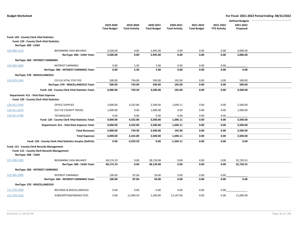|                                                                  |                                                                                            |                        |                       |                        |                       |                     |                     | <b>Defined Budgets</b> |  |
|------------------------------------------------------------------|--------------------------------------------------------------------------------------------|------------------------|-----------------------|------------------------|-----------------------|---------------------|---------------------|------------------------|--|
|                                                                  |                                                                                            | 2019-2020              | 2019-2020             | 2020-2021              | 2020-2021             | 2021-2022           | 2021-2022           | 2021-2022              |  |
|                                                                  |                                                                                            | <b>Total Budget</b>    | <b>Total Activity</b> | <b>Total Budget</b>    | <b>Total Activity</b> | <b>Total Budget</b> | <b>YTD Activity</b> | Proposed               |  |
| Fund: 120 - County Clerk Vital Statistics<br>RevType: 300 - CASH | Fund: 120 - County Clerk Vital Statistics                                                  |                        |                       |                        |                       |                     |                     |                        |  |
| 120-300-1120                                                     | BEGINNING CASH BALANCE                                                                     | 3,500.00               | 0.00                  | 2,995.00               | 0.00                  | 0.00                | 0.00                | 3,000.00               |  |
|                                                                  | RevType: 300 - CASH Total:                                                                 | 3,500.00               | 0.00                  | 2,995.00               | 0.00                  | 0.00                | 0.00                | 3,000.00               |  |
|                                                                  | RevType: 360 - INTEREST EARNINGS                                                           |                        |                       |                        |                       |                     |                     |                        |  |
| 120-360-1000                                                     | <b>INTEREST EARNINGS</b>                                                                   | 0.00                   | 5.30                  | 5.00                   | 0.00                  | 0.00                | 0.00                |                        |  |
|                                                                  | RevType: 360 - INTEREST EARNINGS Total:                                                    | 0.00                   | 5.30                  | 5.00                   | 0.00                  | 0.00                | 0.00                | 0.00                   |  |
|                                                                  | RevType: 370 - MISCELLANEOUS                                                               |                        |                       |                        |                       |                     |                     |                        |  |
| 120-370-1340                                                     | CO.CLK.VITAL STAT.FEE                                                                      | 500.00                 | 734.00                | 500.00                 | 192.00                | 0.00                | 0.00                | 500.00                 |  |
|                                                                  | RevType: 370 - MISCELLANEOUS Total:                                                        | 500.00                 | 734.00                | 500.00                 | 192.00                | 0.00                | 0.00                | 500.00                 |  |
|                                                                  | Fund: 120 - County Clerk Vital Statistics Total:                                           | 4,000.00               | 739.30                | 3,500.00               | 192.00                | 0.00                | 0.00                | 3,500.00               |  |
|                                                                  | Department: 411 - Vital Stats Expense<br>Fund: 120 - County Clerk Vital Statistics         |                        |                       |                        |                       |                     |                     |                        |  |
| 120-411-3100                                                     | OFFICE SUPPLIES                                                                            | 3,000.00               | 4,332.80              | 2,500.00               | 1,696.11              | 0.00                | 0.00                | 2,500.00               |  |
| 120-411-4270                                                     | OUT OF COUNTY TRAVEL                                                                       | 1,000.00               | 0.00                  | 1,000.00               | 0.00                  | 0.00                | 0.00                | 1,000.00               |  |
| 120-411-5740                                                     | <b>TECHNOLOGY</b>                                                                          | 0.00                   | 0.00                  | 0.00                   | 0.00                  | 0.00                | 0.00                |                        |  |
|                                                                  | Fund: 120 - County Clerk Vital Statistics Total:                                           | 4,000.00               | 4,332.80              | 3,500.00               | 1,696.11              | 0.00                | 0.00                | 3,500.00               |  |
|                                                                  | Department: 411 - Vital Stats Expense Total:                                               | 4,000.00               | 4,332.80              | 3,500.00               | 1,696.11              | 0.00                | 0.00                | 3,500.00               |  |
|                                                                  | <b>Total Revenues</b>                                                                      | 4,000.00               | 739.30                | 3,500.00               | 192.00                | 0.00                | 0.00                | 3,500.00               |  |
|                                                                  | <b>Total Expenses</b>                                                                      | 4,000.00               | 4,332.80              | 3,500.00               | 1,696.11              | 0.00                | 0.00                | 3,500.00               |  |
|                                                                  | Fund: 120 - County Clerk Vital Statistics Surplus (Deficit):                               | 0.00                   | $-3,593.50$           | 0.00                   | $-1,504.11$           | 0.00                | 0.00                | 0.00                   |  |
|                                                                  | Fund: 121 - County Clerk Records Management<br>Fund: 121 - County Clerk Records Management |                        |                       |                        |                       |                     |                     |                        |  |
| RevType: 300 - CASH                                              |                                                                                            |                        |                       |                        |                       |                     |                     |                        |  |
| 121-300-1180                                                     | <b>BEGINNING CASH BALANCE</b>                                                              | 40,174.19<br>40,174.19 | 0.00<br>0.00          | 38,139.08<br>38,139.08 | 0.00<br>0.00          | 0.00<br>0.00        | 0.00<br>0.00        | 32,720.55<br>32,720.55 |  |
|                                                                  | RevType: 300 - CASH Total:                                                                 |                        |                       |                        |                       |                     |                     |                        |  |
|                                                                  | RevType: 360 - INTEREST EARNINGS                                                           |                        |                       |                        |                       |                     |                     |                        |  |
| 121-360-1000                                                     | <b>INTEREST EARNINGS</b>                                                                   | 100.00                 | 87.06                 | 50.00                  | 0.00                  | 0.00                | 0.00                |                        |  |
|                                                                  | RevType: 360 - INTEREST EARNINGS Total:                                                    | 100.00                 | 87.06                 | 50.00                  | 0.00                  | 0.00                | 0.00                | 0.00                   |  |
|                                                                  | RevType: 370 - MISCELLANEOUS                                                               |                        |                       |                        |                       |                     |                     |                        |  |
| 121-370-1300                                                     | <b>REFUNDS &amp; MISCELLANEOUS</b>                                                         | 0.00                   | 0.00                  | 0.00                   | 0.00                  | 0.00                | 0.00                |                        |  |
| 121-370-1310                                                     | <b>SUBSCRIPTION/IMAGES FEES</b>                                                            | 0.00                   | 11,904.50             | 2,500.00               | 13,147.00             | 0.00                | 0.00                | 11,000.00              |  |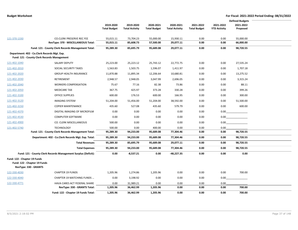|                              |                                                                |                     |                       |                     |                       |                     |                     | <b>Defined Budgets</b> |  |
|------------------------------|----------------------------------------------------------------|---------------------|-----------------------|---------------------|-----------------------|---------------------|---------------------|------------------------|--|
|                              |                                                                | 2019-2020           | 2019-2020             | 2020-2021           | 2020-2021             | 2021-2022           | 2021-2022           | 2021-2022              |  |
|                              |                                                                | <b>Total Budget</b> | <b>Total Activity</b> | <b>Total Budget</b> | <b>Total Activity</b> | <b>Total Budget</b> | <b>YTD Activity</b> | Proposed               |  |
|                              |                                                                |                     |                       |                     |                       |                     |                     |                        |  |
| 121-370-1330                 | <b>CO.CLERK PRESERVE REC FEE</b>                               | 55,015.11           | 73,704.23             | 55,000.00           | 15,930.11             | 0.00                | 0.00                | 55,000.00              |  |
|                              | RevType: 370 - MISCELLANEOUS Total:                            | 55,015.11           | 85,608.73             | 57,500.00           | 29,077.11             | 0.00                | 0.00                | 66,000.00              |  |
|                              | Fund: 121 - County Clerk Records Management Total:             | 95,289.30           | 85,695.79             | 95,689.08           | 29,077.11             | 0.00                | 0.00                | 98,720.55              |  |
|                              | Department: 402 - Co.Clerk Records Mgt. Exp.                   |                     |                       |                     |                       |                     |                     |                        |  |
|                              | Fund: 121 - County Clerk Records Management                    |                     |                       |                     |                       |                     |                     |                        |  |
| 121-402-1040                 | <b>SALARY DEPUTY</b>                                           | 25,223.00           | 25,223.12             | 25,743.12           | 22,772.75             | 0.00                | 0.00                | 27,535.24              |  |
| 121-402-2010                 | SOCIAL SECURITY TAXES                                          | 1,563.83            | 1,503.75              | 1,596.07            | 1,411.97              | 0.00                | 0.00                | 1,707.18               |  |
| 121-402-2020                 | <b>GROUP HEALTH INSURANCE</b>                                  | 11,870.88           | 11,895.34             | 12,206.64           | 10,680.81             | 0.00                | 0.00                | 13,275.52              |  |
| 121-402-2030                 | RETIREMENT                                                     | 2,948.57            | 2,948.05              | 3,047.99            | 2,696.05              | 0.00                | 0.00                | 3,315.24               |  |
| 121-402-2040                 | <b>WORKERS COMPENSATION</b>                                    | 75.67               | 77.16                 | 82.38               | 73.86                 | 0.00                | 0.00                | 88.11                  |  |
| 121-402-2050                 | <b>MEDICARE TAX</b>                                            | 367.75              | 425.97                | 373.28              | 330.28                | 0.00                | 0.00                | 399.26                 |  |
| 121-402-3100                 | <b>OFFICE SUPPLIES</b>                                         | 600.00              | 176.53                | 600.00              | 166.95                | 0.00                | 0.00                | 300.00                 |  |
| 121-402-3120                 | <b>IMAGING SYSTEM</b>                                          | 51,204.00           | 51,456.00             | 51,204.00           | 38,592.00             | 0.00                | 0.00                | 51,500.00              |  |
| 121-402-3150                 | <b>COPIER MAINTENANCE</b>                                      | 435.60              | 527.08                | 435.60              | 579.79                | 0.00                | 0.00                | 600.00                 |  |
| 121-402-4370                 | DIGITAL IMAGING OF MICROFILM                                   | 0.00                | 0.00                  | 0.00                | 0.00                  | 0.00                | 0.00                |                        |  |
| 121-402-4530                 | <b>COMPUTER SOFTWARE</b>                                       | 0.00                | 0.00                  | 0.00                | 0.00                  | 0.00                |                     | 0.00                   |  |
| 121-402-4900                 | CO. CLERK MISCELLANEOUS                                        | 500.00              | 0.00                  | 0.00                | 0.00                  | 0.00                | 0.00                |                        |  |
| 121-402-5740                 | <b>TECHNOLOGY</b>                                              | 500.00              | 0.00                  | 400.00              | 0.00                  | 0.00                | 0.00                |                        |  |
|                              | Fund: 121 - County Clerk Records Management Total:             | 95,289.30           | 94,233.00             | 95,689.08           | 77,304.46             | 0.00                | 0.00                | 98,720.55              |  |
|                              | Department: 402 - Co.Clerk Records Mgt. Exp. Total:            | 95,289.30           | 94,233.00             | 95,689.08           | 77,304.46             | 0.00                | 0.00                | 98,720.55              |  |
|                              | <b>Total Revenues</b>                                          | 95,289.30           | 85,695.79             | 95,689.08           | 29,077.11             | 0.00                | 0.00                | 98,720.55              |  |
|                              | <b>Total Expenses</b>                                          | 95,289.30           | 94,233.00             | 95,689.08           | 77,304.46             | 0.00                | 0.00                | 98,720.55              |  |
|                              | Fund: 121 - County Clerk Records Management Surplus (Deficit): | 0.00                | $-8,537.21$           | 0.00                | $-48,227.35$          | 0.00                | 0.00                | 0.00                   |  |
| Fund: 122 - Chapter 19 Funds |                                                                |                     |                       |                     |                       |                     |                     |                        |  |
|                              | Fund: 122 - Chapter 19 Funds                                   |                     |                       |                     |                       |                     |                     |                        |  |
|                              | RevType: 330 - GRANTS                                          |                     |                       |                     |                       |                     |                     |                        |  |
| 122-330-4030                 | <b>CHAPTER 19 FUNDS</b>                                        | 1,205.96            | 1,274.86              | 1,205.96            | 0.00                  | 0.00                | 0.00                | 700.00                 |  |
| 122-330-4040                 | <b>CHAPTER 19 MATCHING FUNDS</b>                               | 0.00                | 3,198.92              | 0.00                | 0.00                  | 0.00                | 0.00                |                        |  |
| 122-330-4771                 | HAVA CARES ACT FEDERAL SHARE                                   | 0.00                | 31,989.21             | 0.00                | 0.00                  | 0.00                | 0.00                |                        |  |
|                              | RevType: 330 - GRANTS Total:                                   | 1,205.96            | 36,462.99             | 1,205.96            | 0.00                  | 0.00                | 0.00                | 700.00                 |  |
|                              | Fund: 122 - Chapter 19 Funds Total:                            | 1,205.96            | 36,462.99             | 1,205.96            | 0.00                  | 0.00                | 0.00                | 700.00                 |  |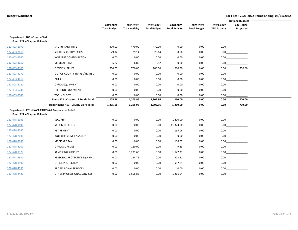|                                                     |                                       |                     |                       |                     |                       |                     |                     | <b>Defined Budgets</b> |
|-----------------------------------------------------|---------------------------------------|---------------------|-----------------------|---------------------|-----------------------|---------------------|---------------------|------------------------|
|                                                     |                                       | 2019-2020           | 2019-2020             | 2020-2021           | 2020-2021             | 2021-2022           | 2021-2022           | 2021-2022              |
|                                                     |                                       | <b>Total Budget</b> | <b>Total Activity</b> | <b>Total Budget</b> | <b>Total Activity</b> | <b>Total Budget</b> | <b>YTD Activity</b> | Proposed               |
| Department: 403 - County Clerk                      |                                       |                     |                       |                     |                       |                     |                     |                        |
| Fund: 122 - Chapter 19 Funds                        |                                       |                     |                       |                     |                       |                     |                     |                        |
| 122-403-1070                                        | SALARY PART-TIME                      | 470.00              | 470.00                | 470.00              | 0.00                  | 0.00                | 0.00                |                        |
| 122-403-2010                                        | SOCIAL SECURITY TAXES                 | 29.14               | 29.14                 | 29.14               | 0.00                  | 0.00                |                     | 0.00                   |
| 122-403-2040                                        | <b>WORKERS COMPENSATION</b>           | 0.00                | 0.00                  | 0.00                | 0.00                  | 0.00                |                     | 0.00                   |
| 122-403-2050                                        | MEDICARE TAX                          | 6.82                | 6.82                  | 6.82                | 0.00                  | 0.00                | 0.00                |                        |
| 122-403-3100                                        | <b>OFFICE SUPPLIES</b>                | 700.00              | 700.00                | 700.00              | 1,260.00              | 0.00                | 0.00                | 700.00                 |
| 122-403-4270                                        | OUT OF COUNTY TRAVEL/TRAIN            | 0.00                | 0.00                  | 0.00                | 0.00                  | 0.00                | 0.00                |                        |
| 122-403-4810                                        | <b>DUES</b>                           | 0.00                | 0.00                  | 0.00                | 0.00                  | 0.00                |                     | 0.00                   |
| 122-403-5720                                        | <b>OFFICE EQUIPMENT</b>               | 0.00                | 0.00                  | 0.00                | 0.00                  | 0.00                |                     | 0.00                   |
| 122-403-5730                                        | <b>ELECTION EQUIPMENT</b>             | 0.00                | 0.00                  | 0.00                | 0.00                  | 0.00                | 0.00                |                        |
| 122-403-5740                                        | <b>TECHNOLOGY</b>                     | 0.00                | 0.00                  | 0.00                | 0.00                  | 0.00                | 0.00                |                        |
|                                                     | Fund: 122 - Chapter 19 Funds Total:   | 1,205.96            | 1,205.96              | 1,205.96            | 1,260.00              | 0.00                | 0.00                | 700.00                 |
|                                                     | Department: 403 - County Clerk Total: | 1,205.96            | 1,205.96              | 1,205.96            | 1,260.00              | 0.00                | 0.00                | 700.00                 |
| Department: 478 - HAVA CARES Act Coronavirus Relief |                                       |                     |                       |                     |                       |                     |                     |                        |
| Fund: 122 - Chapter 19 Funds                        |                                       |                     |                       |                     |                       |                     |                     |                        |
| 122-478-1033                                        | <b>SECURITY</b>                       | 0.00                | 0.00                  | 0.00                | 1,400.00              | 0.00                |                     | 0.00                   |
| 122-478-1090                                        | <b>SALARY ELECTION</b>                | 0.00                | 0.00                  | 0.00                | 11,373.00             | 0.00                |                     | 0.00                   |
| 122-478-2030                                        | RETIREMENT                            | 0.00                | 0.00                  | 0.00                | 165.06                | 0.00                |                     | 0.00                   |
| 122-478-2040                                        | <b>WORKERS COMPENSATION</b>           | 0.00                | 0.00                  | 0.00                | 0.00                  | 0.00                |                     |                        |
| 122-478-2050                                        | <b>MEDICARE TAX</b>                   | 0.00                | 0.00                  | 0.00                | 136.02                | 0.00                |                     | 0.00                   |
| 122-478-3100                                        | <b>OFFICE SUPPLIES</b>                | 0.00                | 120.00                | 0.00                | 9.83                  | 0.00                |                     |                        |
| 122-478-3970                                        | SANITIZING SUPPLIES                   | 0.00                | 3,231.65              | 0.00                | 1,547.27              | 0.00                |                     | 0.00                   |
| 122-478-3980                                        | PERSONAL PROTECTIVE EQUIPM            | 0.00                | 224.75                | 0.00                | 302.51                | 0.00                | 0.00                |                        |
| 122-478-3990                                        | OFFICE PROTECTION                     | 0.00                | 0.00                  | 0.00                | 957.84                | 0.00                |                     | 0.00                   |
| 122-478-4391                                        | PROFESSIONAL SERVICES                 | 0.00                | 0.00                  | 0.00                | 0.00                  | 0.00                |                     | 0.00                   |
| 122-478-4420                                        | OTHER PROFESSIONAL SERVICES           | 0.00                | 1,606.85              | 0.00                | 1,266.94              | 0.00                | 0.00                |                        |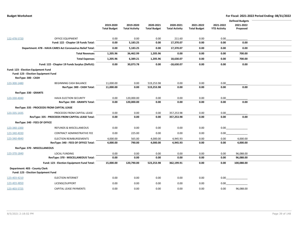|              |                                                            |                     |                       |                     |                       |                     |                     | <b>Defined Budgets</b> |  |
|--------------|------------------------------------------------------------|---------------------|-----------------------|---------------------|-----------------------|---------------------|---------------------|------------------------|--|
|              |                                                            | 2019-2020           | 2019-2020             | 2020-2021           | 2020-2021             | 2021-2022           | 2021-2022           | 2021-2022              |  |
|              |                                                            | <b>Total Budget</b> | <b>Total Activity</b> | <b>Total Budget</b> | <b>Total Activity</b> | <b>Total Budget</b> | <b>YTD Activity</b> | Proposed               |  |
|              |                                                            |                     |                       |                     |                       |                     |                     |                        |  |
| 122-478-5720 | OFFICE EQUIPMENT                                           | 0.00                | 0.00                  | 0.00                | 211.60                | 0.00                | 0.00                |                        |  |
|              | Fund: 122 - Chapter 19 Funds Total:                        | 0.00                | 5,183.25              | 0.00                | 17,370.07             | 0.00                | 0.00                | 0.00                   |  |
|              | Department: 478 - HAVA CARES Act Coronavirus Relief Total: | 0.00                | 5,183.25              | 0.00                | 17,370.07             | 0.00                | 0.00                | 0.00                   |  |
|              | <b>Total Revenues</b>                                      | 1,205.96            | 36,462.99             | 1,205.96            | 0.00                  | 0.00                | 0.00                | 700.00                 |  |
|              | <b>Total Expenses</b>                                      | 1,205.96            | 6,389.21              | 1,205.96            | 18,630.07             | 0.00                | 0.00                | 700.00                 |  |
|              | Fund: 122 - Chapter 19 Funds Surplus (Deficit):            | 0.00                | 30,073.78             | 0.00                | $-18,630.07$          | 0.00                | 0.00                | 0.00                   |  |
|              | Fund: 123 - Election Equipment Fund                        |                     |                       |                     |                       |                     |                     |                        |  |
|              | Fund: 123 - Election Equipment Fund                        |                     |                       |                     |                       |                     |                     |                        |  |
|              | RevType: 300 - CASH                                        |                     |                       |                     |                       |                     |                     |                        |  |
| 123-300-1480 | BEGINNING CASH BALANCE                                     | 11,000.00           | 0.00                  | 519,253.98          | 0.00                  | 0.00                | 0.00                |                        |  |
|              | RevType: 300 - CASH Total:                                 | 11,000.00           | 0.00                  | 519,253.98          | 0.00                  | 0.00                | 0.00                | 0.00                   |  |
|              | RevType: 330 - GRANTS                                      |                     |                       |                     |                       |                     |                     |                        |  |
| 123-330-4040 | <b>HAVA ELECTION SECURITY</b>                              | 0.00                | 120,000.00            | 0.00                | 0.00                  | 0.00                | 0.00                |                        |  |
|              | RevType: 330 - GRANTS Total:                               | 0.00                | 120,000.00            | 0.00                | 0.00                  | 0.00                | 0.00                | 0.00                   |  |
|              | RevType: 335 - PROCEEDS FROM CAPITAL LEASE                 |                     |                       |                     |                       |                     |                     |                        |  |
| 123-335-1435 | PROCEEDS FROM CAPITAL LEASE                                | 0.00                | 0.00                  | 0.00                | 357,253.98            | 0.00                | 0.00                |                        |  |
|              | RevType: 335 - PROCEEDS FROM CAPITAL LEASE Total:          | 0.00                | 0.00                  | 0.00                | 357,253.98            | 0.00                | 0.00                | 0.00                   |  |
|              | RevType: 340 - FEES OF OFFICE                              |                     |                       |                     |                       |                     |                     |                        |  |
| 123-340-1300 | REFUNDS & MISCELLANEOUS                                    | 0.00                | 0.00                  | 0.00                | 0.00                  | 0.00                | 0.00                |                        |  |
| 123-340-4030 | CONTRACT ADMINISTRATIVE FEE                                | 0.00                | 225.00                | 0.00                | 0.00                  | 0.00                | 0.00                |                        |  |
| 123-340-4840 | <b>ELECTION REIMBURSEMENTS</b>                             | 4,000.00            | 565.00                | 4,000.00            | 4,945.93              | 0.00                | 0.00                | 4,000.00               |  |
|              | RevType: 340 - FEES OF OFFICE Total:                       | 4,000.00            | 790.00                | 4,000.00            | 4,945.93              | 0.00                | 0.00                | 4,000.00               |  |
|              | RevType: 370 - MISCELLANEOUS                               |                     |                       |                     |                       |                     |                     |                        |  |
| 123-370-1840 | <b>LOCAL FUNDING</b>                                       | 0.00                | 0.00                  | 0.00                | 0.00                  | 0.00                | 0.00                | 96,088.00              |  |
|              | RevType: 370 - MISCELLANEOUS Total:                        | 0.00                | 0.00                  | 0.00                | 0.00                  | 0.00                | 0.00                | 96,088.00              |  |
|              | Fund: 123 - Election Equipment Fund Total:                 | 15,000.00           | 120,790.00            | 523,253.98          | 362,199.91            | 0.00                | 0.00                | 100,088.00             |  |
|              | Department: 403 - County Clerk                             |                     |                       |                     |                       |                     |                     |                        |  |
|              | Fund: 123 - Election Equipment Fund                        |                     |                       |                     |                       |                     |                     |                        |  |
| 123-403-4210 | <b>ELECTION INTERNET</b>                                   | 0.00                | 0.00                  | 0.00                | 0.00                  | 0.00                | 0.00                |                        |  |
| 123-403-4850 | LICENSE/SUPPORT                                            | 0.00                | 0.00                  | 0.00                | 0.00                  | 0.00                | 0.00                |                        |  |
| 123-403-5725 | <b>CAPITAL LEASE PAYMENTS</b>                              | 0.00                | 0.00                  | 0.00                | 0.00                  | 0.00                | 0.00                | 96,088.00              |  |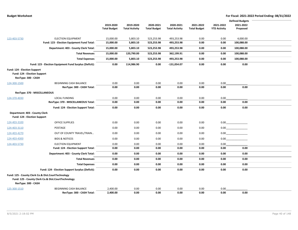|                                |                                                        |                     |                       |                     |                       |                     |                     | <b>Defined Budgets</b> |  |
|--------------------------------|--------------------------------------------------------|---------------------|-----------------------|---------------------|-----------------------|---------------------|---------------------|------------------------|--|
|                                |                                                        | 2019-2020           | 2019-2020             | 2020-2021           | 2020-2021             | 2021-2022           | 2021-2022           | 2021-2022              |  |
|                                |                                                        | <b>Total Budget</b> | <b>Total Activity</b> | <b>Total Budget</b> | <b>Total Activity</b> | <b>Total Budget</b> | <b>YTD Activity</b> | Proposed               |  |
|                                |                                                        |                     |                       |                     |                       |                     |                     |                        |  |
| 123-403-5730                   | <b>ELECTION EQUIPMENT</b>                              | 15,000.00           | 5,803.10              | 523,253.98          | 493,253.98            | 0.00                | 0.00                | 4,000.00               |  |
|                                | Fund: 123 - Election Equipment Fund Total:             | 15,000.00           | 5,803.10              | 523,253.98          | 493,253.98            | 0.00                | 0.00                | 100,088.00             |  |
|                                | Department: 403 - County Clerk Total:                  | 15,000.00           | 5,803.10              | 523,253.98          | 493,253.98            | 0.00                | 0.00                | 100,088.00             |  |
|                                | <b>Total Revenues</b>                                  | 15,000.00           | 120,790.00            | 523,253.98          | 362,199.91            | 0.00                | 0.00                | 100,088.00             |  |
|                                | <b>Total Expenses</b>                                  | 15,000.00           | 5,803.10              | 523,253.98          | 493,253.98            | 0.00                | 0.00                | 100,088.00             |  |
|                                | Fund: 123 - Election Equipment Fund Surplus (Deficit): | 0.00                | 114,986.90            | 0.00                | $-131,054.07$         | 0.00                | 0.00                | 0.00                   |  |
| Fund: 124 - Election Support   |                                                        |                     |                       |                     |                       |                     |                     |                        |  |
| Fund: 124 - Election Support   |                                                        |                     |                       |                     |                       |                     |                     |                        |  |
| RevType: 300 - CASH            |                                                        |                     |                       |                     |                       |                     |                     |                        |  |
| 124-300-1500                   | BEGINNING CASH BALANCE                                 | 0.00                | 0.00                  | 0.00                | 0.00                  | 0.00                | 0.00                |                        |  |
|                                | RevType: 300 - CASH Total:                             | 0.00                | 0.00                  | 0.00                | 0.00                  | 0.00                | 0.00                | 0.00                   |  |
|                                | RevType: 370 - MISCELLANEOUS                           |                     |                       |                     |                       |                     |                     |                        |  |
| 124-370-4030                   | <b>LOCAL FUNDING</b>                                   | 0.00                | 0.00                  | 0.00                | 0.00                  | 0.00                | 0.00                |                        |  |
|                                | RevType: 370 - MISCELLANEOUS Total:                    | 0.00                | 0.00                  | 0.00                | 0.00                  | 0.00                | 0.00                | 0.00                   |  |
|                                | Fund: 124 - Election Support Total:                    | 0.00                | 0.00                  | 0.00                | 0.00                  | 0.00                | 0.00                | 0.00                   |  |
| Department: 403 - County Clerk |                                                        |                     |                       |                     |                       |                     |                     |                        |  |
| Fund: 124 - Election Support   |                                                        |                     |                       |                     |                       |                     |                     |                        |  |
| 124-403-3100                   | <b>OFFICE SUPPLIES</b>                                 | 0.00                | 0.00                  | 0.00                | 0.00                  | 0.00                |                     | 0.00                   |  |
| 124-403-3110                   | POSTAGE                                                | 0.00                | 0.00                  | 0.00                | 0.00                  | 0.00                |                     |                        |  |
| 124-403-4270                   | OUT OF COUNTY TRAVEL/TRAIN                             | 0.00                | 0.00                  | 0.00                | 0.00                  | 0.00                |                     | 0.00                   |  |
| 124-403-4300                   | <b>BIDS &amp; NOTICES</b>                              | 0.00                | 0.00                  | 0.00                | 0.00                  | 0.00                | 0.00                |                        |  |
| 124-403-5730                   | <b>ELECTION EQUIPMENT</b>                              | 0.00                | 0.00                  | 0.00                | 0.00                  | 0.00                | 0.00                |                        |  |
|                                | Fund: 124 - Election Support Total:                    | 0.00                | 0.00                  | 0.00                | 0.00                  | 0.00                | 0.00                | 0.00                   |  |
|                                | Department: 403 - County Clerk Total:                  | 0.00                | 0.00                  | 0.00                | 0.00                  | 0.00                | 0.00                | 0.00                   |  |
|                                | <b>Total Revenues</b>                                  | 0.00                | 0.00                  | 0.00                | 0.00                  | 0.00                | 0.00                | 0.00                   |  |
|                                | <b>Total Expenses</b>                                  | 0.00                | 0.00                  | 0.00                | 0.00                  | 0.00                | 0.00                | 0.00                   |  |
|                                | Fund: 124 - Election Support Surplus (Deficit):        | 0.00                | 0.00                  | 0.00                | 0.00                  | 0.00                | 0.00                | 0.00                   |  |
|                                | Fund: 125 - County Clerk Co.& Dist.CourtTechnology     |                     |                       |                     |                       |                     |                     |                        |  |
|                                | Fund: 125 - County Clerk Co.& Dist.CourtTechnology     |                     |                       |                     |                       |                     |                     |                        |  |
| RevType: 300 - CASH            |                                                        |                     |                       |                     |                       |                     |                     |                        |  |
| 125-300-1510                   | <b>BEGINNING CASH BALANCE</b>                          | 2,400.00            | 0.00                  | 0.00                | 0.00                  | 0.00                | 0.00                |                        |  |
|                                | RevType: 300 - CASH Total:                             | 2,400.00            | 0.00                  | 0.00                | 0.00                  | 0.00                | 0.00                | 0.00                   |  |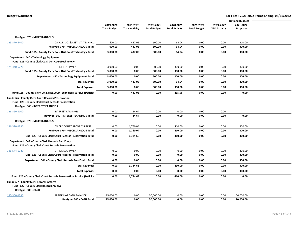|              |                                                                                                                                                |                     |                       |                     |                       |                     |                     | <b>Defined Budgets</b> |  |
|--------------|------------------------------------------------------------------------------------------------------------------------------------------------|---------------------|-----------------------|---------------------|-----------------------|---------------------|---------------------|------------------------|--|
|              |                                                                                                                                                | 2019-2020           | 2019-2020             | 2020-2021           | 2020-2021             | 2021-2022           | 2021-2022           | 2021-2022              |  |
|              |                                                                                                                                                | <b>Total Budget</b> | <b>Total Activity</b> | <b>Total Budget</b> | <b>Total Activity</b> | <b>Total Budget</b> | <b>YTD Activity</b> | Proposed               |  |
|              | RevType: 370 - MISCELLANEOUS                                                                                                                   |                     |                       |                     |                       |                     |                     |                        |  |
| 125-370-4400 | CO. CLK. CO. & DIST. CT. TECHNO                                                                                                                | 600.00              | 437.05                | 600.00              | 64.04                 | 0.00                | 0.00                | 300.00                 |  |
|              | RevType: 370 - MISCELLANEOUS Total:                                                                                                            | 600.00              | 437.05                | 600.00              | 64.04                 | 0.00                | 0.00                | 300.00                 |  |
|              | Fund: 125 - County Clerk Co.& Dist.CourtTechnology Total:                                                                                      | 3,000.00            | 437.05                | 600.00              | 64.04                 | 0.00                | 0.00                | 300.00                 |  |
|              | Department: 440 - Technology Equipment<br>Fund: 125 - County Clerk Co.& Dist.CourtTechnology                                                   |                     |                       |                     |                       |                     |                     |                        |  |
| 125-440-5720 | OFFICE EQUIPMENT                                                                                                                               | 3,000.00            | 0.00                  | 600.00              | 300.00                | 0.00                | 0.00                | 300.00                 |  |
|              | Fund: 125 - County Clerk Co.& Dist.CourtTechnology Total:                                                                                      | 3,000.00            | 0.00                  | 600.00              | 300.00                | 0.00                | 0.00                | 300.00                 |  |
|              | Department: 440 - Technology Equipment Total:                                                                                                  | 3,000.00            | 0.00                  | 600.00              | 300.00                | 0.00                | 0.00                | 300.00                 |  |
|              | <b>Total Revenues</b>                                                                                                                          | 3,000.00            | 437.05                | 600.00              | 64.04                 | 0.00                | 0.00                | 300.00                 |  |
|              | <b>Total Expenses</b>                                                                                                                          | 3,000.00            | 0.00                  | 600.00              | 300.00                | 0.00                | 0.00                | 300.00                 |  |
|              | Fund: 125 - County Clerk Co.& Dist.CourtTechnology Surplus (Deficit):                                                                          | 0.00                | 437.05                | 0.00                | $-235.96$             | 0.00                | 0.00                | 0.00                   |  |
|              | Fund: 126 - County Clerk Court Records Preservation<br>Fund: 126 - County Clerk Court Records Preservation<br>RevType: 360 - INTEREST EARNINGS |                     |                       |                     |                       |                     |                     |                        |  |
| 126-360-1000 | <b>INTEREST EARNINGS</b>                                                                                                                       | 0.00                | 24.64                 | 0.00                | 0.00                  | 0.00                | 0.00                |                        |  |
|              | RevType: 360 - INTEREST EARNINGS Total:                                                                                                        | 0.00                | 24.64                 | 0.00                | 0.00                  | 0.00                | 0.00                | 0.00                   |  |
|              | RevType: 370 - MISCELLANEOUS                                                                                                                   |                     |                       |                     |                       |                     |                     |                        |  |
| 126-370-1330 | CO.CLK.COURT RECORDS PRESE                                                                                                                     | 0.00                | 1,760.04              | 0.00                | 410.00                | 0.00                | 0.00                | 300.00                 |  |
|              | RevType: 370 - MISCELLANEOUS Total:                                                                                                            | 0.00                | 1,760.04              | 0.00                | 410.00                | 0.00                | 0.00                | 300.00                 |  |
|              | Fund: 126 - County Clerk Court Records Preservation Total:                                                                                     | 0.00                | 1,784.68              | 0.00                | 410.00                | 0.00                | 0.00                | 300.00                 |  |
|              | Department: 544 - County Clerk Records Pres.Equip.<br>Fund: 126 - County Clerk Court Records Preservation                                      |                     |                       |                     |                       |                     |                     |                        |  |
| 126-544-5720 | OFFICE EQUIPMENT                                                                                                                               | 0.00                | 0.00                  | 0.00                | 0.00                  | 0.00                | 0.00                | 300.00                 |  |
|              | Fund: 126 - County Clerk Court Records Preservation Total:                                                                                     | 0.00                | 0.00                  | 0.00                | 0.00                  | 0.00                | 0.00                | 300.00                 |  |
|              | Department: 544 - County Clerk Records Pres. Equip. Total:                                                                                     | 0.00                | 0.00                  | 0.00                | 0.00                  | 0.00                | 0.00                | 300.00                 |  |
|              | <b>Total Revenues</b>                                                                                                                          | 0.00                | 1,784.68              | 0.00                | 410.00                | 0.00                | 0.00                | 300.00                 |  |
|              | <b>Total Expenses</b>                                                                                                                          | 0.00                | 0.00                  | 0.00                | 0.00                  | 0.00                | 0.00                | 300.00                 |  |
|              | Fund: 126 - County Clerk Court Records Preservation Surplus (Deficit):                                                                         | 0.00                | 1,784.68              | 0.00                | 410.00                | 0.00                | 0.00                | 0.00                   |  |
|              | Fund: 127 - County Clerk Records Archive<br>Fund: 127 - County Clerk Records Archive<br>RevType: 300 - CASH                                    |                     |                       |                     |                       |                     |                     |                        |  |
| 127-300-1530 | <b>BEGINNING CASH BALANCE</b>                                                                                                                  | 115,000.00          | 0.00                  | 50,000.00           | 0.00                  | 0.00                | 0.00                | 70,000.00              |  |
|              | RevType: 300 - CASH Total:                                                                                                                     | 115,000.00          | 0.00                  | 50,000.00           | 0.00                  | 0.00                | 0.00                | 70,000.00              |  |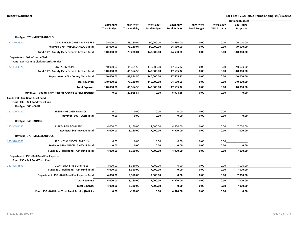|                                  |                                                                             |                     |                       |                     |                       |                     |                     | <b>Defined Budgets</b> |  |
|----------------------------------|-----------------------------------------------------------------------------|---------------------|-----------------------|---------------------|-----------------------|---------------------|---------------------|------------------------|--|
|                                  |                                                                             | 2019-2020           | 2019-2020             | 2020-2021           | 2020-2021             | 2021-2022           | 2021-2022           | 2021-2022              |  |
|                                  |                                                                             | <b>Total Budget</b> | <b>Total Activity</b> | <b>Total Budget</b> | <b>Total Activity</b> | <b>Total Budget</b> | <b>YTD Activity</b> | Proposed               |  |
|                                  |                                                                             |                     |                       |                     |                       |                     |                     |                        |  |
|                                  | RevType: 370 - MISCELLANEOUS                                                |                     |                       |                     |                       |                     |                     |                        |  |
| 127-370-1330                     | CO. CLERK RECORDS ARCHIVE FEE                                               | 25,000.00           | 73,280.04             | 90,000.00           | 24,530.00             | 0.00                | 0.00                | 70,000.00              |  |
|                                  | RevType: 370 - MISCELLANEOUS Total:                                         | 25,000.00           | 73,280.04             | 90,000.00           | 24,530.00             | 0.00                | 0.00                | 70,000.00              |  |
|                                  | Fund: 127 - County Clerk Records Archive Total:                             | 140,000.00          | 73,280.04             | 140,000.00          | 24,530.00             | 0.00                | 0.00                | 140,000.00             |  |
| Department: 403 - County Clerk   |                                                                             |                     |                       |                     |                       |                     |                     |                        |  |
|                                  | Fund: 127 - County Clerk Records Archive                                    |                     |                       |                     |                       |                     |                     |                        |  |
| 127-403-4370                     | DIGITAL IMAGING                                                             | 140,000.00          | 45,364.50             | 140,000.00          | 17,605.32             | 0.00                | 0.00                | 140,000.00             |  |
|                                  | Fund: 127 - County Clerk Records Archive Total:                             | 140,000.00          | 45,364.50             | 140,000.00          | 17,605.32             | 0.00                | 0.00                | 140,000.00             |  |
|                                  | Department: 403 - County Clerk Total:                                       | 140,000.00          | 45,364.50             | 140,000.00          | 17,605.32             | 0.00                | 0.00                | 140,000.00             |  |
|                                  | <b>Total Revenues</b>                                                       | 140,000.00          | 73,280.04             | 140,000.00          | 24,530.00             | 0.00                | 0.00                | 140,000.00             |  |
|                                  | <b>Total Expenses</b>                                                       | 140,000.00          | 45,364.50             | 140,000.00          | 17,605.32             | 0.00                | 0.00                | 140,000.00             |  |
|                                  | Fund: 127 - County Clerk Records Archive Surplus (Deficit):                 | 0.00                | 27,915.54             | 0.00                | 6,924.68              | 0.00                | 0.00                | 0.00                   |  |
| Fund: 130 - Bail Bond Trust Fund |                                                                             |                     |                       |                     |                       |                     |                     |                        |  |
|                                  | Fund: 130 - Bail Bond Trust Fund                                            |                     |                       |                     |                       |                     |                     |                        |  |
| RevType: 300 - CASH              |                                                                             |                     |                       |                     |                       |                     |                     |                        |  |
| 130-300-1130                     | BEGINNING CASH BALANCE                                                      | 0.00                | 0.00                  | 0.00                | 0.00                  | 0.00                | 0.00                |                        |  |
|                                  | RevType: 300 - CASH Total:                                                  | 0.00                | 0.00                  | 0.00                | 0.00                  | 0.00                | 0.00                | 0.00                   |  |
| RevType: 345 - BONDS             |                                                                             |                     |                       |                     |                       |                     |                     |                        |  |
| 130-345-1130                     | <b>SURETY BAIL BOND FEE</b>                                                 | 4,000.00            | 8,160.00              | 7,000.00            | 4,920.00              | 0.00                | 0.00                | 7,000.00               |  |
|                                  | RevType: 345 - BONDS Total:                                                 | 4,000.00            | 8,160.00              | 7,000.00            | 4,920.00              | 0.00                | 0.00                | 7,000.00               |  |
|                                  | RevType: 370 - MISCELLANEOUS                                                |                     |                       |                     |                       |                     |                     |                        |  |
| 130-370-1300                     | REFUNDS & MISCELLANEOUS                                                     | 0.00                | 0.00                  | 0.00                | 0.00                  | 0.00                | 0.00                |                        |  |
|                                  | RevType: 370 - MISCELLANEOUS Total:                                         | 0.00                | 0.00                  | 0.00                | 0.00                  | 0.00                | 0.00                | 0.00                   |  |
|                                  | Fund: 130 - Bail Bond Trust Fund Total:                                     | 4,000.00            | 8,160.00              | 7,000.00            | 4,920.00              | 0.00                | 0.00                | 7,000.00               |  |
|                                  | Department: 498 - Bail Bond Fee Expense<br>Fund: 130 - Bail Bond Trust Fund |                     |                       |                     |                       |                     |                     |                        |  |
| 130-498-4890                     | <b>QUARTERLY BAIL BOND FEES</b>                                             | 4,000.00            | 8,310.00              | 7,000.00            | 0.00                  | 0.00                | 0.00                | 7,000.00               |  |
|                                  | Fund: 130 - Bail Bond Trust Fund Total:                                     | 4,000.00            | 8,310.00              | 7,000.00            | 0.00                  | 0.00                | 0.00                | 7,000.00               |  |
|                                  | Department: 498 - Bail Bond Fee Expense Total:                              | 4,000.00            | 8,310.00              | 7,000.00            | 0.00                  | 0.00                | 0.00                | 7,000.00               |  |
|                                  | <b>Total Revenues</b>                                                       | 4,000.00            | 8,160.00              | 7,000.00            | 4,920.00              | 0.00                | 0.00                | 7,000.00               |  |
|                                  |                                                                             |                     |                       |                     |                       |                     |                     |                        |  |
|                                  | <b>Total Expenses</b>                                                       | 4,000.00            | 8,310.00              | 7,000.00            | 0.00                  | 0.00                | 0.00                | 7,000.00               |  |
|                                  | Fund: 130 - Bail Bond Trust Fund Surplus (Deficit):                         | 0.00                | $-150.00$             | 0.00                | 4,920.00              | 0.00                | 0.00                | 0.00                   |  |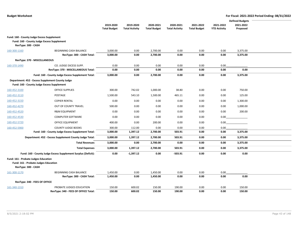|                                                                                                     |                                                                                                |                     |                       |                     |                       |                     |                     | <b>Defined Budgets</b> |  |
|-----------------------------------------------------------------------------------------------------|------------------------------------------------------------------------------------------------|---------------------|-----------------------|---------------------|-----------------------|---------------------|---------------------|------------------------|--|
|                                                                                                     |                                                                                                | 2019-2020           | 2019-2020             | 2020-2021           | 2020-2021             | 2021-2022           | 2021-2022           | 2021-2022              |  |
|                                                                                                     |                                                                                                | <b>Total Budget</b> | <b>Total Activity</b> | <b>Total Budget</b> | <b>Total Activity</b> | <b>Total Budget</b> | <b>YTD Activity</b> | Proposed               |  |
| Fund: 160 - County Judge Excess Supplement                                                          |                                                                                                |                     |                       |                     |                       |                     |                     |                        |  |
|                                                                                                     | Fund: 160 - County Judge Excess Supplement                                                     |                     |                       |                     |                       |                     |                     |                        |  |
| RevType: 300 - CASH                                                                                 |                                                                                                |                     |                       |                     |                       |                     |                     |                        |  |
| 160-300-1160                                                                                        | <b>BEGINNING CASH BALANCE</b>                                                                  | 3,000.00            | 0.00                  | 2,700.00            | 0.00                  | 0.00                | 0.00                | 3,375.00               |  |
|                                                                                                     | RevType: 300 - CASH Total:                                                                     | 3,000.00            | 0.00                  | 2,700.00            | 0.00                  | 0.00                | 0.00                | 3,375.00               |  |
| RevType: 370 - MISCELLANEOUS                                                                        |                                                                                                |                     |                       |                     |                       |                     |                     |                        |  |
| 160-370-1490                                                                                        | CO. JUDGE EXCESS SUPP.                                                                         | 0.00                | 0.00                  | 0.00                | 0.00                  | 0.00                | 0.00                |                        |  |
|                                                                                                     | RevType: 370 - MISCELLANEOUS Total:                                                            | 0.00                | $0.00\,$              | 0.00                | 0.00                  | 0.00                | 0.00                | 0.00                   |  |
|                                                                                                     | Fund: 160 - County Judge Excess Supplement Total:                                              | 3,000.00            | 0.00                  | 2,700.00            | 0.00                  | 0.00                | 0.00                | 3,375.00               |  |
|                                                                                                     | Department: 452 - Excess Supplement County Judge<br>Fund: 160 - County Judge Excess Supplement |                     |                       |                     |                       |                     |                     |                        |  |
| 160-452-3100                                                                                        | <b>OFFICE SUPPLIES</b>                                                                         | 300.00              | 742.02                | 1,000.00            | 38.80                 | 0.00                | 0.00                | 750.00                 |  |
| 160-452-3110                                                                                        | POSTAGE                                                                                        | 1,500.00            | 543.10                | 1,500.00            | 465.11                | 0.00                | 0.00                | 125.00                 |  |
| 160-452-3150                                                                                        | <b>COPIER RENTAL</b>                                                                           | 0.00                | 0.00                  | 0.00                | 0.00                  | 0.00                | 0.00                | 1,300.00               |  |
| 160-452-4270                                                                                        | OUT OF COUNTY TRAVEL                                                                           | 500.00              | 0.00                  | 0.00                | 0.00                  | 0.00                | 0.00                | 1,000.00               |  |
| 160-452-4520                                                                                        | <b>R&amp;M EQUIPMENT</b>                                                                       | 0.00                | 0.00                  | 0.00                | 0.00                  | 0.00                | 0.00                | 200.00                 |  |
| 160-452-4530                                                                                        | <b>COMPUTER SOFTWARE</b>                                                                       | 0.00                | 0.00                  | 0.00                | 0.00                  | 0.00                | 0.00                |                        |  |
| 160-452-5720                                                                                        | <b>OFFICE EQUIPMENT</b>                                                                        | 400.00              | 0.00                  | 200.00              | 0.00                  | 0.00                | 0.00                |                        |  |
| 160-452-5900                                                                                        | <b>COUNTY JUDGE BOOKS</b>                                                                      | 300.00              | 112.00                | 0.00                | 0.00                  | 0.00                | 0.00                |                        |  |
|                                                                                                     | Fund: 160 - County Judge Excess Supplement Total:                                              | 3,000.00            | 1,397.12              | 2,700.00            | 503.91                | 0.00                | 0.00                | 3,375.00               |  |
|                                                                                                     | Department: 452 - Excess Supplement County Judge Total:                                        | 3,000.00            | 1,397.12              | 2,700.00            | 503.91                | 0.00                | 0.00                | 3,375.00               |  |
|                                                                                                     | <b>Total Revenues</b>                                                                          | 3,000.00            | 0.00                  | 2,700.00            | 0.00                  | 0.00                | 0.00                | 3,375.00               |  |
|                                                                                                     | <b>Total Expenses</b>                                                                          | 3,000.00            | 1,397.12              | 2,700.00            | 503.91                | 0.00                | 0.00                | 3,375.00               |  |
|                                                                                                     | Fund: 160 - County Judge Excess Supplement Surplus (Deficit):                                  | 0.00                | $-1,397.12$           | 0.00                | $-503.91$             | 0.00                | 0.00                | 0.00                   |  |
| Fund: 161 - Probate Judges Education<br>Fund: 161 - Probate Judges Education<br>RevType: 300 - CASH |                                                                                                |                     |                       |                     |                       |                     |                     |                        |  |
| 161-300-1170                                                                                        | <b>BEGINNING CASH BALANCE</b>                                                                  | 1,450.00            | 0.00                  | 1,450.00            | 0.00                  | 0.00                | 0.00                |                        |  |
|                                                                                                     | RevType: 300 - CASH Total:                                                                     | 1,450.00            | 0.00                  | 1,450.00            | 0.00                  | 0.00                | 0.00                | 0.00                   |  |
| RevType: 340 - FEES OF OFFICE                                                                       |                                                                                                |                     |                       |                     |                       |                     |                     |                        |  |
| 161-340-1310                                                                                        | PROBATE JUDGES EDUCATION                                                                       | 150.00              | 600.02                | 150.00              | 190.00                | 0.00                | 0.00                | 150.00                 |  |
|                                                                                                     | RevType: 340 - FEES OF OFFICE Total:                                                           | 150.00              | 600.02                | 150.00              | 190.00                | 0.00                | 0.00                | 150.00                 |  |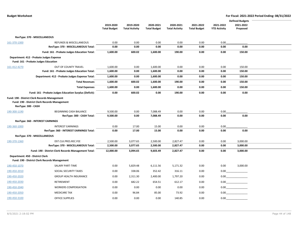|                                  |                                                                                                |                     |                       |                     |                       |                     |                     | <b>Defined Budgets</b> |  |
|----------------------------------|------------------------------------------------------------------------------------------------|---------------------|-----------------------|---------------------|-----------------------|---------------------|---------------------|------------------------|--|
|                                  |                                                                                                | 2019-2020           | 2019-2020             | 2020-2021           | 2020-2021             | 2021-2022           | 2021-2022           | 2021-2022              |  |
|                                  |                                                                                                | <b>Total Budget</b> | <b>Total Activity</b> | <b>Total Budget</b> | <b>Total Activity</b> | <b>Total Budget</b> | <b>YTD Activity</b> | Proposed               |  |
|                                  |                                                                                                |                     |                       |                     |                       |                     |                     |                        |  |
|                                  | RevType: 370 - MISCELLANEOUS                                                                   |                     |                       |                     |                       |                     |                     |                        |  |
| 161-370-1300                     | <b>REFUNDS &amp; MISCELLANEOUS</b>                                                             | 0.00                | 0.00                  | 0.00                | 0.00                  | 0.00                | 0.00                |                        |  |
|                                  | RevType: 370 - MISCELLANEOUS Total:                                                            | 0.00                | 0.00                  | 0.00                | 0.00                  | 0.00                | 0.00                | 0.00                   |  |
|                                  | Fund: 161 - Probate Judges Education Total:                                                    | 1,600.00            | 600.02                | 1,600.00            | 190.00                | 0.00                | 0.00                | 150.00                 |  |
|                                  | Department: 412 - Probate Judges Expense<br>Fund: 161 - Probate Judges Education               |                     |                       |                     |                       |                     |                     |                        |  |
| 161-412-4270                     | OUT OF COUNTY TRAVEL                                                                           | 1,600.00            | 0.00                  | 1,600.00            | 0.00                  | 0.00                | 0.00                | 150.00                 |  |
|                                  | Fund: 161 - Probate Judges Education Total:                                                    | 1,600.00            | 0.00                  | 1,600.00            | 0.00                  | 0.00                | 0.00                | 150.00                 |  |
|                                  | Department: 412 - Probate Judges Expense Total:                                                | 1,600.00            | 0.00                  | 1,600.00            | 0.00                  | 0.00                | 0.00                | 150.00                 |  |
|                                  | <b>Total Revenues</b>                                                                          | 1,600.00            | 600.02                | 1,600.00            | 190.00                | 0.00                | 0.00                | 150.00                 |  |
|                                  | <b>Total Expenses</b>                                                                          | 1,600.00            | 0.00                  | 1,600.00            | 0.00                  | 0.00                | 0.00                | 150.00                 |  |
|                                  | Fund: 161 - Probate Judges Education Surplus (Deficit):                                        | 0.00                | 600.02                | 0.00                | 190.00                | 0.00                | 0.00                | 0.00                   |  |
| RevType: 300 - CASH              | Fund: 190 - District Clerk Records Management<br>Fund: 190 - District Clerk Records Management |                     |                       |                     |                       |                     |                     |                        |  |
| 190-300-1190                     | BEGINNING CASH BALANCE                                                                         | 9,500.00            | 0.00                  | 7,088.49            | 0.00                  | 0.00                | 0.00                |                        |  |
|                                  | RevType: 300 - CASH Total:                                                                     | 9,500.00            | 0.00                  | 7,088.49            | 0.00                  | 0.00                | 0.00                | 0.00                   |  |
|                                  | RevType: 360 - INTEREST EARNINGS                                                               |                     |                       |                     |                       |                     |                     |                        |  |
| 190-360-1000                     | <b>INTEREST EARNINGS</b>                                                                       | 0.00                | 17.00                 | 15.00               | 0.00                  | 0.00                | 0.00                |                        |  |
|                                  | RevType: 360 - INTEREST EARNINGS Total:                                                        | 0.00                | 17.00                 | 15.00               | 0.00                  | 0.00                | 0.00                | 0.00                   |  |
|                                  | RevType: 370 - MISCELLANEOUS                                                                   |                     |                       |                     |                       |                     |                     |                        |  |
| 190-370-1360                     | DST.CLK.PRES.REC.FEE                                                                           | 2,500.00            | 3,077.65              | 2,500.00            | 2,827.47              | 0.00                | 0.00                | 3,000.00               |  |
|                                  | RevType: 370 - MISCELLANEOUS Total:                                                            | 2,500.00            | 3,077.65              | 2,500.00            | 2,827.47              | 0.00                | 0.00                | 3,000.00               |  |
|                                  | Fund: 190 - District Clerk Records Management Total:                                           | 12,000.00           | 3,094.65              | 9,603.49            | 2,827.47              | 0.00                | 0.00                | 3,000.00               |  |
| Department: 450 - District Clerk |                                                                                                |                     |                       |                     |                       |                     |                     |                        |  |
|                                  | Fund: 190 - District Clerk Records Management                                                  |                     |                       |                     |                       |                     |                     |                        |  |
| 190-450-1070                     | SALARY PART-TIME                                                                               | 0.00                | 5,829.48              | 6,111.56            | 5,171.32              | 0.00                | 0.00                | 3,000.00               |  |
| 190-450-2010                     | SOCIAL SECURITY TAXES                                                                          | 0.00                | 338.06                | 352.42              | 316.11                | 0.00                | 0.00                |                        |  |
| 190-450-2020                     | <b>GROUP HEALTH INSURANCE</b>                                                                  | 0.00                | 2,311.30              | 2,400.00            | 1,797.20              | 0.00                |                     |                        |  |
| 190-450-2030                     | RETIREMENT                                                                                     | 0.00                | 682.22                | 654.51              | 612.17                | 0.00                |                     | $0.00$                 |  |
| 190-450-2040                     | <b>WORKERS COMPENSATION</b>                                                                    | 0.00                | 0.00                  | 0.00                | 0.00                  | 0.00                |                     | 0.00                   |  |
| 190-450-2050                     | <b>MEDICARE TAX</b>                                                                            | 0.00                | 96.84                 | 85.00               | 73.92                 | 0.00                |                     | 0.00                   |  |
| 190-450-3100                     | <b>OFFICE SUPPLIES</b>                                                                         | 0.00                | 0.00                  | 0.00                | 140.85                | 0.00                | 0.00                |                        |  |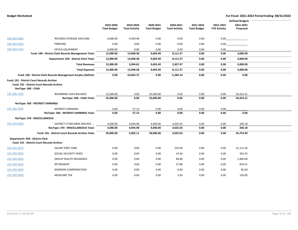|                     |                                                                                                                        |                                  |                                    |                                  |                                    |                                  |                                  | <b>Defined Budgets</b> |  |
|---------------------|------------------------------------------------------------------------------------------------------------------------|----------------------------------|------------------------------------|----------------------------------|------------------------------------|----------------------------------|----------------------------------|------------------------|--|
|                     |                                                                                                                        | 2019-2020<br><b>Total Budget</b> | 2019-2020<br><b>Total Activity</b> | 2020-2021<br><b>Total Budget</b> | 2020-2021<br><b>Total Activity</b> | 2021-2022<br><b>Total Budget</b> | 2021-2022<br><b>YTD Activity</b> | 2021-2022<br>Proposed  |  |
| <u>190-450-4000</u> | RECORDS STORAGE SHELVING                                                                                               | 6,000.00                         | 4,440.48                           | 0.00                             | 0.00                               | 0.00                             | 0.00                             |                        |  |
| 190-450-4350        | PRINTING                                                                                                               | 0.00                             | 0.00                               | 0.00                             | 0.00                               | 0.00                             | 0.00                             |                        |  |
| 190-450-5720        | OFFICE EQUIPMENT                                                                                                       | 6,000.00                         | 0.00                               | 0.00                             | 0.00                               | 0.00                             | 0.00                             |                        |  |
|                     | Fund: 190 - District Clerk Records Management Total:                                                                   | 12,000.00                        | 13,698.38                          | 9,603.49                         | 8,111.57                           | 0.00                             | 0.00                             | 3,000.00               |  |
|                     | Department: 450 - District Clerk Total:                                                                                | 12,000.00                        | 13,698.38                          | 9,603.49                         | 8,111.57                           | 0.00                             | 0.00                             | 3,000.00               |  |
|                     | <b>Total Revenues</b>                                                                                                  | 12,000.00                        | 3,094.65                           | 9,603.49                         | 2,827.47                           | 0.00                             | 0.00                             | 3,000.00               |  |
|                     | <b>Total Expenses</b>                                                                                                  | 12,000.00                        | 13,698.38                          | 9,603.49                         | 8,111.57                           | 0.00                             | 0.00                             | 3,000.00               |  |
|                     | Fund: 190 - District Clerk Records Management Surplus (Deficit):                                                       | 0.00                             | $-10,603.73$                       | 0.00                             | $-5,284.10$                        | 0.00                             | 0.00                             | 0.00                   |  |
|                     | Fund: 191 - District Court Records Archive<br><b>Fund: 191 - District Court Records Archive</b><br>RevType: 300 - CASH |                                  |                                    |                                  |                                    |                                  |                                  |                        |  |
| 191-300-1340        | <b>BEGINNING CASH BALANCE</b>                                                                                          | 25,000.00                        | 0.00                               | 25,000.00                        | 0.00                               | 0.00                             | 0.00                             | 34,423.31              |  |
|                     | RevType: 300 - CASH Total:                                                                                             | 25,000.00                        | 0.00                               | 25,000.00                        | 0.00                               | 0.00                             | 0.00                             | 34,423.31              |  |
|                     | <b>RevType: 360 - INTEREST EARNINGS</b>                                                                                |                                  |                                    |                                  |                                    |                                  |                                  |                        |  |
| 191-360-1000        | <b>INTEREST EARNINGS</b>                                                                                               | 0.00                             | 57.13                              | 0.00                             | 0.00                               | 0.00                             | 0.00                             |                        |  |
|                     | RevType: 360 - INTEREST EARNINGS Total:                                                                                | 0.00                             | 57.13                              | 0.00                             | 0.00                               | 0.00                             | 0.00                             | 0.00                   |  |
|                     | RevType: 370 - MISCELLANEOUS                                                                                           |                                  |                                    |                                  |                                    |                                  |                                  |                        |  |
| 191-370-4500        | DISTRICT CT.RECORDS ARCHIVE                                                                                            | 4,000.00                         | 4,944.98                           | 4,000.00                         | 4,025.03                           | 0.00                             | 0.00                             | 330.18                 |  |
|                     | RevType: 370 - MISCELLANEOUS Total:                                                                                    | 4,000.00                         | 4,944.98                           | 4,000.00                         | 4,025.03                           | 0.00                             | 0.00                             | 330.18                 |  |
|                     | Fund: 191 - District Court Records Archive Total:                                                                      | 29,000.00                        | 5,002.11                           | 29,000.00                        | 4,025.03                           | 0.00                             | 0.00                             | 34,753.49              |  |
|                     | Department: 450 - District Clerk<br>Fund: 191 - District Court Records Archive                                         |                                  |                                    |                                  |                                    |                                  |                                  |                        |  |
| 191-450-1070        | SALARY PART-TIME                                                                                                       | 0.00                             | 0.00                               | 0.00                             | 235.06                             | 0.00                             | 0.00                             | 31,111.56              |  |
| 191-450-2010        | SOCIAL SECURITY TAXES                                                                                                  | 0.00                             | 0.00                               | 0.00                             | 14.36                              | 0.00                             | 0.00                             | 352.42                 |  |
| 191-450-2020        | <b>GROUP HEALTH INSURANCE</b>                                                                                          | 0.00                             | 0.00                               | 0.00                             | 89.86                              | 0.00                             | 0.00                             | 2,400.00               |  |
| 191-450-2030        | RETIREMENT                                                                                                             | 0.00                             | 0.00                               | 0.00                             | 27.88                              | 0.00                             | 0.00                             | 654.51                 |  |
| 191-450-2040        | <b>WORKERS COMPENSATION</b>                                                                                            | 0.00                             | 0.00                               | 0.00                             | 0.00                               | 0.00                             | 0.00                             | 85.00                  |  |
| 191-450-2050        | <b>MEDICARE TAX</b>                                                                                                    | 0.00                             | 0.00                               | 0.00                             | 3.36                               | 0.00                             | 0.00                             | 150.00                 |  |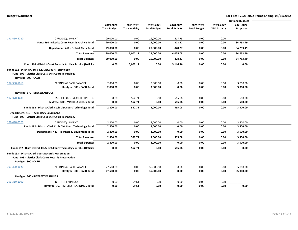|                     |                                                                                                                |                        |                       |                        |                       |                     |                     | <b>Defined Budgets</b> |  |
|---------------------|----------------------------------------------------------------------------------------------------------------|------------------------|-----------------------|------------------------|-----------------------|---------------------|---------------------|------------------------|--|
|                     |                                                                                                                | 2019-2020              | 2019-2020             | 2020-2021              | 2020-2021             | 2021-2022           | 2021-2022           | 2021-2022              |  |
|                     |                                                                                                                | <b>Total Budget</b>    | <b>Total Activity</b> | <b>Total Budget</b>    | <b>Total Activity</b> | <b>Total Budget</b> | <b>YTD Activity</b> | Proposed               |  |
|                     |                                                                                                                |                        | 0.00                  |                        | 507.75                | 0.00                |                     |                        |  |
| 191-450-5720        | OFFICE EQUIPMENT<br>Fund: 191 - District Court Records Archive Total:                                          | 29,000.00<br>29,000.00 | 0.00                  | 29,000.00<br>29,000.00 | 878.27                | 0.00                | 0.00<br>0.00        | 34,753.49              |  |
|                     |                                                                                                                |                        |                       |                        |                       |                     |                     |                        |  |
|                     | Department: 450 - District Clerk Total:                                                                        | 29,000.00              | 0.00                  | 29,000.00              | 878.27                | 0.00                | 0.00                | 34,753.49              |  |
|                     | <b>Total Revenues</b>                                                                                          | 29,000.00              | 5,002.11              | 29,000.00              | 4,025.03              | 0.00                | 0.00                | 34,753.49              |  |
|                     | <b>Total Expenses</b>                                                                                          | 29,000.00              | 0.00                  | 29,000.00              | 878.27                | 0.00                | 0.00                | 34,753.49              |  |
|                     | Fund: 191 - District Court Records Archive Surplus (Deficit):                                                  | 0.00                   | 5,002.11              | 0.00                   | 3,146.76              | 0.00                | 0.00                | 0.00                   |  |
| RevType: 300 - CASH | Fund: 192 - District Clerk Co.& Dist.Court Technology<br>Fund: 192 - District Clerk Co.& Dist.Court Technology |                        |                       |                        |                       |                     |                     |                        |  |
| 192-300-1610        | <b>BEGINNING CASH BALANCE</b>                                                                                  | 2,800.00               | 0.00                  | 3,000.00               | 0.00                  | 0.00                | 0.00                | 3,000.00               |  |
|                     | RevType: 300 - CASH Total:                                                                                     | 2,800.00               | 0.00                  | 3,000.00               | 0.00                  | 0.00                | 0.00                | 3,000.00               |  |
|                     | RevType: 370 - MISCELLANEOUS                                                                                   |                        |                       |                        |                       |                     |                     |                        |  |
| 192-370-4400        | DST.CLK.CO.&DST.CT.TECHNOLO                                                                                    | 0.00                   | 552.71                | 0.00                   | 565.08                | 0.00                | 0.00                | 500.00                 |  |
|                     | RevType: 370 - MISCELLANEOUS Total:                                                                            | 0.00                   | 552.71                | 0.00                   | 565.08                | 0.00                | 0.00                | 500.00                 |  |
|                     | Fund: 192 - District Clerk Co.& Dist.Court Technology Total:                                                   | 2,800.00               | 552.71                | 3,000.00               | 565.08                | 0.00                | 0.00                | 3,500.00               |  |
|                     | Department: 440 - Technology Equipment<br>Fund: 192 - District Clerk Co.& Dist.Court Technology                |                        |                       |                        |                       |                     |                     |                        |  |
| 192-440-5720        | <b>OFFICE EQUIPMENT</b>                                                                                        | 2,800.00               | 0.00                  | 3,000.00               | 0.00                  | 0.00                | 0.00                | 3,500.00               |  |
|                     | Fund: 192 - District Clerk Co.& Dist.Court Technology Total:                                                   | 2,800.00               | 0.00                  | 3,000.00               | 0.00                  | 0.00                | 0.00                | 3,500.00               |  |
|                     | Department: 440 - Technology Equipment Total:                                                                  | 2,800.00               | 0.00                  | 3,000.00               | 0.00                  | 0.00                | 0.00                | 3,500.00               |  |
|                     | <b>Total Revenues</b>                                                                                          | 2,800.00               | 552.71                | 3,000.00               | 565.08                | 0.00                | 0.00                | 3,500.00               |  |
|                     | <b>Total Expenses</b>                                                                                          | 2,800.00               | 0.00                  | 3,000.00               | 0.00                  | 0.00                | 0.00                | 3,500.00               |  |
|                     | Fund: 192 - District Clerk Co.& Dist.Court Technology Surplus (Deficit):                                       | 0.00                   | 552.71                | 0.00                   | 565.08                | 0.00                | 0.00                | 0.00                   |  |
| RevType: 300 - CASH | Fund: 193 - District Clerk Court Records Preservation<br>Fund: 193 - District Clerk Court Records Preservation |                        |                       |                        |                       |                     |                     |                        |  |
| 193-300-1620        | <b>BEGINNING CASH BALANCE</b>                                                                                  | 27,500.00              | 0.00                  | 35,000.00              | 0.00                  | 0.00                | 0.00                | 35,000.00              |  |
|                     | RevType: 300 - CASH Total:                                                                                     | 27,500.00              | 0.00                  | 35,000.00              | 0.00                  | 0.00                | 0.00                | 35,000.00              |  |
|                     | RevType: 360 - INTEREST EARNINGS                                                                               |                        |                       |                        |                       |                     |                     |                        |  |
| 193-360-1000        | <b>INTEREST EARNINGS</b>                                                                                       | 0.00                   | 59.61                 | 0.00                   | 0.00                  | 0.00                | 0.00                |                        |  |
|                     | RevType: 360 - INTEREST EARNINGS Total:                                                                        | 0.00                   | 59.61                 | 0.00                   | 0.00                  | 0.00                | 0.00                | 0.00                   |  |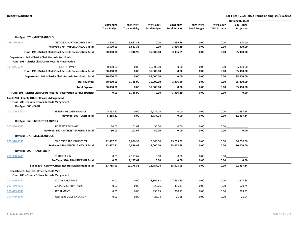|              |                                                                                                                     |                     |                       |                     |                       |                     |                     | <b>Defined Budgets</b> |  |
|--------------|---------------------------------------------------------------------------------------------------------------------|---------------------|-----------------------|---------------------|-----------------------|---------------------|---------------------|------------------------|--|
|              |                                                                                                                     | 2019-2020           | 2019-2020             | 2020-2021           | 2020-2021             | 2021-2022           | 2021-2022           | 2021-2022              |  |
|              |                                                                                                                     | <b>Total Budget</b> | <b>Total Activity</b> | <b>Total Budget</b> | <b>Total Activity</b> | <b>Total Budget</b> | <b>YTD Activity</b> | Proposed               |  |
|              |                                                                                                                     |                     |                       |                     |                       |                     |                     |                        |  |
|              | RevType: 370 - MISCELLANEOUS                                                                                        |                     |                       |                     |                       |                     |                     |                        |  |
| 193-370-1330 | DIST.CLK.COURT RECORDS PRES                                                                                         | 2,500.00            | 3,687.38              | 0.00                | 3,336.89              | 0.00                | 0.00                | 300.00                 |  |
|              | RevType: 370 - MISCELLANEOUS Total:                                                                                 | 2,500.00            | 3,687.38              | 0.00                | 3,336.89              | 0.00                | 0.00                | 300.00                 |  |
|              | Fund: 193 - District Clerk Court Records Preservation Total:                                                        | 30,000.00           | 3,746.99              | 35,000.00           | 3,336.89              | 0.00                | 0.00                | 35,300.00              |  |
|              | Department: 545 - District Clerk Records Pres. Equip.                                                               |                     |                       |                     |                       |                     |                     |                        |  |
|              | <b>Fund: 193 - District Clerk Court Records Preservation</b>                                                        |                     |                       |                     |                       |                     |                     |                        |  |
| 193-545-5720 | <b>OFFICE EQUIPMENT</b>                                                                                             | 30,000.00           | 0.00                  | 35,000.00           | 0.00                  | 0.00                | 0.00                | 35,300.00              |  |
|              | Fund: 193 - District Clerk Court Records Preservation Total:                                                        | 30,000.00           | 0.00                  | 35,000.00           | 0.00                  | 0.00                | 0.00                | 35,300.00              |  |
|              | Department: 545 - District Clerk Records Pres. Equip. Total:                                                        | 30,000.00           | 0.00                  | 35,000.00           | 0.00                  | 0.00                | 0.00                | 35,300.00              |  |
|              | <b>Total Revenues</b>                                                                                               | 30,000.00           | 3,746.99              | 35,000.00           | 3,336.89              | 0.00                | 0.00                | 35,300.00              |  |
|              | <b>Total Expenses</b>                                                                                               | 30,000.00           | 0.00                  | 35,000.00           | 0.00                  | 0.00                | 0.00                | 35,300.00              |  |
|              | Fund: 193 - District Clerk Court Records Preservation Surplus (Deficit):                                            | 0.00                | 3,746.99              | 0.00                | 3,336.89              | 0.00                | 0.00                | 0.00                   |  |
|              | Fund: 200 - County Offices Records Mangement<br>Fund: 200 - County Offices Records Mangement<br>RevType: 300 - CASH |                     |                       |                     |                       |                     |                     |                        |  |
| 200-300-1200 | BEGINNING CASH BALANCE                                                                                              | 5,258.42            | 0.00                  | 6,737.24            | 0.00                  | 0.00                | 0.00                | 12,337.24              |  |
|              | RevType: 300 - CASH Total:                                                                                          | 5,258.42            | 0.00                  | 6,737.24            | 0.00                  | 0.00                | 0.00                | 12,337.24              |  |
|              | <b>RevType: 360 - INTEREST EARNINGS</b>                                                                             |                     |                       |                     |                       |                     |                     |                        |  |
| 200-360-1000 | <b>INTEREST EARNINGS</b>                                                                                            | 50.00               | 101.67                | 50.00               | 0.00                  | 0.00                | 0.00                |                        |  |
|              | RevType: 360 - INTEREST EARNINGS Total:                                                                             | 50.00               | 101.67                | 50.00               | 0.00                  | 0.00                | 0.00                | 0.00                   |  |
|              | RevType: 370 - MISCELLANEOUS                                                                                        |                     |                       |                     |                       |                     |                     |                        |  |
| 200-370-1350 | CO.OFFICE REC.MNGMT.FEE                                                                                             | 12,477.51           | 7,896.99              | 15,000.00           | 13,073.99             | 0.00                | 0.00                | 10,000.00              |  |
|              | RevType: 370 - MISCELLANEOUS Total:                                                                                 | 12,477.51           | 7,896.99              | 15,000.00           | 13,073.99             | 0.00                | 0.00                | 10,000.00              |  |
|              | RevType: 390 - TRANSFERS IN                                                                                         |                     |                       |                     |                       |                     |                     |                        |  |
| 200-390-1400 | <b>TRANSFERS IN</b>                                                                                                 | 0.00                | 2,177.67              | 0.00                | 0.00                  | 0.00                | 0.00                |                        |  |
|              | RevType: 390 - TRANSFERS IN Total:                                                                                  | 0.00                | 2,177.67              | 0.00                | 0.00                  | 0.00                | 0.00                | 0.00                   |  |
|              | Fund: 200 - County Offices Records Mangement Total:                                                                 | 17,785.93           | 10,176.33             | 21,787.24           | 13,073.99             | 0.00                | 0.00                | 22,337.24              |  |
|              | Department: 449 - Co. Office Records Mgt.<br>Fund: 200 - County Offices Records Mangement                           |                     |                       |                     |                       |                     |                     |                        |  |
| 200-449-1070 | SALARY PART-TIME                                                                                                    | 0.00                | 0.00                  | 8,807.83            | 7,598.88              | 0.00                | 0.00                | 8,807.83               |  |
| 200-449-2010 | SOCIAL SECURITY TAXES                                                                                               | 0.00                | 0.00                  | 529.75              | 406.47                | 0.00                | 0.00                | 529.75                 |  |
| 200-449-2030 | <b>RETIREMENT</b>                                                                                                   | 0.00                | 0.00                  | 998.83              | 900.13                | 0.00                | 0.00                | 998.83                 |  |
| 200-449-2040 | <b>WORKERS COMPENSATION</b>                                                                                         | 0.00                | 0.00                  | 26.94               | 25.28                 | 0.00                | 0.00                | 26.94                  |  |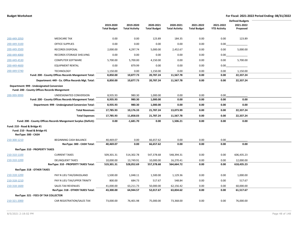|                              |                                                                                                  | <b>Defined Budgets</b> |                       |                     |                       |                     |                     |            |  |
|------------------------------|--------------------------------------------------------------------------------------------------|------------------------|-----------------------|---------------------|-----------------------|---------------------|---------------------|------------|--|
|                              |                                                                                                  | 2019-2020              | 2019-2020             | 2020-2021           | 2020-2021             | 2021-2022           | 2021-2022           | 2021-2022  |  |
|                              |                                                                                                  | <b>Total Budget</b>    | <b>Total Activity</b> | <b>Total Budget</b> | <b>Total Activity</b> | <b>Total Budget</b> | <b>YTD Activity</b> | Proposed   |  |
| 200-449-2050                 | <b>MEDICARE TAX</b>                                                                              | 0.00                   | 0.00                  | 123.89              | 184.35                | 0.00                | 0.00                | 123.89     |  |
| 200-449-3100                 | <b>OFFICE SUPPLIES</b>                                                                           | 0.00                   | 0.00                  | 0.00                | 0.00                  | 0.00                | 0.00                |            |  |
| 200-449-3500                 | <b>RECORDS DISPOSAL</b>                                                                          | 2,000.00               | 4,297.74              | 5,000.00            | 2,452.67              | 0.00                | 0.00                | 5,000.00   |  |
| 200-449-4000                 | RECORDS STORAGE SHELVING                                                                         | 0.00                   | 0.00                  | 0.00                | 0.00                  | 0.00                | 0.00                |            |  |
| 200-449-4530                 | <b>COMPUTER SOFTWARE</b>                                                                         | 5,700.00               | 5,700.00              | 4,150.00            | 0.00                  | 0.00                | 0.00                | 5,700.00   |  |
| 200-449-4600                 | <b>EQUIPMENT RENTAL</b>                                                                          | 0.00                   | 879.99                | 0.00                | 0.00                  | 0.00                | 0.00                |            |  |
| 200-449-5740                 | <b>TECHNOLOGY</b>                                                                                | 1,150.00               | 0.00                  | 1,150.00            | 0.00                  | 0.00                | 0.00                | 1,150.00   |  |
|                              | Fund: 200 - County Offices Records Mangement Total:                                              | 8,850.00               | 10,877.73             | 20,787.24           | 11,567.78             | 0.00                | 0.00                | 22,337.24  |  |
|                              | Department: 449 - Co. Office Records Mgt. Total:                                                 | 8,850.00               | 10,877.73             | 20,787.24           | 11,567.78             | 0.00                | 0.00                | 22,337.24  |  |
|                              | Department: 999 - Undesignated Conversion<br><b>Fund: 200 - County Offices Records Mangement</b> |                        |                       |                     |                       |                     |                     |            |  |
| 200-999-9999                 | UNDESIGNATED CONVERSION                                                                          | 8,935.93               | 980.30                | 1,000.00            | 0.00                  | 0.00                | 0.00                |            |  |
|                              | Fund: 200 - County Offices Records Mangement Total:                                              | 8,935.93               | 980.30                | 1,000.00            | 0.00                  | 0.00                | 0.00                | 0.00       |  |
|                              | Department: 999 - Undesignated Conversion Total:                                                 | 8,935.93               | 980.30                | 1,000.00            | 0.00                  | 0.00                | 0.00                | 0.00       |  |
|                              | <b>Total Revenues</b>                                                                            | 17,785.93              | 10,176.33             | 21,787.24           | 13,073.99             | 0.00                | 0.00                | 22,337.24  |  |
|                              | <b>Total Expenses</b>                                                                            | 17,785.93              | 11,858.03             | 21,787.24           | 11,567.78             | 0.00                | 0.00                | 22,337.24  |  |
|                              | Fund: 200 - County Offices Records Mangement Surplus (Deficit):                                  | 0.00                   | $-1,681.70$           | 0.00                | 1,506.21              | 0.00                | 0.00                | 0.00       |  |
| Fund: 210 - Road & Bridge #1 | Fund: 210 - Road & Bridge #1<br>RevType: 300 - CASH                                              |                        |                       |                     |                       |                     |                     |            |  |
| 210-300-1210                 | BEGINNING CASH BALANCE                                                                           | 40,469.07              | 0.00                  | 66,657.62           | 0.00                  | 0.00                | 0.00                |            |  |
|                              | RevType: 300 - CASH Total:                                                                       | 40,469.07              | 0.00                  | 66,657.62           | 0.00                  | 0.00                | 0.00                | 0.00       |  |
|                              | RevType: 310 - PROPERTY TAXES                                                                    |                        |                       |                     |                       |                     |                     |            |  |
| 210-310-1100                 | <b>CURRENT TAXES</b>                                                                             | 509,301.31             | 514,302.78            | 547,378.68          | 548,394.31            | 0.00                | 0.00                | 606,435.23 |  |
| 210-310-1200                 | <b>DELINQUENT TAXES</b>                                                                          | 10,000.00              | 13,749.91             | 10,000.00           | 16,270.41             | 0.00                | 0.00                | 12,000.00  |  |
|                              | RevType: 310 - PROPERTY TAXES Total:                                                             | 519,301.31             | 528,052.69            | 557,378.68          | 564,664.72            | 0.00                | 0.00                | 618,435.23 |  |
|                              | RevType: 318 - OTHER TAXES                                                                       |                        |                       |                     |                       |                     |                     |            |  |
| 210-318-1200                 | PAY N LIEU TAX/GRASSLAND                                                                         | 1,500.00               | 1,048.11              | 1,500.00            | 1,129.36              | 0.00                | 0.00                | 1,000.00   |  |
| 210-318-1210                 | PAY N LIEU TAX/UPPER TRINITY                                                                     | 800.00                 | 684.73                | 517.67              | 548.84                | 0.00                | 0.00                | 517.67     |  |
| 210-318-1600                 | <b>SALES TAX REVENUES</b>                                                                        | 41,000.00              | 63,211.73             | 50,000.00           | 62,156.42             | 0.00                | 0.00                | 60,000.00  |  |
|                              | RevType: 318 - OTHER TAXES Total:                                                                | 43,300.00              | 64,944.57             | 52,017.67           | 63,834.62             | 0.00                | 0.00                | 61,517.67  |  |
|                              | RevType: 321 - FEES OF TAX COLLECTOR                                                             |                        |                       |                     |                       |                     |                     |            |  |
| 210-321-2000                 | CAR REGISTRATION/SALES TAX                                                                       | 73,000.00              | 76,401.98             | 75,000.00           | 73,368.00             | 0.00                | 0.00                | 76,000.00  |  |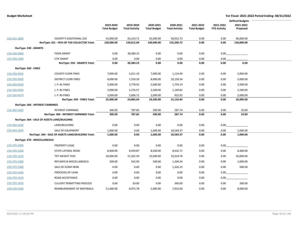| <b>Defined Budgets</b> |                                                    |                     |                       |                     |                       |                     |                     |            |  |
|------------------------|----------------------------------------------------|---------------------|-----------------------|---------------------|-----------------------|---------------------|---------------------|------------|--|
|                        |                                                    | 2019-2020           | 2019-2020             | 2020-2021           | 2020-2021             | 2021-2022           | 2021-2022           | 2021-2022  |  |
|                        |                                                    | <b>Total Budget</b> | <b>Total Activity</b> | <b>Total Budget</b> | <b>Total Activity</b> | <b>Total Budget</b> | <b>YTD Activity</b> | Proposed   |  |
|                        |                                                    |                     |                       |                     |                       |                     |                     |            |  |
| 210-321-3000           | COUNTY'S ADDITIONAL \$10                           | 55,000.00           | 63,210.71             | 65,000.00           | 58,922.72             | 0.00                | 0.00                | 60,000.00  |  |
|                        | RevType: 321 - FEES OF TAX COLLECTOR Total:        | 128,000.00          | 139,612.69            | 140,000.00          | 132,290.72            | 0.00                | 0.00                | 136,000.00 |  |
| RevType: 330 - GRANTS  |                                                    |                     |                       |                     |                       |                     |                     |            |  |
| 210-330-2000           | <b>FEMA GRANT</b>                                  | 0.00                | 38,384.23             | 0.00                | 0.00                  | 0.00                | 0.00                |            |  |
| 210-330-2200           | <b>CTIF GRANT</b>                                  | 0.00                | 0.00                  | 0.00                | 0.00                  | 0.00                | 0.00                |            |  |
|                        | RevType: 330 - GRANTS Total:                       | 0.00                | 38,384.23             | 0.00                | 0.00                  | 0.00                | 0.00                | 0.00       |  |
| RevType: 350 - FINES   |                                                    |                     |                       |                     |                       |                     |                     |            |  |
| 210-350-4030           | <b>COUNTY CLERK FINES</b>                          | 7,000.00            | 5,911.10              | 7,000.00            | 1,124.49              | 0.00                | 0.00                | 5,900.00   |  |
| 210-350-4500           | <b>DISTRICT CLERK FINES</b>                        | 8,000.00            | 7,310.39              | 8,000.00            | 10,158.34             | 0.00                | 0.00                | 5,000.00   |  |
| 210-350-4550           | J. P. #1 FINES                                     | 5,000.00            | 3,778.92              | 5,000.00            | 1,759.14              | 0.00                | 0.00                | 3,500.00   |  |
| 210-350-4560           | J. P. #2 FINES                                     | 2,000.00            | 5,276.57              | 2,500.00            | 1,169.82              | 0.00                | 0.00                | 2,500.00   |  |
| 210-350-4570           | J. P. #3 FINES                                     | 3,000.00            | 2,606.71              | 2,000.00            | 922.05                | 0.00                | 0.00                | 2,000.00   |  |
|                        | RevType: 350 - FINES Total:                        | 25,000.00           | 24,883.69             | 24,500.00           | 15,133.84             | 0.00                | 0.00                | 18,900.00  |  |
|                        | <b>RevType: 360 - INTEREST EARNINGS</b>            |                     |                       |                     |                       |                     |                     |            |  |
| 210-360-1000           | <b>INTEREST EARNINGS</b>                           | 300.00              | 787.85                | 500.00              | 287.74                | 0.00                | 0.00                | 10.00      |  |
|                        | RevType: 360 - INTEREST EARNINGS Total:            | 300.00              | 787.85                | 500.00              | 287.74                | 0.00                | 0.00                | 10.00      |  |
|                        | RevType: 364 - SALE OF ASSETS LAND/BUILDING        |                     |                       |                     |                       |                     |                     |            |  |
| 210-364-1620           | LAND/BUILDING                                      | 0.00                | 0.00                  | 0.00                | 0.00                  | 0.00                | 0.00                |            |  |
| 210-364-1630           | <b>SALE OF EQUIPMENT</b>                           | 1,000.00            | 0.00                  | 1,000.00            | 18,569.37             | 0.00                | 0.00                | 1,000.00   |  |
|                        | RevType: 364 - SALE OF ASSETS LAND/BUILDING Total: | 1,000.00            | 0.00                  | 1,000.00            | 18,569.37             | 0.00                | 0.00                | 1,000.00   |  |
|                        | RevType: 370 - MISCELLANEOUS                       |                     |                       |                     |                       |                     |                     |            |  |
| 210-370-1000           | PROPERTY LEASE                                     | 0.00                | 0.00                  | 0.00                | 0.00                  | 0.00                | 0.00                |            |  |
| 210-370-1200           | STATE LATERAL ROAD                                 | 8,400.00            | 8,459.87              | 8,500.00            | 8,432.71              | 0.00                | 0.00                | 8,400.00   |  |
| 210-370-1250           | <b>TDT WEIGHT FEES</b>                             | 20,000.00           | 21,362.50             | 23,000.00           | 19,518.78             | 0.00                | 0.00                | 20,000.00  |  |
| 210-370-1300           | <b>REFUNDS &amp; MISCELLANEOUS</b>                 | 500.00              | 562.90                | 500.00              | 1,204.34              | 0.00                | 0.00                | 1,000.00   |  |
| 210-370-1380           | SALE OF SCRAP IRON                                 | 0.00                | 0.00                  | 0.00                | 1,326.25              | 0.00                | 0.00                | 500.00     |  |
| 210-370-1400           | PROCEEDS OF LOAN                                   | 0.00                | 0.00                  | 0.00                | 0.00                  | 0.00                | 0.00                |            |  |
| 210-370-1419           | ROAD ACCEPTANCE                                    | 0.00                | 0.00                  | 0.00                | 0.00                  | 0.00                | 0.00                |            |  |
| 210-370-1420           | <b>CULVERT PERMITTING PROCESS</b>                  | 0.00                | 20.00                 | 0.00                | 360.00                | 0.00                | 0.00                | 200.00     |  |
| 210-370-1450           | REIMBURSEMENT OF MATERIALS                         | 11,000.00           | 8,975.78              | 2,000.00            | 7,923.00              | 0.00                | 0.00                | 8,000.00   |  |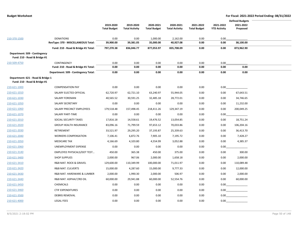|                                                                   |                                      |                     |                       |                     |                       |                     |                     | <b>Defined Budgets</b> |  |
|-------------------------------------------------------------------|--------------------------------------|---------------------|-----------------------|---------------------|-----------------------|---------------------|---------------------|------------------------|--|
|                                                                   |                                      | 2019-2020           | 2019-2020             | 2020-2021           | 2020-2021             | 2021-2022           | 2021-2022           | 2021-2022              |  |
|                                                                   |                                      | <b>Total Budget</b> | <b>Total Activity</b> | <b>Total Budget</b> | <b>Total Activity</b> | <b>Total Budget</b> | <b>YTD Activity</b> | Proposed               |  |
| 210-370-1500                                                      | <b>DONATIONS</b>                     | 0.00                | 0.00                  | 1,000.00            | 2,162.00              | 0.00                | 0.00                |                        |  |
|                                                                   | RevType: 370 - MISCELLANEOUS Total:  | 39,900.00           | 39,381.05             | 35,000.00           | 40,927.08             | 0.00                | 0.00                | 38,100.00              |  |
|                                                                   | Fund: 210 - Road & Bridge #1 Total:  | 797,270.38          | 836,046.77            | 877,053.97          | 835,708.09            | 0.00                | 0.00                | 873,962.90             |  |
| Department: 509 - Contingency<br>Fund: 210 - Road & Bridge #1     |                                      |                     |                       |                     |                       |                     |                     |                        |  |
| 210-509-4750                                                      | CONTINGENCY                          | 0.00                | 0.00                  | 0.00                | 0.00                  | 0.00                | 0.00                |                        |  |
|                                                                   | Fund: 210 - Road & Bridge #1 Total:  | 0.00                | 0.00                  | 0.00                | 0.00                  | 0.00                | 0.00                | 0.00                   |  |
|                                                                   | Department: 509 - Contingency Total: | 0.00                | 0.00                  | 0.00                | 0.00                  | 0.00                | 0.00                | 0.00                   |  |
| Department: 621 - Road & Bridge 1<br>Fund: 210 - Road & Bridge #1 |                                      |                     |                       |                     |                       |                     |                     |                        |  |
| 210-621-1000                                                      | <b>COMPENSATION PAY</b>              | 0.00                | 0.00                  | 0.00                | 0.00                  | 0.00                | 0.00                |                        |  |
| 210-621-1010                                                      | SALARY ELECTED OFFICIAL              | 62,720.97           | 62,721.10             | 63,240.97           | 55,944.05             | 0.00                | 0.00                | 67,643.51              |  |
| 210-621-1030                                                      | <b>SALARY FOREMAN</b>                | 40,565.52           | 30,591.25             | 32,485.18           | 28,772.01             | 0.00                | 0.00                | 34,746.65              |  |
| 210-621-1050                                                      | <b>SALARY SECRETARY</b>              | 0.00                | 0.00                  | 0.00                | 0.00                  | 0.00                | 0.00                | 11,232.00              |  |
| 210-621-1060                                                      | SALARY PRECINCT EMPLOYEES            | 179,518.48          | 157,498.45            | 218,411.26          | 129,347.19            | 0.00                | 0.00                | 200,049.25             |  |
| 210-621-1070                                                      | SALARY PART-TIME                     | 0.00                | 0.00                  | 0.00                | 0.00                  | 0.00                | 0.00                |                        |  |
| 210-621-2010                                                      | SOCIAL SECURITY TAXES                | 17,816.18           | 14,558.61             | 19,476.52           | 13,054.85             | 0.00                | 0.00                | 18,751.24              |  |
| 210-621-2020                                                      | <b>GROUP HEALTH INSURANCE</b>        | 83,096.16           | 71,799.59             | 97,653.12           | 70,033.86             | 0.00                | 0.00                | 106,204.16             |  |
| 210-621-2030                                                      | RETIREMENT                           | 33,521.97           | 29,295.20             | 37,193.87           | 25,339.63             | 0.00                | 0.00                | 36,413.70              |  |
| 210-621-2040                                                      | <b>WORKERS COMPENSATION</b>          | 7,106.41            | 6,872.76              | 7,905.10            | 7,195.72              | 0.00                | 0.00                | 7,428.27               |  |
| 210-621-2050                                                      | <b>MEDICARE TAX</b>                  | 4,166.69            | 4,103.80              | 4,554.99            | 3,052.88              | 0.00                | 0.00                | 4,385.37               |  |
| 210-621-2060                                                      | UNEMPLOYMENT EXPENSE                 | 0.00                | 0.00                  | 0.00                | 0.00                  | 0.00                | 0.00                |                        |  |
| 210-621-3140                                                      | <b>EMPLOYEE PHYSICALS/DOT TEST</b>   | 450.00              | 365.38                | 450.00              | 375.00                | 0.00                | 0.00                | 300.00                 |  |
| 210-621-3400                                                      | <b>SHOP SUPPLIES</b>                 | 2,000.00            | 967.06                | 2,000.00            | 1,658.18              | 0.00                | 0.00                | 2,000.00               |  |
| 210-621-3410                                                      | R&B MAT. ROCK & GRAVEL               | 129,600.00          | 110,349.99            | 100,000.00          | 71,011.97             | 0.00                | 0.00                | 110,089.48             |  |
| 210-621-3420                                                      | <b>R&amp;B MAT. CULVERTS</b>         | 15,000.00           | 4,287.60              | 15,000.00           | 9,777.33              | 0.00                | 0.00                | 12,000.00              |  |
| 210-621-3430                                                      | R&B MAT. HARDWARE & LUMBER           | 2,000.00            | 1,990.30              | 2,000.00            | 506.97                | 0.00                | 0.00                | 2,000.00               |  |
| 210-621-3440                                                      | R&B MAT. ASPHALT/RD OIL              | 60,000.00           | 29,941.88             | 60,000.00           | 52,554.76             | 0.00                | 0.00                | 60,000.00              |  |
| 210-621-3450                                                      | <b>CHEMICALS</b>                     | 0.00                | 0.00                  | 0.00                | 0.00                  | 0.00                | 0.00                |                        |  |
| 210-621-3460                                                      | <b>CTIF EXPENDITURES</b>             | 0.00                | 0.00                  | 0.00                | 0.00                  | 0.00                | 0.00                |                        |  |
| 210-621-3500                                                      | <b>DEBRIS REMOVAL</b>                | 0.00                | 0.00                  | 0.00                | 0.00                  | 0.00                | 0.00                |                        |  |
| 210-621-4000                                                      | <b>LEGAL FEES</b>                    | 0.00                | 0.00                  | 0.00                | 0.00                  | 0.00                | 0.00                |                        |  |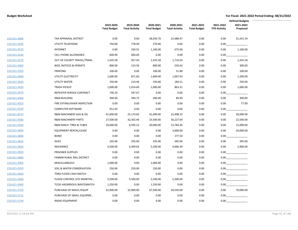|              |                                    | 2019-2020<br><b>Total Budget</b> | 2019-2020<br><b>Total Activity</b> | 2020-2021<br><b>Total Budget</b> | 2020-2021<br><b>Total Activity</b> | 2021-2022<br><b>Total Budget</b> | 2021-2022<br><b>YTD Activity</b> | <b>Defined Budgets</b><br>2021-2022<br>Proposed |
|--------------|------------------------------------|----------------------------------|------------------------------------|----------------------------------|------------------------------------|----------------------------------|----------------------------------|-------------------------------------------------|
| 210-621-4060 | TAX APPRAISAL DISTRICT             | 0.00                             | 0.00                               | 28,034.70                        | 22,488.47                          | 0.00                             | 0.00                             | 31,431.34                                       |
| 210-621-4200 | UTILITY TELEPHONE                  | 750.00                           | 778.49                             | 270.00                           | 0.00                               | 0.00                             | 0.00                             |                                                 |
| 210-621-4210 | <b>INTERNET</b>                    | 0.00                             | 330.55                             | 1,100.00                         | 675.00                             | 0.00                             | 0.00                             | 1,100.00                                        |
| 210-621-4230 | <b>CELL PHONE ALLOWANCE</b>        | 600.00                           | 600.00                             | 0.00                             | 0.00                               | 0.00                             | 0.00                             |                                                 |
| 210-621-4270 | OUT OF COUNTY TRAVEL/TRAIN         | 1,435.58                         | 957.50                             | 1,435.58                         | 1,710.50                           | 0.00                             | 0.00                             | 1,435.58                                        |
| 210-621-4300 | <b>BIDS, NOTICES &amp; PERMITS</b> | 800.00                           | 123.50                             | 800.00                           | 250.42                             | 0.00                             | 0.00                             | 300.00                                          |
| 210-621-4350 | PRINTING                           | 100.00                           | 0.00                               | 100.00                           | 51.88                              | 0.00                             | 0.00                             | 100.00                                          |
| 210-621-4400 | UTILITY ELECTRICITY                | 1,600.00                         | 871.60                             | 1,600.00                         | 1,007.63                           | 0.00                             | 0.00                             | 1,200.00                                        |
| 210-621-4420 | UTILITY WATER                      | 250.00                           | 214.46                             | 250.00                           | 184.51                             | 0.00                             | 0.00                             | 250.00                                          |
| 210-621-4430 | <b>TRASH PICKUP</b>                | 1,000.00                         | 1,014.60                           | 1,000.00                         | 863.31                             | 0.00                             | 0.00                             | 1,000.00                                        |
| 210-621-4470 | REPEATER SERVICE CONTRACT          | 730.24                           | 547.67                             | 0.00                             | 0.00                               | 0.00                             | 0.00                             |                                                 |
| 210-621-4500 | <b>R&amp;M BUILDING</b>            | 300.00                           | 394.75                             | 300.00                           | 84.99                              | 0.00                             | 0.00                             | 300.00                                          |
| 210-621-4503 | FIRE EXTINGUISHER INSPECTION       | 0.00                             | 0.00                               | 0.00                             | 0.00                               | 0.00                             | 0.00                             | 77.00                                           |
| 210-621-4530 | <b>COMPUTER SOFTWARE</b>           | 912.50                           | 0.00                               | 0.00                             | 0.00                               | 0.00                             | 0.00                             |                                                 |
| 210-621-4570 | R&M MACHINERY GAS & OIL            | 41,000.00                        | 25,174.83                          | 41,000.00                        | 22,408.32                          | 0.00                             | 0.00                             | 30,000.00                                       |
| 210-621-4580 | <b>R&amp;M MACHINERY PARTS</b>     | 27,500.00                        | 32,302.46                          | 23,500.00                        | 30,227.64                          | 0.00                             | 0.00                             | 22,500.00                                       |
| 210-621-4590 | R&M MACH. TIRES & TUBES            | 20,000.00                        | 6,595.22                           | 20,000.00                        | 13,784.46                          | 0.00                             | 0.00                             | 15,000.00                                       |
| 210-621-4600 | EQUIPMENT RENTAL/LEASE             | 0.00                             | 0.00                               | 0.00                             | 3,000.00                           | 0.00                             | 0.00                             | 20,000.00                                       |
| 210-621-4800 | <b>BOND</b>                        | 0.00                             | 0.00                               | 0.00                             | 177.50                             | 0.00                             | 0.00                             |                                                 |
| 210-621-4810 | <b>DUES</b>                        | 335.00                           | 335.00                             | 335.00                           | 395.00                             | 0.00                             | 0.00                             | 395.00                                          |
| 210-621-4820 | INSURANCE                          | 5,500.00                         | 4,309.63                           | 5,500.00                         | 4,666.30                           | 0.00                             | 0.00                             | 2,900.00                                        |
| 210-621-4850 | PRISONER SUPPLIES                  | 0.00                             | 0.00                               | 0.00                             | 0.00                               | 0.00                             |                                  | 0.00                                            |
| 210-621-4880 | FANNIN RURAL RAIL DISTRICT         | 0.00                             | 0.00                               | 0.00                             | 0.00                               | 0.00                             |                                  | $0.00$                                          |
| 210-621-4900 | <b>MISCELLANEOUS</b>               | 1,000.00                         | 0.00                               | 1,000.00                         | 0.00                               | 0.00                             |                                  | $0.00$                                          |
| 210-621-4910 | SOIL & WATER CONSERVATION          | 250.00                           | 250.00                             | 250.00                           | 0.00                               | 0.00                             |                                  | 0.00                                            |
| 210-621-4920 | TDRA FLOOD CASH MATCH              | 0.00                             | 0.00                               | 0.00                             | 0.00                               | 0.00                             |                                  |                                                 |
| 210-621-4940 | FLOOD CONTROL SITE MAINTEN         | 5,500.00                         | 5,500.00                           | 5,500.00                         | 5,500.00                           | 0.00                             |                                  | $0.00$                                          |
| 210-621-4960 | TCOG HAZARDOUS WASTEMATCH          | 1,250.00                         | 0.00                               | 1,250.00                         | 0.00                               | 0.00                             | 0.00                             |                                                 |
| 210-621-5710 | PURCHASE OF MACH./EQUIP            | 32,900.00                        | 32,900.00                          | 67,500.00                        | 50,550.00                          | 0.00                             | 0.00                             | 70,000.00                                       |
| 210-621-5711 | PURCHASE OF SMALL EQUIPME          | 0.00                             | 0.00                               | 0.00                             | 0.00                               | 0.00                             |                                  |                                                 |
| 210-621-5730 | <b>RADIO EQUIPMENT</b>             | 0.00                             | 0.00                               | 0.00                             | 0.00                               | 0.00                             | 0.00                             |                                                 |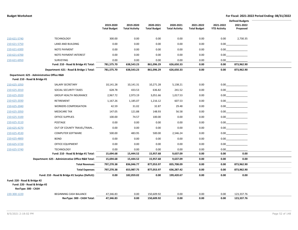|                                             |                                                    |                                  |                                    |                                  |                                    |                                  |                                  | <b>Defined Budgets</b> |  |
|---------------------------------------------|----------------------------------------------------|----------------------------------|------------------------------------|----------------------------------|------------------------------------|----------------------------------|----------------------------------|------------------------|--|
|                                             |                                                    | 2019-2020<br><b>Total Budget</b> | 2019-2020<br><b>Total Activity</b> | 2020-2021<br><b>Total Budget</b> | 2020-2021<br><b>Total Activity</b> | 2021-2022<br><b>Total Budget</b> | 2021-2022<br><b>YTD Activity</b> | 2021-2022<br>Proposed  |  |
|                                             |                                                    |                                  |                                    |                                  |                                    |                                  |                                  |                        |  |
| 210-621-5740                                | <b>TECHNOLOGY</b>                                  | 300.00                           | 0.00                               | 0.00                             | 0.00                               | 0.00                             | 0.00                             | 2,730.35               |  |
| 210-621-5750                                | <b>LAND AND BUILDING</b>                           | 0.00                             | 0.00                               | 0.00                             | 0.00                               | 0.00                             |                                  |                        |  |
| 210-621-6300                                | <b>NOTE PAYMENT</b>                                | 0.00                             | 0.00                               | 0.00                             | 0.00                               | 0.00                             |                                  | $0.00$ and $\sim$      |  |
| 210-621-6700                                | NOTE PAYMENT-INTEREST                              | 0.00                             | 0.00                               | 0.00                             | 0.00                               | 0.00                             |                                  | 0.00                   |  |
| 210-621-6950                                | <b>SURVEYING</b>                                   | 0.00                             | 0.00                               | 0.00                             | 0.00                               | 0.00                             | 0.00                             |                        |  |
|                                             | Fund: 210 - Road & Bridge #1 Total:                | 781,575.70                       | 638,543.23                         | 861,096.29                       | 626,650.33                         | 0.00                             | 0.00                             | 873,962.90             |  |
|                                             | Department: 621 - Road & Bridge 1 Total:           | 781,575.70                       | 638,543.23                         | 861,096.29                       | 626,650.33                         | 0.00                             | 0.00                             | 873,962.90             |  |
| Department: 625 - Administrative Office R&B |                                                    |                                  |                                    |                                  |                                    |                                  |                                  |                        |  |
| Fund: 210 - Road & Bridge #1                |                                                    |                                  |                                    |                                  |                                    |                                  |                                  |                        |  |
| 210-625-1050                                | <b>SALARY SECRETARY</b>                            | 10,141.28                        | 10,141.31                          | 10,271.28                        | 5,138.21                           | 0.00                             |                                  | $0.00$                 |  |
| 210-625-2010                                | SOCIAL SECURITY TAXES                              | 628.78                           | 433.53                             | 636.82                           | 241.52                             | 0.00                             |                                  | 0.00                   |  |
| 210-625-2020                                | <b>GROUP HEALTH INSURANCE</b>                      | 2,967.72                         | 2,973.19                           | 3,051.66                         | 1,017.53                           | 0.00                             |                                  | 0.00                   |  |
| 210-625-2030                                | RETIREMENT                                         | 1,167.26                         | 1,185.07                           | 1,216.12                         | 607.53                             | 0.00                             |                                  | 0.00                   |  |
| 210-625-2040                                | <b>WORKERS COMPENSATION</b>                        | 42.59                            | 31.02                              | 32.87                            | 29.48                              | 0.00                             |                                  | 0.00                   |  |
| 210-625-2050                                | <b>MEDICARE TAX</b>                                | 147.05                           | 121.88                             | 148.93                           | 56.58                              | 0.00                             |                                  |                        |  |
| 210-625-3100                                | <b>OFFICE SUPPLIES</b>                             | 100.00                           | 74.57                              | 100.00                           | 0.00                               | 0.00                             |                                  | 0.00                   |  |
| 210-625-3110                                | POSTAGE                                            | 0.00                             | 0.00                               | 0.00                             | 0.00                               | 0.00                             |                                  | 0.00                   |  |
| 210-625-4270                                | OUT OF COUNTY TRAVEL/TRAIN                         | 0.00                             | 0.00                               | 0.00                             | 0.00                               | 0.00                             |                                  | 0.00                   |  |
| 210-625-4530                                | <b>COMPUTER SOFTWARE</b>                           | 500.00                           | 483.95                             | 500.00                           | 2,546.24                           | 0.00                             |                                  |                        |  |
| 210-625-4800                                | <b>BOND</b>                                        | 0.00                             | 0.00                               | 0.00                             | 0.00                               | 0.00                             |                                  | 0.00                   |  |
| 210-625-5720                                | OFFICE EQUIPMENT                                   | 0.00                             | 0.00                               | 0.00                             | 0.00                               | 0.00                             |                                  | 0.00                   |  |
| 210-625-5740                                | <b>TECHNOLOGY</b>                                  | 0.00                             | 0.00                               | 0.00                             | 0.00                               | 0.00                             | 0.00                             |                        |  |
|                                             | Fund: 210 - Road & Bridge #1 Total:                | 15,694.68                        | 15,444.52                          | 15,957.68                        | 9,637.09                           | 0.00                             | 0.00                             | 0.00                   |  |
|                                             | Department: 625 - Administrative Office R&B Total: | 15,694.68                        | 15,444.52                          | 15,957.68                        | 9,637.09                           | 0.00                             | 0.00                             | 0.00                   |  |
|                                             | <b>Total Revenues</b>                              | 797,270.38                       | 836,046.77                         | 877,053.97                       | 835,708.09                         | 0.00                             | 0.00                             | 873,962.90             |  |
|                                             | <b>Total Expenses</b>                              | 797,270.38                       | 653,987.75                         | 877,053.97                       | 636,287.42                         | 0.00                             | 0.00                             | 873,962.90             |  |
|                                             | Fund: 210 - Road & Bridge #1 Surplus (Deficit):    | 0.00                             | 182,059.02                         | 0.00                             | 199,420.67                         | 0.00                             | 0.00                             | 0.00                   |  |
| Fund: 220 - Road & Bridge #2                |                                                    |                                  |                                    |                                  |                                    |                                  |                                  |                        |  |
| Fund: 220 - Road & Bridge #2                |                                                    |                                  |                                    |                                  |                                    |                                  |                                  |                        |  |
| RevType: 300 - CASH                         |                                                    |                                  |                                    |                                  |                                    |                                  |                                  |                        |  |
| 220-300-1220                                | BEGINNING CASH BALANCE                             | 47,346.83                        | 0.00                               | 150,609.92                       | 0.00                               | 0.00                             | 0.00                             | 123,337.76             |  |
|                                             | RevType: 300 - CASH Total:                         | 47,346.83                        | 0.00                               | 150,609.92                       | 0.00                               | 0.00                             | 0.00                             | 123,337.76             |  |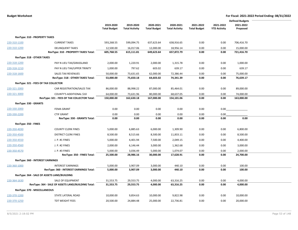| <b>Defined Budgets</b> |                                                    |                     |                       |                     |                       |                     |                     |            |  |
|------------------------|----------------------------------------------------|---------------------|-----------------------|---------------------|-----------------------|---------------------|---------------------|------------|--|
|                        |                                                    | 2019-2020           | 2019-2020             | 2020-2021           | 2020-2021             | 2021-2022           | 2021-2022           | 2021-2022  |  |
|                        |                                                    | <b>Total Budget</b> | <b>Total Activity</b> | <b>Total Budget</b> | <b>Total Activity</b> | <b>Total Budget</b> | <b>YTD Activity</b> | Proposed   |  |
|                        | RevType: 310 - PROPERTY TAXES                      |                     |                       |                     |                       |                     |                     |            |  |
| 220-310-1100           | <b>CURRENT TAXES</b>                               | 593,268.55          | 599,094.75            | 637,623.64          | 638,916.65            | 0.00                | 0.00                | 706,416.70 |  |
| 220-310-1200           | <b>DELINQUENT TAXES</b>                            | 12,500.00           | 16,017.06             | 12,000.00           | 18,956.14             | 0.00                | 0.00                | 15,000.00  |  |
|                        | RevType: 310 - PROPERTY TAXES Total:               | 605,768.55          | 615,111.81            | 649,623.64          | 657,872.79            | 0.00                | 0.00                | 721,416.70 |  |
|                        | RevType: 318 - OTHER TAXES                         |                     |                       |                     |                       |                     |                     |            |  |
| 220-318-1200           | PAY N LIEU TAX/GRASSLAND                           | 2,000.00            | 1,220.91              | 2,000.00            | 1,315.78              | 0.00                | 0.00                | 1,000.00   |  |
| 220-318-1210           | PAY N LIEU TAX/UPPER TRINITY                       | 1,000.00            | 797.62                | 603.02              | 639.17                | 0.00                | 0.00                | 639.17     |  |
| 220-318-1600           | <b>SALES TAX REVENUES</b>                          | 50,000.00           | 73,631.65             | 62,000.00           | 72,386.44             | 0.00                | 0.00                | 75,000.00  |  |
|                        | RevType: 318 - OTHER TAXES Total:                  | 53,000.00           | 75,650.18             | 64,603.02           | 74,341.39             | 0.00                | 0.00                | 76,639.17  |  |
|                        | RevType: 321 - FEES OF TAX COLLECTOR               |                     |                       |                     |                       |                     |                     |            |  |
| 220-321-2000           | CAR REGISTRATION/SALES TAX                         | 86,000.00           | 88,998.22             | 87,000.00           | 85,464.01             | 0.00                | 0.00                | 89,000.00  |  |
| 220-321-3000           | COUNTY'S ADDITIONAL \$10                           | 64,000.00           | 73,631.96             | 80,000.00           | 68,637.05             | 0.00                | 0.00                | 74,000.00  |  |
|                        | RevType: 321 - FEES OF TAX COLLECTOR Total:        | 150,000.00          | 162,630.18            | 167,000.00          | 154,101.06            | 0.00                | 0.00                | 163,000.00 |  |
|                        | RevType: 330 - GRANTS                              |                     |                       |                     |                       |                     |                     |            |  |
| 220-330-2000           | <b>FEMA GRANT</b>                                  | 0.00                | 0.00                  | 0.00                | 0.00                  | 0.00                | 0.00                |            |  |
| 220-330-2200           | <b>CTIF GRANT</b>                                  | 0.00                | 0.00                  | 0.00                | 0.00                  | 0.00                | 0.00                |            |  |
|                        | RevType: 330 - GRANTS Total:                       | 0.00                | 0.00                  | 0.00                | 0.00                  | 0.00                | 0.00                | 0.00       |  |
|                        | RevType: 350 - FINES                               |                     |                       |                     |                       |                     |                     |            |  |
| 220-350-4030           | <b>COUNTY CLERK FINES</b>                          | 5,000.00            | 6,885.63              | 6,000.00            | 1,309.90              | 0.00                | 0.00                | 6,800.00   |  |
| 220-350-4500           | <b>DISTRICT CLERK FINES</b>                        | 8,500.00            | 8,515.66              | 8,500.00            | 11,833.11             | 0.00                | 0.00                | 8,500.00   |  |
| 220-350-4550           | J. P. #1 FINES                                     | 5,000.00            | 4,401.94              | 7,500.00            | 2,049.15              | 0.00                | 0.00                | 4,400.00   |  |
| 220-350-4560           | J. P. #2 FINES                                     | 2,000.00            | 6,146.44              | 3,000.00            | 1,362.68              | 0.00                | 0.00                | 3,000.00   |  |
| 220-350-4570           | J. P. #3 FINES                                     | 5,000.00            | 3,036.49              | 5,000.00            | 1,074.07              | 0.00                | 0.00                | 2,000.00   |  |
|                        | RevType: 350 - FINES Total:                        | 25,500.00           | 28,986.16             | 30,000.00           | 17,628.91             | 0.00                | 0.00                | 24,700.00  |  |
|                        | RevType: 360 - INTEREST EARNINGS                   |                     |                       |                     |                       |                     |                     |            |  |
| 220-360-1000           | <b>INTEREST EARNINGS</b>                           | 5,000.00            | 3,907.09              | 3,000.00            | 440.10                | 0.00                | 0.00                | 100.00     |  |
|                        | RevType: 360 - INTEREST EARNINGS Total:            | 5,000.00            | 3,907.09              | 3,000.00            | 440.10                | 0.00                | 0.00                | 100.00     |  |
|                        | RevType: 364 - SALE OF ASSETS LAND/BUILDING        |                     |                       |                     |                       |                     |                     |            |  |
| 220-364-1630           | SALE OF EQUIPMENT                                  | 31,553.75           | 29,553.75             | 4,000.00            | 63,316.25             | 0.00                | 0.00                | 4,000.00   |  |
|                        | RevType: 364 - SALE OF ASSETS LAND/BUILDING Total: | 31,553.75           | 29,553.75             | 4,000.00            | 63,316.25             | 0.00                | 0.00                | 4,000.00   |  |
|                        | RevType: 370 - MISCELLANEOUS                       |                     |                       |                     |                       |                     |                     |            |  |
| 220-370-1200           | STATE LATERAL ROAD                                 | 10,000.00           | 9,854.63              | 10,000.00           | 9,822.98              | 0.00                | 0.00                | 10,000.00  |  |
| 220-370-1250           | TDT WEIGHT FEES                                    | 20,500.00           | 24,884.48             | 25,000.00           | 22,736.81             | 0.00                | 0.00                | 20,000.00  |  |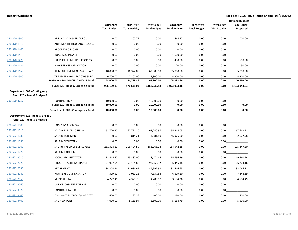|                                                                   |                                      |                     |                       |                     |                       |                     |                     | <b>Defined Budgets</b> |  |
|-------------------------------------------------------------------|--------------------------------------|---------------------|-----------------------|---------------------|-----------------------|---------------------|---------------------|------------------------|--|
|                                                                   |                                      | 2019-2020           | 2019-2020             | 2020-2021           | 2020-2021             | 2021-2022           | 2021-2022           | 2021-2022              |  |
|                                                                   |                                      | <b>Total Budget</b> | <b>Total Activity</b> | <b>Total Budget</b> | <b>Total Activity</b> | <b>Total Budget</b> | <b>YTD Activity</b> | Proposed               |  |
| 220-370-1300                                                      | <b>REFUNDS &amp; MISCELLANEOUS</b>   | 0.00                | 807.75                | 0.00                | 1,464.37              | 0.00                | 0.00                | 1,000.00               |  |
| 220-370-1310                                                      | AUTOMOBILE INSURANCE LOSS            | 0.00                | 0.00                  | 0.00                | 0.00                  | 0.00                | 0.00                |                        |  |
| 220-370-1400                                                      | PROCEEDS OF LOAN                     | 0.00                | 0.00                  | 0.00                | 0.00                  | 0.00                | 0.00                |                        |  |
| 220-370-1419                                                      | ROAD ACCEPTANCE                      | 0.00                | 0.00                  | 0.00                | 1,600.00              | 0.00                | 0.00                |                        |  |
| 220-370-1420                                                      | <b>CULVERT PERMITTING PROCESS</b>    | 0.00                | 80.00                 | 0.00                | 480.00                | 0.00                | 0.00                | 500.00                 |  |
| 220-370-1421                                                      | ROW PERMIT APPLICATION               | 0.00                | 0.00                  | 0.00                | 20.00                 | 0.00                | 0.00                | 50.00                  |  |
| 220-370-1450                                                      | REIMBURSEMENT OF MATERIALS           | 10,800.00           | 16,372.00             | 62,000.00           | 65,008.50             | 0.00                | 0.00                | 5,000.00               |  |
| 220-370-1500                                                      | TRENTON HIGH MEADOWS SUBD            | 6,700.00            | 2,800.00              | 2,800.00            | 4,200.00              | 0.00                | 0.00                | 4,200.00               |  |
|                                                                   | RevType: 370 - MISCELLANEOUS Total:  | 48,000.00           | 54,798.86             | 99,800.00           | 105,332.66            | 0.00                | 0.00                | 40,750.00              |  |
|                                                                   | Fund: 220 - Road & Bridge #2 Total:  | 966,169.13          | 970,638.03            | 1,168,636.58        | 1,073,033.16          | 0.00                | 0.00                | 1,153,943.63           |  |
| Department: 509 - Contingency<br>Fund: 220 - Road & Bridge #2     |                                      |                     |                       |                     |                       |                     |                     |                        |  |
| 220-509-4750                                                      | CONTINGENCY                          | 10,000.00           | 0.00                  | 10,000.00           | 0.00                  | 0.00                | 0.00                |                        |  |
|                                                                   | Fund: 220 - Road & Bridge #2 Total:  | 10,000.00           | 0.00                  | 10,000.00           | 0.00                  | 0.00                | 0.00                | 0.00                   |  |
|                                                                   | Department: 509 - Contingency Total: | 10,000.00           | 0.00                  | 10,000.00           | 0.00                  | 0.00                | 0.00                | 0.00                   |  |
| Department: 622 - Road & Bridge 2<br>Fund: 220 - Road & Bridge #2 |                                      |                     |                       |                     |                       |                     |                     |                        |  |
| 220-622-1000                                                      | <b>COMPENSATION PAY</b>              | 0.00                | 0.00                  | 0.00                | 0.00                  | 0.00                | 0.00                |                        |  |
| 220-622-1010                                                      | SALARY ELECTED OFFICIAL              | 62,720.97           | 62,721.10             | 63,240.97           | 55,944.05             | 0.00                | 0.00                | 67,643.51              |  |
| 220-622-1030                                                      | <b>SALARY FOREMAN</b>                | 0.00                | 1,814.21              | 44,081.80           | 45,976.00             | 0.00                | 0.00                | 52,677.98              |  |
| 220-622-1050                                                      | <b>SALARY SECRETARY</b>              | 0.00                | 0.00                  | 0.00                | 0.00                  | 0.00                | 0.00                |                        |  |
| 220-622-1060                                                      | SALARY PRECINCT EMPLOYEES            | 231,328.10          | 206,404.59            | 188,268.24          | 164,542.15            | 0.00                | 0.00                | 195,847.20             |  |
| 220-622-1070                                                      | SALARY PART-TIME                     | 0.00                | 0.00                  | 0.00                | 0.00                  | 0.00                | 0.00                |                        |  |
| 220-622-2010                                                      | SOCIAL SECURITY TAXES                | 18,415.57           | 15,387.00             | 18,474.44           | 15,796.39             | 0.00                | 0.00                | 19,760.54              |  |
| 220-622-2020                                                      | <b>GROUP HEALTH INSURANCE</b>        | 94,967.04           | 93,184.88             | 97,653.12           | 85,446.48             | 0.00                | 0.00                | 106,204.16             |  |
| 220-622-2030                                                      | RETIREMENT                           | 34,374.34           | 31,684.65             | 34,997.98           | 31,546.65             | 0.00                | 0.00                | 38,066.71              |  |
| 220-622-2040                                                      | <b>WORKERS COMPENSATION</b>          | 7,329.52            | 7,089.26              | 7,337.58            | 6,679.20              | 0.00                | 0.00                | 7,848.39               |  |
| 220-622-2050                                                      | <b>MEDICARE TAX</b>                  | 4,272.41            | 4,379.78              | 4,286.07            | 3,694.26              | 0.00                | 0.00                | 4,584.45               |  |
| 220-622-2060                                                      | UNEMPLOYMENT EXPENSE                 | 0.00                | 0.00                  | 0.00                | 0.00                  | 0.00                | 0.00                |                        |  |
| 220-622-3120                                                      | <b>CONTRACT LABOR</b>                | 0.00                | 0.00                  | 0.00                | 0.00                  | 0.00                | 0.00                |                        |  |
| 220-622-3140                                                      | <b>EMPLOYEE PHYSICALS/DOT TEST</b>   | 400.00              | 195.38                | 400.00              | 290.00                | 0.00                | 0.00                | 400.00                 |  |
|                                                                   |                                      |                     |                       |                     |                       |                     |                     |                        |  |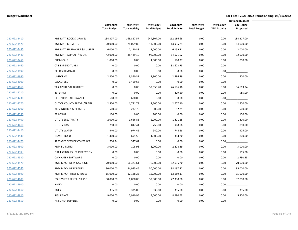|              |                                        |                                  |                                    |                                  |                                    |                                  |                                  | <b>Defined Budgets</b> |
|--------------|----------------------------------------|----------------------------------|------------------------------------|----------------------------------|------------------------------------|----------------------------------|----------------------------------|------------------------|
|              |                                        | 2019-2020<br><b>Total Budget</b> | 2019-2020<br><b>Total Activity</b> | 2020-2021<br><b>Total Budget</b> | 2020-2021<br><b>Total Activity</b> | 2021-2022<br><b>Total Budget</b> | 2021-2022<br><b>YTD Activity</b> | 2021-2022<br>Proposed  |
| 220-622-3410 | R&B MAT. ROCK & GRAVEL                 | 134,307.00                       | 168,827.57                         | 244,307.00                       | 162,186.68                         | 0.00                             | 0.00                             | 184,307.00             |
| 220-622-3420 | <b>R&amp;B MAT. CULVERTS</b>           | 20,000.00                        | 28,059.80                          | 14,000.00                        | 13,935.74                          | 0.00                             | 0.00                             | 14,000.00              |
| 220-622-3430 | R&B MAT. HARDWARE & LUMBER             | 6,000.00                         | 2,190.33                           | 3,000.00                         | 6,159.71                           | 0.00                             | 0.00                             | 3,000.00               |
| 220-622-3440 | R&B MAT. ASPHALT/RD OIL                | 42,000.00                        | 38,439.10                          | 92,000.00                        | 64,521.02                          | 0.00                             | 0.00                             | 92,000.00              |
| 220-622-3450 | <b>CHEMICALS</b>                       | 1,000.00                         | 0.00                               | 1,000.00                         | 580.27                             | 0.00                             | 0.00                             | 1,000.00               |
| 220-622-3460 | <b>CTIF EXPENDITURES</b>               | 0.00                             | 0.00                               | 0.00                             | 38,623.75                          | 0.00                             | 0.00                             |                        |
| 220-622-3500 | <b>DEBRIS REMOVAL</b>                  | 0.00                             | 0.00                               | 0.00                             | 0.00                               | 0.00                             | 0.00                             |                        |
| 220-622-3950 | <b>UNIFORMS</b>                        | 2,800.00                         | 3,340.31                           | 2,800.00                         | 2,586.79                           | 0.00                             | 0.00                             | 1,500.00               |
| 220-622-4000 | <b>LEGAL FEES</b>                      | 0.00                             | 1,459.68                           | 0.00                             | 0.00                               | 0.00                             | 0.00                             |                        |
| 220-622-4060 | TAX APPRAISAL DISTRICT                 | 0.00                             | 0.00                               | 32,656.70                        | 26,196.10                          | 0.00                             | 0.00                             | 36,613.34              |
| 220-622-4210 | <b>INTERNET</b>                        | 0.00                             | 0.00                               | 0.00                             | 819.50                             | 0.00                             | 0.00                             | 985.00                 |
| 220-622-4230 | <b>CELL PHONE ALLOWANCE</b>            | 600.00                           | 600.00                             | 0.00                             | 0.00                               | 0.00                             | 0.00                             |                        |
| 220-622-4270 | OUT OF COUNTY TRAVEL/TRAIN             | 2,500.00                         | 1,771.78                           | 2,500.00                         | 2,677.10                           | 0.00                             | 0.00                             | 2,500.00               |
| 220-622-4300 | <b>BIDS, NOTICES &amp; PERMITS</b>     | 500.00                           | 237.70                             | 500.00                           | 52.29                              | 0.00                             | 0.00                             | 500.00                 |
| 220-622-4350 | PRINTING                               | 100.00                           | 0.00                               | 100.00                           | 0.00                               | 0.00                             | 0.00                             | 100.00                 |
| 220-622-4400 | UTILITY ELECTRICITY                    | 2,000.00                         | 1,666.83                           | 2,000.00                         | 1,421.25                           | 0.00                             | 0.00                             | 1,800.00               |
| 220-622-4410 | UTILITY GAS                            | 750.00                           | 847.41                             | 750.00                           | 908.08                             | 0.00                             | 0.00                             | 850.00                 |
| 220-622-4420 | UTILITY WATER                          | 940.00                           | 974.45                             | 940.00                           | 744.58                             | 0.00                             | 0.00                             | 975.00                 |
| 220-622-4430 | <b>TRASH PICK-UP</b>                   | 1,300.00                         | 694.58                             | 1,300.00                         | 383.20                             | 0.00                             | 0.00                             | 800.00                 |
| 220-622-4470 | REPEATER SERVICE CONTRACT              | 730.24                           | 547.67                             | 0.00                             | 0.00                               | 0.00                             | 0.00                             |                        |
| 220-622-4500 | <b>R&amp;M BUILDING</b>                | 3,000.00                         | 108.98                             | 3,000.00                         | 2,278.39                           | 0.00                             | 0.00                             | 3,000.00               |
| 220-622-4503 | FIRE EXTINGUISHER INSPECTION           | 0.00                             | 0.00                               | 0.00                             | 0.00                               | 0.00                             | 0.00                             | 105.00                 |
| 220-622-4530 | <b>COMPUTER SOFTWARE</b>               | 0.00                             | 0.00                               | 0.00                             | 0.00                               | 0.00                             | 0.00                             | 2,730.35               |
| 220-622-4570 | <b>R&amp;M MACHINERY GAS &amp; OIL</b> | 70,000.00                        | 66,373.61                          | 70,000.00                        | 62,036.70                          | 0.00                             | 0.00                             | 70,000.00              |
| 220-622-4580 | <b>R&amp;M MACHINERY PARTS</b>         | 30,000.00                        | 84,985.46                          | 50,000.00                        | 88,197.72                          | 0.00                             | 0.00                             | 85,000.00              |
| 220-622-4590 | R&M MACH. TIRES & TUBES                | 15,000.00                        | 12,128.25                          | 15,000.00                        | 12,689.17                          | 0.00                             | 0.00                             | 15,000.00              |
| 220-622-4600 | EQUIPMENT RENTAL/LEASE                 | 50,000.00                        | 6,000.00                           | 32,000.00                        | 27,330.00                          | 0.00                             | 0.00                             | 32,000.00              |
| 220-622-4800 | <b>BOND</b>                            | 0.00                             | 0.00                               | 0.00                             | 0.00                               | 0.00                             | 0.00                             |                        |
| 220-622-4810 | <b>DUES</b>                            | 335.00                           | 335.00                             | 335.00                           | 395.00                             | 0.00                             | 0.00                             | 395.00                 |
| 220-622-4820 | <b>INSURANCE</b>                       | 9,000.00                         | 7,910.96                           | 9,000.00                         | 8,280.63                           | 0.00                             | 0.00                             | 5,800.00               |
| 220-622-4850 | <b>PRISONER SUPPLIES</b>               | 0.00                             | 0.00                               | 0.00                             | 0.00                               | 0.00                             | 0.00                             |                        |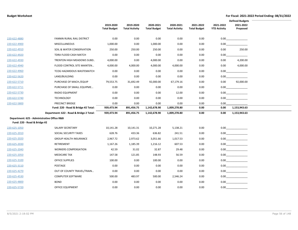|                              |                                             |                                  |                                    |                                  |                                    |                                  |                                  | <b>Defined Budgets</b> |
|------------------------------|---------------------------------------------|----------------------------------|------------------------------------|----------------------------------|------------------------------------|----------------------------------|----------------------------------|------------------------|
|                              |                                             | 2019-2020<br><b>Total Budget</b> | 2019-2020<br><b>Total Activity</b> | 2020-2021<br><b>Total Budget</b> | 2020-2021<br><b>Total Activity</b> | 2021-2022<br><b>Total Budget</b> | 2021-2022<br><b>YTD Activity</b> | 2021-2022<br>Proposed  |
| 220-622-4880                 | <b>FANNIN RURAL RAIL DISTRICT</b>           | 0.00                             | 0.00                               | 0.00                             | 0.00                               | 0.00                             | 0.00                             |                        |
| 220-622-4900                 | <b>MISCELLANEOUS</b>                        | 1,000.00                         | 0.00                               | 1,000.00                         | 0.00                               | 0.00                             | 0.00                             |                        |
| 220-622-4910                 | SOIL & WATER CONSERVATION                   | 250.00                           | 250.00                             | 250.00                           | 0.00                               | 0.00                             | 0.00                             | 250.00                 |
| 220-622-4920                 | TDRA FLOOD CASH MATCH                       | 0.00                             | 0.00                               | 0.00                             | 0.00                               | 0.00                             | 0.00                             |                        |
| 220-622-4930                 | TRENTON HIGH MEADOWS SUBD                   | 4,000.00                         | 0.00                               | 4,000.00                         | 0.00                               | 0.00                             | 0.00                             | 4,200.00               |
| 220-622-4940                 | FLOOD CONTROL SITE MAINTEN                  | 4,000.00                         | 4,000.00                           | 4,000.00                         | 4,000.00                           | 0.00                             | 0.00                             | 4,000.00               |
| 220-622-4960                 | TCOG HAZARDOUS WASTEMATCH                   | 0.00                             | 0.00                               | 0.00                             | 0.00                               | 0.00                             | 0.00                             |                        |
| 220-622-5620                 | LAND/BUILDING                               | 0.00                             | 0.00                               | 0.00                             | 0.00                               | 0.00                             | 0.00                             |                        |
| 220-622-5710                 | PURCHASE OF MACH./EQUIP                     | 79,553.75                        | 31,692.49                          | 92,000.00                        | 67,179.16                          | 0.00                             | 0.00                             | 92,000.00              |
| 220-622-5711                 | PURCHASE OF SMALL EQUIPME                   | 0.00                             | 0.00                               | 0.00                             | 0.00                               | 0.00                             | 0.00                             |                        |
| 220-622-5730                 | RADIO EQUIPMENT                             | 0.00                             | 0.00                               | 0.00                             | 12.00                              | 0.00                             | 0.00                             |                        |
| 220-622-5740                 | <b>TECHNOLOGY</b>                           | 0.00                             | 0.00                               | 0.00                             | 0.00                               | 0.00                             | 0.00                             |                        |
| 220-622-5800                 | PRECINCT BRIDGE                             | 0.00                             | 0.00                               | 0.00                             | 0.00                               | 0.00                             | 0.00                             |                        |
|                              | Fund: 220 - Road & Bridge #2 Total:         | 939,473.94                       | 891,456.75                         | 1,142,678.90                     | 1,009,278.80                       | 0.00                             | 0.00                             | 1,153,943.63           |
|                              | Department: 622 - Road & Bridge 2 Total:    | 939,473.94                       | 891,456.75                         | 1,142,678.90                     | 1,009,278.80                       | 0.00                             | 0.00                             | 1,153,943.63           |
| Fund: 220 - Road & Bridge #2 | Department: 625 - Administrative Office R&B |                                  |                                    |                                  |                                    |                                  |                                  |                        |
| 220-625-1050                 | SALARY SECRETARY                            | 10,141.28                        | 10,141.31                          | 10,271.28                        | 5,138.21                           | 0.00                             |                                  |                        |
| 220-625-2010                 | SOCIAL SECURITY TAXES                       | 628.76                           | 433.36                             | 636.82                           | 241.51                             | 0.00                             |                                  |                        |
| 220-625-2020                 | <b>GROUP HEALTH INSURANCE</b>               | 2,967.72                         | 2,973.62                           | 3,051.66                         | 1,017.53                           | 0.00                             |                                  | 0.00                   |
| 220-625-2030                 | <b>RETIREMENT</b>                           | 1,167.26                         | 1,185.39                           | 1,216.12                         | 607.53                             | 0.00                             |                                  |                        |
| 220-625-2040                 | <b>WORKERS COMPENSATION</b>                 | 42.59                            | 31.02                              | 32.87                            | 29.48                              | 0.00                             |                                  | 0.00                   |
| 220-625-2050                 | <b>MEDICARE TAX</b>                         | 147.58                           | 121.85                             | 148.93                           | 56.59                              | 0.00                             |                                  | 0.00                   |
| 220-625-3100                 | <b>OFFICE SUPPLIES</b>                      | 100.00                           | 0.00                               | 100.00                           | 0.00                               | 0.00                             |                                  |                        |
| 220-625-3110                 | POSTAGE                                     | 0.00                             | 0.00                               | 0.00                             | 0.00                               | 0.00                             |                                  |                        |
| 220-625-4270                 | OUT OF COUNTY TRAVEL/TRAIN                  | 0.00                             | 0.00                               | 0.00                             | 0.00                               | 0.00                             |                                  | $0.00$                 |
| 220-625-4530                 | <b>COMPUTER SOFTWARE</b>                    | 500.00                           | 483.97                             | 500.00                           | 2,546.24                           | 0.00                             |                                  | 0.00                   |
| 220-625-4800                 | <b>BOND</b>                                 | 0.00                             | 0.00                               | 0.00                             | 0.00                               | 0.00                             | 0.00                             |                        |
| 220-625-5720                 | <b>OFFICE EQUIPMENT</b>                     | 0.00                             | 0.00                               | 0.00                             | 0.00                               | 0.00                             | 0.00                             |                        |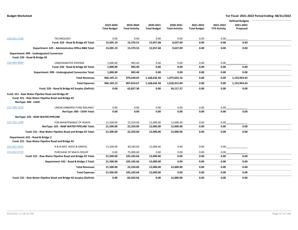|              |                                                                      |                     |                       |                     |                       |                     |                     | <b>Defined Budgets</b> |  |
|--------------|----------------------------------------------------------------------|---------------------|-----------------------|---------------------|-----------------------|---------------------|---------------------|------------------------|--|
|              |                                                                      | 2019-2020           | 2019-2020             | 2020-2021           | 2020-2021             | 2021-2022           | 2021-2022           | 2021-2022              |  |
|              |                                                                      | <b>Total Budget</b> | <b>Total Activity</b> | <b>Total Budget</b> | <b>Total Activity</b> | <b>Total Budget</b> | <b>YTD Activity</b> | Proposed               |  |
|              |                                                                      |                     |                       |                     |                       |                     |                     |                        |  |
| 220-625-5740 | <b>TECHNOLOGY</b>                                                    | 0.00                | 0.00                  | 0.00                | 0.00                  | 0.00                | 0.00                |                        |  |
|              | Fund: 220 - Road & Bridge #2 Total:                                  | 15,695.19           | 15,370.52             | 15,957.68           | 9,637.09              | 0.00                | 0.00                | 0.00                   |  |
|              | Department: 625 - Administrative Office R&B Total:                   | 15,695.19           | 15,370.52             | 15,957.68           | 9,637.09              | 0.00                | 0.00                | 0.00                   |  |
|              | Department: 999 - Undesignated Conversion                            |                     |                       |                     |                       |                     |                     |                        |  |
|              | Fund: 220 - Road & Bridge #2                                         |                     |                       |                     |                       |                     |                     |                        |  |
| 220-999-9999 | UNDESIGNATED EXPENSE                                                 | 1,000.00            | 983.40                | 0.00                | 0.00                  | 0.00                | 0.00                |                        |  |
|              | Fund: 220 - Road & Bridge #2 Total:                                  | 1,000.00            | 983.40                | 0.00                | 0.00                  | 0.00                | 0.00                | 0.00                   |  |
|              | Department: 999 - Undesignated Conversion Total:                     | 1,000.00            | 983.40                | 0.00                | 0.00                  | 0.00                | 0.00                | 0.00                   |  |
|              | <b>Total Revenues</b>                                                | 966,169.13          | 970,638.03            | 1,168,636.58        | 1,073,033.16          | 0.00                | 0.00                | 1,153,943.63           |  |
|              | <b>Total Expenses</b>                                                | 966,169.13          | 907,810.67            | 1,168,636.58        | 1,018,915.89          | 0.00                | 0.00                | 1,153,943.63           |  |
|              | Fund: 220 - Road & Bridge #2 Surplus (Deficit):                      | 0.00                | 62,827.36             | 0.00                | 54,117.27             | 0.00                | 0.00                | 0.00                   |  |
|              | Fund: 221 - Raw Water Pipeline Road and Bridge #2                    |                     |                       |                     |                       |                     |                     |                        |  |
|              | Fund: 221 - Raw Water Pipeline Road and Bridge #2                    |                     |                       |                     |                       |                     |                     |                        |  |
|              | RevType: 300 - CASH                                                  |                     |                       |                     |                       |                     |                     |                        |  |
| 221-300-1220 | UNENCUMBERED FUND BALANCE                                            | 0.00                | 0.00                  | 0.00                | 0.00                  | 0.00                | 0.00                |                        |  |
|              | RevType: 300 - CASH Total:                                           | 0.00                | 0.00                  | 0.00                | 0.00                  | 0.00                | 0.00                | 0.00                   |  |
|              | <b>RevType: 325 - RAW WATER PIPELINE</b>                             |                     |                       |                     |                       |                     |                     |                        |  |
| 221-325-1790 | FOR MAINTENANCE OF ROADS                                             | 21,500.00           | 22,250.00             | 12,000.00           | 12,000.00             | 0.00                | 0.00                |                        |  |
|              | RevType: 325 - RAW WATER PIPELINE Total:                             | 21,500.00           | 22,250.00             | 12,000.00           | 12,000.00             | 0.00                | 0.00                | 0.00                   |  |
|              | Fund: 221 - Raw Water Pipeline Road and Bridge #2 Total:             | 21,500.00           | 22,250.00             | 12,000.00           | 12,000.00             | 0.00                | 0.00                | 0.00                   |  |
|              | Department: 622 - Road & Bridge 2                                    |                     |                       |                     |                       |                     |                     |                        |  |
|              | Fund: 221 - Raw Water Pipeline Road and Bridge #2                    |                     |                       |                     |                       |                     |                     |                        |  |
| 221-622-3410 | R & B MAT. ROCK & GRAVEL                                             | 21,500.00           | 30,183.66             | 12,000.00           | 0.00                  | 0.00                | 0.00                |                        |  |
| 221-622-5710 | PURCHASE OF MACH./EQUIP                                              | 0.00                | 75,000.00             | 0.00                | 0.00                  | 0.00                | 0.00                |                        |  |
|              | Fund: 221 - Raw Water Pipeline Road and Bridge #2 Total:             | 21,500.00           | 105,183.66            | 12,000.00           | 0.00                  | 0.00                | 0.00                | 0.00                   |  |
|              | Department: 622 - Road & Bridge 2 Total:                             | 21,500.00           | 105,183.66            | 12,000.00           | 0.00                  | 0.00                | 0.00                | 0.00                   |  |
|              | <b>Total Revenues</b>                                                | 21,500.00           | 22,250.00             | 12,000.00           | 12,000.00             | 0.00                | 0.00                | 0.00                   |  |
|              | <b>Total Expenses</b>                                                | 21,500.00           | 105,183.66            | 12,000.00           | 0.00                  | 0.00                | 0.00                | 0.00                   |  |
|              | Fund: 221 - Raw Water Pipeline Road and Bridge #2 Surplus (Deficit): | 0.00                | $-82,933.66$          | 0.00                | 12,000.00             | 0.00                | 0.00                | 0.00                   |  |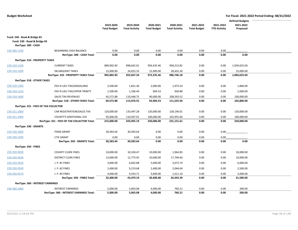|                                                                                     |                                             |                     |                       |                     |                       |                     |                     | <b>Defined Budgets</b> |  |
|-------------------------------------------------------------------------------------|---------------------------------------------|---------------------|-----------------------|---------------------|-----------------------|---------------------|---------------------|------------------------|--|
|                                                                                     |                                             | 2019-2020           | 2019-2020             | 2020-2021           | 2020-2021             | 2021-2022           | 2021-2022           | 2021-2022              |  |
|                                                                                     |                                             | <b>Total Budget</b> | <b>Total Activity</b> | <b>Total Budget</b> | <b>Total Activity</b> | <b>Total Budget</b> | <b>YTD Activity</b> | Proposed               |  |
| Fund: 230 - Road & Bridge #3<br>Fund: 230 - Road & Bridge #3<br>RevType: 300 - CASH |                                             |                     |                       |                     |                       |                     |                     |                        |  |
| 230-300-1230                                                                        | BEGINNING CASH BALANCE                      | 0.00                | 0.00                  | 0.00                | 0.00                  | 0.00                | 0.00                |                        |  |
|                                                                                     | RevType: 300 - CASH Total:                  | 0.00                | 0.00                  | 0.00                | 0.00                  | 0.00                | 0.00                | 0.00                   |  |
| <b>RevType: 310 - PROPERTY TAXES</b>                                                |                                             |                     |                       |                     |                       |                     |                     |                        |  |
| 230-310-1100                                                                        | <b>CURRENT TAXES</b>                        | 889,902.83          | 898,642.01            | 956,435.46          | 958,313.82            | 0.00                | 0.00                | 1,059,625.04           |  |
| 230-310-1200                                                                        | <b>DELINQUENT TAXES</b>                     | 15,900.00           | 24,025.33             | 15,900.00           | 28,432.36             | 0.00                | 0.00                | 25,000.00              |  |
|                                                                                     | RevType: 310 - PROPERTY TAXES Total:        | 905,802.83          | 922,667.34            | 972,335.46          | 986,746.18            | 0.00                | 0.00                | 1,084,625.04           |  |
| RevType: 318 - OTHER TAXES                                                          |                                             |                     |                       |                     |                       |                     |                     |                        |  |
| 230-318-1200                                                                        | PAY N LIEU TAX/GRASSLAND                    | 2,500.00            | 1,831.36              | 2,000.00            | 1,973.54              | 0.00                | 0.00                | 1,800.00               |  |
| 230-318-1210                                                                        | PAY N LIEU TAX/UPPER TRINITY                | 1,500.00            | 1,196.44              | 904.53              | 958.88                | 0.00                | 0.00                | 1,000.00               |  |
| 230-318-1600                                                                        | <b>SALES TAX REVENUES</b>                   | 65,572.88           | 110,448.75            | 90,000.00           | 108,593.52            | 0.00                | 0.00                | 100,000.00             |  |
|                                                                                     | RevType: 318 - OTHER TAXES Total:           | 69,572.88           | 113,476.55            | 92,904.53           | 111,525.94            | 0.00                | 0.00                | 102,800.00             |  |
| RevType: 321 - FEES OF TAX COLLECTOR                                                |                                             |                     |                       |                     |                       |                     |                     |                        |  |
| 230-321-2000                                                                        | CAR REGISTRATION/SALES TAX                  | 120,000.00          | 133,497.28            | 120,000.00          | 128,196.01            | 0.00                | 0.00                | 120,000.00             |  |
| 230-321-3000                                                                        | COUNTY'S ADDITIONAL \$10                    | 95,000.00           | 110,447.91            | 100,000.00          | 102,955.60            | 0.00                | 0.00                | 100,000.00             |  |
|                                                                                     | RevType: 321 - FEES OF TAX COLLECTOR Total: | 215,000.00          | 243,945.19            | 220,000.00          | 231,151.61            | 0.00                | 0.00                | 220,000.00             |  |
| RevType: 330 - GRANTS                                                               |                                             |                     |                       |                     |                       |                     |                     |                        |  |
| 230-330-2000                                                                        | <b>FEMA GRANT</b>                           | 30,583.64           | 30,583.64             | 0.00                | 0.00                  | 0.00                | 0.00                |                        |  |
| 230-330-2200                                                                        | <b>CTIF GRANT</b>                           | 0.00                | 0.00                  | 0.00                | 0.00                  | 0.00                | 0.00                |                        |  |
|                                                                                     | RevType: 330 - GRANTS Total:                | 30,583.64           | 30,583.64             | 0.00                | 0.00                  | 0.00                | 0.00                | 0.00                   |  |
| RevType: 350 - FINES                                                                |                                             |                     |                       |                     |                       |                     |                     |                        |  |
| 230-350-4030                                                                        | <b>COUNTY CLERK FINES</b>                   | 10,000.00           | 10,328.47             | 10,000.00           | 1,964.85              | 0.00                | 0.00                | 10,000.00              |  |
| 230-350-4500                                                                        | <b>DISTRICT CLERK FINES</b>                 | 13,000.00           | 12,773.45             | 10,000.00           | 17,749.66             | 0.00                | 0.00                | 10,000.00              |  |
| 230-350-4550                                                                        | J. P. #1 FINES                              | 3,000.00            | 6,602.88              | 5,000.00            | 3,073.74              | 0.00                | 0.00                | 6,000.00               |  |
| 230-350-4560                                                                        | J. P. #2 FINES                              | 2,400.00            | 9,219.68              | 2,400.00            | 2,044.04              | 0.00                | 0.00                | 2,500.00               |  |
| 230-350-4570                                                                        | J. P. #3 FINES                              | 4,000.00            | 4,554.71              | 3,000.00            | 1,611.10              | 0.00                | 0.00                | 3,000.00               |  |
|                                                                                     | RevType: 350 - FINES Total:                 | 32,400.00           | 43,479.19             | 30,400.00           | 26,443.39             | 0.00                | 0.00                | 31,500.00              |  |
| <b>RevType: 360 - INTEREST EARNINGS</b>                                             |                                             |                     |                       |                     |                       |                     |                     |                        |  |
| 230-360-1000                                                                        | <b>INTEREST EARNINGS</b>                    | 5,000.00            | 5,063.08              | 4,000.00            | 760.21                | 0.00                | 0.00                | 200.00                 |  |
|                                                                                     | RevType: 360 - INTEREST EARNINGS Total:     | 5,000.00            | 5,063.08              | 4,000.00            | 760.21                | 0.00                | 0.00                | 200.00                 |  |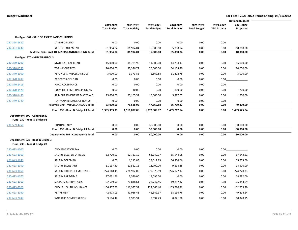|                                                                   |                                                    |                     |                       |                     |                       |                     |                     | <b>Defined Budgets</b> |  |
|-------------------------------------------------------------------|----------------------------------------------------|---------------------|-----------------------|---------------------|-----------------------|---------------------|---------------------|------------------------|--|
|                                                                   |                                                    | 2019-2020           | 2019-2020             | 2020-2021           | 2020-2021             | 2021-2022           | 2021-2022           | 2021-2022              |  |
|                                                                   |                                                    | <b>Total Budget</b> | <b>Total Activity</b> | <b>Total Budget</b> | <b>Total Activity</b> | <b>Total Budget</b> | <b>YTD Activity</b> | Proposed               |  |
|                                                                   | RevType: 364 - SALE OF ASSETS LAND/BUILDING        |                     |                       |                     |                       |                     |                     |                        |  |
| 230-364-1620                                                      | LAND/BUILDING                                      | 0.00                | 0.00                  | 0.00                | 0.00                  | 0.00                | 0.00                |                        |  |
| 230-364-1630                                                      | SALE OF EQUIPMENT                                  | 81,994.04           | 81,994.04             | 5,000.00            | 35,850.74             | 0.00                | 0.00                | 10,000.00              |  |
|                                                                   | RevType: 364 - SALE OF ASSETS LAND/BUILDING Total: | 81,994.04           | 81,994.04             | 5,000.00            | 35,850.74             | 0.00                | 0.00                | 10,000.00              |  |
| RevType: 370 - MISCELLANEOUS                                      |                                                    |                     |                       |                     |                       |                     |                     |                        |  |
| 230-370-1200                                                      | STATE LATERAL ROAD                                 | 15,000.00           | 14,781.95             | 14,500.00           | 14,734.47             | 0.00                | 0.00                | 15,000.00              |  |
| 230-370-1250                                                      | <b>TDT WEIGHT FEES</b>                             | 20,000.00           | 37,326.72             | 20,000.00           | 34,105.20             | 0.00                | 0.00                | 20,000.00              |  |
| 230-370-1300                                                      | <b>REFUNDS &amp; MISCELLANEOUS</b>                 | 3,000.00            | 3,373.86              | 2,869.88            | 11,212.75             | 0.00                | 0.00                | 3,000.00               |  |
| 230-370-1400                                                      | PROCEEDS OF LOAN                                   | 0.00                | 0.00                  | 0.00                | 0.00                  | 0.00                | 0.00                |                        |  |
| 230-370-1419                                                      | ROAD ACCEPTANCE                                    | 0.00                | 0.00                  | 0.00                | 0.00                  | 0.00                | 0.00                |                        |  |
| 230-370-1420                                                      | <b>CULVERT PERMITTING PROCESS</b>                  | 0.00                | 40.00                 | 0.00                | 800.00                | 0.00                | 0.00                | 1,200.00               |  |
| 230-370-1450                                                      | REIMBURSEMENT OF MATERIALS                         | 15,000.00           | 20,165.52             | 10,000.00           | 5,887.05              | 0.00                | 0.00                | 1,200.00               |  |
| 230-370-1780                                                      | FOR MAINTENANCE OF ROADS                           | 0.00                | 0.00                  | 0.00                | 0.00                  | 0.00                | 0.00                |                        |  |
|                                                                   | RevType: 370 - MISCELLANEOUS Total:                | 53,000.00           | 75,688.05             | 47,369.88           | 66,739.47             | 0.00                | 0.00                | 40,400.00              |  |
|                                                                   | Fund: 230 - Road & Bridge #3 Total:                | 1,393,353.39        | 1,516,897.08          | 1,372,009.87        | 1,459,217.54          | 0.00                | 0.00                | 1,489,525.04           |  |
| Department: 509 - Contingency                                     |                                                    |                     |                       |                     |                       |                     |                     |                        |  |
| Fund: 230 - Road & Bridge #3                                      |                                                    |                     |                       |                     |                       |                     |                     |                        |  |
| 230-509-4750                                                      | CONTINGENCY                                        | 0.00                | 0.00                  | 30,000.00           | 0.00                  | 0.00                | 0.00                | 30,000.00              |  |
|                                                                   | Fund: 230 - Road & Bridge #3 Total:                | 0.00                | 0.00                  | 30,000.00           | 0.00                  | 0.00                | 0.00                | 30,000.00              |  |
|                                                                   | Department: 509 - Contingency Total:               | 0.00                | 0.00                  | 30,000.00           | 0.00                  | 0.00                | 0.00                | 30,000.00              |  |
| Department: 623 - Road & Bridge 3<br>Fund: 230 - Road & Bridge #3 |                                                    |                     |                       |                     |                       |                     |                     |                        |  |
| 230-623-1000                                                      | <b>COMPENSATION PAY</b>                            | 0.00                | 0.00                  | 0.00                | 0.00                  | 0.00                | 0.00                |                        |  |
| 230-623-1010                                                      | SALARY ELECTED OFFICIAL                            | 62,720.97           | 62,721.10             | 63,240.97           | 55,944.05             | 0.00                | 0.00                | 67,643.51              |  |
| 230-623-1030                                                      | <b>SALARY FOREMAN</b>                              | 0.00                | 1,212.83              | 29,011.83           | 30,304.66             | 0.00                | 0.00                | 35,953.60              |  |
| 230-623-1050                                                      | SALARY SECRETARY                                   | 11,137.40           | 10,562.16             | 11,700.00           | 9,698.88              | 0.00                | 0.00                | 14,500.00              |  |
| 230-623-1060                                                      | SALARY PRECINCT EMPLOYEES                          | 274,148.45          | 276,972.05            | 279,070.59          | 226,177.17            | 0.00                | 0.00                | 274,220.33             |  |
| 230-623-1070                                                      | SALARY PART-TIME                                   | 17,031.96           | 3,540.00              | 18,096.00           | 0.00                  | 0.00                | 0.00                | 18,792.00              |  |
| 230-623-2010                                                      | SOCIAL SECURITY TAXES                              | 22,669.90           | 20,848.61             | 23,747.45           | 19,887.12             | 0.00                | 0.00                | 25,343.09              |  |
| 230-623-2020                                                      | <b>GROUP HEALTH INSURANCE</b>                      | 106,837.92          | 116,937.52            | 122,066.40          | 105,780.76            | 0.00                | 0.00                | 132,755.20             |  |
| 230-623-2030                                                      | RETIREMENT                                         | 42,673.03           | 41,086.43             | 45,349.97           | 38,136.76             | 0.00                | 0.00                | 49,214.64              |  |
| 230-623-2040                                                      | <b>WORKERS COMPENSATION</b>                        | 9,194.42            | 8,933.94              | 9,692.43            | 8,821.98              | 0.00                | 0.00                | 10,348.75              |  |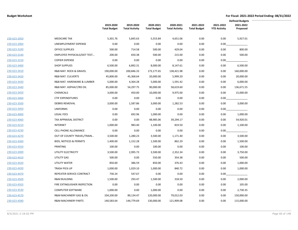|              |                                        |                                  |                                    |                                  |                                    |                                  |                                  | <b>Defined Budgets</b> |
|--------------|----------------------------------------|----------------------------------|------------------------------------|----------------------------------|------------------------------------|----------------------------------|----------------------------------|------------------------|
|              |                                        | 2019-2020<br><b>Total Budget</b> | 2019-2020<br><b>Total Activity</b> | 2020-2021<br><b>Total Budget</b> | 2020-2021<br><b>Total Activity</b> | 2021-2022<br><b>Total Budget</b> | 2021-2022<br><b>YTD Activity</b> | 2021-2022<br>Proposed  |
| 230-623-2050 | <b>MEDICARE TAX</b>                    | 5,301.76                         | 5,845.63                           | 5,553.84                         | 4,651.06                           | 0.00                             | 0.00                             | 5,927.01               |
| 230-623-2060 | UNEMPLOYMENT EXPENSE                   | 0.00                             | 0.00                               | 0.00                             | 0.00                               | 0.00                             | 0.00                             |                        |
| 230-623-3100 | <b>OFFICE SUPPLIES</b>                 | 500.00                           | 714.58                             | 500.00                           | 429.04                             | 0.00                             | 0.00                             | 800.00                 |
| 230-623-3140 | <b>EMPLOYEE PHYSICALS/DOT TEST</b>     | 200.00                           | 650.38                             | 500.00                           | 215.00                             | 0.00                             | 0.00                             | 500.00                 |
| 230-623-3150 | <b>COPIER EXPENSE</b>                  | 0.00                             | 0.00                               | 0.00                             | 0.00                               | 0.00                             | 0.00                             |                        |
| 230-623-3400 | <b>SHOP SUPPLIES</b>                   | 6,500.00                         | 6,892.31                           | 8,000.00                         | 8,147.61                           | 0.00                             | 0.00                             | 6,500.00               |
| 230-623-3410 | R&B MAT. ROCK & GRAVEL                 | 190,000.00                       | 200,846.33                         | 173,177.65                       | 138,421.98                         | 0.00                             | 0.00                             | 160,000.00             |
| 230-623-3420 | <b>R&amp;B MAT. CULVERTS</b>           | 45,800.00                        | 45,368.64                          | 20,000.00                        | 5,999.20                           | 0.00                             | 0.00                             | 20,000.00              |
| 230-623-3430 | R&B MAT. HARDWARE & LUMBER             | 5,000.00                         | 4,364.28                           | 5,000.00                         | 1,591.42                           | 0.00                             | 0.00                             | 6,000.00               |
| 230-623-3440 | R&B MAT. ASPHALT/RD OIL                | 85,000.00                        | 54,297.75                          | 90,000.00                        | 58,619.60                          | 0.00                             | 0.00                             | 136,671.55             |
| 230-623-3450 | <b>CHEMICALS</b>                       | 3,000.00                         | 450.00                             | 10,000.00                        | 9,975.00                           | 0.00                             | 0.00                             | 15,000.00              |
| 230-623-3460 | <b>CTIF EXPENDITURES</b>               | 0.00                             | 0.00                               | 0.00                             | 0.00                               | 0.00                             | 0.00                             |                        |
| 230-623-3500 | <b>DEBRIS REMOVAL</b>                  | 3,000.00                         | 1,587.86                           | 3,000.00                         | 1,282.53                           | 0.00                             | 0.00                             | 3,000.00               |
| 230-623-3950 | <b>UNIFORMS</b>                        | 0.00                             | 0.00                               | 0.00                             | 0.00                               | 0.00                             | 0.00                             |                        |
| 230-623-4000 | <b>LEGAL FEES</b>                      | 0.00                             | 692.96                             | 1,000.00                         | 0.00                               | 0.00                             | 0.00                             | 1,000.00               |
| 230-623-4060 | TAX APPRAISAL DISTRICT                 | 0.00                             | 0.00                               | 48,985.06                        | 39,294.17                          | 0.00                             | 0.00                             | 54,920.01              |
| 230-623-4210 | <b>INTERNET</b>                        | 1,000.00                         | 983.40                             | 1,100.00                         | 819.50                             | 0.00                             | 0.00                             | 1,100.00               |
| 230-623-4230 | <b>CELL PHONE ALLOWANCE</b>            | 0.00                             | 0.00                               | 0.00                             | 0.00                               | 0.00                             | 0.00                             |                        |
| 230-623-4270 | OUT OF COUNTY TRAVEL/TRAIN             | 3,500.00                         | 1,280.23                           | 3,500.00                         | 1,171.40                           | 0.00                             | 0.00                             | 3,500.00               |
| 230-623-4300 | <b>BIDS, NOTICES &amp; PERMITS</b>     | 1,400.00                         | 1,152.28                           | 1,500.00                         | 862.29                             | 0.00                             | 0.00                             | 1,500.00               |
| 230-623-4350 | PRINTING                               | 100.00                           | 0.00                               | 100.00                           | 0.00                               | 0.00                             | 0.00                             | 100.00                 |
| 230-623-4400 | UTILITY ELECTRICITY                    | 3,500.00                         | 2,995.73                           | 3,500.00                         | 2,352.34                           | 0.00                             | 0.00                             | 3,750.00               |
| 230-623-4410 | <b>UTILITY GAS</b>                     | 500.00                           | 0.00                               | 550.00                           | 354.38                             | 0.00                             | 0.00                             | 500.00                 |
| 230-623-4420 | UTILITY WATER                          | 850.00                           | 386.59                             | 850.00                           | 376.43                             | 0.00                             | 0.00                             | 1,000.00               |
| 230-623-4430 | <b>TRASH PICK-UP</b>                   | 1,000.00                         | 1,029.10                           | 1,000.00                         | 840.72                             | 0.00                             | 0.00                             | 1,000.00               |
| 230-623-4470 | REPEATER SERVICE CONTRACT              | 730.24                           | 547.67                             | 0.00                             | 0.00                               | 0.00                             | 0.00                             |                        |
| 230-623-4500 | <b>R&amp;M BUILDING</b>                | 1,500.00                         | 293.47                             | 1,500.00                         | 318.50                             | 0.00                             | 0.00                             | 2,000.00               |
| 230-623-4503 | FIRE EXTINGUISHER INSPECTION           | 0.00                             | 0.00                               | 0.00                             | 0.00                               | 0.00                             | 0.00                             | 105.00                 |
| 230-623-4530 | <b>COMPUTER SOFTWARE</b>               | 1,000.00                         | 0.00                               | 1,000.00                         | 0.00                               | 0.00                             | 0.00                             | 2,730.35               |
| 230-623-4570 | <b>R&amp;M MACHINERY GAS &amp; OIL</b> | 104,200.00                       | 89,134.47                          | 120,000.00                       | 79,012.03                          | 0.00                             | 0.00                             | 150,000.00             |
| 230-623-4580 | <b>R&amp;M MACHINERY PARTS</b>         | 140,583.64                       | 144,779.69                         | 130,000.00                       | 121,909.08                         | 0.00                             | 0.00                             | 115,000.00             |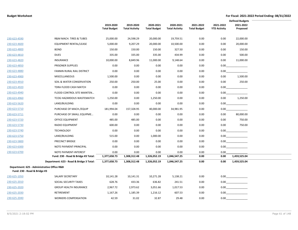|                              |                                             | 2019-2020<br><b>Total Budget</b> | 2019-2020<br><b>Total Activity</b> | 2020-2021<br><b>Total Budget</b> | 2020-2021<br><b>Total Activity</b> | 2021-2022<br><b>Total Budget</b> | 2021-2022<br><b>YTD Activity</b> | <b>Defined Budgets</b><br>2021-2022<br>Proposed |
|------------------------------|---------------------------------------------|----------------------------------|------------------------------------|----------------------------------|------------------------------------|----------------------------------|----------------------------------|-------------------------------------------------|
| 230-623-4590                 | R&M MACH. TIRES & TUBES                     | 25,000.00                        | 24,598.29                          | 20,000.00                        | 19,759.51                          | 0.00                             | 0.00                             | 22,000.00                                       |
| 230-623-4600                 | <b>EQUIPMENT RENTAL/LEASE</b>               | 5,000.00                         | 9,207.29                           | 20,000.00                        | 10,500.00                          | 0.00                             | 0.00                             | 20,000.00                                       |
| 230-623-4800                 | <b>BOND</b>                                 | 150.00                           | 150.00                             | 150.00                           | 327.50                             | 0.00                             | 0.00                             | 150.00                                          |
| 230-623-4810                 | <b>DUES</b>                                 | 335.00                           | 335.00                             | 335.00                           | 434.99                             | 0.00                             | 0.00                             | 500.00                                          |
| 230-623-4820                 | <b>INSURANCE</b>                            | 10,000.00                        | 8,849.96                           | 11,000.00                        | 9,148.64                           | 0.00                             | 0.00                             | 11,000.00                                       |
| 230-623-4850                 | PRISONER SUPPLIES                           | 0.00                             | 0.00                               | 0.00                             | 0.00                               | 0.00                             | 0.00                             |                                                 |
| 230-623-4880                 | <b>FANNIN RURAL RAIL DISTRICT</b>           | 0.00                             | 0.00                               | 0.00                             | 0.00                               | 0.00                             | 0.00                             |                                                 |
| 230-623-4900                 | <b>MISCELLANEOUS</b>                        | 1,500.00                         | 0.00                               | 0.00                             | 0.00                               | 0.00                             | 0.00                             | 1,500.00                                        |
| 230-623-4910                 | SOIL & WATER CONSERVATION                   | 250.00                           | 250.00                             | 25.00                            | 0.00                               | 0.00                             | 0.00                             | 250.00                                          |
| 230-623-4920                 | TDRA FLOOD CASH MATCH                       | 0.00                             | 0.00                               | 0.00                             | 0.00                               | 0.00                             | 0.00                             |                                                 |
| 230-623-4940                 | FLOOD CONTROL SITE MAINTEN                  | 0.00                             | 0.00                               | 0.00                             | 0.00                               | 0.00                             | 0.00                             |                                                 |
| 230-623-4960                 | TCOG HAZARDOUS WASTEMATCH                   | 1,250.00                         | 0.00                               | 1,250.00                         | 0.00                               | 0.00                             | 0.00                             | 1,250.00                                        |
| 230-623-5620                 | LAND/BUILDING                               | 0.00                             | 0.00                               | 0.00                             | 0.00                               | 0.00                             | 0.00                             |                                                 |
| 230-623-5710                 | PURCHASE OF MACH./EQUIP                     | 181,994.04                       | 157,328.95                         | 40,000.00                        | 34,981.95                          | 0.00                             | 0.00                             |                                                 |
| 230-623-5711                 | PURCHASE OF SMALL EQUIPME                   | 0.00                             | 0.00                               | 0.00                             | 0.00                               | 0.00                             | 0.00                             | 80,000.00                                       |
| 230-623-5720                 | OFFICE EQUIPMENT                            | 485.00                           | 485.00                             | 0.00                             | 0.00                               | 0.00                             | 0.00                             | 750.00                                          |
| 230-623-5730                 | RADIO EQUIPMENT                             | 600.00                           | 0.00                               | 0.00                             | 0.00                               | 0.00                             | 0.00                             | 750.00                                          |
| 230-623-5740                 | <b>TECHNOLOGY</b>                           | 0.00                             | 0.00                               | 0.00                             | 0.00                               | 0.00                             | 0.00                             |                                                 |
| 230-623-5750                 | LAND/BUILDING                               | 515.00                           | 0.00                               | 1,000.00                         | 0.00                               | 0.00                             | 0.00                             |                                                 |
| 230-623-5800                 | PRECINCT BRIDGE                             | 0.00                             | 0.00                               | 0.00                             | 0.00                               | 0.00                             | 0.00                             |                                                 |
| 230-623-6300                 | NOTE PAYMENT-PRINCIPAL                      | 0.00                             | 0.00                               | 0.00                             | 0.00                               | 0.00                             | 0.00                             |                                                 |
| 230-623-6700                 | NOTE PAYMENT-INTEREST                       | 0.00                             | 0.00                               | 0.00                             | 0.00                               | 0.00                             | 0.00                             |                                                 |
|                              | Fund: 230 - Road & Bridge #3 Total:         | 1,377,658.73                     | 1,308,312.48                       | 1,326,052.19                     | 1,046,547.25                       | 0.00                             | 0.00                             | 1,459,525.04                                    |
|                              | Department: 623 - Road & Bridge 3 Total:    | 1,377,658.73                     | 1,308,312.48                       | 1,326,052.19                     | 1,046,547.25                       | 0.00                             | 0.00                             | 1,459,525.04                                    |
| Fund: 230 - Road & Bridge #3 | Department: 625 - Administrative Office R&B |                                  |                                    |                                  |                                    |                                  |                                  |                                                 |
| 230-625-1050                 | <b>SALARY SECRETARY</b>                     | 10,141.28                        | 10,141.31                          | 10,271.28                        | 5,138.21                           | 0.00                             |                                  |                                                 |
| 230-625-2010                 | SOCIAL SECURITY TAXES                       | 628.76                           | 433.36                             | 636.82                           | 241.51                             | 0.00                             |                                  | $0.00$                                          |
| 230-625-2020                 | <b>GROUP HEALTH INSURANCE</b>               | 2,967.72                         | 2,973.62                           | 3,051.66                         | 1,017.53                           | 0.00                             |                                  | $0.00$                                          |
| 230-625-2030                 | RETIREMENT                                  | 1,167.26                         | 1,185.39                           | 1,216.12                         | 607.53                             | 0.00                             |                                  |                                                 |
| 230-625-2040                 | <b>WORKERS COMPENSATION</b>                 | 42.59                            | 31.02                              | 32.87                            | 29.48                              | 0.00                             | 0.00                             |                                                 |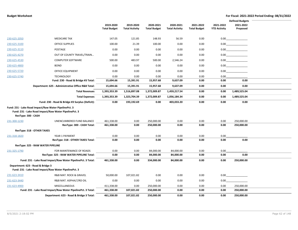|                     |                                                              |                     |                       |                     |                       |                     |                     | <b>Defined Budgets</b> |
|---------------------|--------------------------------------------------------------|---------------------|-----------------------|---------------------|-----------------------|---------------------|---------------------|------------------------|
|                     |                                                              | 2019-2020           | 2019-2020             | 2020-2021           | 2020-2021             | 2021-2022           | 2021-2022           | 2021-2022              |
|                     |                                                              | <b>Total Budget</b> | <b>Total Activity</b> | <b>Total Budget</b> | <b>Total Activity</b> | <b>Total Budget</b> | <b>YTD Activity</b> | Proposed               |
| 230-625-2050        | <b>MEDICARE TAX</b>                                          | 147.05              | 121.85                | 148.93              | 56.59                 | 0.00                |                     |                        |
| 230-625-3100        | <b>OFFICE SUPPLIES</b>                                       | 100.00              | 21.39                 | 100.00              | 0.00                  | 0.00                |                     | 0.00                   |
| 230-625-3110        | <b>POSTAGE</b>                                               | 0.00                | 0.00                  | 0.00                | 0.00                  | 0.00                |                     | $0.00$                 |
|                     | OUT OF COUNTY TRAVEL/TRAIN                                   | 0.00                | 0.00                  | 0.00                | 0.00                  | 0.00                |                     | 0.00                   |
| 230-625-4270        |                                                              |                     |                       |                     |                       |                     |                     |                        |
| 230-625-4530        | <b>COMPUTER SOFTWARE</b>                                     | 500.00              | 483.97                | 500.00              | 2,546.24              | 0.00                |                     | 0.00                   |
| 230-625-4800        | <b>BOND</b>                                                  | 0.00                | 0.00                  | 0.00                | 0.00                  | 0.00                |                     | 0.00                   |
| 230-625-5720        | OFFICE EQUIPMENT                                             | 0.00                | 0.00                  | 0.00                | 0.00                  | 0.00                |                     | 0.00                   |
| 230-625-5740        | <b>TECHNOLOGY</b>                                            | 0.00                | 0.00                  | 0.00                | 0.00                  | 0.00                | 0.00                |                        |
|                     | Fund: 230 - Road & Bridge #3 Total:                          | 15,694.66           | 15,391.91             | 15,957.68           | 9,637.09              | 0.00                | 0.00                | 0.00                   |
|                     | Department: 625 - Administrative Office R&B Total:           | 15,694.66           | 15,391.91             | 15,957.68           | 9,637.09              | 0.00                | 0.00                | 0.00                   |
|                     | <b>Total Revenues</b>                                        | 1,393,353.39        | 1,516,897.08          | 1,372,009.87        | 1,459,217.54          | 0.00                | 0.00                | 1,489,525.04           |
|                     | <b>Total Expenses</b>                                        | 1,393,353.39        | 1,323,704.39          | 1,372,009.87        | 1,056,184.34          | 0.00                | 0.00                | 1,489,525.04           |
|                     | Fund: 230 - Road & Bridge #3 Surplus (Deficit):              | 0.00                | 193,192.69            | 0.00                | 403,033.20            | 0.00                | 0.00                | 0.00                   |
|                     | Fund: 231 - Lake Road Impact/Raw Water PipelinePct. 3        |                     |                       |                     |                       |                     |                     |                        |
|                     | Fund: 231 - Lake Road Impact/Raw Water PipelinePct. 3        |                     |                       |                     |                       |                     |                     |                        |
| RevType: 300 - CASH |                                                              |                     |                       |                     |                       |                     |                     |                        |
| 231-300-1230        | UNENCUMBERED FUND BALANCE                                    | 461,338.00          | 0.00                  | 250,000.00          | 0.00                  | 0.00                | 0.00                | 250,000.00             |
|                     | RevType: 300 - CASH Total:                                   | 461,338.00          | 0.00                  | 250,000.00          | 0.00                  | 0.00                | 0.00                | 250,000.00             |
|                     | RevType: 318 - OTHER TAXES                                   |                     |                       |                     |                       |                     |                     |                        |
| 231-318-1820        | YEAR 1 PAYMENT                                               | 0.00                | 0.00                  | 0.00                | 0.00                  | 0.00                | 0.00                |                        |
|                     | RevType: 318 - OTHER TAXES Total:                            | 0.00                | 0.00                  | 0.00                | 0.00                  | 0.00                | 0.00                | 0.00                   |
|                     | RevType: 325 - RAW WATER PIPELINE                            |                     |                       |                     |                       |                     |                     |                        |
| 231-325-1790        | FOR MAINTENANCE OF ROADS                                     | 0.00                | 0.00                  | 84,000.00           | 84,000.00             | 0.00                | 0.00                |                        |
|                     | RevType: 325 - RAW WATER PIPELINE Total:                     | 0.00                | 0.00                  | 84,000.00           | 84,000.00             | 0.00                | 0.00                | 0.00                   |
|                     | Fund: 231 - Lake Road Impact/Raw Water PipelinePct. 3 Total: | 461,338.00          | 0.00                  | 334,000.00          | 84,000.00             | 0.00                | 0.00                | 250,000.00             |
|                     | Department: 623 - Road & Bridge 3                            |                     |                       |                     |                       |                     |                     |                        |
|                     | Fund: 231 - Lake Road Impact/Raw Water PipelinePct. 3        |                     |                       |                     |                       |                     |                     |                        |
| 231-623-3410        | R&B MAT. ROCK & GRAVEL                                       | 50,000.00           | 107,021.82            | 0.00                | 0.00                  | 0.00                | 0.00                |                        |
| 231-623-3440        | R&B MAT. ASPHALT/RD OIL                                      | 0.00                | 0.00                  | 0.00                | 0.00                  | 0.00                | 0.00                |                        |
| 231-623-4900        | MISCELLANEOUS                                                | 411,338.00          | 0.00                  | 250,000.00          | 0.00                  | 0.00                | 0.00                | 250,000.00             |
|                     | Fund: 231 - Lake Road Impact/Raw Water PipelinePct. 3 Total: | 461,338.00          | 107,021.82            | 250,000.00          | 0.00                  | 0.00                | 0.00                | 250,000.00             |
|                     | Department: 623 - Road & Bridge 3 Total:                     | 461,338.00          | 107,021.82            | 250,000.00          | 0.00                  | 0.00                | 0.00                | 250,000.00             |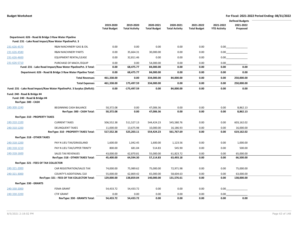|                                                                                     |                                                                                                               |                     |                       |                     |                       |                     |                     | <b>Defined Budgets</b> |  |
|-------------------------------------------------------------------------------------|---------------------------------------------------------------------------------------------------------------|---------------------|-----------------------|---------------------|-----------------------|---------------------|---------------------|------------------------|--|
|                                                                                     |                                                                                                               | 2019-2020           | 2019-2020             | 2020-2021           | 2020-2021             | 2021-2022           | 2021-2022           | 2021-2022              |  |
|                                                                                     |                                                                                                               | <b>Total Budget</b> | <b>Total Activity</b> | <b>Total Budget</b> | <b>Total Activity</b> | <b>Total Budget</b> | <b>YTD Activity</b> | Proposed               |  |
|                                                                                     | Department: 626 - Road & Bridge 3 Raw Water Pipeline<br>Fund: 231 - Lake Road Impact/Raw Water PipelinePct. 3 |                     |                       |                     |                       |                     |                     |                        |  |
| 231-626-4570                                                                        | R&M MACHINERY GAS & OIL                                                                                       | 0.00                | 0.00                  | 0.00                | 0.00                  | 0.00                |                     |                        |  |
| 231-626-4580                                                                        | <b>R&amp;M MACHINERY PARTS</b>                                                                                | 0.00                | 35,664.31             | 30,000.00           | 0.00                  | 0.00                |                     | 0.00                   |  |
| 231-626-4600                                                                        | EQUIPMENT RENTAL/LEASE                                                                                        | 0.00                | 32,811.46             | 0.00                | 0.00                  | 0.00                |                     | 0.00                   |  |
| 231-626-5710                                                                        | PURCHASE OF MACH./EQUIP                                                                                       | 0.00                | 0.00                  | 54,000.00           | 0.00                  | 0.00                | 0.00                |                        |  |
|                                                                                     | Fund: 231 - Lake Road Impact/Raw Water PipelinePct. 3 Total:                                                  | 0.00                | 68,475.77             | 84,000.00           | 0.00                  | 0.00                | 0.00                | 0.00                   |  |
|                                                                                     | Department: 626 - Road & Bridge 3 Raw Water Pipeline Total:                                                   | 0.00                | 68,475.77             | 84,000.00           | 0.00                  | 0.00                | 0.00                | 0.00                   |  |
|                                                                                     | <b>Total Revenues</b>                                                                                         | 461,338.00          | 0.00                  | 334,000.00          | 84,000.00             | 0.00                | 0.00                | 250,000.00             |  |
|                                                                                     | <b>Total Expenses</b>                                                                                         | 461,338.00          | 175,497.59            | 334,000.00          | 0.00                  | 0.00                | 0.00                | 250,000.00             |  |
|                                                                                     | Fund: 231 - Lake Road Impact/Raw Water PipelinePct. 3 Surplus (Deficit):                                      | 0.00                | -175,497.59           | 0.00                | 84,000.00             | 0.00                | 0.00                | 0.00                   |  |
| Fund: 240 - Road & Bridge #4<br>Fund: 240 - Road & Bridge #4<br>RevType: 300 - CASH |                                                                                                               |                     |                       |                     |                       |                     |                     |                        |  |
| 240-300-1240                                                                        | BEGINNING CASH BALANCE                                                                                        | 50,372.08           | 0.00                  | 47,006.36           | 0.00                  | 0.00                | 0.00                | 8,862.13               |  |
|                                                                                     | RevType: 300 - CASH Total:                                                                                    | 50,372.08           | 0.00                  | 47,006.36           | 0.00                  | 0.00                | 0.00                | 8,862.13               |  |
| RevType: 310 - PROPERTY TAXES                                                       |                                                                                                               |                     |                       |                     |                       |                     |                     |                        |  |
| 240-310-1100                                                                        | <b>CURRENT TAXES</b>                                                                                          | 506,552.38          | 511,527.13            | 544,424.23          | 545,580.76            | 0.00                | 0.00                | 603,162.02             |  |
| 240-310-1200                                                                        | <b>DELINQUENT TAXES</b>                                                                                       | 11,000.00           | 13,675.98             | 10,000.00           | 16,186.93             | 0.00                | 0.00                | 16,000.00              |  |
|                                                                                     | RevType: 310 - PROPERTY TAXES Total:                                                                          | 517,552.38          | 525,203.11            | 554,424.23          | 561,767.69            | 0.00                | 0.00                | 619,162.02             |  |
| RevType: 318 - OTHER TAXES                                                          |                                                                                                               |                     |                       |                     |                       |                     |                     |                        |  |
| 240-318-1200                                                                        | PAY N LIEU TAX/GRASSLAND                                                                                      | 1,600.00            | 1,042.45              | 1,600.00            | 1,123.56              | 0.00                | 0.00                | 1,000.00               |  |
| 240-318-1210                                                                        | PAY N LIEU TAX/UPPER TRINITY                                                                                  | 800.00              | 681.04                | 514.83              | 545.90                | 0.00                | 0.00                | 500.00                 |  |
| 240-318-1600                                                                        | <b>SALES TAX REVENUES</b>                                                                                     | 43,000.00           | 62,870.81             | 55,000.00           | 61,823.72             | 0.00                | 0.00                | 65,000.00              |  |
|                                                                                     | RevType: 318 - OTHER TAXES Total:                                                                             | 45,400.00           | 64,594.30             | 57,114.83           | 63,493.18             | 0.00                | 0.00                | 66,500.00              |  |
|                                                                                     | RevType: 321 - FEES OF TAX COLLECTOR                                                                          |                     |                       |                     |                       |                     |                     |                        |  |
| 240-321-2000                                                                        | CAR REGISTRATION/SALES TAX                                                                                    | 74,000.00           | 75,989.62             | 75,000.00           | 72,971.98             | 0.00                | 0.00                | 75,000.00              |  |
| 240-321-3000                                                                        | COUNTY'S ADDITIONAL \$10                                                                                      | 55,000.00           | 62,869.42             | 65,000.00           | 58,604.63             | 0.00<br>0.00        | 0.00                | 63,000.00              |  |
| RevType: 330 - GRANTS                                                               | RevType: 321 - FEES OF TAX COLLECTOR Total:                                                                   | 129,000.00          | 138,859.04            | 140,000.00          | 131,576.61            |                     | 0.00                | 138,000.00             |  |
|                                                                                     | <b>FEMA GRANT</b>                                                                                             |                     |                       | 0.00                | 0.00                  | 0.00                | 0.00                |                        |  |
| 240-330-2000                                                                        | <b>CTIF GRANT</b>                                                                                             | 54,433.72           | 54,433.72             |                     |                       |                     |                     |                        |  |
| 240-330-2200                                                                        | RevType: 330 - GRANTS Total:                                                                                  | 0.00<br>54,433.72   | 0.00<br>54,433.72     | 0.00<br>0.00        | 0.00<br>0.00          | 0.00<br>0.00        | 0.00<br>0.00        | 0.00                   |  |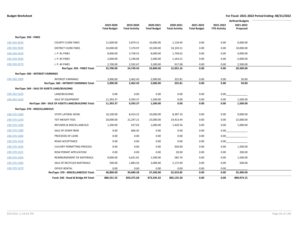|                      |                                                    |                     |                       |                     |                       |                     |                     | <b>Defined Budgets</b> |
|----------------------|----------------------------------------------------|---------------------|-----------------------|---------------------|-----------------------|---------------------|---------------------|------------------------|
|                      |                                                    | 2019-2020           | 2019-2020             | 2020-2021           | 2020-2021             | 2021-2022           | 2021-2022           | 2021-2022              |
|                      |                                                    | <b>Total Budget</b> | <b>Total Activity</b> | <b>Total Budget</b> | <b>Total Activity</b> | <b>Total Budget</b> | <b>YTD Activity</b> | Proposed               |
| RevType: 350 - FINES |                                                    |                     |                       |                     |                       |                     |                     |                        |
| 240-350-4030         | <b>COUNTY CLERK FINES</b>                          | 11,000.00           | 5,879.21              | 10,000.00           | 1,118.44              | 0.00                | 0.00                | 6,000.00               |
| 240-350-4500         | <b>DISTRICT CLERK FINES</b>                        | 10,000.00           | 7,270.97              | 10,500.00           | 10,103.51             | 0.00                | 0.00                | 10,000.00              |
| 240-350-4550         | J. P. #1 FINES                                     | 8,000.00            | 3,758.52              | 8,000.00            | 1,749.62              | 0.00                | 0.00                | 4,000.00               |
| 240-350-4560         | J. P. #2 FINES                                     | 2,000.00            | 5,248.06              | 2,000.00            | 1,163.51              | 0.00                | 0.00                | $-2,000.00$            |
| 240-350-4570         | J. P. #3 FINES                                     | 2,700.00            | 2,592.67              | 3,300.00            | 917.08                | 0.00                | 0.00                | 2,500.00               |
|                      | RevType: 350 - FINES Total:                        | 33,700.00           | 24,749.43             | 33,800.00           | 15,052.16             | 0.00                | 0.00                | 20,500.00              |
|                      | RevType: 360 - INTEREST EARNINGS                   |                     |                       |                     |                       |                     |                     |                        |
| 240-360-1000         | <b>INTEREST EARNINGS</b>                           | 3,900.00            | 2,462.43              | 2,000.00            | 325.81                | 0.00                | 0.00                | 50.00                  |
|                      | RevType: 360 - INTEREST EARNINGS Total:            | 3,900.00            | 2,462.43              | 2,000.00            | 325.81                | 0.00                | 0.00                | 50.00                  |
|                      | RevType: 364 - SALE OF ASSETS LAND/BUILDING        |                     |                       |                     |                       |                     |                     |                        |
| 240-364-1620         | LAND/BUILDING                                      | 0.00                | 0.00                  | 0.00                | 0.00                  | 0.00                | 0.00                |                        |
| 240-364-1630         | SALE OF EQUIPMENT                                  | 11,393.37           | 9,393.37              | 1,500.00            | 0.00                  | 0.00                | 0.00                | 1,500.00               |
|                      | RevType: 364 - SALE OF ASSETS LAND/BUILDING Total: | 11,393.37           | 9,393.37              | 1,500.00            | 0.00                  | 0.00                | 0.00                | 1,500.00               |
|                      | RevType: 370 - MISCELLANEOUS                       |                     |                       |                     |                       |                     |                     |                        |
| 240-370-1200         | STATE LATERAL ROAD                                 | 10,100.00           | 8,414.22              | 10,000.00           | 8,387.19              | 0.00                | 0.00                | 9,000.00               |
| 240-370-1250         | TDT WEIGHT FEES                                    | 20,000.00           | 21,247.21             | 23,000.00           | 19,413.44             | 0.00                | 0.00                | 22,000.00              |
| 240-370-1300         | REFUNDS & MISCELLANEOUS                            | 1,200.00            | 637.03                | 1,000.00            | 1,420.56              | 0.00                | 0.00                | 1,000.00               |
| 240-370-1380         | SALE OF SCRAP IRON                                 | 0.00                | 866.45                | 0.00                | 0.00                  | 0.00                | 0.00                |                        |
| 240-370-1400         | PROCEEDS OF LOAN                                   | 0.00                | 0.00                  | 0.00                | 0.00                  | 0.00                | 0.00                |                        |
| 240-370-1419         | ROAD ACCEPTANCE                                    | 0.00                | 0.00                  | 0.00                | 0.00                  | 0.00                | 0.00                |                        |
| 240-370-1420         | <b>CULVERT PERMITTING PROCESS</b>                  | 0.00                | 0.00                  | 0.00                | 920.00                | 0.00                | 0.00                | 1,200.00               |
| 240-370-1421         | ROW PERMIT APPLICATION                             | 0.00                | 0.00                  | 0.00                | 20.00                 | 0.00                | 0.00                | 200.00                 |
| 240-370-1450         | REIMBURSEMENT OF MATERIALS                         | 9,000.00            | 6,631.81              | 1,500.00            | 585.76                | 0.00                | 0.00                | 1,500.00               |
| 240-370-1460         | SALE OF RECYCLED MATERIALS                         | 500.00              | 1,883.56              | 2,000.00            | 2,172.90              | 0.00                | 0.00                | 500.00                 |
| 240-370-1470         | <b>OFFICE RENTAL</b>                               | 0.00                | 0.00                  | 0.00                | 0.00                  | 0.00                | 0.00                |                        |
|                      | RevType: 370 - MISCELLANEOUS Total:                | 40,800.00           | 39,680.28             | 37,500.00           | 32,919.85             | 0.00                | 0.00                | 35,400.00              |
|                      | Fund: 240 - Road & Bridge #4 Total:                | 886,551.55          | 859,375.68            | 873,345.42          | 805,135.30            | 0.00                | 0.00                | 889,974.15             |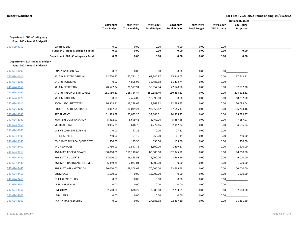|                                                                   |                                      |                     |                        |                         |                       |                     |                     | <b>Defined Budgets</b>  |
|-------------------------------------------------------------------|--------------------------------------|---------------------|------------------------|-------------------------|-----------------------|---------------------|---------------------|-------------------------|
|                                                                   |                                      | 2019-2020           | 2019-2020              | 2020-2021               | 2020-2021             | 2021-2022           | 2021-2022           | 2021-2022               |
|                                                                   |                                      | <b>Total Budget</b> | <b>Total Activity</b>  | <b>Total Budget</b>     | <b>Total Activity</b> | <b>Total Budget</b> | <b>YTD Activity</b> | Proposed                |
| Department: 509 - Contingency                                     |                                      |                     |                        |                         |                       |                     |                     |                         |
| Fund: 240 - Road & Bridge #4                                      |                                      |                     |                        |                         |                       |                     |                     |                         |
| 240-509-4750                                                      | CONTINGENCY                          | 0.00                | 0.00                   | 0.00                    | 0.00                  | 0.00                | 0.00                |                         |
|                                                                   | Fund: 240 - Road & Bridge #4 Total:  | 0.00                | 0.00                   | 0.00                    | 0.00                  | 0.00                | 0.00                | 0.00                    |
|                                                                   | Department: 509 - Contingency Total: | 0.00                | 0.00                   | 0.00                    | 0.00                  | 0.00                | 0.00                | 0.00                    |
| Department: 624 - Road & Bridge 4<br>Fund: 240 - Road & Bridge #4 |                                      |                     |                        |                         |                       |                     |                     |                         |
| 240-624-1000                                                      | <b>COMPENSATION PAY</b>              | 0.00                | 0.00                   | 0.00                    | 0.00                  | 0.00                | 0.00                |                         |
| 240-624-1010                                                      | SALARY ELECTED OFFICIAL              | 62,720.97           | 62,721.10              | 63,240.97               | 55,944.05             | 0.00                | 0.00                | 67,643.51               |
| 240-624-1030                                                      | <b>SALARY FOREMAN</b>                | 0.00                | 4,806.95               | 32,485.18               | 11,404.74             | 0.00                | 0.00                |                         |
| 240-624-1050                                                      | SALARY SECRETARY                     | 28,577.94           | 28,577.91              | 30,657.94               | 27,120.58             | 0.00                | 0.00                | 32,792.20               |
|                                                                   | SALARY PRECINCT EMPLOYEES            |                     |                        |                         |                       | 0.00                |                     |                         |
| 240-624-1060<br>240-624-1070                                      | SALARY PART-TIME                     | 181,580.27<br>0.00  | 118,764.44<br>7,464.00 | 150,186.40<br>18,096.00 | 110,853.11<br>0.00    | 0.00                | 0.00<br>0.00        | 204,692.32<br>18,792.00 |
|                                                                   |                                      |                     |                        |                         |                       |                     |                     |                         |
| 240-624-2010                                                      | SOCIAL SECURITY TAXES                | 16,918.51           | 13,238.65              | 18,269.32               | 12,689.55             | 0.00                | 0.00                | 20,083.04               |
| 240-624-2020                                                      | <b>GROUP HEALTH INSURANCE</b>        | 94,967.04           | 80,039.24              | 97,653.12               | 67,645.13             | 0.00                | 0.00                | 106,204.16              |
| 240-624-2030                                                      | RETIREMENT                           | 31,899.58           | 25,093.25              | 34,888.51               | 24,308.45             | 0.00                | 0.00                | 38,999.97               |
| 240-624-2040                                                      | <b>WORKERS COMPENSATION</b>          | 5,892.97            | 5,699.46               | 6,469.26                | 5,887.58              | 0.00                | 0.00                | 7,187.07                |
| 240-624-2050                                                      | <b>MEDICARE TAX</b>                  | 3,956.75            | 3,618.76               | 4,272.66                | 2,967.74              | 0.00                | 0.00                | 4,696.84                |
| 240-624-2060                                                      | UNEMPLOYMENT EXPENSE                 | 0.00                | 97.15                  | 0.00                    | 27.21                 | 0.00                | 0.00                |                         |
| 240-624-3100                                                      | <b>OFFICE SUPPLIES</b>               | 250.00              | 61.19                  | 250.00                  | 61.19                 | 0.00                | 0.00                | 250.00                  |
| 240-624-3140                                                      | <b>EMPLOYEE PHYSICALS/DOT TEST</b>   | 350.00              | 195.36                 | 350.00                  | 155.00                | 0.00                | 0.00                | 350.00                  |
| 240-624-3400                                                      | <b>SHOP SUPPLIES</b>                 | 1,750.00            | 1,547.76               | 1,500.00                | 1,499.27              | 0.00                | 0.00                | 1,500.00                |
| 240-624-3410                                                      | R&B MAT. ROCK & GRAVEL               | 130,000.00          | 151,110.65             | 80,000.00               | 102,945.76            | 0.00                | 0.00                | 80,000.00               |
| 240-624-3420                                                      | <b>R&amp;B MAT. CULVERTS</b>         | 17,000.00           | 16,863.53              | 9,000.00                | 8,569.14              | 0.00                | 0.00                | 9,000.00                |
| 240-624-3430                                                      | R&B MAT. HARDWARE & LUMBER           | 6,459.28            | 7,077.01               | 1,500.00                | 0.00                  | 0.00                | 0.00                | 1,500.00                |
| 240-624-3440                                                      | R&B MAT. ASPHALT/RD OIL              | 70,000.00           | 68,308.69              | 70,000.00               | 23,769.63             | 0.00                | 0.00                | 70,000.00               |
| 240-624-3450                                                      | <b>CHEMICALS</b>                     | 1,500.00            | 0.00                   | 15,000.00               | 0.00                  | 0.00                | 0.00                | 1,500.00                |
| 240-624-3460                                                      | <b>CTIF EXPENDITURES</b>             | 0.00                | 0.00                   | 0.00                    | 0.00                  | 0.00                | 0.00                |                         |
| 240-624-3500                                                      | <b>DEBRIS REMOVAL</b>                | 0.00                | 0.00                   | 0.00                    | 0.00                  | 0.00                | 0.00                |                         |
| 240-624-3950                                                      | <b>UNIFORMS</b>                      | 2,500.00            | 3,638.22               | 2,500.00                | 2,233.89              | 0.00                | 0.00                | 2,500.00                |
| 240-624-4000                                                      | <b>LEGAL FEES</b>                    | 0.00                | 0.00                   | 0.00                    | 0.00                  | 0.00                | 0.00                |                         |
| 240-624-4060                                                      | TAX APPRAISAL DISTRICT               | 0.00                | 0.00                   | 27,883.38               | 22,367.10             | 0.00                | 0.00                | 31,261.69               |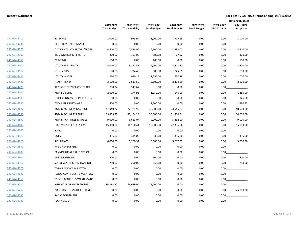|              |                                    | 2019-2020<br><b>Total Budget</b> | 2019-2020<br><b>Total Activity</b> | 2020-2021<br><b>Total Budget</b> | 2020-2021<br><b>Total Activity</b> | 2021-2022<br><b>Total Budget</b> | 2021-2022<br><b>YTD Activity</b> | <b>Defined Budgets</b><br>2021-2022<br>Proposed |
|--------------|------------------------------------|----------------------------------|------------------------------------|----------------------------------|------------------------------------|----------------------------------|----------------------------------|-------------------------------------------------|
| 240-624-4210 | <b>INTERNET</b>                    | 1,000.00                         | 978.94                             | 1,000.00                         | 905.65                             | 0.00                             | 0.00                             | 1,000.00                                        |
| 240-624-4230 | <b>CELL PHONE ALLOWANCE</b>        | 0.00                             | 0.00                               | 0.00                             | 0.00                               | 0.00                             | 0.00                             |                                                 |
| 240-624-4270 | OUT OF COUNTY TRAVEL/TRAIN         | 4,600.00                         | 2,534.94                           | 4,600.00                         | 2,288.07                           | 0.00                             | 0.00                             | 4,600.00                                        |
| 240-624-4300 | <b>BIDS, NOTICES &amp; PERMITS</b> | 300.00                           | 151.02                             | 300.00                           | 27.52                              | 0.00                             | 0.00                             | 300.00                                          |
| 240-624-4350 | PRINTING                           | 100.00                           | 0.00                               | 100.00                           | 0.00                               | 0.00                             | 0.00                             | 100.00                                          |
| 240-624-4400 | UTILITY ELECTRICITY                | 4,000.00                         | 3,112.57                           | 4,000.00                         | 2,471.82                           | 0.00                             | 0.00                             | 3,500.00                                        |
| 240-624-4410 | UTILITY GAS                        | 600.00                           | 734.43                             | 600.00                           | 745.85                             | 0.00                             | 0.00                             | 750.00                                          |
| 240-624-4420 | UTILITY WATER                      | 1,250.00                         | 980.15                             | 1,250.00                         | 657.29                             | 0.00                             | 0.00                             | 1,000.00                                        |
| 240-624-4430 | <b>TRASH PICK-UP</b>               | 2,500.00                         | 2,617.50                           | 2,500.00                         | 2,404.50                           | 0.00                             | 0.00                             | 2,500.00                                        |
| 240-624-4470 | REPEATER SERVICE CONTRACT          | 730.24                           | 547.67                             | 0.00                             | 0.00                               | 0.00                             | 0.00                             |                                                 |
| 240-624-4500 | <b>R&amp;M BUILDING</b>            | 2,000.00                         | 174.95                             | 1,250.00                         | 146.00                             | 0.00                             | 0.00                             | 1,250.00                                        |
| 240-624-4503 | FIRE EXTINGUISHER INSPECTION       | 0.00                             | 0.00                               | 0.00                             | 0.00                               | 0.00                             | 0.00                             | 146.00                                          |
| 240-624-4530 | <b>COMPUTER SOFTWARE</b>           | 1,500.00                         | 0.00                               | 1,500.00                         | 0.00                               | 0.00                             | 0.00                             | 2,730.35                                        |
| 240-624-4570 | R&M MACHINERY GAS & OIL            | 41,040.72                        | 27,781.93                          | 40,000.00                        | 23,546.07                          | 0.00                             | 0.00                             | 40,000.00                                       |
| 240-624-4580 | <b>R&amp;M MACHINERY PARTS</b>     | 39,433.72                        | 47,154.24                          | 30,000.00                        | 31,834.64                          | 0.00                             | 0.00                             | 30,000.00                                       |
| 240-624-4590 | R&M MACH. TIRES & TUBES            | 9,000.00                         | 6,663.07                           | 9,000.00                         | 5,462.00                           | 0.00                             | 0.00                             | 9,000.00                                        |
| 240-624-4600 | EQUIPMENT RENTAL/LEASE             | 15,000.00                        | 16,100.41                          | 15,000.00                        | 22,386.06                          | 0.00                             | 0.00                             | 15,000.00                                       |
| 240-624-4800 | <b>BOND</b>                        | 0.00                             | 0.00                               | 0.00                             | 0.00                               | 0.00                             | 0.00                             |                                                 |
| 240-624-4810 | <b>DUES</b>                        | 335.00                           | 335.00                             | 335.00                           | 395.00                             | 0.00                             | 0.00                             | 395.00                                          |
| 240-624-4820 | <b>INSURANCE</b>                   | 6,000.00                         | 5,200.97                           | 6,000.00                         | 5,017.63                           | 0.00                             | 0.00                             | 3,000.00                                        |
| 240-624-4850 | PRISONER SUPPLIES                  | 0.00                             | 0.00                               | 0.00                             | 0.00                               | 0.00                             | 0.00                             |                                                 |
| 240-624-4880 | FANNIN RURAL RAIL DISTRICT         | 0.00                             | 0.00                               | 0.00                             | 0.00                               | 0.00                             | 0.00                             |                                                 |
| 240-624-4900 | <b>MISCELLANEOUS</b>               | 500.00                           | 0.00                               | 500.00                           | 0.00                               | 0.00                             | 0.00                             | 500.00                                          |
| 240-624-4910 | SOIL & WATER CONSERVATION          | 250.00                           | 250.00                             | 250.00                           | 0.00                               | 0.00                             | 0.00                             | 250.00                                          |
| 240-624-4920 | TDRA FLOOD CASH MATCH              | 0.00                             | 0.00                               | 0.00                             | 0.00                               | 0.00                             | 0.00                             |                                                 |
| 240-624-4940 | FLOOD CONTROL SITE MAINTEN         | 0.00                             | 0.00                               | 0.00                             | 0.00                               | 0.00                             | 0.00                             |                                                 |
| 240-624-4960 | TCOG HAZARDOUS WASTEMATCH          | 0.00                             | 0.00                               | 0.00                             | 0.00                               | 0.00                             | 0.00                             |                                                 |
| 240-624-5710 | PURCHASE OF MACH./EQUIP            | 84,393.37                        | 46,689.90                          | 75,000.00                        | 0.00                               | 0.00                             | 0.00                             |                                                 |
| 240-624-5711 | PURCHASE OF SMALL EQUIPME          | 0.00                             | 0.00                               | 0.00                             | 0.00                               | 0.00                             | 0.00                             | 75,000.00                                       |
| 240-624-5730 | <b>RADIO EQUIPMENT</b>             | 0.00                             | 0.00                               | 0.00                             | 0.00                               | 0.00                             | 0.00                             |                                                 |
| 240-624-5740 | <b>TECHNOLOGY</b>                  | 0.00                             | 0.00                               | 0.00                             | 0.00                               | 0.00                             | 0.00                             |                                                 |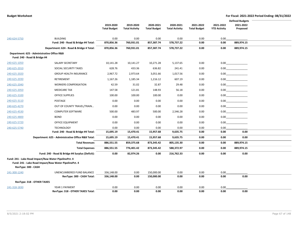|                     |                                                       | 2019-2020           | 2019-2020             | 2020-2021           | 2020-2021             | 2021-2022           | 2021-2022           | <b>Defined Budgets</b><br>2021-2022 |  |
|---------------------|-------------------------------------------------------|---------------------|-----------------------|---------------------|-----------------------|---------------------|---------------------|-------------------------------------|--|
|                     |                                                       | <b>Total Budget</b> | <b>Total Activity</b> | <b>Total Budget</b> | <b>Total Activity</b> | <b>Total Budget</b> | <b>YTD Activity</b> | Proposed                            |  |
|                     |                                                       |                     |                       |                     |                       |                     |                     |                                     |  |
| 240-624-5750        | <b>BUILDING</b>                                       | 0.00                | 0.00                  | 0.00                | 0.00                  | 0.00                | 0.00                |                                     |  |
|                     | Fund: 240 - Road & Bridge #4 Total:                   | 870,856.36          | 760,931.01            | 857,387.74          | 578,737.22            | 0.00                | 0.00                | 889,974.15                          |  |
|                     | Department: 624 - Road & Bridge 4 Total:              | 870,856.36          | 760,931.01            | 857,387.74          | 578,737.22            | 0.00                | 0.00                | 889,974.15                          |  |
|                     | Department: 625 - Administrative Office R&B           |                     |                       |                     |                       |                     |                     |                                     |  |
|                     | Fund: 240 - Road & Bridge #4                          |                     |                       |                     |                       |                     |                     |                                     |  |
| 240-625-1050        | SALARY SECRETARY                                      | 10,141.28           | 10,141.27             | 10,271.28           | 5,137.65              | 0.00                |                     | 0.00                                |  |
| 240-625-2010        | SOCIAL SECURITY TAXES                                 | 628.76              | 433.36                | 636.82              | 241.41                | 0.00                |                     | 0.00                                |  |
| 240-625-2020        | <b>GROUP HEALTH INSURANCE</b>                         | 2,967.72            | 2,973.64              | 3,051.66            | 1,017.56              | 0.00                |                     | 0.00                                |  |
| 240-625-2030        | <b>RETIREMENT</b>                                     | 1,167.26            | 1,185.34              | 1,216.12            | 607.19                | 0.00                |                     | 0.00                                |  |
| 240-625-2040        | <b>WORKERS COMPENSATION</b>                           | 42.59               | 31.02                 | 32.87               | 29.48                 | 0.00                |                     | 0.00                                |  |
| 240-625-2050        | <b>MEDICARE TAX</b>                                   | 147.58              | 121.81                | 148.93              | 56.18                 | 0.00                |                     | 0.00                                |  |
| 240-625-3100        | <b>OFFICE SUPPLIES</b>                                | 100.00              | 100.00                | 100.00              | 0.00                  | 0.00                |                     | 0.00                                |  |
| 240-625-3110        | POSTAGE                                               | 0.00                | 0.00                  | 0.00                | 0.00                  | 0.00                |                     | 0.00                                |  |
| 240-625-4270        | OUT OF COUNTY TRAVEL/TRAIN                            | 0.00                | 0.00                  | 0.00                | 0.00                  | 0.00                |                     | 0.00                                |  |
| 240-625-4530        | <b>COMPUTER SOFTWARE</b>                              | 500.00              | 483.97                | 500.00              | 2,546.28              | 0.00                |                     | 0.00                                |  |
| 240-625-4800        | <b>BOND</b>                                           | 0.00                | 0.00                  | 0.00                | 0.00                  | 0.00                |                     |                                     |  |
| 240-625-5720        | OFFICE EQUIPMENT                                      | 0.00                | 0.00                  | 0.00                | 0.00                  | 0.00                |                     | 0.00                                |  |
| 240-625-5740        | <b>TECHNOLOGY</b>                                     | 0.00                | 0.00                  | 0.00                | 0.00                  | 0.00                | 0.00                |                                     |  |
|                     | Fund: 240 - Road & Bridge #4 Total:                   | 15,695.19           | 15,470.41             | 15,957.68           | 9,635.75              | 0.00                | 0.00                | 0.00                                |  |
|                     | Department: 625 - Administrative Office R&B Total:    | 15,695.19           | 15,470.41             | 15,957.68           | 9,635.75              | 0.00                | 0.00                | 0.00                                |  |
|                     | <b>Total Revenues</b>                                 | 886,551.55          | 859,375.68            | 873,345.42          | 805,135.30            | 0.00                | 0.00                | 889,974.15                          |  |
|                     | <b>Total Expenses</b>                                 | 886,551.55          | 776,401.42            | 873,345.42          | 588,372.97            | 0.00                | 0.00                | 889,974.15                          |  |
|                     | Fund: 240 - Road & Bridge #4 Surplus (Deficit):       | 0.00                | 82,974.26             | 0.00                | 216,762.33            | 0.00                | 0.00                | 0.00                                |  |
|                     | Fund: 241 - Lake Road Impact/Raw Water PipelinePct. 4 |                     |                       |                     |                       |                     |                     |                                     |  |
|                     | Fund: 241 - Lake Road Impact/Raw Water PipelinePct. 4 |                     |                       |                     |                       |                     |                     |                                     |  |
| RevType: 300 - CASH |                                                       |                     |                       |                     |                       |                     |                     |                                     |  |
| 241-300-1240        | UNENCUMBERED FUND BALANCE                             | 336,148.00          | 0.00                  | 150,000.00          | 0.00                  | 0.00                | 0.00                |                                     |  |
|                     | RevType: 300 - CASH Total:                            | 336,148.00          | 0.00                  | 150,000.00          | 0.00                  | 0.00                | 0.00                | 0.00                                |  |
|                     | RevType: 318 - OTHER TAXES                            |                     |                       |                     |                       |                     |                     |                                     |  |
| 241-318-1830        | YEAR 1 PAYMENT                                        | 0.00                | 0.00                  | 0.00                | 0.00                  | 0.00                | 0.00                |                                     |  |
|                     | RevType: 318 - OTHER TAXES Total:                     | 0.00                | 0.00                  | 0.00                | 0.00                  | 0.00                | 0.00                | 0.00                                |  |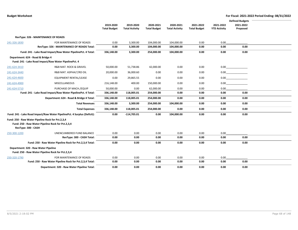|              |                                                                          |                     |                       |                     |                       |                     |                     | <b>Defined Budgets</b> |  |
|--------------|--------------------------------------------------------------------------|---------------------|-----------------------|---------------------|-----------------------|---------------------|---------------------|------------------------|--|
|              |                                                                          | 2019-2020           | 2019-2020             | 2020-2021           | 2020-2021             | 2021-2022           | 2021-2022           | 2021-2022              |  |
|              |                                                                          | <b>Total Budget</b> | <b>Total Activity</b> | <b>Total Budget</b> | <b>Total Activity</b> | <b>Total Budget</b> | <b>YTD Activity</b> | Proposed               |  |
|              | RevType: 326 - MAINTENANCE OF ROADS                                      |                     |                       |                     |                       |                     |                     |                        |  |
| 241-326-1830 | FOR MAINTENANCE OF ROADS                                                 | 0.00                | 3,300.00              | 104,000.00          | 104,000.00            | 0.00                | 0.00                |                        |  |
|              | RevType: 326 - MAINTENANCE OF ROADS Total:                               | 0.00                | 3,300.00              | 104,000.00          | 104,000.00            | 0.00                | 0.00                | 0.00                   |  |
|              | Fund: 241 - Lake Road Impact/Raw Water PipelinePct. 4 Total:             | 336,148.00          | 3,300.00              | 254,000.00          | 104,000.00            | 0.00                | 0.00                | 0.00                   |  |
|              | Department: 624 - Road & Bridge 4                                        |                     |                       |                     |                       |                     |                     |                        |  |
|              | Fund: 241 - Lake Road Impact/Raw Water PipelinePct. 4                    |                     |                       |                     |                       |                     |                     |                        |  |
| 241-624-3410 | R&B MAT. ROCK & GRAVEL                                                   | 50,000.00           | 51,738.86             | 42,000.00           | 0.00                  | 0.00                |                     | 0.00                   |  |
| 241-624-3440 | R&B MAT. ASPHALT/RD OIL                                                  | 20,000.00           | 36,000.60             | 0.00                | 0.00                  | 0.00                |                     | 0.00                   |  |
| 241-624-4600 | <b>EQUIPMENT RENTAL/LEASE</b>                                            | 0.00                | 29,865.55             | 0.00                | 0.00                  | 0.00                |                     | 0.00                   |  |
| 241-624-4900 | MISCELLANEOUS                                                            | 216,148.00          | 400.00                | 150,000.00          | 0.00                  | 0.00                | 0.00                |                        |  |
| 241-624-5710 | PURCHASE OF MACH./EQUIP                                                  | 50,000.00           | 0.00                  | 62,000.00           | 0.00                  | 0.00                | 0.00                |                        |  |
|              | Fund: 241 - Lake Road Impact/Raw Water PipelinePct. 4 Total:             | 336,148.00          | 118,005.01            | 254,000.00          | 0.00                  | 0.00                | 0.00                | 0.00                   |  |
|              | Department: 624 - Road & Bridge 4 Total:                                 | 336,148.00          | 118,005.01            | 254,000.00          | 0.00                  | 0.00                | 0.00                | 0.00                   |  |
|              | <b>Total Revenues</b>                                                    | 336,148.00          | 3,300.00              | 254,000.00          | 104,000.00            | 0.00                | 0.00                | 0.00                   |  |
|              | <b>Total Expenses</b>                                                    | 336,148.00          | 118,005.01            | 254,000.00          | 0.00                  | 0.00                | 0.00                | 0.00                   |  |
|              | Fund: 241 - Lake Road Impact/Raw Water PipelinePct. 4 Surplus (Deficit): | 0.00                | $-114,705.01$         | 0.00                | 104,000.00            | 0.00                | 0.00                | 0.00                   |  |
|              | Fund: 250 - Raw Water Pipeline Rock for Pct.2,3,4                        |                     |                       |                     |                       |                     |                     |                        |  |
|              | Fund: 250 - Raw Water Pipeline Rock for Pct.2,3,4<br>RevType: 300 - CASH |                     |                       |                     |                       |                     |                     |                        |  |
| 250-300-1200 | UNENCUMBERED FUND BALANCE                                                | 0.00                | 0.00                  | 0.00                | 0.00                  | 0.00                | 0.00                |                        |  |
|              | RevType: 300 - CASH Total:                                               | 0.00                | 0.00                  | 0.00                | 0.00                  | 0.00                | 0.00                | 0.00                   |  |
|              | Fund: 250 - Raw Water Pipeline Rock for Pct.2,3,4 Total:                 | 0.00                | 0.00                  | 0.00                | 0.00                  | 0.00                | 0.00                | 0.00                   |  |
|              | Department: 320 - Raw Water Pipeline                                     |                     |                       |                     |                       |                     |                     |                        |  |
|              | Fund: 250 - Raw Water Pipeline Rock for Pct.2,3,4                        |                     |                       |                     |                       |                     |                     |                        |  |
| 250-320-1790 | FOR MAINTENANCE OF ROADS                                                 | 0.00                | 0.00                  | 0.00                | 0.00                  | 0.00                | 0.00                |                        |  |
|              | Fund: 250 - Raw Water Pipeline Rock for Pct.2,3,4 Total:                 | 0.00                | 0.00                  | 0.00                | 0.00                  | 0.00                | 0.00                | 0.00                   |  |
|              | Department: 320 - Raw Water Pipeline Total:                              | 0.00                | 0.00                  | 0.00                | 0.00                  | 0.00                | 0.00                | 0.00                   |  |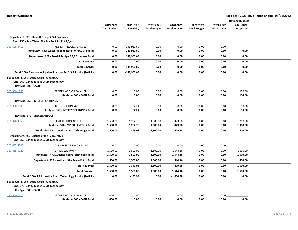|                     |                                                                                                     |                     |                       |                     |                       |                     |                     | <b>Defined Budgets</b> |  |
|---------------------|-----------------------------------------------------------------------------------------------------|---------------------|-----------------------|---------------------|-----------------------|---------------------|---------------------|------------------------|--|
|                     |                                                                                                     | 2019-2020           | 2019-2020             | 2020-2021           | 2020-2021             | 2021-2022           | 2021-2022           | 2021-2022              |  |
|                     |                                                                                                     | <b>Total Budget</b> | <b>Total Activity</b> | <b>Total Budget</b> | <b>Total Activity</b> | <b>Total Budget</b> | <b>YTD Activity</b> | Proposed               |  |
|                     | Department: 628 - Road & Bridge 2,3,4 Expenses<br>Fund: 250 - Raw Water Pipeline Rock for Pct.2,3,4 |                     |                       |                     |                       |                     |                     |                        |  |
| 250-628-3410        | R&B MAT. ROCK & GRAVEL                                                                              | 0.00                | 149,960.69            | 0.00                | 0.00                  | 0.00                | 0.00                |                        |  |
|                     | Fund: 250 - Raw Water Pipeline Rock for Pct.2,3,4 Total:                                            | 0.00                | 149,960.69            | 0.00                | 0.00                  | 0.00                | 0.00                | 0.00                   |  |
|                     | Department: 628 - Road & Bridge 2,3,4 Expenses Total:                                               | 0.00                | 149,960.69            | 0.00                | 0.00                  | 0.00                | 0.00                | 0.00                   |  |
|                     | <b>Total Revenues</b>                                                                               | 0.00                | 0.00                  | 0.00                | 0.00                  | 0.00                | 0.00                | 0.00                   |  |
|                     | <b>Total Expenses</b>                                                                               | 0.00                | 149,960.69            | 0.00                | 0.00                  | 0.00                | 0.00                | 0.00                   |  |
|                     | Fund: 250 - Raw Water Pipeline Rock for Pct.2,3,4 Surplus (Deficit):                                | 0.00                | $-149,960.69$         | 0.00                | 0.00                  | 0.00                | 0.00                | 0.00                   |  |
| RevType: 300 - CASH | Fund: 260 - J.P.#1 Justice Court Technology<br>Fund: 260 - J.P.#1 Justice Court Technology          |                     |                       |                     |                       |                     |                     |                        |  |
| 260-300-1260        | BEGINNING CASH BALANCE                                                                              | 0.00                | 0.00                  | 0.00                | 0.00                  | 0.00                | 0.00                | 150.00                 |  |
|                     | RevType: 300 - CASH Total:                                                                          | 0.00                | 0.00                  | 0.00                | 0.00                  | 0.00                | 0.00                | 150.00                 |  |
|                     | RevType: 360 - INTEREST EARNINGS                                                                    |                     |                       |                     |                       |                     |                     |                        |  |
| 260-360-1000        | <b>INTEREST EARNINGS</b>                                                                            | 0.00                | 84.24                 | 0.00                | 0.00                  | 0.00                | 0.00                | 50.00                  |  |
|                     | RevType: 360 - INTEREST EARNINGS Total:                                                             | 0.00                | 84.24                 | 0.00                | 0.00                  | 0.00                | 0.00                | 50.00                  |  |
|                     | RevType: 370 - MISCELLANEOUS                                                                        |                     |                       |                     |                       |                     |                     |                        |  |
| 260-370-4550        | J.P.#1 TECHNOLOGY FEES                                                                              | 1,500.00            | 1,264.78              | 1,500.00            | 479.58                | 0.00                | 0.00                | 1,300.00               |  |
|                     | RevType: 370 - MISCELLANEOUS Total:                                                                 | 1,500.00            | 1,264.78              | 1,500.00            | 479.58                | 0.00                | 0.00                | 1,300.00               |  |
|                     | Fund: 260 - J.P.#1 Justice Court Technology Total:                                                  | 1,500.00            | 1,349.02              | 1,500.00            | 479.58                | 0.00                | 0.00                | 1,500.00               |  |
|                     | Department: 455 - Justice of the Peace Pct. 1<br>Fund: 260 - J.P.#1 Justice Court Technology        |                     |                       |                     |                       |                     |                     |                        |  |
| 260-455-4200        | OMNIBASE TELEPHONE LINE                                                                             | 0.00                | 0.00                  | 0.00                | 0.00                  | 0.00                | 0.00                |                        |  |
| 260-455-5720        | OFFICE EQUIPMENT                                                                                    | 1,500.00            | 1,500.00              | 1,500.00            | 1,544.16              | 0.00                | 0.00                | 1,500.00               |  |
|                     | Fund: 260 - J.P.#1 Justice Court Technology Total:                                                  | 1,500.00            | 1,500.00              | 1,500.00            | 1,544.16              | 0.00                | 0.00                | 1,500.00               |  |
|                     | Department: 455 - Justice of the Peace Pct. 1 Total:                                                | 1,500.00            | 1,500.00              | 1,500.00            | 1,544.16              | 0.00                | 0.00                | 1,500.00               |  |
|                     | <b>Total Revenues</b>                                                                               | 1,500.00            | 1,349.02              | 1,500.00            | 479.58                | 0.00                | 0.00                | 1,500.00               |  |
|                     | <b>Total Expenses</b>                                                                               | 1,500.00            | 1,500.00              | 1,500.00            | 1,544.16              | 0.00                | 0.00                | 1,500.00               |  |
|                     | Fund: 260 - J.P.#1 Justice Court Technology Surplus (Deficit):                                      | 0.00                | $-150.98$             | 0.00                | $-1,064.58$           | 0.00                | 0.00                | 0.00                   |  |
| RevType: 300 - CASH | Fund: 270 - J.P.#2 Justice Court Technology<br>Fund: 270 - J.P.#2 Justice Court Technology          |                     |                       |                     |                       |                     |                     |                        |  |
| 270-300-1270        | BEGINNING CASH BALANCE                                                                              | 1,000.00            | 0.00                  | 0.00                | 0.00                  | 0.00                | 0.00                |                        |  |
|                     | RevType: 300 - CASH Total:                                                                          | 1,000.00            | 0.00                  | 0.00                | 0.00                  | 0.00                | 0.00                | 0.00                   |  |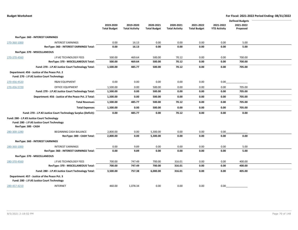|                     |                                                                |                     |                       |                     |                       |                     |                     | <b>Defined Budgets</b> |  |
|---------------------|----------------------------------------------------------------|---------------------|-----------------------|---------------------|-----------------------|---------------------|---------------------|------------------------|--|
|                     |                                                                | 2019-2020           | 2019-2020             | 2020-2021           | 2020-2021             | 2021-2022           | 2021-2022           | 2021-2022              |  |
|                     |                                                                | <b>Total Budget</b> | <b>Total Activity</b> | <b>Total Budget</b> | <b>Total Activity</b> | <b>Total Budget</b> | <b>YTD Activity</b> | Proposed               |  |
|                     |                                                                |                     |                       |                     |                       |                     |                     |                        |  |
|                     | RevType: 360 - INTEREST EARNINGS                               |                     |                       |                     |                       |                     |                     |                        |  |
| 270-360-1000        | <b>INTEREST EARNINGS</b>                                       | 0.00                | 16.13                 | 0.00                | 0.00                  | 0.00                | 0.00                | 5.00                   |  |
|                     | RevType: 360 - INTEREST EARNINGS Total:                        | 0.00                | 16.13                 | 0.00                | 0.00                  | 0.00                | 0.00                | 5.00                   |  |
|                     | RevType: 370 - MISCELLANEOUS                                   |                     |                       |                     |                       |                     |                     |                        |  |
| 270-370-4560        | J.P.#2 TECHNOLOGY FEES                                         | 500.00              | 469.64                | 500.00              | 70.12                 | 0.00                | 0.00                | 700.00                 |  |
|                     | RevType: 370 - MISCELLANEOUS Total:                            | 500.00              | 469.64                | 500.00              | 70.12                 | 0.00                | 0.00                | 700.00                 |  |
|                     | Fund: 270 - J.P.#2 Justice Court Technology Total:             | 1,500.00            | 485.77                | 500.00              | 70.12                 | 0.00                | 0.00                | 705.00                 |  |
|                     | Department: 456 - Justice of the Peace Pct. 2                  |                     |                       |                     |                       |                     |                     |                        |  |
|                     | Fund: 270 - J.P.#2 Justice Court Technology                    |                     |                       |                     |                       |                     |                     |                        |  |
| 270-456-4520        | <b>R&amp;M EQUIPMENT</b>                                       | 0.00                | 0.00                  | 0.00                | 0.00                  | 0.00                | 0.00                |                        |  |
| 270-456-5720        | <b>OFFICE EQUIPMENT</b>                                        | 1,500.00            | 0.00                  | 500.00              | 0.00                  | 0.00                | 0.00                | 705.00                 |  |
|                     | Fund: 270 - J.P.#2 Justice Court Technology Total:             | 1,500.00            | 0.00                  | 500.00              | 0.00                  | 0.00                | 0.00                | 705.00                 |  |
|                     | Department: 456 - Justice of the Peace Pct. 2 Total:           | 1,500.00            | 0.00                  | 500.00              | 0.00                  | 0.00                | 0.00                | 705.00                 |  |
|                     | <b>Total Revenues</b>                                          | 1,500.00            | 485.77                | 500.00              | 70.12                 | 0.00                | 0.00                | 705.00                 |  |
|                     | <b>Total Expenses</b>                                          | 1,500.00            | 0.00                  | 500.00              | 0.00                  | 0.00                | 0.00                | 705.00                 |  |
|                     | Fund: 270 - J.P.#2 Justice Court Technology Surplus (Deficit): | 0.00                | 485.77                | 0.00                | 70.12                 | 0.00                | 0.00                | 0.00                   |  |
|                     | Fund: 280 - J.P.#3 Justice Court Technology                    |                     |                       |                     |                       |                     |                     |                        |  |
|                     | Fund: 280 - J.P.#3 Justice Court Technology                    |                     |                       |                     |                       |                     |                     |                        |  |
| RevType: 300 - CASH |                                                                |                     |                       |                     |                       |                     |                     |                        |  |
| 280-300-1280        | <b>BEGINNING CASH BALANCE</b>                                  | 2,800.00            | 0.00                  | 5,300.00            | 0.00                  | 0.00                | 0.00                |                        |  |
|                     | RevType: 300 - CASH Total:                                     | 2,800.00            | 0.00                  | 5,300.00            | 0.00                  | 0.00                | 0.00                | 0.00                   |  |
|                     | RevType: 360 - INTEREST EARNINGS                               |                     |                       |                     |                       |                     |                     |                        |  |
| 280-360-1000        | <b>INTEREST EARNINGS</b>                                       | 0.00                | 9.89                  | 0.00                | 0.00                  | 0.00                | 0.00                | 5.00                   |  |
|                     | RevType: 360 - INTEREST EARNINGS Total:                        | 0.00                | 9.89                  | 0.00                | 0.00                  | 0.00                | 0.00                | 5.00                   |  |
|                     | RevType: 370 - MISCELLANEOUS                                   |                     |                       |                     |                       |                     |                     |                        |  |
| 280-370-4560        | J.P.#3 TECHNOLOGY FEES                                         | 700.00              | 747.49                | 700.00              | 316.01                | 0.00                | 0.00                | 400.00                 |  |
|                     | RevType: 370 - MISCELLANEOUS Total:                            | 700.00              | 747.49                | 700.00              | 316.01                | 0.00                | 0.00                | 400.00                 |  |
|                     | Fund: 280 - J.P.#3 Justice Court Technology Total:             | 3,500.00            | 757.38                | 6,000.00            | 316.01                | 0.00                | 0.00                | 405.00                 |  |
|                     | Department: 457 - Justice of the Peace Pct. 3                  |                     |                       |                     |                       |                     |                     |                        |  |
|                     | Fund: 280 - J.P.#3 Justice Court Technology                    |                     |                       |                     |                       |                     |                     |                        |  |
| 280-457-4210        | INTERNET                                                       | 460.00              | 1,078.34              | 0.00                | 0.00                  | 0.00                | 0.00                |                        |  |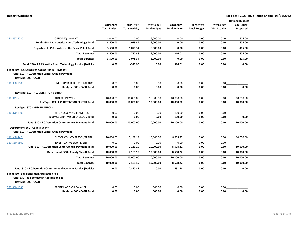|              |                                                                    |                     |                       |                     |                       |                     |                     | <b>Defined Budgets</b> |  |
|--------------|--------------------------------------------------------------------|---------------------|-----------------------|---------------------|-----------------------|---------------------|---------------------|------------------------|--|
|              |                                                                    | 2019-2020           | 2019-2020             | 2020-2021           | 2020-2021             | 2021-2022           | 2021-2022           | 2021-2022              |  |
|              |                                                                    | <b>Total Budget</b> | <b>Total Activity</b> | <b>Total Budget</b> | <b>Total Activity</b> | <b>Total Budget</b> | <b>YTD Activity</b> | Proposed               |  |
|              |                                                                    |                     |                       |                     |                       |                     |                     |                        |  |
| 280-457-5720 | OFFICE EQUIPMENT                                                   | 3,040.00            | 0.00                  | 6,000.00            | 0.00                  | 0.00                | 0.00                | 405.00                 |  |
|              | Fund: 280 - J.P.#3 Justice Court Technology Total:                 | 3,500.00            | 1,078.34              | 6,000.00            | 0.00                  | 0.00                | 0.00                | 405.00                 |  |
|              | Department: 457 - Justice of the Peace Pct. 3 Total:               | 3,500.00            | 1,078.34              | 6,000.00            | 0.00                  | 0.00                | 0.00                | 405.00                 |  |
|              | <b>Total Revenues</b>                                              | 3,500.00            | 757.38                | 6,000.00            | 316.01                | 0.00                | 0.00                | 405.00                 |  |
|              | <b>Total Expenses</b>                                              | 3,500.00            | 1,078.34              | 6,000.00            | 0.00                  | 0.00                | 0.00                | 405.00                 |  |
|              | Fund: 280 - J.P.#3 Justice Court Technology Surplus (Deficit):     | 0.00                | $-320.96$             | 0.00                | 316.01                | 0.00                | 0.00                | 0.00                   |  |
|              | Fund: 310 - F.C.Detention Center Annual Payment                    |                     |                       |                     |                       |                     |                     |                        |  |
|              | Fund: 310 - F.C.Detention Center Annual Payment                    |                     |                       |                     |                       |                     |                     |                        |  |
|              | RevType: 300 - CASH                                                |                     |                       |                     |                       |                     |                     |                        |  |
| 310-300-1100 | UNENCUMBERED FUND BALANCE                                          | 0.00                | 0.00                  | 0.00                | 0.00                  | 0.00                | 0.00                |                        |  |
|              | RevType: 300 - CASH Total:                                         | 0.00                | 0.00                  | 0.00                | 0.00                  | 0.00                | 0.00                | 0.00                   |  |
|              | RevType: 319 - F.C. DETENTION CENTER                               |                     |                       |                     |                       |                     |                     |                        |  |
| 310-319-5510 | <b>ANNUAL PAYMENT</b>                                              | 10,000.00           | 10,000.00             | 10,000.00           | 10,000.00             | 0.00                | 0.00                | 10,000.00              |  |
|              | RevType: 319 - F.C. DETENTION CENTER Total:                        | 10,000.00           | 10,000.00             | 10,000.00           | 10,000.00             | 0.00                | 0.00                | 10,000.00              |  |
|              | RevType: 370 - MISCELLANEOUS                                       |                     |                       |                     |                       |                     |                     |                        |  |
| 310-370-1300 | REFUNDS & MISCELLANEOUS                                            | 0.00                | 0.00                  | 0.00                | 100.00                | 0.00                | 0.00                |                        |  |
|              | RevType: 370 - MISCELLANEOUS Total:                                | 0.00                | 0.00                  | 0.00                | 100.00                | 0.00                | 0.00                | 0.00                   |  |
|              | Fund: 310 - F.C.Detention Center Annual Payment Total:             | 10,000.00           | 10,000.00             | 10,000.00           | 10,100.00             | 0.00                | 0.00                | 10,000.00              |  |
|              | Department: 560 - County Sheriff                                   |                     |                       |                     |                       |                     |                     |                        |  |
|              | Fund: 310 - F.C.Detention Center Annual Payment                    |                     |                       |                     |                       |                     |                     |                        |  |
| 310-560-4270 | OUT OF COUNTY TRAVEL/TRAIN                                         | 10,000.00           | 7,189.19              | 10,000.00           | 8,508.22              | 0.00                | 0.00                | 10,000.00              |  |
| 310-560-5800 | <b>INVESTIGATIVE EQUIPMENT</b>                                     | 0.00                | 0.00                  | 0.00                | 0.00                  | 0.00                | 0.00                |                        |  |
|              | Fund: 310 - F.C.Detention Center Annual Payment Total:             | 10,000.00           | 7,189.19              | 10,000.00           | 8,508.22              | 0.00                | 0.00                | 10,000.00              |  |
|              | Department: 560 - County Sheriff Total:                            | 10,000.00           | 7,189.19              | 10,000.00           | 8,508.22              | 0.00                | 0.00                | 10,000.00              |  |
|              | <b>Total Revenues</b>                                              | 10,000.00           | 10,000.00             | 10,000.00           | 10,100.00             | 0.00                | 0.00                | 10,000.00              |  |
|              | <b>Total Expenses</b>                                              | 10,000.00           | 7,189.19              | 10,000.00           | 8,508.22              | 0.00                | 0.00                | 10,000.00              |  |
|              | Fund: 310 - F.C.Detention Center Annual Payment Surplus (Deficit): | 0.00                | 2,810.81              | 0.00                | 1,591.78              | 0.00                | 0.00                | 0.00                   |  |
|              | Fund: 330 - Bail Bondsman Application Fee                          |                     |                       |                     |                       |                     |                     |                        |  |
|              | Fund: 330 - Bail Bondsman Application Fee                          |                     |                       |                     |                       |                     |                     |                        |  |
|              | RevType: 300 - CASH                                                |                     |                       |                     |                       |                     |                     |                        |  |
| 330-300-1330 | BEGINNING CASH BALANCE                                             | 0.00                | 0.00                  | 500.00              | 0.00                  | 0.00                | 0.00                |                        |  |
|              | RevType: 300 - CASH Total:                                         | 0.00                | 0.00                  | 500.00              | 0.00                  | 0.00                | 0.00                | 0.00                   |  |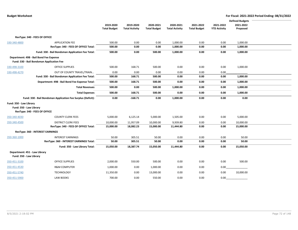|                                           |                                                              |                     |                       |                     |                       |                     |                     | <b>Defined Budgets</b> |  |
|-------------------------------------------|--------------------------------------------------------------|---------------------|-----------------------|---------------------|-----------------------|---------------------|---------------------|------------------------|--|
|                                           |                                                              | 2019-2020           | 2019-2020             | 2020-2021           | 2020-2021             | 2021-2022           | 2021-2022           | 2021-2022              |  |
|                                           |                                                              | <b>Total Budget</b> | <b>Total Activity</b> | <b>Total Budget</b> | <b>Total Activity</b> | <b>Total Budget</b> | <b>YTD Activity</b> | Proposed               |  |
|                                           |                                                              |                     |                       |                     |                       |                     |                     |                        |  |
| RevType: 340 - FEES OF OFFICE             |                                                              |                     |                       |                     |                       |                     |                     |                        |  |
| 330-340-4800                              | <b>APPLICATION FEE</b>                                       | 500.00              | 0.00                  | 0.00                | 1,000.00              | 0.00                | 0.00                | 1,000.00               |  |
|                                           | RevType: 340 - FEES OF OFFICE Total:                         | 500.00              | 0.00                  | 0.00                | 1,000.00              | 0.00                | 0.00                | 1,000.00               |  |
|                                           | Fund: 330 - Bail Bondsman Application Fee Total:             | 500.00              | 0.00                  | 500.00              | 1,000.00              | 0.00                | 0.00                | 1,000.00               |  |
| Department: 498 - Bail Bond Fee Expense   |                                                              |                     |                       |                     |                       |                     |                     |                        |  |
| Fund: 330 - Bail Bondsman Application Fee |                                                              |                     |                       |                     |                       |                     |                     |                        |  |
| 330-498-3100                              | <b>OFFICE SUPPLIES</b>                                       | 500.00              | 168.71                | 500.00              | 0.00                  | 0.00                | 0.00                | 1,000.00               |  |
| 330-498-4270                              | OUT OF COUNTY TRAVEL/TRAIN                                   | 0.00                | 0.00                  | 0.00                | 0.00                  | 0.00                | 0.00                |                        |  |
|                                           | Fund: 330 - Bail Bondsman Application Fee Total:             | 500.00              | 168.71                | 500.00              | 0.00                  | 0.00                | 0.00                | 1,000.00               |  |
|                                           | Department: 498 - Bail Bond Fee Expense Total:               | 500.00              | 168.71                | 500.00              | 0.00                  | 0.00                | 0.00                | 1,000.00               |  |
|                                           | <b>Total Revenues</b>                                        | 500.00              | 0.00                  | 500.00              | 1,000.00              | 0.00                | 0.00                | 1,000.00               |  |
|                                           | <b>Total Expenses</b>                                        | 500.00              | 168.71                | 500.00              | 0.00                  | 0.00                | 0.00                | 1,000.00               |  |
|                                           | Fund: 330 - Bail Bondsman Application Fee Surplus (Deficit): | 0.00                | $-168.71$             | 0.00                | 1,000.00              | 0.00                | 0.00                | 0.00                   |  |
| Fund: 350 - Law Library                   |                                                              |                     |                       |                     |                       |                     |                     |                        |  |
| Fund: 350 - Law Library                   |                                                              |                     |                       |                     |                       |                     |                     |                        |  |
| RevType: 340 - FEES OF OFFICE             |                                                              |                     |                       |                     |                       |                     |                     |                        |  |
| 350-340-4030                              | <b>COUNTY CLERK FEES</b>                                     | 5,000.00            | 6,125.14              | 5,000.00            | 1,505.00              | 0.00                | 0.00                | 5,000.00               |  |
| 350-340-4500                              | <b>DISTRICT CLERK FEES</b>                                   | 10,000.00           | 11,957.09             | 10,000.00           | 9,939.80              | 0.00                | 0.00                | 10,000.00              |  |
|                                           | RevType: 340 - FEES OF OFFICE Total:                         | 15,000.00           | 18,082.23             | 15,000.00           | 11,444.80             | 0.00                | 0.00                | 15,000.00              |  |
| RevType: 360 - INTEREST EARNINGS          |                                                              |                     |                       |                     |                       |                     |                     |                        |  |
| 350-360-1000                              | <b>INTEREST EARNINGS</b>                                     | 50.00               | 305.51                | 50.00               | 0.00                  | 0.00                | 0.00                | 50.00                  |  |
|                                           | RevType: 360 - INTEREST EARNINGS Total:                      | 50.00               | 305.51                | 50.00               | 0.00                  | 0.00                | 0.00                | 50.00                  |  |
|                                           | Fund: 350 - Law Library Total:                               | 15,050.00           | 18,387.74             | 15,050.00           | 11,444.80             | 0.00                | 0.00                | 15,050.00              |  |
| Department: 451 - Law Library             |                                                              |                     |                       |                     |                       |                     |                     |                        |  |
| Fund: 350 - Law Library                   |                                                              |                     |                       |                     |                       |                     |                     |                        |  |
| 350-451-3100                              | <b>OFFICE SUPPLIES</b>                                       | 2,000.00            | 550.00                | 500.00              | 0.00                  | 0.00                | 0.00                | 500.00                 |  |
| 350-451-4530                              | <b>R&amp;M COMPUTER</b>                                      | 1,000.00            | 0.00                  | 1,000.00            | 0.00                  | 0.00                | 0.00                |                        |  |
| 350-451-5740                              | <b>TECHNOLOGY</b>                                            | 11,350.00           | 0.00                  | 13,000.00           | 0.00                  | 0.00                | 0.00                | 10,000.00              |  |
| 350-451-5900                              | LAW BOOKS                                                    | 700.00              | 0.00                  | 550.00              | 0.00                  | 0.00                | 0.00                |                        |  |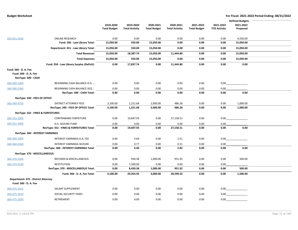|                                                                       |                                            |                     |                       |                     |                       |                     |                     | <b>Defined Budgets</b> |  |
|-----------------------------------------------------------------------|--------------------------------------------|---------------------|-----------------------|---------------------|-----------------------|---------------------|---------------------|------------------------|--|
|                                                                       |                                            | 2019-2020           | 2019-2020             | 2020-2021           | 2020-2021             | 2021-2022           | 2021-2022           | 2021-2022              |  |
|                                                                       |                                            | <b>Total Budget</b> | <b>Total Activity</b> | <b>Total Budget</b> | <b>Total Activity</b> | <b>Total Budget</b> | <b>YTD Activity</b> | Proposed               |  |
|                                                                       |                                            |                     |                       |                     |                       |                     |                     |                        |  |
| 350-451-5910                                                          | <b>ONLINE RESEARCH</b>                     | 0.00                | 0.00                  | 0.00                | 0.00                  | 0.00                | 0.00                | 4,550.00               |  |
|                                                                       | Fund: 350 - Law Library Total:             | 15,050.00           | 550.00                | 15,050.00           | 0.00                  | 0.00                | 0.00                | 15,050.00              |  |
|                                                                       | Department: 451 - Law Library Total:       | 15,050.00           | 550.00                | 15,050.00           | 0.00                  | 0.00                | 0.00                | 15,050.00              |  |
|                                                                       | <b>Total Revenues</b>                      | 15,050.00           | 18,387.74             | 15,050.00           | 11,444.80             | 0.00                | 0.00                | 15,050.00              |  |
|                                                                       | <b>Total Expenses</b>                      | 15,050.00           | 550.00                | 15,050.00           | 0.00                  | 0.00                | 0.00                | 15,050.00              |  |
|                                                                       | Fund: 350 - Law Library Surplus (Deficit): | 0.00                | 17,837.74             | 0.00                | 11,444.80             | 0.00                | 0.00                | 0.00                   |  |
| Fund: 360 - D. A. Fee<br>Fund: 360 - D. A. Fee<br>RevType: 300 - CASH |                                            |                     |                       |                     |                       |                     |                     |                        |  |
| 360-300-1360                                                          | BEGINNING CASH BALANCE-D.A.                | 0.00                | 0.00                  | 0.00                | 0.00                  | 0.00                |                     |                        |  |
| 360-300-2360                                                          | BEGINNING CASH BALANCE-SEIZ                | 0.00                | 0.00                  | 0.00                | 0.00                  | 0.00                | 0.00                |                        |  |
|                                                                       | RevType: 300 - CASH Total:                 | 0.00                | 0.00                  | 0.00                | 0.00                  | 0.00                | 0.00                | 0.00                   |  |
| RevType: 340 - FEES OF OFFICE                                         |                                            |                     |                       |                     |                       |                     |                     |                        |  |
| 360-340-4750                                                          | <b>DISTRICT ATTORNEY FEES</b>              | 3,100.00            | 1,221.68              | 2,000.00            | 486.28                | 0.00                | 0.00                | 1,000.00               |  |
|                                                                       | RevType: 340 - FEES OF OFFICE Total:       | 3,100.00            | 1,221.68              | 2,000.00            | 486.28                | 0.00                | 0.00                | 1,000.00               |  |
| RevType: 352 - FINES & FORFEITURES                                    |                                            |                     |                       |                     |                       |                     |                     |                        |  |
| 360-352-2000                                                          | <b>CONTRABAND FORFEITURE</b>               | 0.00                | 19,697.93             | 0.00                | 27,158.51             | 0.00                |                     | 0.00                   |  |
| 360-352-3000                                                          | D.A. SEIZURE FUND                          | 0.00                | 0.00                  | 0.00                | 0.00                  | 0.00                | 0.00                |                        |  |
|                                                                       | RevType: 352 - FINES & FORFEITURES Total:  | 0.00                | 19,697.93             | 0.00                | 27,158.51             | 0.00                | 0.00                | 0.00                   |  |
| <b>RevType: 360 - INTEREST EARNINGS</b>                               |                                            |                     |                       |                     |                       |                     |                     |                        |  |
| 360-360-1000                                                          | INTEREST EARNINGS-D.A. FEE                 | 0.00                | 3.69                  | 0.00                | 2.51                  | 0.00                | 0.00                |                        |  |
| 360-360-2360                                                          | INTEREST EARNINGS-SEIZURE                  | 0.00                | 0.77                  | 0.00                | 0.31                  | 0.00                | 0.00                |                        |  |
|                                                                       | RevType: 360 - INTEREST EARNINGS Total:    | 0.00                | 4.46                  | 0.00                | 2.82                  | 0.00                | 0.00                | 0.00                   |  |
| RevType: 370 - MISCELLANEOUS                                          |                                            |                     |                       |                     |                       |                     |                     |                        |  |
| 360-370-1300                                                          | <b>REFUNDS &amp; MISCELLANEOUS</b>         | 0.00                | 930.38                | 1,000.00            | 951.92                | 0.00                | 0.00                | 500.00                 |  |
| 360-370-3190                                                          | <b>RESTITUTION</b>                         | 0.00                | 7,500.00              | 0.00                | 0.00                  | 0.00                | 0.00                |                        |  |
|                                                                       | RevType: 370 - MISCELLANEOUS Total:        | 0.00                | 8,430.38              | 1,000.00            | 951.92                | 0.00                | 0.00                | 500.00                 |  |
|                                                                       | Fund: 360 - D. A. Fee Total:               | 3,100.00            | 29,354.45             | 3,000.00            | 28,599.53             | 0.00                | 0.00                | 1,500.00               |  |
| Department: 475 - District Attorney                                   |                                            |                     |                       |                     |                       |                     |                     |                        |  |
| Fund: 360 - D. A. Fee                                                 |                                            |                     |                       |                     |                       |                     |                     |                        |  |
| 360-475-1012                                                          | SALARY SUPPLEMENT                          | 0.00                | 0.00                  | 0.00                | 0.00                  | 0.00                |                     |                        |  |
| 360-475-2010                                                          | SOCIAL SECURITY TAXES                      | 0.00                | 0.00                  | 0.00                | 0.00                  | 0.00                |                     | 0.00                   |  |
| 360-475-2030                                                          | <b>RETIREMENT</b>                          | 0.00                | 0.00                  | 0.00                | 0.00                  | 0.00                | 0.00                |                        |  |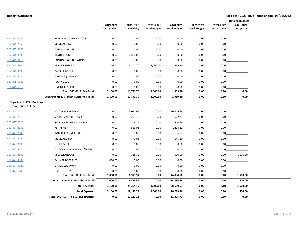|                              |                                            |                     |                       |                     |                       |                     |                     | <b>Defined Budgets</b> |
|------------------------------|--------------------------------------------|---------------------|-----------------------|---------------------|-----------------------|---------------------|---------------------|------------------------|
|                              |                                            | 2019-2020           | 2019-2020             | 2020-2021           | 2020-2021             | 2021-2022           | 2021-2022           | 2021-2022              |
|                              |                                            | <b>Total Budget</b> | <b>Total Activity</b> | <b>Total Budget</b> | <b>Total Activity</b> | <b>Total Budget</b> | <b>YTD Activity</b> | Proposed               |
| 360-475-2040                 | <b>WORKERS COMPENSATION</b>                | 0.00                | 0.00                  | 0.00                | 0.00                  | 0.00                | 0.00                |                        |
| 360-475-2050                 | <b>MEDICARE TAX</b>                        | 0.00                | 0.00                  | 0.00                | 0.00                  | 0.00                |                     | 0.00                   |
| 360-475-3100                 | <b>OFFICE SUPPLIES</b>                     | 0.00                | 0.00                  | 0.00                | 0.00                  | 0.00                |                     | 0.00                   |
| 360-475-3190                 | <b>RESTITUTION</b>                         | 0.00                | 7,500.00              | 0.00                | 0.00                  | 0.00                |                     | 0.00                   |
| 360-475-3210                 | <b>CONTINUING EDUCATION</b>                | 0.00                | 0.00                  | 0.00                | 0.00                  | 0.00                |                     | $0.00$                 |
| 360-475-4900                 | <b>MISCELLANEOUS</b>                       | 2,100.00            | 4,241.70              | 3,000.00            | 1,959.20              | 0.00                |                     | 0.00                   |
| 360-475-4990                 | <b>BANK SERVICE FEES</b>                   | 0.00                | 0.00                  | 0.00                | 0.00                  | 0.00                | 0.00                |                        |
| 360-475-5720                 | <b>OFFICE EQUIPMENT</b>                    | 0.00                | 0.00                  | 0.00                | 0.00                  | 0.00                | 0.00                |                        |
| 360-475-5740                 | <b>TECHNOLOGY</b>                          | 0.00                | 0.00                  | 0.00                | 0.00                  | 0.00                | 0.00                |                        |
| 360-475-5910                 | <b>ONLINE RESEARCH</b>                     | 0.00                | 0.00                  | 0.00                | 0.00                  | 0.00                | 0.00                |                        |
|                              | Fund: 360 - D. A. Fee Total:               | 2,100.00            | 11,741.70             | 3,000.00            | 1,959.20              | 0.00                | 0.00                | 0.00                   |
|                              | Department: 475 - District Attorney Total: | 2,100.00            | 11,741.70             | 3,000.00            | 1,959.20              | 0.00                | 0.00                | 0.00                   |
| Department: 477 - DA Seizure |                                            |                     |                       |                     |                       |                     |                     |                        |
| Fund: 360 - D. A. Fee        |                                            |                     |                       |                     |                       |                     |                     |                        |
| 360-477-1012                 | SALARY SUPPLEMENT                          | 0.00                | 5,050.96              | 0.00                | 10,776.14             | 0.00                |                     | 0.00                   |
| 360-477-2010                 | SOCIAL SECURITY TAXES                      | 0.00                | 271.17                | 0.00                | 622.24                | 0.00                |                     | 0.00                   |
| 360-477-2020                 | <b>GROUP HEALTH INSURANCE</b>              | 0.00                | 46.74                 | 0.00                | 1,510.64              | 0.00                |                     | 0.00                   |
| 360-477-2030                 | RETIREMENT                                 | 0.00                | 586.03                | 0.00                | 1,273.12              | 0.00                | 0.00                |                        |
| 360-477-2040                 | <b>WORKERS COMPENSATION</b>                | 0.00                | 5.86                  | 0.00                | 6.82                  | 0.00                | 0.00                |                        |
| 360-477-2050                 | <b>MEDICARE TAX</b>                        | 0.00                | 79.06                 | 0.00                | 145.60                | 0.00                | 0.00                |                        |
| 360-477-3100                 | <b>OFFICE SUPPLIES</b>                     | 0.00                | 0.00                  | 0.00                | 0.00                  | 0.00                | 0.00                |                        |
| 360-477-4270                 | OUT OF COUNTY TRAVEL/TRAIN                 | 0.00                | 0.00                  | 0.00                | 0.00                  | 0.00                | 0.00                |                        |
| 360-477-4900                 | MISCELLANEOUS                              | 0.00                | 335.72                | 0.00                | 500.00                | 0.00                | 0.00                | 1,500.00               |
| 360-477-4990                 | <b>BANK SERVICE FEES</b>                   | 1,000.00            | 0.00                  | 0.00                | 0.00                  | 0.00                | 0.00                |                        |
| 360-477-5720                 | OFFICE EQUIPMENT                           | 0.00                | 0.00                  | 0.00                | 0.00                  | 0.00                | 0.00                |                        |
| 360-477-5740                 | <b>TECHNOLOGY</b>                          | 0.00                | 0.00                  | 0.00                | 0.00                  | 0.00                | 0.00                |                        |
|                              | Fund: 360 - D. A. Fee Total:               | 1,000.00            | 6,375.54              | 0.00                | 14,834.56             | 0.00                | 0.00                | 1,500.00               |
|                              | Department: 477 - DA Seizure Total:        | 1,000.00            | 6,375.54              | 0.00                | 14,834.56             | 0.00                | 0.00                | 1,500.00               |
|                              | <b>Total Revenues</b>                      | 3,100.00            | 29,354.45             | 3,000.00            | 28,599.53             | 0.00                | 0.00                | 1,500.00               |
|                              | <b>Total Expenses</b>                      | 3,100.00            | 18,117.24             | 3,000.00            | 16,793.76             | 0.00                | 0.00                | 1,500.00               |
|                              | Fund: 360 - D. A. Fee Surplus (Deficit):   | 0.00                | 11,237.21             | 0.00                | 11,805.77             | 0.00                | 0.00                | 0.00                   |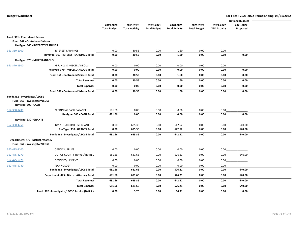|                                                                                         |                                                                           |                     |                       |                     |                       |                     |                     | <b>Defined Budgets</b> |  |
|-----------------------------------------------------------------------------------------|---------------------------------------------------------------------------|---------------------|-----------------------|---------------------|-----------------------|---------------------|---------------------|------------------------|--|
|                                                                                         |                                                                           | 2019-2020           | 2019-2020             | 2020-2021           | 2020-2021             | 2021-2022           | 2021-2022           | 2021-2022              |  |
|                                                                                         |                                                                           | <b>Total Budget</b> | <b>Total Activity</b> | <b>Total Budget</b> | <b>Total Activity</b> | <b>Total Budget</b> | <b>YTD Activity</b> | Proposed               |  |
|                                                                                         |                                                                           |                     |                       |                     |                       |                     |                     |                        |  |
| Fund: 361 - Contraband Seizure                                                          |                                                                           |                     |                       |                     |                       |                     |                     |                        |  |
| Fund: 361 - Contraband Seizure                                                          |                                                                           |                     |                       |                     |                       |                     |                     |                        |  |
|                                                                                         | RevType: 360 - INTEREST EARNINGS                                          |                     |                       |                     |                       |                     |                     |                        |  |
| 361-360-1000                                                                            | <b>INTEREST EARNINGS</b>                                                  | 0.00                | 30.55                 | 0.00                | 1.60                  | 0.00                | 0.00                |                        |  |
|                                                                                         | RevType: 360 - INTEREST EARNINGS Total:                                   | 0.00                | 30.55                 | 0.00                | 1.60                  | 0.00                | 0.00                | 0.00                   |  |
|                                                                                         | RevType: 370 - MISCELLANEOUS                                              |                     |                       |                     |                       |                     |                     |                        |  |
|                                                                                         |                                                                           | 0.00                | 0.00                  |                     | 0.00                  | 0.00                |                     |                        |  |
| 361-370-1300                                                                            | <b>REFUNDS &amp; MISCELLANEOUS</b><br>RevType: 370 - MISCELLANEOUS Total: | 0.00                | 0.00                  | 0.00<br>0.00        | 0.00                  | 0.00                | 0.00<br>0.00        | 0.00                   |  |
|                                                                                         |                                                                           |                     |                       |                     |                       |                     |                     |                        |  |
|                                                                                         | Fund: 361 - Contraband Seizure Total:                                     | 0.00                | 30.55                 | 0.00                | 1.60                  | 0.00                | 0.00                | 0.00                   |  |
|                                                                                         | <b>Total Revenues</b>                                                     | 0.00                | 30.55                 | 0.00                | 1.60                  | 0.00                | 0.00                | 0.00                   |  |
|                                                                                         | <b>Total Expenses</b>                                                     | 0.00                | 0.00                  | 0.00                | 0.00                  | 0.00                | 0.00                | 0.00                   |  |
|                                                                                         | Fund: 361 - Contraband Seizure Total:                                     | 0.00                | 30.55                 | 0.00                | 1.60                  | 0.00                | 0.00                | 0.00                   |  |
| Fund: 362 - Investigator/LEOSE<br>Fund: 362 - Investigator/LEOSE<br>RevType: 300 - CASH |                                                                           |                     |                       |                     |                       |                     |                     |                        |  |
| 362-300-1490                                                                            | <b>BEGINNING CASH BALANCE</b>                                             | 681.66              | 0.00                  | 0.00                | 0.00                  | 0.00                | 0.00                |                        |  |
|                                                                                         | RevType: 300 - CASH Total:                                                | 681.66              | 0.00                  | 0.00                | 0.00                  | 0.00                | 0.00                | 0.00                   |  |
| RevType: 330 - GRANTS                                                                   |                                                                           |                     |                       |                     |                       |                     |                     |                        |  |
| 362-330-4750                                                                            | <b>INVESTIGATOR/LEOSE GRANT</b>                                           | 0.00                | 685.36                | 0.00                | 642.52                | 0.00                | 0.00                | 640.00                 |  |
|                                                                                         | RevType: 330 - GRANTS Total:                                              | 0.00                | 685.36                | 0.00                | 642.52                | 0.00                | 0.00                | 640.00                 |  |
|                                                                                         | Fund: 362 - Investigator/LEOSE Total:                                     | 681.66              | 685.36                | 0.00                | 642.52                | 0.00                | 0.00                | 640.00                 |  |
| Department: 475 - District Attorney                                                     |                                                                           |                     |                       |                     |                       |                     |                     |                        |  |
| Fund: 362 - Investigator/LEOSE                                                          |                                                                           |                     |                       |                     |                       |                     |                     |                        |  |
| 362-475-3100                                                                            | <b>OFFICE SUPPLIES</b>                                                    | 0.00                | 0.00                  | 0.00                | 0.00                  | 0.00                | 0.00                |                        |  |
| 362-475-4270                                                                            | OUT OF COUNTY TRAVEL/TRAIN                                                | 681.66              | 681.66                | 0.00                | 576.21                | 0.00                | 0.00                | 640.00                 |  |
| 362-475-5720                                                                            | OFFICE EQUIPMENT                                                          | 0.00                | 0.00                  | 0.00                | 0.00                  | 0.00                | 0.00                |                        |  |
| 362-475-5740                                                                            | <b>TECHNOLOGY</b>                                                         | 0.00                | 0.00                  | 0.00                | 0.00                  | 0.00                | 0.00                |                        |  |
|                                                                                         | Fund: 362 - Investigator/LEOSE Total:                                     | 681.66              | 681.66                | 0.00                | 576.21                | 0.00                | 0.00                | 640.00                 |  |
|                                                                                         | Department: 475 - District Attorney Total:                                | 681.66              | 681.66                | 0.00                | 576.21                | 0.00                | 0.00                | 640.00                 |  |
|                                                                                         | <b>Total Revenues</b>                                                     | 681.66              | 685.36                | 0.00                | 642.52                | 0.00                | 0.00                | 640.00                 |  |
|                                                                                         | <b>Total Expenses</b>                                                     | 681.66              | 681.66                | 0.00                | 576.21                | 0.00                | 0.00                | 640.00                 |  |
|                                                                                         | Fund: 362 - Investigator/LEOSE Surplus (Deficit):                         | 0.00                | 3.70                  | 0.00                | 66.31                 | 0.00                | 0.00                | 0.00                   |  |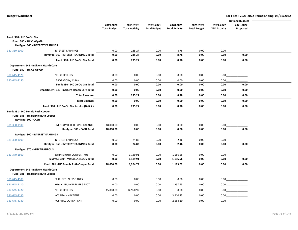|                                        |                                               |                     |                       |                     |                       |                     |                     | <b>Defined Budgets</b> |  |
|----------------------------------------|-----------------------------------------------|---------------------|-----------------------|---------------------|-----------------------|---------------------|---------------------|------------------------|--|
|                                        |                                               | 2019-2020           | 2019-2020             | 2020-2021           | 2020-2021             | 2021-2022           | 2021-2022           | 2021-2022              |  |
|                                        |                                               | <b>Total Budget</b> | <b>Total Activity</b> | <b>Total Budget</b> | <b>Total Activity</b> | <b>Total Budget</b> | <b>YTD Activity</b> | Proposed               |  |
| Fund: 380 - IHC Co-Op Gin              |                                               |                     |                       |                     |                       |                     |                     |                        |  |
| Fund: 380 - IHC Co-Op Gin              |                                               |                     |                       |                     |                       |                     |                     |                        |  |
|                                        | RevType: 360 - INTEREST EARNINGS              |                     |                       |                     |                       |                     |                     |                        |  |
| 380-360-1000                           | <b>INTEREST EARNINGS</b>                      | 0.00                | 235.27                | 0.00                | 8.78                  | 0.00                | 0.00                |                        |  |
|                                        | RevType: 360 - INTEREST EARNINGS Total:       | 0.00                | 235.27                | 0.00                | 8.78                  | 0.00                | 0.00                | 0.00                   |  |
|                                        | Fund: 380 - IHC Co-Op Gin Total:              | 0.00                | 235.27                | 0.00                | 8.78                  | 0.00                | 0.00                | 0.00                   |  |
| Department: 645 - Indigent Health Care |                                               |                     |                       |                     |                       |                     |                     |                        |  |
| Fund: 380 - IHC Co-Op Gin              |                                               |                     |                       |                     |                       |                     |                     |                        |  |
| 380-645-4120                           | <b>PRESCRIPTIONS</b>                          | 0.00                | 0.00                  | 0.00                | 0.00                  | 0.00                | 0.00                |                        |  |
| 380-645-4150                           | LABORATORY/X-RAY                              | 0.00                | 0.00                  | 0.00                | 0.00                  | 0.00                | 0.00                |                        |  |
|                                        | Fund: 380 - IHC Co-Op Gin Total:              | 0.00                | 0.00                  | 0.00                | 0.00                  | 0.00                | 0.00                | 0.00                   |  |
|                                        | Department: 645 - Indigent Health Care Total: | 0.00                | 0.00                  | 0.00                | 0.00                  | 0.00                | 0.00                | 0.00                   |  |
|                                        | <b>Total Revenues</b>                         | 0.00                | 235.27                | 0.00                | 8.78                  | 0.00                | 0.00                | 0.00                   |  |
|                                        | <b>Total Expenses</b>                         | 0.00                | 0.00                  | 0.00                | 0.00                  | 0.00                | 0.00                | 0.00                   |  |
|                                        | Fund: 380 - IHC Co-Op Gin Surplus (Deficit):  | 0.00                | 235.27                | 0.00                | 8.78                  | 0.00                | 0.00                | 0.00                   |  |
| Fund: 381 - IHC Bonnie Ruth Cooper     |                                               |                     |                       |                     |                       |                     |                     |                        |  |
| Fund: 381 - IHC Bonnie Ruth Cooper     |                                               |                     |                       |                     |                       |                     |                     |                        |  |
| RevType: 300 - CASH                    |                                               |                     |                       |                     |                       |                     |                     |                        |  |
| 381-300-1100                           | UNENCUMBERED FUND BALANCE                     | 18,000.00           | 0.00                  | 0.00                | 0.00                  | 0.00                | 0.00                |                        |  |
|                                        | RevType: 300 - CASH Total:                    | 18,000.00           | 0.00                  | 0.00                | 0.00                  | 0.00                | 0.00                | 0.00                   |  |
|                                        | RevType: 360 - INTEREST EARNINGS              |                     |                       |                     |                       |                     |                     |                        |  |
| 381-360-1000                           | <b>INTEREST EARNINGS</b>                      | 0.00                | 74.83                 | 0.00                | 2.46                  | 0.00                | 0.00                |                        |  |
|                                        | RevType: 360 - INTEREST EARNINGS Total:       | 0.00                | 74.83                 | 0.00                | 2.46                  | 0.00                | 0.00                | 0.00                   |  |
|                                        | RevType: 370 - MISCELLANEOUS                  |                     |                       |                     |                       |                     |                     |                        |  |
| 381-370-1500                           | <b>BONNIE RUTH COOPER TRUST</b>               | 0.00                | 1,189.91              | 0.00                | 1,186.56              | 0.00                | 0.00                |                        |  |
|                                        | RevType: 370 - MISCELLANEOUS Total:           | 0.00                | 1,189.91              | 0.00                | 1,186.56              | 0.00                | 0.00                | 0.00                   |  |
|                                        | Fund: 381 - IHC Bonnie Ruth Cooper Total:     | 18,000.00           | 1,264.74              | 0.00                | 1,189.02              | 0.00                | 0.00                | 0.00                   |  |
| Department: 645 - Indigent Health Care |                                               |                     |                       |                     |                       |                     |                     |                        |  |
| Fund: 381 - IHC Bonnie Ruth Cooper     |                                               |                     |                       |                     |                       |                     |                     |                        |  |
| 381-645-4100                           | CERT. REG. NURSE ANES.                        | 0.00                | 0.00                  | 0.00                | 0.00                  | 0.00                |                     |                        |  |
| 381-645-4110                           | PHYSICIAN, NON-EMERGENCY                      | 0.00                | 0.00                  | 0.00                | 1,257.45              | 0.00                |                     | $0.00$                 |  |
| 381-645-4120                           | <b>PRESCRIPTIONS</b>                          | 15,000.00           | 14,950.92             | 0.00                | 0.00                  | 0.00                |                     | 0.00                   |  |
| 381-645-4130                           | HOSPITAL-INPATIENT                            | 0.00                | 0.00                  | 0.00                | 3,210.75              | 0.00                |                     | 0.00                   |  |
| 381-645-4140                           | HOSPITAL-OUTPATIENT                           | 0.00                | 0.00                  | 0.00                | 2,684.10              | 0.00                | 0.00                |                        |  |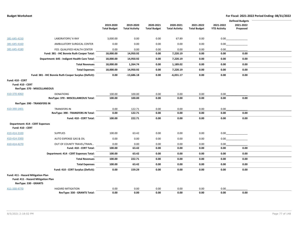|                         |                                                       | <b>Defined Budgets</b> |                       |                     |                       |                     |                     |           |  |
|-------------------------|-------------------------------------------------------|------------------------|-----------------------|---------------------|-----------------------|---------------------|---------------------|-----------|--|
|                         |                                                       | 2019-2020              | 2019-2020             | 2020-2021           | 2020-2021             | 2021-2022           | 2021-2022           | 2021-2022 |  |
|                         |                                                       | <b>Total Budget</b>    | <b>Total Activity</b> | <b>Total Budget</b> | <b>Total Activity</b> | <b>Total Budget</b> | <b>YTD Activity</b> | Proposed  |  |
|                         |                                                       |                        |                       |                     |                       |                     |                     |           |  |
| 381-645-4150            | LABORATORY/X-RAY                                      | 3,000.00               | 0.00                  | 0.00                | 67.89                 | 0.00                |                     |           |  |
| 381-645-4160            | AMBULATORY SURGICAL CENTER                            | 0.00                   | 0.00                  | 0.00                | 0.00                  | 0.00                |                     | 0.00      |  |
| 381-645-4180            | FED. QUALIFIED HEALTH CENTER                          | 0.00                   | 0.00                  | 0.00                | 0.00                  | 0.00                | 0.00                |           |  |
|                         | Fund: 381 - IHC Bonnie Ruth Cooper Total:             | 18,000.00              | 14,950.92             | 0.00                | 7,220.19              | 0.00                | 0.00                | 0.00      |  |
|                         | Department: 645 - Indigent Health Care Total:         | 18,000.00              | 14,950.92             | 0.00                | 7,220.19              | 0.00                | 0.00                | 0.00      |  |
|                         | <b>Total Revenues</b>                                 | 18,000.00              | 1,264.74              | 0.00                | 1,189.02              | 0.00                | 0.00                | 0.00      |  |
|                         | <b>Total Expenses</b>                                 | 18,000.00              | 14,950.92             | 0.00                | 7,220.19              | 0.00                | 0.00                | 0.00      |  |
|                         | Fund: 381 - IHC Bonnie Ruth Cooper Surplus (Deficit): | 0.00                   | $-13,686.18$          | 0.00                | $-6,031.17$           | 0.00                | 0.00                | 0.00      |  |
| <b>Fund: 410 - CERT</b> |                                                       |                        |                       |                     |                       |                     |                     |           |  |
| <b>Fund: 410 - CERT</b> |                                                       |                        |                       |                     |                       |                     |                     |           |  |
|                         | RevType: 370 - MISCELLANEOUS                          |                        |                       |                     |                       |                     |                     |           |  |
| 410-370-4060            | <b>DONATIONS</b>                                      | 100.00                 | 100.00                | 0.00                | 0.00                  | 0.00                | 0.00                |           |  |
|                         | RevType: 370 - MISCELLANEOUS Total:                   | 100.00                 | 100.00                | 0.00                | 0.00                  | 0.00                | 0.00                | 0.00      |  |
|                         | RevType: 390 - TRANSFERS IN                           |                        |                       |                     |                       |                     |                     |           |  |
| 410-390-1401            | <b>TRANSFERS IN</b>                                   | 0.00                   | 122.71                | 0.00                | 0.00                  | 0.00                | 0.00                |           |  |
|                         | RevType: 390 - TRANSFERS IN Total:                    | 0.00                   | 122.71                | 0.00                | 0.00                  | 0.00                | 0.00                | 0.00      |  |
|                         | Fund: 410 - CERT Total:                               | 100.00                 | 222.71                | 0.00                | 0.00                  | 0.00                | 0.00                | 0.00      |  |
|                         | <b>Department: 414 - CERT Expenses</b>                |                        |                       |                     |                       |                     |                     |           |  |
| <b>Fund: 410 - CERT</b> |                                                       |                        |                       |                     |                       |                     |                     |           |  |
| 410-414-3100            | <b>SUPPLIES</b>                                       | 100.00                 | 63.42                 | 0.00                | 0.00                  | 0.00                |                     | 0.00      |  |
| 410-414-3300            | AUTO EXPENSE GAS & OIL                                | 0.00                   | 0.00                  | 0.00                | 0.00                  | 0.00                | 0.00                |           |  |
| 410-414-4270            | OUT OF COUNTY TRAVEL/TRAIN                            | 0.00                   | 0.00                  | 0.00                | 0.00                  | 0.00                | 0.00                |           |  |
|                         | Fund: 410 - CERT Total:                               | 100.00                 | 63.42                 | 0.00                | 0.00                  | 0.00                | 0.00                | 0.00      |  |
|                         | Department: 414 - CERT Expenses Total:                | 100.00                 | 63.42                 | 0.00                | 0.00                  | 0.00                | 0.00                | 0.00      |  |
|                         | <b>Total Revenues</b>                                 | 100.00                 | 222.71                | 0.00                | 0.00                  | 0.00                | 0.00                | 0.00      |  |
|                         | <b>Total Expenses</b>                                 | 100.00                 | 63.42                 | 0.00                | 0.00                  | 0.00                | 0.00                | 0.00      |  |
|                         | Fund: 410 - CERT Surplus (Deficit):                   | 0.00                   | 159.29                | 0.00                | 0.00                  | 0.00                | 0.00                | 0.00      |  |
|                         | Fund: 411 - Hazard Mitigation Plan                    |                        |                       |                     |                       |                     |                     |           |  |
|                         | Fund: 411 - Hazard Mitigation Plan                    |                        |                       |                     |                       |                     |                     |           |  |
|                         | RevType: 330 - GRANTS                                 |                        |                       |                     |                       |                     |                     |           |  |
| 411-330-4770            | <b>HAZARD MITIGATION</b>                              | 0.00                   | 0.00                  | 0.00                | 0.00                  | 0.00                | 0.00                |           |  |
|                         | RevType: 330 - GRANTS Total:                          | 0.00                   | 0.00                  | 0.00                | 0.00                  | 0.00                | 0.00                | 0.00      |  |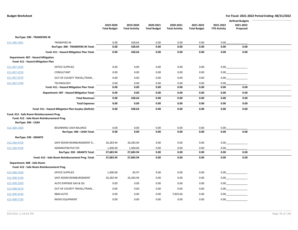|                             |                                                                                        |                     |                       |                     |                       |                     |                     | <b>Defined Budgets</b> |  |
|-----------------------------|----------------------------------------------------------------------------------------|---------------------|-----------------------|---------------------|-----------------------|---------------------|---------------------|------------------------|--|
|                             |                                                                                        | 2019-2020           | 2019-2020             | 2020-2021           | 2020-2021             | 2021-2022           | 2021-2022           | 2021-2022              |  |
|                             |                                                                                        | <b>Total Budget</b> | <b>Total Activity</b> | <b>Total Budget</b> | <b>Total Activity</b> | <b>Total Budget</b> | <b>YTD Activity</b> | Proposed               |  |
|                             | RevType: 390 - TRANSFERS IN                                                            |                     |                       |                     |                       |                     |                     |                        |  |
| 411-390-1401                | <b>TRANSFERS IN</b>                                                                    | 0.00                | 428.64                | 0.00                | 0.00                  | 0.00                | 0.00                |                        |  |
|                             | RevType: 390 - TRANSFERS IN Total:                                                     | 0.00                | 428.64                | 0.00                | 0.00                  | 0.00                | 0.00                | 0.00                   |  |
|                             | Fund: 411 - Hazard Mitigation Plan Total:                                              | 0.00                | 428.64                | 0.00                | 0.00                  | 0.00                | 0.00                | 0.00                   |  |
|                             | Department: 407 - Hazard Mitigation<br>Fund: 411 - Hazard Mitigation Plan              |                     |                       |                     |                       |                     |                     |                        |  |
| 411-407-3100                | <b>OFFICE SUPPLIES</b>                                                                 | 0.00                | 0.00                  | 0.00                | 0.00                  | 0.00                |                     | 0.00                   |  |
| 411-407-4150                | CONSULTANT                                                                             | 0.00                | 0.00                  | 0.00                | 0.00                  | 0.00                |                     |                        |  |
| 411-407-4270                | OUT OF COUNTY TRAVEL/TRAIN                                                             | 0.00                | 0.00                  | 0.00                | 0.00                  | 0.00                | 0.00                |                        |  |
| 411-407-5740                | <b>TECHNOLOGY</b>                                                                      | 0.00                | 0.00                  | 0.00                | 0.00                  | 0.00                | 0.00                |                        |  |
|                             | Fund: 411 - Hazard Mitigation Plan Total:                                              | 0.00                | 0.00                  | 0.00                | 0.00                  | 0.00                | 0.00                | 0.00                   |  |
|                             | Department: 407 - Hazard Mitigation Total:                                             | 0.00                | 0.00                  | 0.00                | 0.00                  | 0.00                | 0.00                | 0.00                   |  |
|                             | <b>Total Revenues</b>                                                                  | 0.00                | 428.64                | 0.00                | 0.00                  | 0.00                | 0.00                | 0.00                   |  |
|                             | <b>Total Expenses</b>                                                                  | 0.00                | 0.00                  | 0.00                | 0.00                  | 0.00                | 0.00                | 0.00                   |  |
|                             | Fund: 411 - Hazard Mitigation Plan Surplus (Deficit):                                  | 0.00                | 428.64                | 0.00                | 0.00                  | 0.00                | 0.00                | 0.00                   |  |
| RevType: 300 - CASH         | Fund: 412 - Safe Room Reimbursement Prog.<br>Fund: 412 - Safe Room Reimbursement Prog. |                     |                       |                     |                       |                     |                     |                        |  |
| 412-300-1460                | BEGINNING CASH BALANCE                                                                 | 0.00                | 0.00                  | 0.00                | 0.00                  | 0.00                | 0.00                |                        |  |
|                             | RevType: 300 - CASH Total:                                                             | 0.00                | 0.00                  | 0.00                | 0.00                  | 0.00                | 0.00                | 0.00                   |  |
| RevType: 330 - GRANTS       |                                                                                        |                     |                       |                     |                       |                     |                     |                        |  |
| 412-330-4750                | SAFE ROOM REIMBURSEMENT D                                                              | 26,283.94           | 26,283.94             | 0.00                | 0.00                  | 0.00                | 0.00                |                        |  |
| 412-330-4760                | ADMINISTRATIVE FEE                                                                     | 1,400.00            | 1,400.00              | 0.00                | 0.00                  | 0.00                | 0.00                |                        |  |
|                             | RevType: 330 - GRANTS Total:                                                           | 27,683.94           | 27,683.94             | 0.00                | 0.00                  | 0.00                | 0.00                | 0.00                   |  |
|                             | Fund: 412 - Safe Room Reimbursement Prog. Total:                                       | 27,683.94           | 27,683.94             | 0.00                | 0.00                  | 0.00                | 0.00                | 0.00                   |  |
| Department: 408 - Safe Room | Fund: 412 - Safe Room Reimbursement Prog.                                              |                     |                       |                     |                       |                     |                     |                        |  |
| 412-408-3100                | <b>OFFICE SUPPLIES</b>                                                                 | 1,400.00            | 83.97                 | 0.00                | 0.00                  | 0.00                |                     | 0.00                   |  |
| 412-408-3140                | SAFE ROOM REIMBURSEMENT                                                                | 26,283.94           | 26,283.94             | 0.00                | 0.00                  | 0.00                |                     | $0.00$                 |  |
| 412-408-3300                | AUTO EXPENSE GAS & OIL                                                                 | 0.00                | 0.00                  | 0.00                | 0.00                  | 0.00                |                     | $0.00$                 |  |
| 412-408-4270                | OUT OF COUNTY TRAVEL/TRAIN                                                             | 0.00                | 0.00                  | 0.00                | 0.00                  | 0.00                |                     | $0.00$                 |  |
| 412-408-4540                | <b>R&amp;M AUTO</b>                                                                    | 0.00                | 0.00                  | 0.00                | 7,833.60              | 0.00                |                     | 0.00                   |  |
| 412-408-5730                | <b>RADIO EQUIPMENT</b>                                                                 | 0.00                | 0.00                  | 0.00                | 0.00                  | 0.00                | 0.00                |                        |  |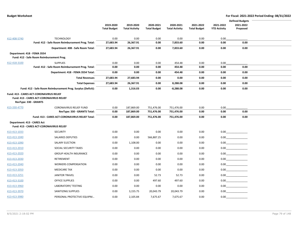|                             |                                                                                                                      |                     |                       |                     |                       |                     |                     | <b>Defined Budgets</b> |  |
|-----------------------------|----------------------------------------------------------------------------------------------------------------------|---------------------|-----------------------|---------------------|-----------------------|---------------------|---------------------|------------------------|--|
|                             |                                                                                                                      | 2019-2020           | 2019-2020             | 2020-2021           | 2020-2021             | 2021-2022           | 2021-2022           | 2021-2022              |  |
|                             |                                                                                                                      | <b>Total Budget</b> | <b>Total Activity</b> | <b>Total Budget</b> | <b>Total Activity</b> | <b>Total Budget</b> | <b>YTD Activity</b> | Proposed               |  |
|                             |                                                                                                                      |                     |                       |                     |                       |                     |                     |                        |  |
| 412-408-5740                | <b>TECHNOLOGY</b><br>Fund: 412 - Safe Room Reimbursement Prog. Total:                                                | 0.00<br>27,683.94   | 0.00<br>26,367.91     | 0.00<br>0.00        | 0.00<br>7,833.60      | 0.00<br>0.00        | 0.00<br>0.00        | 0.00                   |  |
|                             | Department: 408 - Safe Room Total:                                                                                   | 27,683.94           | 26,367.91             | 0.00                | 7,833.60              | 0.00                | 0.00                | 0.00                   |  |
| Department: 418 - FEMA 3554 |                                                                                                                      |                     |                       |                     |                       |                     |                     |                        |  |
|                             | Fund: 412 - Safe Room Reimbursement Prog.                                                                            |                     |                       |                     |                       |                     |                     |                        |  |
| 412-418-3100                | <b>SUPPLIES</b>                                                                                                      | 0.00                | 0.00                  | 0.00                | 454.48                | 0.00                | 0.00                |                        |  |
|                             | Fund: 412 - Safe Room Reimbursement Prog. Total:                                                                     | 0.00                | 0.00                  | 0.00                | 454.48                | 0.00                | 0.00                | 0.00                   |  |
|                             | Department: 418 - FEMA 3554 Total:                                                                                   | 0.00                | 0.00                  | 0.00                | 454.48                | 0.00                | 0.00                | 0.00                   |  |
|                             | <b>Total Revenues</b>                                                                                                | 27,683.94           | 27,683.94             | 0.00                | 0.00                  | 0.00                | 0.00                | 0.00                   |  |
|                             | <b>Total Expenses</b>                                                                                                | 27,683.94           | 26,367.91             | 0.00                | 8,288.08              | 0.00                | 0.00                | 0.00                   |  |
|                             | Fund: 412 - Safe Room Reimbursement Prog. Surplus (Deficit):                                                         | 0.00                | 1,316.03              | 0.00                | $-8,288.08$           | 0.00                | 0.00                | 0.00                   |  |
|                             | <b>Fund: 413 - CARES ACT-CORONAVIRUS RELIEF</b><br>Fund: 413 - CARES ACT-CORONAVIRUS RELIEF<br>RevType: 330 - GRANTS |                     |                       |                     |                       |                     |                     |                        |  |
| 413-330-4770                | CORONAVIRUS RELIEF FUND                                                                                              | 0.00                | 187,869.00            | 751,476.00          | 751,476.00            | 0.00                | 0.00                |                        |  |
|                             | RevType: 330 - GRANTS Total:                                                                                         | 0.00                | 187,869.00            | 751,476.00          | 751,476.00            | 0.00                | 0.00                | 0.00                   |  |
|                             | Fund: 413 - CARES ACT-CORONAVIRUS RELIEF Total:                                                                      | 0.00                | 187,869.00            | 751,476.00          | 751,476.00            | 0.00                | 0.00                | 0.00                   |  |
| Department: 413 - CARES Act | Fund: 413 - CARES ACT-CORONAVIRUS RELIEF                                                                             |                     |                       |                     |                       |                     |                     |                        |  |
| 413-413-1033                | <b>SECURITY</b>                                                                                                      | 0.00                | 0.00                  | 0.00                | 0.00                  | 0.00                |                     |                        |  |
| 413-413-1040                | <b>SALARIES DEPUTIES</b>                                                                                             | 0.00                | 0.00                  | 566,887.25          | 0.00                  | 0.00                |                     | 0.00                   |  |
| 413-413-1090                | <b>SALARY ELECTION</b>                                                                                               | 0.00                | 1,108.00              | 0.00                | 0.00                  | 0.00                |                     |                        |  |
| 413-413-2010                | SOCIAL SECURITY TAXES                                                                                                | 0.00                | 0.00                  | 0.00                | 0.00                  | 0.00                |                     | 0.00                   |  |
| 413-413-2020                | <b>GROUP HEALTH INSURANCE</b>                                                                                        | 0.00                | 0.00                  | 0.00                | 0.00                  | 0.00                |                     | $0.00$                 |  |
| 413-413-2030                | RETIREMENT                                                                                                           | 0.00                | 0.00                  | 0.00                | 0.00                  | 0.00                |                     | $0.00$                 |  |
| 413-413-2040                | <b>WORKERS COMPENSATION</b>                                                                                          | 0.00                | 0.00                  | 0.00                | 0.00                  | 0.00                |                     | $0.00$                 |  |
| 413-413-2050                | <b>MEDICARE TAX</b>                                                                                                  | 0.00                | 0.00                  | 0.00                | 0.00                  | 0.00                |                     | 0.00                   |  |
| 413-413-2251                | <b>JANITOR TRAVEL</b>                                                                                                | 0.00                | 0.00                  | 52.73               | 52.73                 | 0.00                |                     | $0.00$                 |  |
| 413-413-3100                | <b>OFFICE SUPPLIES</b>                                                                                               | 0.00                | 0.00                  | 497.60              | 497.60                | 0.00                |                     | 0.00                   |  |
| 413-413-3960                | LABORATORY/ TESTING                                                                                                  | 0.00                | 0.00                  | 0.00                | 0.00                  | 0.00                |                     | 0.00                   |  |
| 413-413-3970                | SANITIZING SUPPLIES                                                                                                  | 0.00                | 3,155.75              | 20,043.79           | 20,043.79             | 0.00                |                     | 0.00                   |  |
| 413-413-3980                | PERSONAL PROTECTIVE EQUIPM                                                                                           | 0.00                | 2,105.84              | 7,675.67            | 7,675.67              | 0.00                | 0.00                |                        |  |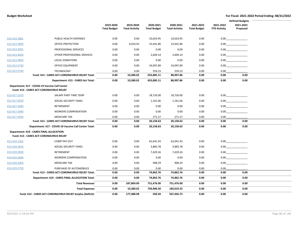|              |                                                                                             |                     |                       |                     |                       |                     | <b>Defined Budgets</b> |           |  |
|--------------|---------------------------------------------------------------------------------------------|---------------------|-----------------------|---------------------|-----------------------|---------------------|------------------------|-----------|--|
|              |                                                                                             | 2019-2020           | 2019-2020             | 2020-2021           | 2020-2021             | 2021-2022           | 2021-2022              | 2021-2022 |  |
|              |                                                                                             | <b>Total Budget</b> | <b>Total Activity</b> | <b>Total Budget</b> | <b>Total Activity</b> | <b>Total Budget</b> | <b>YTD Activity</b>    | Proposed  |  |
| 413-413-3981 | PUBLIC HEALTH EXPENSES                                                                      | 0.00                | 0.00                  | 10,024.95           | 10,024.95             | 0.00                |                        |           |  |
| 413-413-3990 | OFFICE PROTECTION                                                                           | 0.00                | 4,010.43              | 23,441.86           | 23,441.86             | 0.00                |                        | 0.00      |  |
| 413-413-4391 | PROFESSIONAL SERVICES                                                                       | 0.00                | 0.00                  | 0.00                | 0.00                  | 0.00                |                        | 0.00      |  |
| 413-413-4420 | OTHER PROFESSIONAL SERVICES                                                                 | 0.00                | 0.00                  | 2,604.14            | 2,604.14              | 0.00                |                        | 0.00      |  |
| 413-413-4950 | <b>LOCAL DONATIONS</b>                                                                      | 0.00                | 0.00                  | 0.00                | 0.00                  | 0.00                |                        | 0.00      |  |
| 413-413-5720 | <b>OFFICE EQUIPMENT</b>                                                                     | 0.00                | 0.00                  | 24,097.89           | 24,097.89             | 0.00                | 0.00                   |           |  |
| 413-413-5740 | <b>TECHNOLOGY</b>                                                                           | 0.00                | 0.00                  | 559.23              | 559.23                | 0.00                | 0.00                   |           |  |
|              | Fund: 413 - CARES ACT-CORONAVIRUS RELIEF Total:                                             | 0.00                | 10,380.02             | 655,885.11          | 88,997.86             | 0.00                | 0.00                   | 0.00      |  |
|              | Department: 413 - CARES Act Total:                                                          | 0.00                | 10,380.02             | 655,885.11          | 88,997.86             | 0.00                | 0.00                   | 0.00      |  |
|              | Department: 417 - COVID-19 Vaccine Call Center                                              |                     |                       |                     |                       |                     |                        |           |  |
|              | Fund: 413 - CARES ACT-CORONAVIRUS RELIEF                                                    |                     |                       |                     |                       |                     |                        |           |  |
| 413-417-1070 | SALARY PART-TIME TEMP                                                                       | 0.00                | 0.00                  | 18,726.00           | 18,726.00             | 0.00                |                        | 0.00      |  |
| 413-417-2010 | SOCIAL SECURITY TAXES                                                                       | 0.00                | 0.00                  | 1,161.06            | 1,161.06              | 0.00                |                        |           |  |
| 413-417-2030 | <b>RETIREMENT</b>                                                                           | 0.00                | 0.00                  | 0.00                | 0.00                  | 0.00                |                        | 0.00      |  |
| 413-417-2040 | <b>WORKERS COMPENSATION</b>                                                                 | 0.00                | 0.00                  | 0.00                | 0.00                  | 0.00                |                        | 0.00      |  |
| 413-417-2050 | <b>MEDICARE TAX</b>                                                                         | 0.00                | 0.00                  | 271.57              | 271.57                | 0.00                | 0.00                   |           |  |
|              | Fund: 413 - CARES ACT-CORONAVIRUS RELIEF Total:                                             | 0.00                | 0.00                  | 20,158.63           | 20,158.63             | 0.00                | 0.00                   | 0.00      |  |
|              | Department: 417 - COVID-19 Vaccine Call Center Total:                                       | 0.00                | 0.00                  | 20,158.63           | 20,158.63             | 0.00                | 0.00                   | 0.00      |  |
|              | <b>Department: 419 - CARES FINAL ALLOCATION</b><br>Fund: 413 - CARES ACT-CORONAVIRUS RELIEF |                     |                       |                     |                       |                     |                        |           |  |
| 413-419-1502 | <b>COMP PAY OUT</b>                                                                         | 0.00                | 0.00                  | 62,641.43           | 62,641.43             | 0.00                |                        |           |  |
| 413-419-2010 | SOCIAL SECURITY TAXES                                                                       | 0.00                | 0.00                  | 3,883.78            | 3,883.78              | 0.00                |                        | $0.00$    |  |
| 413-419-2030 | <b>RETIREMENT</b>                                                                           | 0.00                | 0.00                  | 7,429.26            | 7,429.26              | 0.00                |                        | 0.00      |  |
| 413-419-2040 | <b>WORKERS COMPENSATION</b>                                                                 | 0.00                | 0.00                  | 0.00                | 0.00                  | 0.00                |                        | 0.00      |  |
| 413-419-2050 | <b>MEDICARE TAX</b>                                                                         | 0.00                | 0.00                  | 908.29              | 908.29                | 0.00                | 0.00                   |           |  |
| 413-419-5750 | PURCHASE OF AUTOMOBILES                                                                     | 0.00                | 0.00                  | 0.00                | 0.00                  | 0.00                | 0.00                   |           |  |
|              | Fund: 413 - CARES ACT-CORONAVIRUS RELIEF Total:                                             | 0.00                | 0.00                  | 74,862.76           | 74,862.76             | 0.00                | 0.00                   | 0.00      |  |
|              | Department: 419 - CARES FINAL ALLOCATION Total:                                             | 0.00                | 0.00                  | 74,862.76           | 74,862.76             | 0.00                | 0.00                   | 0.00      |  |
|              | <b>Total Revenues</b>                                                                       | 0.00                | 187,869.00            | 751,476.00          | 751,476.00            | 0.00                | 0.00                   | 0.00      |  |
|              | <b>Total Expenses</b>                                                                       | 0.00                | 10,380.02             | 750,906.50          | 184,019.25            | 0.00                | 0.00                   | 0.00      |  |
|              | Fund: 413 - CARES ACT-CORONAVIRUS RELIEF Surplus (Deficit):                                 | 0.00                | 177,488.98            | 569.50              | 567,456.75            | 0.00                | 0.00                   | 0.00      |  |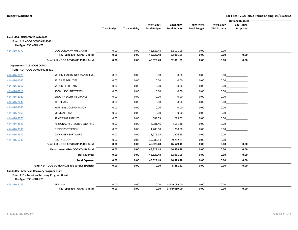|                                                                                           |                                                   |                     |                       |                     |                       |                     |                     | <b>Defined Budgets</b> |  |
|-------------------------------------------------------------------------------------------|---------------------------------------------------|---------------------|-----------------------|---------------------|-----------------------|---------------------|---------------------|------------------------|--|
|                                                                                           |                                                   |                     |                       | 2020-2021           | 2020-2021             | 2021-2022           | 2021-2022           | 2021-2022              |  |
|                                                                                           |                                                   | <b>Total Budget</b> | <b>Total Activity</b> | <b>Total Budget</b> | <b>Total Activity</b> | <b>Total Budget</b> | <b>YTD Activity</b> | Proposed               |  |
| Fund: 414 - OOG COVID #4145401<br>Fund: 414 - OOG COVID #4145401<br>RevType: 330 - GRANTS |                                                   |                     |                       |                     |                       |                     |                     |                        |  |
| 414-330-4772                                                                              | OOG CORONAVIRUS GRANT                             | 0.00                | 0.00                  | 46,529.48           | 52,011.09             | 0.00                | 0.00                |                        |  |
|                                                                                           | RevType: 330 - GRANTS Total:                      | 0.00                | 0.00                  | 46,529.48           | 52,011.09             | 0.00                | 0.00                | 0.00                   |  |
|                                                                                           | Fund: 414 - OOG COVID #4145401 Total:             | 0.00                | 0.00                  | 46,529.48           | 52,011.09             | 0.00                | 0.00                | 0.00                   |  |
| Department: 416 - OOG COVID                                                               |                                                   |                     |                       |                     |                       |                     |                     |                        |  |
| Fund: 414 - OOG COVID #4145401                                                            |                                                   |                     |                       |                     |                       |                     |                     |                        |  |
| 414-416-1020                                                                              | SALARY-EMERGENCY MANAGEM                          | 0.00                | 0.00                  | 0.00                | 0.00                  | 0.00                |                     |                        |  |
| 414-416-1040                                                                              | <b>SALARIES DEPUTIES</b>                          | 0.00                | 0.00                  | 0.00                | 0.00                  | 0.00                |                     | 0.00                   |  |
| 414-416-1050                                                                              | SALARY SECRETARY                                  | 0.00                | 0.00                  | 0.00                | 0.00                  | 0.00                |                     | 0.00                   |  |
| 414-416-2010                                                                              | SOCIAL SECURITY TAXES                             | 0.00                | 0.00                  | 0.00                | 0.00                  | 0.00                |                     | 0.00                   |  |
| 414-416-2020                                                                              | <b>GROUP HEALTH INSURANCE</b>                     | 0.00                | 0.00                  | 0.00                | 0.00                  | 0.00                |                     |                        |  |
| 414-416-2030                                                                              | <b>RETIREMENT</b>                                 | 0.00                | 0.00                  | 0.00                | 0.00                  | 0.00                |                     | 0.00                   |  |
| 414-416-2040                                                                              | <b>WORKERS COMPENSATION</b>                       | 0.00                | 0.00                  | 0.00                | 0.00                  | 0.00                |                     | 0.00                   |  |
| 414-416-2050                                                                              | <b>MEDICARE TAX</b>                               | 0.00                | 0.00                  | 0.00                | 0.00                  | 0.00                |                     |                        |  |
| 414-416-3970                                                                              | SANITIZING SUPPLIES                               | 0.00                | 0.00                  | 689.03              | 689.03                | 0.00                |                     | 0.00                   |  |
| 414-416-3980                                                                              | PERSONAL PROTECTIVE EQUIPM                        | 0.00                | 0.00                  | 4,081.46            | 4,081.46              | 0.00                |                     | 0.00                   |  |
| 414-416-3990                                                                              | OFFICE PROTECTION                                 | 0.00                | 0.00                  | 1,200.00            | 1,200.00              | 0.00                | 0.00                |                        |  |
| 414-416-4530                                                                              | <b>COMPUTER SOFTWARE</b>                          | 0.00                | 0.00                  | 1,276.15            | 1,276.15              | 0.00                | 0.00                |                        |  |
| 414-416-5740                                                                              | <b>TECHNOLOGY</b>                                 | 0.00                | 0.00                  | 39,282.84           | 39,282.84             | 0.00                | 0.00                |                        |  |
|                                                                                           | Fund: 414 - OOG COVID #4145401 Total:             | 0.00                | 0.00                  | 46,529.48           | 46,529.48             | 0.00                | 0.00                | 0.00                   |  |
|                                                                                           | Department: 416 - OOG COVID Total:                | 0.00                | 0.00                  | 46,529.48           | 46,529.48             | 0.00                | 0.00                | 0.00                   |  |
|                                                                                           | <b>Total Revenues</b>                             | 0.00                | 0.00                  | 46,529.48           | 52,011.09             | 0.00                | 0.00                | 0.00                   |  |
|                                                                                           | <b>Total Expenses</b>                             | 0.00                | 0.00                  | 46,529.48           | 46,529.48             | 0.00                | 0.00                | 0.00                   |  |
|                                                                                           | Fund: 414 - OOG COVID #4145401 Surplus (Deficit): | 0.00                | 0.00                  | 0.00                | 5,481.61              | 0.00                | 0.00                | 0.00                   |  |
| Fund: 415 - American Recovery Program Grant<br>RevType: 330 - GRANTS                      | Fund: 415 - American Recovery Program Grant       |                     |                       |                     |                       |                     |                     |                        |  |
| 415-330-4775                                                                              | <b>ARP Grant</b>                                  | 0.00                | 0.00                  | 0.00                | 3,449,089.00          | 0.00                | 0.00                |                        |  |
|                                                                                           | RevType: 330 - GRANTS Total:                      | 0.00                | 0.00                  | 0.00                | 3,449,089.00          | 0.00                | 0.00                | 0.00                   |  |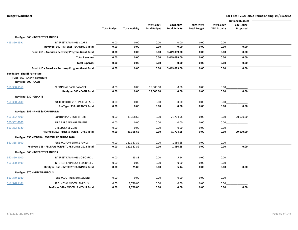|                                |                                                     |                     |                       |                     |                       |                     |                     | <b>Defined Budgets</b> |  |
|--------------------------------|-----------------------------------------------------|---------------------|-----------------------|---------------------|-----------------------|---------------------|---------------------|------------------------|--|
|                                |                                                     |                     |                       | 2020-2021           | 2020-2021             | 2021-2022           | 2021-2022           | 2021-2022              |  |
|                                |                                                     | <b>Total Budget</b> | <b>Total Activity</b> | <b>Total Budget</b> | <b>Total Activity</b> | <b>Total Budget</b> | <b>YTD Activity</b> | Proposed               |  |
|                                | RevType: 360 - INTEREST EARNINGS                    |                     |                       |                     |                       |                     |                     |                        |  |
| 415-360-1591                   | <b>INTEREST EARNINGS CDARS</b>                      | 0.00                | 0.00                  | 0.00                | 0.00                  | 0.00                | 0.00                |                        |  |
|                                | RevType: 360 - INTEREST EARNINGS Total:             | 0.00                | 0.00                  | 0.00                | 0.00                  | 0.00                | 0.00                | 0.00                   |  |
|                                | Fund: 415 - American Recovery Program Grant Total:  | 0.00                | 0.00                  | 0.00                | 3,449,089.00          | 0.00                | 0.00                | 0.00                   |  |
|                                | <b>Total Revenues</b>                               | 0.00                | 0.00                  | 0.00                | 3,449,089.00          | 0.00                | 0.00                | 0.00                   |  |
|                                | <b>Total Expenses</b>                               | 0.00                | 0.00                  | 0.00                | 0.00                  | 0.00                | 0.00                | 0.00                   |  |
|                                | Fund: 415 - American Recovery Program Grant Total:  | 0.00                | 0.00                  | 0.00                | 3,449,089.00          | 0.00                | 0.00                | 0.00                   |  |
| Fund: 560 - Sheriff Forfeiture |                                                     |                     |                       |                     |                       |                     |                     |                        |  |
|                                | Fund: 560 - Sheriff Forfeiture                      |                     |                       |                     |                       |                     |                     |                        |  |
|                                | RevType: 300 - CASH                                 |                     |                       |                     |                       |                     |                     |                        |  |
| 560-300-1560                   | <b>BEGINNING CASH BALANCE</b>                       | 0.00                | 0.00                  | 25,000.00           | 0.00                  | 0.00                | 0.00                |                        |  |
|                                | RevType: 300 - CASH Total:                          | 0.00                | 0.00                  | 25,000.00           | 0.00                  | 0.00                | 0.00                | 0.00                   |  |
|                                | RevType: 330 - GRANTS                               |                     |                       |                     |                       |                     |                     |                        |  |
| 560-330-5600                   | <b>BULLETPROOF VEST PARTNERSH</b>                   | 0.00                | 0.00                  | 0.00                | 0.00                  | 0.00                | 0.00                |                        |  |
|                                | RevType: 330 - GRANTS Total:                        | 0.00                | 0.00                  | 0.00                | 0.00                  | 0.00                | 0.00                | 0.00                   |  |
|                                | <b>RevType: 352 - FINES &amp; FORFEITURES</b>       |                     |                       |                     |                       |                     |                     |                        |  |
| 560-352-2000                   | <b>CONTRABAND FORFEITURE</b>                        | 0.00                | 43,368.65             | 0.00                | 71,704.58             | 0.00                | 0.00                | 20,000.00              |  |
| 560-352-3000                   | PLEA BARGAIN AGREEMENT                              | 0.00                | 0.00                  | 0.00                | 0.00                  | 0.00                | 0.00                |                        |  |
| 560-352-4320                   | LIVESTOCK SEIZURE                                   | 0.00                | 0.00                  | 0.00                | 0.00                  | 0.00                | 0.00                |                        |  |
|                                | RevType: 352 - FINES & FORFEITURES Total:           | 0.00                | 43,368.65             | 0.00                | 71,704.58             | 0.00                | 0.00                | 20,000.00              |  |
|                                | RevType: 355 - FEDERAL FORFEITURE FUNDS 2018        |                     |                       |                     |                       |                     |                     |                        |  |
| 560-355-5600                   | FEDERAL FORFEITURE FUNDS                            | 0.00                | 122,387.39            | 0.00                | 1,586.65              | 0.00                | 0.00                |                        |  |
|                                | RevType: 355 - FEDERAL FORFEITURE FUNDS 2018 Total: | 0.00                | 122,387.39            | 0.00                | 1,586.65              | 0.00                | 0.00                | 0.00                   |  |
|                                | RevType: 360 - INTEREST EARNINGS                    |                     |                       |                     |                       |                     |                     |                        |  |
| 560-360-1000                   | INTEREST EARNINGS-SO FORFEI                         | 0.00                | 25.88                 | 0.00                | 5.14                  | 0.00                | 0.00                |                        |  |
| 560-360-1590                   | INTEREST EARNINGS-FEDERAL F                         | 0.00                | 0.00                  | 0.00                | 0.00                  | 0.00                | 0.00                |                        |  |
|                                | RevType: 360 - INTEREST EARNINGS Total:             | 0.00                | 25.88                 | 0.00                | 5.14                  | 0.00                | 0.00                | 0.00                   |  |
|                                | RevType: 370 - MISCELLANEOUS                        |                     |                       |                     |                       |                     |                     |                        |  |
| 560-370-1080                   | FEDERAL OT REIMBURSEMENT                            | 0.00                | 0.00                  | 0.00                | 0.00                  | 0.00                | 0.00                |                        |  |
| 560-370-1300                   | REFUNDS & MISCELLANEOUS                             | 0.00                | 2,720.00              | 0.00                | 0.00                  | 0.00                | 0.00                |                        |  |
|                                | RevType: 370 - MISCELLANEOUS Total:                 | 0.00                | 2,720.00              | 0.00                | 0.00                  | 0.00                | 0.00                | 0.00                   |  |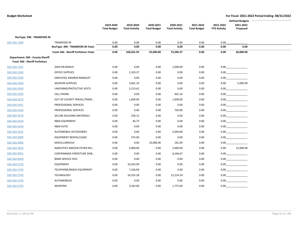|                                                                    |                                       |                     |                       |                     |                       |                     |                     | <b>Defined Budgets</b> |  |
|--------------------------------------------------------------------|---------------------------------------|---------------------|-----------------------|---------------------|-----------------------|---------------------|---------------------|------------------------|--|
|                                                                    |                                       | 2019-2020           | 2019-2020             | 2020-2021           | 2020-2021             | 2021-2022           | 2021-2022           | 2021-2022              |  |
|                                                                    |                                       | <b>Total Budget</b> | <b>Total Activity</b> | <b>Total Budget</b> | <b>Total Activity</b> | <b>Total Budget</b> | <b>YTD Activity</b> | Proposed               |  |
| RevType: 390 - TRANSFERS IN                                        |                                       |                     |                       |                     |                       |                     |                     |                        |  |
| 560-390-1400                                                       | <b>TRANSFERS IN</b>                   | 0.00                | 0.00                  | 0.00                | 0.00                  | 0.00                | 0.00                |                        |  |
|                                                                    | RevType: 390 - TRANSFERS IN Total:    | 0.00                | 0.00                  | 0.00                | 0.00                  | 0.00                | 0.00                | 0.00                   |  |
|                                                                    | Fund: 560 - Sheriff Forfeiture Total: | 0.00                | 168,501.92            | 25,000.00           | 73,296.37             | 0.00                | 0.00                | 20,000.00              |  |
| Department: 560 - County Sheriff<br>Fund: 560 - Sheriff Forfeiture |                                       |                     |                       |                     |                       |                     |                     |                        |  |
| 560-560-1501                                                       | <b>SIGN ON BONUS</b>                  | 0.00                | 0.00                  | 0.00                | 1,000.00              | 0.00                |                     |                        |  |
| 560-560-3100                                                       | <b>OFFICE SUPPLIES</b>                | 0.00                | 2,103.37              | 0.00                | 0.00                  | 0.00                |                     | 0.00                   |  |
| 560-560-3160                                                       | <b>EMPLOYEE AWARDS BANQUET</b>        | 0.00                | 0.00                  | 0.00                | 0.00                  | 0.00                |                     | 0.00                   |  |
| 560-560-3200                                                       | <b>WEAPON SUPPLIES</b>                | 0.00                | 3,061.10              | 0.00                | 0.00                  | 0.00                | 0.00                | 5,000.00               |  |
| 560-560-3950                                                       | UNIFORMS/PROTECTIVE VESTS             | 0.00                | 5,213.62              | 0.00                | 0.00                  | 0.00                |                     | 0.00                   |  |
| 560-560-4200                                                       | <b>CELL PHONE</b>                     | 0.00                | 0.00                  | 0.00                | 601.26                | 0.00                |                     | $0.00$                 |  |
| 560-560-4270                                                       | OUT OF COUNTY TRAVEL/TRAIN            | 0.00                | 1,830.00              | 0.00                | 1,830.00              | 0.00                |                     | 0.00                   |  |
| 560-560-4391                                                       | PROFESSIONAL SERVICES                 | 0.00                | 0.00                  | 0.00                | 0.00                  | 0.00                |                     | $0.00$                 |  |
| 560-560-4420                                                       | PROFESSIONAL SERVICES                 | 0.00                | 0.00                  | 0.00                | 750.00                | 0.00                |                     | 0.00                   |  |
| 560-560-4510                                                       | SECURE BUILDING MATERIALS             | 0.00                | 258.15                | 0.00                | 0.00                  | 0.00                |                     | $0.00$                 |  |
| 560-560-4520                                                       | <b>R&amp;M EQUIPMENT</b>              | 0.00                | 46.73                 | 0.00                | 0.00                  | 0.00                |                     | 0.00                   |  |
| 560-560-4540                                                       | R&M AUTO                              | 0.00                | 0.00                  | 0.00                | 0.00                  | 0.00                |                     | 0.00                   |  |
| 560-560-4541                                                       | AUTOMOBILE ACCESSORIES                | 0.00                | 0.00                  | 0.00                | 2,044.68              | 0.00                |                     |                        |  |
| 560-560-4600                                                       | EQUIPMENT RENTAL/LEASE                | 0.00                | 575.00                | 0.00                | 0.00                  | 0.00                |                     | 0.00                   |  |
| 560-560-4900                                                       | <b>MISCELLANEOUS</b>                  | 0.00                | 0.00                  | 25,000.00           | 181.00                | 0.00                |                     |                        |  |
| 560-560-4950                                                       | NARCOTICS AND/OR OTHER INV            | 0.00                | 3,000.00              | 0.00                | 2,000.00              | 0.00                | 0.00                | 15,000.00              |  |
| 560-560-4951                                                       | <b>CONTRABAND FORFEITURE DISB</b>     | 0.00                | 0.00                  | 0.00                | 8,246.67              | 0.00                |                     | $0.00$                 |  |
| 560-560-4990                                                       | <b>BANK SERVICE FEES</b>              | 0.00                | 0.00                  | 0.00                | 0.00                  | 0.00                |                     | 0.00                   |  |
| 560-560-5720                                                       | <b>EQUIPMENT</b>                      | 0.00                | 10,203.99             | 0.00                | 0.00                  | 0.00                |                     | 0.00                   |  |
| 560-560-5730                                                       | TELEPHONE/RADIO EQUIPMENT             | 0.00                | 7,166.00              | 0.00                | 0.00                  | 0.00                |                     |                        |  |
| 560-560-5740                                                       | <b>TECHNOLOGY</b>                     | 0.00                | 24,555.28             | 0.00                | 12,214.59             | 0.00                |                     | $0.00$                 |  |
| 560-560-5750                                                       | <b>AUTOMOBILES</b>                    | 0.00                | 0.00                  | 0.00                | 0.00                  | 0.00                |                     | 0.00                   |  |
| 560-560-5790                                                       | <b>WEAPONS</b>                        | 0.00                | 3,342.00              | 0.00                | 1,775.00              | 0.00                | 0.00                |                        |  |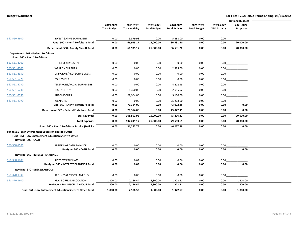| 2019-2020<br>2019-2020<br>2020-2021<br>2020-2021<br>2021-2022<br>2021-2022<br>2021-2022<br><b>Total Budget</b><br><b>Total Activity</b><br><b>Total Budget</b><br><b>Total Activity</b><br><b>Total Budget</b><br><b>YTD Activity</b><br>Proposed<br>5,579.93<br>0.00<br>5,888.00<br>560-560-5800<br><b>INVESTIGATIVE EQUIPMENT</b><br>0.00<br>0.00<br>0.00<br>Fund: 560 - Sheriff Forfeiture Total:<br>0.00<br>66,935.17<br>25,000.00<br>36,531.20<br>0.00<br>0.00<br>20,000.00<br>0.00<br>66,935.17<br>36,531.20<br>0.00<br>0.00<br>Department: 560 - County Sheriff Total:<br>25,000.00<br>20,000.00<br>Department: 561 - Federal Forfeiture<br>Fund: 560 - Sheriff Forfeiture<br>560-561-3100<br>0.00<br>0.00<br>0.00<br>0.00<br>OFFICE & MISC. SUPPLIES<br>0.00<br>$0.00$<br>0.00<br>$0.00$<br>0.00<br>0.00<br>2,385.00<br>0.00<br>560-561-3200<br><b>WEAPON SUPPLIES</b><br>0.00<br>0.00<br>0.00<br>0.00<br>560-561-3950<br>UNIFORMS/PROTECTIVE VESTS<br>0.00<br>0.00<br>0.00<br>0.00<br>0.00<br>0.00<br><b>EQUIPMENT</b><br>0.00<br>0.00<br>560-561-5720<br>TELEPHONE/RADIO EQUIPMENT<br>0.00<br>0.00<br>0.00<br>4,202.93<br>0.00<br>$0.00$<br>560-561-5730<br>560-561-5740<br><b>TECHNOLOGY</b><br>0.00<br>1,350.00<br>0.00<br>2,056.52<br>0.00<br>0.00<br>68,964.00<br>0.00<br>9,170.00<br>0.00<br>0.00<br>560-561-5750<br><b>AUTOMOBILES</b><br><b>WEAPONS</b><br>0.00<br>0.00<br>0.00<br>25,208.00<br>0.00<br>0.00<br>560-561-5790<br>Fund: 560 - Sheriff Forfeiture Total:<br>70,314.00<br>43,022.45<br>0.00<br>0.00<br>0.00<br>0.00<br>0.00<br>Department: 561 - Federal Forfeiture Total:<br>0.00<br>70,314.00<br>0.00<br>43,022.45<br>0.00<br>0.00<br>0.00<br><b>Total Revenues</b><br>0.00<br>168,501.92<br>25,000.00<br>73,296.37<br>0.00<br>0.00<br>20,000.00<br>0.00<br>79,553.65<br>0.00<br><b>Total Expenses</b><br>137,249.17<br>25,000.00<br>0.00<br>20,000.00<br>Fund: 560 - Sheriff Forfeiture Surplus (Deficit):<br>0.00<br>31,252.75<br>0.00<br>$-6,257.28$<br>0.00<br>0.00<br>0.00<br><b>Fund: 561 - Law Enforcement Education Sheriff's Office</b><br>Fund: 561 - Law Enforcement Education Sheriff's Office<br>RevType: 300 - CASH |
|------------------------------------------------------------------------------------------------------------------------------------------------------------------------------------------------------------------------------------------------------------------------------------------------------------------------------------------------------------------------------------------------------------------------------------------------------------------------------------------------------------------------------------------------------------------------------------------------------------------------------------------------------------------------------------------------------------------------------------------------------------------------------------------------------------------------------------------------------------------------------------------------------------------------------------------------------------------------------------------------------------------------------------------------------------------------------------------------------------------------------------------------------------------------------------------------------------------------------------------------------------------------------------------------------------------------------------------------------------------------------------------------------------------------------------------------------------------------------------------------------------------------------------------------------------------------------------------------------------------------------------------------------------------------------------------------------------------------------------------------------------------------------------------------------------------------------------------------------------------------------------------------------------------------------------------------------------------------------------------------------------------------------------------------------------------------------------------------------------------------------------------------------------------|
|                                                                                                                                                                                                                                                                                                                                                                                                                                                                                                                                                                                                                                                                                                                                                                                                                                                                                                                                                                                                                                                                                                                                                                                                                                                                                                                                                                                                                                                                                                                                                                                                                                                                                                                                                                                                                                                                                                                                                                                                                                                                                                                                                                  |
|                                                                                                                                                                                                                                                                                                                                                                                                                                                                                                                                                                                                                                                                                                                                                                                                                                                                                                                                                                                                                                                                                                                                                                                                                                                                                                                                                                                                                                                                                                                                                                                                                                                                                                                                                                                                                                                                                                                                                                                                                                                                                                                                                                  |
|                                                                                                                                                                                                                                                                                                                                                                                                                                                                                                                                                                                                                                                                                                                                                                                                                                                                                                                                                                                                                                                                                                                                                                                                                                                                                                                                                                                                                                                                                                                                                                                                                                                                                                                                                                                                                                                                                                                                                                                                                                                                                                                                                                  |
|                                                                                                                                                                                                                                                                                                                                                                                                                                                                                                                                                                                                                                                                                                                                                                                                                                                                                                                                                                                                                                                                                                                                                                                                                                                                                                                                                                                                                                                                                                                                                                                                                                                                                                                                                                                                                                                                                                                                                                                                                                                                                                                                                                  |
|                                                                                                                                                                                                                                                                                                                                                                                                                                                                                                                                                                                                                                                                                                                                                                                                                                                                                                                                                                                                                                                                                                                                                                                                                                                                                                                                                                                                                                                                                                                                                                                                                                                                                                                                                                                                                                                                                                                                                                                                                                                                                                                                                                  |
|                                                                                                                                                                                                                                                                                                                                                                                                                                                                                                                                                                                                                                                                                                                                                                                                                                                                                                                                                                                                                                                                                                                                                                                                                                                                                                                                                                                                                                                                                                                                                                                                                                                                                                                                                                                                                                                                                                                                                                                                                                                                                                                                                                  |
|                                                                                                                                                                                                                                                                                                                                                                                                                                                                                                                                                                                                                                                                                                                                                                                                                                                                                                                                                                                                                                                                                                                                                                                                                                                                                                                                                                                                                                                                                                                                                                                                                                                                                                                                                                                                                                                                                                                                                                                                                                                                                                                                                                  |
|                                                                                                                                                                                                                                                                                                                                                                                                                                                                                                                                                                                                                                                                                                                                                                                                                                                                                                                                                                                                                                                                                                                                                                                                                                                                                                                                                                                                                                                                                                                                                                                                                                                                                                                                                                                                                                                                                                                                                                                                                                                                                                                                                                  |
|                                                                                                                                                                                                                                                                                                                                                                                                                                                                                                                                                                                                                                                                                                                                                                                                                                                                                                                                                                                                                                                                                                                                                                                                                                                                                                                                                                                                                                                                                                                                                                                                                                                                                                                                                                                                                                                                                                                                                                                                                                                                                                                                                                  |
|                                                                                                                                                                                                                                                                                                                                                                                                                                                                                                                                                                                                                                                                                                                                                                                                                                                                                                                                                                                                                                                                                                                                                                                                                                                                                                                                                                                                                                                                                                                                                                                                                                                                                                                                                                                                                                                                                                                                                                                                                                                                                                                                                                  |
|                                                                                                                                                                                                                                                                                                                                                                                                                                                                                                                                                                                                                                                                                                                                                                                                                                                                                                                                                                                                                                                                                                                                                                                                                                                                                                                                                                                                                                                                                                                                                                                                                                                                                                                                                                                                                                                                                                                                                                                                                                                                                                                                                                  |
|                                                                                                                                                                                                                                                                                                                                                                                                                                                                                                                                                                                                                                                                                                                                                                                                                                                                                                                                                                                                                                                                                                                                                                                                                                                                                                                                                                                                                                                                                                                                                                                                                                                                                                                                                                                                                                                                                                                                                                                                                                                                                                                                                                  |
|                                                                                                                                                                                                                                                                                                                                                                                                                                                                                                                                                                                                                                                                                                                                                                                                                                                                                                                                                                                                                                                                                                                                                                                                                                                                                                                                                                                                                                                                                                                                                                                                                                                                                                                                                                                                                                                                                                                                                                                                                                                                                                                                                                  |
|                                                                                                                                                                                                                                                                                                                                                                                                                                                                                                                                                                                                                                                                                                                                                                                                                                                                                                                                                                                                                                                                                                                                                                                                                                                                                                                                                                                                                                                                                                                                                                                                                                                                                                                                                                                                                                                                                                                                                                                                                                                                                                                                                                  |
|                                                                                                                                                                                                                                                                                                                                                                                                                                                                                                                                                                                                                                                                                                                                                                                                                                                                                                                                                                                                                                                                                                                                                                                                                                                                                                                                                                                                                                                                                                                                                                                                                                                                                                                                                                                                                                                                                                                                                                                                                                                                                                                                                                  |
|                                                                                                                                                                                                                                                                                                                                                                                                                                                                                                                                                                                                                                                                                                                                                                                                                                                                                                                                                                                                                                                                                                                                                                                                                                                                                                                                                                                                                                                                                                                                                                                                                                                                                                                                                                                                                                                                                                                                                                                                                                                                                                                                                                  |
|                                                                                                                                                                                                                                                                                                                                                                                                                                                                                                                                                                                                                                                                                                                                                                                                                                                                                                                                                                                                                                                                                                                                                                                                                                                                                                                                                                                                                                                                                                                                                                                                                                                                                                                                                                                                                                                                                                                                                                                                                                                                                                                                                                  |
|                                                                                                                                                                                                                                                                                                                                                                                                                                                                                                                                                                                                                                                                                                                                                                                                                                                                                                                                                                                                                                                                                                                                                                                                                                                                                                                                                                                                                                                                                                                                                                                                                                                                                                                                                                                                                                                                                                                                                                                                                                                                                                                                                                  |
|                                                                                                                                                                                                                                                                                                                                                                                                                                                                                                                                                                                                                                                                                                                                                                                                                                                                                                                                                                                                                                                                                                                                                                                                                                                                                                                                                                                                                                                                                                                                                                                                                                                                                                                                                                                                                                                                                                                                                                                                                                                                                                                                                                  |
|                                                                                                                                                                                                                                                                                                                                                                                                                                                                                                                                                                                                                                                                                                                                                                                                                                                                                                                                                                                                                                                                                                                                                                                                                                                                                                                                                                                                                                                                                                                                                                                                                                                                                                                                                                                                                                                                                                                                                                                                                                                                                                                                                                  |
|                                                                                                                                                                                                                                                                                                                                                                                                                                                                                                                                                                                                                                                                                                                                                                                                                                                                                                                                                                                                                                                                                                                                                                                                                                                                                                                                                                                                                                                                                                                                                                                                                                                                                                                                                                                                                                                                                                                                                                                                                                                                                                                                                                  |
|                                                                                                                                                                                                                                                                                                                                                                                                                                                                                                                                                                                                                                                                                                                                                                                                                                                                                                                                                                                                                                                                                                                                                                                                                                                                                                                                                                                                                                                                                                                                                                                                                                                                                                                                                                                                                                                                                                                                                                                                                                                                                                                                                                  |
|                                                                                                                                                                                                                                                                                                                                                                                                                                                                                                                                                                                                                                                                                                                                                                                                                                                                                                                                                                                                                                                                                                                                                                                                                                                                                                                                                                                                                                                                                                                                                                                                                                                                                                                                                                                                                                                                                                                                                                                                                                                                                                                                                                  |
| 0.00<br>0.00<br>0.00<br>0.00<br>561-300-1560<br>BEGINNING CASH BALANCE<br>0.00<br>0.00<br>RevType: 300 - CASH Total:<br>0.00<br>0.00<br>0.00<br>0.00<br>0.00<br>0.00<br>0.00                                                                                                                                                                                                                                                                                                                                                                                                                                                                                                                                                                                                                                                                                                                                                                                                                                                                                                                                                                                                                                                                                                                                                                                                                                                                                                                                                                                                                                                                                                                                                                                                                                                                                                                                                                                                                                                                                                                                                                                     |
| RevType: 360 - INTEREST EARNINGS                                                                                                                                                                                                                                                                                                                                                                                                                                                                                                                                                                                                                                                                                                                                                                                                                                                                                                                                                                                                                                                                                                                                                                                                                                                                                                                                                                                                                                                                                                                                                                                                                                                                                                                                                                                                                                                                                                                                                                                                                                                                                                                                 |
|                                                                                                                                                                                                                                                                                                                                                                                                                                                                                                                                                                                                                                                                                                                                                                                                                                                                                                                                                                                                                                                                                                                                                                                                                                                                                                                                                                                                                                                                                                                                                                                                                                                                                                                                                                                                                                                                                                                                                                                                                                                                                                                                                                  |
| 0.00<br>0.06<br>561-360-1000<br><b>INTEREST EARNINGS</b><br>0.00<br>0.09<br>0.00<br>0.00<br>RevType: 360 - INTEREST EARNINGS Total:<br>0.00<br>0.09<br>0.00<br>0.06<br>0.00<br>0.00<br>0.00                                                                                                                                                                                                                                                                                                                                                                                                                                                                                                                                                                                                                                                                                                                                                                                                                                                                                                                                                                                                                                                                                                                                                                                                                                                                                                                                                                                                                                                                                                                                                                                                                                                                                                                                                                                                                                                                                                                                                                      |
| RevType: 370 - MISCELLANEOUS                                                                                                                                                                                                                                                                                                                                                                                                                                                                                                                                                                                                                                                                                                                                                                                                                                                                                                                                                                                                                                                                                                                                                                                                                                                                                                                                                                                                                                                                                                                                                                                                                                                                                                                                                                                                                                                                                                                                                                                                                                                                                                                                     |
| 0.00<br>0.00<br>0.00<br>0.00<br>0.00<br>0.00<br>561-370-1300<br>REFUNDS & MISCELLANEOUS                                                                                                                                                                                                                                                                                                                                                                                                                                                                                                                                                                                                                                                                                                                                                                                                                                                                                                                                                                                                                                                                                                                                                                                                                                                                                                                                                                                                                                                                                                                                                                                                                                                                                                                                                                                                                                                                                                                                                                                                                                                                          |
| 0.00                                                                                                                                                                                                                                                                                                                                                                                                                                                                                                                                                                                                                                                                                                                                                                                                                                                                                                                                                                                                                                                                                                                                                                                                                                                                                                                                                                                                                                                                                                                                                                                                                                                                                                                                                                                                                                                                                                                                                                                                                                                                                                                                                             |
| 1,800.00<br>2,186.44<br>1,800.00<br>1,972.51<br>0.00<br>1,800.00<br>561-370-1600<br>PEACE OFFICE ALLOCATION<br>RevType: 370 - MISCELLANEOUS Total:<br>1,800.00<br>2,186.44<br>1,800.00<br>1,972.51<br>0.00<br>0.00<br>1,800.00                                                                                                                                                                                                                                                                                                                                                                                                                                                                                                                                                                                                                                                                                                                                                                                                                                                                                                                                                                                                                                                                                                                                                                                                                                                                                                                                                                                                                                                                                                                                                                                                                                                                                                                                                                                                                                                                                                                                   |
| Fund: 561 - Law Enforcement Education Sheriff's Office Total:<br>1,800.00<br>2,186.53<br>1,800.00<br>1,972.57<br>0.00<br>0.00<br>1,800.00                                                                                                                                                                                                                                                                                                                                                                                                                                                                                                                                                                                                                                                                                                                                                                                                                                                                                                                                                                                                                                                                                                                                                                                                                                                                                                                                                                                                                                                                                                                                                                                                                                                                                                                                                                                                                                                                                                                                                                                                                        |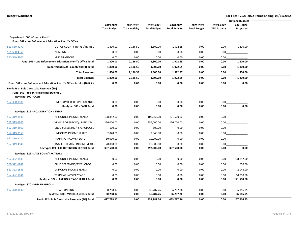|                                  |                                                                           |                     |                       |                     |                       |                     |                     | <b>Defined Budgets</b> |
|----------------------------------|---------------------------------------------------------------------------|---------------------|-----------------------|---------------------|-----------------------|---------------------|---------------------|------------------------|
|                                  |                                                                           | 2019-2020           | 2019-2020             | 2020-2021           | 2020-2021             | 2021-2022           | 2021-2022           | 2021-2022              |
|                                  |                                                                           | <b>Total Budget</b> | <b>Total Activity</b> | <b>Total Budget</b> | <b>Total Activity</b> | <b>Total Budget</b> | <b>YTD Activity</b> | Proposed               |
| Department: 560 - County Sheriff |                                                                           |                     |                       |                     |                       |                     |                     |                        |
|                                  | Fund: 561 - Law Enforcement Education Sheriff's Office                    |                     |                       |                     |                       |                     |                     |                        |
| 561-560-4270                     | OUT OF COUNTY TRAVEL/TRAIN                                                | 1,800.00            | 2,186.50              | 1,800.00            | 1,972.65              | 0.00                | 0.00                | 1,800.00               |
| 561-560-4350                     | PRINTING                                                                  | 0.00                | 0.00                  | 0.00                | 0.00                  | 0.00                | 0.00                |                        |
| 561-560-4900                     | <b>MISCELLANEOUS</b>                                                      | 0.00                | 0.00                  | 0.00                | 0.00                  | 0.00                | 0.00                |                        |
|                                  | Fund: 561 - Law Enforcement Education Sheriff's Office Total:             | 1,800.00            | 2,186.50              | 1,800.00            | 1,972.65              | 0.00                | 0.00                | 1,800.00               |
|                                  | Department: 560 - County Sheriff Total:                                   | 1,800.00            | 2,186.50              | 1,800.00            | 1,972.65              | 0.00                | 0.00                | 1,800.00               |
|                                  | <b>Total Revenues</b>                                                     | 1,800.00            | 2,186.53              | 1,800.00            | 1,972.57              | 0.00                | 0.00                | 1,800.00               |
|                                  | <b>Total Expenses</b>                                                     | 1,800.00            | 2,186.50              | 1,800.00            | 1,972.65              | 0.00                | 0.00                | 1,800.00               |
|                                  | Fund: 561 - Law Enforcement Education Sheriff's Office Surplus (Deficit): | 0.00                | 0.03                  | 0.00                | $-0.08$               | 0.00                | 0.00                | 0.00                   |
|                                  | Fund: 562 - Bois D'Arc Lake Reservoir (SO)                                |                     |                       |                     |                       |                     |                     |                        |
|                                  | Fund: 562 - Bois D'Arc Lake Reservoir (SO)                                |                     |                       |                     |                       |                     |                     |                        |
| RevType: 300 - CASH              |                                                                           |                     |                       |                     |                       |                     |                     |                        |
| 562-300-1100                     | UNENCUMBERED FUND BALANCE                                                 | 0.00                | 0.00                  | 0.00                | 0.00<br>0.00          | 0.00                | 0.00                |                        |
|                                  | RevType: 300 - CASH Total:                                                | 0.00                | 0.00                  | 0.00                |                       | 0.00                | 0.00                | 0.00                   |
|                                  | RevType: 319 - F.C. DETENTION CENTER                                      |                     |                       |                     |                       |                     |                     |                        |
| 562-319-1840                     | PERSONNEL INCOME YEAR 2                                                   | 108,852.00          | 0.00                  | 108,852.00          | 121,500.00            | 0.00                | 0.00                |                        |
| 562-319-1860                     | VEHICLE OR SPEC EQUIP INC YEA                                             | 256,000.00          | 0.00                  | 256,000.00          | 276,000.00            | 0.00                |                     | 0.00                   |
| 562-319-2500                     | DRUG SCREENING/PSYCHOLOGI                                                 | 600.00              | 0.00                  | 600.00              | 0.00                  | 0.00                |                     | 0.00                   |
| 562-319-3950                     | UNIFORMS INCOME YEAR 2                                                    | 2,048.00            | 0.00                  | 2,048.00            | 0.00                  | 0.00                | 0.00                |                        |
| 562-319-4270                     | TRAINING INCOME YEAR 2                                                    | 10,000.00           | 0.00                  | 10,000.00           | 0.00                  | 0.00                | 0.00                |                        |
| 562-319-4540                     | R&M EQUIPMENT INCOME YEAR                                                 | 20,000.00           | 0.00                  | 20,000.00           | 0.00                  | 0.00                | 0.00                |                        |
|                                  | RevType: 319 - F.C. DETENTION CENTER Total:                               | 397,500.00          | 0.00                  | 397,500.00          | 397,500.00            | 0.00                | 0.00                | 0.00                   |
|                                  | RevType: 322 - LAKE BOIS D'ARC YEAR 3                                     |                     |                       |                     |                       |                     |                     |                        |
| 562-322-1841                     | PERSONNEL INCOME YEAR 3                                                   | 0.00                | 0.00                  | 0.00                | 0.00                  | 0.00                | 0.00                | 108,852.00             |
| 562-322-1842                     | DRUG SCREENING/PSYCHOLOG I                                                | 0.00                | 0.00                  | 0.00                | 0.00                  | 0.00                | 0.00                | 600.00                 |
| 562-322-1843                     | UNIFORMS INCOME YEAR 3                                                    | 0.00                | 0.00                  | 0.00                | 0.00                  | 0.00                | 0.00                | 2,048.00               |
| 562-322-1844                     | TRAINING INCOME YEAR 3                                                    | 0.00                | 0.00                  | 0.00                | 0.00                  | 0.00                | 0.00                | 10,000.00              |
|                                  | RevType: 322 - LAKE BOIS D'ARC YEAR 3 Total:                              | 0.00                | 0.00                  | 0.00                | 0.00                  | 0.00                | 0.00                | 121,500.00             |
|                                  | RevType: 370 - MISCELLANEOUS                                              |                     |                       |                     |                       |                     |                     |                        |
| 562-370-1840                     | <b>LOCAL FUNDING</b>                                                      | 30,298.17           | 0.00                  | 36,287.76           | 36,287.76             | 0.00                | 0.00                | 36,116.95              |
|                                  | RevType: 370 - MISCELLANEOUS Total:                                       | 30,298.17           | 0.00                  | 36,287.76           | 36,287.76             | 0.00                | 0.00                | 36,116.95              |
|                                  | Fund: 562 - Bois D'Arc Lake Reservoir (SO) Total:                         | 427,798.17          | 0.00                  | 433,787.76          | 433,787.76            | 0.00                | 0.00                | 157,616.95             |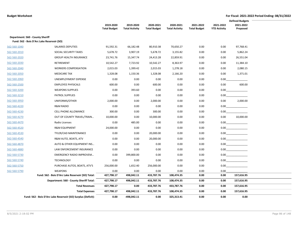|              |                                                                                |                                  |                                    |                                  |                                    |                                  |                                  | <b>Defined Budgets</b> |
|--------------|--------------------------------------------------------------------------------|----------------------------------|------------------------------------|----------------------------------|------------------------------------|----------------------------------|----------------------------------|------------------------|
|              |                                                                                | 2019-2020<br><b>Total Budget</b> | 2019-2020<br><b>Total Activity</b> | 2020-2021<br><b>Total Budget</b> | 2020-2021<br><b>Total Activity</b> | 2021-2022<br><b>Total Budget</b> | 2021-2022<br><b>YTD Activity</b> | 2021-2022<br>Proposed  |
|              | Department: 560 - County Sheriff<br>Fund: 562 - Bois D'Arc Lake Reservoir (SO) |                                  |                                    |                                  |                                    |                                  |                                  |                        |
| 562-560-1040 | SALARIES DEPUTIES                                                              | 91,592.31                        | 66,182.48                          | 80,910.38                        | 70,650.27                          | 0.00                             | 0.00                             | 97,768.41              |
| 562-560-2010 | SOCIAL SECURITY TAXES                                                          | 5,678.72                         | 3,907.19                           | 5,678.72                         | 3,155.82                           | 0.00                             | 0.00                             | 5,862.24               |
| 562-560-2020 | <b>GROUP HEALTH INSURANCE</b>                                                  | 23,741.76                        | 15,347.74                          | 24,413.28                        | 22,859.91                          | 0.00                             | 0.00                             | 26,551.04              |
| 562-560-2030 | <b>RETIREMENT</b>                                                              | 10,542.27                        | 7,723.92                           | 10,542.27                        | 8,363.97                           | 0.00                             | 0.00                             | 11,384.10              |
| 562-560-2040 | <b>WORKERS COMPENSATION</b>                                                    | 2,015.03                         | 1,399.42                           | 2,015.03                         | 1,278.18                           | 0.00                             | 0.00                             | 2,080.15               |
| 562-560-2050 | <b>MEDICARE TAX</b>                                                            | 1,328.08                         | 1,150.36                           | 1,328.08                         | 2,166.20                           | 0.00                             | 0.00                             | 1,371.01               |
| 562-560-2060 | UNEMPLOYMENT EXPENSE                                                           | 0.00                             | 0.00                               | 0.00                             | 0.00                               | 0.00                             | 0.00                             |                        |
| 562-560-2500 | <b>EMPLOYEE PHYSICALS</b>                                                      | 600.00                           | 0.00                               | 600.00                           | 0.00                               | 0.00                             | 0.00                             | 600.00                 |
| 562-560-3200 | <b>WEAPONS SUPPLIES</b>                                                        | 0.00                             | 393.60                             | 0.00                             | 0.00                               | 0.00                             | 0.00                             |                        |
| 562-560-3210 | <b>PATROL SUPPLIES</b>                                                         | 0.00                             | 0.00                               | 0.00                             | 0.00                               | 0.00                             | 0.00                             |                        |
| 562-560-3950 | UNIFORMS/OTHER                                                                 | 2,000.00                         | 0.00                               | 2,000.00                         | 0.00                               | 0.00                             | 0.00                             | 2,000.00               |
| 562-560-4220 | <b>R&amp;M RADIO</b>                                                           | 0.00                             | 0.00                               | 0.00                             | 0.00                               | 0.00                             | 0.00                             |                        |
| 562-560-4230 | <b>CELL PHONE ALLOWANCE</b>                                                    | 300.00                           | 0.00                               | 300.00                           | 0.00                               | 0.00                             | 0.00                             |                        |
| 562-560-4270 | OUT OF COUNTY TRAVEL/TRAIN                                                     | 10,000.00                        | 0.00                               | 10,000.00                        | 0.00                               | 0.00                             | 0.00                             | 10,000.00              |
| 562-560-4470 | Radio Licenses                                                                 | 0.00                             | 485.00                             | 0.00                             | 0.00                               | 0.00                             | 0.00                             |                        |
| 562-560-4520 | <b>R&amp;M EQUIPMENT</b>                                                       | 24,000.00                        | 0.00                               | 0.00                             | 0.00                               | 0.00                             |                                  | 0.00                   |
| 562-560-4530 | TYLER/CAD MAINTENANCE                                                          | 0.00                             | 0.00                               | 20,000.00                        | 0.00                               | 0.00                             |                                  | 0.00                   |
| 562-560-4540 | R&M AUTO, BOATS, ATV                                                           | 0.00                             | 0.00                               | 20,000.00                        | 0.00                               | 0.00                             |                                  | 0.00                   |
| 562-560-4870 | AUTO & OTHER EQUIPMENT INS                                                     | 0.00                             | 0.00                               | 0.00                             | 0.00                               | 0.00                             |                                  | 0.00                   |
| 562-560-4880 | LAW ENFORCEMENT INSURANCE                                                      | 0.00                             | 0.00                               | 0.00                             | 0.00                               | 0.00                             |                                  |                        |
| 562-560-5730 | EMERGENCY RADIO IMPROVEM                                                       | 0.00                             | 399,800.00                         | 0.00                             | 0.00                               | 0.00                             |                                  |                        |
| 562-560-5740 | <b>TECHNOLOGY</b>                                                              | 0.00                             | 0.00                               | 0.00                             | 0.00                               | 0.00                             |                                  | $0.00$                 |
| 562-560-5750 | PURCHASE AUTOS, BOATS, ATV'S                                                   | 256,000.00                       | 1,652.40                           | 256,000.00                       | 0.00                               | 0.00                             | 0.00                             |                        |
| 562-560-5790 | <b>WEAPONS</b>                                                                 | 0.00                             | 0.00                               | 0.00                             | 0.00                               | 0.00                             | 0.00                             |                        |
|              | Fund: 562 - Bois D'Arc Lake Reservoir (SO) Total:                              | 427,798.17                       | 498,042.11                         | 433,787.76                       | 108,474.35                         | 0.00                             | 0.00                             | 157,616.95             |
|              | Department: 560 - County Sheriff Total:                                        | 427,798.17                       | 498,042.11                         | 433,787.76                       | 108,474.35                         | 0.00                             | 0.00                             | 157,616.95             |
|              | <b>Total Revenues</b>                                                          | 427,798.17                       | 0.00                               | 433,787.76                       | 433,787.76                         | 0.00                             | 0.00                             | 157,616.95             |
|              | <b>Total Expenses</b>                                                          | 427,798.17                       | 498,042.11                         | 433,787.76                       | 108,474.35                         | 0.00                             | 0.00                             | 157,616.95             |
|              | Fund: 562 - Bois D'Arc Lake Reservoir (SO) Surplus (Deficit):                  | 0.00                             | -498,042.11                        | 0.00                             | 325,313.41                         | 0.00                             | 0.00                             | 0.00                   |

 $\overline{\phantom{a}}$  $\overline{\phantom{0}}$ 

 $\overline{\phantom{0}}$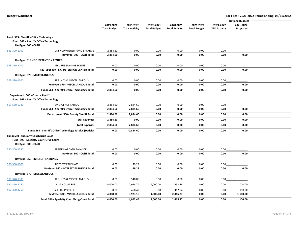|                                         |                                                            |                     |                       |                     |                       |                     |                     | <b>Defined Budgets</b> |  |
|-----------------------------------------|------------------------------------------------------------|---------------------|-----------------------|---------------------|-----------------------|---------------------|---------------------|------------------------|--|
|                                         |                                                            | 2019-2020           | 2019-2020             | 2020-2021           | 2020-2021             | 2021-2022           | 2021-2022           | 2021-2022              |  |
|                                         |                                                            | <b>Total Budget</b> | <b>Total Activity</b> | <b>Total Budget</b> | <b>Total Activity</b> | <b>Total Budget</b> | <b>YTD Activity</b> | Proposed               |  |
|                                         |                                                            |                     |                       |                     |                       |                     |                     |                        |  |
| Fund: 563 - Sheriff's Office Technology | Fund: 563 - Sheriff's Office Technology                    |                     |                       |                     |                       |                     |                     |                        |  |
| RevType: 300 - CASH                     |                                                            |                     |                       |                     |                       |                     |                     |                        |  |
|                                         |                                                            |                     |                       |                     |                       |                     |                     |                        |  |
| 563-300-1100                            | UNENCUMBERED FUND BALANCE                                  | 2,884.60            | 0.00                  | 0.00                | 0.00                  | 0.00                | 0.00                |                        |  |
|                                         | RevType: 300 - CASH Total:                                 | 2,884.60            | 0.00                  | 0.00                | 0.00                  | 0.00                | 0.00                | 0.00                   |  |
|                                         | RevType: 319 - F.C. DETENTION CENTER                       |                     |                       |                     |                       |                     |                     |                        |  |
| 563-319-4200                            | SECURUS SIGNING BONUS                                      | 0.00                | 0.00                  | 0.00                | 0.00                  | 0.00                | 0.00                |                        |  |
|                                         | RevType: 319 - F.C. DETENTION CENTER Total:                | 0.00                | 0.00                  | 0.00                | 0.00                  | 0.00                | 0.00                | 0.00                   |  |
|                                         | RevType: 370 - MISCELLANEOUS                               |                     |                       |                     |                       |                     |                     |                        |  |
| 563-370-1300                            | REFUNDS & MISCELLANEOUS                                    | 0.00                | 0.00                  | 0.00                | 0.00                  | 0.00                | 0.00                |                        |  |
|                                         | RevType: 370 - MISCELLANEOUS Total:                        | 0.00                | 0.00                  | 0.00                | 0.00                  | 0.00                | 0.00                | 0.00                   |  |
|                                         | Fund: 563 - Sheriff's Office Technology Total:             | 2,884.60            | 0.00                  | 0.00                | 0.00                  | 0.00                | 0.00                | 0.00                   |  |
| Department: 560 - County Sheriff        |                                                            |                     |                       |                     |                       |                     |                     |                        |  |
|                                         | Fund: 563 - Sheriff's Office Technology                    |                     |                       |                     |                       |                     |                     |                        |  |
| 563-560-5730                            | <b>EMERGENCY RADIOS</b>                                    | 2,884.60            | 2,884.60              | 0.00                | 0.00                  | 0.00                | 0.00                |                        |  |
|                                         | Fund: 563 - Sheriff's Office Technology Total:             | 2,884.60            | 2,884.60              | 0.00                | 0.00                  | 0.00                | 0.00                | 0.00                   |  |
|                                         | Department: 560 - County Sheriff Total:                    | 2,884.60            | 2,884.60              | 0.00                | 0.00                  | 0.00                | 0.00                | 0.00                   |  |
|                                         | <b>Total Revenues</b>                                      | 2,884.60            | 0.00                  | 0.00                | 0.00                  | 0.00                | 0.00                | 0.00                   |  |
|                                         | <b>Total Expenses</b>                                      | 2,884.60            | 2,884.60              | 0.00                | 0.00                  | 0.00                | 0.00                | 0.00                   |  |
|                                         | Fund: 563 - Sheriff's Office Technology Surplus (Deficit): | 0.00                | $-2,884.60$           | 0.00                | 0.00                  | 0.00                | 0.00                | 0.00                   |  |
|                                         |                                                            |                     |                       |                     |                       |                     |                     |                        |  |
| Fund: 590 - Specialty Court/Drug Court  | Fund: 590 - Specialty Court/Drug Court                     |                     |                       |                     |                       |                     |                     |                        |  |
| RevType: 300 - CASH                     |                                                            |                     |                       |                     |                       |                     |                     |                        |  |
| 590-300-1590                            | BEGINNING CASH BALANCE                                     | 0.00                | 0.00                  | 0.00                | 0.00                  | 0.00                | 0.00                |                        |  |
|                                         | RevType: 300 - CASH Total:                                 | 0.00                | 0.00                  | 0.00                | 0.00                  | 0.00                | 0.00                | 0.00                   |  |
|                                         | RevType: 360 - INTEREST EARNINGS                           |                     |                       |                     |                       |                     |                     |                        |  |
|                                         |                                                            |                     |                       |                     |                       |                     |                     |                        |  |
| 590-360-1000                            | <b>INTEREST EARNINGS</b>                                   | 0.00                | 49.29                 | 0.00<br>0.00        | 0.00<br>0.00          | 0.00<br>0.00        | 0.00<br>0.00        | 0.00                   |  |
|                                         | RevType: 360 - INTEREST EARNINGS Total:                    | 0.00                | 49.29                 |                     |                       |                     |                     |                        |  |
|                                         | RevType: 370 - MISCELLANEOUS                               |                     |                       |                     |                       |                     |                     |                        |  |
| 590-370-1300                            | REFUNDS & MISCELLANEOUS                                    | 0.00                | 540.00                | 0.00                | 0.00                  | 0.00                | 0.00                |                        |  |
| 590-370-4250                            | DRUG COURT FEE                                             | 4,000.00            | 2,974.74              | 4,000.00            | 1,953.73              | 0.00                | 0.00                | 1,000.00               |  |
| 590-370-4260                            | <b>SPECIALTY COURT</b>                                     | 0.00                | 458.42                | 0.00                | 462.04                | 0.00                | 0.00                | 100.00                 |  |
|                                         | RevType: 370 - MISCELLANEOUS Total:                        | 4,000.00            | 3,973.16              | 4,000.00            | 2,415.77              | 0.00                | 0.00                | 1,100.00               |  |
|                                         | Fund: 590 - Specialty Court/Drug Court Total:              | 4,000.00            | 4,022.45              | 4,000.00            | 2,415.77              | 0.00                | 0.00                | 1,100.00               |  |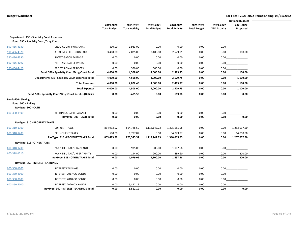|                     |                                                           |                     |                       |                     |                       |                     | <b>Defined Budgets</b> |              |  |  |
|---------------------|-----------------------------------------------------------|---------------------|-----------------------|---------------------|-----------------------|---------------------|------------------------|--------------|--|--|
|                     |                                                           | 2019-2020           | 2019-2020             | 2020-2021           | 2020-2021             | 2021-2022           | 2021-2022              | 2021-2022    |  |  |
|                     |                                                           | <b>Total Budget</b> | <b>Total Activity</b> | <b>Total Budget</b> | <b>Total Activity</b> | <b>Total Budget</b> | <b>YTD Activity</b>    | Proposed     |  |  |
|                     | <b>Department: 436 - Specialty Court Expenses</b>         |                     |                       |                     |                       |                     |                        |              |  |  |
|                     | Fund: 590 - Specialty Court/Drug Court                    |                     |                       |                     |                       |                     |                        |              |  |  |
| 590-436-4330        | DRUG COURT PROGRAMS                                       | 600.00              | 1,933.00              | 0.00                | 0.00                  | 0.00                | 0.00                   |              |  |  |
| 590-436-4370        | ATTORNEY FEES DRUG COURT                                  | 3,400.00            | 2,025.00              | 3,400.00            | 2,579.75              | 0.00                | 0.00                   | 1,100.00     |  |  |
| 590-436-4390        | <b>INVESTIGATOR EXPENSE</b>                               | 0.00                | 0.00                  | 0.00                | 0.00                  | 0.00                | 0.00                   |              |  |  |
| 590-436-4391        | PROFESSIONAL SERVICES                                     | 0.00                | 0.00                  | 0.00                | 0.00                  | 0.00                | 0.00                   |              |  |  |
| 590-436-4420        | PROFESSIONAL SERVICES                                     | 0.00                | 550.00                | 600.00              | 0.00                  | 0.00                | 0.00                   |              |  |  |
|                     | Fund: 590 - Specialty Court/Drug Court Total:             | 4,000.00            | 4,508.00              | 4,000.00            | 2,579.75              | 0.00                | 0.00                   | 1,100.00     |  |  |
|                     | Department: 436 - Specialty Court Expenses Total:         | 4,000.00            | 4,508.00              | 4,000.00            | 2,579.75              | 0.00                | 0.00                   | 1,100.00     |  |  |
|                     | <b>Total Revenues</b>                                     | 4,000.00            | 4,022.45              | 4,000.00            | 2,415.77              | 0.00                | 0.00                   | 1,100.00     |  |  |
|                     | <b>Total Expenses</b>                                     | 4,000.00            | 4,508.00              | 4,000.00            | 2,579.75              | 0.00                | 0.00                   | 1,100.00     |  |  |
|                     | Fund: 590 - Specialty Court/Drug Court Surplus (Deficit): | 0.00                | $-485.55$             | 0.00                | $-163.98$             | 0.00                | 0.00                   | 0.00         |  |  |
| Fund: 600 - Sinking |                                                           |                     |                       |                     |                       |                     |                        |              |  |  |
| Fund: 600 - Sinking |                                                           |                     |                       |                     |                       |                     |                        |              |  |  |
| RevType: 300 - CASH |                                                           |                     |                       |                     |                       |                     |                        |              |  |  |
| 600-300-1100        | BEGINNING CASH BALANCE                                    | 0.00                | 0.00                  | 0.00                | 0.00                  | 0.00                | 0.00                   |              |  |  |
|                     | RevType: 300 - CASH Total:                                | 0.00                | 0.00                  | 0.00                | 0.00                  | 0.00                | 0.00                   | 0.00         |  |  |
|                     | RevType: 310 - PROPERTY TAXES                             |                     |                       |                     |                       |                     |                        |              |  |  |
| 600-310-1100        | <b>CURRENT TAXES</b>                                      | 854,993.92          | 864,748.50            | 1,118,142.73        | 1,305,985.98          | 0.00                | 0.00                   | 1,253,037.50 |  |  |
| 600-310-1200        | <b>DELINQUENT TAXES</b>                                   | 500.00              | 8,797.02              | 0.00                | 34,079.97             | 0.00                | 0.00                   | 14,000.00    |  |  |
|                     | RevType: 310 - PROPERTY TAXES Total:                      | 855,493.92          | 873,545.52            | 1,118,142.73        | 1,340,065.95          | 0.00                | 0.00                   | 1,267,037.50 |  |  |
|                     | <b>RevType: 318 - OTHER TAXES</b>                         |                     |                       |                     |                       |                     |                        |              |  |  |
| 600-318-1200        | PAY N LIEU TAX/GRASSLAND                                  | 0.00                | 935.06                | 900.00              | 1,007.68              | 0.00                | 0.00                   |              |  |  |
| 600-318-1210        | PAY N LIEU TAX/UPPER TRINITY                              | 0.00                | 144.00                | 200.00              | 489.60                | 0.00                | 0.00                   | 200.00       |  |  |
|                     | RevType: 318 - OTHER TAXES Total:                         | 0.00                | 1,079.06              | 1,100.00            | 1,497.28              | 0.00                | 0.00                   | 200.00       |  |  |
|                     | RevType: 360 - INTEREST EARNINGS                          |                     |                       |                     |                       |                     |                        |              |  |  |
| 600-360-1000        | <b>INTEREST EARNINGS</b>                                  | 0.00                | 0.00                  | 0.00                | 0.00                  | 0.00                |                        | 0.00         |  |  |
| 600-360-2000        | INTEREST, 2017 GO BONDS                                   | 0.00                | 0.00                  | 0.00                | 0.00                  | 0.00                |                        | 0.00         |  |  |
| 600-360-3000        | INTEREST, 2018 GO BONDS                                   | 0.00                | 0.00                  | 0.00                | 0.00                  | 0.00                | 0.00                   |              |  |  |
| 600-360-4000        | INTEREST, 2020 CO BONDS                                   | 0.00                | 5,812.19              | 0.00                | 0.00                  | 0.00                | 0.00                   |              |  |  |
|                     | RevType: 360 - INTEREST EARNINGS Total:                   | 0.00                | 5,812.19              | 0.00                | 0.00                  | 0.00                | 0.00                   | 0.00         |  |  |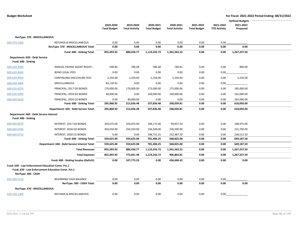|                                |                                                                                                          |                     |                       |                     |                       |                     |                     | <b>Defined Budgets</b> |  |
|--------------------------------|----------------------------------------------------------------------------------------------------------|---------------------|-----------------------|---------------------|-----------------------|---------------------|---------------------|------------------------|--|
|                                |                                                                                                          | 2019-2020           | 2019-2020             | 2020-2021           | 2020-2021             | 2021-2022           | 2021-2022           | 2021-2022              |  |
|                                |                                                                                                          | <b>Total Budget</b> | <b>Total Activity</b> | <b>Total Budget</b> | <b>Total Activity</b> | <b>Total Budget</b> | <b>YTD Activity</b> | Proposed               |  |
|                                | RevType: 370 - MISCELLANEOUS                                                                             |                     |                       |                     |                       |                     |                     |                        |  |
| 600-370-1300                   | <b>REFUNDS &amp; MISCELLANEOUS</b>                                                                       | 0.00                | 0.00                  | 0.00                | 0.00                  | 0.00                | 0.00                |                        |  |
|                                | RevType: 370 - MISCELLANEOUS Total:                                                                      | 0.00                | 0.00                  | 0.00                | 0.00                  | 0.00                | 0.00                | 0.00                   |  |
|                                | Fund: 600 - Sinking Total:                                                                               | 855,493.92          | 880,436.77            | 1,119,242.73        | 1,341,563.23          | 0.00                | 0.00                | 1,267,237.50           |  |
| Department: 620 - Debt Service |                                                                                                          |                     |                       |                     |                       |                     |                     |                        |  |
| Fund: 600 - Sinking            |                                                                                                          |                     |                       |                     |                       |                     |                     |                        |  |
| 600-620-3090                   | ANNUAL PAYING AGENT REGIST                                                                               | 500.00              | 786.48                | 586.48              | 789.81                | 0.00                | 0.00                | 800.00                 |  |
| 600-620-4000                   | <b>BOND LEGAL FEES</b>                                                                                   | 0.00                | 0.00                  | 0.00                | 0.00                  | 0.00                | 0.00                |                        |  |
| 600-620-4010                   | CONTINUING DISCLOSURE FEES                                                                               | 2,250.00            | 2,250.00              | 2,250.00            | 2,250.00              | 0.00                | 0.00                | 2,250.00               |  |
| 600-620-4900                   | <b>MISCELLANEOUS</b>                                                                                     | 83,118.92           | 0.00                  | 0.00                | 0.00                  | 0.00                | 0.00                |                        |  |
| 600-620-6270                   | PRINCIPAL, 2017 GO BONDS                                                                                 | 170,000.00          | 170,000.00            | 175,000.00          | 175,000.00            | 0.00                | 0.00                | 185,000.00             |  |
| 600-620-6300                   | PRINCIPAL, 2018 GO BONDS                                                                                 | 40,000.00           | 0.00                  | 160,000.00          | 160,000.00            | 0.00                | 0.00                | 165,000.00             |  |
| 600-620-6310                   | PRINCIPAL, 2020 CO BONDS                                                                                 | 0.00                | 40,000.00             | 0.00                | 0.00                  | 0.00                | 0.00                | 265,000.00             |  |
|                                | Fund: 600 - Sinking Total:                                                                               | 295,868.92          | 213,036.48            | 337,836.48          | 338,039.81            | 0.00                | 0.00                | 618,050.00             |  |
|                                | Department: 620 - Debt Service Total:                                                                    | 295,868.92          | 213,036.48            | 337,836.48          | 338,039.81            | 0.00                | 0.00                | 618,050.00             |  |
|                                | Department: 660 - Debt Service Interest                                                                  |                     |                       |                     |                       |                     |                     |                        |  |
| Fund: 600 - Sinking            |                                                                                                          |                     |                       |                     |                       |                     |                     |                        |  |
| 600-660-6670                   | INTEREST, 2017 GO BONDS                                                                                  | 203,075.00          | 203,075.00            | 196,175.00          | 99,837.50             | 0.00                | 0.00                | 188,975.00             |  |
| 600-660-6700                   | INTEREST, 2018 GO BONDS                                                                                  | 356,550.00          | 356,550.00            | 236,500.00          | 236,500.00            | 0.00                | 0.00                | 231,700.00             |  |
| 600-660-6710                   | INTEREST, 2020 CO BONDS                                                                                  | 0.00                | 0.00                  | 348,731.25          | 232,487.50            | 0.00                | 0.00                | 228,512.50             |  |
|                                | Fund: 600 - Sinking Total:                                                                               | 559,625.00          | 559,625.00            | 781,406.25          | 568,825.00            | 0.00                | 0.00                | 649,187.50             |  |
|                                | Department: 660 - Debt Service Interest Total:                                                           | 559,625.00          | 559,625.00            | 781,406.25          | 568,825.00            | 0.00                | 0.00                | 649,187.50             |  |
|                                | <b>Total Revenues</b>                                                                                    | 855,493.92          | 880,436.77            | 1,119,242.73        | 1,341,563.23          | 0.00                | 0.00                | 1,267,237.50           |  |
|                                | <b>Total Expenses</b>                                                                                    | 855,493.92          | 772,661.48            | 1,119,242.73        | 906,864.81            | 0.00                | 0.00                | 1,267,237.50           |  |
|                                | Fund: 600 - Sinking Surplus (Deficit):                                                                   | 0.00                | 107,775.29            | 0.00                | 434,698.42            | 0.00                | 0.00                | 0.00                   |  |
| RevType: 300 - CASH            | Fund: 630 - Law Enforcement Education Const. Pct.1<br>Fund: 630 - Law Enforcement Education Const. Pct.1 |                     |                       |                     |                       |                     |                     |                        |  |
| 630-300-1510                   | BEGINNING CASH BALANCE                                                                                   | 0.00                | 0.00                  | 0.00                | 0.00                  | 0.00                | 0.00                |                        |  |
|                                | RevType: 300 - CASH Total:                                                                               | 0.00                | 0.00                  | 0.00                | 0.00                  | 0.00                | 0.00                | 0.00                   |  |
|                                | RevType: 370 - MISCELLANEOUS                                                                             |                     |                       |                     |                       |                     |                     |                        |  |
| 630-370-1300                   | REFUNDS & MISCELLANEOUS                                                                                  | 0.00                | 0.00                  | 0.00                | 0.00                  | 0.00                | 0.00                |                        |  |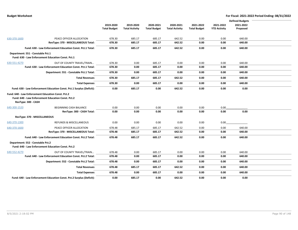|              |                                                                                                          | <b>Defined Budgets</b> |                       |                     |                       |                     |                     |           |  |
|--------------|----------------------------------------------------------------------------------------------------------|------------------------|-----------------------|---------------------|-----------------------|---------------------|---------------------|-----------|--|
|              |                                                                                                          | 2019-2020              | 2019-2020             | 2020-2021           | 2020-2021             | 2021-2022           | 2021-2022           | 2021-2022 |  |
|              |                                                                                                          | <b>Total Budget</b>    | <b>Total Activity</b> | <b>Total Budget</b> | <b>Total Activity</b> | <b>Total Budget</b> | <b>YTD Activity</b> | Proposed  |  |
|              |                                                                                                          |                        |                       |                     |                       |                     |                     |           |  |
| 630-370-1600 | PEACE OFFICER ALLOCATION                                                                                 | 678.30                 | 685.17                | 685.17              | 642.52                | 0.00                | 0.00                | 640.00    |  |
|              | RevType: 370 - MISCELLANEOUS Total:                                                                      | 678.30                 | 685.17                | 685.17              | 642.52                | 0.00                | 0.00                | 640.00    |  |
|              | Fund: 630 - Law Enforcement Education Const. Pct.1 Total:                                                | 678.30                 | 685.17                | 685.17              | 642.52                | 0.00                | 0.00                | 640.00    |  |
|              | Department: 551 - Constable Pct.1                                                                        |                        |                       |                     |                       |                     |                     |           |  |
|              | Fund: 630 - Law Enforcement Education Const. Pct.1                                                       |                        |                       |                     |                       |                     |                     |           |  |
| 630-551-4270 | OUT OF COUNTY TRAVEL/TRAIN                                                                               | 678.30                 | 0.00                  | 685.17              | 0.00                  | 0.00                | 0.00                | 640.00    |  |
|              | Fund: 630 - Law Enforcement Education Const. Pct.1 Total:                                                | 678.30                 | 0.00                  | 685.17              | 0.00                  | 0.00                | 0.00                | 640.00    |  |
|              | Department: 551 - Constable Pct.1 Total:                                                                 | 678.30                 | 0.00                  | 685.17              | 0.00                  | 0.00                | 0.00                | 640.00    |  |
|              | <b>Total Revenues</b>                                                                                    | 678.30                 | 685.17                | 685.17              | 642.52                | 0.00                | 0.00                | 640.00    |  |
|              | <b>Total Expenses</b>                                                                                    | 678.30                 | 0.00                  | 685.17              | 0.00                  | 0.00                | 0.00                | 640.00    |  |
|              | Fund: 630 - Law Enforcement Education Const. Pct.1 Surplus (Deficit):                                    | 0.00                   | 685.17                | 0.00                | 642.52                | 0.00                | 0.00                | 0.00      |  |
|              | Fund: 640 - Law Enforcement Education Const. Pct.2<br>Fund: 640 - Law Enforcement Education Const. Pct.2 |                        |                       |                     |                       |                     |                     |           |  |
|              | RevType: 300 - CASH                                                                                      |                        |                       |                     |                       |                     |                     |           |  |
| 640-300-1520 | <b>BEGINNING CASH BALANCE</b>                                                                            | 0.00                   | 0.00                  | 0.00                | 0.00                  | 0.00                | 0.00                |           |  |
|              | RevType: 300 - CASH Total:                                                                               | 0.00                   | 0.00                  | 0.00                | 0.00                  | 0.00                | 0.00                | 0.00      |  |
|              | RevType: 370 - MISCELLANEOUS                                                                             |                        |                       |                     |                       |                     |                     |           |  |
| 640-370-1300 | REFUNDS & MISCELLANEOUS                                                                                  | 0.00                   | 0.00                  | 0.00                | 0.00                  | 0.00                | 0.00                |           |  |
| 640-370-1600 | PEACE OFFICER ALLOCATION                                                                                 | 678.48                 | 685.17                | 685.17              | 642.52                | 0.00                | 0.00                | 640.00    |  |
|              | RevType: 370 - MISCELLANEOUS Total:                                                                      | 678.48                 | 685.17                | 685.17              | 642.52                | 0.00                | 0.00                | 640.00    |  |
|              | Fund: 640 - Law Enforcement Education Const. Pct.2 Total:                                                | 678.48                 | 685.17                | 685.17              | 642.52                | 0.00                | 0.00                | 640.00    |  |
|              | Department: 552 - Constable Pct.2                                                                        |                        |                       |                     |                       |                     |                     |           |  |
|              | Fund: 640 - Law Enforcement Education Const. Pct.2                                                       |                        |                       |                     |                       |                     |                     |           |  |
| 640-552-4270 | OUT OF COUNTY TRAVEL/TRAIN                                                                               | 678.48                 | 0.00                  | 685.17              | 0.00                  | 0.00                | 0.00                | 640.00    |  |
|              | Fund: 640 - Law Enforcement Education Const. Pct.2 Total:                                                | 678.48                 | 0.00                  | 685.17              | 0.00                  | 0.00                | 0.00                | 640.00    |  |
|              | Department: 552 - Constable Pct.2 Total:                                                                 | 678.48                 | 0.00                  | 685.17              | 0.00                  | 0.00                | 0.00                | 640.00    |  |
|              | <b>Total Revenues</b>                                                                                    | 678.48                 | 685.17                | 685.17              | 642.52                | 0.00                | 0.00                | 640.00    |  |
|              | <b>Total Expenses</b>                                                                                    | 678.48                 | 0.00                  | 685.17              | 0.00                  | 0.00                | 0.00                | 640.00    |  |
|              | Fund: 640 - Law Enforcement Education Const. Pct.2 Surplus (Deficit):                                    | 0.00                   | 685.17                | 0.00                | 642.52                | 0.00                | 0.00                | 0.00      |  |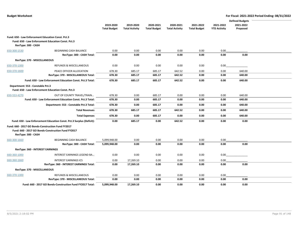|                     |                                                                       |                     |                       |                     |                       |                     |                     | <b>Defined Budgets</b> |  |
|---------------------|-----------------------------------------------------------------------|---------------------|-----------------------|---------------------|-----------------------|---------------------|---------------------|------------------------|--|
|                     |                                                                       | 2019-2020           | 2019-2020             | 2020-2021           | 2020-2021             | 2021-2022           | 2021-2022           | 2021-2022              |  |
|                     |                                                                       | <b>Total Budget</b> | <b>Total Activity</b> | <b>Total Budget</b> | <b>Total Activity</b> | <b>Total Budget</b> | <b>YTD Activity</b> | Proposed               |  |
|                     |                                                                       |                     |                       |                     |                       |                     |                     |                        |  |
|                     | Fund: 650 - Law Enforcement Education Const. Pct.3                    |                     |                       |                     |                       |                     |                     |                        |  |
|                     | Fund: 650 - Law Enforcement Education Const. Pct.3                    |                     |                       |                     |                       |                     |                     |                        |  |
| RevType: 300 - CASH |                                                                       |                     |                       |                     |                       |                     |                     |                        |  |
| 650-300-1530        | <b>BEGINNING CASH BALANCE</b>                                         | 0.00                | 0.00                  | 0.00                | 0.00                  | 0.00                | 0.00                |                        |  |
|                     | RevType: 300 - CASH Total:                                            | 0.00                | 0.00                  | 0.00                | 0.00                  | 0.00                | 0.00                | 0.00                   |  |
|                     |                                                                       |                     |                       |                     |                       |                     |                     |                        |  |
|                     | RevType: 370 - MISCELLANEOUS                                          |                     |                       |                     |                       |                     |                     |                        |  |
| 650-370-1300        | <b>REFUNDS &amp; MISCELLANEOUS</b>                                    | 0.00                | 0.00                  | 0.00                | 0.00                  | 0.00                | 0.00                |                        |  |
| 650-370-1600        | PEACE OFFICER ALLOCATION                                              | 678.30              | 685.17                | 685.17              | 642.52                | 0.00                | 0.00                | 640.00                 |  |
|                     | RevType: 370 - MISCELLANEOUS Total:                                   | 678.30              | 685.17                | 685.17              | 642.52                | 0.00                | 0.00                | 640.00                 |  |
|                     | Fund: 650 - Law Enforcement Education Const. Pct.3 Total:             | 678.30              | 685.17                | 685.17              | 642.52                | 0.00                | 0.00                | 640.00                 |  |
|                     | Department: 553 - Constable Pct.3                                     |                     |                       |                     |                       |                     |                     |                        |  |
|                     | Fund: 650 - Law Enforcement Education Const. Pct.3                    |                     |                       |                     |                       |                     |                     |                        |  |
| 650-553-4270        | OUT OF COUNTY TRAVEL/TRAIN                                            | 678.30              | 0.00                  | 685.17              | 0.00                  | 0.00                | 0.00                | 640.00                 |  |
|                     | Fund: 650 - Law Enforcement Education Const. Pct.3 Total:             | 678.30              | 0.00                  | 685.17              | 0.00                  | 0.00                | 0.00                | 640.00                 |  |
|                     | Department: 553 - Constable Pct.3 Total:                              | 678.30              | 0.00                  | 685.17              | 0.00                  | 0.00                | 0.00                | 640.00                 |  |
|                     | <b>Total Revenues</b>                                                 | 678.30              | 685.17                | 685.17              | 642.52                | 0.00                | 0.00                | 640.00                 |  |
|                     | <b>Total Expenses</b>                                                 | 678.30              | 0.00                  | 685.17              | 0.00                  | 0.00                | 0.00                | 640.00                 |  |
|                     | Fund: 650 - Law Enforcement Education Const. Pct.3 Surplus (Deficit): | 0.00                | 685.17                | 0.00                | 642.52                | 0.00                | 0.00                | 0.00                   |  |
|                     | Fund: 660 - 2017 GO Bonds-Construction Fund FY2017                    |                     |                       |                     |                       |                     |                     |                        |  |
|                     | Fund: 660 - 2017 GO Bonds-Construction Fund FY2017                    |                     |                       |                     |                       |                     |                     |                        |  |
| RevType: 300 - CASH |                                                                       |                     |                       |                     |                       |                     |                     |                        |  |
|                     |                                                                       |                     |                       |                     |                       |                     |                     |                        |  |
| 660-300-1660        | BEGINNING CASH BALANCE                                                | 5,099,948.00        | 0.00                  | 0.00                | 0.00                  | 0.00                | 0.00                |                        |  |
|                     | RevType: 300 - CASH Total:                                            | 5,099,948.00        | 0.00                  | 0.00                | 0.00                  | 0.00                | 0.00                | 0.00                   |  |
|                     | RevType: 360 - INTEREST EARNINGS                                      |                     |                       |                     |                       |                     |                     |                        |  |
| 660-360-1000        | INTEREST EARNINGS LEGEND BA                                           | 0.00                | 0.00                  | 0.00                | 0.00                  | 0.00                | 0.00                |                        |  |
| 660-360-1660        | <b>INTEREST EARNINGS ICS</b>                                          | 0.00                | 17,269.10             | 0.00                | 0.00                  | 0.00                | 0.00                |                        |  |
|                     | RevType: 360 - INTEREST EARNINGS Total:                               | 0.00                | 17,269.10             | 0.00                | 0.00                  | 0.00                | 0.00                | 0.00                   |  |
|                     | RevType: 370 - MISCELLANEOUS                                          |                     |                       |                     |                       |                     |                     |                        |  |
| 660-370-1300        | REFUNDS & MISCELLANEOUS                                               | 0.00                | 0.00                  | 0.00                | 0.00                  | 0.00                | 0.00                |                        |  |
|                     | RevType: 370 - MISCELLANEOUS Total:                                   | 0.00                | 0.00                  | 0.00                | 0.00                  | 0.00                | 0.00                | 0.00                   |  |
|                     | Fund: 660 - 2017 GO Bonds-Construction Fund FY2017 Total:             | 5,099,948.00        | 17,269.10             | 0.00                | 0.00                  | 0.00                | 0.00                | 0.00                   |  |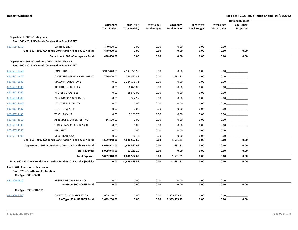|              |                                                                                                        |                     |                       |                     |                       |                     |                     | <b>Defined Budgets</b> |  |
|--------------|--------------------------------------------------------------------------------------------------------|---------------------|-----------------------|---------------------|-----------------------|---------------------|---------------------|------------------------|--|
|              |                                                                                                        | 2019-2020           | 2019-2020             | 2020-2021           | 2020-2021             | 2021-2022           | 2021-2022           | 2021-2022              |  |
|              |                                                                                                        | <b>Total Budget</b> | <b>Total Activity</b> | <b>Total Budget</b> | <b>Total Activity</b> | <b>Total Budget</b> | <b>YTD Activity</b> | Proposed               |  |
|              | Department: 509 - Contingency                                                                          |                     |                       |                     |                       |                     |                     |                        |  |
|              | Fund: 660 - 2017 GO Bonds-Construction Fund FY2017                                                     |                     |                       |                     |                       |                     |                     |                        |  |
| 660-509-4750 | CONTINGENCY                                                                                            | 440,000.00          | 0.00                  | 0.00                | 0.00                  | 0.00                | 0.00                |                        |  |
|              | Fund: 660 - 2017 GO Bonds-Construction Fund FY2017 Total:                                              | 440,000.00          | 0.00                  | 0.00                | 0.00                  | 0.00                | 0.00                | 0.00                   |  |
|              | Department: 509 - Contingency Total:                                                                   | 440,000.00          | 0.00                  | 0.00                | 0.00                  | 0.00                | 0.00                | 0.00                   |  |
|              | Department: 667 - Courthouse Construction Phase 2                                                      |                     |                       |                     |                       |                     |                     |                        |  |
|              | Fund: 660 - 2017 GO Bonds-Construction Fund FY2017                                                     |                     |                       |                     |                       |                     |                     |                        |  |
| 660-667-1650 | CONSTRUCTION                                                                                           | 3,917,448.00        | 2,547,775.50          | 0.00                | 0.00                  | 0.00                |                     | 0.00                   |  |
| 660-667-1670 | <b>CONSTRUTION MANAGER AGENT</b>                                                                       | 726,000.00          | 738,520.31            | 0.00                | 1,681.81              | 0.00                |                     | 0.00                   |  |
| 660-667-1680 | <b>MASONRY AND STONE</b>                                                                               | 0.00                | 1,264,143.73          | 0.00                | 0.00                  | 0.00                | 0.00                |                        |  |
| 660-667-4030 | <b>ARCHITECTURAL FEES</b>                                                                              | 0.00                | 56,875.00             | 0.00                | 0.00                  | 0.00                |                     |                        |  |
| 660-667-4260 | PROFESSIONAL FEES                                                                                      | 0.00                | 28,570.00             | 0.00                | 0.00                  | 0.00                |                     | 0.00                   |  |
| 660-667-4300 | <b>BIDS, NOTICES &amp; PERMITS</b>                                                                     | 0.00                | 7,394.97              | 0.00                | 0.00                  | 0.00                |                     | 0.00                   |  |
| 660-667-4400 | UTILITIES ELECTRICITY                                                                                  | 0.00                | 0.00                  | 0.00                | 0.00                  | 0.00                |                     | 0.00                   |  |
| 660-667-4420 | UTILITIES WATER                                                                                        | 0.00                | 0.00                  | 0.00                | 0.00                  | 0.00                |                     | 0.00                   |  |
| 660-667-4430 | TRASH PICK UP                                                                                          | 0.00                | 3,266.75              | 0.00                | 0.00                  | 0.00                |                     | 0.00                   |  |
| 660-667-4510 | <b>ASBESTOS &amp; OTHER TESTING</b>                                                                    | 16,500.00           | 0.00                  | 0.00                | 0.00                  | 0.00                |                     | 0.00                   |  |
| 660-667-4530 | IT DESIGN/SECURITY DESIGN                                                                              | 0.00                | 0.00                  | 0.00                | 0.00                  | 0.00                |                     | 0.00                   |  |
| 660-667-4550 | <b>SECURITY</b>                                                                                        | 0.00                | 0.00                  | 0.00                | 0.00                  | 0.00                | 0.00                |                        |  |
| 660-667-4900 | MISCELLANEOUS                                                                                          | 0.00                | 46.43                 | 0.00                | 0.00                  | 0.00                | 0.00                |                        |  |
|              | Fund: 660 - 2017 GO Bonds-Construction Fund FY2017 Total:                                              | 4,659,948.00        | 4,646,592.69          | 0.00                | 1,681.81              | 0.00                | 0.00                | 0.00                   |  |
|              | Department: 667 - Courthouse Construction Phase 2 Total:                                               | 4,659,948.00        | 4,646,592.69          | 0.00                | 1,681.81              | 0.00                | 0.00                | 0.00                   |  |
|              | <b>Total Revenues</b>                                                                                  | 5,099,948.00        | 17,269.10             | 0.00                | 0.00                  | 0.00                | 0.00                | 0.00                   |  |
|              | <b>Total Expenses</b>                                                                                  | 5,099,948.00        | 4,646,592.69          | 0.00                | 1,681.81              | 0.00                | 0.00                | 0.00                   |  |
|              | Fund: 660 - 2017 GO Bonds-Construction Fund FY2017 Surplus (Deficit):                                  | 0.00                | -4,629,323.59         | 0.00                | $-1,681.81$           | 0.00                | 0.00                | 0.00                   |  |
|              | <b>Fund: 670 - Courthouse Restoration</b><br>Fund: 670 - Courthouse Restoration<br>RevType: 300 - CASH |                     |                       |                     |                       |                     |                     |                        |  |
| 670-300-1310 | <b>BEGINNING CASH BALANCE</b>                                                                          | 0.00                | 0.00                  | 0.00                | 0.00                  | 0.00                | 0.00                |                        |  |
|              | RevType: 300 - CASH Total:                                                                             | 0.00                | 0.00                  | 0.00                | 0.00                  | 0.00                | 0.00                | 0.00                   |  |
|              | RevType: 330 - GRANTS                                                                                  |                     |                       |                     |                       |                     |                     |                        |  |
| 670-330-5100 | <b>COURTHOUSE RESTORATION</b>                                                                          | 2,639,260.00        | 0.00                  | 0.00                | 2,935,533.72          | 0.00                | 0.00                |                        |  |
|              | RevType: 330 - GRANTS Total:                                                                           | 2,639,260.00        | 0.00                  | 0.00                | 2,935,533.72          | 0.00                | 0.00                | 0.00                   |  |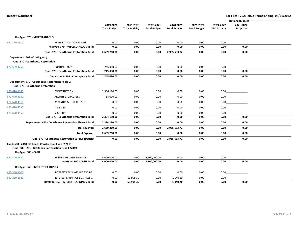|              |                                                         |                     |                       |                     |                       |                     |                     | <b>Defined Budgets</b> |  |
|--------------|---------------------------------------------------------|---------------------|-----------------------|---------------------|-----------------------|---------------------|---------------------|------------------------|--|
|              |                                                         | 2019-2020           | 2019-2020             | 2020-2021           | 2020-2021             | 2021-2022           | 2021-2022           | 2021-2022              |  |
|              |                                                         | <b>Total Budget</b> | <b>Total Activity</b> | <b>Total Budget</b> | <b>Total Activity</b> | <b>Total Budget</b> | <b>YTD Activity</b> | Proposed               |  |
|              |                                                         |                     |                       |                     |                       |                     |                     |                        |  |
|              | RevType: 370 - MISCELLANEOUS                            |                     |                       |                     |                       |                     |                     |                        |  |
| 670-370-1310 | <b>RESTORATION DONATIONS</b>                            | 0.00                | 0.00                  | 0.00                | 0.00                  | 0.00                | 0.00                |                        |  |
|              | RevType: 370 - MISCELLANEOUS Total:                     | 0.00                | 0.00                  | 0.00                | 0.00                  | 0.00                | 0.00                | 0.00                   |  |
|              | Fund: 670 - Courthouse Restoration Total:               | 2,639,260.00        | 0.00                  | 0.00                | 2,935,533.72          | 0.00                | 0.00                | 0.00                   |  |
|              | Department: 509 - Contingency                           |                     |                       |                     |                       |                     |                     |                        |  |
|              | Fund: 670 - Courthouse Restoration                      |                     |                       |                     |                       |                     |                     |                        |  |
| 670-509-4750 | CONTINGENCY                                             | 245,080.00          | 0.00                  | 0.00                | 0.00                  | 0.00                | 0.00                |                        |  |
|              | Fund: 670 - Courthouse Restoration Total:               | 245,080.00          | 0.00                  | 0.00                | 0.00                  | 0.00                | 0.00                | 0.00                   |  |
|              | Department: 509 - Contingency Total:                    | 245,080.00          | 0.00                  | 0.00                | 0.00                  | 0.00                | 0.00                | 0.00                   |  |
|              | Department: 670 - Courthouse Restoration Phase 2        |                     |                       |                     |                       |                     |                     |                        |  |
|              | <b>Fund: 670 - Courthouse Restoration</b>               |                     |                       |                     |                       |                     |                     |                        |  |
| 670-670-1650 | <b>CONSTRUCTION</b>                                     | 2,336,180.00        | 0.00                  | 0.00                | 0.00                  | 0.00                |                     | $0.00$                 |  |
| 670-670-4030 | <b>ARCHITECTURAL FEES</b>                               | 58,000.00           | 0.00                  | 0.00                | 0.00                  | 0.00                |                     | $0.00$                 |  |
| 670-670-4510 | <b>ASBESTOS &amp; OTHER TESTING</b>                     | 0.00                | 0.00                  | 0.00                | 0.00                  | 0.00                |                     | 0.00                   |  |
| 670-670-4530 | IT DESIGN                                               | 0.00                | 0.00                  | 0.00                | 0.00                  | 0.00                | 0.00                |                        |  |
| 670-670-4550 | <b>SECURITY</b>                                         | 0.00                | 0.00                  | 0.00                | 0.00                  | 0.00                | 0.00                |                        |  |
|              | Fund: 670 - Courthouse Restoration Total:               | 2,394,180.00        | 0.00                  | 0.00                | 0.00                  | 0.00                | 0.00                | 0.00                   |  |
|              | Department: 670 - Courthouse Restoration Phase 2 Total: | 2,394,180.00        | 0.00                  | 0.00                | 0.00                  | 0.00                | 0.00                | 0.00                   |  |
|              | <b>Total Revenues</b>                                   | 2,639,260.00        | 0.00                  | 0.00                | 2,935,533.72          | 0.00                | 0.00                | 0.00                   |  |
|              | <b>Total Expenses</b>                                   | 2,639,260.00        | 0.00                  | 0.00                | 0.00                  | 0.00                | 0.00                | 0.00                   |  |
|              | Fund: 670 - Courthouse Restoration Surplus (Deficit):   | 0.00                | 0.00                  | 0.00                | 2,935,533.72          | 0.00                | 0.00                | 0.00                   |  |
|              | Fund: 680 - 2018 GO Bonds-Construction Fund FY2019      |                     |                       |                     |                       |                     |                     |                        |  |
|              | Fund: 680 - 2018 GO Bonds-Construction Fund FY2019      |                     |                       |                     |                       |                     |                     |                        |  |
|              | RevType: 300 - CASH                                     |                     |                       |                     |                       |                     |                     |                        |  |
| 680-300-1680 | BEGINNING CASH BALANCE                                  | 4,000,000.00        | 0.00                  | 2,500,000.00        | 0.00                  | 0.00                | 0.00                |                        |  |
|              | RevType: 300 - CASH Total:                              | 4,000,000.00        | 0.00                  | 2,500,000.00        | 0.00                  | 0.00                | 0.00                | 0.00                   |  |
|              | RevType: 360 - INTEREST EARNINGS                        |                     |                       |                     |                       |                     |                     |                        |  |
| 680-360-1000 | INTEREST EARNINGS LEGEND BA                             | 0.00                | 0.00                  | 0.00                | 0.00                  | 0.00                | 0.00                |                        |  |
| 680-360-1680 | INTEREST EARNINGS BUSINESS                              | 0.00                | 59,995.39             | 0.00                | 1,040.20              | 0.00                | 0.00                |                        |  |
|              | RevType: 360 - INTEREST EARNINGS Total:                 | 0.00                | 59,995.39             | 0.00                | 1,040.20              | 0.00                | 0.00                | 0.00                   |  |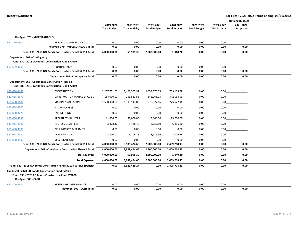|              |                                                                                     |                     |                       |                     |                       |                     |                     | <b>Defined Budgets</b> |  |
|--------------|-------------------------------------------------------------------------------------|---------------------|-----------------------|---------------------|-----------------------|---------------------|---------------------|------------------------|--|
|              |                                                                                     | 2019-2020           | 2019-2020             | 2020-2021           | 2020-2021             | 2021-2022           | 2021-2022           | 2021-2022              |  |
|              |                                                                                     | <b>Total Budget</b> | <b>Total Activity</b> | <b>Total Budget</b> | <b>Total Activity</b> | <b>Total Budget</b> | <b>YTD Activity</b> | Proposed               |  |
|              | RevType: 370 - MISCELLANEOUS                                                        |                     |                       |                     |                       |                     |                     |                        |  |
| 680-370-1300 | <b>REFUNDS &amp; MISCELLANEOUS</b>                                                  | 0.00                | 0.00                  | 0.00                | 0.00                  | 0.00                | 0.00                |                        |  |
|              | RevType: 370 - MISCELLANEOUS Total:                                                 | 0.00                | 0.00                  | 0.00                | 0.00                  | 0.00                | 0.00                | 0.00                   |  |
|              | Fund: 680 - 2018 GO Bonds-Construction Fund FY2019 Total:                           | 4,000,000.00        | 59,995.39             | 2,500,000.00        | 1,040.20              | 0.00                | 0.00                | 0.00                   |  |
|              | Department: 509 - Contingency<br>Fund: 680 - 2018 GO Bonds-Construction Fund FY2019 |                     |                       |                     |                       |                     |                     |                        |  |
| 680-509-4750 | <b>CONTINGENCY</b>                                                                  | 0.00                | 0.00                  | 0.00                | 0.00                  | 0.00                | 0.00                |                        |  |
|              | Fund: 680 - 2018 GO Bonds-Construction Fund FY2019 Total:                           | 0.00                | 0.00                  | 0.00                | 0.00                  | 0.00                | 0.00                | 0.00                   |  |
|              | Department: 509 - Contingency Total:                                                | 0.00                | 0.00                  | 0.00                | 0.00                  | 0.00                | 0.00                | 0.00                   |  |
|              | Department: 668 - Courthouse Construction Phase 2                                   |                     |                       |                     |                       |                     |                     |                        |  |
|              | Fund: 680 - 2018 GO Bonds-Construction Fund FY2019                                  |                     |                       |                     |                       |                     |                     |                        |  |
| 680-668-1650 | <b>CONSTRUCTION</b>                                                                 | 2,267,771.60        | 2,467,563.92          | 1,859,370.55        | 1,769,138.98          | 0.00                |                     |                        |  |
| 680-668-1670 | <b>CONSTRUCTION MANAGER AGE</b>                                                     | 184,000.00          | 153,582.55            | 342,068.93          | 342,068.93            | 0.00                |                     | 0.00                   |  |
| 680-668-1680 | <b>MASONRY AND STONE</b>                                                            | 1,500,000.00        | 1,319,143.08          | 275,527.16          | 275,527.16            | 0.00                |                     | $0.00$                 |  |
| 680-668-4000 | <b>ATTORNEY FEES</b>                                                                | 0.00                | 0.00                  | 0.00                | 0.00                  | 0.00                |                     |                        |  |
| 680-668-4020 | ENGINEERING                                                                         | 0.00                | 0.00                  | 0.00                | 0.00                  | 0.00                |                     | 0.00                   |  |
| 680-668-4030 | <b>ARCHITECTURAL FEES</b>                                                           | 41,000.00           | 39,000.00             | 13,000.00           | 13,000.00             | 0.00                |                     | 0.00                   |  |
| 680-668-4260 | PROFESSIONAL FEES                                                                   | 3,428.40            | 3,428.40              | 6,856.80            | 6,856.80              | 0.00                |                     | 0.00                   |  |
| 680-668-4300 | <b>BIDS, NOTICES &amp; PERMITS</b>                                                  | 0.00                | 0.00                  | 0.00                | 0.00                  | 0.00                |                     | 0.00                   |  |
| 680-668-4430 | TRASH PICK UP                                                                       | 3,800.00            | 6,706.71              | 3,176.56            | 3,176.56              | 0.00                | 0.00                |                        |  |
| 680-668-4900 | <b>MISCELLANEOUS</b>                                                                | 0.00                | 0.00                  | 0.00                | 0.00                  | 0.00                | 0.00                |                        |  |
|              | Fund: 680 - 2018 GO Bonds-Construction Fund FY2019 Total:                           | 4,000,000.00        | 3,989,424.66          | 2,500,000.00        | 2,409,768.43          | 0.00                | 0.00                | 0.00                   |  |
|              | Department: 668 - Courthouse Construction Phase 2 Total:                            | 4,000,000.00        | 3,989,424.66          | 2,500,000.00        | 2,409,768.43          | 0.00                | 0.00                | 0.00                   |  |
|              | <b>Total Revenues</b>                                                               | 4,000,000.00        | 59,995.39             | 2,500,000.00        | 1,040.20              | 0.00                | 0.00                | 0.00                   |  |
|              | <b>Total Expenses</b>                                                               | 4,000,000.00        | 3,989,424.66          | 2,500,000.00        | 2,409,768.43          | 0.00                | 0.00                | 0.00                   |  |
|              | Fund: 680 - 2018 GO Bonds-Construction Fund FY2019 Surplus (Deficit):               | 0.00                | -3,929,429.27         | 0.00                | -2,408,728.23         | 0.00                | 0.00                | 0.00                   |  |
|              | Fund: 690 - 2020 CO Bonds-Construction Fund FY2020                                  |                     |                       |                     |                       |                     |                     |                        |  |
|              | Fund: 690 - 2020 CO Bonds-Construction Fund FY2020                                  |                     |                       |                     |                       |                     |                     |                        |  |
|              | RevType: 300 - CASH                                                                 |                     |                       |                     |                       |                     |                     |                        |  |
| 690-300-1680 | <b>BEGINNING CASH BALANCE</b><br>RevType: 300 - CASH Total:                         | 0.00<br>0.00        | 0.00<br>0.00          | 0.00<br>0.00        | 0.00<br>0.00          | 0.00<br>0.00        | 0.00<br>0.00        | 0.00                   |  |
|              |                                                                                     |                     |                       |                     |                       |                     |                     |                        |  |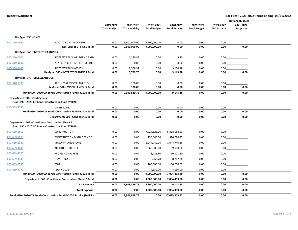|              |                                                                                     |                     |                       |                     |                       |                     |                     | <b>Defined Budgets</b> |  |
|--------------|-------------------------------------------------------------------------------------|---------------------|-----------------------|---------------------|-----------------------|---------------------|---------------------|------------------------|--|
|              |                                                                                     | 2019-2020           | 2019-2020             | 2020-2021           | 2020-2021             | 2021-2022           | 2021-2022           | 2021-2022              |  |
|              |                                                                                     | <b>Total Budget</b> | <b>Total Activity</b> | <b>Total Budget</b> | <b>Total Activity</b> | <b>Total Budget</b> | <b>YTD Activity</b> | Proposed               |  |
|              | RevType: 350 - FINES                                                                |                     |                       |                     |                       |                     |                     |                        |  |
| 690-350-1690 | 2020 CO BOND PROCEEDS                                                               | 0.00                | 9,900,000.00          | 9,900,000.00        | 0.00                  | 0.00                | 0.00                |                        |  |
|              | RevType: 350 - FINES Total:                                                         | 0.00                | 9,900,000.00          | 9,900,000.00        | 0.00                  | 0.00                | 0.00                | 0.00                   |  |
|              | RevType: 360 - INTEREST EARNINGS                                                    |                     |                       |                     |                       |                     |                     |                        |  |
| 690-360-1000 | INTEREST EARNING LEGEND BANK                                                        | 0.00                | 1,220.83              | 0.00                | 9.70                  | 0.00                | 0.00                |                        |  |
| 690-360-1600 | 2020 CO'S CERT.INTEREST & SINK                                                      | 0.00                | 0.00                  | 0.00                | 0.00                  | 0.00                | 0.00                |                        |  |
| 690-360-1690 | <b>INTEREST EARNINGS ICS</b>                                                        | 0.00                | 2,508.92              | 0.00                | 9,134.18              | 0.00                | 0.00                |                        |  |
|              | RevType: 360 - INTEREST EARNINGS Total:                                             | 0.00                | 3,729.75              | 0.00                | 9,143.88              | 0.00                | 0.00                | 0.00                   |  |
|              | RevType: 370 - MISCELLANEOUS                                                        |                     |                       |                     |                       |                     |                     |                        |  |
| 690-370-1300 | <b>REFUNDS &amp; MISCELLANEOUS</b>                                                  | 0.00                | 100.00                | 0.00                | 0.00                  | 0.00                | 0.00                |                        |  |
|              | RevType: 370 - MISCELLANEOUS Total:                                                 | 0.00                | 100.00                | 0.00                | 0.00                  | 0.00                | 0.00                | 0.00                   |  |
|              | Fund: 690 - 2020 CO Bonds-Construction Fund FY2020 Total:                           | 0.00                | 9,903,829.75          | 9,900,000.00        | 9,143.88              | 0.00                | 0.00                | 0.00                   |  |
|              | Department: 509 - Contingency<br>Fund: 690 - 2020 CO Bonds-Construction Fund FY2020 |                     |                       |                     |                       |                     |                     |                        |  |
| 690-509-4750 | CONTINGENCY                                                                         | 0.00                | 0.00                  | 0.00                | 0.00                  | 0.00                | 0.00                |                        |  |
|              | Fund: 690 - 2020 CO Bonds-Construction Fund FY2020 Total:                           | 0.00                | 0.00                  | 0.00                | 0.00                  | 0.00                | 0.00                | 0.00                   |  |
|              | Department: 509 - Contingency Total:                                                | 0.00                | 0.00                  | 0.00                | 0.00                  | 0.00                | 0.00                | 0.00                   |  |
|              | Department: 669 - Courthouse Construction Phase 2                                   |                     |                       |                     |                       |                     |                     |                        |  |
|              | Fund: 690 - 2020 CO Bonds-Construction Fund FY2020                                  |                     |                       |                     |                       |                     |                     |                        |  |
| 690-669-1650 | <b>CONSTRUCTION</b>                                                                 | 0.00                | 0.00                  | 7,924,125.16        | 5,318,084.61          | 0.00                |                     | $0.00$                 |  |
| 690-669-1670 | <b>CONSTRUCTION MANAGER AGE</b>                                                     | 0.00                | 0.00                  | 750,000.00          | 570,094.35            | 0.00                |                     | 0.00                   |  |
| 690-669-1680 | <b>MASONRY AND STONE</b>                                                            | 0.00                | 0.00                  | 1,044,740.26        | 1,044,740.26          | 0.00                |                     | 0.00                   |  |
| 690-669-4030 | ARCHITECTURAL FEE                                                                   | 0.00                | 0.00                  | 60,000.00           | 39,000.00             | 0.00                |                     | 0.00                   |  |
| 690-669-4260 | PROFESSIONAL FEES                                                                   | 0.00                | 0.00                  | 8,721.80            | 10,121.80             | 0.00                |                     |                        |  |
| 690-669-4430 | TRASH PICK UP                                                                       | 0.00                | 0.00                  | 8,262.78            | 8,262.78              | 0.00                |                     | 0.00                   |  |
| 690-669-5735 | FF&E                                                                                | 0.00                | 0.00                  | 100,000.00          | 100,000.00            | 0.00                |                     | 0.00                   |  |
| 690-669-5740 | <b>TECHNOLOGY</b>                                                                   | 0.00                | 0.00                  | 4,150.00            | 4,150.00              | 0.00                | 0.00                |                        |  |
|              | Fund: 690 - 2020 CO Bonds-Construction Fund FY2020 Total:                           | 0.00                | 0.00                  | 9,900,000.00        | 7,094,453.80          | 0.00                | 0.00                | 0.00                   |  |
|              | Department: 669 - Courthouse Construction Phase 2 Total:                            | 0.00                | 0.00                  | 9,900,000.00        | 7,094,453.80          | 0.00                | 0.00                | 0.00                   |  |
|              | <b>Total Revenues</b>                                                               | 0.00                | 9,903,829.75          | 9,900,000.00        | 9,143.88              | 0.00                | 0.00                | 0.00                   |  |
|              | <b>Total Expenses</b>                                                               | 0.00                | 0.00                  | 9,900,000.00        | 7,094,453.80          | 0.00                | 0.00                | 0.00                   |  |
|              | Fund: 690 - 2020 CO Bonds-Construction Fund FY2020 Surplus (Deficit):               | 0.00                | 9,903,829.75          | 0.00                | -7,085,309.92         | 0.00                | 0.00                | 0.00                   |  |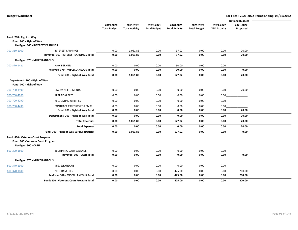|                                                            |                                             |                     |                       |                     |                       |                     |                     | <b>Defined Budgets</b> |  |
|------------------------------------------------------------|---------------------------------------------|---------------------|-----------------------|---------------------|-----------------------|---------------------|---------------------|------------------------|--|
|                                                            |                                             | 2019-2020           | 2019-2020             | 2020-2021           | 2020-2021             | 2021-2022           | 2021-2022           | 2021-2022              |  |
|                                                            |                                             | <b>Total Budget</b> | <b>Total Activity</b> | <b>Total Budget</b> | <b>Total Activity</b> | <b>Total Budget</b> | <b>YTD Activity</b> | Proposed               |  |
| Fund: 700 - Right of Way                                   |                                             |                     |                       |                     |                       |                     |                     |                        |  |
| Fund: 700 - Right of Way                                   |                                             |                     |                       |                     |                       |                     |                     |                        |  |
|                                                            | RevType: 360 - INTEREST EARNINGS            |                     |                       |                     |                       |                     |                     |                        |  |
| 700-360-1000                                               | <b>INTEREST EARNINGS</b>                    | 0.00                | 1,061.85              | 0.00                | 37.02                 | 0.00                | 0.00                | 20.00                  |  |
|                                                            | RevType: 360 - INTEREST EARNINGS Total:     | 0.00                | 1,061.85              | 0.00                | 37.02                 | 0.00                | 0.00                | 20.00                  |  |
|                                                            | RevType: 370 - MISCELLANEOUS                |                     |                       |                     |                       |                     |                     |                        |  |
| 700-370-1421                                               | <b>ROW PERMITS</b>                          | 0.00                | 0.00                  | 0.00                | 90.00                 | 0.00                | 0.00                |                        |  |
|                                                            | RevType: 370 - MISCELLANEOUS Total:         | 0.00                | 0.00                  | 0.00                | 90.00                 | 0.00                | 0.00                | 0.00                   |  |
|                                                            | Fund: 700 - Right of Way Total:             | 0.00                | 1,061.85              | 0.00                | 127.02                | 0.00                | 0.00                | 20.00                  |  |
| Department: 700 - Right of Way<br>Fund: 700 - Right of Way |                                             |                     |                       |                     |                       |                     |                     |                        |  |
| 700-700-3990                                               | <b>CLAIMS SETTLEMENTS</b>                   | 0.00                | 0.00                  | 0.00                | 0.00                  | 0.00                | 0.00                | 20.00                  |  |
| 700-700-4260                                               | <b>APPRAISAL FEES</b>                       | 0.00                | 0.00                  | 0.00                | 0.00                  | 0.00                | 0.00                |                        |  |
| 700-700-4290                                               | <b>RELOCATING UTILITIES</b>                 | 0.00                | 0.00                  | 0.00                | 0.00                  | 0.00                | 0.00                |                        |  |
| 700-700-4490                                               | <b>CONTRACT EXPENSES FOR FM87</b>           | 0.00                | 0.00                  | 0.00                | 0.00                  | 0.00                | 0.00                |                        |  |
|                                                            | Fund: 700 - Right of Way Total:             | 0.00                | 0.00                  | 0.00                | 0.00                  | 0.00                | 0.00                | 20.00                  |  |
|                                                            | Department: 700 - Right of Way Total:       | 0.00                | 0.00                  | 0.00                | 0.00                  | 0.00                | 0.00                | 20.00                  |  |
|                                                            | <b>Total Revenues</b>                       | 0.00                | 1,061.85              | 0.00                | 127.02                | 0.00                | 0.00                | 20.00                  |  |
|                                                            | <b>Total Expenses</b>                       | 0.00                | 0.00                  | 0.00                | 0.00                  | 0.00                | 0.00                | 20.00                  |  |
|                                                            | Fund: 700 - Right of Way Surplus (Deficit): | 0.00                | 1,061.85              | 0.00                | 127.02                | 0.00                | 0.00                | 0.00                   |  |
| Fund: 800 - Veterans Court Program<br>RevType: 300 - CASH  | Fund: 800 - Veterans Court Program          |                     |                       |                     |                       |                     |                     |                        |  |
| 800-300-1800                                               | <b>BEGINNING CASH BALANCE</b>               | 0.00                | 0.00                  | 0.00                | 0.00                  | 0.00                | 0.00                |                        |  |
|                                                            | RevType: 300 - CASH Total:                  | 0.00                | 0.00                  | 0.00                | 0.00                  | 0.00                | 0.00                | 0.00                   |  |
|                                                            | RevType: 370 - MISCELLANEOUS                |                     |                       |                     |                       |                     |                     |                        |  |
| 800-370-1300                                               | MISCELLANEOUS                               | 0.00                | 0.00                  | 0.00                | 0.00                  | 0.00                | 0.00                |                        |  |
| 800-370-1800                                               | PROGRAM FEES                                | 0.00                | 0.00                  | 0.00                | 475.00                | 0.00                | 0.00                | 200.00                 |  |
|                                                            | RevType: 370 - MISCELLANEOUS Total:         | 0.00                | 0.00                  | 0.00                | 475.00                | 0.00                | 0.00                | 200.00                 |  |
|                                                            | Fund: 800 - Veterans Court Program Total:   | 0.00                | 0.00                  | 0.00                | 475.00                | 0.00                | 0.00                | 200.00                 |  |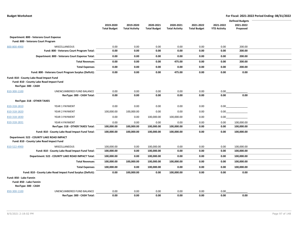|                         |                                                             |                     |                       |                     |                       |                     |                     | <b>Defined Budgets</b> |  |
|-------------------------|-------------------------------------------------------------|---------------------|-----------------------|---------------------|-----------------------|---------------------|---------------------|------------------------|--|
|                         |                                                             | 2019-2020           | 2019-2020             | 2020-2021           | 2020-2021             | 2021-2022           | 2021-2022           | 2021-2022              |  |
|                         |                                                             | <b>Total Budget</b> | <b>Total Activity</b> | <b>Total Budget</b> | <b>Total Activity</b> | <b>Total Budget</b> | <b>YTD Activity</b> | Proposed               |  |
|                         |                                                             |                     |                       |                     |                       |                     |                     |                        |  |
|                         | Department: 800 - Veterans Court Expense                    |                     |                       |                     |                       |                     |                     |                        |  |
|                         | Fund: 800 - Veterans Court Program                          |                     |                       |                     |                       |                     |                     |                        |  |
| 800-800-4900            | <b>MISCELLANEOUS</b>                                        | 0.00                | 0.00                  | 0.00                | 0.00                  | 0.00                | 0.00                | 200.00                 |  |
|                         | Fund: 800 - Veterans Court Program Total:                   | 0.00                | 0.00                  | 0.00                | 0.00                  | 0.00                | 0.00                | 200.00                 |  |
|                         | Department: 800 - Veterans Court Expense Total:             | 0.00                | 0.00                  | 0.00                | 0.00                  | 0.00                | 0.00                | 200.00                 |  |
|                         | <b>Total Revenues</b>                                       | 0.00                | 0.00                  | 0.00                | 475.00                | 0.00                | 0.00                | 200.00                 |  |
|                         | <b>Total Expenses</b>                                       | 0.00                | 0.00                  | 0.00                | 0.00                  | 0.00                | 0.00                | 200.00                 |  |
|                         | Fund: 800 - Veterans Court Program Surplus (Deficit):       | 0.00                | 0.00                  | 0.00                | 475.00                | 0.00                | 0.00                | 0.00                   |  |
|                         | Fund: 810 - County Lake Road Impact Fund                    |                     |                       |                     |                       |                     |                     |                        |  |
|                         | Fund: 810 - County Lake Road Impact Fund                    |                     |                       |                     |                       |                     |                     |                        |  |
| RevType: 300 - CASH     |                                                             |                     |                       |                     |                       |                     |                     |                        |  |
| 810-300-1100            | UNENCUMBERED FUND BALANCE                                   | 0.00                | 0.00                  | 0.00                | 0.00                  | 0.00                | 0.00                |                        |  |
|                         | RevType: 300 - CASH Total:                                  | 0.00                | 0.00                  | 0.00                | 0.00                  | 0.00                | 0.00                | 0.00                   |  |
|                         | RevType: 318 - OTHER TAXES                                  |                     |                       |                     |                       |                     |                     |                        |  |
| 810-318-1810            | YEAR 1 PAYMENT                                              | 0.00                | 0.00                  | 0.00                | 0.00                  | 0.00                | 0.00                |                        |  |
| 810-318-1820            | YEAR 2 PAYMENT                                              | 100,000.00          | 100,000.00            | 0.00                | 0.00                  | 0.00                | 0.00                |                        |  |
| 810-318-1830            | YEAR 3 PAYMENT                                              | 0.00                | 0.00                  | 100,000.00          | 100,000.00            | 0.00                | 0.00                |                        |  |
| 810-318-1831            | YEAR 4 PAYMENT                                              | 0.00                | 0.00                  | 0.00                | 0.00                  | 0.00                | 0.00                | 100,000.00             |  |
|                         | RevType: 318 - OTHER TAXES Total:                           | 100,000.00          | 100,000.00            | 100,000.00          | 100,000.00            | 0.00                | 0.00                | 100,000.00             |  |
|                         | Fund: 810 - County Lake Road Impact Fund Total:             | 100,000.00          | 100,000.00            | 100,000.00          | 100,000.00            | 0.00                | 0.00                | 100,000.00             |  |
|                         | Department: 522 - COUNTY LAKE ROAD IMPACT                   |                     |                       |                     |                       |                     |                     |                        |  |
|                         | Fund: 810 - County Lake Road Impact Fund                    |                     |                       |                     |                       |                     |                     |                        |  |
| 810-522-4900            | MISCELLANEOUS                                               | 100,000.00          | 0.00                  | 100,000.00          | 0.00                  | 0.00                | 0.00                | 100,000.00             |  |
|                         | Fund: 810 - County Lake Road Impact Fund Total:             | 100,000.00          | 0.00                  | 100,000.00          | 0.00                  | 0.00                | 0.00                | 100,000.00             |  |
|                         | Department: 522 - COUNTY LAKE ROAD IMPACT Total:            | 100,000.00          | 0.00                  | 100,000.00          | 0.00                  | 0.00                | 0.00                | 100,000.00             |  |
|                         | <b>Total Revenues</b>                                       | 100,000.00          | 100,000.00            | 100,000.00          | 100,000.00            | 0.00                | 0.00                | 100,000.00             |  |
|                         | <b>Total Expenses</b>                                       | 100,000.00          | 0.00                  | 100,000.00          | 0.00                  | 0.00                | 0.00                | 100,000.00             |  |
|                         | Fund: 810 - County Lake Road Impact Fund Surplus (Deficit): | 0.00                | 100,000.00            | 0.00                | 100,000.00            | 0.00                | 0.00                | 0.00                   |  |
| Fund: 850 - Lake Fannin |                                                             |                     |                       |                     |                       |                     |                     |                        |  |
| Fund: 850 - Lake Fannin |                                                             |                     |                       |                     |                       |                     |                     |                        |  |
| RevType: 300 - CASH     |                                                             |                     |                       |                     |                       |                     |                     |                        |  |
| 850-300-1100            | UNENCUMBERED FUND BALANCE                                   | 0.00                | 0.00                  | 0.00                | 0.00                  | 0.00                | 0.00                |                        |  |
|                         | RevType: 300 - CASH Total:                                  | 0.00                | 0.00                  | 0.00                | 0.00                  | 0.00                | 0.00                | 0.00                   |  |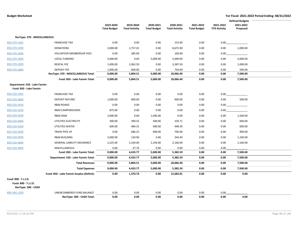|                                                                     |                                            |                     |                       |                     |                       |                     |                     | <b>Defined Budgets</b> |
|---------------------------------------------------------------------|--------------------------------------------|---------------------|-----------------------|---------------------|-----------------------|---------------------|---------------------|------------------------|
|                                                                     |                                            | 2019-2020           | 2019-2020             | 2020-2021           | 2020-2021             | 2021-2022           | 2021-2022           | 2021-2022              |
|                                                                     |                                            | <b>Total Budget</b> | <b>Total Activity</b> | <b>Total Budget</b> | <b>Total Activity</b> | <b>Total Budget</b> | <b>YTD Activity</b> | Proposed               |
| RevType: 370 - MISCELLANEOUS                                        |                                            |                     |                       |                     |                       |                     |                     |                        |
| 850-370-1402                                                        | <b>FRANCHISE TAX</b>                       | 0.00                | 0.00                  | 0.00                | 153.00                | 0.00                | 0.00                |                        |
| 850-370-1500                                                        | <b>DONATIONS</b>                           | 2,000.00            | 2,757.01              | 0.00                | 8,675.90              | 0.00                | 0.00                | 1,000.00               |
| 850-370-1830                                                        | VOLUNTEER MEMBERSHIP FEES                  | 0.00                | 385.00                | 0.00                | 100.00                | 0.00                | 0.00                |                        |
| 850-370-1840                                                        | <b>LOCAL FUNDING</b>                       | 5,000.00            | 0.00                  | 5,000.00            | 5,000.00              | 0.00                | 0.00                | 5,000.00               |
| 850-370-1850                                                        | <b>RENTAL FEE</b>                          | 1,000.00            | 2,062.50              | 0.00                | 3,387.50              | 0.00                | 0.00                | 1,000.00               |
| 850-370-1860                                                        | <b>DEPOSIT FEE</b>                         | 1,000.00            | 600.00                | 0.00                | 750.00                | 0.00                | 0.00                | 500.00                 |
|                                                                     | RevType: 370 - MISCELLANEOUS Total:        | 9,000.00            | 5,804.51              | 5,000.00            | 18,066.40             | 0.00                | 0.00                | 7,500.00               |
|                                                                     | Fund: 850 - Lake Fannin Total:             | 9,000.00            | 5,804.51              | 5,000.00            | 18,066.40             | 0.00                | 0.00                | 7,500.00               |
| Department: 520 - Lake Fannin                                       |                                            |                     |                       |                     |                       |                     |                     |                        |
| Fund: 850 - Lake Fannin                                             |                                            |                     |                       |                     |                       |                     |                     |                        |
| 850-520-1402                                                        | <b>FRANCHISE TAX</b>                       | 0.00                | 0.00                  | 0.00                | 0.00                  | 0.00                | 0.00                |                        |
| 850-520-1860                                                        | <b>DEPOSIT REFUND</b>                      | 1,000.00            | 600.00                | 0.00                | 900.00                | 0.00                | 0.00                | 500.00                 |
| 850-520-3410                                                        | <b>R&amp;M ROADS</b>                       | 0.00                | 0.00                  | 0.00                | 0.00                  | 0.00                | 0.00                |                        |
| 850-520-3420                                                        | <b>R&amp;M CAMPGROUNDS</b>                 | 875.00              | 0.00                  | 0.00                | 0.00                  | 0.00                | 0.00                |                        |
| 850-520-3430                                                        | R&M DAM                                    | 2,000.00            | 0.00                  | 1,096.00            | 0.00                  | 0.00                | 0.00                | 1,500.00               |
| 850-520-4400                                                        | UTILITIES ELECTRICITY                      | 300.00              | 390.55                | 500.00              | 329.71                | 0.00                | 0.00                | 600.00                 |
| 850-520-4420                                                        | UTILITIES WATER                            | 600.00              | 484.31                | 400.00              | 948.39                | 0.00                | 0.00                | 600.00                 |
| 850-520-4430                                                        | <b>TRASH PICK UP</b>                       | 0.00                | 686.25                | 900.00              | 700.00                | 0.00                | 0.00                | 900.00                 |
| 850-520-4500                                                        | <b>R&amp;M BUILDING</b>                    | 2,000.00            | 120.90                | 0.00                | 344.49                | 0.00                | 0.00                | 1,240.00               |
| 850-520-4840                                                        | <b>GENERAL LIABILITY INSURANCE</b>         | 2,225.00            | 2,104.00              | 2,104.00            | 2,160.00              | 0.00                | 0.00                | 2,160.00               |
| 850-520-4900                                                        | MISCELLANEOUS                              | 0.00                | 47.76                 | 0.00                | 0.00                  | 0.00                | 0.00                |                        |
|                                                                     | Fund: 850 - Lake Fannin Total:             | 9,000.00            | 4,433.77              | 5,000.00            | 5,382.59              | 0.00                | 0.00                | 7,500.00               |
|                                                                     | Department: 520 - Lake Fannin Total:       | 9,000.00            | 4,433.77              | 5,000.00            | 5,382.59              | 0.00                | 0.00                | 7,500.00               |
|                                                                     | <b>Total Revenues</b>                      | 9,000.00            | 5,804.51              | 5,000.00            | 18,066.40             | 0.00                | 0.00                | 7,500.00               |
|                                                                     | <b>Total Expenses</b>                      | 9,000.00            | 4,433.77              | 5,000.00            | 5,382.59              | 0.00                | 0.00                | 7,500.00               |
|                                                                     | Fund: 850 - Lake Fannin Surplus (Deficit): | 0.00                | 1,370.74              | 0.00                | 12,683.81             | 0.00                | 0.00                | 0.00                   |
| Fund: 890 - T.J.J.D.<br>Fund: 890 - T.J.J.D.<br>RevType: 300 - CASH |                                            |                     |                       |                     |                       |                     |                     |                        |
| 890-300-1100                                                        | UNENCUMBERED FUND BALANCE                  | 0.00                | 0.00                  | 0.00                | 0.00                  | 0.00                | 0.00                |                        |
|                                                                     | RevType: 300 - CASH Total:                 | 0.00                | 0.00                  | 0.00                | 0.00                  | 0.00                | 0.00                | 0.00                   |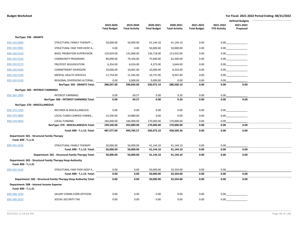|                                                                   |                                                                   |                                  |                                    |                                  |                                    |                                  |                                  | <b>Defined Budgets</b> |
|-------------------------------------------------------------------|-------------------------------------------------------------------|----------------------------------|------------------------------------|----------------------------------|------------------------------------|----------------------------------|----------------------------------|------------------------|
|                                                                   |                                                                   | 2019-2020<br><b>Total Budget</b> | 2019-2020<br><b>Total Activity</b> | 2020-2021<br><b>Total Budget</b> | 2020-2021<br><b>Total Activity</b> | 2021-2022<br><b>Total Budget</b> | 2021-2022<br><b>YTD Activity</b> | 2021-2022<br>Proposed  |
|                                                                   |                                                                   |                                  |                                    |                                  |                                    |                                  |                                  |                        |
| RevType: 330 - GRANTS                                             |                                                                   |                                  |                                    |                                  |                                    |                                  |                                  |                        |
| 890-330-9080                                                      | STRUCTURAL FAMILY THERAPY                                         | 50,000.00                        | 50,000.00                          | 41,144.10                        | 41,144.10                          | 0.00                             |                                  | 0.00                   |
| 890-330-9081                                                      | STRUCTURAL FAM THER HOSP A                                        | 0.00                             | 0.00                               | 50,000.00                        | 50,000.00                          | 0.00                             |                                  | 0.00                   |
| 890-330-9150                                                      | <b>BASIC PROBATION SUPERVISION</b>                                | 129,929.00                       | 131,060.00                         | 136,718.00                       | 113,932.00                         | 0.00                             |                                  | 0.00                   |
| 890-330-9160                                                      | <b>COMMUNITY PROGRAMS</b>                                         | 80,000.00                        | 79,166.00                          | 75,000.00                        | 62,500.00                          | 0.00                             |                                  | $0.00$                 |
| 890-330-9170                                                      | PRE/POST ADJUDICATION                                             | 6,354.00                         | 6,024.00                           | 4,373.00                         | 3,644.00                           | 0.00                             |                                  | 0.00                   |
| 890-330-9180                                                      | <b>COMMITMENT DIVERSION</b>                                       | 10,000.00                        | 10,001.00                          | 10,000.00                        | 8,333.00                           | 0.00                             |                                  | 0.00                   |
| 890-330-9190                                                      | MENTAL HEALTH SERVICES                                            | 11,754.00                        | 11,585.00                          | 10,737.00                        | 8,947.00                           | 0.00                             |                                  | 0.00                   |
| 890-330-9200                                                      | REGIONAL DIVERSIONS ALTERNA                                       | 0.00                             | 3,000.00                           | 3,000.00                         | 0.00                               | 0.00                             | 0.00                             |                        |
|                                                                   | RevType: 330 - GRANTS Total:                                      | 288,037.00                       | 290,836.00                         | 330,972.10                       | 288,500.10                         | 0.00                             | 0.00                             | 0.00                   |
| RevType: 360 - INTEREST EARNINGS                                  |                                                                   |                                  |                                    |                                  |                                    |                                  |                                  |                        |
| 890-360-1890                                                      | <b>INTEREST EARNINGS</b>                                          | 0.00                             | 69.57                              | 0.00                             | 9.26                               | 0.00                             | 0.00                             |                        |
|                                                                   | RevType: 360 - INTEREST EARNINGS Total:                           | 0.00                             | 69.57                              | 0.00                             | 9.26                               | 0.00                             | 0.00                             | 0.00                   |
| RevType: 370 - MISCELLANEOUS                                      |                                                                   |                                  |                                    |                                  |                                    |                                  |                                  |                        |
| 890-370-1300                                                      | REFUNDS & MISCELLANEOUS                                           | 0.00                             | 0.00                               | 0.00                             | 0.00                               | 0.00                             | 0.00                             |                        |
| 890-370-9880                                                      | LOCAL FUNDS CARRIED FORWA                                         | 15,540.00                        | 19,880.00                          | 0.00                             | 0.00                               | 0.00                             | 0.00                             |                        |
| 890-370-9950                                                      | <b>LOCAL FUNDING</b>                                              | 184,000.00                       | 184,000.00                         | 170,000.00                       | 170,000.00                         | 0.00                             | 0.00                             |                        |
|                                                                   | RevType: 370 - MISCELLANEOUS Total:                               | 199,540.00                       | 203,880.00                         | 170,000.00                       | 170,000.00                         | 0.00                             | 0.00                             | 0.00                   |
|                                                                   | Fund: 890 - T.J.J.D. Total:                                       | 487,577.00                       | 494,785.57                         | 500,972.10                       | 458,509.36                         | 0.00                             | 0.00                             | 0.00                   |
| Department: 581 - Structural Family Therapy                       |                                                                   |                                  |                                    |                                  |                                    |                                  |                                  |                        |
| Fund: 890 - T.J.J.D.                                              |                                                                   |                                  |                                    |                                  |                                    |                                  |                                  |                        |
| 890-581-4160                                                      | STRUCTURAL FAMILY THERAPY                                         | 50,000.00                        | 50,000.00                          | 41,144.10                        | 41,144.10                          | 0.00                             | 0.00                             |                        |
|                                                                   | Fund: 890 - T.J.J.D. Total:                                       | 50,000.00                        | 50,000.00                          | 41,144.10                        | 41,144.10                          | 0.00                             | 0.00                             | 0.00                   |
|                                                                   | Department: 581 - Structural Family Therapy Total:                | 50,000.00                        | 50,000.00                          | 41,144.10                        | 41,144.10                          | 0.00                             | 0.00                             | 0.00                   |
| Fund: 890 - T.J.J.D.                                              | Department: 582 - Structural Family Therapy Hosp Authority        |                                  |                                    |                                  |                                    |                                  |                                  |                        |
| 890-582-4160                                                      | STRUCTURAL FAM THER HOSP A                                        | 0.00                             | 0.00                               | 50,000.00                        | 33,334.00                          | 0.00                             | 0.00                             |                        |
|                                                                   | Fund: 890 - T.J.J.D. Total:                                       | 0.00                             | 0.00                               | 50,000.00                        | 33,334.00                          | 0.00                             | 0.00                             | 0.00                   |
|                                                                   | Department: 582 - Structural Family Therapy Hosp Authority Total: | 0.00                             | 0.00                               | 50,000.00                        | 33,334.00                          | 0.00                             | 0.00                             | 0.00                   |
| Department: 588 - Interest Income Expense<br>Fund: 890 - T.J.J.D. |                                                                   |                                  |                                    |                                  |                                    |                                  |                                  |                        |
| 890-588-1030                                                      | SALARY COMM.CORR.OFFICERS                                         | 0.00                             | 0.00                               | 0.00                             | 0.00                               | 0.00                             |                                  | 0.00                   |
| 890-588-2010                                                      | SOCIAL SECURITY TAX                                               | 0.00                             | 0.00                               | 0.00                             | 0.00                               | 0.00                             | 0.00                             |                        |
|                                                                   |                                                                   |                                  |                                    |                                  |                                    |                                  |                                  |                        |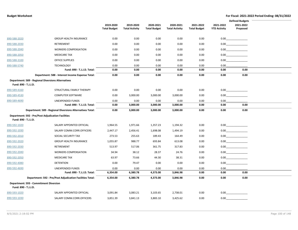|                                        |                                                           |                                  |                                    |                                  |                                    |                                  |                                  | <b>Defined Budgets</b> |  |
|----------------------------------------|-----------------------------------------------------------|----------------------------------|------------------------------------|----------------------------------|------------------------------------|----------------------------------|----------------------------------|------------------------|--|
|                                        |                                                           | 2019-2020<br><b>Total Budget</b> | 2019-2020<br><b>Total Activity</b> | 2020-2021<br><b>Total Budget</b> | 2020-2021<br><b>Total Activity</b> | 2021-2022<br><b>Total Budget</b> | 2021-2022<br><b>YTD Activity</b> | 2021-2022<br>Proposed  |  |
| 890-588-2020                           | <b>GROUP HEALTH INSURANCE</b>                             | 0.00                             | 0.00                               | 0.00                             | 0.00                               | 0.00                             |                                  | 0.00                   |  |
| 890-588-2030                           | RETIREMENT                                                | 0.00                             | 0.00                               | 0.00                             | 0.00                               | 0.00                             |                                  | 0.00                   |  |
| 890-588-2040                           | <b>WORKERS COMPENSATION</b>                               | 0.00                             | 0.00                               | 0.00                             | 0.00                               | 0.00                             |                                  | 0.00                   |  |
| 890-588-2050                           | <b>MEDICARE TAX</b>                                       | 0.00                             | 0.00                               | 0.00                             | 0.00                               | 0.00                             | 0.00                             |                        |  |
| 890-588-3100                           | <b>OFFICE SUPPLIES</b>                                    | 0.00                             | 0.00                               | 0.00                             | 0.00                               | 0.00                             | 0.00                             |                        |  |
| 890-588-5740                           | <b>TECHNOLOGY</b>                                         | 0.00                             | 0.00                               | 0.00                             | 0.00                               | 0.00                             | 0.00                             |                        |  |
|                                        | Fund: 890 - T.J.J.D. Total:                               | 0.00                             | 0.00                               | 0.00                             | 0.00                               | 0.00                             | 0.00                             | 0.00                   |  |
|                                        | Department: 588 - Interest Income Expense Total:          | 0.00                             | 0.00                               | 0.00                             | 0.00                               | 0.00                             | 0.00                             | 0.00                   |  |
| Fund: 890 - T.J.J.D.                   | <b>Department: 589 - Regional Diversions Alternatives</b> |                                  |                                    |                                  |                                    |                                  |                                  |                        |  |
| 890-589-4160                           | STRUCTURAL FAMILY THERAPY                                 | 0.00                             | 0.00                               | 0.00                             | 0.00                               | 0.00                             |                                  | 0.00                   |  |
| 890-589-4530                           | COMPUTER SOFTWARE                                         | 0.00                             | 3,000.00                           | 3,000.00                         | 3,000.00                           | 0.00                             | 0.00                             |                        |  |
| 890-589-4690                           | <b>UNEXPENDED FUNDS</b>                                   | 0.00                             | 0.00                               | 0.00                             | 0.00                               | 0.00                             | 0.00                             |                        |  |
|                                        | Fund: 890 - T.J.J.D. Total:                               | 0.00                             | 3,000.00                           | 3,000.00                         | 3,000.00                           | 0.00                             | 0.00                             | 0.00                   |  |
|                                        | Department: 589 - Regional Diversions Alternatives Total: | 0.00                             | 3,000.00                           | 3,000.00                         | 3,000.00                           | 0.00                             | 0.00                             | 0.00                   |  |
| Fund: 890 - T.J.J.D.                   | Department: 592 - Pre/Post Adjudication Facilities        |                                  |                                    |                                  |                                    |                                  |                                  |                        |  |
| 890-592-1020                           | SALARY APPOINTED OFFICIAL                                 | 1,964.55                         | 1,971.66                           | 1,357.23                         | 1,194.32                           | 0.00                             |                                  | 0.00                   |  |
| 890-592-1030                           | SALARY COMM.CORR.OFFICERS                                 | 2,447.17                         | 2,456.41                           | 1,698.08                         | 1,494.19                           | 0.00                             |                                  |                        |  |
| 890-592-2010                           | SOCIAL SECURITY TAX                                       | 273.53                           | 255.63                             | 189.43                           | 164.49                             | 0.00                             | 0.00                             |                        |  |
| 890-592-2020                           | <b>GROUP HEALTH INSURANCE</b>                             | 1,055.87                         | 988.77                             | 693.84                           | 613.08                             | 0.00                             |                                  | 0.00                   |  |
| 890-592-2030                           | RETIREMENT                                                | 513.97                           | 517.06                             | 361.75                           | 317.83                             | 0.00                             |                                  | 0.00                   |  |
| 890-592-2040                           | <b>WORKERS COMPENSATION</b>                               | 34.94                            | 38.12                              | 28.37                            | 24.76                              | 0.00                             |                                  | 0.00                   |  |
| 890-592-2050                           | <b>MEDICARE TAX</b>                                       | 63.97                            | 73.66                              | 44.30                            | 38.31                              | 0.00                             | 0.00                             |                        |  |
| 890-592-4080                           | DETENTION                                                 | 0.00                             | 79.47                              | 0.00                             | 0.00                               | 0.00                             | 0.00                             |                        |  |
| 890-592-4690                           | <b>UNEXPENDED FUNDS</b>                                   | 0.00                             | 0.00                               | 0.00                             | 0.00                               | 0.00                             | 0.00                             |                        |  |
|                                        | Fund: 890 - T.J.J.D. Total:                               | 6,354.00                         | 6,380.78                           | 4,373.00                         | 3,846.98                           | 0.00                             | 0.00                             | 0.00                   |  |
|                                        | Department: 592 - Pre/Post Adjudication Facilities Total: | 6,354.00                         | 6,380.78                           | 4,373.00                         | 3,846.98                           | 0.00                             | 0.00                             | 0.00                   |  |
| Department: 593 - Commitment Diversion |                                                           |                                  |                                    |                                  |                                    |                                  |                                  |                        |  |
| Fund: 890 - T.J.J.D.                   | SALARY APPOINTED OFFICIAL                                 |                                  |                                    |                                  |                                    |                                  |                                  |                        |  |
| 890-593-1020                           |                                                           | 3,091.84                         | 3,083.21                           | 3,103.65                         | 2,738.01                           | 0.00                             |                                  | 0.00                   |  |
| 890-593-1030                           | SALARY COMM.CORR.OFFICERS                                 | 3,851.39                         | 3,841.13                           | 3,883.10                         | 3,425.62                           | 0.00                             | 0.00                             |                        |  |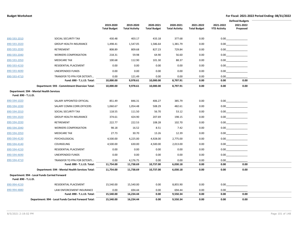|                      |                                                      |                     |                       |                     |                       |                     |                     | <b>Defined Budgets</b> |
|----------------------|------------------------------------------------------|---------------------|-----------------------|---------------------|-----------------------|---------------------|---------------------|------------------------|
|                      |                                                      | 2019-2020           | 2019-2020             | 2020-2021           | 2020-2021             | 2021-2022           | 2021-2022           | 2021-2022              |
|                      |                                                      | <b>Total Budget</b> | <b>Total Activity</b> | <b>Total Budget</b> | <b>Total Activity</b> | <b>Total Budget</b> | <b>YTD Activity</b> | Proposed               |
| 890-593-2010         | SOCIAL SECURITY TAX                                  | 430.48              | 403.17                | 433.18              | 377.68                | 0.00                |                     | 0.00                   |
| 890-593-2020         | <b>GROUP HEALTH INSURANCE</b>                        | 1,498.41            | 1,547.05              | 1,586.64            | 1,381.79              | 0.00                |                     |                        |
| 890-593-2030         | RETIREMENT                                           | 808.89              | 809.68                | 827.23              | 729.84                | 0.00                |                     |                        |
| 890-593-2040         | <b>WORKERS COMPENSATION</b>                          | 218.31              | 59.98                 | 64.90               | 56.60                 | 0.00                |                     | 0.00                   |
| 890-593-2050         | <b>MEDICARE TAX</b>                                  | 100.68              | 112.90                | 101.30              | 88.37                 | 0.00                |                     | 0.00                   |
| 890-593-4150         | RESIDENTIAL PLACEMENT                                | 0.00                | 0.00                  | 0.00                | 0.00                  | 0.00                |                     |                        |
| 890-593-4690         | UNEXPENDED FUNDS                                     | 0.00                | 0.00                  | 0.00                | 0.00                  | 0.00                | 0.00                |                        |
| 890-593-4710         | TRANSFER TO PPA FOR DETENTI                          | 0.00                | 121.49                | 0.00                | 0.00                  | 0.00                | 0.00                |                        |
|                      | Fund: 890 - T.J.J.D. Total:                          | 10,000.00           | 9,978.61              | 10,000.00           | 8,797.91              | 0.00                | 0.00                | 0.00                   |
|                      | Department: 593 - Commitment Diversion Total:        | 10,000.00           | 9,978.61              | 10,000.00           | 8,797.91              | 0.00                | 0.00                | 0.00                   |
|                      | Department: 594 - Mental Health Services             |                     |                       |                     |                       |                     |                     |                        |
| Fund: 890 - T.J.J.D. |                                                      |                     |                       |                     |                       |                     |                     |                        |
| 890-594-1020         | SALARY APPOINTED OFFICIAL                            | 851.49              | 846.31                | 406.27              | 385.79                | 0.00                |                     | 0.00                   |
| 890-594-1030         | SALARY COMM.CORR.OFFICERS                            | 1,060.67            | 1,054.48              | 508.29              | 482.61                | 0.00                |                     | 0.00                   |
| 890-594-2010         | SOCIAL SECURITY TAX                                  | 118.55              | 111.50                | 56.70               | 53.12                 | 0.00                |                     | 0.00                   |
| 890-594-2020         | <b>GROUP HEALTH INSURANCE</b>                        | 374.61              | 424.90                | 207.69              | 198.15                | 0.00                |                     | 0.00                   |
| 890-594-2030         | RETIREMENT                                           | 222.77              | 222.53                | 108.28              | 102.70                | 0.00                |                     | 0.00                   |
| 890-594-2040         | <b>WORKERS COMPENSATION</b>                          | 98.18               | 16.52                 | 8.51                | 7.42                  | 0.00                |                     |                        |
| 890-594-2050         | <b>MEDICARE TAX</b>                                  | 27.73               | 30.70                 | 13.26               | 12.39                 | 0.00                |                     |                        |
| 890-594-4130         | PSYCHOLOGICAL                                        | 4,500.00            | 4,225.00              | 4,928.00            | 2,775.00              | 0.00                |                     | 0.00                   |
| 890-594-4140         | COUNSELING                                           | 4,500.00            | 630.00                | 4,500.00            | 2,013.00              | 0.00                |                     | 0.00                   |
| 890-594-4150         | RESIDENTIAL PLACEMENT                                | 0.00                | 0.00                  | 0.00                | 0.00                  | 0.00                |                     | 0.00                   |
| 890-594-4690         | UNEXPENDED FUNDS                                     | 0.00                | 0.00                  | 0.00                | 0.00                  | 0.00                | 0.00                |                        |
| 890-594-4710         | TRANSFER TO PPA FOR DETENTI                          | 0.00                | 4,176.75              | 0.00                | 0.00                  | 0.00                | 0.00                |                        |
|                      | Fund: 890 - T.J.J.D. Total:                          | 11,754.00           | 11,738.69             | 10,737.00           | 6,030.18              | 0.00                | 0.00                | 0.00                   |
|                      | Department: 594 - Mental Health Services Total:      | 11,754.00           | 11,738.69             | 10,737.00           | 6,030.18              | 0.00                | 0.00                | 0.00                   |
| Fund: 890 - T.J.J.D. | Department: 994 - Local Funds Carried Forward        |                     |                       |                     |                       |                     |                     |                        |
| 890-994-4150         | RESIDENTIAL PLACEMENT                                | 15,540.00           | 15,540.00             | 0.00                | 8,855.90              | 0.00                | 0.00                |                        |
| 890-994-4880         | LAW ENFORCEMENT INSURANCE                            | 0.00                | 694.44                | 0.00                | 694.44                | 0.00                | 0.00                |                        |
|                      | Fund: 890 - T.J.J.D. Total:                          | 15,540.00           | 16,234.44             | 0.00                | 9,550.34              | 0.00                | 0.00                | 0.00                   |
|                      | Department: 994 - Local Funds Carried Forward Total: | 15,540.00           | 16,234.44             | 0.00                | 9,550.34              | 0.00                | 0.00                | 0.00                   |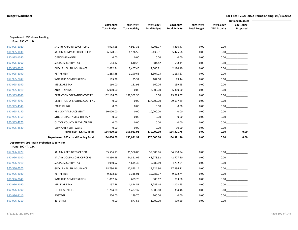|                                               |                                        |                     |                       |                     |                       |                     |                     | <b>Defined Budgets</b> |
|-----------------------------------------------|----------------------------------------|---------------------|-----------------------|---------------------|-----------------------|---------------------|---------------------|------------------------|
|                                               |                                        | 2019-2020           | 2019-2020             | 2020-2021           | 2020-2021             | 2021-2022           | 2021-2022           | 2021-2022              |
|                                               |                                        | <b>Total Budget</b> | <b>Total Activity</b> | <b>Total Budget</b> | <b>Total Activity</b> | <b>Total Budget</b> | <b>YTD Activity</b> | Proposed               |
| Department: 995 - Local Funding               |                                        |                     |                       |                     |                       |                     |                     |                        |
| Fund: 890 - T.J.J.D.                          |                                        |                     |                       |                     |                       |                     |                     |                        |
| 890-995-1020                                  | SALARY APPOINTED OFFICIAL              | 4,913.55            | 4,917.36              | 4,903.77            | 4,336.47              | 0.00                |                     | 0.00                   |
| 890-995-1030                                  | SALARY COMM.CORR.OFFICERS              | 6,120.63            | 6,126.55              | 6,135.31            | 5,425.58              | 0.00                |                     | 0.00                   |
| 890-995-1050                                  | <b>OFFICE MANAGER</b>                  | 0.00                | 0.00                  | 0.00                | 0.00                  | 0.00                |                     | 0.00                   |
| 890-995-2010                                  | SOCIAL SECURITY TAX                    | 684.12              | 640.28                | 684.42              | 598.19                | 0.00                |                     | 0.00                   |
| 890-995-2020                                  | <b>GROUP HEALTH INSURANCE</b>          | 2,622.24            | 2,467.45              | 2,506.91            | 2,194.10              | 0.00                | 0.00                |                        |
| 890-995-2030                                  | RETIREMENT                             | 1,285.48            | 1,290.68              | 1,307.03            | 1,155.67              | 0.00                | 0.00                |                        |
| 890-995-2040                                  | <b>WORKERS COMPENSATION</b>            | 105.98              | 95.32                 | 102.50              | 89.44                 | 0.00                | 0.00                |                        |
| 890-995-2050                                  | <b>MEDICARE TAX</b>                    | 160.00              | 181.91                | 160.06              | 139.95                | 0.00                |                     | 0.00                   |
| 890-995-4010                                  | <b>AUDIT EXPENSE</b>                   | 6,000.00            | 0.00                  | 7,000.00            | 6,300.00              | 0.00                |                     | 0.00                   |
| 890-995-4040                                  | DETENTION OPERATING COST FY            | 152,108.00          | 139,362.36            | 0.00                | 13,995.07             | 0.00                | 0.00                |                        |
| 890-995-4041                                  | DETENTION OPERATING COST FY            | 0.00                | 0.00                  | 137,200.00          | 99,997.29             | 0.00                |                     |                        |
| 890-995-4140                                  | COUNSELING                             | 0.00                | 0.00                  | 0.00                | 0.00                  | 0.00                |                     | 0.00                   |
| 890-995-4150                                  | RESIDENTIAL PLACEMENT                  | 10,000.00           | 0.00                  | 10,000.00           | 0.00                  | 0.00                | 0.00                |                        |
| 890-995-4160                                  | STRUCTURAL FAMILY THERAPY              | 0.00                | 0.00                  | 0.00                | 0.00                  | 0.00                | 0.00                |                        |
| 890-995-4270                                  | OUT OF COUNTY TRAVEL/TRAIN             | 0.00                | 0.00                  | 0.00                | 0.00                  | 0.00                | 0.00                |                        |
| 890-995-4530                                  | <b>COMPUTER SOFTWARE</b>               | 0.00                | 0.00                  | 0.00                | 90.00                 | 0.00                | 0.00                |                        |
|                                               | Fund: 890 - T.J.J.D. Total:            | 184,000.00          | 155,081.91            | 170,000.00          | 134,321.76            | 0.00                | 0.00                | 0.00                   |
|                                               | Department: 995 - Local Funding Total: | 184,000.00          | 155,081.91            | 170,000.00          | 134,321.76            | 0.00                | 0.00                | 0.00                   |
| Department: 996 - Basic Probation Supervision |                                        |                     |                       |                     |                       |                     |                     |                        |
| Fund: 890 - T.J.J.D.                          |                                        |                     |                       |                     |                       |                     |                     |                        |
| 890-996-1020                                  | SALARY APPOINTED OFFICIAL              | 35,556.13           | 35,566.05             | 38,583.96           | 34,150.84             | 0.00                |                     | 0.00                   |
| 890-996-1030                                  | SALARY COMM.CORR.OFFICERS              | 44,290.98           | 44,311.02             | 48,273.92           | 42,727.50             | 0.00                | 0.00                |                        |
| 890-996-2010                                  | SOCIAL SECURITY TAX                    | 4,950.52            | 4,635.32              | 5,385.19            | 4,712.64              | 0.00                |                     | 0.00                   |
| 890-996-2020                                  | <b>GROUP HEALTH INSURANCE</b>          | 18,730.26           | 17,843.14             | 19,724.90           | 17,236.71             | 0.00                |                     | 0.00                   |
| 890-996-2030                                  | RETIREMENT                             | 9,302.19            | 9,336.01              | 10,283.97           | 9,102.74              | 0.00                |                     | 0.00                   |
| 890-996-2040                                  | <b>WORKERS COMPENSATION</b>            | 1,012.14            | 689.76                | 806.62              | 703.60                | 0.00                |                     | 0.00                   |
| 890-996-2050                                  | <b>MEDICARE TAX</b>                    | 1,157.78            | 1,314.51              | 1,259.44            | 1,102.45              | 0.00                |                     | 0.00                   |
| 890-996-3100                                  | <b>OFFICE SUPPLIES</b>                 | 1,704.00            | 1,487.37              | 2,000.00            | 354.48                | 0.00                |                     | 0.00                   |
| 890-996-3110                                  | POSTAGE                                | 200.00              | 149.70                | 200.00              | 0.00                  | 0.00                |                     | 0.00                   |
| 890-996-4210                                  | <b>INTERNET</b>                        | 0.00                | 877.58                | 1,000.00            | 999.59                | 0.00                | 0.00                |                        |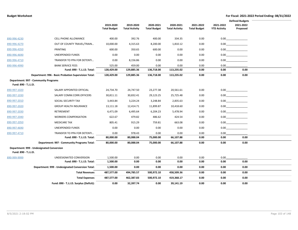|                      |                                                      |                                  |                                    |                                  |                                    |                                  |                                  | <b>Defined Budgets</b> |
|----------------------|------------------------------------------------------|----------------------------------|------------------------------------|----------------------------------|------------------------------------|----------------------------------|----------------------------------|------------------------|
|                      |                                                      | 2019-2020<br><b>Total Budget</b> | 2019-2020<br><b>Total Activity</b> | 2020-2021<br><b>Total Budget</b> | 2020-2021<br><b>Total Activity</b> | 2021-2022<br><b>Total Budget</b> | 2021-2022<br><b>YTD Activity</b> | 2021-2022<br>Proposed  |
| 890-996-4230         | <b>CELL PHONE ALLOWANCE</b>                          | 400.00                           | 392.76                             | 400.00                           | 334.35                             | 0.00                             |                                  | $0.00$                 |
| 890-996-4270         | OUT OF COUNTY TRAVEL/TRAIN                           | 10,000.00                        | 4,315.63                           | 8,200.00                         | 1,810.12                           | 0.00                             |                                  | $0.00$                 |
| 890-996-4350         | PRINTING                                             | 600.00                           | 350.65                             | 600.00                           | 0.00                               | 0.00                             |                                  | 0.00                   |
| 890-996-4690         | UNEXPENDED FUNDS                                     | 0.00                             | 0.00                               | 0.00                             | 0.00                               | 0.00                             |                                  | 0.00                   |
| 890-996-4710         | TRANSFER TO PPA FOR DETENTI                          | 0.00                             | 8,156.86                           | 0.00                             | 0.00                               | 0.00                             |                                  | 0.00                   |
| 890-996-4990         | <b>BANK SERVICE FEES</b>                             | 525.00                           | 459.00                             | 0.00                             | 0.00                               | 0.00                             | 0.00                             |                        |
|                      | Fund: 890 - T.J.J.D. Total:                          | 128,429.00                       | 129,885.36                         | 136,718.00                       | 113,235.02                         | 0.00                             | 0.00                             | 0.00                   |
|                      | Department: 996 - Basic Probation Supervision Total: | 128,429.00                       | 129,885.36                         | 136,718.00                       | 113,235.02                         | 0.00                             | 0.00                             | 0.00                   |
| Fund: 890 - T.J.J.D. | Department: 997 - Community Programs                 |                                  |                                    |                                  |                                    |                                  |                                  |                        |
| 890-997-1020         | SALARY APPOINTED OFFICIAL                            | 24,734.70                        | 24,747.50                          | 23,277.38                        | 20,561.61                          | 0.00                             |                                  |                        |
| 890-997-1030         | SALARY COMM.CORR.OFFICERS                            | 30,811.11                        | 30,832.41                          | 29,123.25                        | 25,725.48                          | 0.00                             |                                  | $0.00$                 |
| 890-997-2010         | SOCIAL SECURITY TAX                                  | 3,443.84                         | 3,224.24                           | 3,248.84                         | 2,835.63                           | 0.00                             |                                  |                        |
| 890-997-2020         | <b>GROUP HEALTH INSURANCE</b>                        | 13,111.18                        | 12,414.71                          | 11,899.87                        | 10,418.60                          | 0.00                             |                                  | $0.00$                 |
| 890-997-2030         | RETIREMENT                                           | 6,471.09                         | 6,495.64                           | 6,204.23                         | 5,478.94                           | 0.00                             |                                  | 0.00                   |
| 890-997-2040         | <b>WORKERS COMPENSATION</b>                          | 622.67                           | 479.82                             | 486.62                           | 424.54                             | 0.00                             |                                  | 0.00                   |
| 890-997-2050         | <b>MEDICARE TAX</b>                                  | 805.41                           | 915.29                             | 759.81                           | 663.08                             | 0.00                             |                                  | 0.00                   |
| 890-997-4690         | UNEXPENDED FUNDS                                     | 0.00                             | 0.00                               | 0.00                             | 0.00                               | 0.00                             |                                  | 0.00                   |
| 890-997-4710         | TRANSFER TO PPA FOR DETENTI                          | 0.00                             | 978.43                             | 0.00                             | 0.00                               | 0.00                             | 0.00                             |                        |
|                      | Fund: 890 - T.J.J.D. Total:                          | 80,000.00                        | 80,088.04                          | 75,000.00                        | 66,107.88                          | 0.00                             | 0.00                             | 0.00                   |
|                      | Department: 997 - Community Programs Total:          | 80,000.00                        | 80,088.04                          | 75,000.00                        | 66,107.88                          | 0.00                             | 0.00                             | 0.00                   |
| Fund: 890 - T.J.J.D. | Department: 999 - Undesignated Conversion            |                                  |                                    |                                  |                                    |                                  |                                  |                        |
| 890-999-9999         | UNDESIGNATED CONVERSION                              | 1,500.00                         | 0.00                               | 0.00                             | 0.00                               | 0.00                             | 0.00                             |                        |
|                      | Fund: 890 - T.J.J.D. Total:                          | 1,500.00                         | 0.00                               | 0.00                             | 0.00                               | 0.00                             | 0.00                             | 0.00                   |
|                      | Department: 999 - Undesignated Conversion Total:     | 1,500.00                         | 0.00                               | 0.00                             | 0.00                               | 0.00                             | 0.00                             | 0.00                   |
|                      | <b>Total Revenues</b>                                | 487,577.00                       | 494,785.57                         | 500,972.10                       | 458,509.36                         | 0.00                             | 0.00                             | 0.00                   |
|                      | <b>Total Expenses</b>                                | 487,577.00                       | 462,387.83                         | 500,972.10                       | 419,368.17                         | 0.00                             | 0.00                             | 0.00                   |
|                      | Fund: 890 - T.J.J.D. Surplus (Deficit):              | 0.00                             | 32,397.74                          | 0.00                             | 39,141.19                          | 0.00                             | 0.00                             | 0.00                   |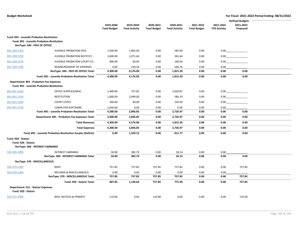|                                                           |                                                                                        |                     |                       |                     |                       |                     |                     | <b>Defined Budgets</b> |  |
|-----------------------------------------------------------|----------------------------------------------------------------------------------------|---------------------|-----------------------|---------------------|-----------------------|---------------------|---------------------|------------------------|--|
|                                                           |                                                                                        | 2019-2020           | 2019-2020             | 2020-2021           | 2020-2021             | 2021-2022           | 2021-2022           | 2021-2022              |  |
|                                                           |                                                                                        | <b>Total Budget</b> | <b>Total Activity</b> | <b>Total Budget</b> | <b>Total Activity</b> | <b>Total Budget</b> | <b>YTD Activity</b> | Proposed               |  |
| Fund: 891 - Juvenile Probation-Restitution                | Fund: 891 - Juvenile Probation-Restitution                                             |                     |                       |                     |                       |                     |                     |                        |  |
|                                                           | RevType: 340 - FEES OF OFFICE                                                          |                     |                       |                     |                       |                     |                     |                        |  |
| 891-340-5750                                              | <b>JUVENILE PROBATION FEES</b>                                                         | 1,500.00            | 1,805.00              | 0.00                | 585.00                | 0.00                |                     |                        |  |
| 891-340-5760                                              | <b>JUVENILE PROBATION RESTITUT</b>                                                     | 2,000.00            | 2,071.66              | 0.00                | 563.44                | 0.00                |                     | 0.00                   |  |
| 891-340-5770                                              | JUVENILE PROBATION COURT CO                                                            | 800.00              | 60.00                 | 0.00                | 100.00                | 0.00                | 0.00                |                        |  |
| 891-340-5790                                              | REIMBURSEMENT OF EXPENSES                                                              | 0.00                | 239.34                | 0.00                | 566.76                | 0.00                | 0.00                |                        |  |
|                                                           | RevType: 340 - FEES OF OFFICE Total:                                                   | 4,300.00            | 4,176.00              | 0.00                | 1,815.20              | 0.00                | 0.00                | 0.00                   |  |
|                                                           | Fund: 891 - Juvenile Probation-Restitution Total:                                      | 4,300.00            | 4,176.00              | 0.00                | 1,815.20              | 0.00                | 0.00                | 0.00                   |  |
|                                                           | Department: 891 - Probation Fee Expenses<br>Fund: 891 - Juvenile Probation-Restitution |                     |                       |                     |                       |                     |                     |                        |  |
| 891-891-3100                                              | OFFICE SUPPLIES/MISC.                                                                  | 1,400.00            | 757.85                | 0.00                | 2,020.87              | 0.00                |                     | 0.00                   |  |
| 891-891-3190                                              | <b>RESTITUTION</b>                                                                     | 1,000.00            | 2,049.00              | 0.00                | 586.10                | 0.00                |                     | 0.00                   |  |
| 891-891-3200                                              | <b>COURT COSTS</b>                                                                     | 260.00              | 40.00                 | 0.00                | 120.00                | 0.00                |                     | 0.00                   |  |
| 891-891-5740                                              | <b>COMPUTER SOFTWARE</b>                                                               | 1,640.00            | 0.00                  | 0.00                | 0.00                  | 0.00                | 0.00                |                        |  |
|                                                           | Fund: 891 - Juvenile Probation-Restitution Total:                                      | 4,300.00            | 2,846.85              | 0.00                | 2,726.97              | 0.00                | 0.00                | 0.00                   |  |
|                                                           | Department: 891 - Probation Fee Expenses Total:                                        | 4,300.00            | 2,846.85              | 0.00                | 2,726.97              | 0.00                | 0.00                | 0.00                   |  |
|                                                           | <b>Total Revenues</b>                                                                  | 4,300.00            | 4,176.00              | 0.00                | 1,815.20              | 0.00                | 0.00                | 0.00                   |  |
|                                                           | <b>Total Expenses</b>                                                                  | 4,300.00            | 2,846.85              | 0.00                | 2,726.97              | 0.00                | 0.00                | 0.00                   |  |
|                                                           | Fund: 891 - Juvenile Probation-Restitution Surplus (Deficit):                          | 0.00                | 1,329.15              | 0.00                | $-911.77$             | 0.00                | 0.00                | 0.00                   |  |
| Fund: 920 - Statzer<br>Fund: 920 - Statzer                | RevType: 360 - INTEREST EARNINGS                                                       |                     |                       |                     |                       |                     |                     |                        |  |
| 920-360-1000                                              | <b>INTEREST EARNINGS</b>                                                               | 50.00               | 382.79                | 0.00                | 18.14                 | 0.00                | 0.00                |                        |  |
|                                                           | RevType: 360 - INTEREST EARNINGS Total:                                                | 50.00               | 382.79                | 0.00                | 18.14                 | 0.00                | 0.00                | 0.00                   |  |
|                                                           | RevType: 370 - MISCELLANEOUS                                                           |                     |                       |                     |                       |                     |                     |                        |  |
| 920-370-1000                                              | <b>RENT</b>                                                                            | 757.85              | 757.85                | 757.85              | 757.85                | 0.00                | 0.00                | 757.85                 |  |
| 920-370-1300                                              | <b>REFUNDS &amp; MISCELLANEOUS</b>                                                     | 0.00                | 0.00                  | 0.00                | 0.00                  | 0.00                | 0.00                |                        |  |
|                                                           | RevType: 370 - MISCELLANEOUS Total:                                                    | 757.85              | 757.85                | 757.85              | 757.85                | 0.00                | 0.00                | 757.85                 |  |
|                                                           | Fund: 920 - Statzer Total:                                                             | 807.85              | 1,140.64              | 757.85              | 775.99                | 0.00                | 0.00                | 757.85                 |  |
| Department: 521 - Statzer Expenses<br>Fund: 920 - Statzer |                                                                                        |                     |                       |                     |                       |                     |                     |                        |  |
| 920-521-4300                                              | <b>BIDS, NOTICES &amp; PERMITS</b>                                                     | 110.00              | 0.00                  | 110.00              | 0.00                  | 0.00                | 0.00                | 110.00                 |  |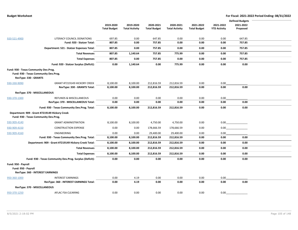|                     |                                                          |                     |                       |                     |                       |                     |                     | <b>Defined Budgets</b> |  |
|---------------------|----------------------------------------------------------|---------------------|-----------------------|---------------------|-----------------------|---------------------|---------------------|------------------------|--|
|                     |                                                          | 2019-2020           | 2019-2020             | 2020-2021           | 2020-2021             | 2021-2022           | 2021-2022           | 2021-2022              |  |
|                     |                                                          | <b>Total Budget</b> | <b>Total Activity</b> | <b>Total Budget</b> | <b>Total Activity</b> | <b>Total Budget</b> | <b>YTD Activity</b> | Proposed               |  |
|                     |                                                          |                     |                       |                     |                       |                     |                     |                        |  |
| 920-521-4900        | LITERACY COUNCIL DONATIONS                               | 697.85              | 0.00                  | 647.85              | 0.00                  | 0.00                | 0.00                | 647.85                 |  |
|                     | Fund: 920 - Statzer Total:                               | 807.85              | 0.00                  | 757.85              | 0.00                  | 0.00                | 0.00                | 757.85                 |  |
|                     | Department: 521 - Statzer Expenses Total:                | 807.85              | 0.00                  | 757.85              | 0.00                  | 0.00                | 0.00                | 757.85                 |  |
|                     | <b>Total Revenues</b>                                    | 807.85              | 1,140.64              | 757.85              | 775.99                | 0.00                | 0.00                | 757.85                 |  |
|                     | <b>Total Expenses</b>                                    | 807.85              | 0.00                  | 757.85              | 0.00                  | 0.00                | 0.00                | 757.85                 |  |
|                     | Fund: 920 - Statzer Surplus (Deficit):                   | 0.00                | 1,140.64              | 0.00                | 775.99                | 0.00                | 0.00                | 0.00                   |  |
|                     | Fund: 930 - Texas Community Dev.Prog.                    |                     |                       |                     |                       |                     |                     |                        |  |
|                     | Fund: 930 - Texas Community Dev.Prog.                    |                     |                       |                     |                       |                     |                     |                        |  |
|                     | RevType: 330 - GRANTS                                    |                     |                       |                     |                       |                     |                     |                        |  |
| 930-330-9090        | GRANT #7219149 HICKORY CREEK                             | 8,100.00            | 8,100.00              | 212,816.59          | 212,816.59            | 0.00                | 0.00                |                        |  |
|                     | RevType: 330 - GRANTS Total:                             | 8,100.00            | 8,100.00              | 212,816.59          | 212,816.59            | 0.00                | 0.00                | 0.00                   |  |
|                     | RevType: 370 - MISCELLANEOUS                             |                     |                       |                     |                       |                     |                     |                        |  |
| 930-370-1300        | REFUNDS & MISCELLANEOUS                                  | 0.00                | 0.00                  | 0.00                | 0.00                  | 0.00                | 0.00                |                        |  |
|                     | RevType: 370 - MISCELLANEOUS Total:                      | 0.00                | 0.00                  | 0.00                | 0.00                  | 0.00                | 0.00                | 0.00                   |  |
|                     | Fund: 930 - Texas Community Dev.Prog. Total:             | 8,100.00            | 8,100.00              | 212,816.59          | 212,816.59            | 0.00                | 0.00                | 0.00                   |  |
|                     | Department: 909 - Grant #7219149 Hickory Creek           |                     |                       |                     |                       |                     |                     |                        |  |
|                     | Fund: 930 - Texas Community Dev.Prog.                    |                     |                       |                     |                       |                     |                     |                        |  |
| 930-909-4140        | <b>GRANT ADMINISTRATION</b>                              | 8,100.00            | 8,100.00              | 4,750.00            | 4,750.00              | 0.00                | 0.00                |                        |  |
| 930-909-4150        | <b>CONSTRUCTION EXPENSE</b>                              | 0.00                | 0.00                  | 178,666.59          | 178,666.59            | 0.00                | 0.00                |                        |  |
| 930-909-4160        | ENGINEERING                                              | 0.00                | 0.00                  | 29,400.00           | 29,400.00             | 0.00                | 0.00                |                        |  |
|                     | Fund: 930 - Texas Community Dev.Prog. Total:             | 8,100.00            | 8,100.00              | 212,816.59          | 212,816.59            | 0.00                | 0.00                | 0.00                   |  |
|                     | Department: 909 - Grant #7219149 Hickory Creek Total:    | 8,100.00            | 8,100.00              | 212,816.59          | 212,816.59            | 0.00                | 0.00                | 0.00                   |  |
|                     | <b>Total Revenues</b>                                    | 8,100.00            | 8,100.00              | 212,816.59          | 212,816.59            | 0.00                | 0.00                | 0.00                   |  |
|                     | <b>Total Expenses</b>                                    | 8,100.00            | 8,100.00              | 212,816.59          | 212,816.59            | 0.00                | 0.00                | 0.00                   |  |
|                     | Fund: 930 - Texas Community Dev.Prog. Surplus (Deficit): | 0.00                | 0.00                  | 0.00                | 0.00                  | 0.00                | 0.00                | 0.00                   |  |
| Fund: 950 - Payroll |                                                          |                     |                       |                     |                       |                     |                     |                        |  |
|                     | Fund: 950 - Payroll                                      |                     |                       |                     |                       |                     |                     |                        |  |
|                     | RevType: 360 - INTEREST EARNINGS                         |                     |                       |                     |                       |                     |                     |                        |  |
| 950-360-1000        | <b>INTEREST EARNINGS</b>                                 | 0.00                | 4.19                  | 0.00                | 0.00                  | 0.00                | 0.00                |                        |  |
|                     | RevType: 360 - INTEREST EARNINGS Total:                  | 0.00                | 4.19                  | 0.00                | 0.00                  | 0.00                | 0.00                | 0.00                   |  |
|                     | RevType: 370 - MISCELLANEOUS                             |                     |                       |                     |                       |                     |                     |                        |  |
| 950-370-1250        | AFLAC FSA CLEARING                                       | 0.00                | 0.00                  | 0.00                | 0.00                  | 0.00                | 0.00                |                        |  |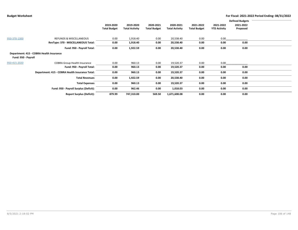|                     |                                                 |                     |                       |                     |                       |                     |                     | <b>Defined Budgets</b> |  |
|---------------------|-------------------------------------------------|---------------------|-----------------------|---------------------|-----------------------|---------------------|---------------------|------------------------|--|
|                     |                                                 | 2019-2020           | 2019-2020             | 2020-2021           | 2020-2021             | 2021-2022           | 2021-2022           | 2021-2022              |  |
|                     |                                                 | <b>Total Budget</b> | <b>Total Activity</b> | <b>Total Budget</b> | <b>Total Activity</b> | <b>Total Budget</b> | <b>YTD Activity</b> | Proposed               |  |
|                     |                                                 |                     |                       |                     |                       |                     |                     |                        |  |
| 950-370-1300        | <b>REFUNDS &amp; MISCELLANEOUS</b>              | 0.00                | 1,918.40              | 0.00                | 20,538.40             | 0.00                | 0.00                |                        |  |
|                     | RevType: 370 - MISCELLANEOUS Total:             | 0.00                | 1,918.40              | 0.00                | 20,538.40             | 0.00                | 0.00                | 0.00                   |  |
|                     | Fund: 950 - Payroll Total:                      | 0.00                | 1,922.59              | 0.00                | 20,538.40             | 0.00                | 0.00                | 0.00                   |  |
|                     | Department: 415 - COBRA Health Insurance        |                     |                       |                     |                       |                     |                     |                        |  |
| Fund: 950 - Payroll |                                                 |                     |                       |                     |                       |                     |                     |                        |  |
| 950-415-2020        | <b>COBRA Group Health Insurance</b>             | 0.00                | 960.13                | 0.00                | 19,520.37             | 0.00                | 0.00                |                        |  |
|                     | Fund: 950 - Payroll Total:                      | 0.00                | 960.13                | 0.00                | 19,520.37             | 0.00                | 0.00                | 0.00                   |  |
|                     | Department: 415 - COBRA Health Insurance Total: | 0.00                | 960.13                | 0.00                | 19,520.37             | 0.00                | 0.00                | 0.00                   |  |
|                     | <b>Total Revenues</b>                           | 0.00                | 1,922.59              | 0.00                | 20,538.40             | 0.00                | 0.00                | 0.00                   |  |
|                     | <b>Total Expenses</b>                           | 0.00                | 960.13                | 0.00                | 19,520.37             | 0.00                | 0.00                | 0.00                   |  |
|                     | Fund: 950 - Payroll Surplus (Deficit):          | 0.00                | 962.46                | 0.00                | 1,018.03              | 0.00                | 0.00                | 0.00                   |  |
|                     | <b>Report Surplus (Deficit):</b>                | 879.99              | 747,310.00            | 569.50              | 1,671,608.08          | 0.00                | 0.00                | 0.00                   |  |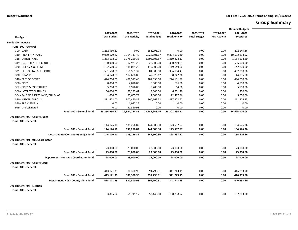# **Group Summary**

|                                          |                     |                       |                     |                       |                     |                     | <b>Defined Budgets</b> |  |
|------------------------------------------|---------------------|-----------------------|---------------------|-----------------------|---------------------|---------------------|------------------------|--|
|                                          | 2019-2020           | 2019-2020             | 2020-2021           | 2020-2021             | 2021-2022           | 2021-2022           | 2021-2022              |  |
| RevTyp                                   | <b>Total Budget</b> | <b>Total Activity</b> | <b>Total Budget</b> | <b>Total Activity</b> | <b>Total Budget</b> | <b>YTD Activity</b> | Proposed               |  |
| Fund: 100 - General                      |                     |                       |                     |                       |                     |                     |                        |  |
| Fund: 100 - General                      |                     |                       |                     |                       |                     |                     |                        |  |
| 300 - CASH                               | 1,262,560.22        | 0.00                  | 353,291.78          | 0.00                  | 0.00                | 0.00                | 272,145.16             |  |
| 310 - PROPERTY TAXES                     | 9,060,179.82        | 9,164,717.42          | 9,722,601.67        | 9,824,636.30          | 0.00                | 0.00                | 10,592,114.92          |  |
| 318 - OTHER TAXES                        | 1,253,102.00        | 1,375,269.33          | 1,606,805.87        | 1,319,828.11          | 0.00                | 0.00                | 1,584,614.80           |  |
| 319 - F.C. DETENTION CENTER              | 160,000.00          | 302,923.20            | 220,000.00          | 390,769.89            | 0.00                | 0.00                | 636,000.00             |  |
| 320 - LICENSES & PERMITS                 | 102,500.00          | 118,089.25            | 115,000.00          | 119,649.00            | 0.00                | 0.00                | 142,800.00             |  |
| 321 - FEES OF TAX COLLECTOR              | 501,500.00          | 360,569.32            | 501,500.00          | 396,194.43            | 0.00                | 0.00                | 482,000.00             |  |
| 330 - GRANTS                             | 104,120.88          | 107,608.80            | 47,526.62           | 58,842.30             | 0.00                | 0.00                | 44,095.00              |  |
| 340 - FEES OF OFFICE                     | 474,700.00          | 478,577.46            | 487,650.00          | 274,131.82            | 0.00                | 0.00                | 494,000.00             |  |
| 350 - FINES                              | 8,000.00            | 4,070.09              | 6,500.00            | 686.60                | 0.00                | 0.00                | 4,500.00               |  |
| 352 - FINES & FORFEITURES                | 5,700.00            | 9,976.00              | 8,200.00            | 14.00                 | 0.00                | 0.00                | 5,500.00               |  |
| 360 - INTEREST EARNINGS                  | 50,000.00           | 52,283.62             | 9,000.00            | 6,701.20              | 0.00                | 0.00                | 800.00                 |  |
| 364 - SALE OF ASSETS LAND/BUILDING       | 1,000.00            | 20,605.79             | 1,000.00            | 22,427.86             | 0.00                | 0.00                | 5,000.00               |  |
| 370 - MISCELLANEOUS                      | 281,602.00          | 307,440.89            | 860,169.52          | 887,372.60            | 0.00                | 0.00                | 261,504.15             |  |
| 390 - TRANSFERS IN                       | 0.00                | 1,032.25              | 0.00                | 0.00                  | 0.00                | 0.00                | 0.00                   |  |
| 999 - Undesignated                       | 0.00                | 51,560.93             | 0.00                | 0.00                  | 0.00                | 0.00                | 0.00                   |  |
| Fund: 100 - General Total:               | 13,264,964.92       | 12,354,724.35         | 13,939,245.46       | 13,301,254.11         | 0.00                | 0.00                | 14,525,074.03          |  |
| Department: 400 - County Judge           |                     |                       |                     |                       |                     |                     |                        |  |
| Fund: 100 - General                      |                     |                       |                     |                       |                     |                     |                        |  |
|                                          | 144,176.10          | 138,256.82            | 144,600.30          | 123,597.57            | 0.00                | 0.00                | 154,576.36             |  |
| Fund: 100 - General Total:               | 144,176.10          | 138,256.82            | 144,600.30          | 123,597.57            | 0.00                | 0.00                | 154,576.36             |  |
| Department: 400 - County Judge Total:    | 144,176.10          | 138,256.82            | 144,600.30          | 123,597.57            | 0.00                | 0.00                | 154,576.36             |  |
| Department: 401 - 911 Coordinator        |                     |                       |                     |                       |                     |                     |                        |  |
| Fund: 100 - General                      |                     |                       |                     |                       |                     |                     |                        |  |
|                                          | 23,000.00           | 23,000.00             | 23,000.00           | 23,000.00             | 0.00                | 0.00                | 23,000.00              |  |
| Fund: 100 - General Total:               | 23,000.00           | 23,000.00             | 23,000.00           | 23,000.00             | 0.00                | 0.00                | 23,000.00              |  |
| Department: 401 - 911 Coordinator Total: | 23,000.00           | 23,000.00             | 23,000.00           | 23,000.00             | 0.00                | 0.00                | 23,000.00              |  |
|                                          |                     |                       |                     |                       |                     |                     |                        |  |
| Department: 403 - County Clerk           |                     |                       |                     |                       |                     |                     |                        |  |
| Fund: 100 - General                      |                     |                       |                     |                       |                     |                     |                        |  |
|                                          | 413,171.39          | 380,300.95            | 391,790.91          | 341,743.15            | 0.00                | 0.00                | 446,853.90             |  |
| Fund: 100 - General Total:               | 413,171.39          | 380,300.95            | 391,790.91          | 341,743.15            | 0.00                | 0.00                | 446,853.90             |  |
| Department: 403 - County Clerk Total:    | 413,171.39          | 380,300.95            | 391,790.91          | 341,743.15            | 0.00                | 0.00                | 446,853.90             |  |
| Department: 404 - Election               |                     |                       |                     |                       |                     |                     |                        |  |
| Fund: 100 - General                      |                     |                       |                     |                       |                     |                     |                        |  |
|                                          | 53,805.04           | 51,711.17             | 53,446.00           | 130,738.92            | 0.00                | 0.00                | 157,803.00             |  |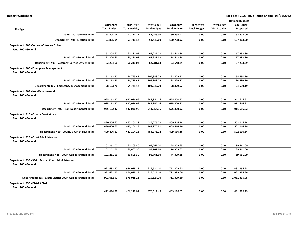|                                                                              |                     |                       |                     |                       |                     |                     | <b>Defined Budgets</b> |  |
|------------------------------------------------------------------------------|---------------------|-----------------------|---------------------|-----------------------|---------------------|---------------------|------------------------|--|
|                                                                              | 2019-2020           | 2019-2020             | 2020-2021           | 2020-2021             | 2021-2022           | 2021-2022           | 2021-2022              |  |
| RevTyp                                                                       | <b>Total Budget</b> | <b>Total Activity</b> | <b>Total Budget</b> | <b>Total Activity</b> | <b>Total Budget</b> | <b>YTD Activity</b> | Proposed               |  |
| Fund: 100 - General Total:                                                   | 53,805.04           | 51,711.17             | 53,446.00           | 130,738.92            | 0.00                | 0.00                | 157,803.00             |  |
| Department: 404 - Election Total:                                            | 53,805.04           | 51,711.17             | 53,446.00           | 130,738.92            | 0.00                | 0.00                | 157,803.00             |  |
| Department: 405 - Veterans' Service Officer                                  |                     |                       |                     |                       |                     |                     |                        |  |
| Fund: 100 - General                                                          |                     |                       |                     |                       |                     |                     |                        |  |
|                                                                              | 62,204.60           | 60,211.02             | 62,281.03           | 53,548.84             | 0.00                | 0.00                | 67,233.89              |  |
| Fund: 100 - General Total:                                                   | 62,204.60           | 60,211.02             | 62,281.03           | 53,548.84             | 0.00                | 0.00                | 67,233.89              |  |
| Department: 405 - Veterans' Service Officer Total:                           | 62,204.60           | 60,211.02             | 62,281.03           | 53,548.84             | 0.00                | 0.00                | 67,233.89              |  |
| Department: 406 - Emergency Management<br>Fund: 100 - General                |                     |                       |                     |                       |                     |                     |                        |  |
|                                                                              | 58,163.70           | 54,725.47             | 104,343.79          | 98,829.52             | 0.00                | 0.00                | 94,530.19              |  |
| Fund: 100 - General Total:                                                   | 58,163.70           | 54,725.47             | 104,343.79          | 98,829.52             | 0.00                | 0.00                | 94,530.19              |  |
| Department: 406 - Emergency Management Total:                                | 58,163.70           | 54,725.47             | 104,343.79          | 98,829.52             | 0.00                | 0.00                | 94,530.19              |  |
| Department: 409 - Non-Departmental<br>Fund: 100 - General                    |                     |                       |                     |                       |                     |                     |                        |  |
|                                                                              | 925,162.32          | 932,036.96            | 941,854.16          | 675,800.92            | 0.00                | 0.00                | 911,616.62             |  |
| Fund: 100 - General Total:                                                   | 925,162.32          | 932,036.96            | 941,854.16          | 675,800.92            | 0.00                | 0.00                | 911,616.62             |  |
| Department: 409 - Non-Departmental Total:                                    | 925,162.32          | 932,036.96            | 941,854.16          | 675,800.92            | 0.00                | 0.00                | 911,616.62             |  |
| Department: 410 - County Court at Law<br>Fund: 100 - General                 |                     |                       |                     |                       |                     |                     |                        |  |
|                                                                              | 490,406.67          | 447,104.28            | 484,276.22          | 409,516.36            | 0.00                | 0.00                | 502,116.24             |  |
| Fund: 100 - General Total:                                                   | 490,406.67          | 447,104.28            | 484,276.22          | 409,516.36            | 0.00                | 0.00                | 502,116.24             |  |
| Department: 410 - County Court at Law Total:                                 | 490,406.67          | 447,104.28            | 484,276.22          | 409,516.36            | 0.00                | 0.00                | 502,116.24             |  |
| Department: 425 - Court Administration<br>Fund: 100 - General                |                     |                       |                     |                       |                     |                     |                        |  |
|                                                                              | 102,261.00          | 60,805.30             | 95,761.00           | 74,309.65             | 0.00                | 0.00                | 89,561.00              |  |
| Fund: 100 - General Total:                                                   | 102,261.00          | 60,805.30             | 95,761.00           | 74,309.65             | 0.00                | 0.00                | 89,561.00              |  |
| Department: 425 - Court Administration Total:                                | 102,261.00          | 60,805.30             | 95,761.00           | 74,309.65             | 0.00                | 0.00                | 89,561.00              |  |
| Department: 435 - 336th District Court Administration<br>Fund: 100 - General |                     |                       |                     |                       |                     |                     |                        |  |
|                                                                              | 991,682.97          | 976,018.13            | 919,524.10          | 711,329.60            | 0.00                | 0.00                | 1,031,395.98           |  |
| Fund: 100 - General Total:                                                   | 991,682.97          | 976,018.13            | 919,524.10          | 711,329.60            | 0.00                | 0.00                | 1,031,395.98           |  |
| Department: 435 - 336th District Court Administration Total:                 | 991,682.97          | 976,018.13            | 919,524.10          | 711,329.60            | 0.00                | 0.00                | 1,031,395.98           |  |
| Department: 450 - District Clerk<br>Fund: 100 - General                      |                     |                       |                     |                       |                     |                     |                        |  |
|                                                                              | 472,424.79          | 466,228.01            | 476,617.45          | 403,186.62            | 0.00                | 0.00                | 481,899.29             |  |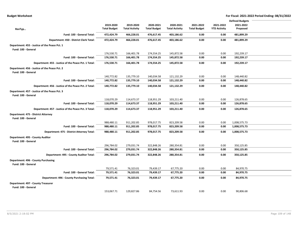|                                                                      |                     |                       |                     |                       |                     |                     | <b>Defined Budgets</b> |  |
|----------------------------------------------------------------------|---------------------|-----------------------|---------------------|-----------------------|---------------------|---------------------|------------------------|--|
|                                                                      | 2019-2020           | 2019-2020             | 2020-2021           | 2020-2021             | 2021-2022           | 2021-2022           | 2021-2022              |  |
| RevTyp                                                               | <b>Total Budget</b> | <b>Total Activity</b> | <b>Total Budget</b> | <b>Total Activity</b> | <b>Total Budget</b> | <b>YTD Activity</b> | Proposed               |  |
| Fund: 100 - General Total:                                           | 472,424.79          | 466,228.01            | 476,617.45          | 403,186.62            | 0.00                | 0.00                | 481,899.29             |  |
| Department: 450 - District Clerk Total:                              | 472,424.79          | 466,228.01            | 476,617.45          | 403,186.62            | 0.00                | 0.00                | 481,899.29             |  |
| Department: 455 - Justice of the Peace Pct. 1                        |                     |                       |                     |                       |                     |                     |                        |  |
| Fund: 100 - General                                                  |                     |                       |                     |                       |                     |                     |                        |  |
|                                                                      | 176,530.71          | 166,401.78            | 174,554.25          | 145,872.58            | 0.00                | 0.00                | 192,239.17             |  |
| Fund: 100 - General Total:                                           | 176,530.71          | 166,401.78            | 174,554.25          | 145,872.58            | 0.00                | 0.00                | 192,239.17             |  |
| Department: 455 - Justice of the Peace Pct. 1 Total:                 | 176,530.71          | 166,401.78            | 174,554.25          | 145,872.58            | 0.00                | 0.00                | 192,239.17             |  |
| Department: 456 - Justice of the Peace Pct. 2<br>Fund: 100 - General |                     |                       |                     |                       |                     |                     |                        |  |
|                                                                      | 140,772.82          | 135,779.10            | 140,034.58          | 121,132.29            | 0.00                | 0.00                | 148,440.82             |  |
| Fund: 100 - General Total:                                           | 140,772.82          | 135,779.10            | 140,034.58          | 121,132.29            | 0.00                | 0.00                | 148,440.82             |  |
| Department: 456 - Justice of the Peace Pct. 2 Total:                 | 140,772.82          | 135,779.10            | 140,034.58          | 121,132.29            | 0.00                | 0.00                | 148,440.82             |  |
| Department: 457 - Justice of the Peace Pct. 3<br>Fund: 100 - General |                     |                       |                     |                       |                     |                     |                        |  |
|                                                                      | 118,070.29          | 114,673.37            | 118,951.29          | 103,211.40            | 0.00                | 0.00                | 126,878.65             |  |
| Fund: 100 - General Total:                                           | 118,070.29          | 114,673.37            | 118,951.29          | 103,211.40            | 0.00                | 0.00                | 126,878.65             |  |
| Department: 457 - Justice of the Peace Pct. 3 Total:                 | 118,070.29          | 114,673.37            | 118,951.29          | 103,211.40            | 0.00                | 0.00                | 126,878.65             |  |
| Department: 475 - District Attorney<br>Fund: 100 - General           |                     |                       |                     |                       |                     |                     |                        |  |
|                                                                      | 988,480.11          | 911,202.85            | 978,017.75          | 823,209.58            | 0.00                | 0.00                | 1,008,575.73           |  |
| Fund: 100 - General Total:                                           | 988,480.11          | 911,202.85            | 978,017.75          | 823,209.58            | 0.00                | 0.00                | 1,008,575.73           |  |
| Department: 475 - District Attorney Total:                           | 988,480.11          | 911,202.85            | 978,017.75          | 823,209.58            | 0.00                | 0.00                | 1,008,575.73           |  |
| Department: 495 - County Auditor<br>Fund: 100 - General              |                     |                       |                     |                       |                     |                     |                        |  |
|                                                                      | 296,784.02          | 279,031.74            | 322,848.26          | 280,354.81            | 0.00                | 0.00                | 350,125.85             |  |
| Fund: 100 - General Total:                                           | 296,784.02          | 279,031.74            | 322,848.26          | 280,354.81            | 0.00                | 0.00                | 350,125.85             |  |
| Department: 495 - County Auditor Total:                              | 296,784.02          | 279,031.74            | 322,848.26          | 280,354.81            | 0.00                | 0.00                | 350,125.85             |  |
| Department: 496 - County Purchasing<br>Fund: 100 - General           |                     |                       |                     |                       |                     |                     |                        |  |
|                                                                      | 79,571.41           | 76,323.01             | 79,439.17           | 67,775.20             | 0.00                | 0.00                | 84,970.75              |  |
| Fund: 100 - General Total:                                           | 79,571.41           | 76,323.01             | 79,439.17           | 67,775.20             | 0.00                | 0.00                | 84,970.75              |  |
| Department: 496 - County Purchasing Total:                           | 79,571.41           | 76,323.01             | 79,439.17           | 67,775.20             | 0.00                | 0.00                | 84,970.75              |  |
| Department: 497 - County Treasurer                                   |                     |                       |                     |                       |                     |                     |                        |  |
| Fund: 100 - General                                                  | 153.067.71          | 129,827.86            | 84,754.56           | 73,611.93             | 0.00                | 0.00                | 90,806.68              |  |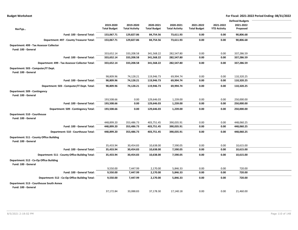|                                                                 |                     |                       |                     |                       |                     |                     | <b>Defined Budgets</b> |  |
|-----------------------------------------------------------------|---------------------|-----------------------|---------------------|-----------------------|---------------------|---------------------|------------------------|--|
|                                                                 | 2019-2020           | 2019-2020             | 2020-2021           | 2020-2021             | 2021-2022           | 2021-2022           | 2021-2022              |  |
| RevTyp                                                          | <b>Total Budget</b> | <b>Total Activity</b> | <b>Total Budget</b> | <b>Total Activity</b> | <b>Total Budget</b> | <b>YTD Activity</b> | Proposed               |  |
| Fund: 100 - General Total:                                      | 153,067.71          | 129,827.86            | 84,754.56           | 73,611.93             | 0.00                | 0.00                | 90,806.68              |  |
| Department: 497 - County Treasurer Total:                       | 153,067.71          | 129,827.86            | 84,754.56           | 73,611.93             | 0.00                | 0.00                | 90,806.68              |  |
| Department: 499 - Tax Assessor Collector                        |                     |                       |                     |                       |                     |                     |                        |  |
| Fund: 100 - General                                             |                     |                       |                     |                       |                     |                     |                        |  |
|                                                                 | 333,652.14          | 333,208.58            | 341,568.22          | 282,547.80            | 0.00                | 0.00                | 337,286.59             |  |
| Fund: 100 - General Total:                                      | 333,652.14          | 333,208.58            | 341,568.22          | 282,547.80            | 0.00                | 0.00                | 337,286.59             |  |
| Department: 499 - Tax Assessor Collector Total:                 | 333,652.14          | 333,208.58            | 341,568.22          | 282,547.80            | 0.00                | 0.00                | 337,286.59             |  |
| Department: 503 - Computer/IT Dept.                             |                     |                       |                     |                       |                     |                     |                        |  |
| Fund: 100 - General                                             |                     |                       |                     |                       |                     |                     |                        |  |
|                                                                 | 98,809.96           | 74,128.21             | 119,946.73          | 69,994.74             | 0.00                | 0.00                | 110,320.25             |  |
| Fund: 100 - General Total:                                      | 98,809.96           | 74,128.21             | 119,946.73          | 69,994.74             | 0.00                | 0.00                | 110,320.25             |  |
| Department: 503 - Computer/IT Dept. Total:                      | 98,809.96           | 74,128.21             | 119,946.73          | 69,994.74             | 0.00                | 0.00                | 110,320.25             |  |
| Department: 509 - Contingency                                   |                     |                       |                     |                       |                     |                     |                        |  |
| Fund: 100 - General                                             |                     |                       |                     |                       |                     |                     |                        |  |
|                                                                 | 193,508.66          | 0.00                  | 129,646.03          | 1,239.00              | 0.00                | 0.00                | 250,000.00             |  |
| Fund: 100 - General Total:                                      | 193,508.66          | 0.00                  | 129,646.03          | 1,239.00              | 0.00                | 0.00                | 250,000.00             |  |
| Department: 509 - Contingency Total:                            | 193,508.66          | 0.00                  | 129,646.03          | 1,239.00              | 0.00                | 0.00                | 250,000.00             |  |
| Department: 510 - Courthouse                                    |                     |                       |                     |                       |                     |                     |                        |  |
| Fund: 100 - General                                             |                     |                       |                     |                       |                     |                     |                        |  |
|                                                                 | 448,899.20          | 353,486.73            | 403,751.45          | 390,035.91            | 0.00                | 0.00                | 448,060.25             |  |
| Fund: 100 - General Total:                                      | 448,899.20          | 353,486.73            | 403,751.45          | 390,035.91            | 0.00                | 0.00                | 448,060.25             |  |
| Department: 510 - Courthouse Total:                             | 448,899.20          | 353,486.73            | 403,751.45          | 390,035.91            | 0.00                | 0.00                | 448,060.25             |  |
| Department: 511 - County Office Building<br>Fund: 100 - General |                     |                       |                     |                       |                     |                     |                        |  |
|                                                                 | 35,433.94           | 30,454.83             | 10,638.00           | 7,590.05              | 0.00                | 0.00                | 10,615.00              |  |
| <b>Fund: 100 - General Total:</b>                               | 35,433.94           | 30,454.83             | 10,638.00           | 7,590.05              | 0.00                | 0.00                | 10,615.00              |  |
| Department: 511 - County Office Building Total:                 | 35,433.94           | 30,454.83             | 10,638.00           | 7,590.05              | 0.00                | 0.00                | 10,615.00              |  |
| Department: 512 - Co-Op Office Building<br>Fund: 100 - General  |                     |                       |                     |                       |                     |                     |                        |  |
|                                                                 | 9,550.00            | 7,447.99              | 2,170.00            | 5,846.33              | 0.00                | 0.00                | 720.00                 |  |
| Fund: 100 - General Total:                                      | 9,550.00            | 7,447.99              | 2,170.00            | 5,846.33              | 0.00                | 0.00                | 720.00                 |  |
| Department: 512 - Co-Op Office Building Total:                  | 9,550.00            | 7,447.99              | 2,170.00            | 5,846.33              | 0.00                | 0.00                | 720.00                 |  |
| Department: 513 - Courthouse South Annex                        |                     |                       |                     |                       |                     |                     |                        |  |
| Fund: 100 - General                                             |                     |                       |                     |                       |                     |                     |                        |  |
|                                                                 | 37,172.84           | 33,088.83             | 37,178.30           | 17,140.18             | 0.00                | 0.00                | 21,460.00              |  |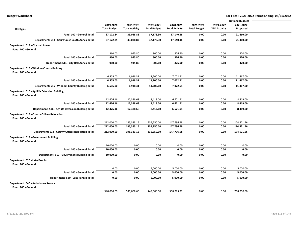|                                                                      |                     |                       |                     |                       |                     |                     | <b>Defined Budgets</b> |  |
|----------------------------------------------------------------------|---------------------|-----------------------|---------------------|-----------------------|---------------------|---------------------|------------------------|--|
|                                                                      | 2019-2020           | 2019-2020             | 2020-2021           | 2020-2021             | 2021-2022           | 2021-2022           | 2021-2022              |  |
| RevTyp                                                               | <b>Total Budget</b> | <b>Total Activity</b> | <b>Total Budget</b> | <b>Total Activity</b> | <b>Total Budget</b> | <b>YTD Activity</b> | Proposed               |  |
| Fund: 100 - General Total:                                           | 37,172.84           | 33,088.83             | 37,178.30           | 17,140.18             | 0.00                | 0.00                | 21,460.00              |  |
| Department: 513 - Courthouse South Annex Total:                      | 37,172.84           | 33,088.83             | 37,178.30           | 17,140.18             | 0.00                | 0.00                | 21,460.00              |  |
| Department: 514 - City Hall Annex                                    |                     |                       |                     |                       |                     |                     |                        |  |
| Fund: 100 - General                                                  |                     |                       |                     |                       |                     |                     |                        |  |
|                                                                      | 960.00              | 945.80                | 800.00              | 826.90                | 0.00                | 0.00                | 320.00                 |  |
| Fund: 100 - General Total:                                           | 960.00              | 945.80                | 800.00              | 826.90                | 0.00                | 0.00                | 320.00                 |  |
| Department: 514 - City Hall Annex Total:                             | 960.00              | 945.80                | 800.00              | 826.90                | 0.00                | 0.00                | 320.00                 |  |
| Department: 515 - Windom County Building                             |                     |                       |                     |                       |                     |                     |                        |  |
| Fund: 100 - General                                                  |                     |                       |                     |                       |                     |                     |                        |  |
|                                                                      | 6,505.00            | 6,938.31              | 11,200.00           | 7,072.51              | 0.00                | 0.00                | 11,467.00              |  |
| Fund: 100 - General Total:                                           | 6,505.00            | 6,938.31              | 11,200.00           | 7,072.51              | 0.00                | 0.00                | 11,467.00              |  |
| Department: 515 - Windom County Building Total:                      | 6,505.00            | 6,938.31              | 11,200.00           | 7,072.51              | 0.00                | 0.00                | 11,467.00              |  |
| Department: 516 - Agrilife Extension Building<br>Fund: 100 - General |                     |                       |                     |                       |                     |                     |                        |  |
|                                                                      | 12,476.16           | 12,388.68             | 8,413.00            | 6,671.91              | 0.00                | 0.00                | 8,419.00               |  |
| Fund: 100 - General Total:                                           | 12,476.16           | 12,388.68             | 8,413.00            | 6,671.91              | 0.00                | 0.00                | 8,419.00               |  |
| Department: 516 - Agrilife Extension Building Total:                 | 12,476.16           | 12,388.68             | 8,413.00            | 6,671.91              | 0.00                | 0.00                | 8,419.00               |  |
| <b>Department: 518 - County Offices Relocation</b>                   |                     |                       |                     |                       |                     |                     |                        |  |
| Fund: 100 - General                                                  |                     |                       |                     |                       |                     |                     |                        |  |
|                                                                      | 212,000.00          | 195,383.15            | 235,250.00          | 147,796.98            | 0.00                | 0.00                | 174,521.56             |  |
| Fund: 100 - General Total:                                           | 212,000.00          | 195,383.15            | 235,250.00          | 147,796.98            | 0.00                | 0.00                | 174,521.56             |  |
| <b>Department: 518 - County Offices Relocation Total:</b>            | 212,000.00          | 195,383.15            | 235,250.00          | 147,796.98            | 0.00                | 0.00                | 174,521.56             |  |
| Department: 519 - Government Building<br>Fund: 100 - General         |                     |                       |                     |                       |                     |                     |                        |  |
|                                                                      | 10,000.00           | 0.00                  | 0.00                | 0.00                  | 0.00                | 0.00                | 0.00                   |  |
| Fund: 100 - General Total:                                           | 10,000.00           | 0.00                  | 0.00                | 0.00                  | 0.00                | 0.00                | 0.00                   |  |
| Department: 519 - Government Building Total:                         | 10,000.00           | 0.00                  | 0.00                | 0.00                  | 0.00                | 0.00                | 0.00                   |  |
| Department: 520 - Lake Fannin<br>Fund: 100 - General                 |                     |                       |                     |                       |                     |                     |                        |  |
|                                                                      | 0.00                | 0.00                  | 5,000.00            | 5,000.00              | 0.00                | 0.00                | 5,000.00               |  |
| Fund: 100 - General Total:                                           | 0.00                | 0.00                  | 5,000.00            | 5,000.00              | 0.00                | 0.00                | 5,000.00               |  |
| Department: 520 - Lake Fannin Total:                                 | 0.00                | 0.00                  | 5,000.00            | 5,000.00              | 0.00                | 0.00                | 5,000.00               |  |
| Department: 540 - Ambulance Service                                  |                     |                       |                     |                       |                     |                     |                        |  |
| Fund: 100 - General                                                  |                     |                       |                     |                       |                     |                     |                        |  |
|                                                                      | 540,000.00          | 540,008.65            | 749,600.00          | 558,283.37            | 0.00                | 0.00                | 768,200.00             |  |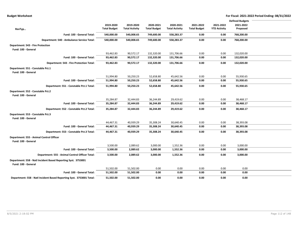|                                                                      |                     |                       |                     |                       |                     |                     | <b>Defined Budgets</b> |  |
|----------------------------------------------------------------------|---------------------|-----------------------|---------------------|-----------------------|---------------------|---------------------|------------------------|--|
|                                                                      | 2019-2020           | 2019-2020             | 2020-2021           | 2020-2021             | 2021-2022           | 2021-2022           | 2021-2022              |  |
| RevTyp                                                               | <b>Total Budget</b> | <b>Total Activity</b> | <b>Total Budget</b> | <b>Total Activity</b> | <b>Total Budget</b> | <b>YTD Activity</b> | Proposed               |  |
| Fund: 100 - General Total:                                           | 540,000.00          | 540,008.65            | 749,600.00          | 558,283.37            | 0.00                | 0.00                | 768,200.00             |  |
| Department: 540 - Ambulance Service Total:                           | 540,000.00          | 540,008.65            | 749,600.00          | 558,283.37            | 0.00                | 0.00                | 768,200.00             |  |
| Department: 543 - Fire Protection                                    |                     |                       |                     |                       |                     |                     |                        |  |
| Fund: 100 - General                                                  |                     |                       |                     |                       |                     |                     |                        |  |
|                                                                      | 93,462.83           | 90,572.17             | 132,320.00          | 131,706.66            | 0.00                | 0.00                | 132,020.00             |  |
| Fund: 100 - General Total:                                           | 93,462.83           | 90,572.17             | 132,320.00          | 131,706.66            | 0.00                | 0.00                | 132,020.00             |  |
| Department: 543 - Fire Protection Total:                             | 93,462.83           | 90,572.17             | 132,320.00          | 131,706.66            | 0.00                | 0.00                | 132,020.00             |  |
| Department: 551 - Constable Pct.1<br>Fund: 100 - General             |                     |                       |                     |                       |                     |                     |                        |  |
|                                                                      | 51,994.80           | 50,250.23             | 52,658.80           | 45,642.56             | 0.00                | 0.00                | 55,930.65              |  |
| Fund: 100 - General Total:                                           | 51,994.80           | 50,250.23             | 52,658.80           | 45,642.56             | 0.00                | 0.00                | 55,930.65              |  |
| Department: 551 - Constable Pct.1 Total:                             | 51,994.80           | 50,250.23             | 52,658.80           | 45,642.56             | 0.00                | 0.00                | 55,930.65              |  |
| Department: 552 - Constable Pct.2<br>Fund: 100 - General             |                     |                       |                     |                       |                     |                     |                        |  |
|                                                                      | 35,284.87           | 32,444.83             | 36,244.89           | 29,419.62             | 0.00                | 0.00                | 38,468.17              |  |
| Fund: 100 - General Total:                                           | 35,284.87           | 32,444.83             | 36,244.89           | 29,419.62             | 0.00                | 0.00                | 38,468.17              |  |
| Department: 552 - Constable Pct.2 Total:                             | 35,284.87           | 32,444.83             | 36,244.89           | 29,419.62             | 0.00                | 0.00                | 38,468.17              |  |
| Department: 553 - Constable Pct.3                                    |                     |                       |                     |                       |                     |                     |                        |  |
| Fund: 100 - General                                                  |                     |                       |                     |                       |                     |                     |                        |  |
|                                                                      | 44,467.31           | 40,939.29             | 35,308.24           | 30,640.45             | 0.00                | 0.00                | 38,393.08              |  |
| Fund: 100 - General Total:                                           | 44,467.31           | 40,939.29             | 35,308.24           | 30,640.45             | 0.00                | 0.00                | 38,393.08              |  |
| Department: 553 - Constable Pct.3 Total:                             | 44,467.31           | 40,939.29             | 35,308.24           | 30,640.45             | 0.00                | 0.00                | 38,393.08              |  |
| Department: 555 - Animal Control Officer<br>Fund: 100 - General      |                     |                       |                     |                       |                     |                     |                        |  |
|                                                                      | 3,500.00            | 2,089.62              | 3,000.00            | 1,552.36              | 0.00                | 0.00                | 3,000.00               |  |
| Fund: 100 - General Total:                                           | 3,500.00            | 2,089.62              | 3,000.00            | 1,552.36              | 0.00                | 0.00                | 3,000.00               |  |
| Department: 555 - Animal Control Officer Total:                      | 3,500.00            | 2,089.62              | 3,000.00            | 1,552.36              | 0.00                | 0.00                | 3,000.00               |  |
| Department: 558 - Natl Incident Based Reporting Syst. 3753001        |                     |                       |                     |                       |                     |                     |                        |  |
| Fund: 100 - General                                                  |                     |                       |                     |                       |                     |                     |                        |  |
|                                                                      | 51,502.00           | 51,502.00             | 0.00                | 0.00                  | 0.00                | 0.00                | 0.00                   |  |
| Fund: 100 - General Total:                                           | 51,502.00           | 51,502.00             | 0.00                | 0.00                  | 0.00                | 0.00                | 0.00                   |  |
| Department: 558 - Natl Incident Based Reporting Syst. 3753001 Total: | 51,502.00           | 51,502.00             | 0.00                | 0.00                  | 0.00                | 0.00                | 0.00                   |  |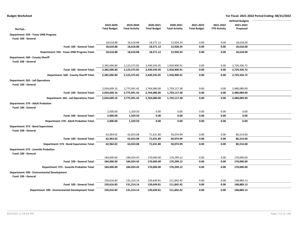|                                                                 |                     |                       |                     |                       |                     |                     | <b>Defined Budgets</b> |  |
|-----------------------------------------------------------------|---------------------|-----------------------|---------------------|-----------------------|---------------------|---------------------|------------------------|--|
|                                                                 | 2019-2020           | 2019-2020             | 2020-2021           | 2020-2021             | 2021-2022           | 2021-2022           | 2021-2022              |  |
| RevTyp                                                          | <b>Total Budget</b> | <b>Total Activity</b> | <b>Total Budget</b> | <b>Total Activity</b> | <b>Total Budget</b> | <b>YTD Activity</b> | Proposed               |  |
| Department: 559 - Texas VINE Program                            |                     |                       |                     |                       |                     |                     |                        |  |
| Fund: 100 - General                                             |                     |                       |                     |                       |                     |                     |                        |  |
|                                                                 | 18,618.88           | 18,618.88             | 18,571.12           | 13,928.34             | 0.00                | 0.00                | 18,618.00              |  |
| Fund: 100 - General Total:                                      | 18,618.88           | 18,618.88             | 18,571.12           | 13,928.34             | 0.00                | 0.00                | 18,618.00              |  |
| Department: 559 - Texas VINE Program Total:                     | 18,618.88           | 18,618.88             | 18,571.12           | 13,928.34             | 0.00                | 0.00                | 18,618.00              |  |
| Department: 560 - County Sheriff                                |                     |                       |                     |                       |                     |                     |                        |  |
| Fund: 100 - General                                             |                     |                       |                     |                       |                     |                     |                        |  |
|                                                                 | 2,382,696.80        | 2,123,575.85          | 2,430,545.05        | 1,918,900.91          | 0.00                | 0.00                | 2,729,336.72           |  |
| Fund: 100 - General Total:                                      | 2,382,696.80        | 2,123,575.85          | 2,430,545.05        | 1,918,900.91          | 0.00                | 0.00                | 2,729,336.72           |  |
| Department: 560 - County Sheriff Total:                         | 2,382,696.80        | 2,123,575.85          | 2,430,545.05        | 1,918,900.91          | 0.00                | 0.00                | 2,729,336.72           |  |
| <b>Department: 565 - Jail Operations</b><br>Fund: 100 - General |                     |                       |                     |                       |                     |                     |                        |  |
|                                                                 | 2,034,609.16        | 2,775,991.42          | 2,764,080.00        | 1,729,117.38          | 0.00                | 0.00                | 2,480,089.00           |  |
| Fund: 100 - General Total:                                      | 2,034,609.16        | 2,775,991.42          | 2,764,080.00        | 1,729,117.38          | 0.00                | 0.00                | 2,480,089.00           |  |
| Department: 565 - Jail Operations Total:                        | 2,034,609.16        | 2,775,991.42          | 2,764,080.00        | 1,729,117.38          | 0.00                | 0.00                | 2,480,089.00           |  |
|                                                                 |                     |                       |                     |                       |                     |                     |                        |  |
| Department: 570 - Adult Probation<br>Fund: 100 - General        |                     |                       |                     |                       |                     |                     |                        |  |
|                                                                 | 2,000.00            | 1,329.50              | 0.00                | 0.00                  | 0.00                | 0.00                | 0.00                   |  |
| Fund: 100 - General Total:                                      | 2,000.00            | 1,329.50              | 0.00                | 0.00                  | 0.00                | 0.00                | 0.00                   |  |
| Department: 570 - Adult Probation Total:                        | 2,000.00            | 1,329.50              | 0.00                | 0.00                  | 0.00                | 0.00                | 0.00                   |  |
| Department: 573 - Bond Supervision                              |                     |                       |                     |                       |                     |                     |                        |  |
| Fund: 100 - General                                             |                     |                       |                     |                       |                     |                     |                        |  |
|                                                                 | 62,964.02           | 62,653.08             | 71,631.80           | 50,074.99             | 0.00                | 0.00                | 80,214.00              |  |
| Fund: 100 - General Total:                                      | 62,964.02           | 62,653.08             | 71,631.80           | 50,074.99             | 0.00                | 0.00                | 80,214.00              |  |
| Department: 573 - Bond Supervision Total:                       | 62,964.02           | 62,653.08             | 71,631.80           | 50,074.99             | 0.00                | 0.00                | 80,214.00              |  |
| Department: 575 - Juvenile Probation                            |                     |                       |                     |                       |                     |                     |                        |  |
| Fund: 100 - General                                             |                     |                       |                     |                       |                     |                     |                        |  |
|                                                                 | 184,000.00          | 184,024.43            | 170,000.00          | 170,299.12            | 0.00                | 0.00                | 170,000.00             |  |
| Fund: 100 - General Total:                                      | 184,000.00          | 184,024.43            | 170,000.00          | 170,299.12            | 0.00                | 0.00                | 170,000.00             |  |
| Department: 575 - Juvenile Probation Total:                     | 184,000.00          | 184,024.43            | 170,000.00          | 170,299.12            | 0.00                | 0.00                | 170,000.00             |  |
| Department: 590 - Environmental Development                     |                     |                       |                     |                       |                     |                     |                        |  |
| Fund: 100 - General                                             |                     |                       |                     |                       |                     |                     |                        |  |
|                                                                 | 150,616.83          | 131,214.14            | 139,649.81          | 111,842.42            | 0.00                | 0.00                | 148,889.13             |  |
| Fund: 100 - General Total:                                      | 150,616.83          | 131,214.14            | 139,649.81          | 111,842.42            | 0.00                | 0.00                | 148,889.13             |  |
| Department: 590 - Environmental Development Total:              | 150.616.83          | 131,214.14            | 139.649.81          | 111.842.42            | 0.00                | 0.00                | 148.889.13             |  |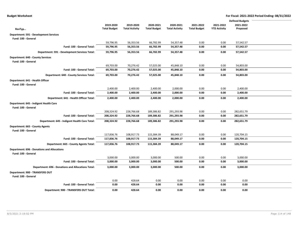|                                                                           |                     |                       |                     |                       |                     |                     | <b>Defined Budgets</b> |  |
|---------------------------------------------------------------------------|---------------------|-----------------------|---------------------|-----------------------|---------------------|---------------------|------------------------|--|
|                                                                           | 2019-2020           | 2019-2020             | 2020-2021           | 2020-2021             | 2021-2022           | 2021-2022           | 2021-2022              |  |
| RevTyp                                                                    | <b>Total Budget</b> | <b>Total Activity</b> | <b>Total Budget</b> | <b>Total Activity</b> | <b>Total Budget</b> | <b>YTD Activity</b> | Proposed               |  |
| <b>Department: 591 - Development Services</b>                             |                     |                       |                     |                       |                     |                     |                        |  |
| Fund: 100 - General                                                       |                     |                       |                     |                       |                     |                     |                        |  |
|                                                                           | 59,796.95           | 56,353.56             | 66,782.99           | 54,357.48             | 0.00                | 0.00                | 57,542.57              |  |
| Fund: 100 - General Total:                                                | 59,796.95           | 56,353.56             | 66,782.99           | 54,357.48             | 0.00                | 0.00                | 57,542.57              |  |
| Department: 591 - Development Services Total:                             | 59,796.95           | 56,353.56             | 66,782.99           | 54,357.48             | 0.00                | 0.00                | 57,542.57              |  |
| <b>Department: 640 - County Services</b>                                  |                     |                       |                     |                       |                     |                     |                        |  |
| Fund: 100 - General                                                       |                     |                       |                     |                       |                     |                     |                        |  |
|                                                                           | 69,703.00           | 70,276.42             | 57,025.00           | 45,848.10             | 0.00                | 0.00                | 54,803.00              |  |
| <b>Fund: 100 - General Total:</b>                                         | 69,703.00           | 70,276.42             | 57,025.00           | 45,848.10             | 0.00                | 0.00                | 54,803.00              |  |
| Department: 640 - County Services Total:                                  | 69,703.00           | 70,276.42             | 57,025.00           | 45,848.10             | 0.00                | 0.00                | 54,803.00              |  |
| Department: 641 - Health Officer<br>Fund: 100 - General                   |                     |                       |                     |                       |                     |                     |                        |  |
|                                                                           | 2,400.00            | 2,400.00              | 2,400.00            | 2,000.00              | 0.00                | 0.00                | 2,400.00               |  |
| Fund: 100 - General Total:                                                | 2,400.00            | 2,400.00              | 2,400.00            | 2,000.00              | 0.00                | 0.00                | 2,400.00               |  |
| Department: 641 - Health Officer Total:                                   | 2,400.00            | 2,400.00              | 2,400.00            | 2,000.00              | 0.00                | 0.00                | 2,400.00               |  |
| Department: 645 - Indigent Health Care<br>Fund: 100 - General             |                     |                       |                     |                       |                     |                     |                        |  |
|                                                                           | 208,324.92          | 228,766.68            | 189,386.82          | 291,293.98            | 0.00                | 0.00                | 282,651.79             |  |
| Fund: 100 - General Total:                                                | 208,324.92          | 228,766.68            | 189,386.82          | 291,293.98            | 0.00                | 0.00                | 282,651.79             |  |
| Department: 645 - Indigent Health Care Total:                             | 208,324.92          | 228,766.68            | 189,386.82          | 291,293.98            | 0.00                | 0.00                | 282,651.79             |  |
| Department: 665 - County Agents<br>Fund: 100 - General                    |                     |                       |                     |                       |                     |                     |                        |  |
|                                                                           | 117,836.76          | 108,917.73            | 115,384.39          | 88,049.17             | 0.00                | 0.00                | 120,704.15             |  |
| Fund: 100 - General Total:                                                | 117,836.76          | 108,917.73            | 115,384.39          | 88,049.17             | 0.00                | 0.00                | 120,704.15             |  |
| Department: 665 - County Agents Total:                                    | 117,836.76          | 108,917.73            | 115,384.39          | 88,049.17             | 0.00                | 0.00                | 120,704.15             |  |
| <b>Department: 696 - Donations and Allocations</b><br>Fund: 100 - General |                     |                       |                     |                       |                     |                     |                        |  |
|                                                                           | 3,000.00            | 3,000.00              | 3,000.00            | 500.00                | 0.00                | 0.00                | 3,000.00               |  |
| Fund: 100 - General Total:                                                | 3,000.00            | 3,000.00              | 3,000.00            | 500.00                | 0.00                | 0.00                | 3,000.00               |  |
| <b>Department: 696 - Donations and Allocations Total:</b>                 | 3,000.00            | 3,000.00              | 3,000.00            | 500.00                | 0.00                | 0.00                | 3,000.00               |  |
| Department: 900 - TRANSFERS OUT<br>Fund: 100 - General                    |                     |                       |                     |                       |                     |                     |                        |  |
|                                                                           | 0.00                | 428.64                | 0.00                | 0.00                  | 0.00                | 0.00                | 0.00                   |  |
| Fund: 100 - General Total:                                                | 0.00                | 428.64                | 0.00                | 0.00                  | 0.00                | 0.00                | 0.00                   |  |
| Department: 900 - TRANSFERS OUT Total:                                    | 0.00                | 428.64                | 0.00                | 0.00                  | 0.00                | 0.00                | 0.00                   |  |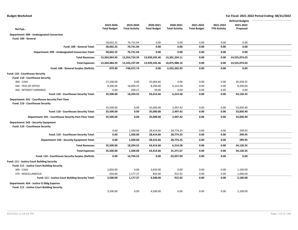|                                                        |                     |                       |                     |                       |                     |                     | <b>Defined Budgets</b> |
|--------------------------------------------------------|---------------------|-----------------------|---------------------|-----------------------|---------------------|---------------------|------------------------|
|                                                        | 2019-2020           | 2019-2020             | 2020-2021           | 2020-2021             | 2021-2022           | 2021-2022           | 2021-2022              |
| RevTyp                                                 | <b>Total Budget</b> | <b>Total Activity</b> | <b>Total Budget</b> | <b>Total Activity</b> | <b>Total Budget</b> | <b>YTD Activity</b> | Proposed               |
| Department: 999 - Undesignated Conversion              |                     |                       |                     |                       |                     |                     |                        |
| Fund: 100 - General                                    |                     |                       |                     |                       |                     |                     |                        |
|                                                        | 58,602.25           | 76,731.04             | 0.00                | 0.00                  | 0.00                | 0.00                | 0.00                   |
| Fund: 100 - General Total:                             | 58,602.25           | 76,731.04             | 0.00                | 0.00                  | 0.00                | 0.00                | 0.00                   |
| Department: 999 - Undesignated Conversion Total:       | 58,602.25           | 76,731.04             | 0.00                | 0.00                  | 0.00                | 0.00                | 0.00                   |
| <b>Total Revenues</b>                                  | 13,264,964.92       | 12,354,724.35         | 13,939,245.46       | 13,301,254.11         | 0.00                | 0.00                | 14,525,074.03          |
| <b>Total Expenses</b>                                  | 13,264,084.93       | 13,103,197.09         | 13,939,245.46       | 10,875,988.16         | 0.00                | 0.00                | 14,525,074.03          |
| Fund: 100 - General Surplus (Deficit):                 | 879.99              | -748,472.74           | 0.00                | 2,425,265.95          | 0.00                | 0.00                | 0.00                   |
| Fund: 110 - Courthouse Security                        |                     |                       |                     |                       |                     |                     |                        |
| Fund: 110 - Courthouse Security                        |                     |                       |                     |                       |                     |                     |                        |
| 300 - CASH                                             | 27,200.00           | 0.00                  | 55,064.66           | 0.00                  | 0.00                | 0.00                | 45,930.35              |
| 340 - FEES OF OFFICE                                   | 8,300.00            | 18,094.25             | 8,300.00            | 6,214.58              | 0.00                | 0.00                | 8,200.00               |
| 360 - INTEREST EARNINGS                                | 0.00                | 200.27                | 50.00               | 0.00                  | 0.00                | 0.00                | 0.00                   |
| Fund: 110 - Courthouse Security Total:                 | 35,500.00           | 18,294.52             | 63,414.66           | 6,214.58              | 0.00                | 0.00                | 54,130.35              |
| Department: 541 - Courthouse Security Part-Time        |                     |                       |                     |                       |                     |                     |                        |
| Fund: 110 - Courthouse Security                        |                     |                       |                     |                       |                     |                     |                        |
|                                                        | 35,500.00           | 0.00                  | 35,000.00           | 2,497.42              | 0.00                | 0.00                | 53,830.40              |
| Fund: 110 - Courthouse Security Total:                 | 35,500.00           | 0.00                  | 35,000.00           | 2,497.42              | 0.00                | 0.00                | 53,830.40              |
| Department: 541 - Courthouse Security Part-Time Total: | 35,500.00           | 0.00                  | 35,000.00           | 2,497.42              | 0.00                | 0.00                | 53,830.40              |
| Department: 542 - Security Equipment                   |                     |                       |                     |                       |                     |                     |                        |
| Fund: 110 - Courthouse Security                        |                     |                       |                     |                       |                     |                     |                        |
|                                                        | 0.00                | 1,500.00              | 28,414.66           | 28,774.25             | 0.00                | 0.00                | 299.95                 |
| Fund: 110 - Courthouse Security Total:                 | 0.00                | 1,500.00              | 28,414.66           | 28,774.25             | 0.00                | 0.00                | 299.95                 |
| Department: 542 - Security Equipment Total:            | 0.00                | 1,500.00              | 28,414.66           | 28,774.25             | 0.00                | 0.00                | 299.95                 |
| <b>Total Revenues</b>                                  | 35,500.00           | 18,294.52             | 63,414.66           | 6,214.58              | 0.00                | 0.00                | 54,130.35              |
| <b>Total Expenses</b>                                  | 35,500.00           | 1,500.00              | 63,414.66           | 31,271.67             | 0.00                | 0.00                | 54,130.35              |
| Fund: 110 - Courthouse Security Surplus (Deficit):     | 0.00                | 16,794.52             | 0.00                | $-25,057.09$          | 0.00                | 0.00                | 0.00                   |
| Fund: 111 - Justice Court Building Security            |                     |                       |                     |                       |                     |                     |                        |
| Fund: 111 - Justice Court Building Security            |                     |                       |                     |                       |                     |                     |                        |
| 300 - CASH                                             | 2,850.00            | 0.00                  | 3,650.00            | 0.00                  | 0.00                | 0.00                | 1,100.00               |
| 370 - MISCELLANEOUS                                    | 650.00              | 1,177.37              | 850.00              | 915.92                | 0.00                | 0.00                | 1,000.00               |
| Fund: 111 - Justice Court Building Security Total:     | 3,500.00            | 1,177.37              | 4,500.00            | 915.92                | 0.00                | 0.00                | 2,100.00               |
| Department: 454 - Justice Ct Bldg Expense              |                     |                       |                     |                       |                     |                     |                        |
| Fund: 111 - Justice Court Building Security            |                     |                       |                     |                       |                     |                     |                        |
|                                                        | 3,500.00            | 0.00                  | 4,500.00            | 0.00                  | 0.00                | 0.00                | 2,100.00               |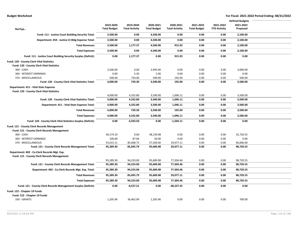|                                                                |                     |                       |                     |                       |                     |                     | <b>Defined Budgets</b> |  |
|----------------------------------------------------------------|---------------------|-----------------------|---------------------|-----------------------|---------------------|---------------------|------------------------|--|
|                                                                | 2019-2020           | 2019-2020             | 2020-2021           | 2020-2021             | 2021-2022           | 2021-2022           | 2021-2022              |  |
| RevTyp                                                         | <b>Total Budget</b> | <b>Total Activity</b> | <b>Total Budget</b> | <b>Total Activity</b> | <b>Total Budget</b> | <b>YTD Activity</b> | Proposed               |  |
| Fund: 111 - Justice Court Building Security Total:             | 3,500.00            | 0.00                  | 4,500.00            | 0.00                  | 0.00                | 0.00                | 2,100.00               |  |
| Department: 454 - Justice Ct Bldg Expense Total:               | 3,500.00            | 0.00                  | 4,500.00            | 0.00                  | 0.00                | 0.00                | 2,100.00               |  |
| <b>Total Revenues</b>                                          | 3,500.00            | 1,177.37              | 4,500.00            | 915.92                | 0.00                | 0.00                | 2,100.00               |  |
| <b>Total Expenses</b>                                          | 3,500.00            | 0.00                  | 4,500.00            | 0.00                  | 0.00                | 0.00                | 2,100.00               |  |
| Fund: 111 - Justice Court Building Security Surplus (Deficit): | 0.00                | 1,177.37              | 0.00                | 915.92                | 0.00                | 0.00                | 0.00                   |  |
| Fund: 120 - County Clerk Vital Statistics                      |                     |                       |                     |                       |                     |                     |                        |  |
| Fund: 120 - County Clerk Vital Statistics                      |                     |                       |                     |                       |                     |                     |                        |  |
| 300 - CASH                                                     | 3,500.00            | 0.00                  | 2,995.00            | 0.00                  | 0.00                | 0.00                | 3,000.00               |  |
| 360 - INTEREST EARNINGS                                        | 0.00                | 5.30                  | 5.00                | 0.00                  | 0.00                | 0.00                | 0.00                   |  |
| 370 - MISCELLANEOUS                                            | 500.00              | 734.00                | 500.00              | 192.00                | 0.00                | 0.00                | 500.00                 |  |
| Fund: 120 - County Clerk Vital Statistics Total:               | 4,000.00            | 739.30                | 3,500.00            | 192.00                | 0.00                | 0.00                | 3,500.00               |  |
| Department: 411 - Vital Stats Expense                          |                     |                       |                     |                       |                     |                     |                        |  |
| Fund: 120 - County Clerk Vital Statistics                      |                     |                       |                     |                       |                     |                     |                        |  |
|                                                                | 4,000.00            | 4,332.80              | 3,500.00            | 1,696.11              | 0.00                | 0.00                | 3,500.00               |  |
| Fund: 120 - County Clerk Vital Statistics Total:               | 4,000.00            | 4,332.80              | 3,500.00            | 1,696.11              | 0.00                | 0.00                | 3,500.00               |  |
| Department: 411 - Vital Stats Expense Total:                   | 4,000.00            | 4,332.80              | 3,500.00            | 1,696.11              | 0.00                | 0.00                | 3,500.00               |  |
| <b>Total Revenues</b>                                          | 4,000.00            | 739.30                | 3,500.00            | 192.00                | 0.00                | 0.00                | 3,500.00               |  |
| <b>Total Expenses</b>                                          | 4,000.00            | 4,332.80              | 3,500.00            | 1,696.11              | 0.00                | 0.00                | 3,500.00               |  |
| Fund: 120 - County Clerk Vital Statistics Surplus (Deficit):   | 0.00                | $-3,593.50$           | 0.00                | $-1,504.11$           | 0.00                | 0.00                | 0.00                   |  |
| Fund: 121 - County Clerk Records Management                    |                     |                       |                     |                       |                     |                     |                        |  |
| Fund: 121 - County Clerk Records Management                    |                     |                       |                     |                       |                     |                     |                        |  |
| 300 - CASH                                                     | 40,174.19           | 0.00                  | 38,139.08           | 0.00                  | 0.00                | 0.00                | 32,720.55              |  |
| 360 - INTEREST EARNINGS                                        | 100.00              | 87.06                 | 50.00               | 0.00                  | 0.00                | 0.00                | 0.00                   |  |
| 370 - MISCELLANEOUS                                            | 55,015.11           | 85,608.73             | 57,500.00           | 29,077.11             | 0.00                | 0.00                | 66,000.00              |  |
| Fund: 121 - County Clerk Records Management Total:             | 95,289.30           | 85,695.79             | 95,689.08           | 29,077.11             | 0.00                | 0.00                | 98,720.55              |  |
| Department: 402 - Co.Clerk Records Mgt. Exp.                   |                     |                       |                     |                       |                     |                     |                        |  |
| <b>Fund: 121 - County Clerk Records Management</b>             |                     |                       |                     |                       |                     |                     |                        |  |
|                                                                | 95,289.30           | 94,233.00             | 95,689.08           | 77,304.46             | 0.00                | 0.00                | 98,720.55              |  |
| Fund: 121 - County Clerk Records Management Total:             | 95,289.30           | 94,233.00             | 95,689.08           | 77,304.46             | 0.00                | 0.00                | 98,720.55              |  |
| Department: 402 - Co.Clerk Records Mgt. Exp. Total:            | 95,289.30           | 94,233.00             | 95,689.08           | 77,304.46             | 0.00                | 0.00                | 98,720.55              |  |
| <b>Total Revenues</b>                                          | 95,289.30           | 85,695.79             | 95,689.08           | 29,077.11             | 0.00                | 0.00                | 98,720.55              |  |
| <b>Total Expenses</b>                                          | 95,289.30           | 94,233.00             | 95,689.08           | 77,304.46             | 0.00                | 0.00                | 98,720.55              |  |
| Fund: 121 - County Clerk Records Management Surplus (Deficit): | 0.00                | $-8,537.21$           | 0.00                | -48,227.35            | 0.00                | 0.00                | 0.00                   |  |
| Fund: 122 - Chapter 19 Funds                                   |                     |                       |                     |                       |                     |                     |                        |  |
| Fund: 122 - Chapter 19 Funds                                   |                     |                       |                     |                       |                     |                     |                        |  |
| 330 - GRANTS                                                   | 1,205.96            | 36,462.99             | 1,205.96            | 0.00                  | 0.00                | 0.00                | 700.00                 |  |
|                                                                |                     |                       |                     |                       |                     |                     |                        |  |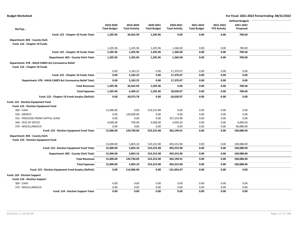|                                                                                     |                     |                       |                     |                       |                     |                     | <b>Defined Budgets</b> |  |
|-------------------------------------------------------------------------------------|---------------------|-----------------------|---------------------|-----------------------|---------------------|---------------------|------------------------|--|
|                                                                                     | 2019-2020           | 2019-2020             | 2020-2021           | 2020-2021             | 2021-2022           | 2021-2022           | 2021-2022              |  |
| RevTyp                                                                              | <b>Total Budget</b> | <b>Total Activity</b> | <b>Total Budget</b> | <b>Total Activity</b> | <b>Total Budget</b> | <b>YTD Activity</b> | Proposed               |  |
| Fund: 122 - Chapter 19 Funds Total:                                                 | 1,205.96            | 36,462.99             | 1,205.96            | 0.00                  | 0.00                | 0.00                | 700.00                 |  |
| Department: 403 - County Clerk                                                      |                     |                       |                     |                       |                     |                     |                        |  |
| Fund: 122 - Chapter 19 Funds                                                        |                     |                       |                     |                       |                     |                     |                        |  |
|                                                                                     | 1,205.96            | 1,205.96              | 1,205.96            | 1,260.00              | 0.00                | 0.00                | 700.00                 |  |
| Fund: 122 - Chapter 19 Funds Total:                                                 | 1,205.96            | 1,205.96              | 1,205.96            | 1,260.00              | 0.00                | 0.00                | 700.00                 |  |
| Department: 403 - County Clerk Total:                                               | 1,205.96            | 1,205.96              | 1,205.96            | 1,260.00              | 0.00                | 0.00                | 700.00                 |  |
| Department: 478 - HAVA CARES Act Coronavirus Relief<br>Fund: 122 - Chapter 19 Funds |                     |                       |                     |                       |                     |                     |                        |  |
|                                                                                     | 0.00                | 5,183.25              | 0.00                | 17,370.07             | 0.00                | 0.00                | 0.00                   |  |
| Fund: 122 - Chapter 19 Funds Total:                                                 | 0.00                | 5,183.25              | 0.00                | 17,370.07             | 0.00                | 0.00                | 0.00                   |  |
| Department: 478 - HAVA CARES Act Coronavirus Relief Total:                          | 0.00                | 5,183.25              | 0.00                | 17,370.07             | 0.00                | 0.00                | 0.00                   |  |
| <b>Total Revenues</b>                                                               | 1,205.96            | 36,462.99             | 1,205.96            | 0.00                  | 0.00                | 0.00                | 700.00                 |  |
| <b>Total Expenses</b>                                                               | 1,205.96            | 6,389.21              | 1,205.96            | 18,630.07             | 0.00                | 0.00                | 700.00                 |  |
| Fund: 122 - Chapter 19 Funds Surplus (Deficit):                                     | 0.00                | 30,073.78             | 0.00                | $-18,630.07$          | 0.00                | 0.00                | 0.00                   |  |
| Fund: 123 - Election Equipment Fund                                                 |                     |                       |                     |                       |                     |                     |                        |  |
| Fund: 123 - Election Equipment Fund                                                 |                     |                       |                     |                       |                     |                     |                        |  |
| 300 - CASH                                                                          | 11,000.00           | 0.00                  | 519,253.98          | 0.00                  | 0.00                | 0.00                | 0.00                   |  |
| 330 - GRANTS                                                                        | 0.00                | 120,000.00            | 0.00                | 0.00                  | 0.00                | 0.00                | 0.00                   |  |
| 335 - PROCEEDS FROM CAPITAL LEASE                                                   | 0.00                | 0.00                  | 0.00                | 357,253.98            | 0.00                | 0.00                | 0.00                   |  |
| 340 - FEES OF OFFICE                                                                | 4,000.00            | 790.00                | 4,000.00            | 4,945.93              | 0.00                | 0.00                | 4,000.00               |  |
| 370 - MISCELLANEOUS                                                                 | 0.00                | 0.00                  | 0.00                | 0.00                  | 0.00                | 0.00                | 96,088.00              |  |
| Fund: 123 - Election Equipment Fund Total:                                          | 15,000.00           | 120,790.00            | 523,253.98          | 362,199.91            | 0.00                | 0.00                | 100,088.00             |  |
| Department: 403 - County Clerk                                                      |                     |                       |                     |                       |                     |                     |                        |  |
| Fund: 123 - Election Equipment Fund                                                 |                     |                       |                     |                       |                     |                     |                        |  |
|                                                                                     | 15,000.00           | 5,803.10              | 523,253.98          | 493,253.98            | 0.00                | 0.00                | 100,088.00             |  |
| Fund: 123 - Election Equipment Fund Total:                                          | 15,000.00           | 5,803.10              | 523,253.98          | 493,253.98            | 0.00                | 0.00                | 100,088.00             |  |
| Department: 403 - County Clerk Total:                                               | 15,000.00           | 5,803.10              | 523,253.98          | 493,253.98            | 0.00                | 0.00                | 100,088.00             |  |
| <b>Total Revenues</b>                                                               | 15,000.00           | 120,790.00            | 523,253.98          | 362,199.91            | 0.00                | 0.00                | 100,088.00             |  |
| <b>Total Expenses</b>                                                               | 15,000.00           | 5,803.10              | 523,253.98          | 493,253.98            | 0.00                | 0.00                | 100,088.00             |  |
| Fund: 123 - Election Equipment Fund Surplus (Deficit):                              | 0.00                | 114,986.90            | 0.00                | $-131,054.07$         | 0.00                | 0.00                | 0.00                   |  |
| Fund: 124 - Election Support                                                        |                     |                       |                     |                       |                     |                     |                        |  |
| Fund: 124 - Election Support                                                        |                     |                       |                     |                       |                     |                     |                        |  |
| 300 - CASH                                                                          | 0.00                | 0.00                  | 0.00                | 0.00                  | 0.00                | 0.00                | 0.00                   |  |
| 370 - MISCELLANEOUS                                                                 | 0.00                | 0.00                  | 0.00                | 0.00                  | 0.00                | 0.00                | 0.00                   |  |
| <b>Fund: 124 - Election Support Total:</b>                                          | 0.00                | 0.00                  | 0.00                | 0.00                  | 0.00                | 0.00                | 0.00                   |  |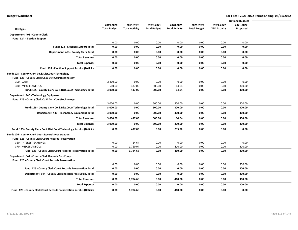|                                                                        |                     |                       |                     |                       |                     |                     | <b>Defined Budgets</b> |  |
|------------------------------------------------------------------------|---------------------|-----------------------|---------------------|-----------------------|---------------------|---------------------|------------------------|--|
|                                                                        | 2019-2020           | 2019-2020             | 2020-2021           | 2020-2021             | 2021-2022           | 2021-2022           | 2021-2022              |  |
| RevTyp                                                                 | <b>Total Budget</b> | <b>Total Activity</b> | <b>Total Budget</b> | <b>Total Activity</b> | <b>Total Budget</b> | <b>YTD Activity</b> | Proposed               |  |
| Department: 403 - County Clerk                                         |                     |                       |                     |                       |                     |                     |                        |  |
| <b>Fund: 124 - Election Support</b>                                    |                     |                       |                     |                       |                     |                     |                        |  |
|                                                                        | 0.00                | 0.00                  | 0.00                | 0.00                  | 0.00                | 0.00                | 0.00                   |  |
| Fund: 124 - Election Support Total:                                    | 0.00                | 0.00                  | 0.00                | 0.00                  | 0.00                | 0.00                | 0.00                   |  |
| Department: 403 - County Clerk Total:                                  | 0.00                | 0.00                  | 0.00                | 0.00                  | 0.00                | 0.00                | 0.00                   |  |
| <b>Total Revenues</b>                                                  | 0.00                | 0.00                  | 0.00                | 0.00                  | 0.00                | 0.00                | 0.00                   |  |
| <b>Total Expenses</b>                                                  | 0.00                | 0.00                  | 0.00                | 0.00                  | 0.00                | 0.00                | 0.00                   |  |
| Fund: 124 - Election Support Surplus (Deficit):                        | 0.00                | 0.00                  | 0.00                | 0.00                  | 0.00                | 0.00                | 0.00                   |  |
| Fund: 125 - County Clerk Co.& Dist.CourtTechnology                     |                     |                       |                     |                       |                     |                     |                        |  |
| Fund: 125 - County Clerk Co.& Dist.CourtTechnology                     |                     |                       |                     |                       |                     |                     |                        |  |
| 300 - CASH                                                             | 2,400.00            | 0.00                  | 0.00                | 0.00                  | 0.00                | 0.00                | 0.00                   |  |
| 370 - MISCELLANEOUS                                                    | 600.00              | 437.05                | 600.00              | 64.04                 | 0.00                | 0.00                | 300.00                 |  |
| Fund: 125 - County Clerk Co.& Dist.CourtTechnology Total:              | 3,000.00            | 437.05                | 600.00              | 64.04                 | 0.00                | 0.00                | 300.00                 |  |
| Department: 440 - Technology Equipment                                 |                     |                       |                     |                       |                     |                     |                        |  |
| Fund: 125 - County Clerk Co.& Dist.CourtTechnology                     |                     |                       |                     |                       |                     |                     |                        |  |
|                                                                        | 3,000.00            | 0.00                  | 600.00              | 300.00                | 0.00                | 0.00                | 300.00                 |  |
| Fund: 125 - County Clerk Co.& Dist.CourtTechnology Total:              | 3,000.00            | 0.00                  | 600.00              | 300.00                | 0.00                | 0.00                | 300.00                 |  |
| Department: 440 - Technology Equipment Total:                          | 3,000.00            | 0.00                  | 600.00              | 300.00                | 0.00                | 0.00                | 300.00                 |  |
| <b>Total Revenues</b>                                                  | 3,000.00            | 437.05                | 600.00              | 64.04                 | 0.00                | 0.00                | 300.00                 |  |
| <b>Total Expenses</b>                                                  | 3,000.00            | 0.00                  | 600.00              | 300.00                | 0.00                | 0.00                | 300.00                 |  |
| Fund: 125 - County Clerk Co.& Dist.CourtTechnology Surplus (Deficit):  | 0.00                | 437.05                | 0.00                | $-235.96$             | 0.00                | 0.00                | 0.00                   |  |
| Fund: 126 - County Clerk Court Records Preservation                    |                     |                       |                     |                       |                     |                     |                        |  |
| Fund: 126 - County Clerk Court Records Preservation                    |                     |                       |                     |                       |                     |                     |                        |  |
| 360 - INTEREST EARNINGS                                                | 0.00                | 24.64                 | 0.00                | 0.00                  | 0.00                | 0.00                | 0.00                   |  |
| 370 - MISCELLANEOUS                                                    | 0.00                | 1,760.04              | 0.00                | 410.00                | 0.00                | 0.00                | 300.00                 |  |
| Fund: 126 - County Clerk Court Records Preservation Total:             | 0.00                | 1,784.68              | 0.00                | 410.00                | 0.00                | 0.00                | 300.00                 |  |
| Department: 544 - County Clerk Records Pres. Equip.                    |                     |                       |                     |                       |                     |                     |                        |  |
| Fund: 126 - County Clerk Court Records Preservation                    |                     |                       |                     |                       |                     |                     |                        |  |
|                                                                        | 0.00                | 0.00                  | 0.00                | 0.00                  | 0.00                | 0.00                | 300.00                 |  |
| Fund: 126 - County Clerk Court Records Preservation Total:             | 0.00                | 0.00                  | 0.00                | 0.00                  | 0.00                | 0.00                | 300.00                 |  |
| Department: 544 - County Clerk Records Pres. Equip. Total:             | 0.00                | 0.00                  | 0.00                | 0.00                  | 0.00                | 0.00                | 300.00                 |  |
| <b>Total Revenues</b>                                                  | 0.00                | 1,784.68              | 0.00                | 410.00                | 0.00                | 0.00                | 300.00                 |  |
| <b>Total Expenses</b>                                                  | 0.00                | 0.00                  | 0.00                | 0.00                  | 0.00                | 0.00                | 300.00                 |  |
| Fund: 126 - County Clerk Court Records Preservation Surplus (Deficit): | 0.00                | 1,784.68              | 0.00                | 410.00                | 0.00                | 0.00                | 0.00                   |  |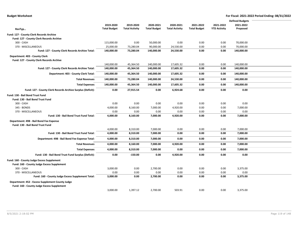|                                                             |                     |                       |                     |                       |                     |                     | <b>Defined Budgets</b> |  |
|-------------------------------------------------------------|---------------------|-----------------------|---------------------|-----------------------|---------------------|---------------------|------------------------|--|
|                                                             | 2019-2020           | 2019-2020             | 2020-2021           | 2020-2021             | 2021-2022           | 2021-2022           | 2021-2022              |  |
| RevTyp                                                      | <b>Total Budget</b> | <b>Total Activity</b> | <b>Total Budget</b> | <b>Total Activity</b> | <b>Total Budget</b> | <b>YTD Activity</b> | Proposed               |  |
| Fund: 127 - County Clerk Records Archive                    |                     |                       |                     |                       |                     |                     |                        |  |
| Fund: 127 - County Clerk Records Archive                    |                     |                       |                     |                       |                     |                     |                        |  |
| 300 - CASH                                                  | 115,000.00          | 0.00                  | 50,000.00           | 0.00                  | 0.00                | 0.00                | 70,000.00              |  |
| 370 - MISCELLANEOUS                                         | 25,000.00           | 73,280.04             | 90,000.00           | 24,530.00             | 0.00                | 0.00                | 70,000.00              |  |
| Fund: 127 - County Clerk Records Archive Total:             | 140,000.00          | 73,280.04             | 140,000.00          | 24,530.00             | 0.00                | 0.00                | 140,000.00             |  |
| Department: 403 - County Clerk                              |                     |                       |                     |                       |                     |                     |                        |  |
| Fund: 127 - County Clerk Records Archive                    |                     |                       |                     |                       |                     |                     |                        |  |
|                                                             | 140,000.00          | 45,364.50             | 140,000.00          | 17,605.32             | 0.00                | 0.00                | 140,000.00             |  |
| Fund: 127 - County Clerk Records Archive Total:             | 140,000.00          | 45,364.50             | 140,000.00          | 17,605.32             | 0.00                | 0.00                | 140,000.00             |  |
| Department: 403 - County Clerk Total:                       | 140,000.00          | 45,364.50             | 140,000.00          | 17,605.32             | 0.00                | 0.00                | 140,000.00             |  |
| <b>Total Revenues</b>                                       | 140,000.00          | 73,280.04             | 140,000.00          | 24,530.00             | 0.00                | 0.00                | 140,000.00             |  |
| <b>Total Expenses</b>                                       | 140,000.00          | 45,364.50             | 140,000.00          | 17,605.32             | 0.00                | 0.00                | 140,000.00             |  |
| Fund: 127 - County Clerk Records Archive Surplus (Deficit): | 0.00                | 27,915.54             | 0.00                | 6,924.68              | 0.00                | 0.00                | 0.00                   |  |
| Fund: 130 - Bail Bond Trust Fund                            |                     |                       |                     |                       |                     |                     |                        |  |
| Fund: 130 - Bail Bond Trust Fund                            |                     |                       |                     |                       |                     |                     |                        |  |
| 300 - CASH                                                  | 0.00                | 0.00                  | 0.00                | 0.00                  | 0.00                | 0.00                | 0.00                   |  |
| 345 - BONDS                                                 | 4,000.00            | 8,160.00              | 7,000.00            | 4,920.00              | 0.00                | 0.00                | 7,000.00               |  |
| 370 - MISCELLANEOUS                                         | 0.00                | 0.00                  | 0.00                | 0.00                  | 0.00                | 0.00                | 0.00                   |  |
| <b>Fund: 130 - Bail Bond Trust Fund Total:</b>              | 4,000.00            | 8,160.00              | 7,000.00            | 4,920.00              | 0.00                | 0.00                | 7,000.00               |  |
| Department: 498 - Bail Bond Fee Expense                     |                     |                       |                     |                       |                     |                     |                        |  |
| Fund: 130 - Bail Bond Trust Fund                            |                     |                       |                     |                       |                     |                     |                        |  |
|                                                             | 4,000.00            | 8,310.00              | 7,000.00            | 0.00                  | 0.00                | 0.00                | 7,000.00               |  |
| <b>Fund: 130 - Bail Bond Trust Fund Total:</b>              | 4,000.00            | 8,310.00              | 7,000.00            | 0.00                  | 0.00                | 0.00                | 7,000.00               |  |
| Department: 498 - Bail Bond Fee Expense Total:              | 4,000.00            | 8,310.00              | 7,000.00            | 0.00                  | 0.00                | 0.00                | 7,000.00               |  |
| <b>Total Revenues</b>                                       | 4,000.00            | 8,160.00              | 7,000.00            | 4,920.00              | 0.00                | 0.00                | 7,000.00               |  |
| <b>Total Expenses</b>                                       | 4,000.00            | 8,310.00              | 7,000.00            | 0.00                  | 0.00                | 0.00                | 7,000.00               |  |
| Fund: 130 - Bail Bond Trust Fund Surplus (Deficit):         | 0.00                | $-150.00$             | 0.00                | 4,920.00              | 0.00                | 0.00                | 0.00                   |  |
| Fund: 160 - County Judge Excess Supplement                  |                     |                       |                     |                       |                     |                     |                        |  |
| Fund: 160 - County Judge Excess Supplement                  |                     |                       |                     |                       |                     |                     |                        |  |
| 300 - CASH                                                  | 3,000.00            | 0.00                  | 2,700.00            | 0.00                  | 0.00                | 0.00                | 3,375.00               |  |
| 370 - MISCELLANEOUS                                         | 0.00                | 0.00                  | 0.00                | 0.00                  | 0.00                | 0.00                | 0.00                   |  |
| Fund: 160 - County Judge Excess Supplement Total:           | 3,000.00            | 0.00                  | 2,700.00            | 0.00                  | 0.00                | 0.00                | 3,375.00               |  |
| Department: 452 - Excess Supplement County Judge            |                     |                       |                     |                       |                     |                     |                        |  |
| Fund: 160 - County Judge Excess Supplement                  |                     |                       |                     |                       |                     |                     |                        |  |
|                                                             | 3,000.00            | 1,397.12              | 2,700.00            | 503.91                | 0.00                | 0.00                | 3,375.00               |  |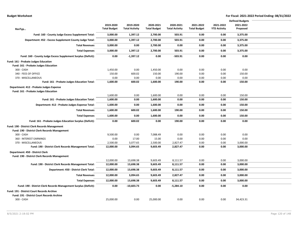|                                                                  |                     |                       |                     |                       |                     |                     | <b>Defined Budgets</b> |  |
|------------------------------------------------------------------|---------------------|-----------------------|---------------------|-----------------------|---------------------|---------------------|------------------------|--|
|                                                                  | 2019-2020           | 2019-2020             | 2020-2021           | 2020-2021             | 2021-2022           | 2021-2022           | 2021-2022              |  |
| RevTyp                                                           | <b>Total Budget</b> | <b>Total Activity</b> | <b>Total Budget</b> | <b>Total Activity</b> | <b>Total Budget</b> | <b>YTD Activity</b> | Proposed               |  |
| Fund: 160 - County Judge Excess Supplement Total:                | 3,000.00            | 1,397.12              | 2,700.00            | 503.91                | 0.00                | 0.00                | 3,375.00               |  |
| Department: 452 - Excess Supplement County Judge Total:          | 3,000.00            | 1,397.12              | 2,700.00            | 503.91                | 0.00                | 0.00                | 3,375.00               |  |
| <b>Total Revenues</b>                                            | 3,000.00            | 0.00                  | 2,700.00            | 0.00                  | 0.00                | 0.00                | 3,375.00               |  |
| <b>Total Expenses</b>                                            | 3,000.00            | 1,397.12              | 2,700.00            | 503.91                | 0.00                | 0.00                | 3,375.00               |  |
| Fund: 160 - County Judge Excess Supplement Surplus (Deficit):    | 0.00                | $-1,397.12$           | 0.00                | $-503.91$             | 0.00                | 0.00                | 0.00                   |  |
| Fund: 161 - Probate Judges Education                             |                     |                       |                     |                       |                     |                     |                        |  |
| Fund: 161 - Probate Judges Education                             |                     |                       |                     |                       |                     |                     |                        |  |
| 300 - CASH                                                       | 1,450.00            | 0.00                  | 1,450.00            | 0.00                  | 0.00                | 0.00                | 0.00                   |  |
| 340 - FEES OF OFFICE                                             | 150.00              | 600.02                | 150.00              | 190.00                | 0.00                | 0.00                | 150.00                 |  |
| 370 - MISCELLANEOUS                                              | 0.00                | 0.00                  | 0.00                | 0.00                  | 0.00                | 0.00                | 0.00                   |  |
| Fund: 161 - Probate Judges Education Total:                      | 1,600.00            | 600.02                | 1,600.00            | 190.00                | 0.00                | 0.00                | 150.00                 |  |
| Department: 412 - Probate Judges Expense                         |                     |                       |                     |                       |                     |                     |                        |  |
| Fund: 161 - Probate Judges Education                             |                     |                       |                     |                       |                     |                     |                        |  |
|                                                                  | 1,600.00            | 0.00                  | 1,600.00            | 0.00                  | 0.00                | 0.00                | 150.00                 |  |
| Fund: 161 - Probate Judges Education Total:                      | 1,600.00            | 0.00                  | 1,600.00            | 0.00                  | 0.00                | 0.00                | 150.00                 |  |
| Department: 412 - Probate Judges Expense Total:                  | 1,600.00            | 0.00                  | 1,600.00            | 0.00                  | 0.00                | 0.00                | 150.00                 |  |
| <b>Total Revenues</b>                                            | 1,600.00            | 600.02                | 1,600.00            | 190.00                | 0.00                | 0.00                | 150.00                 |  |
| <b>Total Expenses</b>                                            | 1,600.00            | 0.00                  | 1,600.00            | 0.00                  | 0.00                | 0.00                | 150.00                 |  |
| Fund: 161 - Probate Judges Education Surplus (Deficit):          | 0.00                | 600.02                | 0.00                | 190.00                | 0.00                | 0.00                | 0.00                   |  |
| Fund: 190 - District Clerk Records Management                    |                     |                       |                     |                       |                     |                     |                        |  |
| Fund: 190 - District Clerk Records Management                    |                     |                       |                     |                       |                     |                     |                        |  |
| 300 - CASH                                                       | 9,500.00            | 0.00                  | 7,088.49            | 0.00                  | 0.00                | 0.00                | 0.00                   |  |
| 360 - INTEREST EARNINGS                                          | 0.00                | 17.00                 | 15.00               | 0.00                  | 0.00                | 0.00                | 0.00                   |  |
| 370 - MISCELLANEOUS                                              | 2,500.00            | 3,077.65              | 2,500.00            | 2,827.47              | 0.00                | 0.00                | 3,000.00               |  |
| Fund: 190 - District Clerk Records Management Total:             | 12,000.00           | 3,094.65              | 9,603.49            | 2,827.47              | 0.00                | 0.00                | 3,000.00               |  |
| Department: 450 - District Clerk                                 |                     |                       |                     |                       |                     |                     |                        |  |
| <b>Fund: 190 - District Clerk Records Management</b>             |                     |                       |                     |                       |                     |                     |                        |  |
|                                                                  | 12,000.00           | 13,698.38             | 9,603.49            | 8,111.57              | 0.00                | 0.00                | 3,000.00               |  |
| Fund: 190 - District Clerk Records Management Total:             | 12,000.00           | 13,698.38             | 9,603.49            | 8,111.57              | 0.00                | 0.00                | 3,000.00               |  |
| Department: 450 - District Clerk Total:                          | 12,000.00           | 13,698.38             | 9,603.49            | 8,111.57              | 0.00                | 0.00                | 3,000.00               |  |
| <b>Total Revenues</b>                                            | 12,000.00           | 3,094.65              | 9,603.49            | 2,827.47              | 0.00                | 0.00                | 3,000.00               |  |
| <b>Total Expenses</b>                                            | 12,000.00           | 13,698.38             | 9,603.49            | 8,111.57              | 0.00                | 0.00                | 3,000.00               |  |
| Fund: 190 - District Clerk Records Management Surplus (Deficit): | 0.00                | $-10,603.73$          | 0.00                | -5,284.10             | 0.00                | 0.00                | 0.00                   |  |
| Fund: 191 - District Court Records Archive                       |                     |                       |                     |                       |                     |                     |                        |  |
| Fund: 191 - District Court Records Archive                       |                     |                       |                     |                       |                     |                     |                        |  |
| 300 - CASH                                                       | 25,000.00           | 0.00                  | 25,000.00           | 0.00                  | 0.00                | 0.00                | 34,423.31              |  |
|                                                                  |                     |                       |                     |                       |                     |                     |                        |  |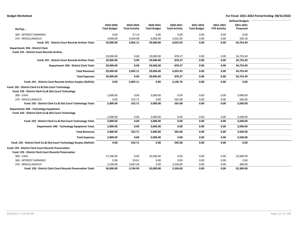|                                                                          |                     |                       |                     |                       |                     |                     | <b>Defined Budgets</b> |  |
|--------------------------------------------------------------------------|---------------------|-----------------------|---------------------|-----------------------|---------------------|---------------------|------------------------|--|
|                                                                          | 2019-2020           | 2019-2020             | 2020-2021           | 2020-2021             | 2021-2022           | 2021-2022           | 2021-2022              |  |
| RevTyp                                                                   | <b>Total Budget</b> | <b>Total Activity</b> | <b>Total Budget</b> | <b>Total Activity</b> | <b>Total Budget</b> | <b>YTD Activity</b> | Proposed               |  |
| 360 - INTEREST EARNINGS                                                  | 0.00                | 57.13                 | 0.00                | 0.00                  | 0.00                | 0.00                | 0.00                   |  |
| 370 - MISCELLANEOUS                                                      | 4,000.00            | 4,944.98              | 4,000.00            | 4,025.03              | 0.00                | 0.00                | 330.18                 |  |
| <b>Fund: 191 - District Court Records Archive Total:</b>                 | 29,000.00           | 5,002.11              | 29,000.00           | 4,025.03              | 0.00                | 0.00                | 34,753.49              |  |
| Department: 450 - District Clerk                                         |                     |                       |                     |                       |                     |                     |                        |  |
| <b>Fund: 191 - District Court Records Archive</b>                        |                     |                       |                     |                       |                     |                     |                        |  |
|                                                                          | 29,000.00           | 0.00                  | 29,000.00           | 878.27                | 0.00                | 0.00                | 34,753.49              |  |
| <b>Fund: 191 - District Court Records Archive Total:</b>                 | 29,000.00           | 0.00                  | 29,000.00           | 878.27                | 0.00                | 0.00                | 34,753.49              |  |
| Department: 450 - District Clerk Total:                                  | 29,000.00           | 0.00                  | 29,000.00           | 878.27                | 0.00                | 0.00                | 34,753.49              |  |
| <b>Total Revenues</b>                                                    | 29,000.00           | 5,002.11              | 29,000.00           | 4,025.03              | 0.00                | 0.00                | 34,753.49              |  |
| <b>Total Expenses</b>                                                    | 29,000.00           | 0.00                  | 29,000.00           | 878.27                | 0.00                | 0.00                | 34,753.49              |  |
| Fund: 191 - District Court Records Archive Surplus (Deficit):            | 0.00                | 5,002.11              | 0.00                | 3,146.76              | 0.00                | 0.00                | 0.00                   |  |
| Fund: 192 - District Clerk Co.& Dist.Court Technology                    |                     |                       |                     |                       |                     |                     |                        |  |
| Fund: 192 - District Clerk Co.& Dist.Court Technology                    |                     |                       |                     |                       |                     |                     |                        |  |
| 300 - CASH                                                               | 2,800.00            | 0.00                  | 3,000.00            | 0.00                  | 0.00                | 0.00                | 3,000.00               |  |
| 370 - MISCELLANEOUS                                                      | 0.00                | 552.71                | 0.00                | 565.08                | 0.00                | 0.00                | 500.00                 |  |
| Fund: 192 - District Clerk Co.& Dist.Court Technology Total:             | 2,800.00            | 552.71                | 3,000.00            | 565.08                | 0.00                | 0.00                | 3,500.00               |  |
| Department: 440 - Technology Equipment                                   |                     |                       |                     |                       |                     |                     |                        |  |
| Fund: 192 - District Clerk Co.& Dist.Court Technology                    |                     |                       |                     |                       |                     |                     |                        |  |
|                                                                          | 2,800.00            | 0.00                  | 3,000.00            | 0.00                  | 0.00                | 0.00                | 3,500.00               |  |
| Fund: 192 - District Clerk Co.& Dist.Court Technology Total:             | 2,800.00            | 0.00                  | 3,000.00            | 0.00                  | 0.00                | 0.00                | 3,500.00               |  |
| Department: 440 - Technology Equipment Total:                            | 2,800.00            | 0.00                  | 3,000.00            | 0.00                  | 0.00                | 0.00                | 3,500.00               |  |
| <b>Total Revenues</b>                                                    | 2,800.00            | 552.71                | 3,000.00            | 565.08                | 0.00                | 0.00                | 3,500.00               |  |
| <b>Total Expenses</b>                                                    | 2,800.00            | 0.00                  | 3,000.00            | 0.00                  | 0.00                | 0.00                | 3,500.00               |  |
| Fund: 192 - District Clerk Co.& Dist.Court Technology Surplus (Deficit): | 0.00                | 552.71                | 0.00                | 565.08                | 0.00                | 0.00                | 0.00                   |  |
| Fund: 193 - District Clerk Court Records Preservation                    |                     |                       |                     |                       |                     |                     |                        |  |
| Fund: 193 - District Clerk Court Records Preservation                    |                     |                       |                     |                       |                     |                     |                        |  |
| 300 - CASH                                                               | 27,500.00           | 0.00                  | 35,000.00           | 0.00                  | 0.00                | 0.00                | 35,000.00              |  |
| 360 - INTEREST EARNINGS                                                  | 0.00                | 59.61                 | 0.00                | 0.00                  | 0.00                | 0.00                | 0.00                   |  |
| 370 - MISCELLANEOUS                                                      | 2,500.00            | 3,687.38              | 0.00                | 3,336.89              | 0.00                | 0.00                | 300.00                 |  |
| <b>Fund: 193 - District Clerk Court Records Preservation Total:</b>      | 30,000.00           | 3,746.99              | 35,000.00           | 3,336.89              | 0.00                | 0.00                | 35,300.00              |  |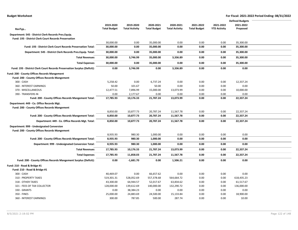|                                                                          |                     |                       |                     |                       |                     |                     | <b>Defined Budgets</b> |  |
|--------------------------------------------------------------------------|---------------------|-----------------------|---------------------|-----------------------|---------------------|---------------------|------------------------|--|
|                                                                          | 2019-2020           | 2019-2020             | 2020-2021           | 2020-2021             | 2021-2022           | 2021-2022           | 2021-2022              |  |
| RevTyp                                                                   | <b>Total Budget</b> | <b>Total Activity</b> | <b>Total Budget</b> | <b>Total Activity</b> | <b>Total Budget</b> | <b>YTD Activity</b> | Proposed               |  |
| Department: 545 - District Clerk Records Pres.Equip.                     |                     |                       |                     |                       |                     |                     |                        |  |
| Fund: 193 - District Clerk Court Records Preservation                    |                     |                       |                     |                       |                     |                     |                        |  |
|                                                                          | 30,000.00           | 0.00                  | 35,000.00           | 0.00                  | 0.00                | 0.00                | 35,300.00              |  |
| <b>Fund: 193 - District Clerk Court Records Preservation Total:</b>      | 30,000.00           | 0.00                  | 35,000.00           | 0.00                  | 0.00                | 0.00                | 35,300.00              |  |
| Department: 545 - District Clerk Records Pres. Equip. Total:             | 30,000.00           | 0.00                  | 35,000.00           | 0.00                  | 0.00                | 0.00                | 35,300.00              |  |
| <b>Total Revenues</b>                                                    | 30,000.00           | 3,746.99              | 35,000.00           | 3,336.89              | 0.00                | 0.00                | 35,300.00              |  |
| <b>Total Expenses</b>                                                    | 30,000.00           | 0.00                  | 35,000.00           | 0.00                  | 0.00                | 0.00                | 35,300.00              |  |
| Fund: 193 - District Clerk Court Records Preservation Surplus (Deficit): | 0.00                | 3,746.99              | 0.00                | 3,336.89              | 0.00                | 0.00                | 0.00                   |  |
| <b>Fund: 200 - County Offices Records Mangement</b>                      |                     |                       |                     |                       |                     |                     |                        |  |
| Fund: 200 - County Offices Records Mangement                             |                     |                       |                     |                       |                     |                     |                        |  |
| 300 - CASH                                                               | 5,258.42            | 0.00                  | 6,737.24            | 0.00                  | 0.00                | 0.00                | 12,337.24              |  |
| 360 - INTEREST EARNINGS                                                  | 50.00               | 101.67                | 50.00               | 0.00                  | 0.00                | 0.00                | 0.00                   |  |
| 370 - MISCELLANEOUS                                                      | 12,477.51           | 7,896.99              | 15,000.00           | 13,073.99             | 0.00                | 0.00                | 10,000.00              |  |
| 390 - TRANSFERS IN                                                       | 0.00                | 2,177.67              | 0.00                | 0.00                  | 0.00                | 0.00                | 0.00                   |  |
| Fund: 200 - County Offices Records Mangement Total:                      | 17,785.93           | 10,176.33             | 21,787.24           | 13,073.99             | 0.00                | 0.00                | 22,337.24              |  |
| Department: 449 - Co. Office Records Mgt.                                |                     |                       |                     |                       |                     |                     |                        |  |
| <b>Fund: 200 - County Offices Records Mangement</b>                      |                     |                       |                     |                       |                     |                     |                        |  |
|                                                                          | 8,850.00            | 10,877.73             | 20,787.24           | 11,567.78             | 0.00                | 0.00                | 22,337.24              |  |
| Fund: 200 - County Offices Records Mangement Total:                      | 8,850.00            | 10,877.73             | 20,787.24           | 11,567.78             | 0.00                | 0.00                | 22,337.24              |  |
| Department: 449 - Co. Office Records Mgt. Total:                         | 8,850.00            | 10,877.73             | 20,787.24           | 11,567.78             | 0.00                | 0.00                | 22,337.24              |  |
| Department: 999 - Undesignated Conversion                                |                     |                       |                     |                       |                     |                     |                        |  |
| <b>Fund: 200 - County Offices Records Mangement</b>                      |                     |                       |                     |                       |                     |                     |                        |  |
|                                                                          | 8,935.93            | 980.30                | 1,000.00            | 0.00                  | 0.00                | 0.00                | 0.00                   |  |
| Fund: 200 - County Offices Records Mangement Total:                      | 8,935.93            | 980.30                | 1,000.00            | 0.00                  | 0.00                | 0.00                | 0.00                   |  |
| <b>Department: 999 - Undesignated Conversion Total:</b>                  | 8,935.93            | 980.30                | 1,000.00            | 0.00                  | 0.00                | 0.00                | 0.00                   |  |
| <b>Total Revenues</b>                                                    | 17,785.93           | 10,176.33             | 21,787.24           | 13,073.99             | 0.00                | 0.00                | 22,337.24              |  |
| <b>Total Expenses</b>                                                    | 17,785.93           | 11,858.03             | 21,787.24           | 11,567.78             | 0.00                | 0.00                | 22,337.24              |  |
| Fund: 200 - County Offices Records Mangement Surplus (Deficit):          | 0.00                | $-1,681.70$           | 0.00                | 1,506.21              | 0.00                | 0.00                | 0.00                   |  |
| Fund: 210 - Road & Bridge #1                                             |                     |                       |                     |                       |                     |                     |                        |  |
| Fund: 210 - Road & Bridge #1                                             |                     |                       |                     |                       |                     |                     |                        |  |
| 300 - CASH                                                               | 40,469.07           | 0.00                  | 66,657.62           | 0.00                  | 0.00                | 0.00                | 0.00                   |  |
| 310 - PROPERTY TAXES                                                     | 519,301.31          | 528,052.69            | 557,378.68          | 564,664.72            | 0.00                | 0.00                | 618,435.23             |  |
| 318 - OTHER TAXES                                                        | 43,300.00           | 64,944.57             | 52,017.67           | 63,834.62             | 0.00                | 0.00                | 61,517.67              |  |
| 321 - FEES OF TAX COLLECTOR                                              | 128,000.00          | 139,612.69            | 140,000.00          | 132,290.72            | 0.00                | 0.00                | 136,000.00             |  |
| 330 - GRANTS                                                             | 0.00                | 38,384.23             | 0.00                | 0.00                  | 0.00                | 0.00                | 0.00                   |  |
| 350 - FINES                                                              | 25,000.00           | 24,883.69             | 24,500.00           | 15,133.84             | 0.00                | 0.00                | 18,900.00              |  |
| 360 - INTEREST EARNINGS                                                  | 300.00              | 787.85                | 500.00              | 287.74                | 0.00                | 0.00                | 10.00                  |  |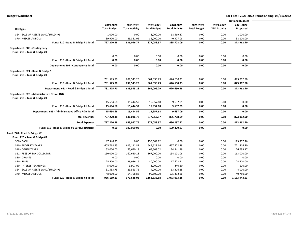|                                                    |                     |                       |                     |                       |                     |                     | <b>Defined Budgets</b> |  |
|----------------------------------------------------|---------------------|-----------------------|---------------------|-----------------------|---------------------|---------------------|------------------------|--|
|                                                    | 2019-2020           | 2019-2020             | 2020-2021           | 2020-2021             | 2021-2022           | 2021-2022           | 2021-2022              |  |
| RevTyp                                             | <b>Total Budget</b> | <b>Total Activity</b> | <b>Total Budget</b> | <b>Total Activity</b> | <b>Total Budget</b> | <b>YTD Activity</b> | Proposed               |  |
| 364 - SALE OF ASSETS LAND/BUILDING                 | 1,000.00            | 0.00                  | 1,000.00            | 18,569.37             | 0.00                | 0.00                | 1,000.00               |  |
| 370 - MISCELLANEOUS                                | 39,900.00           | 39,381.05             | 35,000.00           | 40,927.08             | 0.00                | 0.00                | 38,100.00              |  |
| Fund: 210 - Road & Bridge #1 Total:                | 797,270.38          | 836,046.77            | 877,053.97          | 835,708.09            | 0.00                | 0.00                | 873,962.90             |  |
| Department: 509 - Contingency                      |                     |                       |                     |                       |                     |                     |                        |  |
| Fund: 210 - Road & Bridge #1                       |                     |                       |                     |                       |                     |                     |                        |  |
|                                                    | 0.00                | 0.00                  | 0.00                | 0.00                  | 0.00                | 0.00                | 0.00                   |  |
| Fund: 210 - Road & Bridge #1 Total:                | 0.00                | 0.00                  | 0.00                | 0.00                  | 0.00                | 0.00                | 0.00                   |  |
| Department: 509 - Contingency Total:               | 0.00                | 0.00                  | 0.00                | 0.00                  | 0.00                | 0.00                | 0.00                   |  |
| Department: 621 - Road & Bridge 1                  |                     |                       |                     |                       |                     |                     |                        |  |
| Fund: 210 - Road & Bridge #1                       |                     |                       |                     |                       |                     |                     |                        |  |
|                                                    | 781,575.70          | 638,543.23            | 861,096.29          | 626,650.33            | 0.00                | 0.00                | 873,962.90             |  |
| Fund: 210 - Road & Bridge #1 Total:                | 781,575.70          | 638,543.23            | 861,096.29          | 626,650.33            | 0.00                | 0.00                | 873,962.90             |  |
| Department: 621 - Road & Bridge 1 Total:           | 781,575.70          | 638,543.23            | 861,096.29          | 626,650.33            | 0.00                | 0.00                | 873,962.90             |  |
| Department: 625 - Administrative Office R&B        |                     |                       |                     |                       |                     |                     |                        |  |
| Fund: 210 - Road & Bridge #1                       |                     |                       |                     |                       |                     |                     |                        |  |
|                                                    | 15,694.68           | 15,444.52             | 15,957.68           | 9,637.09              | 0.00                | 0.00                | 0.00                   |  |
| Fund: 210 - Road & Bridge #1 Total:                | 15,694.68           | 15,444.52             | 15,957.68           | 9,637.09              | 0.00                | 0.00                | 0.00                   |  |
| Department: 625 - Administrative Office R&B Total: | 15,694.68           | 15,444.52             | 15,957.68           | 9,637.09              | 0.00                | 0.00                | 0.00                   |  |
| <b>Total Revenues</b>                              | 797,270.38          | 836,046.77            | 877,053.97          | 835,708.09            | 0.00                | 0.00                | 873,962.90             |  |
| <b>Total Expenses</b>                              | 797,270.38          | 653,987.75            | 877,053.97          | 636,287.42            | 0.00                | 0.00                | 873,962.90             |  |
| Fund: 210 - Road & Bridge #1 Surplus (Deficit):    | 0.00                | 182,059.02            | 0.00                | 199,420.67            | 0.00                | 0.00                | 0.00                   |  |
| Fund: 220 - Road & Bridge #2                       |                     |                       |                     |                       |                     |                     |                        |  |
| Fund: 220 - Road & Bridge #2                       |                     |                       |                     |                       |                     |                     |                        |  |
| 300 - CASH                                         | 47,346.83           | 0.00                  | 150,609.92          | 0.00                  | 0.00                | 0.00                | 123,337.76             |  |
| 310 - PROPERTY TAXES                               | 605,768.55          | 615,111.81            | 649,623.64          | 657,872.79            | 0.00                | 0.00                | 721,416.70             |  |
| 318 - OTHER TAXES                                  | 53,000.00           | 75,650.18             | 64,603.02           | 74,341.39             | 0.00                | 0.00                | 76,639.17              |  |
| 321 - FEES OF TAX COLLECTOR                        | 150,000.00          | 162,630.18            | 167,000.00          | 154,101.06            | 0.00                | 0.00                | 163,000.00             |  |
| 330 - GRANTS                                       | 0.00                | 0.00                  | 0.00                | 0.00                  | 0.00                | 0.00                | 0.00                   |  |
| 350 - FINES                                        | 25,500.00           | 28,986.16             | 30,000.00           | 17,628.91             | 0.00                | 0.00                | 24,700.00              |  |
| 360 - INTEREST EARNINGS                            | 5,000.00            | 3,907.09              | 3,000.00            | 440.10                | 0.00                | 0.00                | 100.00                 |  |
| 364 - SALE OF ASSETS LAND/BUILDING                 | 31,553.75           | 29,553.75             | 4,000.00            | 63,316.25             | 0.00                | 0.00                | 4,000.00               |  |
| 370 - MISCELLANEOUS                                | 48,000.00           | 54,798.86             | 99,800.00           | 105,332.66            | 0.00                | 0.00                | 40,750.00              |  |
| Fund: 220 - Road & Bridge #2 Total:                | 966,169.13          | 970,638.03            | 1,168,636.58        | 1,073,033.16          | 0.00                | 0.00                | 1,153,943.63           |  |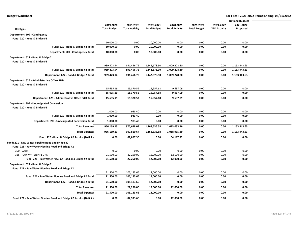|                                                                      |                     |                       |                     |                       |                     |                     | <b>Defined Budgets</b> |  |
|----------------------------------------------------------------------|---------------------|-----------------------|---------------------|-----------------------|---------------------|---------------------|------------------------|--|
|                                                                      | 2019-2020           | 2019-2020             | 2020-2021           | 2020-2021             | 2021-2022           | 2021-2022           | 2021-2022              |  |
| RevTyp                                                               | <b>Total Budget</b> | <b>Total Activity</b> | <b>Total Budget</b> | <b>Total Activity</b> | <b>Total Budget</b> | <b>YTD Activity</b> | Proposed               |  |
| Department: 509 - Contingency                                        |                     |                       |                     |                       |                     |                     |                        |  |
| Fund: 220 - Road & Bridge #2                                         |                     |                       |                     |                       |                     |                     |                        |  |
|                                                                      | 10,000.00           | 0.00                  | 10,000.00           | 0.00                  | 0.00                | 0.00                | 0.00                   |  |
| Fund: 220 - Road & Bridge #2 Total:                                  | 10,000.00           | 0.00                  | 10,000.00           | 0.00                  | 0.00                | 0.00                | 0.00                   |  |
| Department: 509 - Contingency Total:                                 | 10,000.00           | 0.00                  | 10,000.00           | 0.00                  | 0.00                | 0.00                | 0.00                   |  |
| Department: 622 - Road & Bridge 2                                    |                     |                       |                     |                       |                     |                     |                        |  |
| Fund: 220 - Road & Bridge #2                                         |                     |                       |                     |                       |                     |                     |                        |  |
|                                                                      | 939,473.94          | 891,456.75            | 1,142,678.90        | 1,009,278.80          | 0.00                | 0.00                | 1,153,943.63           |  |
| Fund: 220 - Road & Bridge #2 Total:                                  | 939,473.94          | 891,456.75            | 1,142,678.90        | 1,009,278.80          | 0.00                | 0.00                | 1,153,943.63           |  |
| Department: 622 - Road & Bridge 2 Total:                             | 939,473.94          | 891,456.75            | 1,142,678.90        | 1,009,278.80          | 0.00                | 0.00                | 1,153,943.63           |  |
| Department: 625 - Administrative Office R&B                          |                     |                       |                     |                       |                     |                     |                        |  |
| Fund: 220 - Road & Bridge #2                                         |                     |                       |                     |                       |                     |                     |                        |  |
|                                                                      | 15,695.19           | 15,370.52             | 15,957.68           | 9,637.09              | 0.00                | 0.00                | 0.00                   |  |
| Fund: 220 - Road & Bridge #2 Total:                                  | 15,695.19           | 15,370.52             | 15,957.68           | 9,637.09              | 0.00                | 0.00                | 0.00                   |  |
| Department: 625 - Administrative Office R&B Total:                   | 15,695.19           | 15,370.52             | 15,957.68           | 9,637.09              | 0.00                | 0.00                | 0.00                   |  |
| Department: 999 - Undesignated Conversion                            |                     |                       |                     |                       |                     |                     |                        |  |
| Fund: 220 - Road & Bridge #2                                         |                     |                       |                     |                       |                     |                     |                        |  |
|                                                                      | 1,000.00            | 983.40                | 0.00                | 0.00                  | 0.00                | 0.00                | 0.00                   |  |
| Fund: 220 - Road & Bridge #2 Total:                                  | 1,000.00            | 983.40                | 0.00                | 0.00                  | 0.00                | 0.00                | 0.00                   |  |
| Department: 999 - Undesignated Conversion Total:                     | 1,000.00            | 983.40                | 0.00                | 0.00                  | 0.00                | 0.00                | 0.00                   |  |
| <b>Total Revenues</b>                                                | 966,169.13          | 970,638.03            | 1,168,636.58        | 1,073,033.16          | 0.00                | 0.00                | 1,153,943.63           |  |
| <b>Total Expenses</b>                                                | 966,169.13          | 907,810.67            | 1,168,636.58        | 1,018,915.89          | 0.00                | 0.00                | 1,153,943.63           |  |
| Fund: 220 - Road & Bridge #2 Surplus (Deficit):                      | 0.00                | 62,827.36             | 0.00                | 54,117.27             | 0.00                | 0.00                | 0.00                   |  |
| Fund: 221 - Raw Water Pipeline Road and Bridge #2                    |                     |                       |                     |                       |                     |                     |                        |  |
| Fund: 221 - Raw Water Pipeline Road and Bridge #2                    |                     |                       |                     |                       |                     |                     |                        |  |
| 300 - CASH                                                           | 0.00                | 0.00                  | 0.00                | 0.00                  | 0.00                | 0.00                | 0.00                   |  |
| 325 - RAW WATER PIPELINE                                             | 21,500.00           | 22,250.00             | 12,000.00           | 12,000.00             | 0.00                | 0.00                | 0.00                   |  |
| Fund: 221 - Raw Water Pipeline Road and Bridge #2 Total:             | 21,500.00           | 22,250.00             | 12,000.00           | 12,000.00             | 0.00                | 0.00                | 0.00                   |  |
| Department: 622 - Road & Bridge 2                                    |                     |                       |                     |                       |                     |                     |                        |  |
| Fund: 221 - Raw Water Pipeline Road and Bridge #2                    |                     |                       |                     |                       |                     |                     |                        |  |
|                                                                      | 21,500.00           | 105,183.66            | 12,000.00           | 0.00                  | 0.00                | 0.00                | 0.00                   |  |
| Fund: 221 - Raw Water Pipeline Road and Bridge #2 Total:             | 21,500.00           | 105,183.66            | 12,000.00           | 0.00                  | 0.00                | 0.00                | 0.00                   |  |
| Department: 622 - Road & Bridge 2 Total:                             | 21,500.00           | 105,183.66            | 12,000.00           | 0.00                  | 0.00                | 0.00                | 0.00                   |  |
| <b>Total Revenues</b>                                                | 21,500.00           | 22,250.00             | 12,000.00           | 12,000.00             | 0.00                | 0.00                | 0.00                   |  |
| <b>Total Expenses</b>                                                | 21,500.00           | 105,183.66            | 12,000.00           | 0.00                  | 0.00                | 0.00                | 0.00                   |  |
| Fund: 221 - Raw Water Pipeline Road and Bridge #2 Surplus (Deficit): | 0.00                | $-82,933.66$          | 0.00                | 12.000.00             | 0.00                | 0.00                | 0.00                   |  |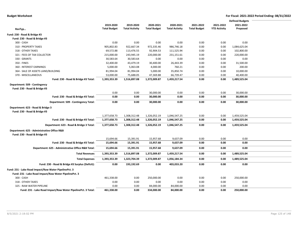|                                                              |                     |                       |                     |                       |                     |                     | <b>Defined Budgets</b> |  |
|--------------------------------------------------------------|---------------------|-----------------------|---------------------|-----------------------|---------------------|---------------------|------------------------|--|
|                                                              | 2019-2020           | 2019-2020             | 2020-2021           | 2020-2021             | 2021-2022           | 2021-2022           | 2021-2022              |  |
| RevTyp                                                       | <b>Total Budget</b> | <b>Total Activity</b> | <b>Total Budget</b> | <b>Total Activity</b> | <b>Total Budget</b> | <b>YTD Activity</b> | Proposed               |  |
| Fund: 230 - Road & Bridge #3                                 |                     |                       |                     |                       |                     |                     |                        |  |
| Fund: 230 - Road & Bridge #3                                 |                     |                       |                     |                       |                     |                     |                        |  |
| 300 - CASH                                                   | 0.00                | 0.00                  | 0.00                | 0.00                  | 0.00                | 0.00                | 0.00                   |  |
| 310 - PROPERTY TAXES                                         | 905,802.83          | 922,667.34            | 972,335.46          | 986,746.18            | 0.00                | 0.00                | 1,084,625.04           |  |
| 318 - OTHER TAXES                                            | 69,572.88           | 113,476.55            | 92,904.53           | 111,525.94            | 0.00                | 0.00                | 102,800.00             |  |
| 321 - FEES OF TAX COLLECTOR                                  | 215,000.00          | 243,945.19            | 220,000.00          | 231,151.61            | 0.00                | 0.00                | 220,000.00             |  |
| 330 - GRANTS                                                 | 30,583.64           | 30,583.64             | 0.00                | 0.00                  | 0.00                | 0.00                | 0.00                   |  |
| 350 - FINES                                                  | 32,400.00           | 43,479.19             | 30,400.00           | 26,443.39             | 0.00                | 0.00                | 31,500.00              |  |
| 360 - INTEREST EARNINGS                                      | 5,000.00            | 5,063.08              | 4,000.00            | 760.21                | 0.00                | 0.00                | 200.00                 |  |
| 364 - SALE OF ASSETS LAND/BUILDING                           | 81,994.04           | 81,994.04             | 5,000.00            | 35,850.74             | 0.00                | 0.00                | 10,000.00              |  |
| 370 - MISCELLANEOUS                                          | 53,000.00           | 75,688.05             | 47,369.88           | 66,739.47             | 0.00                | 0.00                | 40,400.00              |  |
| Fund: 230 - Road & Bridge #3 Total:                          | 1,393,353.39        | 1,516,897.08          | 1,372,009.87        | 1,459,217.54          | 0.00                | 0.00                | 1,489,525.04           |  |
| Department: 509 - Contingency                                |                     |                       |                     |                       |                     |                     |                        |  |
| Fund: 230 - Road & Bridge #3                                 |                     |                       |                     |                       |                     |                     |                        |  |
|                                                              | 0.00                | 0.00                  | 30,000.00           | 0.00                  | 0.00                | 0.00                | 30,000.00              |  |
| Fund: 230 - Road & Bridge #3 Total:                          | 0.00                | 0.00                  | 30,000.00           | 0.00                  | 0.00                | 0.00                | 30,000.00              |  |
| Department: 509 - Contingency Total:                         | 0.00                | 0.00                  | 30,000.00           | 0.00                  | 0.00                | 0.00                | 30,000.00              |  |
| Department: 623 - Road & Bridge 3                            |                     |                       |                     |                       |                     |                     |                        |  |
| Fund: 230 - Road & Bridge #3                                 |                     |                       |                     |                       |                     |                     |                        |  |
|                                                              | 1,377,658.73        | 1,308,312.48          | 1,326,052.19        | 1,046,547.25          | 0.00                | 0.00                | 1,459,525.04           |  |
| Fund: 230 - Road & Bridge #3 Total:                          | 1,377,658.73        | 1,308,312.48          | 1,326,052.19        | 1,046,547.25          | 0.00                | 0.00                | 1,459,525.04           |  |
| Department: 623 - Road & Bridge 3 Total:                     | 1,377,658.73        | 1,308,312.48          | 1,326,052.19        | 1,046,547.25          | 0.00                | 0.00                | 1,459,525.04           |  |
|                                                              |                     |                       |                     |                       |                     |                     |                        |  |
| Department: 625 - Administrative Office R&B                  |                     |                       |                     |                       |                     |                     |                        |  |
| Fund: 230 - Road & Bridge #3                                 |                     |                       |                     |                       |                     |                     |                        |  |
|                                                              | 15,694.66           | 15,391.91             | 15,957.68           | 9,637.09              | 0.00                | 0.00                | 0.00                   |  |
| Fund: 230 - Road & Bridge #3 Total:                          | 15,694.66           | 15,391.91             | 15,957.68           | 9,637.09              | 0.00                | 0.00                | 0.00                   |  |
| Department: 625 - Administrative Office R&B Total:           | 15,694.66           | 15,391.91             | 15,957.68           | 9,637.09              | 0.00                | 0.00                | 0.00                   |  |
| <b>Total Revenues</b>                                        | 1,393,353.39        | 1,516,897.08          | 1,372,009.87        | 1,459,217.54          | 0.00                | 0.00                | 1,489,525.04           |  |
| <b>Total Expenses</b>                                        | 1,393,353.39        | 1,323,704.39          | 1,372,009.87        | 1,056,184.34          | 0.00                | 0.00                | 1,489,525.04           |  |
| Fund: 230 - Road & Bridge #3 Surplus (Deficit):              | 0.00                | 193,192.69            | 0.00                | 403,033.20            | 0.00                | 0.00                | 0.00                   |  |
| Fund: 231 - Lake Road Impact/Raw Water PipelinePct. 3        |                     |                       |                     |                       |                     |                     |                        |  |
| Fund: 231 - Lake Road Impact/Raw Water PipelinePct. 3        |                     |                       |                     |                       |                     |                     |                        |  |
| 300 - CASH                                                   | 461,338.00          | 0.00                  | 250,000.00          | 0.00                  | 0.00                | 0.00                | 250,000.00             |  |
| 318 - OTHER TAXES                                            | 0.00                | 0.00                  | 0.00                | 0.00                  | 0.00                | 0.00                | 0.00                   |  |
| 325 - RAW WATER PIPELINE                                     | 0.00                | 0.00                  | 84,000.00           | 84,000.00             | 0.00                | 0.00                | 0.00                   |  |
| Fund: 231 - Lake Road Impact/Raw Water PipelinePct. 3 Total: | 461,338.00          | 0.00                  | 334.000.00          | 84.000.00             | 0.00                | 0.00                | 250,000.00             |  |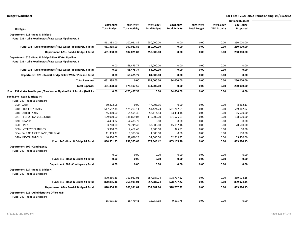|                                                                                                               |                     |                       |                     |                       |                     |                     | <b>Defined Budgets</b> |  |
|---------------------------------------------------------------------------------------------------------------|---------------------|-----------------------|---------------------|-----------------------|---------------------|---------------------|------------------------|--|
|                                                                                                               | 2019-2020           | 2019-2020             | 2020-2021           | 2020-2021             | 2021-2022           | 2021-2022           | 2021-2022              |  |
| RevTyp                                                                                                        | <b>Total Budget</b> | <b>Total Activity</b> | <b>Total Budget</b> | <b>Total Activity</b> | <b>Total Budget</b> | <b>YTD Activity</b> | Proposed               |  |
| Department: 623 - Road & Bridge 3                                                                             |                     |                       |                     |                       |                     |                     |                        |  |
| Fund: 231 - Lake Road Impact/Raw Water PipelinePct. 3                                                         |                     |                       |                     |                       |                     |                     |                        |  |
|                                                                                                               | 461,338.00          | 107,021.82            | 250,000.00          | 0.00                  | 0.00                | 0.00                | 250,000.00             |  |
| Fund: 231 - Lake Road Impact/Raw Water PipelinePct. 3 Total:                                                  | 461,338.00          | 107,021.82            | 250,000.00          | 0.00                  | 0.00                | 0.00                | 250,000.00             |  |
| Department: 623 - Road & Bridge 3 Total:                                                                      | 461,338.00          | 107,021.82            | 250,000.00          | 0.00                  | 0.00                | 0.00                | 250,000.00             |  |
|                                                                                                               |                     |                       |                     |                       |                     |                     |                        |  |
| Department: 626 - Road & Bridge 3 Raw Water Pipeline<br>Fund: 231 - Lake Road Impact/Raw Water PipelinePct. 3 |                     |                       |                     |                       |                     |                     |                        |  |
|                                                                                                               | 0.00                | 68,475.77             | 84,000.00           | 0.00                  | 0.00                | 0.00                | 0.00                   |  |
| Fund: 231 - Lake Road Impact/Raw Water PipelinePct. 3 Total:                                                  | 0.00                | 68,475.77             | 84,000.00           | 0.00                  | 0.00                | 0.00                | 0.00                   |  |
|                                                                                                               |                     |                       |                     |                       |                     |                     |                        |  |
| Department: 626 - Road & Bridge 3 Raw Water Pipeline Total:                                                   | 0.00                | 68,475.77             | 84,000.00           | 0.00                  | 0.00                | 0.00                | 0.00                   |  |
| <b>Total Revenues</b>                                                                                         | 461,338.00          | 0.00                  | 334,000.00          | 84,000.00             | 0.00                | 0.00                | 250,000.00             |  |
| <b>Total Expenses</b>                                                                                         | 461,338.00          | 175,497.59            | 334,000.00          | 0.00                  | 0.00                | 0.00                | 250,000.00             |  |
| Fund: 231 - Lake Road Impact/Raw Water PipelinePct. 3 Surplus (Deficit):                                      | 0.00                | $-175,497.59$         | 0.00                | 84,000.00             | 0.00                | 0.00                | 0.00                   |  |
| Fund: 240 - Road & Bridge #4                                                                                  |                     |                       |                     |                       |                     |                     |                        |  |
| Fund: 240 - Road & Bridge #4                                                                                  |                     |                       |                     |                       |                     |                     |                        |  |
| 300 - CASH                                                                                                    | 50,372.08           | 0.00                  | 47,006.36           | 0.00                  | 0.00                | 0.00                | 8,862.13               |  |
| 310 - PROPERTY TAXES                                                                                          | 517,552.38          | 525,203.11            | 554,424.23          | 561,767.69            | 0.00                | 0.00                | 619,162.02             |  |
| 318 - OTHER TAXES                                                                                             | 45,400.00           | 64,594.30             | 57,114.83           | 63,493.18             | 0.00                | 0.00                | 66,500.00              |  |
| 321 - FEES OF TAX COLLECTOR                                                                                   | 129,000.00          | 138,859.04            | 140,000.00          | 131,576.61            | 0.00                | 0.00                | 138,000.00             |  |
| 330 - GRANTS                                                                                                  | 54,433.72           | 54,433.72             | 0.00                | 0.00                  | 0.00                | 0.00                | 0.00                   |  |
| 350 - FINES                                                                                                   | 33,700.00           | 24,749.43             | 33,800.00           | 15,052.16             | 0.00                | 0.00                | 20,500.00              |  |
| 360 - INTEREST EARNINGS                                                                                       | 3,900.00            | 2,462.43              | 2,000.00            | 325.81                | 0.00                | 0.00                | 50.00                  |  |
| 364 - SALE OF ASSETS LAND/BUILDING                                                                            | 11,393.37           | 9,393.37              | 1,500.00            | 0.00                  | 0.00                | 0.00                | 1,500.00               |  |
| 370 - MISCELLANEOUS                                                                                           | 40,800.00           | 39,680.28             | 37,500.00           | 32,919.85             | 0.00                | 0.00                | 35,400.00              |  |
| Fund: 240 - Road & Bridge #4 Total:                                                                           | 886,551.55          | 859,375.68            | 873,345.42          | 805,135.30            | 0.00                | 0.00                | 889,974.15             |  |
| Department: 509 - Contingency                                                                                 |                     |                       |                     |                       |                     |                     |                        |  |
| Fund: 240 - Road & Bridge #4                                                                                  |                     |                       |                     |                       |                     |                     |                        |  |
|                                                                                                               | 0.00                | 0.00                  | 0.00                | 0.00                  | 0.00                | 0.00                | 0.00                   |  |
| Fund: 240 - Road & Bridge #4 Total:                                                                           | 0.00                | 0.00                  | 0.00                | 0.00                  | 0.00                | 0.00                | 0.00                   |  |
| Department: 509 - Contingency Total:                                                                          | 0.00                | 0.00                  | 0.00                | 0.00                  | 0.00                | 0.00                | 0.00                   |  |
| Department: 624 - Road & Bridge 4                                                                             |                     |                       |                     |                       |                     |                     |                        |  |
| Fund: 240 - Road & Bridge #4                                                                                  |                     |                       |                     |                       |                     |                     |                        |  |
|                                                                                                               | 870,856.36          | 760,931.01            | 857,387.74          | 578,737.22            | 0.00                | 0.00                | 889,974.15             |  |
| Fund: 240 - Road & Bridge #4 Total:                                                                           | 870,856.36          | 760,931.01            | 857,387.74          | 578,737.22            | 0.00                | 0.00                | 889,974.15             |  |
| Department: 624 - Road & Bridge 4 Total:                                                                      | 870,856.36          | 760,931.01            | 857,387.74          | 578,737.22            | 0.00                | 0.00                | 889,974.15             |  |
| Department: 625 - Administrative Office R&B                                                                   |                     |                       |                     |                       |                     |                     |                        |  |
| Fund: 240 - Road & Bridge #4                                                                                  |                     |                       |                     |                       |                     |                     |                        |  |
|                                                                                                               | 15,695.19           | 15,470.41             | 15,957.68           | 9,635.75              | 0.00                | 0.00                | 0.00                   |  |
|                                                                                                               |                     |                       |                     |                       |                     |                     |                        |  |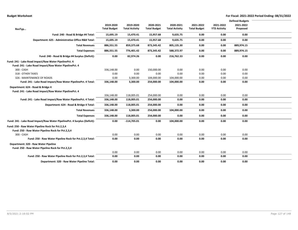|                                                                          |                     |                       |                     |                       |                     |                     | <b>Defined Budgets</b> |  |
|--------------------------------------------------------------------------|---------------------|-----------------------|---------------------|-----------------------|---------------------|---------------------|------------------------|--|
|                                                                          | 2019-2020           | 2019-2020             | 2020-2021           | 2020-2021             | 2021-2022           | 2021-2022           | 2021-2022              |  |
| RevTyp                                                                   | <b>Total Budget</b> | <b>Total Activity</b> | <b>Total Budget</b> | <b>Total Activity</b> | <b>Total Budget</b> | <b>YTD Activity</b> | Proposed               |  |
| Fund: 240 - Road & Bridge #4 Total:                                      | 15,695.19           | 15,470.41             | 15,957.68           | 9,635.75              | 0.00                | 0.00                | 0.00                   |  |
| Department: 625 - Administrative Office R&B Total:                       | 15,695.19           | 15,470.41             | 15,957.68           | 9,635.75              | 0.00                | 0.00                | 0.00                   |  |
| <b>Total Revenues</b>                                                    | 886,551.55          | 859,375.68            | 873,345.42          | 805,135.30            | 0.00                | 0.00                | 889,974.15             |  |
| <b>Total Expenses</b>                                                    | 886,551.55          | 776,401.42            | 873,345.42          | 588,372.97            | 0.00                | 0.00                | 889,974.15             |  |
| Fund: 240 - Road & Bridge #4 Surplus (Deficit):                          | 0.00                | 82,974.26             | 0.00                | 216,762.33            | 0.00                | 0.00                | 0.00                   |  |
| Fund: 241 - Lake Road Impact/Raw Water PipelinePct. 4                    |                     |                       |                     |                       |                     |                     |                        |  |
| Fund: 241 - Lake Road Impact/Raw Water PipelinePct. 4                    |                     |                       |                     |                       |                     |                     |                        |  |
| 300 - CASH                                                               | 336,148.00          | 0.00                  | 150,000.00          | 0.00                  | 0.00                | 0.00                | 0.00                   |  |
| 318 - OTHER TAXES                                                        | 0.00                | 0.00                  | 0.00                | 0.00                  | 0.00                | 0.00                | 0.00                   |  |
| 326 - MAINTENANCE OF ROADS                                               | 0.00                | 3,300.00              | 104,000.00          | 104,000.00            | 0.00                | 0.00                | 0.00                   |  |
| Fund: 241 - Lake Road Impact/Raw Water PipelinePct. 4 Total:             | 336,148.00          | 3,300.00              | 254,000.00          | 104,000.00            | 0.00                | 0.00                | 0.00                   |  |
| Department: 624 - Road & Bridge 4                                        |                     |                       |                     |                       |                     |                     |                        |  |
| Fund: 241 - Lake Road Impact/Raw Water PipelinePct. 4                    |                     |                       |                     |                       |                     |                     |                        |  |
|                                                                          | 336,148.00          | 118,005.01            | 254,000.00          | 0.00                  | 0.00                | 0.00                | 0.00                   |  |
| Fund: 241 - Lake Road Impact/Raw Water PipelinePct. 4 Total:             | 336,148.00          | 118,005.01            | 254,000.00          | 0.00                  | 0.00                | 0.00                | 0.00                   |  |
| Department: 624 - Road & Bridge 4 Total:                                 | 336,148.00          | 118,005.01            | 254,000.00          | 0.00                  | 0.00                | 0.00                | 0.00                   |  |
| <b>Total Revenues</b>                                                    | 336,148.00          | 3,300.00              | 254,000.00          | 104,000.00            | 0.00                | 0.00                | 0.00                   |  |
| <b>Total Expenses</b>                                                    | 336,148.00          | 118,005.01            | 254,000.00          | 0.00                  | 0.00                | 0.00                | 0.00                   |  |
| Fund: 241 - Lake Road Impact/Raw Water PipelinePct. 4 Surplus (Deficit): | 0.00                | $-114,705.01$         | 0.00                | 104,000.00            | 0.00                | 0.00                | 0.00                   |  |
| Fund: 250 - Raw Water Pipeline Rock for Pct.2,3,4                        |                     |                       |                     |                       |                     |                     |                        |  |
| Fund: 250 - Raw Water Pipeline Rock for Pct.2,3,4                        |                     |                       |                     |                       |                     |                     |                        |  |
| 300 - CASH                                                               | 0.00                | 0.00                  | 0.00                | 0.00                  | 0.00                | 0.00                | 0.00                   |  |
| Fund: 250 - Raw Water Pipeline Rock for Pct.2,3,4 Total:                 | 0.00                | 0.00                  | 0.00                | 0.00                  | 0.00                | 0.00                | 0.00                   |  |
| Department: 320 - Raw Water Pipeline                                     |                     |                       |                     |                       |                     |                     |                        |  |
| Fund: 250 - Raw Water Pipeline Rock for Pct.2,3,4                        |                     |                       |                     |                       |                     |                     |                        |  |
|                                                                          | 0.00                | 0.00                  | 0.00                | 0.00                  | 0.00                | 0.00                | 0.00                   |  |
| Fund: 250 - Raw Water Pipeline Rock for Pct.2,3,4 Total:                 | 0.00                | 0.00                  | 0.00                | 0.00                  | 0.00                | 0.00                | 0.00                   |  |
| Department: 320 - Raw Water Pipeline Total:                              | 0.00                | 0.00                  | 0.00                | 0.00                  | 0.00                | 0.00                | 0.00                   |  |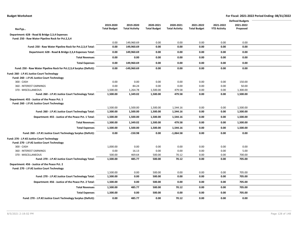|                                                                      |                     |                       |                     |                       |                     |                     | <b>Defined Budgets</b> |  |
|----------------------------------------------------------------------|---------------------|-----------------------|---------------------|-----------------------|---------------------|---------------------|------------------------|--|
|                                                                      | 2019-2020           | 2019-2020             | 2020-2021           | 2020-2021             | 2021-2022           | 2021-2022           | 2021-2022              |  |
| RevTyp                                                               | <b>Total Budget</b> | <b>Total Activity</b> | <b>Total Budget</b> | <b>Total Activity</b> | <b>Total Budget</b> | <b>YTD Activity</b> | Proposed               |  |
| Department: 628 - Road & Bridge 2,3,4 Expenses                       |                     |                       |                     |                       |                     |                     |                        |  |
| Fund: 250 - Raw Water Pipeline Rock for Pct.2,3,4                    |                     |                       |                     |                       |                     |                     |                        |  |
|                                                                      | 0.00                | 149,960.69            | 0.00                | 0.00                  | 0.00                | 0.00                | 0.00                   |  |
| Fund: 250 - Raw Water Pipeline Rock for Pct.2,3,4 Total:             | 0.00                | 149,960.69            | 0.00                | 0.00                  | 0.00                | 0.00                | 0.00                   |  |
| Department: 628 - Road & Bridge 2,3,4 Expenses Total:                | 0.00                | 149,960.69            | 0.00                | 0.00                  | 0.00                | 0.00                | 0.00                   |  |
| <b>Total Revenues</b>                                                | 0.00                | 0.00                  | 0.00                | 0.00                  | 0.00                | 0.00                | 0.00                   |  |
| <b>Total Expenses</b>                                                | 0.00                | 149,960.69            | 0.00                | 0.00                  | 0.00                | 0.00                | 0.00                   |  |
| Fund: 250 - Raw Water Pipeline Rock for Pct.2,3,4 Surplus (Deficit): | 0.00                | $-149,960.69$         | 0.00                | 0.00                  | 0.00                | 0.00                | 0.00                   |  |
| Fund: 260 - J.P.#1 Justice Court Technology                          |                     |                       |                     |                       |                     |                     |                        |  |
| Fund: 260 - J.P.#1 Justice Court Technology                          |                     |                       |                     |                       |                     |                     |                        |  |
| 300 - CASH                                                           | 0.00                | 0.00                  | 0.00                | 0.00                  | 0.00                | 0.00                | 150.00                 |  |
| 360 - INTEREST EARNINGS                                              | 0.00                | 84.24                 | 0.00                | 0.00                  | 0.00                | 0.00                | 50.00                  |  |
| 370 - MISCELLANEOUS                                                  | 1,500.00            | 1,264.78              | 1,500.00            | 479.58                | 0.00                | 0.00                | 1,300.00               |  |
| Fund: 260 - J.P.#1 Justice Court Technology Total:                   | 1,500.00            | 1,349.02              | 1,500.00            | 479.58                | 0.00                | 0.00                | 1,500.00               |  |
| Department: 455 - Justice of the Peace Pct. 1                        |                     |                       |                     |                       |                     |                     |                        |  |
| Fund: 260 - J.P.#1 Justice Court Technology                          |                     |                       |                     |                       |                     |                     |                        |  |
|                                                                      | 1,500.00            | 1,500.00              | 1,500.00            | 1,544.16              | 0.00                | 0.00                | 1,500.00               |  |
| Fund: 260 - J.P.#1 Justice Court Technology Total:                   | 1,500.00            | 1,500.00              | 1,500.00            | 1,544.16              | 0.00                | 0.00                | 1,500.00               |  |
| Department: 455 - Justice of the Peace Pct. 1 Total:                 | 1,500.00            | 1,500.00              | 1,500.00            | 1,544.16              | 0.00                | 0.00                | 1,500.00               |  |
| <b>Total Revenues</b>                                                | 1,500.00            | 1,349.02              | 1,500.00            | 479.58                | 0.00                | 0.00                | 1,500.00               |  |
| <b>Total Expenses</b>                                                | 1,500.00            | 1,500.00              | 1,500.00            | 1,544.16              | 0.00                | 0.00                | 1,500.00               |  |
| Fund: 260 - J.P.#1 Justice Court Technology Surplus (Deficit):       | 0.00                | $-150.98$             | 0.00                | $-1,064.58$           | 0.00                | 0.00                | 0.00                   |  |
| Fund: 270 - J.P.#2 Justice Court Technology                          |                     |                       |                     |                       |                     |                     |                        |  |
| Fund: 270 - J.P.#2 Justice Court Technology                          |                     |                       |                     |                       |                     |                     |                        |  |
| 300 - CASH                                                           | 1,000.00            | 0.00                  | 0.00                | 0.00                  | 0.00                | 0.00                | 0.00                   |  |
| 360 - INTEREST EARNINGS                                              | 0.00                | 16.13                 | 0.00                | 0.00                  | 0.00                | 0.00                | 5.00                   |  |
| 370 - MISCELLANEOUS                                                  | 500.00              | 469.64                | 500.00              | 70.12                 | 0.00                | 0.00                | 700.00                 |  |
| Fund: 270 - J.P.#2 Justice Court Technology Total:                   | 1,500.00            | 485.77                | 500.00              | 70.12                 | 0.00                | 0.00                | 705.00                 |  |
| Department: 456 - Justice of the Peace Pct. 2                        |                     |                       |                     |                       |                     |                     |                        |  |
| Fund: 270 - J.P.#2 Justice Court Technology                          |                     |                       |                     |                       |                     |                     |                        |  |
|                                                                      | 1,500.00            | 0.00                  | 500.00              | 0.00                  | 0.00                | 0.00                | 705.00                 |  |
| Fund: 270 - J.P.#2 Justice Court Technology Total:                   | 1,500.00            | 0.00                  | 500.00              | 0.00                  | 0.00                | 0.00                | 705.00                 |  |
| Department: 456 - Justice of the Peace Pct. 2 Total:                 | 1,500.00            | 0.00                  | 500.00              | 0.00                  | 0.00                | 0.00                | 705.00                 |  |
| <b>Total Revenues</b>                                                | 1,500.00            | 485.77                | 500.00              | 70.12                 | 0.00                | 0.00                | 705.00                 |  |
| <b>Total Expenses</b>                                                | 1,500.00            | 0.00                  | 500.00              | 0.00                  | 0.00                | 0.00                | 705.00                 |  |
| Fund: 270 - J.P.#2 Justice Court Technology Surplus (Deficit):       | 0.00                | 485.77                | 0.00                | 70.12                 | 0.00                | 0.00                | 0.00                   |  |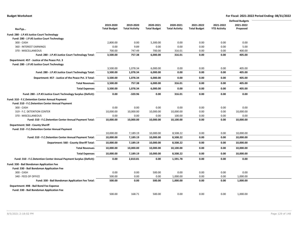|                                                                     |                     |                       |                     |                       |                     |                     | <b>Defined Budgets</b> |  |
|---------------------------------------------------------------------|---------------------|-----------------------|---------------------|-----------------------|---------------------|---------------------|------------------------|--|
|                                                                     | 2019-2020           | 2019-2020             | 2020-2021           | 2020-2021             | 2021-2022           | 2021-2022           | 2021-2022              |  |
| RevTyp                                                              | <b>Total Budget</b> | <b>Total Activity</b> | <b>Total Budget</b> | <b>Total Activity</b> | <b>Total Budget</b> | <b>YTD Activity</b> | Proposed               |  |
| Fund: 280 - J.P.#3 Justice Court Technology                         |                     |                       |                     |                       |                     |                     |                        |  |
| Fund: 280 - J.P.#3 Justice Court Technology                         |                     |                       |                     |                       |                     |                     |                        |  |
| 300 - CASH                                                          | 2,800.00            | 0.00                  | 5,300.00            | 0.00                  | 0.00                | 0.00                | 0.00                   |  |
| 360 - INTEREST EARNINGS                                             | 0.00                | 9.89                  | 0.00                | 0.00                  | 0.00                | 0.00                | 5.00                   |  |
| 370 - MISCELLANEOUS                                                 | 700.00              | 747.49                | 700.00              | 316.01                | 0.00                | 0.00                | 400.00                 |  |
| Fund: 280 - J.P.#3 Justice Court Technology Total:                  | 3,500.00            | 757.38                | 6,000.00            | 316.01                | 0.00                | 0.00                | 405.00                 |  |
| Department: 457 - Justice of the Peace Pct. 3                       |                     |                       |                     |                       |                     |                     |                        |  |
| Fund: 280 - J.P.#3 Justice Court Technology                         |                     |                       |                     |                       |                     |                     |                        |  |
|                                                                     | 3,500.00            | 1,078.34              | 6,000.00            | 0.00                  | 0.00                | 0.00                | 405.00                 |  |
| Fund: 280 - J.P.#3 Justice Court Technology Total:                  | 3,500.00            | 1,078.34              | 6,000.00            | 0.00                  | 0.00                | 0.00                | 405.00                 |  |
| Department: 457 - Justice of the Peace Pct. 3 Total:                | 3,500.00            | 1,078.34              | 6,000.00            | 0.00                  | 0.00                | 0.00                | 405.00                 |  |
| <b>Total Revenues</b>                                               | 3,500.00            | 757.38                | 6,000.00            | 316.01                | 0.00                | 0.00                | 405.00                 |  |
| <b>Total Expenses</b>                                               | 3,500.00            | 1,078.34              | 6,000.00            | 0.00                  | 0.00                | 0.00                | 405.00                 |  |
| Fund: 280 - J.P.#3 Justice Court Technology Surplus (Deficit):      | 0.00                | $-320.96$             | 0.00                | 316.01                | 0.00                | 0.00                | 0.00                   |  |
| Fund: 310 - F.C. Detention Center Annual Payment                    |                     |                       |                     |                       |                     |                     |                        |  |
| Fund: 310 - F.C.Detention Center Annual Payment                     |                     |                       |                     |                       |                     |                     |                        |  |
| 300 - CASH                                                          | 0.00                | 0.00                  | 0.00                | 0.00                  | 0.00                | 0.00                | 0.00                   |  |
| 319 - F.C. DETENTION CENTER                                         | 10,000.00           | 10,000.00             | 10,000.00           | 10,000.00             | 0.00                | 0.00                | 10,000.00              |  |
| 370 - MISCELLANEOUS                                                 | 0.00                | 0.00                  | 0.00                | 100.00                | 0.00                | 0.00                | 0.00                   |  |
| Fund: 310 - F.C.Detention Center Annual Payment Total:              | 10,000.00           | 10,000.00             | 10,000.00           | 10,100.00             | 0.00                | 0.00                | 10,000.00              |  |
| Department: 560 - County Sheriff                                    |                     |                       |                     |                       |                     |                     |                        |  |
| Fund: 310 - F.C.Detention Center Annual Payment                     |                     |                       |                     |                       |                     |                     |                        |  |
|                                                                     | 10,000.00           | 7,189.19              | 10,000.00           | 8,508.22              | 0.00                | 0.00                | 10,000.00              |  |
| Fund: 310 - F.C.Detention Center Annual Payment Total:              | 10,000.00           | 7,189.19              | 10,000.00           | 8,508.22              | 0.00                | 0.00                | 10,000.00              |  |
| Department: 560 - County Sheriff Total:                             | 10,000.00           | 7,189.19              | 10,000.00           | 8,508.22              | 0.00                | 0.00                | 10,000.00              |  |
| <b>Total Revenues</b>                                               | 10,000.00           | 10,000.00             | 10,000.00           | 10,100.00             | 0.00                | 0.00                | 10,000.00              |  |
| <b>Total Expenses</b>                                               | 10,000.00           | 7,189.19              | 10,000.00           | 8,508.22              | 0.00                | 0.00                | 10,000.00              |  |
| Fund: 310 - F.C. Detention Center Annual Payment Surplus (Deficit): | 0.00                | 2,810.81              | 0.00                | 1,591.78              | 0.00                | 0.00                | 0.00                   |  |
| Fund: 330 - Bail Bondsman Application Fee                           |                     |                       |                     |                       |                     |                     |                        |  |
| Fund: 330 - Bail Bondsman Application Fee                           |                     |                       |                     |                       |                     |                     |                        |  |
| 300 - CASH                                                          | 0.00                | 0.00                  | 500.00              | 0.00                  | 0.00                | 0.00                | 0.00                   |  |
| 340 - FEES OF OFFICE                                                | 500.00              | 0.00                  | 0.00                | 1,000.00              | 0.00                | 0.00                | 1,000.00               |  |
| Fund: 330 - Bail Bondsman Application Fee Total:                    | 500.00              | 0.00                  | 500.00              | 1,000.00              | 0.00                | 0.00                | 1,000.00               |  |
| Department: 498 - Bail Bond Fee Expense                             |                     |                       |                     |                       |                     |                     |                        |  |
| Fund: 330 - Bail Bondsman Application Fee                           |                     |                       |                     |                       |                     |                     |                        |  |
|                                                                     | 500.00              | 168.71                | 500.00              | 0.00                  | 0.00                | 0.00                | 1,000.00               |  |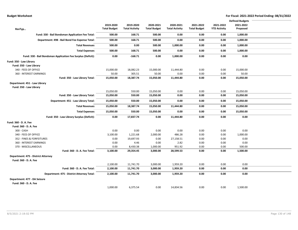|                                                              |                     |                       |                     |                       |                     |                     | <b>Defined Budgets</b> |  |
|--------------------------------------------------------------|---------------------|-----------------------|---------------------|-----------------------|---------------------|---------------------|------------------------|--|
|                                                              | 2019-2020           | 2019-2020             | 2020-2021           | 2020-2021             | 2021-2022           | 2021-2022           | 2021-2022              |  |
| RevTyp                                                       | <b>Total Budget</b> | <b>Total Activity</b> | <b>Total Budget</b> | <b>Total Activity</b> | <b>Total Budget</b> | <b>YTD Activity</b> | Proposed               |  |
| Fund: 330 - Bail Bondsman Application Fee Total:             | 500.00              | 168.71                | 500.00              | 0.00                  | 0.00                | 0.00                | 1,000.00               |  |
| Department: 498 - Bail Bond Fee Expense Total:               | 500.00              | 168.71                | 500.00              | 0.00                  | 0.00                | 0.00                | 1,000.00               |  |
| <b>Total Revenues</b>                                        | 500.00              | 0.00                  | 500.00              | 1,000.00              | 0.00                | 0.00                | 1,000.00               |  |
| <b>Total Expenses</b>                                        | 500.00              | 168.71                | 500.00              | 0.00                  | 0.00                | 0.00                | 1,000.00               |  |
| Fund: 330 - Bail Bondsman Application Fee Surplus (Deficit): | 0.00                | $-168.71$             | 0.00                | 1,000.00              | 0.00                | 0.00                | 0.00                   |  |
| Fund: 350 - Law Library                                      |                     |                       |                     |                       |                     |                     |                        |  |
| Fund: 350 - Law Library                                      |                     |                       |                     |                       |                     |                     |                        |  |
| 340 - FEES OF OFFICE                                         | 15,000.00           | 18,082.23             | 15,000.00           | 11,444.80             | 0.00                | 0.00                | 15,000.00              |  |
| 360 - INTEREST EARNINGS                                      | 50.00               | 305.51                | 50.00               | 0.00                  | 0.00                | 0.00                | 50.00                  |  |
| Fund: 350 - Law Library Total:                               | 15,050.00           | 18,387.74             | 15,050.00           | 11,444.80             | 0.00                | 0.00                | 15,050.00              |  |
| Department: 451 - Law Library                                |                     |                       |                     |                       |                     |                     |                        |  |
| Fund: 350 - Law Library                                      |                     |                       |                     |                       |                     |                     |                        |  |
|                                                              | 15,050.00           | 550.00                | 15,050.00           | 0.00                  | 0.00                | 0.00                | 15,050.00              |  |
| Fund: 350 - Law Library Total:                               | 15,050.00           | 550.00                | 15,050.00           | 0.00                  | 0.00                | 0.00                | 15,050.00              |  |
| Department: 451 - Law Library Total:                         | 15,050.00           | 550.00                | 15,050.00           | 0.00                  | 0.00                | 0.00                | 15,050.00              |  |
| <b>Total Revenues</b>                                        | 15,050.00           | 18,387.74             | 15,050.00           | 11,444.80             | 0.00                | 0.00                | 15,050.00              |  |
| <b>Total Expenses</b>                                        | 15,050.00           | 550.00                | 15,050.00           | 0.00                  | 0.00                | 0.00                | 15,050.00              |  |
| Fund: 350 - Law Library Surplus (Deficit):                   | 0.00                | 17,837.74             | 0.00                | 11,444.80             | 0.00                | 0.00                | 0.00                   |  |
| Fund: 360 - D. A. Fee                                        |                     |                       |                     |                       |                     |                     |                        |  |
| Fund: 360 - D. A. Fee                                        |                     |                       |                     |                       |                     |                     |                        |  |
| 300 - CASH                                                   | 0.00                | 0.00                  | 0.00                | 0.00                  | 0.00                | 0.00                | 0.00                   |  |
| 340 - FEES OF OFFICE                                         | 3,100.00            | 1,221.68              | 2,000.00            | 486.28                | 0.00                | 0.00                | 1,000.00               |  |
| 352 - FINES & FORFEITURES                                    | 0.00                | 19,697.93             | 0.00                | 27,158.51             | 0.00                | 0.00                | 0.00                   |  |
| 360 - INTEREST EARNINGS                                      | 0.00                | 4.46                  | 0.00                | 2.82                  | 0.00                | 0.00                | 0.00                   |  |
| 370 - MISCELLANEOUS                                          | 0.00                | 8,430.38              | 1,000.00            | 951.92                | 0.00                | 0.00                | 500.00                 |  |
| Fund: 360 - D. A. Fee Total:                                 | 3,100.00            | 29,354.45             | 3,000.00            | 28,599.53             | 0.00                | 0.00                | 1,500.00               |  |
| Department: 475 - District Attorney                          |                     |                       |                     |                       |                     |                     |                        |  |
| Fund: 360 - D. A. Fee                                        |                     |                       |                     |                       |                     |                     |                        |  |
|                                                              | 2,100.00            | 11,741.70             | 3,000.00            | 1,959.20              | 0.00                | 0.00                | 0.00                   |  |
| Fund: 360 - D. A. Fee Total:                                 | 2,100.00            | 11,741.70             | 3,000.00            | 1,959.20              | 0.00                | 0.00                | 0.00                   |  |
| Department: 475 - District Attorney Total:                   | 2,100.00            | 11,741.70             | 3,000.00            | 1,959.20              | 0.00                | 0.00                | 0.00                   |  |
| Department: 477 - DA Seizure                                 |                     |                       |                     |                       |                     |                     |                        |  |
| Fund: 360 - D. A. Fee                                        |                     |                       |                     |                       |                     |                     |                        |  |
|                                                              | 1,000.00            | 6,375.54              | 0.00                | 14,834.56             | 0.00                | 0.00                | 1,500.00               |  |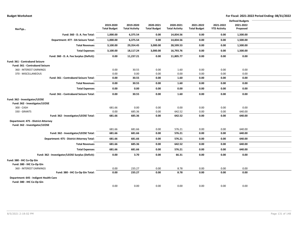|                                        |                                                   |                     |                       |                     |                       |                     |                     | <b>Defined Budgets</b> |  |
|----------------------------------------|---------------------------------------------------|---------------------|-----------------------|---------------------|-----------------------|---------------------|---------------------|------------------------|--|
|                                        |                                                   | 2019-2020           | 2019-2020             | 2020-2021           | 2020-2021             | 2021-2022           | 2021-2022           | 2021-2022              |  |
| RevTyp                                 |                                                   | <b>Total Budget</b> | <b>Total Activity</b> | <b>Total Budget</b> | <b>Total Activity</b> | <b>Total Budget</b> | <b>YTD Activity</b> | Proposed               |  |
|                                        | Fund: 360 - D. A. Fee Total:                      | 1,000.00            | 6,375.54              | 0.00                | 14,834.56             | 0.00                | 0.00                | 1,500.00               |  |
|                                        | Department: 477 - DA Seizure Total:               | 1,000.00            | 6,375.54              | 0.00                | 14,834.56             | 0.00                | 0.00                | 1,500.00               |  |
|                                        | <b>Total Revenues</b>                             | 3,100.00            | 29,354.45             | 3,000.00            | 28,599.53             | 0.00                | 0.00                | 1,500.00               |  |
|                                        | <b>Total Expenses</b>                             | 3,100.00            | 18,117.24             | 3,000.00            | 16,793.76             | 0.00                | 0.00                | 1,500.00               |  |
|                                        | Fund: 360 - D. A. Fee Surplus (Deficit):          | 0.00                | 11,237.21             | 0.00                | 11,805.77             | 0.00                | 0.00                | 0.00                   |  |
| Fund: 361 - Contraband Seizure         |                                                   |                     |                       |                     |                       |                     |                     |                        |  |
| Fund: 361 - Contraband Seizure         |                                                   |                     |                       |                     |                       |                     |                     |                        |  |
| 360 - INTEREST EARNINGS                |                                                   | 0.00                | 30.55                 | 0.00                | 1.60                  | 0.00                | 0.00                | 0.00                   |  |
| 370 - MISCELLANEOUS                    |                                                   | 0.00                | 0.00                  | 0.00                | 0.00                  | 0.00                | 0.00                | 0.00                   |  |
|                                        | Fund: 361 - Contraband Seizure Total:             | 0.00                | 30.55                 | 0.00                | 1.60                  | 0.00                | 0.00                | 0.00                   |  |
|                                        | <b>Total Revenues</b>                             | 0.00                | 30.55                 | 0.00                | 1.60                  | 0.00                | 0.00                | 0.00                   |  |
|                                        | <b>Total Expenses</b>                             | 0.00                | 0.00                  | 0.00                | 0.00                  | 0.00                | 0.00                | 0.00                   |  |
|                                        | Fund: 361 - Contraband Seizure Total:             | 0.00                | 30.55                 | 0.00                | 1.60                  | 0.00                | 0.00                | 0.00                   |  |
| Fund: 362 - Investigator/LEOSE         |                                                   |                     |                       |                     |                       |                     |                     |                        |  |
| Fund: 362 - Investigator/LEOSE         |                                                   |                     |                       |                     |                       |                     |                     |                        |  |
| 300 - CASH                             |                                                   | 681.66              | 0.00                  | 0.00                | 0.00                  | 0.00                | 0.00                | 0.00                   |  |
| 330 - GRANTS                           |                                                   | 0.00                | 685.36                | 0.00                | 642.52                | 0.00                | 0.00                | 640.00                 |  |
|                                        | Fund: 362 - Investigator/LEOSE Total:             | 681.66              | 685.36                | 0.00                | 642.52                | 0.00                | 0.00                | 640.00                 |  |
| Department: 475 - District Attorney    |                                                   |                     |                       |                     |                       |                     |                     |                        |  |
| Fund: 362 - Investigator/LEOSE         |                                                   |                     |                       |                     |                       |                     |                     |                        |  |
|                                        |                                                   | 681.66              | 681.66                | 0.00                | 576.21                | 0.00                | 0.00                | 640.00                 |  |
|                                        | Fund: 362 - Investigator/LEOSE Total:             | 681.66              | 681.66                | 0.00                | 576.21                | 0.00                | 0.00                | 640.00                 |  |
|                                        | Department: 475 - District Attorney Total:        | 681.66              | 681.66                | 0.00                | 576.21                | 0.00                | 0.00                | 640.00                 |  |
|                                        | <b>Total Revenues</b>                             | 681.66              | 685.36                | 0.00                | 642.52                | 0.00                | 0.00                | 640.00                 |  |
|                                        | <b>Total Expenses</b>                             | 681.66              | 681.66                | 0.00                | 576.21                | 0.00                | 0.00                | 640.00                 |  |
|                                        | Fund: 362 - Investigator/LEOSE Surplus (Deficit): | 0.00                | 3.70                  | 0.00                | 66.31                 | 0.00                | 0.00                | 0.00                   |  |
| Fund: 380 - IHC Co-Op Gin              |                                                   |                     |                       |                     |                       |                     |                     |                        |  |
| Fund: 380 - IHC Co-Op Gin              |                                                   |                     |                       |                     |                       |                     |                     |                        |  |
| 360 - INTEREST EARNINGS                |                                                   | 0.00                | 235.27                | 0.00                | 8.78                  | 0.00                | 0.00                | 0.00                   |  |
|                                        | Fund: 380 - IHC Co-Op Gin Total:                  | 0.00                | 235.27                | 0.00                | 8.78                  | 0.00                | 0.00                | 0.00                   |  |
| Department: 645 - Indigent Health Care |                                                   |                     |                       |                     |                       |                     |                     |                        |  |
| Fund: 380 - IHC Co-Op Gin              |                                                   |                     |                       |                     |                       |                     |                     |                        |  |
|                                        |                                                   | 0.00                | 0.00                  | 0.00                | 0.00                  | 0.00                | 0.00                | 0.00                   |  |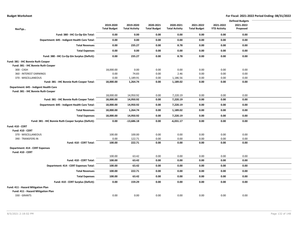|                                                       |                     |                       |                     |                       |                     |                     | <b>Defined Budgets</b> |  |
|-------------------------------------------------------|---------------------|-----------------------|---------------------|-----------------------|---------------------|---------------------|------------------------|--|
|                                                       | 2019-2020           | 2019-2020             | 2020-2021           | 2020-2021             | 2021-2022           | 2021-2022           | 2021-2022              |  |
| RevTyp                                                | <b>Total Budget</b> | <b>Total Activity</b> | <b>Total Budget</b> | <b>Total Activity</b> | <b>Total Budget</b> | <b>YTD Activity</b> | Proposed               |  |
| Fund: 380 - IHC Co-Op Gin Total:                      | 0.00                | 0.00                  | 0.00                | 0.00                  | 0.00                | 0.00                | 0.00                   |  |
| Department: 645 - Indigent Health Care Total:         | 0.00                | 0.00                  | 0.00                | 0.00                  | 0.00                | 0.00                | 0.00                   |  |
| <b>Total Revenues</b>                                 | 0.00                | 235.27                | 0.00                | 8.78                  | 0.00                | 0.00                | 0.00                   |  |
| <b>Total Expenses</b>                                 | 0.00                | 0.00                  | 0.00                | 0.00                  | 0.00                | 0.00                | 0.00                   |  |
| Fund: 380 - IHC Co-Op Gin Surplus (Deficit):          | 0.00                | 235.27                | 0.00                | 8.78                  | 0.00                | 0.00                | 0.00                   |  |
| Fund: 381 - IHC Bonnie Ruth Cooper                    |                     |                       |                     |                       |                     |                     |                        |  |
| Fund: 381 - IHC Bonnie Ruth Cooper                    |                     |                       |                     |                       |                     |                     |                        |  |
| 300 - CASH                                            | 18,000.00           | 0.00                  | 0.00                | 0.00                  | 0.00                | 0.00                | 0.00                   |  |
| 360 - INTEREST EARNINGS                               | 0.00                | 74.83                 | 0.00                | 2.46                  | 0.00                | 0.00                | 0.00                   |  |
| 370 - MISCELLANEOUS                                   | 0.00                | 1,189.91              | 0.00                | 1,186.56              | 0.00                | 0.00                | 0.00                   |  |
| Fund: 381 - IHC Bonnie Ruth Cooper Total:             | 18,000.00           | 1,264.74              | 0.00                | 1,189.02              | 0.00                | 0.00                | 0.00                   |  |
| Department: 645 - Indigent Health Care                |                     |                       |                     |                       |                     |                     |                        |  |
| Fund: 381 - IHC Bonnie Ruth Cooper                    |                     |                       |                     |                       |                     |                     |                        |  |
|                                                       | 18,000.00           | 14,950.92             | 0.00                | 7,220.19              | 0.00                | 0.00                | 0.00                   |  |
| Fund: 381 - IHC Bonnie Ruth Cooper Total:             | 18,000.00           | 14,950.92             | 0.00                | 7,220.19              | 0.00                | 0.00                | 0.00                   |  |
| Department: 645 - Indigent Health Care Total:         | 18,000.00           | 14,950.92             | 0.00                | 7,220.19              | 0.00                | 0.00                | 0.00                   |  |
| <b>Total Revenues</b>                                 | 18,000.00           | 1,264.74              | 0.00                | 1,189.02              | 0.00                | 0.00                | 0.00                   |  |
| <b>Total Expenses</b>                                 | 18,000.00           | 14,950.92             | 0.00                | 7,220.19              | 0.00                | 0.00                | 0.00                   |  |
| Fund: 381 - IHC Bonnie Ruth Cooper Surplus (Deficit): | 0.00                | $-13,686.18$          | 0.00                | $-6,031.17$           | 0.00                | 0.00                | 0.00                   |  |
| <b>Fund: 410 - CERT</b>                               |                     |                       |                     |                       |                     |                     |                        |  |
| <b>Fund: 410 - CERT</b>                               |                     |                       |                     |                       |                     |                     |                        |  |
| 370 - MISCELLANEOUS                                   | 100.00              | 100.00                | 0.00                | 0.00                  | 0.00                | 0.00                | 0.00                   |  |
| 390 - TRANSFERS IN                                    | 0.00                | 122.71                | 0.00                | 0.00                  | 0.00                | 0.00                | 0.00                   |  |
| Fund: 410 - CERT Total:                               | 100.00              | 222.71                | 0.00                | 0.00                  | 0.00                | 0.00                | 0.00                   |  |
| <b>Department: 414 - CERT Expenses</b>                |                     |                       |                     |                       |                     |                     |                        |  |
| <b>Fund: 410 - CERT</b>                               |                     |                       |                     |                       |                     |                     |                        |  |
|                                                       | 100.00              | 63.42                 | 0.00                | 0.00                  | 0.00                | 0.00                | 0.00                   |  |
| Fund: 410 - CERT Total:                               | 100.00              | 63.42                 | 0.00                | 0.00                  | 0.00                | 0.00                | 0.00                   |  |
| Department: 414 - CERT Expenses Total:                | 100.00              | 63.42                 | 0.00                | 0.00                  | 0.00                | 0.00                | 0.00                   |  |
| <b>Total Revenues</b>                                 | 100.00              | 222.71                | 0.00                | 0.00                  | 0.00                | 0.00                | 0.00                   |  |
| <b>Total Expenses</b>                                 | 100.00              | 63.42                 | 0.00                | 0.00                  | 0.00                | 0.00                | 0.00                   |  |
| Fund: 410 - CERT Surplus (Deficit):                   | 0.00                | 159.29                | 0.00                | 0.00                  | 0.00                | 0.00                | 0.00                   |  |
| Fund: 411 - Hazard Mitigation Plan                    |                     |                       |                     |                       |                     |                     |                        |  |
| Fund: 411 - Hazard Mitigation Plan                    |                     |                       |                     |                       |                     |                     |                        |  |
| 330 - GRANTS                                          | 0.00                | 0.00                  | 0.00                | 0.00                  | 0.00                | 0.00                | 0.00                   |  |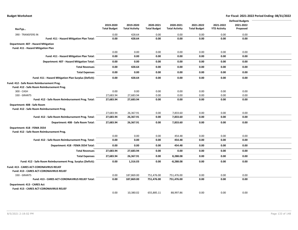|                                                              |                     |                       |                     |                       |                     |                     | <b>Defined Budgets</b> |  |
|--------------------------------------------------------------|---------------------|-----------------------|---------------------|-----------------------|---------------------|---------------------|------------------------|--|
|                                                              | 2019-2020           | 2019-2020             | 2020-2021           | 2020-2021             | 2021-2022           | 2021-2022           | 2021-2022              |  |
| RevTyp                                                       | <b>Total Budget</b> | <b>Total Activity</b> | <b>Total Budget</b> | <b>Total Activity</b> | <b>Total Budget</b> | <b>YTD Activity</b> | Proposed               |  |
| 390 - TRANSFERS IN                                           | 0.00                | 428.64                | 0.00                | 0.00                  | 0.00                | 0.00                | 0.00                   |  |
| Fund: 411 - Hazard Mitigation Plan Total:                    | 0.00                | 428.64                | 0.00                | 0.00                  | 0.00                | 0.00                | 0.00                   |  |
| Department: 407 - Hazard Mitigation                          |                     |                       |                     |                       |                     |                     |                        |  |
| Fund: 411 - Hazard Mitigation Plan                           |                     |                       |                     |                       |                     |                     |                        |  |
|                                                              | 0.00                | 0.00                  | 0.00                | 0.00                  | 0.00                | 0.00                | 0.00                   |  |
| Fund: 411 - Hazard Mitigation Plan Total:                    | 0.00                | 0.00                  | 0.00                | 0.00                  | 0.00                | 0.00                | 0.00                   |  |
| Department: 407 - Hazard Mitigation Total:                   | 0.00                | 0.00                  | 0.00                | 0.00                  | 0.00                | 0.00                | 0.00                   |  |
| <b>Total Revenues</b>                                        | 0.00                | 428.64                | 0.00                | 0.00                  | 0.00                | 0.00                | 0.00                   |  |
| <b>Total Expenses</b>                                        | 0.00                | 0.00                  | 0.00                | 0.00                  | 0.00                | 0.00                | 0.00                   |  |
| Fund: 411 - Hazard Mitigation Plan Surplus (Deficit):        | 0.00                | 428.64                | 0.00                | 0.00                  | 0.00                | 0.00                | 0.00                   |  |
| Fund: 412 - Safe Room Reimbursement Prog.                    |                     |                       |                     |                       |                     |                     |                        |  |
| Fund: 412 - Safe Room Reimbursement Prog.                    |                     |                       |                     |                       |                     |                     |                        |  |
| 300 - CASH                                                   | 0.00                | 0.00                  | 0.00                | 0.00                  | 0.00                | 0.00                | 0.00                   |  |
| 330 - GRANTS                                                 | 27,683.94           | 27,683.94             | 0.00                | 0.00                  | 0.00                | 0.00                | 0.00                   |  |
| Fund: 412 - Safe Room Reimbursement Prog. Total:             | 27,683.94           | 27,683.94             | 0.00                | 0.00                  | 0.00                | 0.00                | 0.00                   |  |
| Department: 408 - Safe Room                                  |                     |                       |                     |                       |                     |                     |                        |  |
| Fund: 412 - Safe Room Reimbursement Prog.                    |                     |                       |                     |                       |                     |                     |                        |  |
|                                                              | 27,683.94           | 26,367.91             | 0.00                | 7,833.60              | 0.00                | 0.00                | 0.00                   |  |
| Fund: 412 - Safe Room Reimbursement Prog. Total:             | 27,683.94           | 26,367.91             | 0.00                | 7,833.60              | 0.00                | 0.00                | 0.00                   |  |
| Department: 408 - Safe Room Total:                           | 27,683.94           | 26,367.91             | 0.00                | 7,833.60              | 0.00                | 0.00                | 0.00                   |  |
| Department: 418 - FEMA 3554                                  |                     |                       |                     |                       |                     |                     |                        |  |
| Fund: 412 - Safe Room Reimbursement Prog.                    |                     |                       |                     |                       |                     |                     |                        |  |
|                                                              | 0.00                | 0.00                  | 0.00                | 454.48                | 0.00                | 0.00                | 0.00                   |  |
| Fund: 412 - Safe Room Reimbursement Prog. Total:             | 0.00                | 0.00                  | 0.00                | 454.48                | 0.00                | 0.00                | 0.00                   |  |
| Department: 418 - FEMA 3554 Total:                           | 0.00                | 0.00                  | 0.00                | 454.48                | 0.00                | 0.00                | 0.00                   |  |
| <b>Total Revenues</b>                                        | 27,683.94           | 27,683.94             | 0.00                | 0.00                  | 0.00                | 0.00                | 0.00                   |  |
| <b>Total Expenses</b>                                        | 27,683.94           | 26,367.91             | 0.00                | 8,288.08              | 0.00                | 0.00                | 0.00                   |  |
| Fund: 412 - Safe Room Reimbursement Prog. Surplus (Deficit): | 0.00                | 1,316.03              | 0.00                | $-8,288.08$           | 0.00                | 0.00                | 0.00                   |  |
| Fund: 413 - CARES ACT-CORONAVIRUS RELIEF                     |                     |                       |                     |                       |                     |                     |                        |  |
| Fund: 413 - CARES ACT-CORONAVIRUS RELIEF                     |                     |                       |                     |                       |                     |                     |                        |  |
| 330 - GRANTS                                                 | 0.00                | 187,869.00            | 751,476.00          | 751,476.00            | 0.00                | 0.00                | 0.00                   |  |
| Fund: 413 - CARES ACT-CORONAVIRUS RELIEF Total:              | 0.00                | 187,869.00            | 751,476.00          | 751,476.00            | 0.00                | 0.00                | 0.00                   |  |
| Department: 413 - CARES Act                                  |                     |                       |                     |                       |                     |                     |                        |  |
| <b>Fund: 413 - CARES ACT-CORONAVIRUS RELIEF</b>              |                     |                       |                     |                       |                     |                     |                        |  |
|                                                              | 0.00                | 10,380.02             | 655,885.11          | 88,997.86             | 0.00                | 0.00                | 0.00                   |  |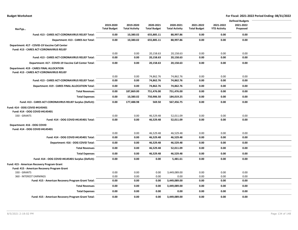|                                                             |                     |                       |                     |                       |                     |                     | <b>Defined Budgets</b> |  |
|-------------------------------------------------------------|---------------------|-----------------------|---------------------|-----------------------|---------------------|---------------------|------------------------|--|
|                                                             | 2019-2020           | 2019-2020             | 2020-2021           | 2020-2021             | 2021-2022           | 2021-2022           | 2021-2022              |  |
| RevTyp                                                      | <b>Total Budget</b> | <b>Total Activity</b> | <b>Total Budget</b> | <b>Total Activity</b> | <b>Total Budget</b> | <b>YTD Activity</b> | Proposed               |  |
| Fund: 413 - CARES ACT-CORONAVIRUS RELIEF Total:             | 0.00                | 10,380.02             | 655,885.11          | 88,997.86             | 0.00                | 0.00                | 0.00                   |  |
| Department: 413 - CARES Act Total:                          | 0.00                | 10,380.02             | 655,885.11          | 88,997.86             | 0.00                | 0.00                | 0.00                   |  |
| Department: 417 - COVID-19 Vaccine Call Center              |                     |                       |                     |                       |                     |                     |                        |  |
| Fund: 413 - CARES ACT-CORONAVIRUS RELIEF                    |                     |                       |                     |                       |                     |                     |                        |  |
|                                                             | 0.00                | 0.00                  | 20,158.63           | 20,158.63             | 0.00                | 0.00                | 0.00                   |  |
| Fund: 413 - CARES ACT-CORONAVIRUS RELIEF Total:             | 0.00                | 0.00                  | 20,158.63           | 20,158.63             | 0.00                | 0.00                | 0.00                   |  |
| Department: 417 - COVID-19 Vaccine Call Center Total:       | 0.00                | 0.00                  | 20,158.63           | 20,158.63             | 0.00                | 0.00                | 0.00                   |  |
| Department: 419 - CARES FINAL ALLOCATION                    |                     |                       |                     |                       |                     |                     |                        |  |
| <b>Fund: 413 - CARES ACT-CORONAVIRUS RELIEF</b>             |                     |                       |                     |                       |                     |                     |                        |  |
|                                                             | 0.00                | 0.00                  | 74,862.76           | 74,862.76             | 0.00                | 0.00                | 0.00                   |  |
| Fund: 413 - CARES ACT-CORONAVIRUS RELIEF Total:             | 0.00                | 0.00                  | 74,862.76           | 74,862.76             | 0.00                | 0.00                | 0.00                   |  |
| Department: 419 - CARES FINAL ALLOCATION Total:             | 0.00                | 0.00                  | 74,862.76           | 74,862.76             | 0.00                | 0.00                | 0.00                   |  |
| <b>Total Revenues</b>                                       | 0.00                | 187,869.00            | 751,476.00          | 751,476.00            | 0.00                | 0.00                | 0.00                   |  |
| <b>Total Expenses</b>                                       | 0.00                | 10,380.02             | 750,906.50          | 184,019.25            | 0.00                | 0.00                | 0.00                   |  |
| Fund: 413 - CARES ACT-CORONAVIRUS RELIEF Surplus (Deficit): | 0.00                | 177,488.98            | 569.50              | 567,456.75            | 0.00                | 0.00                | 0.00                   |  |
| Fund: 414 - OOG COVID #4145401                              |                     |                       |                     |                       |                     |                     |                        |  |
| Fund: 414 - OOG COVID #4145401                              |                     |                       |                     |                       |                     |                     |                        |  |
| 330 - GRANTS                                                | 0.00                | 0.00                  | 46,529.48           | 52,011.09             | 0.00                | 0.00                | 0.00                   |  |
| Fund: 414 - OOG COVID #4145401 Total:                       | 0.00                | 0.00                  | 46,529.48           | 52,011.09             | 0.00                | 0.00                | 0.00                   |  |
| Department: 416 - OOG COVID                                 |                     |                       |                     |                       |                     |                     |                        |  |
| Fund: 414 - OOG COVID #4145401                              |                     |                       |                     |                       |                     |                     |                        |  |
|                                                             | 0.00                | 0.00                  | 46,529.48           | 46,529.48             | 0.00                | 0.00                | 0.00                   |  |
| Fund: 414 - OOG COVID #4145401 Total:                       | 0.00                | 0.00                  | 46,529.48           | 46,529.48             | 0.00                | 0.00                | 0.00                   |  |
| Department: 416 - OOG COVID Total:                          | 0.00                | 0.00                  | 46,529.48           | 46,529.48             | 0.00                | 0.00                | 0.00                   |  |
| <b>Total Revenues</b>                                       | 0.00                | 0.00                  | 46,529.48           | 52,011.09             | 0.00                | 0.00                | 0.00                   |  |
| <b>Total Expenses</b>                                       | 0.00                | 0.00                  | 46,529.48           | 46,529.48             | 0.00                | 0.00                | 0.00                   |  |
| Fund: 414 - OOG COVID #4145401 Surplus (Deficit):           | 0.00                | 0.00                  | 0.00                | 5,481.61              | 0.00                | 0.00                | 0.00                   |  |
| Fund: 415 - American Recovery Program Grant                 |                     |                       |                     |                       |                     |                     |                        |  |
| Fund: 415 - American Recovery Program Grant                 |                     |                       |                     |                       |                     |                     |                        |  |
| 330 - GRANTS                                                | 0.00                | 0.00                  | 0.00                | 3,449,089.00          | 0.00                | 0.00                | 0.00                   |  |
| 360 - INTEREST EARNINGS                                     | 0.00                | 0.00                  | 0.00                | 0.00                  | 0.00                | 0.00                | 0.00                   |  |
| Fund: 415 - American Recovery Program Grant Total:          | 0.00                | 0.00                  | 0.00                | 3,449,089.00          | 0.00                | 0.00                | 0.00                   |  |
| <b>Total Revenues</b>                                       | 0.00                | 0.00                  | 0.00                | 3,449,089.00          | 0.00                | 0.00                | 0.00                   |  |
| <b>Total Expenses</b>                                       | 0.00                | 0.00                  | 0.00                | 0.00                  | 0.00                | 0.00                | 0.00                   |  |
| Fund: 415 - American Recovery Program Grant Total:          | 0.00                | 0.00                  | 0.00                | 3,449,089.00          | 0.00                | 0.00                | 0.00                   |  |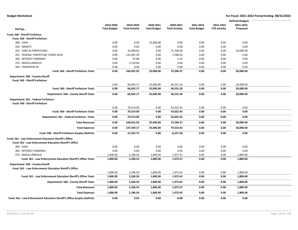|                                                                           |                     |                       |                     |                       |                     |                     | <b>Defined Budgets</b> |
|---------------------------------------------------------------------------|---------------------|-----------------------|---------------------|-----------------------|---------------------|---------------------|------------------------|
|                                                                           | 2019-2020           | 2019-2020             | 2020-2021           | 2020-2021             | 2021-2022           | 2021-2022           | 2021-2022              |
| RevTyp                                                                    | <b>Total Budget</b> | <b>Total Activity</b> | <b>Total Budget</b> | <b>Total Activity</b> | <b>Total Budget</b> | <b>YTD Activity</b> | Proposed               |
| Fund: 560 - Sheriff Forfeiture                                            |                     |                       |                     |                       |                     |                     |                        |
| Fund: 560 - Sheriff Forfeiture                                            |                     |                       |                     |                       |                     |                     |                        |
| 300 - CASH                                                                | 0.00                | 0.00                  | 25,000.00           | 0.00                  | 0.00                | 0.00                | 0.00                   |
| 330 - GRANTS                                                              | 0.00                | 0.00                  | 0.00                | 0.00                  | 0.00                | 0.00                | 0.00                   |
| 352 - FINES & FORFEITURES                                                 | 0.00                | 43,368.65             | 0.00                | 71,704.58             | 0.00                | 0.00                | 20,000.00              |
| 355 - FEDERAL FORFEITURE FUNDS 2018                                       | 0.00                | 122,387.39            | 0.00                | 1,586.65              | 0.00                | 0.00                | 0.00                   |
| 360 - INTEREST EARNINGS                                                   | 0.00                | 25.88                 | 0.00                | 5.14                  | 0.00                | 0.00                | 0.00                   |
| 370 - MISCELLANEOUS                                                       | 0.00                | 2,720.00              | 0.00                | 0.00                  | 0.00                | 0.00                | 0.00                   |
| 390 - TRANSFERS IN                                                        | 0.00                | 0.00                  | 0.00                | 0.00                  | 0.00                | 0.00                | 0.00                   |
| Fund: 560 - Sheriff Forfeiture Total:                                     | 0.00                | 168,501.92            | 25,000.00           | 73,296.37             | 0.00                | 0.00                | 20,000.00              |
| Department: 560 - County Sheriff                                          |                     |                       |                     |                       |                     |                     |                        |
| Fund: 560 - Sheriff Forfeiture                                            |                     |                       |                     |                       |                     |                     |                        |
|                                                                           | 0.00                | 66,935.17             | 25,000.00           | 36,531.20             | 0.00                | 0.00                | 20,000.00              |
| Fund: 560 - Sheriff Forfeiture Total:                                     | 0.00                | 66,935.17             | 25,000.00           | 36,531.20             | 0.00                | 0.00                | 20,000.00              |
| Department: 560 - County Sheriff Total:                                   | 0.00                | 66,935.17             | 25,000.00           | 36,531.20             | 0.00                | 0.00                | 20,000.00              |
|                                                                           |                     |                       |                     |                       |                     |                     |                        |
| Department: 561 - Federal Forfeiture                                      |                     |                       |                     |                       |                     |                     |                        |
| <b>Fund: 560 - Sheriff Forfeiture</b>                                     |                     |                       |                     |                       |                     |                     |                        |
|                                                                           | 0.00                | 70,314.00             | 0.00                | 43,022.45             | 0.00                | 0.00                | 0.00                   |
| Fund: 560 - Sheriff Forfeiture Total:                                     | 0.00                | 70,314.00             | 0.00                | 43,022.45             | 0.00                | 0.00                | 0.00                   |
| Department: 561 - Federal Forfeiture Total:                               | 0.00                | 70,314.00             | 0.00                | 43,022.45             | 0.00                | 0.00                | 0.00                   |
| <b>Total Revenues</b>                                                     | 0.00                | 168,501.92            | 25,000.00           | 73,296.37             | 0.00                | 0.00                | 20,000.00              |
| <b>Total Expenses</b>                                                     | 0.00                | 137,249.17            | 25,000.00           | 79,553.65             | 0.00                | 0.00                | 20,000.00              |
| Fund: 560 - Sheriff Forfeiture Surplus (Deficit):                         | 0.00                | 31,252.75             | 0.00                | $-6,257.28$           | 0.00                | 0.00                | 0.00                   |
| Fund: 561 - Law Enforcement Education Sheriff's Office                    |                     |                       |                     |                       |                     |                     |                        |
| <b>Fund: 561 - Law Enforcement Education Sheriff's Office</b>             |                     |                       |                     |                       |                     |                     |                        |
| 300 - CASH                                                                | 0.00                | 0.00                  | 0.00                | 0.00                  | 0.00                | 0.00                | 0.00                   |
| 360 - INTEREST EARNINGS                                                   | 0.00                | 0.09                  | 0.00                | 0.06                  | 0.00                | 0.00                | 0.00                   |
| 370 - MISCELLANEOUS                                                       | 1,800.00            | 2,186.44              | 1,800.00            | 1,972.51              | 0.00                | 0.00                | 1,800.00               |
| Fund: 561 - Law Enforcement Education Sheriff's Office Total:             | 1,800.00            | 2,186.53              | 1,800.00            | 1,972.57              | 0.00                | 0.00                | 1,800.00               |
| Department: 560 - County Sheriff                                          |                     |                       |                     |                       |                     |                     |                        |
| <b>Fund: 561 - Law Enforcement Education Sheriff's Office</b>             |                     |                       |                     |                       |                     |                     |                        |
|                                                                           | 1,800.00            | 2,186.50              | 1,800.00            | 1,972.65              | 0.00                | 0.00                | 1,800.00               |
| Fund: 561 - Law Enforcement Education Sheriff's Office Total:             | 1,800.00            | 2,186.50              | 1,800.00            | 1,972.65              | 0.00                | 0.00                | 1,800.00               |
| Department: 560 - County Sheriff Total:                                   | 1,800.00            | 2,186.50              | 1,800.00            | 1,972.65              | 0.00                | 0.00                | 1,800.00               |
| <b>Total Revenues</b>                                                     | 1,800.00            | 2,186.53              | 1,800.00            | 1,972.57              | 0.00                | 0.00                | 1,800.00               |
| <b>Total Expenses</b>                                                     | 1,800.00            | 2,186.50              | 1,800.00            | 1,972.65              | 0.00                | 0.00                | 1,800.00               |
| Fund: 561 - Law Enforcement Education Sheriff's Office Surplus (Deficit): | 0.00                | 0.03                  | 0.00                | $-0.08$               | 0.00                | 0.00                | 0.00                   |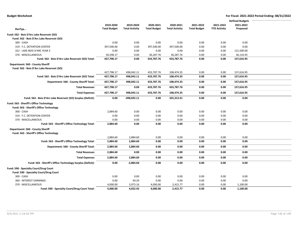|                                                               |                     |                       |                     |                       |                     |                     | <b>Defined Budgets</b> |  |
|---------------------------------------------------------------|---------------------|-----------------------|---------------------|-----------------------|---------------------|---------------------|------------------------|--|
|                                                               | 2019-2020           | 2019-2020             | 2020-2021           | 2020-2021             | 2021-2022           | 2021-2022           | 2021-2022              |  |
| RevTyp                                                        | <b>Total Budget</b> | <b>Total Activity</b> | <b>Total Budget</b> | <b>Total Activity</b> | <b>Total Budget</b> | <b>YTD Activity</b> | Proposed               |  |
| Fund: 562 - Bois D'Arc Lake Reservoir (SO)                    |                     |                       |                     |                       |                     |                     |                        |  |
| Fund: 562 - Bois D'Arc Lake Reservoir (SO)                    |                     |                       |                     |                       |                     |                     |                        |  |
| 300 - CASH                                                    | 0.00                | 0.00                  | 0.00                | 0.00                  | 0.00                | 0.00                | 0.00                   |  |
| 319 - F.C. DETENTION CENTER                                   | 397,500.00          | 0.00                  | 397,500.00          | 397,500.00            | 0.00                | 0.00                | 0.00                   |  |
| 322 - LAKE BOIS D'ARC YEAR 3                                  | 0.00                | 0.00                  | 0.00                | 0.00                  | 0.00                | 0.00                | 121,500.00             |  |
| 370 - MISCELLANEOUS                                           | 30,298.17           | 0.00                  | 36,287.76           | 36,287.76             | 0.00                | 0.00                | 36,116.95              |  |
| Fund: 562 - Bois D'Arc Lake Reservoir (SO) Total:             | 427,798.17          | 0.00                  | 433,787.76          | 433,787.76            | 0.00                | 0.00                | 157,616.95             |  |
| Department: 560 - County Sheriff                              |                     |                       |                     |                       |                     |                     |                        |  |
| Fund: 562 - Bois D'Arc Lake Reservoir (SO)                    |                     |                       |                     |                       |                     |                     |                        |  |
|                                                               | 427,798.17          | 498,042.11            | 433,787.76          | 108,474.35            | 0.00                | 0.00                | 157,616.95             |  |
| Fund: 562 - Bois D'Arc Lake Reservoir (SO) Total:             | 427,798.17          | 498,042.11            | 433,787.76          | 108,474.35            | 0.00                | 0.00                | 157,616.95             |  |
| Department: 560 - County Sheriff Total:                       | 427,798.17          | 498,042.11            | 433,787.76          | 108,474.35            | 0.00                | 0.00                | 157,616.95             |  |
| <b>Total Revenues</b>                                         | 427,798.17          | 0.00                  | 433,787.76          | 433,787.76            | 0.00                | 0.00                | 157,616.95             |  |
| <b>Total Expenses</b>                                         | 427,798.17          | 498,042.11            | 433,787.76          | 108,474.35            | 0.00                | 0.00                | 157,616.95             |  |
| Fund: 562 - Bois D'Arc Lake Reservoir (SO) Surplus (Deficit): | 0.00                | -498,042.11           | 0.00                | 325,313.41            | 0.00                | 0.00                | 0.00                   |  |
| Fund: 563 - Sheriff's Office Technology                       |                     |                       |                     |                       |                     |                     |                        |  |
| Fund: 563 - Sheriff's Office Technology                       |                     |                       |                     |                       |                     |                     |                        |  |
| 300 - CASH                                                    | 2,884.60            | 0.00                  | 0.00                | 0.00                  | 0.00                | 0.00                | 0.00                   |  |
| 319 - F.C. DETENTION CENTER                                   | 0.00                | 0.00                  | 0.00                | 0.00                  | 0.00                | 0.00                | 0.00                   |  |
| 370 - MISCELLANEOUS                                           | 0.00                | 0.00                  | 0.00                | 0.00                  | 0.00                | 0.00                | 0.00                   |  |
| Fund: 563 - Sheriff's Office Technology Total:                | 2,884.60            | 0.00                  | 0.00                | 0.00                  | 0.00                | 0.00                | 0.00                   |  |
| Department: 560 - County Sheriff                              |                     |                       |                     |                       |                     |                     |                        |  |
| Fund: 563 - Sheriff's Office Technology                       |                     |                       |                     |                       |                     |                     |                        |  |
|                                                               | 2,884.60            | 2,884.60              | 0.00                | 0.00                  | 0.00                | 0.00                | 0.00                   |  |
| Fund: 563 - Sheriff's Office Technology Total:                | 2,884.60            | 2,884.60              | 0.00                | 0.00                  | 0.00                | 0.00                | 0.00                   |  |
| Department: 560 - County Sheriff Total:                       | 2,884.60            | 2,884.60              | 0.00                | 0.00                  | 0.00                | 0.00                | 0.00                   |  |
| <b>Total Revenues</b>                                         | 2,884.60            | 0.00                  | 0.00                | 0.00                  | 0.00                | 0.00                | 0.00                   |  |
| <b>Total Expenses</b>                                         | 2,884.60            | 2,884.60              | 0.00                | 0.00                  | 0.00                | 0.00                | 0.00                   |  |
| Fund: 563 - Sheriff's Office Technology Surplus (Deficit):    | 0.00                | $-2,884.60$           | 0.00                | 0.00                  | 0.00                | 0.00                | 0.00                   |  |
| Fund: 590 - Specialty Court/Drug Court                        |                     |                       |                     |                       |                     |                     |                        |  |
| Fund: 590 - Specialty Court/Drug Court                        |                     |                       |                     |                       |                     |                     |                        |  |
| 300 - CASH                                                    | 0.00                | 0.00                  | 0.00                | 0.00                  | 0.00                | 0.00                | 0.00                   |  |
| 360 - INTEREST EARNINGS                                       | 0.00                | 49.29                 | 0.00                | 0.00                  | 0.00                | 0.00                | 0.00                   |  |
| 370 - MISCELLANEOUS                                           | 4,000.00            | 3,973.16              | 4,000.00            | 2,415.77              | 0.00                | 0.00                | 1,100.00               |  |
| Fund: 590 - Specialty Court/Drug Court Total:                 | 4,000.00            | 4,022.45              | 4,000.00            | 2,415.77              | 0.00                | 0.00                | 1,100.00               |  |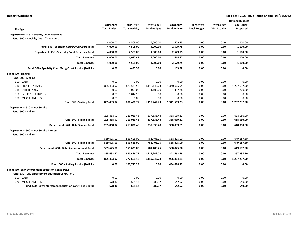|                                                           |                     |                       |                     |                       |                     |                     | <b>Defined Budgets</b> |  |
|-----------------------------------------------------------|---------------------|-----------------------|---------------------|-----------------------|---------------------|---------------------|------------------------|--|
|                                                           | 2019-2020           | 2019-2020             | 2020-2021           | 2020-2021             | 2021-2022           | 2021-2022           | 2021-2022              |  |
| RevTyp                                                    | <b>Total Budget</b> | <b>Total Activity</b> | <b>Total Budget</b> | <b>Total Activity</b> | <b>Total Budget</b> | <b>YTD Activity</b> | Proposed               |  |
| <b>Department: 436 - Specialty Court Expenses</b>         |                     |                       |                     |                       |                     |                     |                        |  |
| Fund: 590 - Specialty Court/Drug Court                    |                     |                       |                     |                       |                     |                     |                        |  |
|                                                           | 4,000.00            | 4,508.00              | 4,000.00            | 2,579.75              | 0.00                | 0.00                | 1,100.00               |  |
| Fund: 590 - Specialty Court/Drug Court Total:             | 4,000.00            | 4,508.00              | 4,000.00            | 2,579.75              | 0.00                | 0.00                | 1,100.00               |  |
| Department: 436 - Specialty Court Expenses Total:         | 4,000.00            | 4,508.00              | 4,000.00            | 2,579.75              | 0.00                | 0.00                | 1,100.00               |  |
| <b>Total Revenues</b>                                     | 4,000.00            | 4,022.45              | 4,000.00            | 2,415.77              | 0.00                | 0.00                | 1,100.00               |  |
| <b>Total Expenses</b>                                     | 4,000.00            | 4,508.00              | 4,000.00            | 2,579.75              | 0.00                | 0.00                | 1,100.00               |  |
| Fund: 590 - Specialty Court/Drug Court Surplus (Deficit): | 0.00                | $-485.55$             | 0.00                | $-163.98$             | 0.00                | 0.00                | 0.00                   |  |
| Fund: 600 - Sinking                                       |                     |                       |                     |                       |                     |                     |                        |  |
| Fund: 600 - Sinking                                       |                     |                       |                     |                       |                     |                     |                        |  |
| 300 - CASH                                                | 0.00                | 0.00                  | 0.00                | 0.00                  | 0.00                | 0.00                | 0.00                   |  |
| 310 - PROPERTY TAXES                                      | 855,493.92          | 873,545.52            | 1,118,142.73        | 1,340,065.95          | 0.00                | 0.00                | 1,267,037.50           |  |
| 318 - OTHER TAXES                                         | 0.00                | 1,079.06              | 1,100.00            | 1,497.28              | 0.00                | 0.00                | 200.00                 |  |
| 360 - INTEREST EARNINGS                                   | 0.00                | 5,812.19              | 0.00                | 0.00                  | 0.00                | 0.00                | 0.00                   |  |
| 370 - MISCELLANEOUS                                       | 0.00                | 0.00                  | 0.00                | 0.00                  | 0.00                | 0.00                | 0.00                   |  |
| Fund: 600 - Sinking Total:                                | 855,493.92          | 880,436.77            | 1,119,242.73        | 1,341,563.23          | 0.00                | 0.00                | 1,267,237.50           |  |
| Department: 620 - Debt Service                            |                     |                       |                     |                       |                     |                     |                        |  |
| Fund: 600 - Sinking                                       |                     |                       |                     |                       |                     |                     |                        |  |
|                                                           | 295,868.92          | 213,036.48            | 337,836.48          | 338,039.81            | 0.00                | 0.00                | 618,050.00             |  |
| Fund: 600 - Sinking Total:                                | 295,868.92          | 213,036.48            | 337,836.48          | 338,039.81            | 0.00                | 0.00                | 618,050.00             |  |
| Department: 620 - Debt Service Total:                     | 295,868.92          | 213,036.48            | 337,836.48          | 338,039.81            | 0.00                | 0.00                | 618,050.00             |  |
| Department: 660 - Debt Service Interest                   |                     |                       |                     |                       |                     |                     |                        |  |
| Fund: 600 - Sinking                                       |                     |                       |                     |                       |                     |                     |                        |  |
|                                                           | 559,625.00          | 559,625.00            | 781,406.25          | 568,825.00            | 0.00                | 0.00                | 649,187.50             |  |
| Fund: 600 - Sinking Total:                                | 559,625.00          | 559,625.00            | 781,406.25          | 568,825.00            | 0.00                | 0.00                | 649,187.50             |  |
| Department: 660 - Debt Service Interest Total:            | 559,625.00          | 559,625.00            | 781,406.25          | 568,825.00            | 0.00                | 0.00                | 649,187.50             |  |
| <b>Total Revenues</b>                                     | 855,493.92          | 880,436.77            | 1,119,242.73        | 1,341,563.23          | 0.00                | 0.00                | 1,267,237.50           |  |
| <b>Total Expenses</b>                                     | 855,493.92          | 772,661.48            | 1,119,242.73        | 906,864.81            | 0.00                | 0.00                | 1,267,237.50           |  |
| Fund: 600 - Sinking Surplus (Deficit):                    | 0.00                | 107,775.29            | 0.00                | 434,698.42            | 0.00                | 0.00                | 0.00                   |  |
| Fund: 630 - Law Enforcement Education Const. Pct.1        |                     |                       |                     |                       |                     |                     |                        |  |
| Fund: 630 - Law Enforcement Education Const. Pct.1        |                     |                       |                     |                       |                     |                     |                        |  |
| 300 - CASH                                                | 0.00                | 0.00                  | 0.00                | 0.00                  | 0.00                | 0.00                | 0.00                   |  |
| 370 - MISCELLANEOUS                                       | 678.30              | 685.17                | 685.17              | 642.52                | 0.00                | 0.00                | 640.00                 |  |
| Fund: 630 - Law Enforcement Education Const. Pct.1 Total: | 678.30              | 685.17                | 685.17              | 642.52                | 0.00                | 0.00                | 640.00                 |  |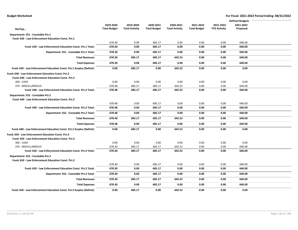|                                                                       |                     |                       |                     |                       |                     |                     | <b>Defined Budgets</b> |  |
|-----------------------------------------------------------------------|---------------------|-----------------------|---------------------|-----------------------|---------------------|---------------------|------------------------|--|
|                                                                       | 2019-2020           | 2019-2020             | 2020-2021           | 2020-2021             | 2021-2022           | 2021-2022           | 2021-2022              |  |
| RevTyp                                                                | <b>Total Budget</b> | <b>Total Activity</b> | <b>Total Budget</b> | <b>Total Activity</b> | <b>Total Budget</b> | <b>YTD Activity</b> | Proposed               |  |
| Department: 551 - Constable Pct.1                                     |                     |                       |                     |                       |                     |                     |                        |  |
| Fund: 630 - Law Enforcement Education Const. Pct.1                    |                     |                       |                     |                       |                     |                     |                        |  |
|                                                                       | 678.30              | 0.00                  | 685.17              | 0.00                  | 0.00                | 0.00                | 640.00                 |  |
| Fund: 630 - Law Enforcement Education Const. Pct.1 Total:             | 678.30              | 0.00                  | 685.17              | 0.00                  | 0.00                | 0.00                | 640.00                 |  |
| Department: 551 - Constable Pct.1 Total:                              | 678.30              | 0.00                  | 685.17              | 0.00                  | 0.00                | 0.00                | 640.00                 |  |
| <b>Total Revenues</b>                                                 | 678.30              | 685.17                | 685.17              | 642.52                | 0.00                | 0.00                | 640.00                 |  |
| <b>Total Expenses</b>                                                 | 678.30              | 0.00                  | 685.17              | 0.00                  | 0.00                | 0.00                | 640.00                 |  |
| Fund: 630 - Law Enforcement Education Const. Pct.1 Surplus (Deficit): | 0.00                | 685.17                | 0.00                | 642.52                | 0.00                | 0.00                | 0.00                   |  |
| Fund: 640 - Law Enforcement Education Const. Pct.2                    |                     |                       |                     |                       |                     |                     |                        |  |
| Fund: 640 - Law Enforcement Education Const. Pct.2                    |                     |                       |                     |                       |                     |                     |                        |  |
| 300 - CASH                                                            | 0.00                | 0.00                  | 0.00                | 0.00                  | 0.00                | 0.00                | 0.00                   |  |
| 370 - MISCELLANEOUS                                                   | 678.48              | 685.17                | 685.17              | 642.52                | 0.00                | 0.00                | 640.00                 |  |
| Fund: 640 - Law Enforcement Education Const. Pct.2 Total:             | 678.48              | 685.17                | 685.17              | 642.52                | 0.00                | 0.00                | 640.00                 |  |
| Department: 552 - Constable Pct.2                                     |                     |                       |                     |                       |                     |                     |                        |  |
| Fund: 640 - Law Enforcement Education Const. Pct.2                    |                     |                       |                     |                       |                     |                     |                        |  |
|                                                                       | 678.48              | 0.00                  | 685.17              | 0.00                  | 0.00                | 0.00                | 640.00                 |  |
| Fund: 640 - Law Enforcement Education Const. Pct.2 Total:             | 678.48              | 0.00                  | 685.17              | 0.00                  | 0.00                | 0.00                | 640.00                 |  |
| Department: 552 - Constable Pct.2 Total:                              | 678.48              | 0.00                  | 685.17              | 0.00                  | 0.00                | 0.00                | 640.00                 |  |
| <b>Total Revenues</b>                                                 | 678.48              | 685.17                | 685.17              | 642.52                | 0.00                | 0.00                | 640.00                 |  |
| <b>Total Expenses</b>                                                 | 678.48              | 0.00                  | 685.17              | 0.00                  | 0.00                | 0.00                | 640.00                 |  |
| Fund: 640 - Law Enforcement Education Const. Pct.2 Surplus (Deficit): | 0.00                | 685.17                | 0.00                | 642.52                | 0.00                | 0.00                | 0.00                   |  |
| Fund: 650 - Law Enforcement Education Const. Pct.3                    |                     |                       |                     |                       |                     |                     |                        |  |
| Fund: 650 - Law Enforcement Education Const. Pct.3                    |                     |                       |                     |                       |                     |                     |                        |  |
| 300 - CASH                                                            | 0.00                | 0.00                  | 0.00                | 0.00                  | 0.00                | 0.00                | 0.00                   |  |
| 370 - MISCELLANEOUS                                                   | 678.30              | 685.17                | 685.17              | 642.52                | 0.00                | 0.00                | 640.00                 |  |
| Fund: 650 - Law Enforcement Education Const. Pct.3 Total:             | 678.30              | 685.17                | 685.17              | 642.52                | 0.00                | 0.00                | 640.00                 |  |
| Department: 553 - Constable Pct.3                                     |                     |                       |                     |                       |                     |                     |                        |  |
| Fund: 650 - Law Enforcement Education Const. Pct.3                    |                     |                       |                     |                       |                     |                     |                        |  |
|                                                                       | 678.30              | 0.00                  | 685.17              | 0.00                  | 0.00                | 0.00                | 640.00                 |  |
| Fund: 650 - Law Enforcement Education Const. Pct.3 Total:             | 678.30              | 0.00                  | 685.17              | 0.00                  | 0.00                | 0.00                | 640.00                 |  |
| Department: 553 - Constable Pct.3 Total:                              | 678.30              | 0.00                  | 685.17              | 0.00                  | 0.00                | 0.00                | 640.00                 |  |
| <b>Total Revenues</b>                                                 | 678.30              | 685.17                | 685.17              | 642.52                | 0.00                | 0.00                | 640.00                 |  |
| <b>Total Expenses</b>                                                 | 678.30              | 0.00                  | 685.17              | 0.00                  | 0.00                | 0.00                | 640.00                 |  |
| Fund: 650 - Law Enforcement Education Const. Pct.3 Surplus (Deficit): | 0.00                | 685.17                | 0.00                | 642.52                | 0.00                | 0.00                | 0.00                   |  |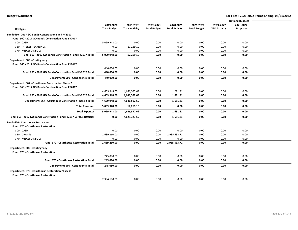|                                                                       |                     |                       |                     |                       |                     |                     | <b>Defined Budgets</b> |  |
|-----------------------------------------------------------------------|---------------------|-----------------------|---------------------|-----------------------|---------------------|---------------------|------------------------|--|
|                                                                       | 2019-2020           | 2019-2020             | 2020-2021           | 2020-2021             | 2021-2022           | 2021-2022           | 2021-2022              |  |
| RevTyp                                                                | <b>Total Budget</b> | <b>Total Activity</b> | <b>Total Budget</b> | <b>Total Activity</b> | <b>Total Budget</b> | <b>YTD Activity</b> | Proposed               |  |
| Fund: 660 - 2017 GO Bonds-Construction Fund FY2017                    |                     |                       |                     |                       |                     |                     |                        |  |
| Fund: 660 - 2017 GO Bonds-Construction Fund FY2017                    |                     |                       |                     |                       |                     |                     |                        |  |
| 300 - CASH                                                            | 5,099,948.00        | 0.00                  | 0.00                | 0.00                  | 0.00                | 0.00                | 0.00                   |  |
| 360 - INTEREST EARNINGS                                               | 0.00                | 17,269.10             | 0.00                | 0.00                  | 0.00                | 0.00                | 0.00                   |  |
| 370 - MISCELLANEOUS                                                   | 0.00                | 0.00                  | 0.00                | 0.00                  | 0.00                | 0.00                | 0.00                   |  |
| Fund: 660 - 2017 GO Bonds-Construction Fund FY2017 Total:             | 5,099,948.00        | 17,269.10             | 0.00                | 0.00                  | 0.00                | 0.00                | 0.00                   |  |
| Department: 509 - Contingency                                         |                     |                       |                     |                       |                     |                     |                        |  |
| Fund: 660 - 2017 GO Bonds-Construction Fund FY2017                    |                     |                       |                     |                       |                     |                     |                        |  |
|                                                                       | 440,000.00          | 0.00                  | 0.00                | 0.00                  | 0.00                | 0.00                | 0.00                   |  |
| Fund: 660 - 2017 GO Bonds-Construction Fund FY2017 Total:             | 440,000.00          | 0.00                  | 0.00                | 0.00                  | 0.00                | 0.00                | 0.00                   |  |
| Department: 509 - Contingency Total:                                  | 440,000.00          | 0.00                  | 0.00                | 0.00                  | 0.00                | 0.00                | 0.00                   |  |
| Department: 667 - Courthouse Construction Phase 2                     |                     |                       |                     |                       |                     |                     |                        |  |
| Fund: 660 - 2017 GO Bonds-Construction Fund FY2017                    |                     |                       |                     |                       |                     |                     |                        |  |
|                                                                       | 4,659,948.00        | 4,646,592.69          | 0.00                | 1,681.81              | 0.00                | 0.00                | 0.00                   |  |
| Fund: 660 - 2017 GO Bonds-Construction Fund FY2017 Total:             | 4,659,948.00        | 4,646,592.69          | 0.00                | 1,681.81              | 0.00                | 0.00                | 0.00                   |  |
| Department: 667 - Courthouse Construction Phase 2 Total:              | 4,659,948.00        | 4,646,592.69          | 0.00                | 1,681.81              | 0.00                | 0.00                | 0.00                   |  |
| <b>Total Revenues</b>                                                 | 5,099,948.00        | 17,269.10             | 0.00                | 0.00                  | 0.00                | 0.00                | 0.00                   |  |
| <b>Total Expenses</b>                                                 | 5,099,948.00        | 4,646,592.69          | 0.00                | 1,681.81              | 0.00                | 0.00                | 0.00                   |  |
| Fund: 660 - 2017 GO Bonds-Construction Fund FY2017 Surplus (Deficit): | 0.00                | -4,629,323.59         | 0.00                | $-1,681.81$           | 0.00                | 0.00                | 0.00                   |  |
| <b>Fund: 670 - Courthouse Restoration</b>                             |                     |                       |                     |                       |                     |                     |                        |  |
| <b>Fund: 670 - Courthouse Restoration</b>                             |                     |                       |                     |                       |                     |                     |                        |  |
| 300 - CASH                                                            | 0.00                | 0.00                  | 0.00                | 0.00                  | 0.00                | 0.00                | 0.00                   |  |
| 330 - GRANTS                                                          | 2,639,260.00        | 0.00                  | 0.00                | 2,935,533.72          | 0.00                | 0.00                | 0.00                   |  |
| 370 - MISCELLANEOUS                                                   | 0.00                | 0.00                  | 0.00                | 0.00                  | 0.00                | 0.00                | 0.00                   |  |
| <b>Fund: 670 - Courthouse Restoration Total:</b>                      | 2,639,260.00        | 0.00                  | 0.00                | 2,935,533.72          | 0.00                | 0.00                | 0.00                   |  |
| Department: 509 - Contingency                                         |                     |                       |                     |                       |                     |                     |                        |  |
| Fund: 670 - Courthouse Restoration                                    |                     |                       |                     |                       |                     |                     |                        |  |
|                                                                       | 245,080.00          | 0.00                  | 0.00                | 0.00                  | 0.00                | 0.00                | 0.00                   |  |
| <b>Fund: 670 - Courthouse Restoration Total:</b>                      | 245,080.00          | 0.00                  | 0.00                | 0.00                  | 0.00                | 0.00                | 0.00                   |  |
| Department: 509 - Contingency Total:                                  | 245,080.00          | 0.00                  | 0.00                | 0.00                  | 0.00                | 0.00                | 0.00                   |  |
| Department: 670 - Courthouse Restoration Phase 2                      |                     |                       |                     |                       |                     |                     |                        |  |
| <b>Fund: 670 - Courthouse Restoration</b>                             |                     |                       |                     |                       |                     |                     |                        |  |
|                                                                       | 2,394,180.00        | 0.00                  | 0.00                | 0.00                  | 0.00                | 0.00                | 0.00                   |  |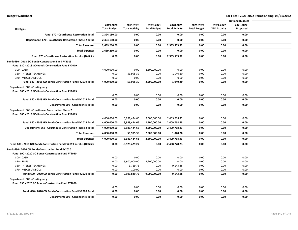|                                                                       |                     |                       |                     |                       |                     |                     | <b>Defined Budgets</b> |  |
|-----------------------------------------------------------------------|---------------------|-----------------------|---------------------|-----------------------|---------------------|---------------------|------------------------|--|
|                                                                       | 2019-2020           | 2019-2020             | 2020-2021           | 2020-2021             | 2021-2022           | 2021-2022           | 2021-2022              |  |
| RevTyp                                                                | <b>Total Budget</b> | <b>Total Activity</b> | <b>Total Budget</b> | <b>Total Activity</b> | <b>Total Budget</b> | <b>YTD Activity</b> | Proposed               |  |
| Fund: 670 - Courthouse Restoration Total:                             | 2,394,180.00        | 0.00                  | 0.00                | 0.00                  | 0.00                | 0.00                | 0.00                   |  |
| Department: 670 - Courthouse Restoration Phase 2 Total:               | 2,394,180.00        | 0.00                  | 0.00                | 0.00                  | 0.00                | 0.00                | 0.00                   |  |
| <b>Total Revenues</b>                                                 | 2,639,260.00        | 0.00                  | 0.00                | 2,935,533.72          | 0.00                | 0.00                | 0.00                   |  |
| <b>Total Expenses</b>                                                 | 2,639,260.00        | 0.00                  | 0.00                | 0.00                  | 0.00                | 0.00                | 0.00                   |  |
| Fund: 670 - Courthouse Restoration Surplus (Deficit):                 | 0.00                | 0.00                  | 0.00                | 2,935,533.72          | 0.00                | 0.00                | 0.00                   |  |
| Fund: 680 - 2018 GO Bonds-Construction Fund FY2019                    |                     |                       |                     |                       |                     |                     |                        |  |
| Fund: 680 - 2018 GO Bonds-Construction Fund FY2019                    |                     |                       |                     |                       |                     |                     |                        |  |
| 300 - CASH                                                            | 4,000,000.00        | 0.00                  | 2,500,000.00        | 0.00                  | 0.00                | 0.00                | 0.00                   |  |
| 360 - INTEREST EARNINGS                                               | 0.00                | 59,995.39             | 0.00                | 1,040.20              | 0.00                | 0.00                | 0.00                   |  |
| 370 - MISCELLANEOUS                                                   | 0.00                | 0.00                  | 0.00                | 0.00                  | 0.00                | 0.00                | 0.00                   |  |
| Fund: 680 - 2018 GO Bonds-Construction Fund FY2019 Total:             | 4,000,000.00        | 59,995.39             | 2,500,000.00        | 1,040.20              | 0.00                | 0.00                | 0.00                   |  |
| Department: 509 - Contingency                                         |                     |                       |                     |                       |                     |                     |                        |  |
| Fund: 680 - 2018 GO Bonds-Construction Fund FY2019                    |                     |                       |                     |                       |                     |                     |                        |  |
|                                                                       | 0.00                | 0.00                  | 0.00                | 0.00                  | 0.00                | 0.00                | 0.00                   |  |
| Fund: 680 - 2018 GO Bonds-Construction Fund FY2019 Total:             | 0.00                | 0.00                  | 0.00                | 0.00                  | 0.00                | 0.00                | 0.00                   |  |
| Department: 509 - Contingency Total:                                  | 0.00                | 0.00                  | 0.00                | 0.00                  | 0.00                | 0.00                | 0.00                   |  |
| Department: 668 - Courthouse Construction Phase 2                     |                     |                       |                     |                       |                     |                     |                        |  |
| Fund: 680 - 2018 GO Bonds-Construction Fund FY2019                    |                     |                       |                     |                       |                     |                     |                        |  |
|                                                                       | 4,000,000.00        | 3,989,424.66          | 2,500,000.00        | 2,409,768.43          | 0.00                | 0.00                | 0.00                   |  |
| Fund: 680 - 2018 GO Bonds-Construction Fund FY2019 Total:             | 4,000,000.00        | 3,989,424.66          | 2,500,000.00        | 2,409,768.43          | 0.00                | 0.00                | 0.00                   |  |
| Department: 668 - Courthouse Construction Phase 2 Total:              | 4,000,000.00        | 3,989,424.66          | 2,500,000.00        | 2,409,768.43          | 0.00                | 0.00                | 0.00                   |  |
| <b>Total Revenues</b>                                                 | 4,000,000.00        | 59,995.39             | 2,500,000.00        | 1,040.20              | 0.00                | 0.00                | 0.00                   |  |
| <b>Total Expenses</b>                                                 | 4,000,000.00        | 3,989,424.66          | 2,500,000.00        | 2,409,768.43          | 0.00                | 0.00                | 0.00                   |  |
| Fund: 680 - 2018 GO Bonds-Construction Fund FY2019 Surplus (Deficit): | 0.00                | $-3,929,429.27$       | 0.00                | $-2,408,728.23$       | 0.00                | 0.00                | 0.00                   |  |
| Fund: 690 - 2020 CO Bonds-Construction Fund FY2020                    |                     |                       |                     |                       |                     |                     |                        |  |
| Fund: 690 - 2020 CO Bonds-Construction Fund FY2020                    |                     |                       |                     |                       |                     |                     |                        |  |
| 300 - CASH                                                            | 0.00                | 0.00                  | 0.00                | 0.00                  | 0.00                | 0.00                | 0.00                   |  |
| 350 - FINES                                                           | 0.00                | 9,900,000.00          | 9,900,000.00        | 0.00                  | 0.00                | 0.00                | 0.00                   |  |
| 360 - INTEREST EARNINGS                                               | 0.00                | 3,729.75              | 0.00                | 9,143.88              | 0.00                | 0.00                | 0.00                   |  |
| 370 - MISCELLANEOUS                                                   | 0.00                | 100.00                | 0.00                | 0.00                  | 0.00                | 0.00                | 0.00                   |  |
| Fund: 690 - 2020 CO Bonds-Construction Fund FY2020 Total:             | 0.00                | 9,903,829.75          | 9,900,000.00        | 9,143.88              | 0.00                | 0.00                | 0.00                   |  |
| Department: 509 - Contingency                                         |                     |                       |                     |                       |                     |                     |                        |  |
| Fund: 690 - 2020 CO Bonds-Construction Fund FY2020                    |                     |                       |                     |                       |                     |                     |                        |  |
|                                                                       | 0.00                | 0.00                  | 0.00                | 0.00                  | 0.00                | 0.00                | 0.00                   |  |
| Fund: 690 - 2020 CO Bonds-Construction Fund FY2020 Total:             | 0.00                | 0.00                  | 0.00                | 0.00                  | 0.00                | 0.00                | 0.00                   |  |
| Department: 509 - Contingency Total:                                  | 0.00                | 0.00                  | 0.00                | 0.00                  | 0.00                | 0.00                | 0.00                   |  |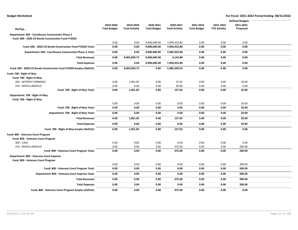|                                                                       |                     |                       |                     |                       |                     |                     | <b>Defined Budgets</b> |
|-----------------------------------------------------------------------|---------------------|-----------------------|---------------------|-----------------------|---------------------|---------------------|------------------------|
|                                                                       | 2019-2020           | 2019-2020             | 2020-2021           | 2020-2021             | 2021-2022           | 2021-2022           | 2021-2022              |
| RevTyp                                                                | <b>Total Budget</b> | <b>Total Activity</b> | <b>Total Budget</b> | <b>Total Activity</b> | <b>Total Budget</b> | <b>YTD Activity</b> | Proposed               |
| Department: 669 - Courthouse Construction Phase 2                     |                     |                       |                     |                       |                     |                     |                        |
| Fund: 690 - 2020 CO Bonds-Construction Fund FY2020                    |                     |                       |                     |                       |                     |                     |                        |
|                                                                       | 0.00                | 0.00                  | 9,900,000.00        | 7,094,453.80          | 0.00                | 0.00                | 0.00                   |
| Fund: 690 - 2020 CO Bonds-Construction Fund FY2020 Total:             | 0.00                | 0.00                  | 9,900,000.00        | 7,094,453.80          | 0.00                | 0.00                | 0.00                   |
| Department: 669 - Courthouse Construction Phase 2 Total:              | 0.00                | 0.00                  | 9,900,000.00        | 7,094,453.80          | 0.00                | 0.00                | 0.00                   |
| <b>Total Revenues</b>                                                 | 0.00                | 9,903,829.75          | 9,900,000.00        | 9,143.88              | 0.00                | 0.00                | 0.00                   |
| <b>Total Expenses</b>                                                 | 0.00                | 0.00                  | 9,900,000.00        | 7,094,453.80          | 0.00                | 0.00                | 0.00                   |
| Fund: 690 - 2020 CO Bonds-Construction Fund FY2020 Surplus (Deficit): | 0.00                | 9,903,829.75          | 0.00                | -7,085,309.92         | 0.00                | 0.00                | 0.00                   |
| Fund: 700 - Right of Way                                              |                     |                       |                     |                       |                     |                     |                        |
| Fund: 700 - Right of Way                                              |                     |                       |                     |                       |                     |                     |                        |
| 360 - INTEREST EARNINGS                                               | 0.00                | 1,061.85              | 0.00                | 37.02                 | 0.00                | 0.00                | 20.00                  |
| 370 - MISCELLANEOUS                                                   | 0.00                | 0.00                  | 0.00                | 90.00                 | 0.00                | 0.00                | 0.00                   |
| Fund: 700 - Right of Way Total:                                       | 0.00                | 1,061.85              | 0.00                | 127.02                | 0.00                | 0.00                | 20.00                  |
| Department: 700 - Right of Way                                        |                     |                       |                     |                       |                     |                     |                        |
| Fund: 700 - Right of Way                                              |                     |                       |                     |                       |                     |                     |                        |
|                                                                       | 0.00                | 0.00                  | 0.00                | 0.00                  | 0.00                | 0.00                | 20.00                  |
| Fund: 700 - Right of Way Total:                                       | 0.00                | 0.00                  | 0.00                | 0.00                  | 0.00                | 0.00                | 20.00                  |
| Department: 700 - Right of Way Total:                                 | 0.00                | 0.00                  | 0.00                | 0.00                  | 0.00                | 0.00                | 20.00                  |
| <b>Total Revenues</b>                                                 | 0.00                | 1,061.85              | 0.00                | 127.02                | 0.00                | 0.00                | 20.00                  |
| <b>Total Expenses</b>                                                 | 0.00                | 0.00                  | 0.00                | 0.00                  | 0.00                | 0.00                | 20.00                  |
| Fund: 700 - Right of Way Surplus (Deficit):                           | 0.00                | 1,061.85              | 0.00                | 127.02                | 0.00                | 0.00                | 0.00                   |
| Fund: 800 - Veterans Court Program                                    |                     |                       |                     |                       |                     |                     |                        |
| Fund: 800 - Veterans Court Program                                    |                     |                       |                     |                       |                     |                     |                        |
| 300 - CASH                                                            | 0.00                | 0.00                  | 0.00                | 0.00                  | 0.00                | 0.00                | 0.00                   |
| 370 - MISCELLANEOUS                                                   | 0.00                | 0.00                  | 0.00                | 475.00                | 0.00                | 0.00                | 200.00                 |
| Fund: 800 - Veterans Court Program Total:                             | 0.00                | 0.00                  | 0.00                | 475.00                | 0.00                | 0.00                | 200.00                 |
| Department: 800 - Veterans Court Expense                              |                     |                       |                     |                       |                     |                     |                        |
| Fund: 800 - Veterans Court Program                                    |                     |                       |                     |                       |                     |                     |                        |
|                                                                       | 0.00                | 0.00                  | 0.00                | 0.00                  | 0.00                | 0.00                | 200.00                 |
| Fund: 800 - Veterans Court Program Total:                             | 0.00                | 0.00                  | 0.00                | 0.00                  | 0.00                | 0.00                | 200.00                 |
| Department: 800 - Veterans Court Expense Total:                       | 0.00                | 0.00                  | 0.00                | 0.00                  | 0.00                | 0.00                | 200.00                 |
| <b>Total Revenues</b>                                                 | 0.00                | 0.00                  | 0.00                | 475.00                | 0.00                | 0.00                | 200.00                 |
| <b>Total Expenses</b>                                                 | 0.00                | 0.00                  | 0.00                | 0.00                  | 0.00                | 0.00                | 200.00                 |
| Fund: 800 - Veterans Court Program Surplus (Deficit):                 | 0.00                | 0.00                  | 0.00                | 475.00                | 0.00                | 0.00                | 0.00                   |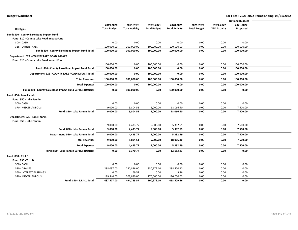|                                                             |                     |                       |                     |                       |                     |                     | <b>Defined Budgets</b> |
|-------------------------------------------------------------|---------------------|-----------------------|---------------------|-----------------------|---------------------|---------------------|------------------------|
|                                                             | 2019-2020           | 2019-2020             | 2020-2021           | 2020-2021             | 2021-2022           | 2021-2022           | 2021-2022              |
| RevTyp                                                      | <b>Total Budget</b> | <b>Total Activity</b> | <b>Total Budget</b> | <b>Total Activity</b> | <b>Total Budget</b> | <b>YTD Activity</b> | Proposed               |
| Fund: 810 - County Lake Road Impact Fund                    |                     |                       |                     |                       |                     |                     |                        |
| Fund: 810 - County Lake Road Impact Fund                    |                     |                       |                     |                       |                     |                     |                        |
| 300 - CASH                                                  | 0.00                | 0.00                  | 0.00                | 0.00                  | 0.00                | 0.00                | 0.00                   |
| 318 - OTHER TAXES                                           | 100,000.00          | 100,000.00            | 100,000.00          | 100,000.00            | 0.00                | 0.00                | 100,000.00             |
| Fund: 810 - County Lake Road Impact Fund Total:             | 100,000.00          | 100,000.00            | 100,000.00          | 100,000.00            | 0.00                | 0.00                | 100,000.00             |
| Department: 522 - COUNTY LAKE ROAD IMPACT                   |                     |                       |                     |                       |                     |                     |                        |
| Fund: 810 - County Lake Road Impact Fund                    |                     |                       |                     |                       |                     |                     |                        |
|                                                             | 100,000.00          | 0.00                  | 100,000.00          | 0.00                  | 0.00                | 0.00                | 100,000.00             |
| Fund: 810 - County Lake Road Impact Fund Total:             | 100,000.00          | 0.00                  | 100,000.00          | 0.00                  | 0.00                | 0.00                | 100,000.00             |
| Department: 522 - COUNTY LAKE ROAD IMPACT Total:            | 100,000.00          | 0.00                  | 100,000.00          | 0.00                  | 0.00                | 0.00                | 100,000.00             |
| <b>Total Revenues</b>                                       | 100,000.00          | 100,000.00            | 100,000.00          | 100,000.00            | 0.00                | 0.00                | 100,000.00             |
| <b>Total Expenses</b>                                       | 100,000.00          | 0.00                  | 100,000.00          | 0.00                  | 0.00                | 0.00                | 100,000.00             |
| Fund: 810 - County Lake Road Impact Fund Surplus (Deficit): | 0.00                | 100,000.00            | 0.00                | 100,000.00            | 0.00                | 0.00                | 0.00                   |
| Fund: 850 - Lake Fannin                                     |                     |                       |                     |                       |                     |                     |                        |
| Fund: 850 - Lake Fannin                                     |                     |                       |                     |                       |                     |                     |                        |
| 300 - CASH                                                  | 0.00                | 0.00                  | 0.00                | 0.00                  | 0.00                | 0.00                | 0.00                   |
| 370 - MISCELLANEOUS                                         | 9,000.00            | 5,804.51              | 5,000.00            | 18,066.40             | 0.00                | 0.00                | 7,500.00               |
| Fund: 850 - Lake Fannin Total:                              | 9,000.00            | 5,804.51              | 5,000.00            | 18,066.40             | 0.00                | 0.00                | 7,500.00               |
| Department: 520 - Lake Fannin                               |                     |                       |                     |                       |                     |                     |                        |
| Fund: 850 - Lake Fannin                                     |                     |                       |                     |                       |                     |                     |                        |
|                                                             | 9,000.00            | 4,433.77              | 5,000.00            | 5,382.59              | 0.00                | 0.00                | 7,500.00               |
| Fund: 850 - Lake Fannin Total:                              | 9,000.00            | 4,433.77              | 5,000.00            | 5,382.59              | 0.00                | 0.00                | 7,500.00               |
| Department: 520 - Lake Fannin Total:                        | 9,000.00            | 4,433.77              | 5,000.00            | 5,382.59              | 0.00                | 0.00                | 7,500.00               |
| <b>Total Revenues</b>                                       | 9,000.00            | 5,804.51              | 5,000.00            | 18,066.40             | 0.00                | 0.00                | 7,500.00               |
| <b>Total Expenses</b>                                       | 9,000.00            | 4,433.77              | 5,000.00            | 5,382.59              | 0.00                | 0.00                | 7,500.00               |
| Fund: 850 - Lake Fannin Surplus (Deficit):                  | 0.00                | 1,370.74              | 0.00                | 12,683.81             | 0.00                | 0.00                | 0.00                   |
| Fund: 890 - T.J.J.D.                                        |                     |                       |                     |                       |                     |                     |                        |
| Fund: 890 - T.J.J.D.                                        |                     |                       |                     |                       |                     |                     |                        |
| 300 - CASH                                                  | 0.00                | 0.00                  | 0.00                | 0.00                  | 0.00                | 0.00                | 0.00                   |
| 330 - GRANTS                                                | 288,037.00          | 290,836.00            | 330,972.10          | 288,500.10            | 0.00                | 0.00                | 0.00                   |
| 360 - INTEREST EARNINGS                                     | 0.00                | 69.57                 | 0.00                | 9.26                  | 0.00                | 0.00                | 0.00                   |
| 370 - MISCELLANEOUS                                         | 199,540.00          | 203,880.00            | 170,000.00          | 170,000.00            | 0.00                | 0.00                | 0.00                   |
| Fund: 890 - T.J.J.D. Total:                                 | 487,577.00          | 494,785.57            | 500,972.10          | 458,509.36            | 0.00                | 0.00                | 0.00                   |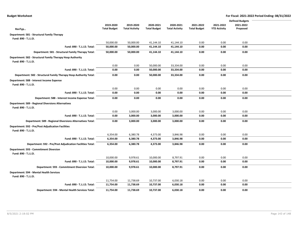|                                                                                    |                     |                       |                     |                       |                     |                     | <b>Defined Budgets</b> |  |
|------------------------------------------------------------------------------------|---------------------|-----------------------|---------------------|-----------------------|---------------------|---------------------|------------------------|--|
|                                                                                    | 2019-2020           | 2019-2020             | 2020-2021           | 2020-2021             | 2021-2022           | 2021-2022           | 2021-2022              |  |
| RevTyp                                                                             | <b>Total Budget</b> | <b>Total Activity</b> | <b>Total Budget</b> | <b>Total Activity</b> | <b>Total Budget</b> | <b>YTD Activity</b> | Proposed               |  |
| Department: 581 - Structural Family Therapy<br>Fund: 890 - T.J.J.D.                |                     |                       |                     |                       |                     |                     |                        |  |
|                                                                                    | 50,000.00           | 50,000.00             | 41,144.10           | 41,144.10             | 0.00                | 0.00                | 0.00                   |  |
| Fund: 890 - T.J.J.D. Total:                                                        | 50,000.00           | 50,000.00             | 41,144.10           | 41,144.10             | 0.00                | 0.00                | 0.00                   |  |
| Department: 581 - Structural Family Therapy Total:                                 | 50,000.00           | 50,000.00             | 41,144.10           | 41,144.10             | 0.00                | 0.00                | 0.00                   |  |
| Department: 582 - Structural Family Therapy Hosp Authority<br>Fund: 890 - T.J.J.D. |                     |                       |                     |                       |                     |                     |                        |  |
|                                                                                    | 0.00                | 0.00                  | 50,000.00           | 33,334.00             | 0.00                | 0.00                | 0.00                   |  |
| Fund: 890 - T.J.J.D. Total:                                                        | 0.00                | 0.00                  | 50,000.00           | 33,334.00             | 0.00                | 0.00                | 0.00                   |  |
| Department: 582 - Structural Family Therapy Hosp Authority Total:                  | 0.00                | 0.00                  | 50,000.00           | 33,334.00             | 0.00                | 0.00                | 0.00                   |  |
| Department: 588 - Interest Income Expense<br>Fund: 890 - T.J.J.D.                  |                     |                       |                     |                       |                     |                     |                        |  |
|                                                                                    | 0.00                | 0.00                  | 0.00                | 0.00                  | 0.00                | 0.00                | 0.00                   |  |
| Fund: 890 - T.J.J.D. Total:                                                        | 0.00                | 0.00                  | 0.00                | 0.00                  | 0.00                | 0.00                | 0.00                   |  |
| Department: 588 - Interest Income Expense Total:                                   | 0.00                | 0.00                  | 0.00                | 0.00                  | 0.00                | 0.00                | 0.00                   |  |
| <b>Department: 589 - Regional Diversions Alternatives</b><br>Fund: 890 - T.J.J.D.  |                     |                       |                     |                       |                     |                     |                        |  |
|                                                                                    | 0.00                | 3,000.00              | 3,000.00            | 3,000.00              | 0.00                | 0.00                | 0.00                   |  |
| Fund: 890 - T.J.J.D. Total:                                                        | 0.00                | 3,000.00              | 3,000.00            | 3,000.00              | 0.00                | 0.00                | 0.00                   |  |
| Department: 589 - Regional Diversions Alternatives Total:                          | 0.00                | 3,000.00              | 3,000.00            | 3,000.00              | 0.00                | 0.00                | 0.00                   |  |
| <b>Department: 592 - Pre/Post Adjudication Facilities</b><br>Fund: 890 - T.J.J.D.  |                     |                       |                     |                       |                     |                     |                        |  |
|                                                                                    | 6,354.00            | 6,380.78              | 4,373.00            | 3,846.98              | 0.00                | 0.00                | 0.00                   |  |
| Fund: 890 - T.J.J.D. Total:                                                        | 6,354.00            | 6,380.78              | 4,373.00            | 3,846.98              | 0.00                | 0.00                | 0.00                   |  |
| Department: 592 - Pre/Post Adjudication Facilities Total:                          | 6,354.00            | 6,380.78              | 4,373.00            | 3,846.98              | 0.00                | 0.00                | 0.00                   |  |
| Department: 593 - Commitment Diversion<br>Fund: 890 - T.J.J.D.                     |                     |                       |                     |                       |                     |                     |                        |  |
|                                                                                    | 10,000.00           | 9,978.61              | 10,000.00           | 8,797.91              | 0.00                | 0.00                | 0.00                   |  |
| Fund: 890 - T.J.J.D. Total:                                                        | 10,000.00           | 9,978.61              | 10,000.00           | 8,797.91              | 0.00                | 0.00                | 0.00                   |  |
| Department: 593 - Commitment Diversion Total:                                      | 10,000.00           | 9,978.61              | 10,000.00           | 8,797.91              | 0.00                | 0.00                | 0.00                   |  |
| Department: 594 - Mental Health Services<br>Fund: 890 - T.J.J.D.                   |                     |                       |                     |                       |                     |                     |                        |  |
|                                                                                    | 11,754.00           | 11,738.69             | 10,737.00           | 6,030.18              | 0.00                | 0.00                | 0.00                   |  |
| Fund: 890 - T.J.J.D. Total:                                                        | 11,754.00           | 11,738.69             | 10,737.00           | 6,030.18              | 0.00                | 0.00                | 0.00                   |  |
| Department: 594 - Mental Health Services Total:                                    | 11,754.00           | 11,738.69             | 10,737.00           | 6,030.18              | 0.00                | 0.00                | 0.00                   |  |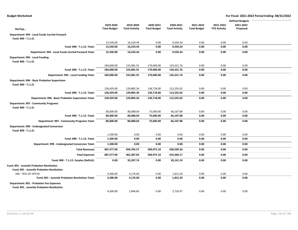|                                                                              |                     |                       |                     |                       |                     |                     | <b>Defined Budgets</b> |  |
|------------------------------------------------------------------------------|---------------------|-----------------------|---------------------|-----------------------|---------------------|---------------------|------------------------|--|
|                                                                              | 2019-2020           | 2019-2020             | 2020-2021           | 2020-2021             | 2021-2022           | 2021-2022           | 2021-2022              |  |
| RevTyp                                                                       | <b>Total Budget</b> | <b>Total Activity</b> | <b>Total Budget</b> | <b>Total Activity</b> | <b>Total Budget</b> | <b>YTD Activity</b> | Proposed               |  |
| Department: 994 - Local Funds Carried Forward                                |                     |                       |                     |                       |                     |                     |                        |  |
| Fund: 890 - T.J.J.D.                                                         |                     |                       |                     |                       |                     |                     |                        |  |
|                                                                              | 15,540.00           | 16,234.44             | 0.00                | 9,550.34              | 0.00                | 0.00                | 0.00                   |  |
| Fund: 890 - T.J.J.D. Total:                                                  | 15,540.00           | 16,234.44             | 0.00                | 9,550.34              | 0.00                | 0.00                | 0.00                   |  |
| Department: 994 - Local Funds Carried Forward Total:                         | 15,540.00           | 16,234.44             | 0.00                | 9,550.34              | 0.00                | 0.00                | 0.00                   |  |
| Department: 995 - Local Funding                                              |                     |                       |                     |                       |                     |                     |                        |  |
| Fund: 890 - T.J.J.D.                                                         |                     |                       |                     |                       |                     |                     |                        |  |
|                                                                              | 184,000.00          | 155,081.91            | 170,000.00          | 134,321.76            | 0.00                | 0.00                | 0.00                   |  |
| Fund: 890 - T.J.J.D. Total:                                                  | 184,000.00          | 155,081.91            | 170,000.00          | 134,321.76            | 0.00                | 0.00                | 0.00                   |  |
| Department: 995 - Local Funding Total:                                       | 184,000.00          | 155,081.91            | 170,000.00          | 134,321.76            | 0.00                | 0.00                | 0.00                   |  |
| <b>Department: 996 - Basic Probation Supervision</b><br>Fund: 890 - T.J.J.D. |                     |                       |                     |                       |                     |                     |                        |  |
|                                                                              | 128,429.00          | 129,885.36            | 136,718.00          | 113,235.02            | 0.00                | 0.00                | 0.00                   |  |
| Fund: 890 - T.J.J.D. Total:                                                  | 128,429.00          | 129,885.36            | 136,718.00          | 113,235.02            | 0.00                | 0.00                | 0.00                   |  |
| Department: 996 - Basic Probation Supervision Total:                         | 128,429.00          | 129,885.36            | 136,718.00          | 113,235.02            | 0.00                | 0.00                | 0.00                   |  |
| Department: 997 - Community Programs<br>Fund: 890 - T.J.J.D.                 |                     |                       |                     |                       |                     |                     |                        |  |
|                                                                              | 80,000.00           | 80,088.04             | 75,000.00           | 66,107.88             | 0.00                | 0.00                | 0.00                   |  |
| Fund: 890 - T.J.J.D. Total:                                                  | 80,000.00           | 80,088.04             | 75,000.00           | 66,107.88             | 0.00                | 0.00                | 0.00                   |  |
| Department: 997 - Community Programs Total:                                  | 80,000.00           | 80,088.04             | 75,000.00           | 66,107.88             | 0.00                | 0.00                | 0.00                   |  |
| Department: 999 - Undesignated Conversion                                    |                     |                       |                     |                       |                     |                     |                        |  |
| Fund: 890 - T.J.J.D.                                                         |                     |                       |                     |                       |                     |                     |                        |  |
|                                                                              | 1,500.00            | 0.00                  | 0.00                | 0.00                  | 0.00                | 0.00                | 0.00                   |  |
| Fund: 890 - T.J.J.D. Total:                                                  | 1,500.00            | 0.00                  | 0.00                | 0.00                  | 0.00                | 0.00                | 0.00                   |  |
| Department: 999 - Undesignated Conversion Total:                             | 1,500.00            | 0.00                  | 0.00                | 0.00                  | 0.00                | 0.00                | 0.00                   |  |
| <b>Total Revenues</b>                                                        | 487,577.00          | 494,785.57            | 500,972.10          | 458,509.36            | 0.00                | 0.00                | 0.00                   |  |
| <b>Total Expenses</b>                                                        | 487,577.00          | 462,387.83            | 500,972.10          | 419,368.17            | 0.00                | 0.00                | 0.00                   |  |
| Fund: 890 - T.J.J.D. Surplus (Deficit):                                      | 0.00                | 32,397.74             | 0.00                | 39,141.19             | 0.00                | 0.00                | 0.00                   |  |
| Fund: 891 - Juvenile Probation-Restitution                                   |                     |                       |                     |                       |                     |                     |                        |  |
| Fund: 891 - Juvenile Probation-Restitution                                   |                     |                       |                     |                       |                     |                     |                        |  |
| 340 - FEES OF OFFICE                                                         | 4,300.00            | 4,176.00              | 0.00                | 1,815.20              | 0.00                | 0.00                | 0.00                   |  |
| Fund: 891 - Juvenile Probation-Restitution Total:                            | 4,300.00            | 4,176.00              | 0.00                | 1,815.20              | 0.00                | 0.00                | 0.00                   |  |
| <b>Department: 891 - Probation Fee Expenses</b>                              |                     |                       |                     |                       |                     |                     |                        |  |
| Fund: 891 - Juvenile Probation-Restitution                                   |                     |                       |                     |                       |                     |                     |                        |  |
|                                                                              | 4,300.00            | 2,846.85              | 0.00                | 2,726.97              | 0.00                | 0.00                | 0.00                   |  |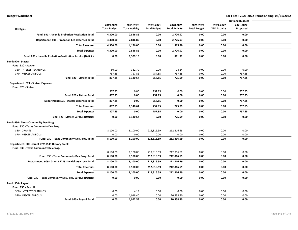|                                                               |                     |                       |                     |                       |                     |                     | <b>Defined Budgets</b> |  |
|---------------------------------------------------------------|---------------------|-----------------------|---------------------|-----------------------|---------------------|---------------------|------------------------|--|
|                                                               | 2019-2020           | 2019-2020             | 2020-2021           | 2020-2021             | 2021-2022           | 2021-2022           | 2021-2022              |  |
| RevTyp                                                        | <b>Total Budget</b> | <b>Total Activity</b> | <b>Total Budget</b> | <b>Total Activity</b> | <b>Total Budget</b> | <b>YTD Activity</b> | Proposed               |  |
| Fund: 891 - Juvenile Probation-Restitution Total:             | 4,300.00            | 2,846.85              | 0.00                | 2,726.97              | 0.00                | 0.00                | 0.00                   |  |
| Department: 891 - Probation Fee Expenses Total:               | 4,300.00            | 2,846.85              | 0.00                | 2,726.97              | 0.00                | 0.00                | 0.00                   |  |
| <b>Total Revenues</b>                                         | 4,300.00            | 4,176.00              | 0.00                | 1,815.20              | 0.00                | 0.00                | 0.00                   |  |
| <b>Total Expenses</b>                                         | 4,300.00            | 2,846.85              | 0.00                | 2,726.97              | 0.00                | 0.00                | 0.00                   |  |
| Fund: 891 - Juvenile Probation-Restitution Surplus (Deficit): | 0.00                | 1,329.15              | 0.00                | $-911.77$             | 0.00                | 0.00                | 0.00                   |  |
| Fund: 920 - Statzer                                           |                     |                       |                     |                       |                     |                     |                        |  |
| Fund: 920 - Statzer                                           |                     |                       |                     |                       |                     |                     |                        |  |
| 360 - INTEREST EARNINGS                                       | 50.00               | 382.79                | 0.00                | 18.14                 | 0.00                | 0.00                | 0.00                   |  |
| 370 - MISCELLANEOUS                                           | 757.85              | 757.85                | 757.85              | 757.85                | 0.00                | 0.00                | 757.85                 |  |
| Fund: 920 - Statzer Total:                                    | 807.85              | 1,140.64              | 757.85              | 775.99                | 0.00                | 0.00                | 757.85                 |  |
| Department: 521 - Statzer Expenses                            |                     |                       |                     |                       |                     |                     |                        |  |
| Fund: 920 - Statzer                                           |                     |                       |                     |                       |                     |                     |                        |  |
|                                                               | 807.85              | 0.00                  | 757.85              | 0.00                  | 0.00                | 0.00                | 757.85                 |  |
| Fund: 920 - Statzer Total:                                    | 807.85              | 0.00                  | 757.85              | 0.00                  | 0.00                | 0.00                | 757.85                 |  |
| Department: 521 - Statzer Expenses Total:                     | 807.85              | 0.00                  | 757.85              | 0.00                  | 0.00                | 0.00                | 757.85                 |  |
| <b>Total Revenues</b>                                         | 807.85              | 1,140.64              | 757.85              | 775.99                | 0.00                | 0.00                | 757.85                 |  |
| <b>Total Expenses</b>                                         | 807.85              | 0.00                  | 757.85              | 0.00                  | 0.00                | 0.00                | 757.85                 |  |
| Fund: 920 - Statzer Surplus (Deficit):                        | 0.00                | 1,140.64              | 0.00                | 775.99                | 0.00                | 0.00                | 0.00                   |  |
| Fund: 930 - Texas Community Dev.Prog.                         |                     |                       |                     |                       |                     |                     |                        |  |
| Fund: 930 - Texas Community Dev.Prog.                         |                     |                       |                     |                       |                     |                     |                        |  |
| 330 - GRANTS                                                  | 8,100.00            | 8,100.00              | 212,816.59          | 212,816.59            | 0.00                | 0.00                | 0.00                   |  |
| 370 - MISCELLANEOUS                                           | 0.00                | 0.00                  | 0.00                | 0.00                  | 0.00                | 0.00                | 0.00                   |  |
| Fund: 930 - Texas Community Dev.Prog. Total:                  | 8,100.00            | 8,100.00              | 212,816.59          | 212,816.59            | 0.00                | 0.00                | 0.00                   |  |
| Department: 909 - Grant #7219149 Hickory Creek                |                     |                       |                     |                       |                     |                     |                        |  |
| Fund: 930 - Texas Community Dev.Prog.                         |                     |                       |                     |                       |                     |                     |                        |  |
|                                                               | 8,100.00            | 8,100.00              | 212,816.59          | 212,816.59            | 0.00                | 0.00                | 0.00                   |  |
| Fund: 930 - Texas Community Dev.Prog. Total:                  | 8,100.00            | 8,100.00              | 212,816.59          | 212,816.59            | 0.00                | 0.00                | 0.00                   |  |
| Department: 909 - Grant #7219149 Hickory Creek Total:         | 8,100.00            | 8,100.00              | 212,816.59          | 212,816.59            | 0.00                | 0.00                | 0.00                   |  |
| <b>Total Revenues</b>                                         | 8,100.00            | 8,100.00              | 212,816.59          | 212,816.59            | 0.00                | 0.00                | 0.00                   |  |
| <b>Total Expenses</b>                                         | 8,100.00            | 8,100.00              | 212,816.59          | 212,816.59            | 0.00                | 0.00                | 0.00                   |  |
| Fund: 930 - Texas Community Dev.Prog. Surplus (Deficit):      | 0.00                | 0.00                  | 0.00                | 0.00                  | 0.00                | 0.00                | 0.00                   |  |
| Fund: 950 - Payroll                                           |                     |                       |                     |                       |                     |                     |                        |  |
| Fund: 950 - Payroll                                           |                     |                       |                     |                       |                     |                     |                        |  |
| 360 - INTEREST EARNINGS                                       | 0.00                | 4.19                  | 0.00                | 0.00                  | 0.00                | 0.00                | 0.00                   |  |
| 370 - MISCELLANEOUS                                           | 0.00                | 1,918.40              | 0.00                | 20,538.40             | 0.00                | 0.00                | 0.00                   |  |
| Fund: 950 - Payroll Total:                                    | 0.00                | 1,922.59              | 0.00                | 20,538.40             | 0.00                | 0.00                | 0.00                   |  |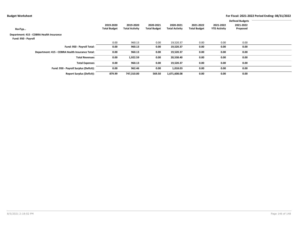|                                                 |                     |                       |                     |                       |                     |                     | <b>Defined Budgets</b> |  |
|-------------------------------------------------|---------------------|-----------------------|---------------------|-----------------------|---------------------|---------------------|------------------------|--|
|                                                 | 2019-2020           | 2019-2020             | 2020-2021           | 2020-2021             | 2021-2022           | 2021-2022           | 2021-2022              |  |
| RevTyp                                          | <b>Total Budget</b> | <b>Total Activity</b> | <b>Total Budget</b> | <b>Total Activity</b> | <b>Total Budget</b> | <b>YTD Activity</b> | Proposed               |  |
| Department: 415 - COBRA Health Insurance        |                     |                       |                     |                       |                     |                     |                        |  |
| Fund: 950 - Payroll                             |                     |                       |                     |                       |                     |                     |                        |  |
|                                                 | 0.00                | 960.13                | 0.00                | 19,520.37             | 0.00                | 0.00                | 0.00                   |  |
| Fund: 950 - Payroll Total:                      | 0.00                | 960.13                | 0.00                | 19,520.37             | 0.00                | 0.00                | 0.00                   |  |
| Department: 415 - COBRA Health Insurance Total: | 0.00                | 960.13                | 0.00                | 19,520.37             | 0.00                | 0.00                | 0.00                   |  |
| <b>Total Revenues</b>                           | 0.00                | 1,922.59              | 0.00                | 20,538.40             | 0.00                | 0.00                | 0.00                   |  |
| <b>Total Expenses</b>                           | 0.00                | 960.13                | 0.00                | 19,520.37             | 0.00                | 0.00                | 0.00                   |  |
| Fund: 950 - Payroll Surplus (Deficit):          | 0.00                | 962.46                | 0.00                | 1,018.03              | 0.00                | 0.00                | 0.00                   |  |
| <b>Report Surplus (Deficit):</b>                | 879.99              | 747,310.00            | 569.50              | 1,671,608.08          | 0.00                | 0.00                | 0.00                   |  |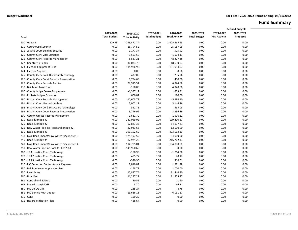# **Fund Summary**

|                                                 |                     |                       |                     |                       |                     | <b>Defined Budgets</b> |           |  |
|-------------------------------------------------|---------------------|-----------------------|---------------------|-----------------------|---------------------|------------------------|-----------|--|
|                                                 | 2019-2020           | 2019-2020             | 2020-2021           | 2020-2021             | 2021-2022           | 2021-2022              | 2021-2022 |  |
| Fund                                            | <b>Total Budget</b> | <b>Total Activity</b> | <b>Total Budget</b> | <b>Total Activity</b> | <b>Total Budget</b> | <b>YTD Activity</b>    | Proposed  |  |
| 100 - General                                   | 879.99              | -748,472.74           | 0.00                | 2,425,265.95          | 0.00                | 0.00                   | 0.00      |  |
| 110 - Courthouse Security                       | 0.00                | 16,794.52             | 0.00                | $-25,057.09$          | 0.00                | 0.00                   | 0.00      |  |
| 111 - Justice Court Building Security           | 0.00                | 1,177.37              | 0.00                | 915.92                | 0.00                | 0.00                   | 0.00      |  |
| 120 - County Clerk Vital Statistics             | 0.00                | $-3,593.50$           | 0.00                | $-1,504.11$           | 0.00                | 0.00                   | 0.00      |  |
| 121 - County Clerk Records Management           | 0.00                | $-8,537.21$           | 0.00                | $-48,227.35$          | 0.00                | 0.00                   | 0.00      |  |
| 122 - Chapter 19 Funds                          | 0.00                | 30,073.78             | 0.00                | $-18,630.07$          | 0.00                | 0.00                   | 0.00      |  |
| 123 - Election Equipment Fund                   | 0.00                | 114,986.90            | 0.00                | $-131,054.07$         | 0.00                | 0.00                   | 0.00      |  |
| 124 - Election Support                          | 0.00                | 0.00                  | 0.00                | 0.00                  | 0.00                | 0.00                   | 0.00      |  |
| 125 - County Clerk Co.& Dist.CourtTechnology    | 0.00                | 437.05                | 0.00                | $-235.96$             | 0.00                | 0.00                   | 0.00      |  |
| 126 - County Clerk Court Records Preservation   | 0.00                | 1,784.68              | 0.00                | 410.00                | 0.00                | 0.00                   | 0.00      |  |
| 127 - County Clerk Records Archive              | 0.00                | 27,915.54             | 0.00                | 6,924.68              | 0.00                | 0.00                   | 0.00      |  |
| 130 - Bail Bond Trust Fund                      | 0.00                | $-150.00$             | 0.00                | 4,920.00              | 0.00                | 0.00                   | 0.00      |  |
| 160 - County Judge Excess Supplement            | 0.00                | $-1,397.12$           | 0.00                | $-503.91$             | 0.00                | 0.00                   | 0.00      |  |
| 161 - Probate Judges Education                  | 0.00                | 600.02                | 0.00                | 190.00                | 0.00                | 0.00                   | 0.00      |  |
| 190 - District Clerk Records Management         | 0.00                | $-10,603.73$          | 0.00                | $-5,284.10$           | 0.00                | 0.00                   | 0.00      |  |
| 191 - District Court Records Archive            | 0.00                | 5,002.11              | 0.00                | 3,146.76              | 0.00                | 0.00                   | 0.00      |  |
| 192 - District Clerk Co.& Dist.Court Technology | 0.00                | 552.71                | 0.00                | 565.08                | 0.00                | 0.00                   | 0.00      |  |
| 193 - District Clerk Court Records Preservation | 0.00                | 3,746.99              | 0.00                | 3,336.89              | 0.00                | 0.00                   | 0.00      |  |
| 200 - County Offices Records Mangement          | 0.00                | $-1,681.70$           | 0.00                | 1,506.21              | 0.00                | 0.00                   | 0.00      |  |
| 210 - Road & Bridge #1                          | 0.00                | 182,059.02            | 0.00                | 199,420.67            | 0.00                | 0.00                   | 0.00      |  |
| 220 - Road & Bridge #2                          | 0.00                | 62,827.36             | 0.00                | 54,117.27             | 0.00                | 0.00                   | 0.00      |  |
| 221 - Raw Water Pipeline Road and Bridge #2     | 0.00                | $-82,933.66$          | 0.00                | 12,000.00             | 0.00                | 0.00                   | 0.00      |  |
| 230 - Road & Bridge #3                          | 0.00                | 193,192.69            | 0.00                | 403,033.20            | 0.00                | 0.00                   | 0.00      |  |
| 231 - Lake Road Impact/Raw Water PipelinePct. 3 | 0.00                | $-175,497.59$         | 0.00                | 84,000.00             | 0.00                | 0.00                   | 0.00      |  |
| 240 - Road & Bridge #4                          | 0.00                | 82,974.26             | 0.00                | 216,762.33            | 0.00                | 0.00                   | 0.00      |  |
| 241 - Lake Road Impact/Raw Water PipelinePct. 4 | 0.00                | $-114,705.01$         | 0.00                | 104,000.00            | 0.00                | 0.00                   | 0.00      |  |
| 250 - Raw Water Pipeline Rock for Pct.2,3,4     | 0.00                | $-149,960.69$         | 0.00                | 0.00                  | 0.00                | 0.00                   | 0.00      |  |
| 260 - J.P.#1 Justice Court Technology           | 0.00                | $-150.98$             | 0.00                | $-1,064.58$           | 0.00                | 0.00                   | 0.00      |  |
| 270 - J.P.#2 Justice Court Technology           | 0.00                | 485.77                | 0.00                | 70.12                 | 0.00                | 0.00                   | 0.00      |  |
| 280 - J.P.#3 Justice Court Technology           | 0.00                | $-320.96$             | 0.00                | 316.01                | 0.00                | 0.00                   | 0.00      |  |
| 310 - F.C.Detention Center Annual Payment       | 0.00                | 2,810.81              | 0.00                | 1,591.78              | 0.00                | 0.00                   | 0.00      |  |
| 330 - Bail Bondsman Application Fee             | 0.00                | $-168.71$             | 0.00                | 1,000.00              | 0.00                | 0.00                   | 0.00      |  |
| 350 - Law Library                               | 0.00                | 17,837.74             | 0.00                | 11,444.80             | 0.00                | 0.00                   | 0.00      |  |
| 360 - D. A. Fee                                 | 0.00                | 11,237.21             | 0.00                | 11,805.77             | 0.00                | 0.00                   | 0.00      |  |
| 361 - Contraband Seizure                        | 0.00                | 30.55                 | 0.00                | 1.60                  | 0.00                | 0.00                   | 0.00      |  |
| 362 - Investigator/LEOSE                        | 0.00                | 3.70                  | 0.00                | 66.31                 | 0.00                | 0.00                   | 0.00      |  |
| 380 - IHC Co-Op Gin                             | 0.00                | 235.27                | 0.00                | 8.78                  | 0.00                | 0.00                   | 0.00      |  |
| 381 - IHC Bonnie Ruth Cooper                    | 0.00                | $-13,686.18$          | 0.00                | $-6,031.17$           | 0.00                | 0.00                   | 0.00      |  |
| 410 - CERT                                      | 0.00                | 159.29                | 0.00                | 0.00                  | 0.00                | 0.00                   | 0.00      |  |
| 411 - Hazard Mitigation Plan                    | 0.00                | 428.64                | 0.00                | 0.00                  | 0.00                | 0.00                   | 0.00      |  |